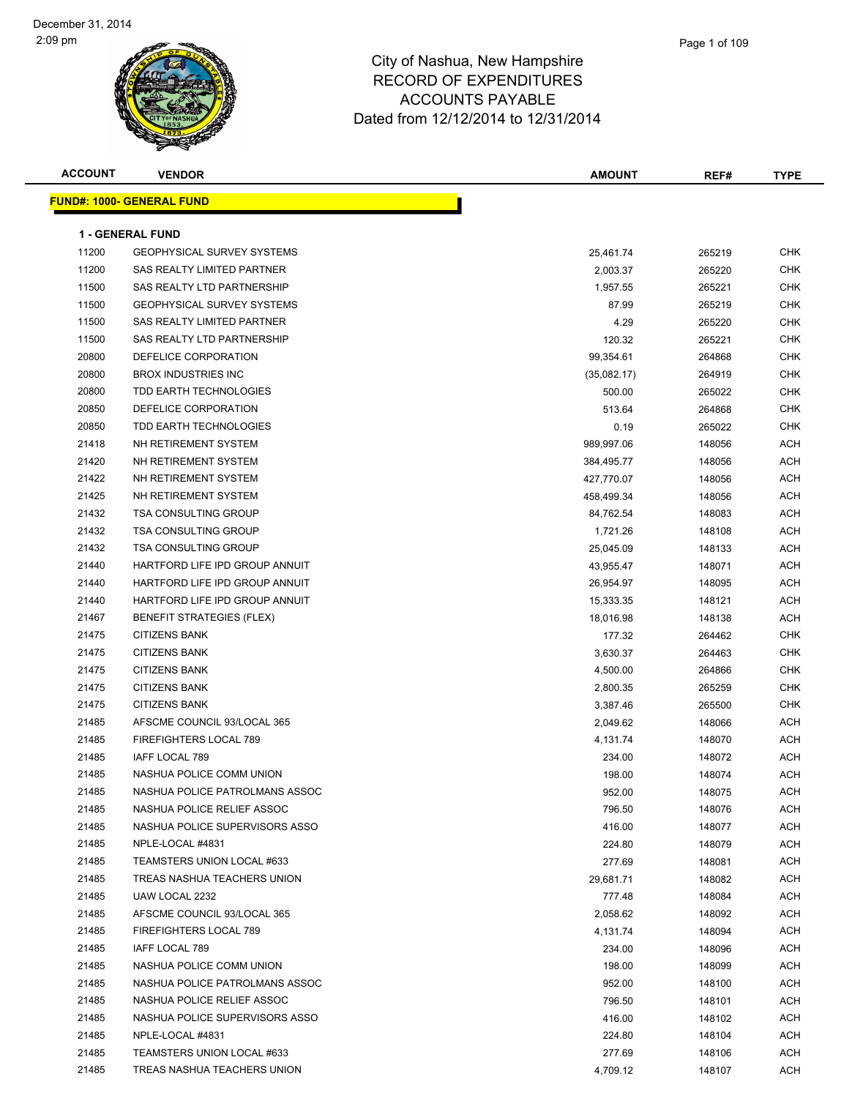| <b>ACCOUNT</b> | <b>VENDOR</b>                     | <b>AMOUNT</b> | REF#   | <b>TYPE</b> |
|----------------|-----------------------------------|---------------|--------|-------------|
|                | <u> FUND#: 1000- GENERAL FUND</u> |               |        |             |
|                |                                   |               |        |             |
|                | <b>1 - GENERAL FUND</b>           |               |        |             |
| 11200          | <b>GEOPHYSICAL SURVEY SYSTEMS</b> | 25,461.74     | 265219 | <b>CHK</b>  |
| 11200          | SAS REALTY LIMITED PARTNER        | 2,003.37      | 265220 | <b>CHK</b>  |
| 11500          | SAS REALTY LTD PARTNERSHIP        | 1,957.55      | 265221 | CHK         |
| 11500          | <b>GEOPHYSICAL SURVEY SYSTEMS</b> | 87.99         | 265219 | CHK         |
| 11500          | SAS REALTY LIMITED PARTNER        | 4.29          | 265220 | CHK         |
| 11500          | SAS REALTY LTD PARTNERSHIP        | 120.32        | 265221 | CHK         |
| 20800          | DEFELICE CORPORATION              | 99,354.61     | 264868 | CHK         |
| 20800          | <b>BROX INDUSTRIES INC</b>        | (35,082.17)   | 264919 | <b>CHK</b>  |
| 20800          | TDD EARTH TECHNOLOGIES            | 500.00        | 265022 | <b>CHK</b>  |
| 20850          | DEFELICE CORPORATION              | 513.64        | 264868 | CHK         |
| 20850          | TDD EARTH TECHNOLOGIES            | 0.19          | 265022 | <b>CHK</b>  |
| 21418          | NH RETIREMENT SYSTEM              | 989,997.06    | 148056 | ACH         |
| 21420          | NH RETIREMENT SYSTEM              | 384,495.77    | 148056 | ACH         |
| 21422          | NH RETIREMENT SYSTEM              | 427,770.07    | 148056 | ACH         |
| 21425          | NH RETIREMENT SYSTEM              | 458,499.34    | 148056 | ACH         |
| 21432          | <b>TSA CONSULTING GROUP</b>       | 84,762.54     | 148083 | ACH         |
| 21432          | <b>TSA CONSULTING GROUP</b>       | 1,721.26      | 148108 | ACH         |
| 21432          | <b>TSA CONSULTING GROUP</b>       | 25,045.09     | 148133 | ACH         |
| 21440          | HARTFORD LIFE IPD GROUP ANNUIT    | 43,955.47     | 148071 | ACH         |
| 21440          | HARTFORD LIFE IPD GROUP ANNUIT    | 26,954.97     | 148095 | ACH         |
| 21440          | HARTFORD LIFE IPD GROUP ANNUIT    | 15,333.35     | 148121 | ACH         |
| 21467          | <b>BENEFIT STRATEGIES (FLEX)</b>  | 18,016.98     | 148138 | ACH         |
| 21475          | <b>CITIZENS BANK</b>              | 177.32        | 264462 | CHK         |
| 21475          | <b>CITIZENS BANK</b>              | 3,630.37      | 264463 | <b>CHK</b>  |
| 21475          | <b>CITIZENS BANK</b>              | 4,500.00      | 264866 | CHK         |
| 21475          | <b>CITIZENS BANK</b>              | 2,800.35      | 265259 | CHK         |
| 21475          | <b>CITIZENS BANK</b>              | 3,387.46      | 265500 | <b>CHK</b>  |
| 21485          | AFSCME COUNCIL 93/LOCAL 365       | 2,049.62      | 148066 | ACH         |
| 21485          | FIREFIGHTERS LOCAL 789            | 4,131.74      | 148070 | ACH         |
| 21485          | IAFF LOCAL 789                    | 234.00        | 148072 | ACH         |
| 21485          | NASHUA POLICE COMM UNION          | 198.00        | 148074 | ACH         |
| 21485          | NASHUA POLICE PATROLMANS ASSOC    | 952.00        | 148075 | <b>ACH</b>  |
| 21485          | NASHUA POLICE RELIEF ASSOC        | 796.50        | 148076 | ACH         |
| 21485          | NASHUA POLICE SUPERVISORS ASSO    | 416.00        | 148077 | ACH         |
| 21485          | NPLE-LOCAL #4831                  | 224.80        | 148079 | ACH         |
| 21485          | TEAMSTERS UNION LOCAL #633        | 277.69        | 148081 | ACH         |
| 21485          | TREAS NASHUA TEACHERS UNION       | 29,681.71     | 148082 | ACH         |
| 21485          | UAW LOCAL 2232                    | 777.48        | 148084 | ACH         |
| 21485          | AFSCME COUNCIL 93/LOCAL 365       | 2,058.62      | 148092 | ACH         |
| 21485          | FIREFIGHTERS LOCAL 789            | 4,131.74      | 148094 | ACH         |
| 21485          | IAFF LOCAL 789                    | 234.00        | 148096 | ACH         |
| 21485          | NASHUA POLICE COMM UNION          | 198.00        | 148099 | ACH         |
| 21485          | NASHUA POLICE PATROLMANS ASSOC    | 952.00        | 148100 | ACH         |
| 21485          | NASHUA POLICE RELIEF ASSOC        | 796.50        | 148101 | ACH         |
| 21485          | NASHUA POLICE SUPERVISORS ASSO    | 416.00        | 148102 | ACH         |
| 21485          | NPLE-LOCAL #4831                  | 224.80        | 148104 | ACH         |
| 21485          | TEAMSTERS UNION LOCAL #633        | 277.69        | 148106 | ACH         |
| 21485          | TREAS NASHUA TEACHERS UNION       | 4,709.12      | 148107 | ACH         |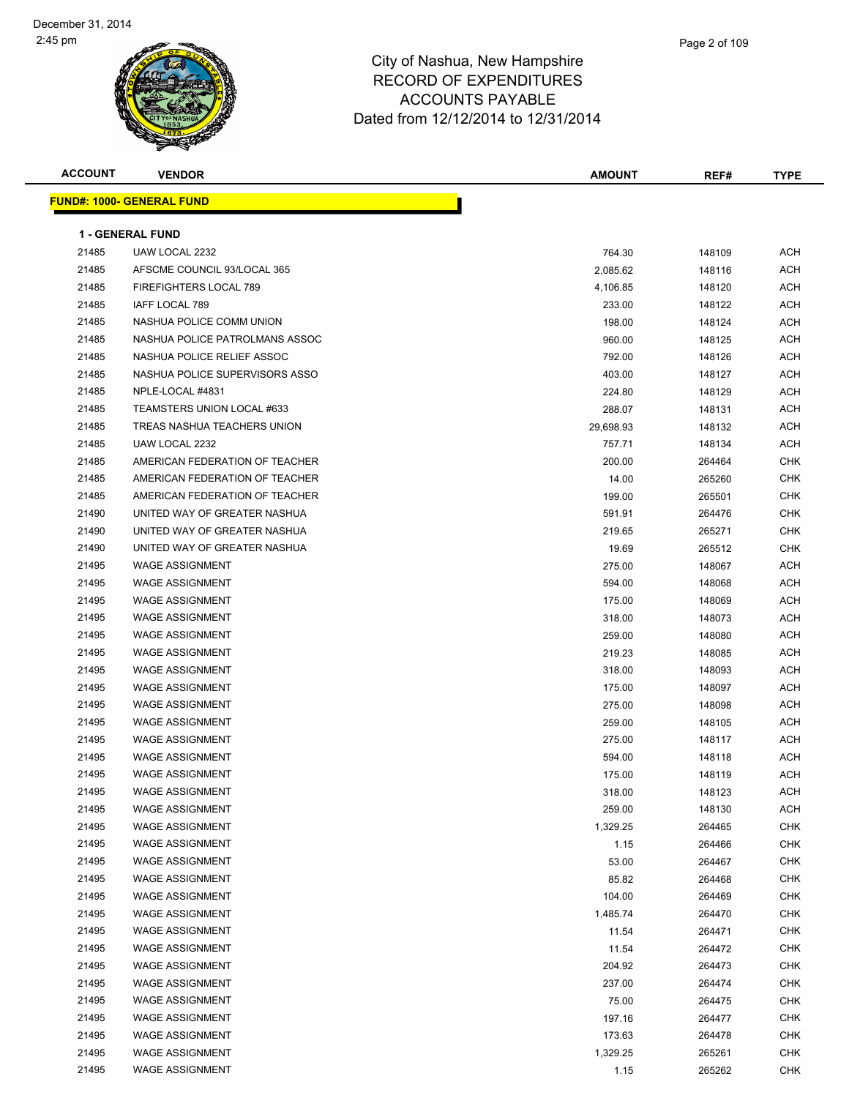

|   | Page 2 of 109 |
|---|---------------|
| е |               |
| こ |               |

| <b>ACCOUNT</b> | <b>VENDOR</b>                    | <b>AMOUNT</b> | REF#   | <b>TYPE</b> |
|----------------|----------------------------------|---------------|--------|-------------|
|                | <b>FUND#: 1000- GENERAL FUND</b> |               |        |             |
|                |                                  |               |        |             |
|                | <b>1 - GENERAL FUND</b>          |               |        |             |
| 21485          | UAW LOCAL 2232                   | 764.30        | 148109 | ACH         |
| 21485          | AFSCME COUNCIL 93/LOCAL 365      | 2,085.62      | 148116 | <b>ACH</b>  |
| 21485          | FIREFIGHTERS LOCAL 789           | 4,106.85      | 148120 | ACH         |
| 21485          | IAFF LOCAL 789                   | 233.00        | 148122 | <b>ACH</b>  |
| 21485          | NASHUA POLICE COMM UNION         | 198.00        | 148124 | ACH         |
| 21485          | NASHUA POLICE PATROLMANS ASSOC   | 960.00        | 148125 | <b>ACH</b>  |
| 21485          | NASHUA POLICE RELIEF ASSOC       | 792.00        | 148126 | <b>ACH</b>  |
| 21485          | NASHUA POLICE SUPERVISORS ASSO   | 403.00        | 148127 | ACH         |
| 21485          | NPLE-LOCAL #4831                 | 224.80        | 148129 | <b>ACH</b>  |
| 21485          | TEAMSTERS UNION LOCAL #633       | 288.07        | 148131 | <b>ACH</b>  |
| 21485          | TREAS NASHUA TEACHERS UNION      | 29,698.93     | 148132 | <b>ACH</b>  |
| 21485          | UAW LOCAL 2232                   | 757.71        | 148134 | <b>ACH</b>  |
| 21485          | AMERICAN FEDERATION OF TEACHER   | 200.00        | 264464 | <b>CHK</b>  |
| 21485          | AMERICAN FEDERATION OF TEACHER   | 14.00         | 265260 | <b>CHK</b>  |
| 21485          | AMERICAN FEDERATION OF TEACHER   | 199.00        | 265501 | <b>CHK</b>  |
| 21490          | UNITED WAY OF GREATER NASHUA     | 591.91        | 264476 | <b>CHK</b>  |
| 21490          | UNITED WAY OF GREATER NASHUA     | 219.65        | 265271 | <b>CHK</b>  |
| 21490          | UNITED WAY OF GREATER NASHUA     | 19.69         | 265512 | <b>CHK</b>  |
| 21495          | <b>WAGE ASSIGNMENT</b>           | 275.00        | 148067 | ACH         |
| 21495          | <b>WAGE ASSIGNMENT</b>           | 594.00        | 148068 | <b>ACH</b>  |
| 21495          | <b>WAGE ASSIGNMENT</b>           | 175.00        | 148069 | <b>ACH</b>  |
| 21495          | <b>WAGE ASSIGNMENT</b>           | 318.00        | 148073 | ACH         |
| 21495          | <b>WAGE ASSIGNMENT</b>           | 259.00        | 148080 | <b>ACH</b>  |
| 21495          | <b>WAGE ASSIGNMENT</b>           | 219.23        | 148085 | ACH         |
| 21495          | <b>WAGE ASSIGNMENT</b>           | 318.00        | 148093 | ACH         |
| 21495          | <b>WAGE ASSIGNMENT</b>           | 175.00        | 148097 | <b>ACH</b>  |
| 21495          | <b>WAGE ASSIGNMENT</b>           | 275.00        | 148098 | ACH         |
| 21495          | <b>WAGE ASSIGNMENT</b>           | 259.00        | 148105 | ACH         |
| 21495          | <b>WAGE ASSIGNMENT</b>           | 275.00        | 148117 | <b>ACH</b>  |
| 21495          | <b>WAGE ASSIGNMENT</b>           | 594.00        | 148118 | ACH         |
| 21495          | <b>WAGE ASSIGNMENT</b>           | 175.00        | 148119 | ACH         |
| 21495          | <b>WAGE ASSIGNMENT</b>           | 318.00        | 148123 | ACH         |
| 21495          | <b>WAGE ASSIGNMENT</b>           | 259.00        | 148130 | <b>ACH</b>  |
| 21495          | <b>WAGE ASSIGNMENT</b>           | 1,329.25      | 264465 | <b>CHK</b>  |
| 21495          | <b>WAGE ASSIGNMENT</b>           | 1.15          | 264466 | <b>CHK</b>  |
| 21495          | <b>WAGE ASSIGNMENT</b>           | 53.00         | 264467 | <b>CHK</b>  |
| 21495          | <b>WAGE ASSIGNMENT</b>           | 85.82         | 264468 | <b>CHK</b>  |
| 21495          | <b>WAGE ASSIGNMENT</b>           | 104.00        | 264469 | <b>CHK</b>  |
| 21495          | <b>WAGE ASSIGNMENT</b>           | 1,485.74      | 264470 | <b>CHK</b>  |
| 21495          | <b>WAGE ASSIGNMENT</b>           | 11.54         | 264471 | <b>CHK</b>  |
| 21495          | <b>WAGE ASSIGNMENT</b>           | 11.54         | 264472 | <b>CHK</b>  |
| 21495          | <b>WAGE ASSIGNMENT</b>           | 204.92        | 264473 | <b>CHK</b>  |
| 21495          | <b>WAGE ASSIGNMENT</b>           | 237.00        | 264474 | <b>CHK</b>  |
| 21495          | <b>WAGE ASSIGNMENT</b>           | 75.00         | 264475 | <b>CHK</b>  |
| 21495          | <b>WAGE ASSIGNMENT</b>           | 197.16        | 264477 | <b>CHK</b>  |
| 21495          | <b>WAGE ASSIGNMENT</b>           | 173.63        | 264478 | <b>CHK</b>  |
| 21495          | <b>WAGE ASSIGNMENT</b>           | 1,329.25      | 265261 | <b>CHK</b>  |
| 21495          | <b>WAGE ASSIGNMENT</b>           | 1.15          | 265262 | <b>CHK</b>  |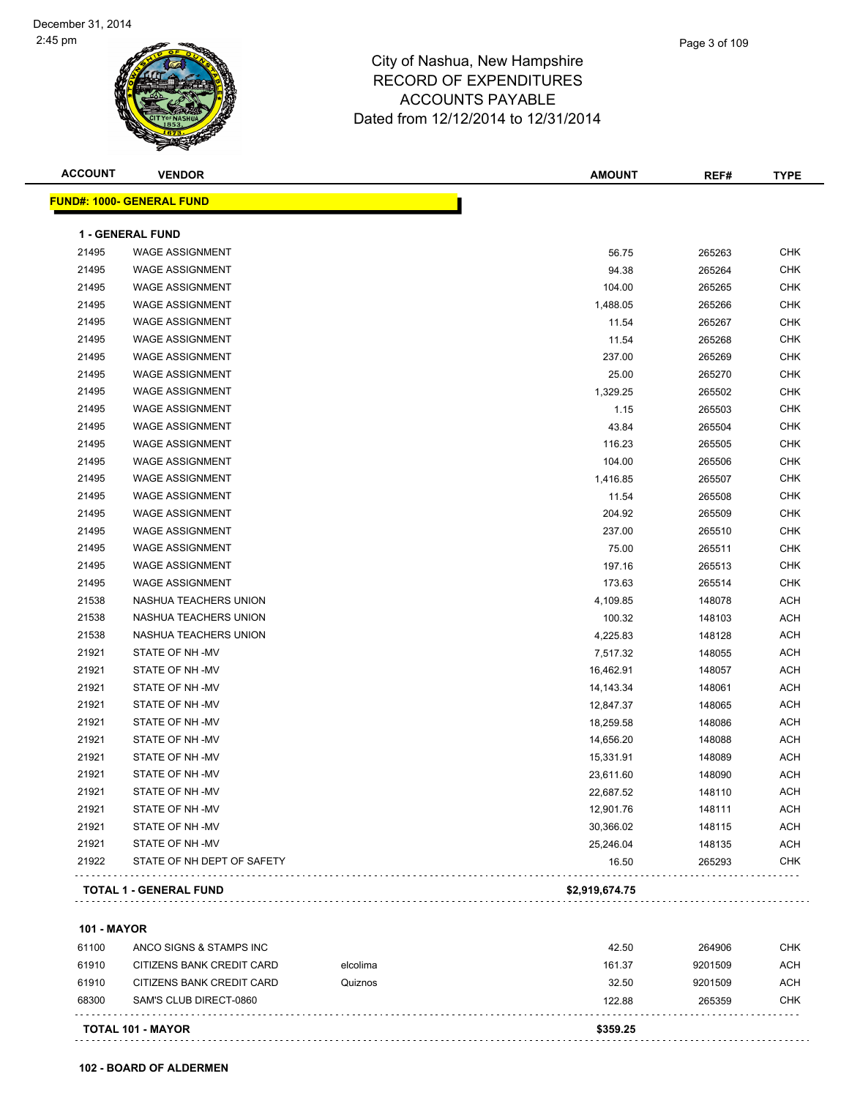| <b>ACCOUNT</b> | <b>VENDOR</b>                    | <b>AMOUNT</b>  | REF#   | <b>TYPE</b> |
|----------------|----------------------------------|----------------|--------|-------------|
|                | <b>FUND#: 1000- GENERAL FUND</b> |                |        |             |
|                | <b>1 - GENERAL FUND</b>          |                |        |             |
| 21495          | <b>WAGE ASSIGNMENT</b>           | 56.75          | 265263 | <b>CHK</b>  |
| 21495          | <b>WAGE ASSIGNMENT</b>           | 94.38          | 265264 | <b>CHK</b>  |
| 21495          | <b>WAGE ASSIGNMENT</b>           | 104.00         | 265265 | <b>CHK</b>  |
| 21495          | <b>WAGE ASSIGNMENT</b>           | 1,488.05       | 265266 | <b>CHK</b>  |
| 21495          | <b>WAGE ASSIGNMENT</b>           | 11.54          | 265267 | <b>CHK</b>  |
| 21495          | <b>WAGE ASSIGNMENT</b>           | 11.54          | 265268 | <b>CHK</b>  |
| 21495          | <b>WAGE ASSIGNMENT</b>           | 237.00         | 265269 | CHK         |
| 21495          | <b>WAGE ASSIGNMENT</b>           | 25.00          | 265270 | CHK         |
| 21495          | <b>WAGE ASSIGNMENT</b>           | 1,329.25       | 265502 | CHK         |
| 21495          | <b>WAGE ASSIGNMENT</b>           | 1.15           | 265503 | CHK         |
| 21495          | <b>WAGE ASSIGNMENT</b>           | 43.84          | 265504 | <b>CHK</b>  |
| 21495          | <b>WAGE ASSIGNMENT</b>           | 116.23         | 265505 | CHK         |
| 21495          | <b>WAGE ASSIGNMENT</b>           | 104.00         | 265506 | CHK         |
| 21495          | <b>WAGE ASSIGNMENT</b>           | 1,416.85       | 265507 | CHK         |
| 21495          | <b>WAGE ASSIGNMENT</b>           | 11.54          | 265508 | CHK         |
| 21495          | <b>WAGE ASSIGNMENT</b>           | 204.92         | 265509 | CHK         |
| 21495          | <b>WAGE ASSIGNMENT</b>           | 237.00         | 265510 | CHK         |
| 21495          | <b>WAGE ASSIGNMENT</b>           | 75.00          | 265511 | CHK         |
| 21495          | <b>WAGE ASSIGNMENT</b>           | 197.16         | 265513 | CHK         |
| 21495          | <b>WAGE ASSIGNMENT</b>           | 173.63         | 265514 | CHK         |
| 21538          | NASHUA TEACHERS UNION            | 4,109.85       | 148078 | <b>ACH</b>  |
| 21538          | NASHUA TEACHERS UNION            | 100.32         | 148103 | <b>ACH</b>  |
| 21538          | NASHUA TEACHERS UNION            | 4,225.83       | 148128 | <b>ACH</b>  |
| 21921          | STATE OF NH -MV                  | 7,517.32       | 148055 | <b>ACH</b>  |
| 21921          | STATE OF NH-MV                   | 16,462.91      | 148057 | <b>ACH</b>  |
| 21921          | STATE OF NH-MV                   | 14,143.34      | 148061 | <b>ACH</b>  |
| 21921          | STATE OF NH-MV                   | 12,847.37      | 148065 | <b>ACH</b>  |
| 21921          | STATE OF NH-MV                   | 18,259.58      | 148086 | <b>ACH</b>  |
| 21921          | STATE OF NH-MV                   | 14,656.20      | 148088 | <b>ACH</b>  |
| 21921          | STATE OF NH-MV                   | 15,331.91      | 148089 | <b>ACH</b>  |
| 21921          | STATE OF NH-MV                   | 23,611.60      | 148090 | <b>ACH</b>  |
| 21921          | STATE OF NH -MV                  | 22,687.52      | 148110 | ACH         |
| 21921          | STATE OF NH-MV                   | 12,901.76      | 148111 | <b>ACH</b>  |
| 21921          | STATE OF NH-MV                   | 30,366.02      | 148115 | <b>ACH</b>  |
| 21921          | STATE OF NH-MV                   | 25,246.04      | 148135 | <b>ACH</b>  |
| 21922          | STATE OF NH DEPT OF SAFETY       | 16.50          | 265293 | <b>CHK</b>  |
|                | <b>TOTAL 1 - GENERAL FUND</b>    | \$2,919,674.75 |        |             |

**101 - MAYOR**

| <b>TOTAL 101 - MAYOR</b> |                           | \$359.25 |        |         |            |
|--------------------------|---------------------------|----------|--------|---------|------------|
| 68300                    | SAM'S CLUB DIRECT-0860    |          | 122.88 | 265359  | <b>CHK</b> |
| 61910                    | CITIZENS BANK CREDIT CARD | Quiznos  | 32.50  | 9201509 | <b>ACH</b> |
| 61910                    | CITIZENS BANK CREDIT CARD | elcolima | 161.37 | 9201509 | ACH        |
| 61100                    | ANCO SIGNS & STAMPS INC   |          | 42.50  | 264906  | <b>CHK</b> |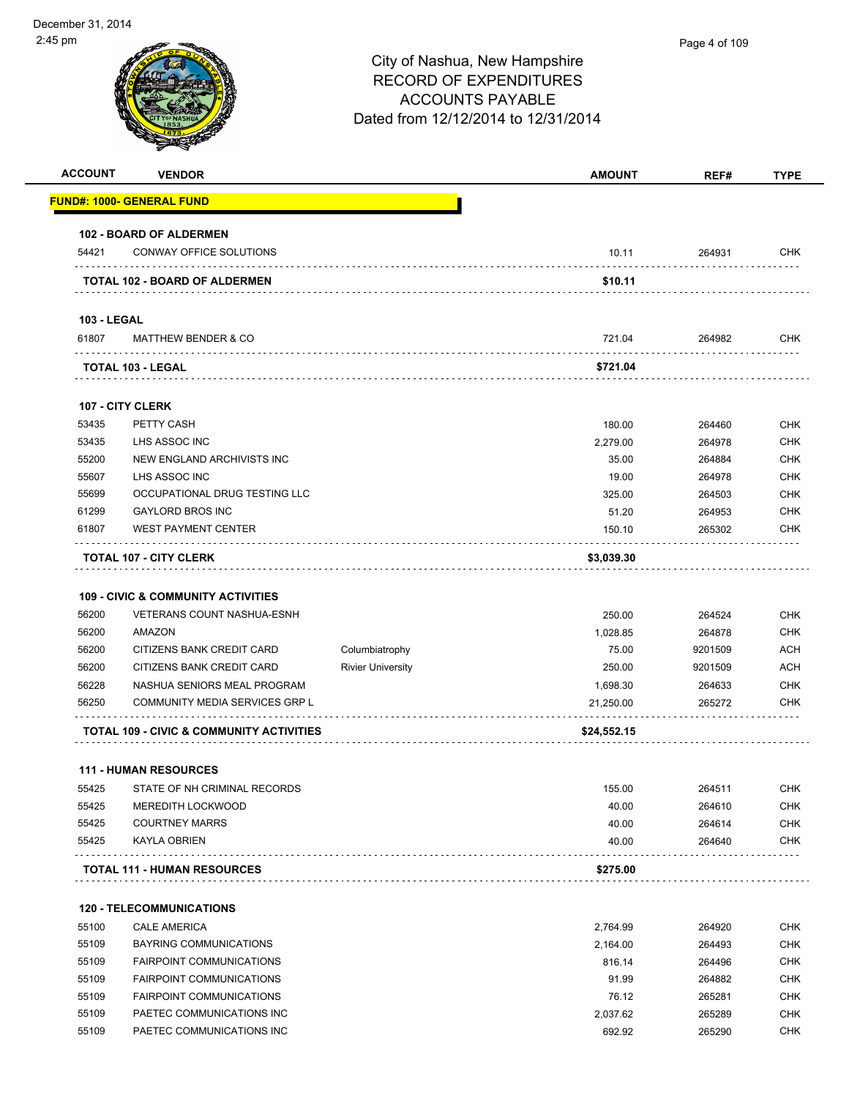| <b>ACCOUNT</b>              | <b>VENDOR</b>                                       |                          | <b>AMOUNT</b>      | REF#             | <b>TYPE</b>              |
|-----------------------------|-----------------------------------------------------|--------------------------|--------------------|------------------|--------------------------|
|                             | <u> FUND#: 1000- GENERAL FUND</u>                   |                          |                    |                  |                          |
|                             | <b>102 - BOARD OF ALDERMEN</b>                      |                          |                    |                  |                          |
| 54421                       | CONWAY OFFICE SOLUTIONS                             |                          | 10.11              | 264931           | <b>CHK</b>               |
|                             | <b>TOTAL 102 - BOARD OF ALDERMEN</b>                |                          | \$10.11            |                  |                          |
|                             |                                                     |                          |                    |                  |                          |
| <b>103 - LEGAL</b><br>61807 | <b>MATTHEW BENDER &amp; CO</b>                      |                          | 721.04             | 264982           | <b>CHK</b>               |
|                             | TOTAL 103 - LEGAL                                   |                          | \$721.04           |                  |                          |
|                             |                                                     |                          |                    |                  |                          |
|                             | <b>107 - CITY CLERK</b>                             |                          |                    |                  |                          |
| 53435<br>53435              | PETTY CASH<br>LHS ASSOC INC                         |                          | 180.00<br>2,279.00 | 264460           | <b>CHK</b><br><b>CHK</b> |
| 55200                       | NEW ENGLAND ARCHIVISTS INC                          |                          | 35.00              | 264978<br>264884 | <b>CHK</b>               |
| 55607                       | LHS ASSOC INC                                       |                          | 19.00              | 264978           | <b>CHK</b>               |
| 55699                       | OCCUPATIONAL DRUG TESTING LLC                       |                          | 325.00             | 264503           | <b>CHK</b>               |
| 61299                       | <b>GAYLORD BROS INC</b>                             |                          | 51.20              | 264953           | <b>CHK</b>               |
| 61807                       | <b>WEST PAYMENT CENTER</b>                          |                          | 150.10             | 265302           | <b>CHK</b>               |
|                             |                                                     |                          |                    |                  |                          |
| 56200<br>56200              | <b>VETERANS COUNT NASHUA-ESNH</b><br>AMAZON         |                          | 250.00<br>1,028.85 | 264524<br>264878 | <b>CHK</b><br><b>CHK</b> |
| 56200                       | CITIZENS BANK CREDIT CARD                           | Columbiatrophy           | 75.00              | 9201509          | <b>ACH</b>               |
| 56200                       | CITIZENS BANK CREDIT CARD                           | <b>Rivier University</b> | 250.00             | 9201509          | <b>ACH</b>               |
| 56228                       | NASHUA SENIORS MEAL PROGRAM                         |                          | 1,698.30           | 264633           | <b>CHK</b>               |
| 56250                       | COMMUNITY MEDIA SERVICES GRP L                      |                          | 21,250.00          | 265272           | <b>CHK</b>               |
|                             | <b>TOTAL 109 - CIVIC &amp; COMMUNITY ACTIVITIES</b> |                          | \$24,552.15        |                  |                          |
|                             |                                                     |                          |                    |                  |                          |
|                             | <b>111 - HUMAN RESOURCES</b>                        |                          |                    |                  |                          |
| 55425                       | STATE OF NH CRIMINAL RECORDS                        |                          | 155.00             | 264511           | <b>CHK</b>               |
| 55425                       | <b>MEREDITH LOCKWOOD</b>                            |                          | 40.00              | 264610           | <b>CHK</b>               |
| 55425                       | <b>COURTNEY MARRS</b>                               |                          | 40.00              | 264614           | <b>CHK</b>               |
| 55425                       | KAYLA OBRIEN                                        |                          | 40.00              | 264640           | <b>CHK</b>               |
|                             | <b>TOTAL 111 - HUMAN RESOURCES</b>                  |                          | \$275.00           |                  |                          |
|                             | <b>120 - TELECOMMUNICATIONS</b>                     |                          |                    |                  |                          |
| 55100                       | <b>CALE AMERICA</b>                                 |                          | 2,764.99           | 264920           | <b>CHK</b>               |
| 55109                       | BAYRING COMMUNICATIONS                              |                          | 2,164.00           | 264493           | <b>CHK</b>               |
| 55109                       | <b>FAIRPOINT COMMUNICATIONS</b>                     |                          | 816.14             | 264496           | <b>CHK</b>               |
| 55109                       | <b>FAIRPOINT COMMUNICATIONS</b>                     |                          | 91.99              | 264882           | <b>CHK</b>               |
| 55109                       | <b>FAIRPOINT COMMUNICATIONS</b>                     |                          | 76.12              | 265281           | <b>CHK</b>               |
| 55109                       | PAETEC COMMUNICATIONS INC                           |                          | 2,037.62           | 265289           | <b>CHK</b>               |
| 55109                       | PAETEC COMMUNICATIONS INC                           |                          | 692.92             | 265290           | <b>CHK</b>               |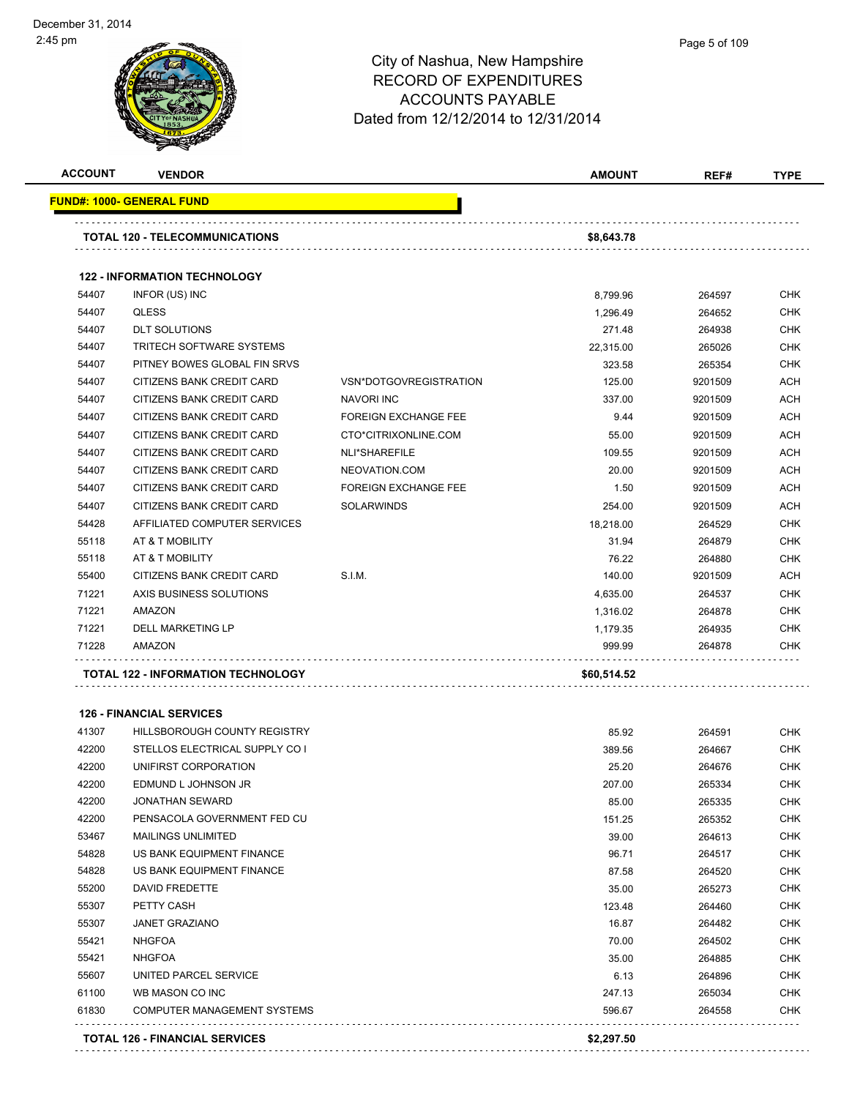

| <b>ACCOUNT</b> | <b>VENDOR</b>                             |                             | <b>AMOUNT</b> | REF#    | <b>TYPE</b> |
|----------------|-------------------------------------------|-----------------------------|---------------|---------|-------------|
|                | <b>FUND#: 1000- GENERAL FUND</b>          |                             |               |         |             |
|                | <b>TOTAL 120 - TELECOMMUNICATIONS</b>     |                             | \$8,643.78    |         |             |
|                | <b>122 - INFORMATION TECHNOLOGY</b>       |                             |               |         |             |
| 54407          | INFOR (US) INC                            |                             | 8,799.96      | 264597  | <b>CHK</b>  |
| 54407          | <b>QLESS</b>                              |                             | 1,296.49      | 264652  | <b>CHK</b>  |
| 54407          | <b>DLT SOLUTIONS</b>                      |                             | 271.48        | 264938  | <b>CHK</b>  |
| 54407          | <b>TRITECH SOFTWARE SYSTEMS</b>           |                             | 22,315.00     | 265026  | <b>CHK</b>  |
| 54407          | PITNEY BOWES GLOBAL FIN SRVS              |                             | 323.58        | 265354  | <b>CHK</b>  |
| 54407          | CITIZENS BANK CREDIT CARD                 | VSN*DOTGOVREGISTRATION      | 125.00        | 9201509 | <b>ACH</b>  |
| 54407          | CITIZENS BANK CREDIT CARD                 | NAVORI INC                  | 337.00        | 9201509 | <b>ACH</b>  |
| 54407          | <b>CITIZENS BANK CREDIT CARD</b>          | <b>FOREIGN EXCHANGE FEE</b> | 9.44          | 9201509 | <b>ACH</b>  |
| 54407          | CITIZENS BANK CREDIT CARD                 | CTO*CITRIXONLINE.COM        | 55.00         | 9201509 | <b>ACH</b>  |
| 54407          | CITIZENS BANK CREDIT CARD                 | NLI*SHAREFILE               | 109.55        | 9201509 | <b>ACH</b>  |
| 54407          | CITIZENS BANK CREDIT CARD                 | NEOVATION.COM               | 20.00         | 9201509 | <b>ACH</b>  |
| 54407          | CITIZENS BANK CREDIT CARD                 | <b>FOREIGN EXCHANGE FEE</b> | 1.50          | 9201509 | <b>ACH</b>  |
| 54407          | CITIZENS BANK CREDIT CARD                 | <b>SOLARWINDS</b>           | 254.00        | 9201509 | <b>ACH</b>  |
| 54428          | AFFILIATED COMPUTER SERVICES              |                             | 18,218.00     | 264529  | <b>CHK</b>  |
| 55118          | AT & T MOBILITY                           |                             | 31.94         | 264879  | <b>CHK</b>  |
| 55118          | AT & T MOBILITY                           |                             | 76.22         | 264880  | <b>CHK</b>  |
| 55400          | CITIZENS BANK CREDIT CARD                 | S.I.M.                      | 140.00        | 9201509 | <b>ACH</b>  |
| 71221          | AXIS BUSINESS SOLUTIONS                   |                             | 4,635.00      | 264537  | <b>CHK</b>  |
| 71221          | AMAZON                                    |                             | 1,316.02      | 264878  | <b>CHK</b>  |
| 71221          | <b>DELL MARKETING LP</b>                  |                             | 1,179.35      | 264935  | <b>CHK</b>  |
| 71228          | AMAZON                                    |                             | 999.99        | 264878  | <b>CHK</b>  |
|                | <b>TOTAL 122 - INFORMATION TECHNOLOGY</b> |                             | \$60,514.52   |         |             |

#### **126 - FINANCIAL SERVICES**

|       | <b>TOTAL 126 - FINANCIAL SERVICES</b> | \$2,297.50 |        |            |
|-------|---------------------------------------|------------|--------|------------|
| 61830 | <b>COMPUTER MANAGEMENT SYSTEMS</b>    | 596.67     | 264558 | <b>CHK</b> |
| 61100 | WB MASON CO INC                       | 247.13     | 265034 | <b>CHK</b> |
| 55607 | UNITED PARCEL SERVICE                 | 6.13       | 264896 | <b>CHK</b> |
| 55421 | <b>NHGFOA</b>                         | 35.00      | 264885 | <b>CHK</b> |
| 55421 | <b>NHGFOA</b>                         | 70.00      | 264502 | <b>CHK</b> |
| 55307 | <b>JANET GRAZIANO</b>                 | 16.87      | 264482 | <b>CHK</b> |
| 55307 | PETTY CASH                            | 123.48     | 264460 | <b>CHK</b> |
| 55200 | <b>DAVID FREDETTE</b>                 | 35.00      | 265273 | <b>CHK</b> |
| 54828 | US BANK EQUIPMENT FINANCE             | 87.58      | 264520 | <b>CHK</b> |
| 54828 | US BANK EQUIPMENT FINANCE             | 96.71      | 264517 | <b>CHK</b> |
| 53467 | <b>MAILINGS UNLIMITED</b>             | 39.00      | 264613 | <b>CHK</b> |
| 42200 | PENSACOLA GOVERNMENT FED CU           | 151.25     | 265352 | <b>CHK</b> |
| 42200 | <b>JONATHAN SEWARD</b>                | 85.00      | 265335 | <b>CHK</b> |
| 42200 | EDMUND L JOHNSON JR                   | 207.00     | 265334 | <b>CHK</b> |
| 42200 | UNIFIRST CORPORATION                  | 25.20      | 264676 | <b>CHK</b> |
| 42200 | STELLOS ELECTRICAL SUPPLY CO I        | 389.56     | 264667 | <b>CHK</b> |
| 41307 | <b>HILLSBOROUGH COUNTY REGISTRY</b>   | 85.92      | 264591 | <b>CHK</b> |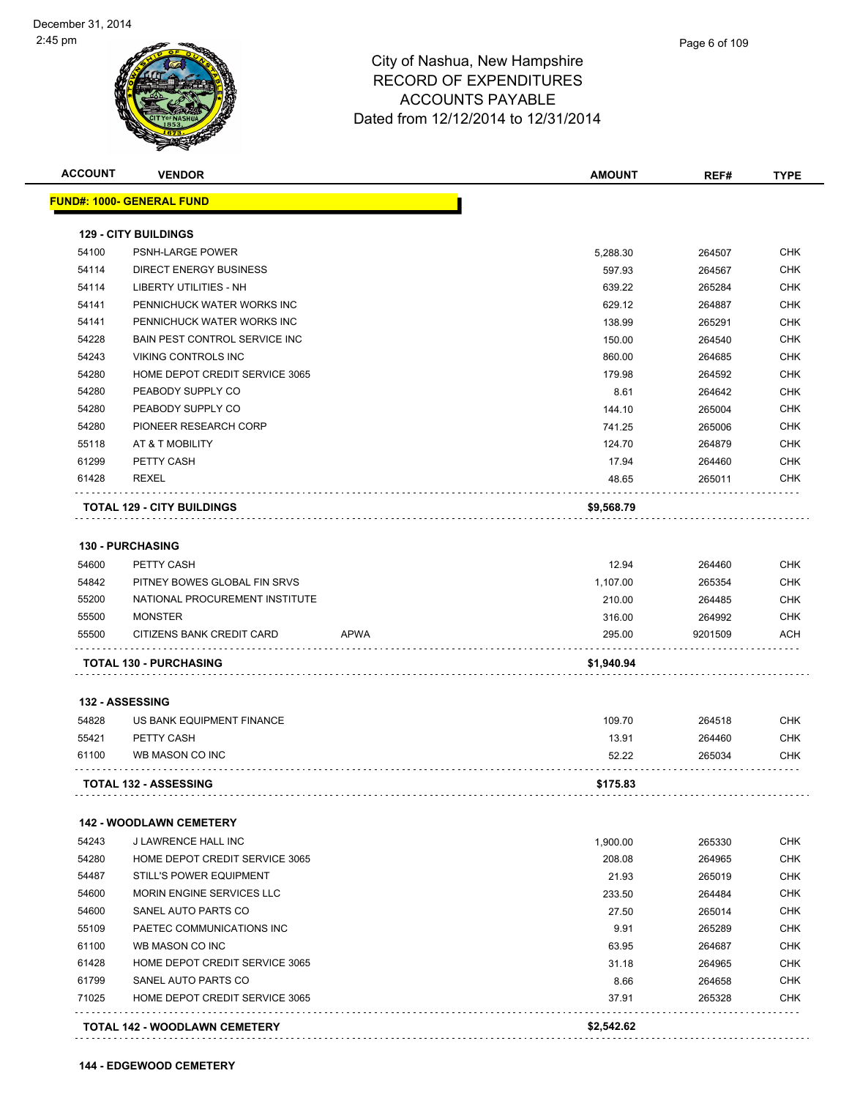

| <b>ACCOUNT</b> | <b>VENDOR</b>                        | <b>AMOUNT</b>         | REF#           | <b>TYPE</b> |
|----------------|--------------------------------------|-----------------------|----------------|-------------|
|                | <u> FUND#: 1000- GENERAL FUND</u>    |                       |                |             |
|                | <b>129 - CITY BUILDINGS</b>          |                       |                |             |
| 54100          | PSNH-LARGE POWER                     | 5,288.30              | 264507         | <b>CHK</b>  |
| 54114          | <b>DIRECT ENERGY BUSINESS</b>        | 597.93                | 264567         | <b>CHK</b>  |
| 54114          | LIBERTY UTILITIES - NH               | 639.22                | 265284         | <b>CHK</b>  |
| 54141          | PENNICHUCK WATER WORKS INC           | 629.12                | 264887         | <b>CHK</b>  |
| 54141          | PENNICHUCK WATER WORKS INC           | 138.99                | 265291         | <b>CHK</b>  |
| 54228          | <b>BAIN PEST CONTROL SERVICE INC</b> | 150.00                | 264540         | <b>CHK</b>  |
| 54243          | VIKING CONTROLS INC                  | 860.00                | 264685         | <b>CHK</b>  |
| 54280          | HOME DEPOT CREDIT SERVICE 3065       | 179.98                | 264592         | <b>CHK</b>  |
| 54280          | PEABODY SUPPLY CO                    |                       | 8.61<br>264642 | <b>CHK</b>  |
| 54280          | PEABODY SUPPLY CO                    | 144.10                | 265004         | <b>CHK</b>  |
| 54280          | PIONEER RESEARCH CORP                | 741.25                | 265006         | <b>CHK</b>  |
| 55118          | AT & T MOBILITY                      | 124.70                | 264879         | <b>CHK</b>  |
| 61299          | PETTY CASH                           | 17.94                 | 264460         | <b>CHK</b>  |
| 61428          | REXEL                                | 48.65                 | 265011         | <b>CHK</b>  |
|                | <b>TOTAL 129 - CITY BUILDINGS</b>    | \$9,568.79            |                |             |
|                |                                      |                       |                |             |
|                | <b>130 - PURCHASING</b>              |                       |                |             |
| 54600          | PETTY CASH                           | 12.94                 | 264460         | <b>CHK</b>  |
| 54842          | PITNEY BOWES GLOBAL FIN SRVS         | 1,107.00              | 265354         | <b>CHK</b>  |
| 55200          | NATIONAL PROCUREMENT INSTITUTE       | 210.00                | 264485         | <b>CHK</b>  |
| 55500          | <b>MONSTER</b>                       | 316.00                | 264992         | <b>CHK</b>  |
| 55500          | CITIZENS BANK CREDIT CARD            | <b>APWA</b><br>295.00 | 9201509        | ACH         |
|                | <b>TOTAL 130 - PURCHASING</b>        | \$1,940.94            |                |             |
|                | 132 - ASSESSING                      |                       |                |             |
| 54828          | US BANK EQUIPMENT FINANCE            | 109.70                | 264518         | CHK         |
| 55421          | PETTY CASH                           | 13.91                 | 264460         | <b>CHK</b>  |
| 61100          | WB MASON CO INC                      | 52.22                 | 265034         | <b>CHK</b>  |
|                | <b>TOTAL 132 - ASSESSING</b>         | \$175.83              |                |             |
|                | <b>142 - WOODLAWN CEMETERY</b>       |                       |                |             |
| 54243          | J LAWRENCE HALL INC                  | 1,900.00              | 265330         | <b>CHK</b>  |
| 54280          | HOME DEPOT CREDIT SERVICE 3065       | 208.08                | 264965         | <b>CHK</b>  |
| 54487          | STILL'S POWER EQUIPMENT              | 21.93                 | 265019         | <b>CHK</b>  |
| 54600          | MORIN ENGINE SERVICES LLC            | 233.50                | 264484         | <b>CHK</b>  |
| 54600          | SANEL AUTO PARTS CO                  | 27.50                 | 265014         | <b>CHK</b>  |
| 55109          | PAETEC COMMUNICATIONS INC            |                       | 9.91<br>265289 | <b>CHK</b>  |
| 61100          | WB MASON CO INC                      | 63.95                 | 264687         | <b>CHK</b>  |
| 61428          | HOME DEPOT CREDIT SERVICE 3065       | 31.18                 | 264965         | <b>CHK</b>  |
| 61799          | SANEL AUTO PARTS CO                  |                       | 8.66<br>264658 | <b>CHK</b>  |
| 71025          | HOME DEPOT CREDIT SERVICE 3065       | 37.91                 | 265328         | CHK         |
|                |                                      | \$2,542.62            |                |             |
|                | TOTAL 142 - WOODLAWN CEMETERY        |                       |                |             |

**144 - EDGEWOOD CEMETERY**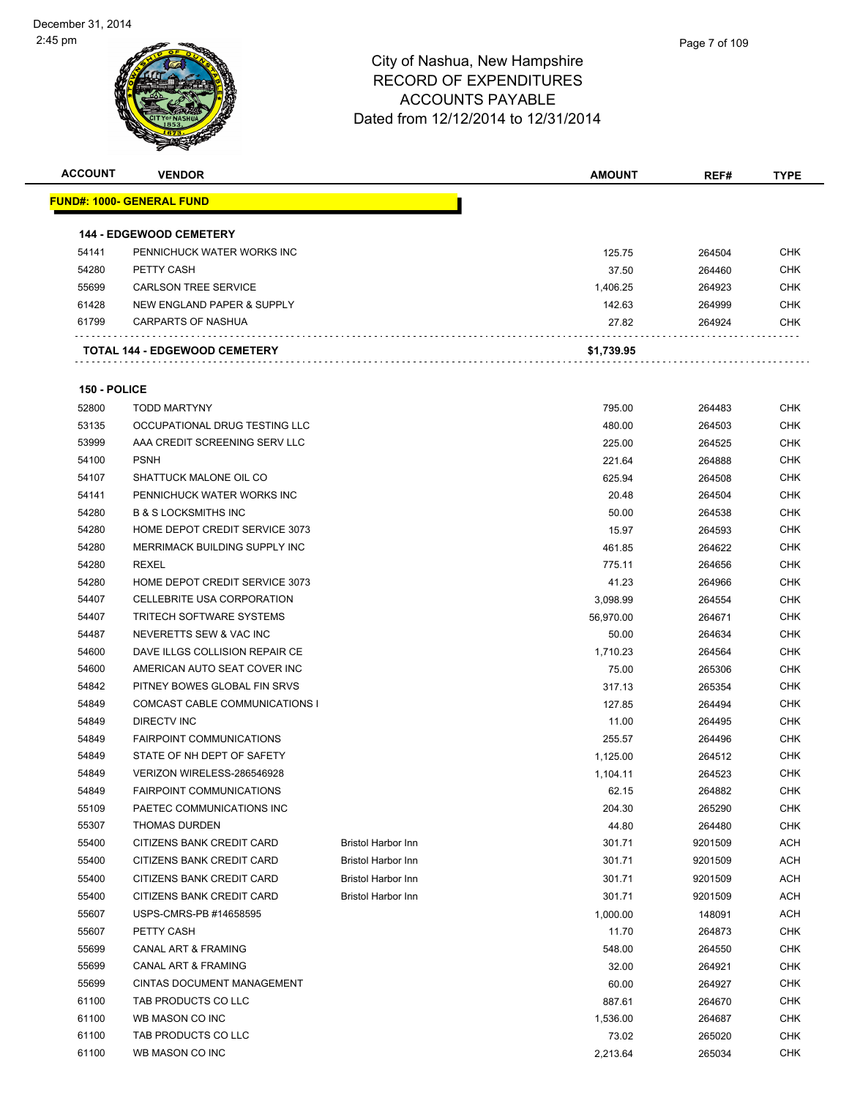| <b>ACCOUNT</b> | <b>VENDOR</b>                        |                           | <b>AMOUNT</b> | REF#    | <b>TYPE</b> |
|----------------|--------------------------------------|---------------------------|---------------|---------|-------------|
|                | <u> FUND#: 1000- GENERAL FUND</u>    |                           |               |         |             |
|                |                                      |                           |               |         |             |
|                | <b>144 - EDGEWOOD CEMETERY</b>       |                           |               |         |             |
| 54141          | PENNICHUCK WATER WORKS INC           |                           | 125.75        | 264504  | <b>CHK</b>  |
| 54280          | PETTY CASH                           |                           | 37.50         | 264460  | <b>CHK</b>  |
| 55699          | <b>CARLSON TREE SERVICE</b>          |                           | 1,406.25      | 264923  | <b>CHK</b>  |
| 61428          | NEW ENGLAND PAPER & SUPPLY           |                           | 142.63        | 264999  | <b>CHK</b>  |
| 61799          | <b>CARPARTS OF NASHUA</b>            |                           | 27.82         | 264924  | <b>CHK</b>  |
|                |                                      |                           |               |         |             |
|                | <b>TOTAL 144 - EDGEWOOD CEMETERY</b> |                           | \$1,739.95    |         |             |
|                |                                      |                           |               |         |             |
| 150 - POLICE   |                                      |                           |               |         |             |
| 52800          | <b>TODD MARTYNY</b>                  |                           | 795.00        | 264483  | <b>CHK</b>  |
| 53135          | OCCUPATIONAL DRUG TESTING LLC        |                           | 480.00        | 264503  | <b>CHK</b>  |
| 53999          | AAA CREDIT SCREENING SERV LLC        |                           | 225.00        | 264525  | <b>CHK</b>  |
| 54100          | <b>PSNH</b>                          |                           | 221.64        | 264888  | <b>CHK</b>  |
| 54107          | SHATTUCK MALONE OIL CO               |                           | 625.94        | 264508  | <b>CHK</b>  |
| 54141          | PENNICHUCK WATER WORKS INC           |                           | 20.48         | 264504  | <b>CHK</b>  |
| 54280          | <b>B &amp; S LOCKSMITHS INC</b>      |                           | 50.00         | 264538  | <b>CHK</b>  |
| 54280          | HOME DEPOT CREDIT SERVICE 3073       |                           | 15.97         | 264593  | <b>CHK</b>  |
| 54280          | MERRIMACK BUILDING SUPPLY INC        |                           | 461.85        | 264622  | <b>CHK</b>  |
| 54280          | <b>REXEL</b>                         |                           | 775.11        | 264656  | <b>CHK</b>  |
| 54280          | HOME DEPOT CREDIT SERVICE 3073       |                           | 41.23         | 264966  | <b>CHK</b>  |
| 54407          | CELLEBRITE USA CORPORATION           |                           | 3,098.99      | 264554  | <b>CHK</b>  |
| 54407          | <b>TRITECH SOFTWARE SYSTEMS</b>      |                           | 56,970.00     | 264671  | <b>CHK</b>  |
| 54487          | NEVERETTS SEW & VAC INC              |                           | 50.00         | 264634  | <b>CHK</b>  |
| 54600          | DAVE ILLGS COLLISION REPAIR CE       |                           | 1,710.23      | 264564  | <b>CHK</b>  |
| 54600          | AMERICAN AUTO SEAT COVER INC         |                           | 75.00         | 265306  | <b>CHK</b>  |
| 54842          | PITNEY BOWES GLOBAL FIN SRVS         |                           | 317.13        | 265354  | <b>CHK</b>  |
| 54849          | COMCAST CABLE COMMUNICATIONS I       |                           | 127.85        | 264494  | <b>CHK</b>  |
| 54849          | DIRECTV INC                          |                           | 11.00         | 264495  | <b>CHK</b>  |
| 54849          | <b>FAIRPOINT COMMUNICATIONS</b>      |                           | 255.57        | 264496  | <b>CHK</b>  |
| 54849          | STATE OF NH DEPT OF SAFETY           |                           | 1,125.00      | 264512  | <b>CHK</b>  |
| 54849          | VERIZON WIRELESS-286546928           |                           | 1,104.11      | 264523  | <b>CHK</b>  |
| 54849          | FAIRPOINT COMMUNICATIONS             |                           | 62.15         | 264882  | <b>CHK</b>  |
| 55109          | PAETEC COMMUNICATIONS INC            |                           | 204.30        | 265290  | <b>CHK</b>  |
| 55307          | THOMAS DURDEN                        |                           | 44.80         | 264480  | <b>CHK</b>  |
| 55400          | CITIZENS BANK CREDIT CARD            | <b>Bristol Harbor Inn</b> | 301.71        | 9201509 | <b>ACH</b>  |
| 55400          | CITIZENS BANK CREDIT CARD            | <b>Bristol Harbor Inn</b> | 301.71        | 9201509 | <b>ACH</b>  |
| 55400          | CITIZENS BANK CREDIT CARD            | <b>Bristol Harbor Inn</b> | 301.71        | 9201509 | <b>ACH</b>  |
| 55400          | CITIZENS BANK CREDIT CARD            | <b>Bristol Harbor Inn</b> | 301.71        | 9201509 | <b>ACH</b>  |
| 55607          | USPS-CMRS-PB #14658595               |                           | 1,000.00      | 148091  | <b>ACH</b>  |
| 55607          | PETTY CASH                           |                           | 11.70         | 264873  | <b>CHK</b>  |
| 55699          | CANAL ART & FRAMING                  |                           | 548.00        | 264550  | <b>CHK</b>  |
| 55699          | CANAL ART & FRAMING                  |                           | 32.00         | 264921  | <b>CHK</b>  |
| 55699          | <b>CINTAS DOCUMENT MANAGEMENT</b>    |                           | 60.00         | 264927  | <b>CHK</b>  |
| 61100          | TAB PRODUCTS CO LLC                  |                           | 887.61        | 264670  | <b>CHK</b>  |
| 61100          | WB MASON CO INC                      |                           | 1,536.00      | 264687  | <b>CHK</b>  |
| 61100          | TAB PRODUCTS CO LLC                  |                           | 73.02         | 265020  | <b>CHK</b>  |
| 61100          | WB MASON CO INC                      |                           | 2,213.64      | 265034  | <b>CHK</b>  |
|                |                                      |                           |               |         |             |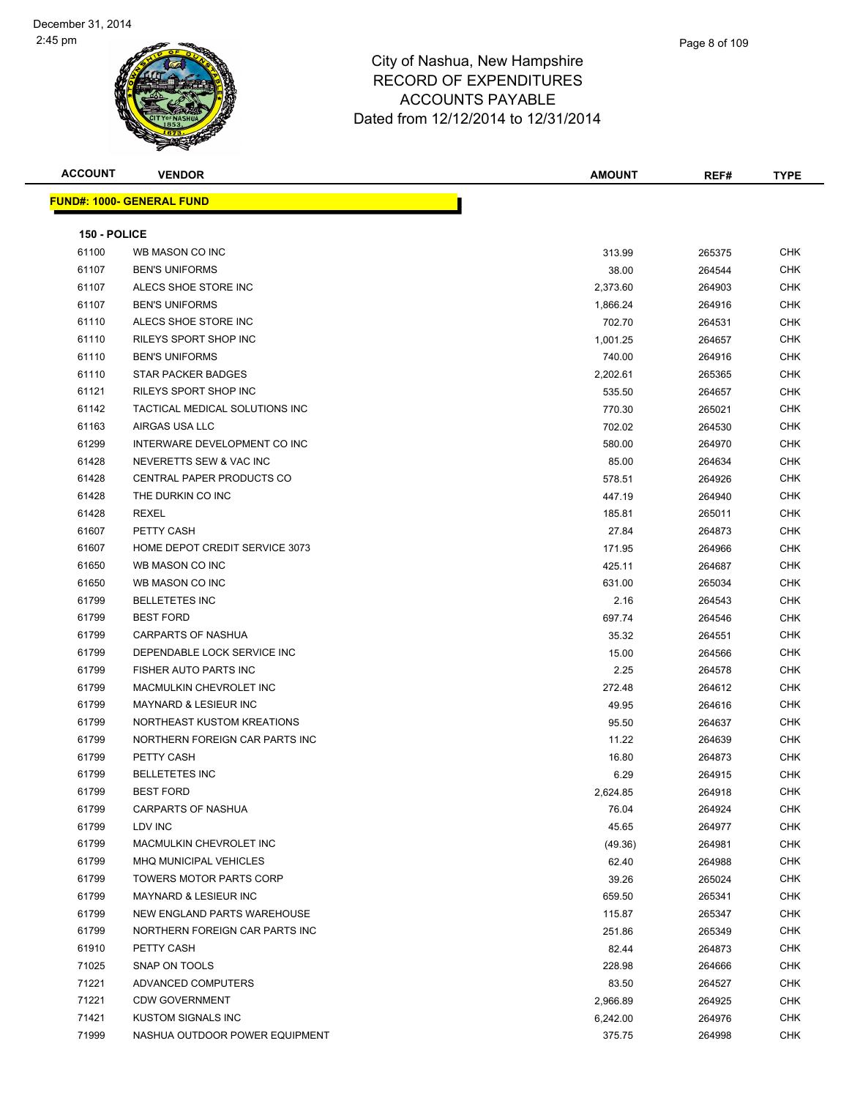| <b>ACCOUNT</b> | <b>VENDOR</b>                     | <b>AMOUNT</b> | REF#   | <b>TYPE</b> |
|----------------|-----------------------------------|---------------|--------|-------------|
|                | <u> FUND#: 1000- GENERAL FUND</u> |               |        |             |
|                |                                   |               |        |             |
| 150 - POLICE   |                                   |               |        |             |
| 61100          | WB MASON CO INC                   | 313.99        | 265375 | CHK         |
| 61107          | <b>BEN'S UNIFORMS</b>             | 38.00         | 264544 | CHK         |
| 61107          | ALECS SHOE STORE INC              | 2,373.60      | 264903 | CHK         |
| 61107          | <b>BEN'S UNIFORMS</b>             | 1,866.24      | 264916 | CHK         |
| 61110          | ALECS SHOE STORE INC              | 702.70        | 264531 | CHK         |
| 61110          | RILEYS SPORT SHOP INC             | 1,001.25      | 264657 | CHK         |
| 61110          | <b>BEN'S UNIFORMS</b>             | 740.00        | 264916 | CHK         |
| 61110          | STAR PACKER BADGES                | 2,202.61      | 265365 | CHK         |
| 61121          | RILEYS SPORT SHOP INC             | 535.50        | 264657 | CHK         |
| 61142          | TACTICAL MEDICAL SOLUTIONS INC    | 770.30        | 265021 | CHK         |
| 61163          | AIRGAS USA LLC                    | 702.02        | 264530 | <b>CHK</b>  |
| 61299          | INTERWARE DEVELOPMENT CO INC      | 580.00        | 264970 | CHK         |
| 61428          | NEVERETTS SEW & VAC INC           | 85.00         | 264634 | <b>CHK</b>  |
| 61428          | <b>CENTRAL PAPER PRODUCTS CO</b>  | 578.51        | 264926 | CHK         |
| 61428          | THE DURKIN CO INC                 | 447.19        | 264940 | CHK         |
| 61428          | <b>REXEL</b>                      | 185.81        | 265011 | CHK         |
| 61607          | PETTY CASH                        | 27.84         | 264873 | CHK         |
| 61607          | HOME DEPOT CREDIT SERVICE 3073    | 171.95        | 264966 | CHK         |
| 61650          | WB MASON CO INC                   | 425.11        | 264687 | CHK         |
| 61650          | WB MASON CO INC                   | 631.00        | 265034 | CHK         |
| 61799          | <b>BELLETETES INC</b>             | 2.16          | 264543 | CHK         |
| 61799          | <b>BEST FORD</b>                  | 697.74        | 264546 | CHK         |
| 61799          | CARPARTS OF NASHUA                | 35.32         | 264551 | CHK         |
| 61799          | DEPENDABLE LOCK SERVICE INC       | 15.00         | 264566 | <b>CHK</b>  |
| 61799          | FISHER AUTO PARTS INC             | 2.25          | 264578 | CHK         |
| 61799          | MACMULKIN CHEVROLET INC           | 272.48        | 264612 | CHK         |
| 61799          | <b>MAYNARD &amp; LESIEUR INC</b>  | 49.95         | 264616 | CHK         |
| 61799          | NORTHEAST KUSTOM KREATIONS        | 95.50         | 264637 | CHK         |
| 61799          | NORTHERN FOREIGN CAR PARTS INC    | 11.22         | 264639 | <b>CHK</b>  |
| 61799          | PETTY CASH                        | 16.80         | 264873 | <b>CHK</b>  |
| 61799          | <b>BELLETETES INC</b>             | 6.29          | 264915 | CHK         |
| 61799          | <b>BEST FORD</b>                  | 2,624.85      | 264918 | <b>CHK</b>  |
| 61799          | <b>CARPARTS OF NASHUA</b>         | 76.04         | 264924 | CHK         |
| 61799          | LDV INC                           | 45.65         | 264977 | <b>CHK</b>  |
| 61799          | MACMULKIN CHEVROLET INC           | (49.36)       | 264981 | <b>CHK</b>  |
| 61799          | MHQ MUNICIPAL VEHICLES            | 62.40         | 264988 | <b>CHK</b>  |
| 61799          | TOWERS MOTOR PARTS CORP           | 39.26         | 265024 | <b>CHK</b>  |
| 61799          | MAYNARD & LESIEUR INC             | 659.50        | 265341 | <b>CHK</b>  |
| 61799          | NEW ENGLAND PARTS WAREHOUSE       | 115.87        | 265347 | <b>CHK</b>  |
| 61799          | NORTHERN FOREIGN CAR PARTS INC    | 251.86        | 265349 | <b>CHK</b>  |
| 61910          | PETTY CASH                        | 82.44         | 264873 | <b>CHK</b>  |
| 71025          | SNAP ON TOOLS                     | 228.98        | 264666 | <b>CHK</b>  |
| 71221          | ADVANCED COMPUTERS                | 83.50         | 264527 | <b>CHK</b>  |
| 71221          | <b>CDW GOVERNMENT</b>             | 2,966.89      | 264925 | <b>CHK</b>  |
| 71421          | KUSTOM SIGNALS INC                | 6,242.00      | 264976 | CHK         |
| 71999          | NASHUA OUTDOOR POWER EQUIPMENT    | 375.75        | 264998 | CHK         |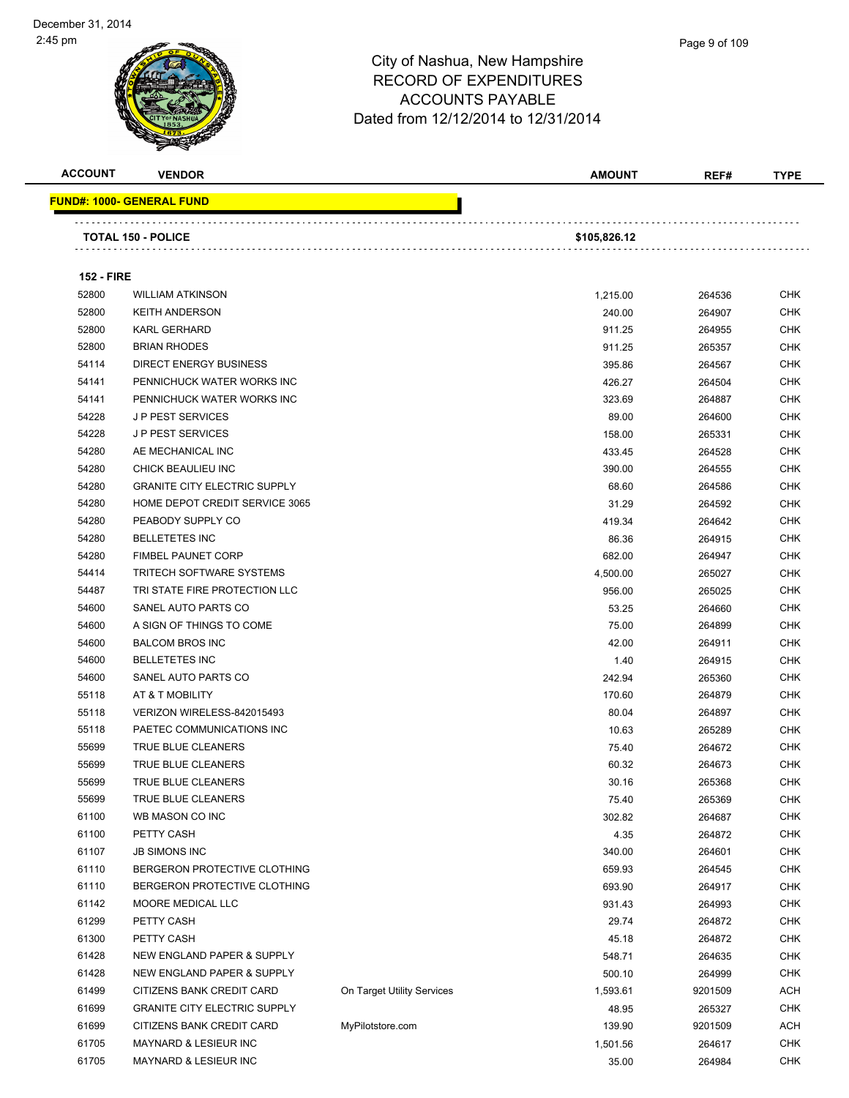| <b>ACCOUNT</b>    | <b>VENDOR</b>                       |                            | <b>AMOUNT</b> | REF#    | <b>TYPE</b> |
|-------------------|-------------------------------------|----------------------------|---------------|---------|-------------|
|                   | <u> FUND#: 1000- GENERAL FUND</u>   |                            |               |         |             |
|                   | <b>TOTAL 150 - POLICE</b>           |                            | \$105,826.12  |         |             |
|                   |                                     |                            |               |         |             |
| <b>152 - FIRE</b> |                                     |                            |               |         |             |
| 52800             | <b>WILLIAM ATKINSON</b>             |                            | 1,215.00      | 264536  | <b>CHK</b>  |
| 52800             | <b>KEITH ANDERSON</b>               |                            | 240.00        | 264907  | <b>CHK</b>  |
| 52800             | <b>KARL GERHARD</b>                 |                            | 911.25        | 264955  | <b>CHK</b>  |
| 52800             | <b>BRIAN RHODES</b>                 |                            | 911.25        | 265357  | <b>CHK</b>  |
| 54114             | <b>DIRECT ENERGY BUSINESS</b>       |                            | 395.86        | 264567  | <b>CHK</b>  |
| 54141             | PENNICHUCK WATER WORKS INC          |                            | 426.27        | 264504  | <b>CHK</b>  |
| 54141             | PENNICHUCK WATER WORKS INC          |                            | 323.69        | 264887  | <b>CHK</b>  |
| 54228             | <b>JP PEST SERVICES</b>             |                            | 89.00         | 264600  | <b>CHK</b>  |
| 54228             | <b>JP PEST SERVICES</b>             |                            | 158.00        | 265331  | <b>CHK</b>  |
| 54280             | AE MECHANICAL INC                   |                            | 433.45        | 264528  | <b>CHK</b>  |
| 54280             | CHICK BEAULIEU INC                  |                            | 390.00        | 264555  | <b>CHK</b>  |
| 54280             | <b>GRANITE CITY ELECTRIC SUPPLY</b> |                            | 68.60         | 264586  | <b>CHK</b>  |
| 54280             | HOME DEPOT CREDIT SERVICE 3065      |                            | 31.29         | 264592  | <b>CHK</b>  |
| 54280             | PEABODY SUPPLY CO                   |                            | 419.34        | 264642  | <b>CHK</b>  |
| 54280             | <b>BELLETETES INC</b>               |                            | 86.36         | 264915  | <b>CHK</b>  |
| 54280             | <b>FIMBEL PAUNET CORP</b>           |                            | 682.00        | 264947  | <b>CHK</b>  |
| 54414             | <b>TRITECH SOFTWARE SYSTEMS</b>     |                            | 4,500.00      | 265027  | <b>CHK</b>  |
| 54487             | TRI STATE FIRE PROTECTION LLC       |                            | 956.00        | 265025  | <b>CHK</b>  |
| 54600             | SANEL AUTO PARTS CO                 |                            | 53.25         | 264660  | <b>CHK</b>  |
| 54600             | A SIGN OF THINGS TO COME            |                            | 75.00         | 264899  | <b>CHK</b>  |
| 54600             | <b>BALCOM BROS INC</b>              |                            | 42.00         | 264911  | <b>CHK</b>  |
| 54600             | <b>BELLETETES INC</b>               |                            | 1.40          | 264915  | CHK         |
| 54600             | SANEL AUTO PARTS CO                 |                            | 242.94        | 265360  | <b>CHK</b>  |
| 55118             | AT & T MOBILITY                     |                            | 170.60        | 264879  | <b>CHK</b>  |
| 55118             | VERIZON WIRELESS-842015493          |                            | 80.04         | 264897  | <b>CHK</b>  |
| 55118             | PAETEC COMMUNICATIONS INC           |                            | 10.63         | 265289  | <b>CHK</b>  |
| 55699             | TRUE BLUE CLEANERS                  |                            | 75.40         | 264672  | <b>CHK</b>  |
| 55699             | TRUE BLUE CLEANERS                  |                            | 60.32         | 264673  | <b>CHK</b>  |
| 55699             | <b>TRUE BLUE CLEANERS</b>           |                            | 30.16         | 265368  | <b>CHK</b>  |
| 55699             | TRUE BLUE CLEANERS                  |                            | 75.40         | 265369  | <b>CHK</b>  |
| 61100             | WB MASON CO INC                     |                            | 302.82        | 264687  | <b>CHK</b>  |
| 61100             | PETTY CASH                          |                            | 4.35          | 264872  | <b>CHK</b>  |
| 61107             | <b>JB SIMONS INC</b>                |                            | 340.00        | 264601  | <b>CHK</b>  |
| 61110             | BERGERON PROTECTIVE CLOTHING        |                            | 659.93        | 264545  | <b>CHK</b>  |
| 61110             | BERGERON PROTECTIVE CLOTHING        |                            | 693.90        | 264917  | <b>CHK</b>  |
| 61142             | MOORE MEDICAL LLC                   |                            | 931.43        | 264993  | <b>CHK</b>  |
| 61299             | PETTY CASH                          |                            | 29.74         | 264872  | <b>CHK</b>  |
| 61300             | PETTY CASH                          |                            | 45.18         | 264872  | <b>CHK</b>  |
| 61428             | NEW ENGLAND PAPER & SUPPLY          |                            | 548.71        | 264635  | <b>CHK</b>  |
| 61428             | NEW ENGLAND PAPER & SUPPLY          |                            | 500.10        | 264999  | <b>CHK</b>  |
| 61499             | CITIZENS BANK CREDIT CARD           | On Target Utility Services | 1,593.61      | 9201509 | <b>ACH</b>  |
| 61699             | <b>GRANITE CITY ELECTRIC SUPPLY</b> |                            | 48.95         | 265327  | <b>CHK</b>  |
| 61699             | CITIZENS BANK CREDIT CARD           | MyPilotstore.com           | 139.90        | 9201509 | <b>ACH</b>  |
| 61705             | MAYNARD & LESIEUR INC               |                            | 1,501.56      | 264617  | <b>CHK</b>  |
| 61705             | MAYNARD & LESIEUR INC               |                            | 35.00         | 264984  | <b>CHK</b>  |
|                   |                                     |                            |               |         |             |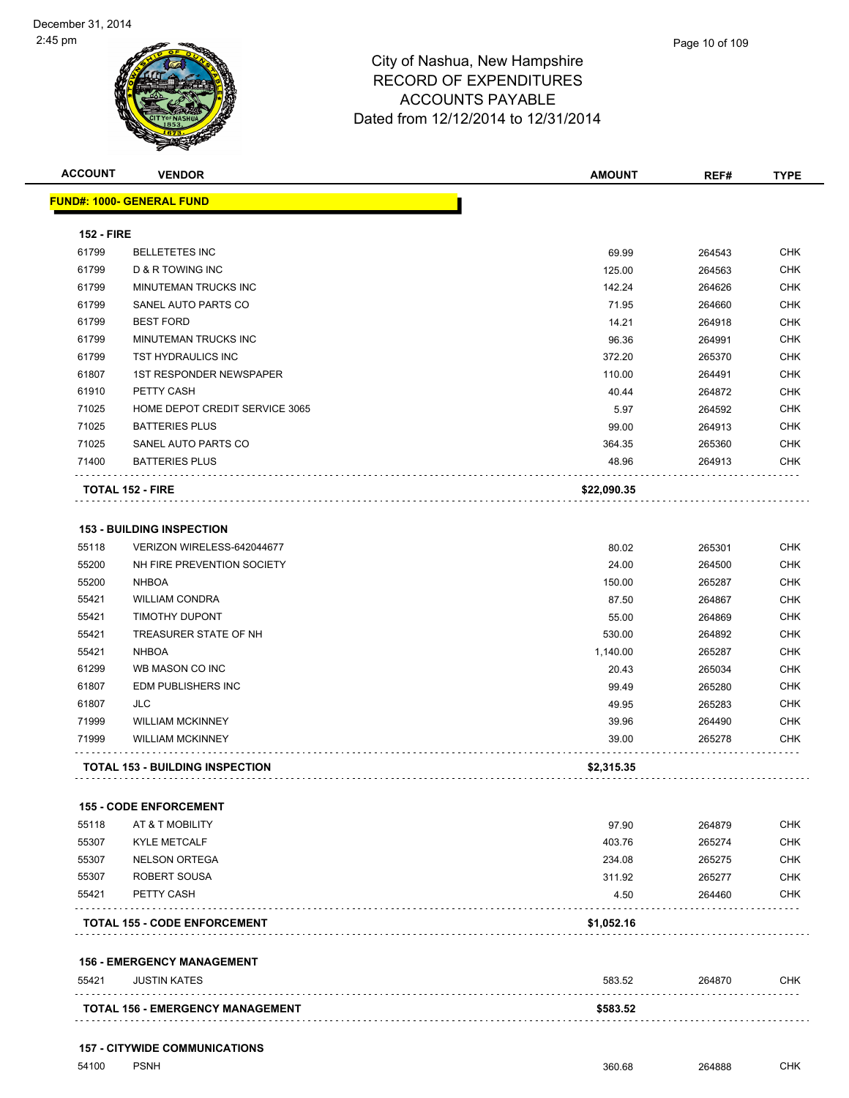

| <b>ACCOUNT</b>    | <b>VENDOR</b>                                    | <b>AMOUNT</b> | REF#   | <b>TYPE</b> |
|-------------------|--------------------------------------------------|---------------|--------|-------------|
|                   | <b>FUND#: 1000- GENERAL FUND</b>                 |               |        |             |
| <b>152 - FIRE</b> |                                                  |               |        |             |
| 61799             | <b>BELLETETES INC</b>                            | 69.99         | 264543 | <b>CHK</b>  |
| 61799             | D & R TOWING INC                                 | 125.00        | 264563 | <b>CHK</b>  |
| 61799             | MINUTEMAN TRUCKS INC                             | 142.24        | 264626 | <b>CHK</b>  |
| 61799             | SANEL AUTO PARTS CO                              | 71.95         | 264660 | <b>CHK</b>  |
| 61799             | <b>BEST FORD</b>                                 | 14.21         | 264918 | <b>CHK</b>  |
| 61799             | MINUTEMAN TRUCKS INC                             | 96.36         | 264991 | <b>CHK</b>  |
| 61799             | TST HYDRAULICS INC                               | 372.20        | 265370 | <b>CHK</b>  |
| 61807             | <b>1ST RESPONDER NEWSPAPER</b>                   | 110.00        | 264491 | <b>CHK</b>  |
| 61910             | PETTY CASH                                       | 40.44         | 264872 | <b>CHK</b>  |
| 71025             | HOME DEPOT CREDIT SERVICE 3065                   | 5.97          | 264592 | <b>CHK</b>  |
| 71025             | <b>BATTERIES PLUS</b>                            | 99.00         | 264913 | <b>CHK</b>  |
| 71025             | SANEL AUTO PARTS CO                              | 364.35        | 265360 | <b>CHK</b>  |
| 71400             | <b>BATTERIES PLUS</b>                            | 48.96         | 264913 | <b>CHK</b>  |
|                   | <b>TOTAL 152 - FIRE</b>                          | \$22,090.35   |        |             |
|                   |                                                  |               |        |             |
|                   | <b>153 - BUILDING INSPECTION</b>                 |               |        |             |
| 55118             | VERIZON WIRELESS-642044677                       | 80.02         | 265301 | <b>CHK</b>  |
| 55200             | NH FIRE PREVENTION SOCIETY                       | 24.00         | 264500 | <b>CHK</b>  |
| 55200             | <b>NHBOA</b>                                     | 150.00        | 265287 | <b>CHK</b>  |
| 55421             | <b>WILLIAM CONDRA</b>                            | 87.50         | 264867 | <b>CHK</b>  |
| 55421             | <b>TIMOTHY DUPONT</b>                            | 55.00         | 264869 | <b>CHK</b>  |
| 55421             | TREASURER STATE OF NH                            | 530.00        | 264892 | <b>CHK</b>  |
| 55421             | <b>NHBOA</b>                                     | 1,140.00      | 265287 | <b>CHK</b>  |
| 61299             | WB MASON CO INC                                  | 20.43         | 265034 | <b>CHK</b>  |
| 61807             | <b>EDM PUBLISHERS INC</b>                        | 99.49         | 265280 | <b>CHK</b>  |
| 61807             | JLC                                              | 49.95         | 265283 | <b>CHK</b>  |
| 71999             | <b>WILLIAM MCKINNEY</b>                          | 39.96         | 264490 | <b>CHK</b>  |
| 71999             | <b>WILLIAM MCKINNEY</b>                          | 39.00         | 265278 | <b>CHK</b>  |
|                   | <b>TOTAL 153 - BUILDING INSPECTION</b>           | \$2,315.35    |        |             |
|                   |                                                  |               |        |             |
| 55118             | <b>155 - CODE ENFORCEMENT</b><br>AT & T MOBILITY | 97.90         | 264879 | <b>CHK</b>  |
| 55307             | <b>KYLE METCALF</b>                              | 403.76        | 265274 | <b>CHK</b>  |
| 55307             | <b>NELSON ORTEGA</b>                             | 234.08        |        | <b>CHK</b>  |
|                   |                                                  |               | 265275 |             |
| 55307<br>55421    | ROBERT SOUSA                                     | 311.92        | 265277 | <b>CHK</b>  |
|                   | PETTY CASH                                       | 4.50          | 264460 | <b>CHK</b>  |
|                   | <b>TOTAL 155 - CODE ENFORCEMENT</b>              | \$1,052.16    |        |             |

#### **156 - EMERGENCY MANAGEMENT**

| 55421 | <b>JUSTIN KATES</b>                     | 583.52   | 264870 | <b>CHK</b> |
|-------|-----------------------------------------|----------|--------|------------|
|       | <b>TOTAL 156 - EMERGENCY MANAGEMENT</b> | \$583.52 |        |            |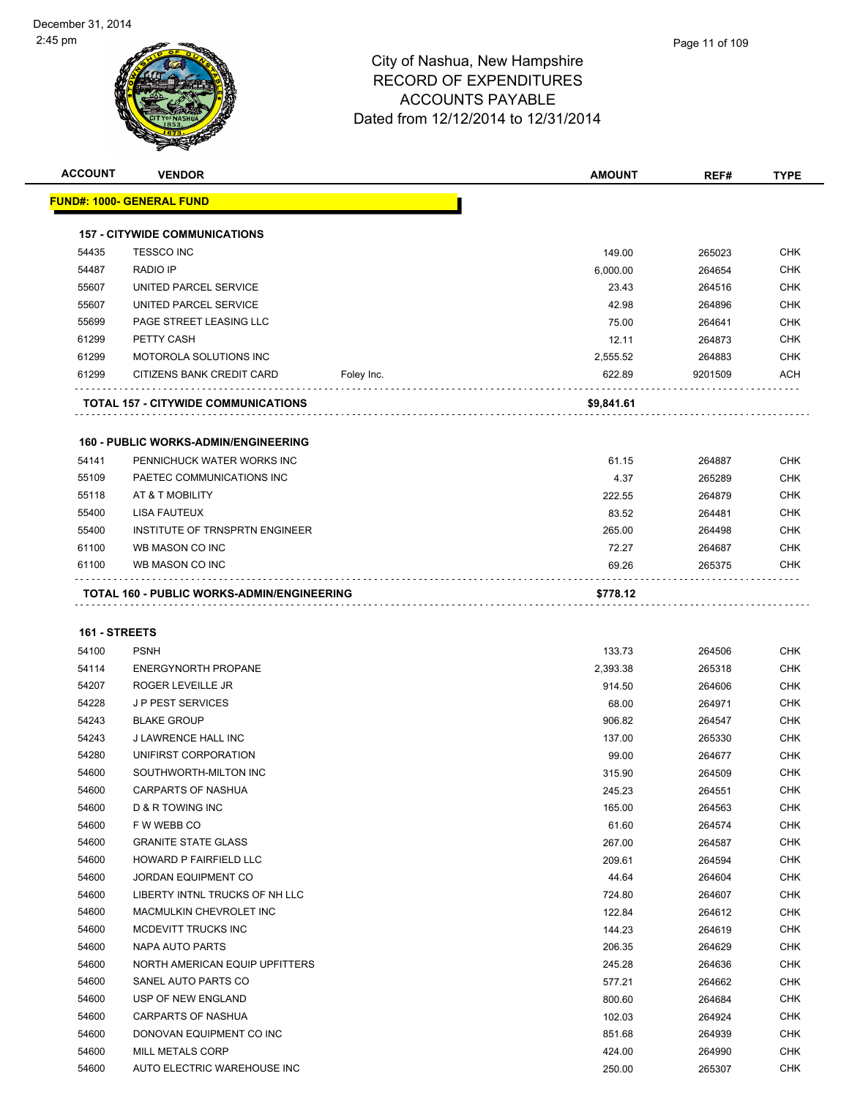

| <b>ACCOUNT</b> | <b>VENDOR</b>                                         |            | <b>AMOUNT</b>   | REF#    | <b>TYPE</b>              |
|----------------|-------------------------------------------------------|------------|-----------------|---------|--------------------------|
|                | <u> FUND#: 1000- GENERAL FUND</u>                     |            |                 |         |                          |
|                | <b>157 - CITYWIDE COMMUNICATIONS</b>                  |            |                 |         |                          |
| 54435          | <b>TESSCO INC</b>                                     |            | 149.00          | 265023  | <b>CHK</b>               |
| 54487          | <b>RADIO IP</b>                                       |            | 6,000.00        | 264654  | <b>CHK</b>               |
| 55607          | UNITED PARCEL SERVICE                                 |            | 23.43           | 264516  | CHK                      |
| 55607          | UNITED PARCEL SERVICE                                 |            | 42.98           | 264896  | <b>CHK</b>               |
| 55699          | PAGE STREET LEASING LLC                               |            | 75.00           | 264641  | <b>CHK</b>               |
| 61299          | PETTY CASH                                            |            | 12.11           | 264873  | <b>CHK</b>               |
| 61299          | <b>MOTOROLA SOLUTIONS INC</b>                         |            | 2,555.52        | 264883  | <b>CHK</b>               |
| 61299          | CITIZENS BANK CREDIT CARD                             | Foley Inc. | 622.89          | 9201509 | ACH                      |
|                | <b>TOTAL 157 - CITYWIDE COMMUNICATIONS</b>            |            | \$9,841.61      |         |                          |
|                | <b>160 - PUBLIC WORKS-ADMIN/ENGINEERING</b>           |            |                 |         |                          |
| 54141          | PENNICHUCK WATER WORKS INC                            |            | 61.15           | 264887  | <b>CHK</b>               |
| 55109          | PAETEC COMMUNICATIONS INC                             |            | 4.37            | 265289  | <b>CHK</b>               |
| 55118          | AT & T MOBILITY                                       |            | 222.55          | 264879  | CHK                      |
| 55400          | <b>LISA FAUTEUX</b>                                   |            | 83.52           | 264481  | <b>CHK</b>               |
| 55400          | INSTITUTE OF TRNSPRTN ENGINEER                        |            | 265.00          | 264498  | CHK                      |
| 61100          | WB MASON CO INC                                       |            | 72.27           | 264687  | CHK                      |
| 61100          | WB MASON CO INC                                       |            | 69.26           | 265375  | CHK                      |
|                | TOTAL 160 - PUBLIC WORKS-ADMIN/ENGINEERING            |            | \$778.12        |         |                          |
|                |                                                       |            |                 |         |                          |
|                |                                                       |            |                 |         |                          |
| 161 - STREETS  |                                                       |            |                 |         |                          |
| 54100          | <b>PSNH</b>                                           |            | 133.73          | 264506  | CHK                      |
| 54114          | <b>ENERGYNORTH PROPANE</b>                            |            | 2,393.38        | 265318  | CHK                      |
| 54207          | ROGER LEVEILLE JR                                     |            | 914.50          | 264606  | <b>CHK</b>               |
| 54228          | <b>JP PEST SERVICES</b>                               |            | 68.00           | 264971  | CHK<br><b>CHK</b>        |
| 54243          | <b>BLAKE GROUP</b>                                    |            | 906.82          | 264547  | <b>CHK</b>               |
| 54243          | J LAWRENCE HALL INC<br>UNIFIRST CORPORATION           |            | 137.00          | 265330  | CHK                      |
| 54280<br>54600 | SOUTHWORTH-MILTON INC                                 |            | 99.00           | 264677  |                          |
|                |                                                       |            | 315.90          | 264509  | <b>CHK</b>               |
| 54600<br>54600 | <b>CARPARTS OF NASHUA</b>                             |            | 245.23          | 264551  | <b>CHK</b>               |
| 54600          | D & R TOWING INC<br>F W WEBB CO                       |            | 165.00          | 264563  | <b>CHK</b><br>CHK        |
| 54600          | <b>GRANITE STATE GLASS</b>                            |            | 61.60           | 264574  |                          |
| 54600          | HOWARD P FAIRFIELD LLC                                |            | 267.00          | 264587  | CHK<br>CHK               |
| 54600          | JORDAN EQUIPMENT CO                                   |            | 209.61<br>44.64 | 264594  | <b>CHK</b>               |
| 54600          | LIBERTY INTNL TRUCKS OF NH LLC                        |            |                 | 264604  | <b>CHK</b>               |
| 54600          | MACMULKIN CHEVROLET INC                               |            | 724.80          | 264607  | <b>CHK</b>               |
|                |                                                       |            | 122.84          | 264612  |                          |
| 54600<br>54600 | MCDEVITT TRUCKS INC<br>NAPA AUTO PARTS                |            | 144.23          | 264619  | <b>CHK</b>               |
|                |                                                       |            | 206.35          | 264629  | CHK                      |
| 54600<br>54600 | NORTH AMERICAN EQUIP UPFITTERS<br>SANEL AUTO PARTS CO |            | 245.28          | 264636  | <b>CHK</b><br><b>CHK</b> |
|                |                                                       |            | 577.21          | 264662  |                          |
| 54600          | USP OF NEW ENGLAND                                    |            | 800.60          | 264684  | CHK                      |
| 54600          | CARPARTS OF NASHUA                                    |            | 102.03          | 264924  | CHK                      |
| 54600          | DONOVAN EQUIPMENT CO INC                              |            | 851.68          | 264939  | <b>CHK</b>               |
| 54600          | MILL METALS CORP                                      |            | 424.00          | 264990  | <b>CHK</b>               |
| 54600          | AUTO ELECTRIC WAREHOUSE INC                           |            | 250.00          | 265307  | <b>CHK</b>               |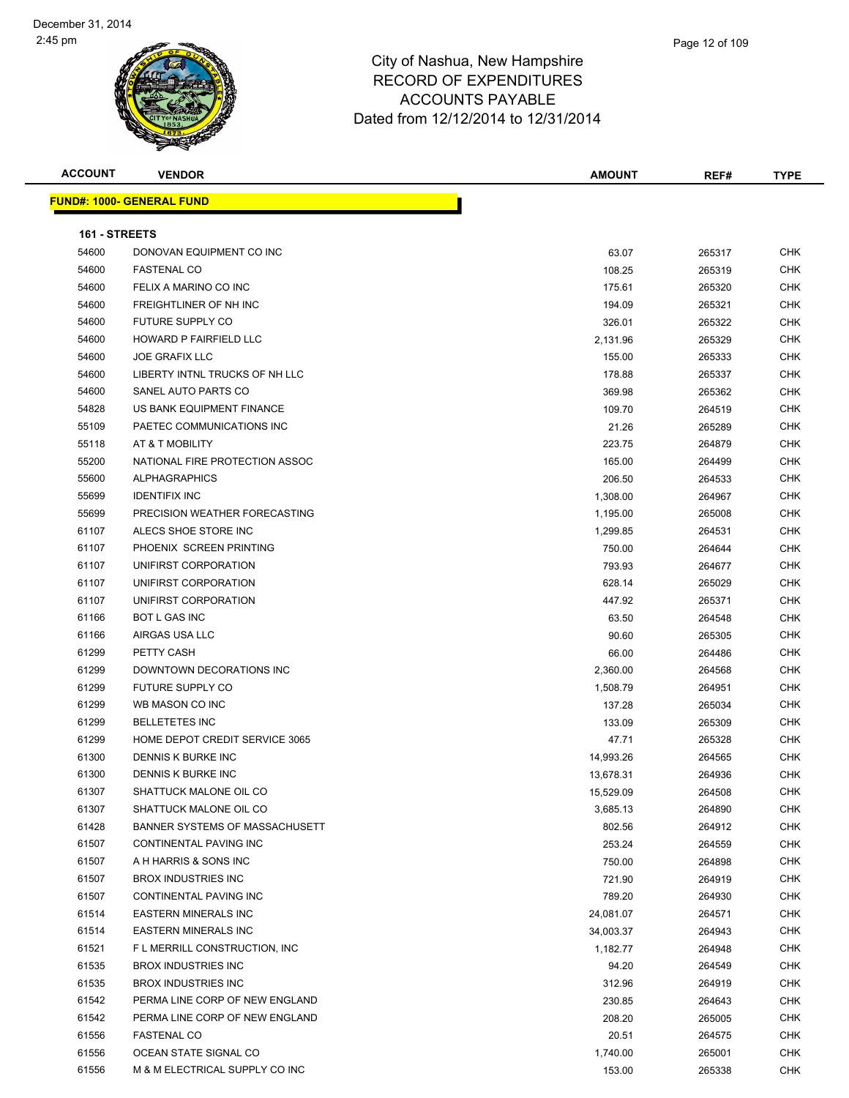

| <b>ACCOUNT</b> | <b>VENDOR</b>                    | <b>AMOUNT</b> | REF#   | <b>TYPE</b> |
|----------------|----------------------------------|---------------|--------|-------------|
|                | <b>FUND#: 1000- GENERAL FUND</b> |               |        |             |
| 161 - STREETS  |                                  |               |        |             |
| 54600          | DONOVAN EQUIPMENT CO INC         | 63.07         | 265317 | <b>CHK</b>  |
| 54600          | <b>FASTENAL CO</b>               | 108.25        | 265319 | <b>CHK</b>  |
| 54600          | FELIX A MARINO CO INC            | 175.61        | 265320 | <b>CHK</b>  |
| 54600          | FREIGHTLINER OF NH INC           | 194.09        | 265321 | <b>CHK</b>  |
| 54600          | FUTURE SUPPLY CO                 | 326.01        | 265322 | <b>CHK</b>  |
| 54600          | HOWARD P FAIRFIELD LLC           | 2,131.96      | 265329 | <b>CHK</b>  |
| 54600          | <b>JOE GRAFIX LLC</b>            | 155.00        | 265333 | <b>CHK</b>  |
| 54600          | LIBERTY INTNL TRUCKS OF NH LLC   | 178.88        | 265337 | <b>CHK</b>  |
| 54600          | SANEL AUTO PARTS CO              | 369.98        | 265362 | <b>CHK</b>  |
| 54828          | US BANK EQUIPMENT FINANCE        | 109.70        | 264519 | <b>CHK</b>  |
| 55109          | PAETEC COMMUNICATIONS INC        | 21.26         | 265289 | <b>CHK</b>  |
| 55118          | AT & T MOBILITY                  | 223.75        | 264879 | CHK         |
| 55200          | NATIONAL FIRE PROTECTION ASSOC   | 165.00        | 264499 | <b>CHK</b>  |
| 55600          | <b>ALPHAGRAPHICS</b>             | 206.50        | 264533 | <b>CHK</b>  |
| 55699          | <b>IDENTIFIX INC</b>             | 1,308.00      | 264967 | <b>CHK</b>  |
| 55699          | PRECISION WEATHER FORECASTING    | 1,195.00      | 265008 | CHK         |
| 61107          | ALECS SHOE STORE INC             | 1,299.85      | 264531 | CHK         |
| 61107          | PHOENIX SCREEN PRINTING          | 750.00        | 264644 | <b>CHK</b>  |
| 61107          | UNIFIRST CORPORATION             | 793.93        | 264677 | CHK         |
| 61107          | UNIFIRST CORPORATION             | 628.14        | 265029 | <b>CHK</b>  |
| 61107          | UNIFIRST CORPORATION             | 447.92        | 265371 | <b>CHK</b>  |
| 61166          | <b>BOT L GAS INC</b>             | 63.50         | 264548 | CHK         |
| 61166          | AIRGAS USA LLC                   | 90.60         | 265305 | CHK         |
| 61299          | PETTY CASH                       | 66.00         | 264486 | <b>CHK</b>  |
| 61299          | DOWNTOWN DECORATIONS INC         | 2,360.00      | 264568 | <b>CHK</b>  |
| 61299          | FUTURE SUPPLY CO                 | 1,508.79      | 264951 | <b>CHK</b>  |
| 61299          | WB MASON CO INC                  | 137.28        | 265034 | CHK         |
| 61299          | <b>BELLETETES INC</b>            | 133.09        | 265309 | CHK         |
| 61299          | HOME DEPOT CREDIT SERVICE 3065   | 47.71         | 265328 | <b>CHK</b>  |
| 61300          | <b>DENNIS K BURKE INC</b>        | 14,993.26     | 264565 | CHK         |
| 61300          | DENNIS K BURKE INC               | 13,678.31     | 264936 | <b>CHK</b>  |
| 61307          | SHATTUCK MALONE OIL CO           | 15,529.09     | 264508 | <b>CHK</b>  |
| 61307          | SHATTUCK MALONE OIL CO           | 3,685.13      | 264890 | CHK         |
| 61428          | BANNER SYSTEMS OF MASSACHUSETT   | 802.56        | 264912 | <b>CHK</b>  |
| 61507          | CONTINENTAL PAVING INC           | 253.24        | 264559 | <b>CHK</b>  |
| 61507          | A H HARRIS & SONS INC            | 750.00        | 264898 | CHK         |
| 61507          | <b>BROX INDUSTRIES INC</b>       | 721.90        | 264919 | <b>CHK</b>  |
| 61507          | CONTINENTAL PAVING INC           | 789.20        | 264930 | CHK         |
| 61514          | EASTERN MINERALS INC             | 24,081.07     | 264571 | <b>CHK</b>  |
| 61514          | <b>EASTERN MINERALS INC</b>      | 34,003.37     | 264943 | <b>CHK</b>  |
| 61521          | F L MERRILL CONSTRUCTION, INC    | 1,182.77      | 264948 | <b>CHK</b>  |
| 61535          | <b>BROX INDUSTRIES INC</b>       | 94.20         | 264549 | <b>CHK</b>  |
| 61535          | <b>BROX INDUSTRIES INC</b>       | 312.96        | 264919 | <b>CHK</b>  |
| 61542          | PERMA LINE CORP OF NEW ENGLAND   | 230.85        | 264643 | CHK         |
| 61542          | PERMA LINE CORP OF NEW ENGLAND   | 208.20        | 265005 | CHK         |
| 61556          | <b>FASTENAL CO</b>               | 20.51         | 264575 | <b>CHK</b>  |
| 61556          | OCEAN STATE SIGNAL CO            | 1,740.00      | 265001 | <b>CHK</b>  |
| 61556          | M & M ELECTRICAL SUPPLY CO INC   | 153.00        | 265338 | <b>CHK</b>  |
|                |                                  |               |        |             |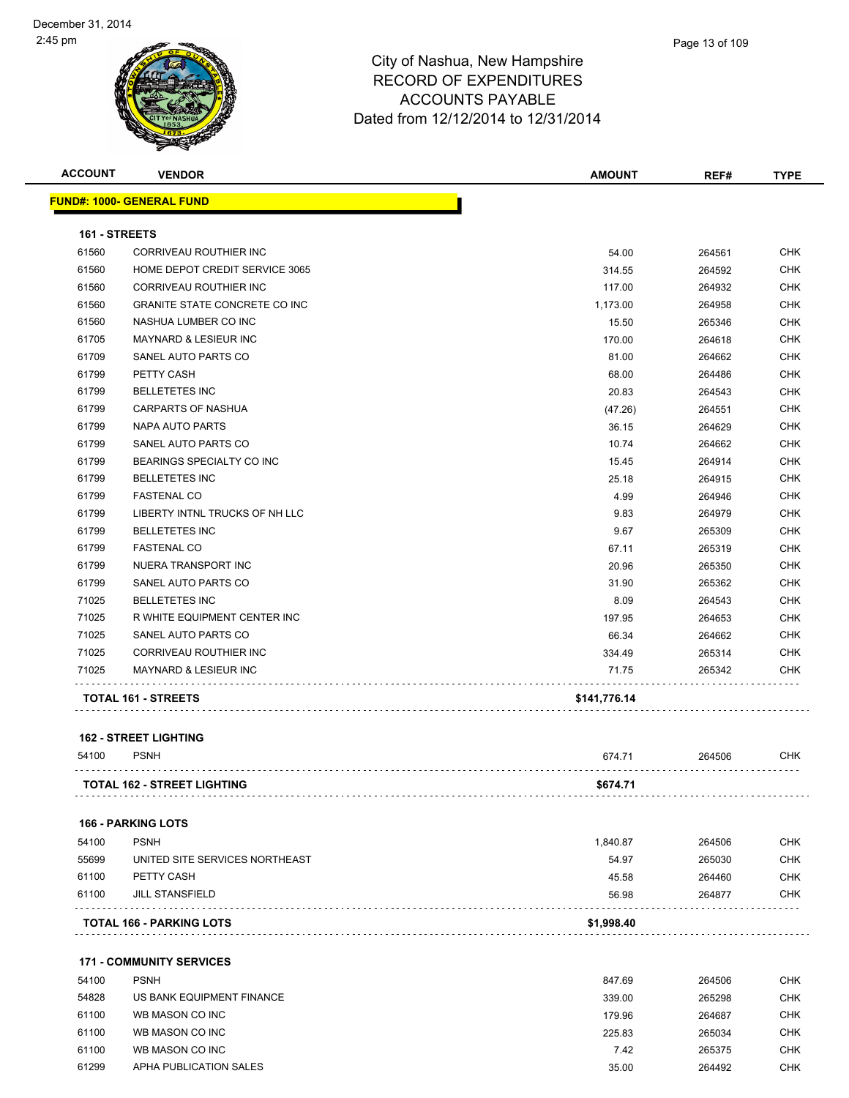

| <b>ACCOUNT</b> | <b>VENDOR</b>                    | <b>AMOUNT</b> | REF#   | <b>TYPE</b> |
|----------------|----------------------------------|---------------|--------|-------------|
|                | <b>FUND#: 1000- GENERAL FUND</b> |               |        |             |
| 161 - STREETS  |                                  |               |        |             |
| 61560          | <b>CORRIVEAU ROUTHIER INC</b>    | 54.00         | 264561 | <b>CHK</b>  |
| 61560          | HOME DEPOT CREDIT SERVICE 3065   | 314.55        | 264592 | <b>CHK</b>  |
| 61560          | CORRIVEAU ROUTHIER INC           | 117.00        | 264932 | <b>CHK</b>  |
| 61560          | GRANITE STATE CONCRETE CO INC    | 1,173.00      | 264958 | <b>CHK</b>  |
| 61560          | NASHUA LUMBER CO INC             | 15.50         | 265346 | <b>CHK</b>  |
| 61705          | MAYNARD & LESIEUR INC            | 170.00        | 264618 | <b>CHK</b>  |
| 61709          | SANEL AUTO PARTS CO              | 81.00         | 264662 | <b>CHK</b>  |
| 61799          | PETTY CASH                       | 68.00         | 264486 | <b>CHK</b>  |
| 61799          | <b>BELLETETES INC</b>            | 20.83         | 264543 | <b>CHK</b>  |
| 61799          | <b>CARPARTS OF NASHUA</b>        | (47.26)       | 264551 | <b>CHK</b>  |
| 61799          | <b>NAPA AUTO PARTS</b>           | 36.15         | 264629 | <b>CHK</b>  |
| 61799          | SANEL AUTO PARTS CO              | 10.74         | 264662 | <b>CHK</b>  |
| 61799          | BEARINGS SPECIALTY CO INC        | 15.45         | 264914 | <b>CHK</b>  |
| 61799          | <b>BELLETETES INC</b>            | 25.18         | 264915 | <b>CHK</b>  |
| 61799          | <b>FASTENAL CO</b>               | 4.99          | 264946 | <b>CHK</b>  |
| 61799          | LIBERTY INTNL TRUCKS OF NH LLC   | 9.83          | 264979 | <b>CHK</b>  |
| 61799          | <b>BELLETETES INC</b>            | 9.67          | 265309 | <b>CHK</b>  |
| 61799          | <b>FASTENAL CO</b>               | 67.11         | 265319 | <b>CHK</b>  |
| 61799          | NUERA TRANSPORT INC              | 20.96         | 265350 | <b>CHK</b>  |
| 61799          | SANEL AUTO PARTS CO              | 31.90         | 265362 | <b>CHK</b>  |
| 71025          | <b>BELLETETES INC</b>            | 8.09          | 264543 | <b>CHK</b>  |
| 71025          | R WHITE EQUIPMENT CENTER INC     | 197.95        | 264653 | <b>CHK</b>  |
| 71025          | SANEL AUTO PARTS CO              | 66.34         | 264662 | <b>CHK</b>  |
| 71025          | CORRIVEAU ROUTHIER INC           | 334.49        | 265314 | <b>CHK</b>  |
| 71025          | <b>MAYNARD &amp; LESIEUR INC</b> | 71.75         | 265342 | <b>CHK</b>  |
|                | TOTAL 161 - STREETS              | \$141,776.14  |        |             |

**162 - STREET LIGHTING**

| 54100 | <b>PSNH</b>                        | 674.7 <sup>.</sup> | 264506 | <b>CHK</b> |
|-------|------------------------------------|--------------------|--------|------------|
|       |                                    |                    |        |            |
|       | <b>TOTAL 162 - STREET LIGHTING</b> | \$674.71           |        |            |

#### **166 - PARKING LOTS**

| 61100 | JILL STANSFIELD                | 56.98    | 264877 | CHK |
|-------|--------------------------------|----------|--------|-----|
| 61100 | PETTY CASH                     | 45.58    | 264460 | CHK |
| 55699 | UNITED SITE SERVICES NORTHEAST | 54.97    | 265030 | CHK |
| 54100 | <b>PSNH</b>                    | 1.840.87 | 264506 | СНК |

#### **171 - COMMUNITY SERVICES**

| 54100 | <b>PSNH</b>               | 847.69 | 264506 | <b>CHK</b> |
|-------|---------------------------|--------|--------|------------|
| 54828 | US BANK EQUIPMENT FINANCE | 339.00 | 265298 | <b>CHK</b> |
| 61100 | WB MASON CO INC           | 179.96 | 264687 | <b>CHK</b> |
| 61100 | WB MASON CO INC           | 225.83 | 265034 | <b>CHK</b> |
| 61100 | WB MASON CO INC           | 7.42   | 265375 | <b>CHK</b> |
| 61299 | APHA PUBLICATION SALES    | 35.00  | 264492 | <b>CHK</b> |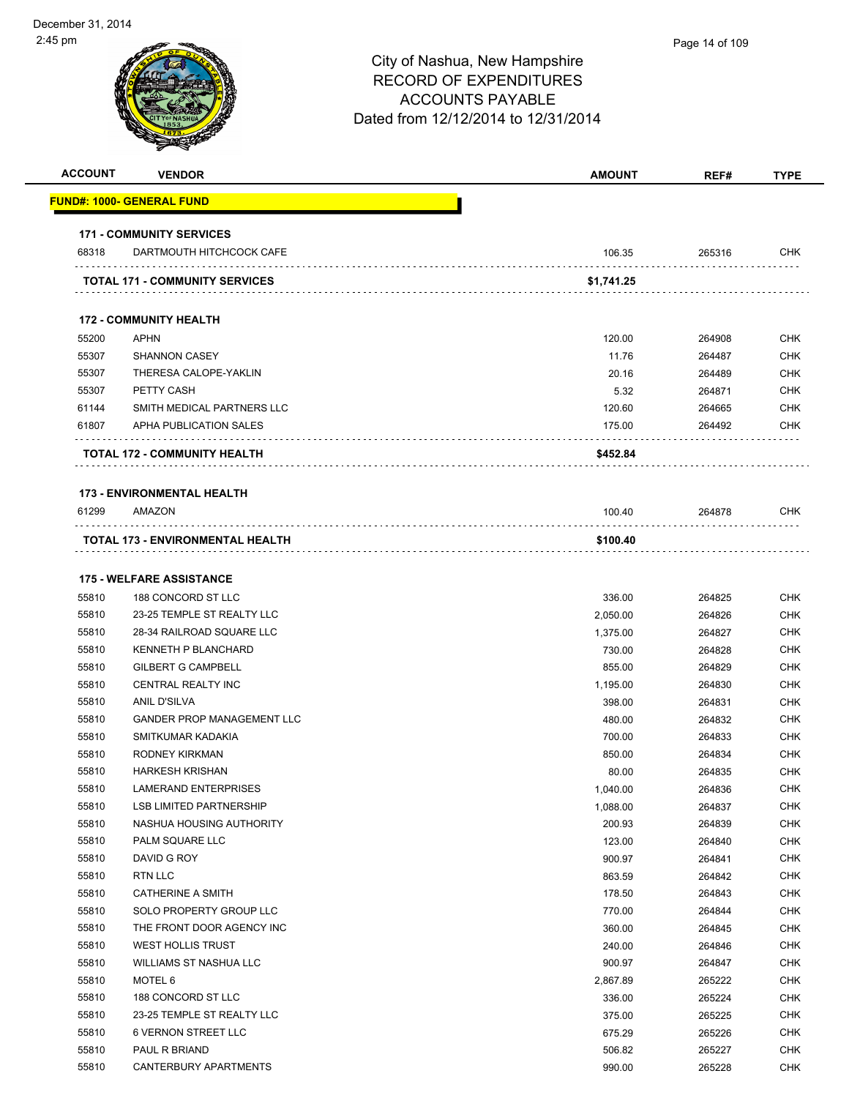| <b>ACCOUNT</b> | <b>VENDOR</b>                                           | <b>AMOUNT</b>      | REF#             | <b>TYPE</b>              |
|----------------|---------------------------------------------------------|--------------------|------------------|--------------------------|
|                | FUND#: 1000- GENERAL FUND                               |                    |                  |                          |
|                | <b>171 - COMMUNITY SERVICES</b>                         |                    |                  |                          |
| 68318          | DARTMOUTH HITCHCOCK CAFE                                | 106.35             | 265316           | <b>CHK</b>               |
|                | <b>TOTAL 171 - COMMUNITY SERVICES</b>                   | \$1,741.25         |                  |                          |
|                | <b>172 - COMMUNITY HEALTH</b>                           |                    |                  |                          |
| 55200          | <b>APHN</b>                                             | 120.00             | 264908           | <b>CHK</b>               |
| 55307          | <b>SHANNON CASEY</b>                                    | 11.76              | 264487           | <b>CHK</b>               |
| 55307          | THERESA CALOPE-YAKLIN                                   | 20.16              | 264489           | <b>CHK</b>               |
| 55307          | PETTY CASH                                              | 5.32               | 264871           | <b>CHK</b>               |
| 61144          | SMITH MEDICAL PARTNERS LLC                              | 120.60             | 264665           | <b>CHK</b>               |
| 61807          | APHA PUBLICATION SALES                                  | 175.00             | 264492           | <b>CHK</b>               |
|                |                                                         |                    |                  |                          |
|                | TOTAL 172 - COMMUNITY HEALTH                            | \$452.84           |                  |                          |
|                | <b>173 - ENVIRONMENTAL HEALTH</b>                       |                    |                  |                          |
| 61299          | AMAZON                                                  | 100.40             | 264878           | CHK                      |
|                | TOTAL 173 - ENVIRONMENTAL HEALTH                        | \$100.40           |                  |                          |
|                |                                                         |                    |                  |                          |
|                | <b>175 - WELFARE ASSISTANCE</b>                         |                    |                  |                          |
| 55810          | 188 CONCORD ST LLC                                      | 336.00             | 264825           | <b>CHK</b>               |
| 55810<br>55810 | 23-25 TEMPLE ST REALTY LLC<br>28-34 RAILROAD SQUARE LLC | 2,050.00           | 264826           | <b>CHK</b><br><b>CHK</b> |
| 55810          | KENNETH P BLANCHARD                                     | 1,375.00<br>730.00 | 264827<br>264828 | <b>CHK</b>               |
| 55810          | <b>GILBERT G CAMPBELL</b>                               | 855.00             | 264829           | <b>CHK</b>               |
| 55810          | CENTRAL REALTY INC                                      | 1,195.00           | 264830           | <b>CHK</b>               |
| 55810          | <b>ANIL D'SILVA</b>                                     | 398.00             | 264831           | <b>CHK</b>               |
| 55810          | <b>GANDER PROP MANAGEMENT LLC</b>                       | 480.00             | 264832           | <b>CHK</b>               |
| 55810          | SMITKUMAR KADAKIA                                       | 700.00             | 264833           | <b>CHK</b>               |
| 55810          | RODNEY KIRKMAN                                          | 850.00             | 264834           | CHK                      |
| 55810          | <b>HARKESH KRISHAN</b>                                  | 80.00              | 264835           | <b>CHK</b>               |
| 55810          | LAMERAND ENTERPRISES                                    | 1,040.00           | 264836           | <b>CHK</b>               |
| 55810          | <b>LSB LIMITED PARTNERSHIP</b>                          | 1,088.00           | 264837           | <b>CHK</b>               |
| 55810          | NASHUA HOUSING AUTHORITY                                | 200.93             | 264839           | <b>CHK</b>               |
| 55810          | PALM SQUARE LLC                                         | 123.00             | 264840           | <b>CHK</b>               |
| 55810          | DAVID G ROY                                             | 900.97             | 264841           | <b>CHK</b>               |
| 55810          | RTN LLC                                                 | 863.59             | 264842           | <b>CHK</b>               |
| 55810          | <b>CATHERINE A SMITH</b>                                | 178.50             | 264843           | <b>CHK</b>               |
| 55810          | SOLO PROPERTY GROUP LLC                                 | 770.00             | 264844           | <b>CHK</b>               |
| 55810          | THE FRONT DOOR AGENCY INC                               | 360.00             | 264845           | <b>CHK</b>               |
| 55810          | <b>WEST HOLLIS TRUST</b>                                | 240.00             | 264846           | <b>CHK</b>               |
| 55810          | WILLIAMS ST NASHUA LLC                                  | 900.97             | 264847           | <b>CHK</b>               |
| 55810          | MOTEL 6                                                 | 2,867.89           | 265222           | <b>CHK</b>               |
| 55810          | 188 CONCORD ST LLC                                      | 336.00             | 265224           | <b>CHK</b>               |
| 55810          | 23-25 TEMPLE ST REALTY LLC                              | 375.00             | 265225           | <b>CHK</b>               |
| 55810          | <b>6 VERNON STREET LLC</b>                              | 675.29             | 265226           | CHK                      |
| 55810          | PAUL R BRIAND                                           | 506.82             | 265227           | <b>CHK</b>               |
| 55810          | CANTERBURY APARTMENTS                                   | 990.00             | 265228           | <b>CHK</b>               |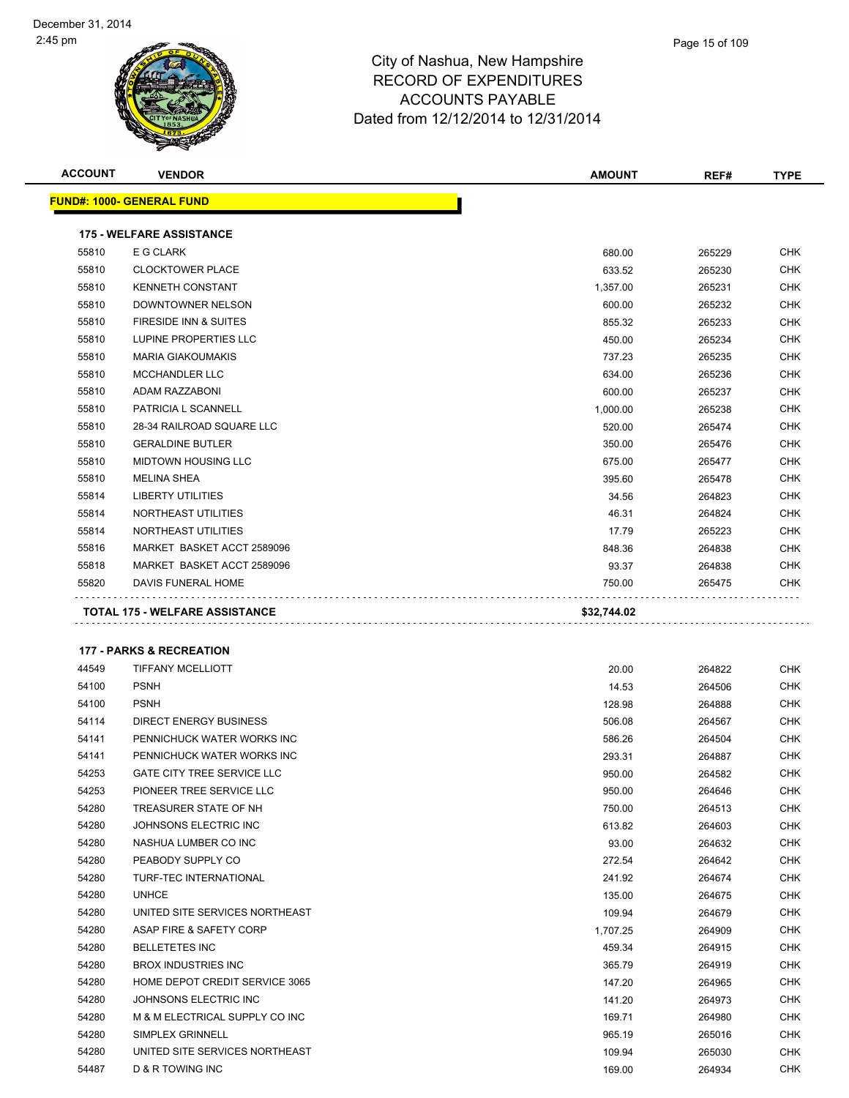

| <b>ACCOUNT</b> | <b>VENDOR</b>                         | AMOUNT      | REF#   | <b>TYPE</b> |
|----------------|---------------------------------------|-------------|--------|-------------|
|                | <u> FUND#: 1000- GENERAL FUND</u>     |             |        |             |
|                |                                       |             |        |             |
|                | <b>175 - WELFARE ASSISTANCE</b>       |             |        |             |
| 55810          | E G CLARK                             | 680.00      | 265229 | <b>CHK</b>  |
| 55810          | <b>CLOCKTOWER PLACE</b>               | 633.52      | 265230 | <b>CHK</b>  |
| 55810          | <b>KENNETH CONSTANT</b>               | 1,357.00    | 265231 | <b>CHK</b>  |
| 55810          | DOWNTOWNER NELSON                     | 600.00      | 265232 | <b>CHK</b>  |
| 55810          | FIRESIDE INN & SUITES                 | 855.32      | 265233 | <b>CHK</b>  |
| 55810          | LUPINE PROPERTIES LLC                 | 450.00      | 265234 | <b>CHK</b>  |
| 55810          | <b>MARIA GIAKOUMAKIS</b>              | 737.23      | 265235 | <b>CHK</b>  |
| 55810          | MCCHANDLER LLC                        | 634.00      | 265236 | <b>CHK</b>  |
| 55810          | ADAM RAZZABONI                        | 600.00      | 265237 | <b>CHK</b>  |
| 55810          | PATRICIA L SCANNELL                   | 1,000.00    | 265238 | <b>CHK</b>  |
| 55810          | 28-34 RAILROAD SQUARE LLC             | 520.00      | 265474 | <b>CHK</b>  |
| 55810          | <b>GERALDINE BUTLER</b>               | 350.00      | 265476 | <b>CHK</b>  |
| 55810          | <b>MIDTOWN HOUSING LLC</b>            | 675.00      | 265477 | <b>CHK</b>  |
| 55810          | <b>MELINA SHEA</b>                    | 395.60      | 265478 | <b>CHK</b>  |
| 55814          | <b>LIBERTY UTILITIES</b>              | 34.56       | 264823 | <b>CHK</b>  |
| 55814          | NORTHEAST UTILITIES                   | 46.31       | 264824 | <b>CHK</b>  |
| 55814          | NORTHEAST UTILITIES                   | 17.79       | 265223 | <b>CHK</b>  |
| 55816          | MARKET BASKET ACCT 2589096            | 848.36      | 264838 | <b>CHK</b>  |
| 55818          | MARKET BASKET ACCT 2589096            | 93.37       | 264838 | <b>CHK</b>  |
| 55820          | DAVIS FUNERAL HOME                    | 750.00      | 265475 | <b>CHK</b>  |
|                | <b>TOTAL 175 - WELFARE ASSISTANCE</b> | \$32,744.02 |        |             |
|                |                                       |             |        |             |
|                | <b>177 - PARKS &amp; RECREATION</b>   |             |        |             |
| 44549          | <b>TIFFANY MCELLIOTT</b>              | 20.00       | 264822 | CHK         |
| 54100          | <b>PSNH</b>                           | 14.53       | 264506 | <b>CHK</b>  |
| 54100          | <b>PSNH</b>                           | 128.98      | 264888 | <b>CHK</b>  |
| 54114          | <b>DIRECT ENERGY BUSINESS</b>         | 506.08      | 264567 | <b>CHK</b>  |
| 54141          | PENNICHUCK WATER WORKS INC            | 586.26      | 264504 | <b>CHK</b>  |
| 54141          | PENNICHUCK WATER WORKS INC            | 293.31      | 264887 | CHK         |
| 54253          | <b>GATE CITY TREE SERVICE LLC</b>     | 950.00      | 264582 | CHK         |
| 54253          | PIONEER TREE SERVICE LLC              | 950.00      | 264646 | <b>CHK</b>  |
| 54280          | TREASURER STATE OF NH                 | 750.00      | 264513 | CHK         |
| 54280          | JOHNSONS ELECTRIC INC                 | 613.82      | 264603 | CHK         |
| 54280          | NASHUA LUMBER CO INC                  | 93.00       | 264632 | <b>CHK</b>  |
| 54280          | PEABODY SUPPLY CO                     | 272.54      | 264642 | CHK         |
| 54280          | TURF-TEC INTERNATIONAL                | 241.92      | 264674 | <b>CHK</b>  |
| 54280          | <b>UNHCE</b>                          | 135.00      | 264675 | <b>CHK</b>  |
| 54280          | UNITED SITE SERVICES NORTHEAST        | 109.94      | 264679 | <b>CHK</b>  |
| 54280          | ASAP FIRE & SAFETY CORP               | 1,707.25    | 264909 | <b>CHK</b>  |
| 54280          | <b>BELLETETES INC</b>                 | 459.34      | 264915 | CHK         |
| 54280          | <b>BROX INDUSTRIES INC</b>            | 365.79      | 264919 | CHK         |
| 54280          | HOME DEPOT CREDIT SERVICE 3065        | 147.20      | 264965 | <b>CHK</b>  |

 JOHNSONS ELECTRIC INC 141.20 264973 CHK M & M ELECTRICAL SUPPLY CO INC 169.71 264980 CHK SIMPLEX GRINNELL 965.19 265016 CHK UNITED SITE SERVICES NORTHEAST 109.94 265030 CHK D & R TOWING INC 169.00 264934 CHK

Page 15 of 109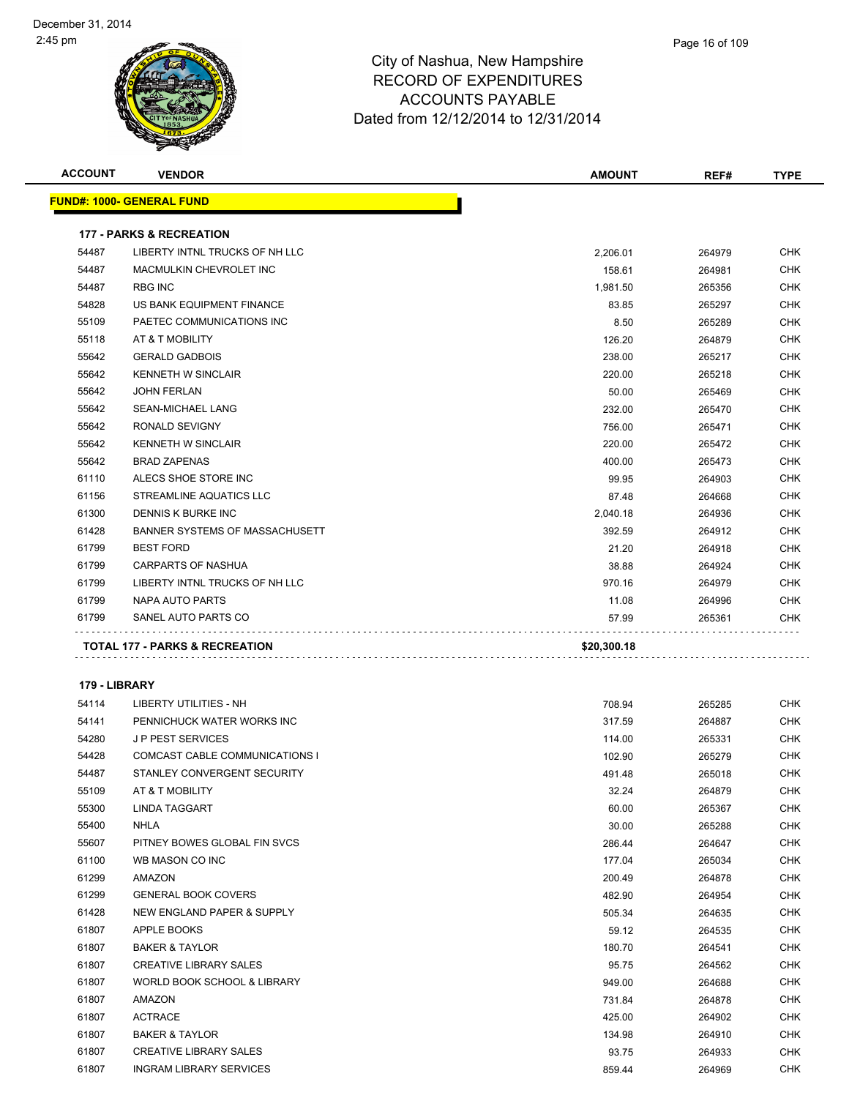

| Page 16 of 109 |  |  |  |
|----------------|--|--|--|
|----------------|--|--|--|

| <b>ACCOUNT</b> | <b>VENDOR</b>                       | <b>AMOUNT</b> | REF#   | <b>TYPE</b> |
|----------------|-------------------------------------|---------------|--------|-------------|
|                | <b>FUND#: 1000- GENERAL FUND</b>    |               |        |             |
|                | <b>177 - PARKS &amp; RECREATION</b> |               |        |             |
| 54487          | LIBERTY INTNL TRUCKS OF NH LLC      | 2,206.01      | 264979 | CHK         |
| 54487          | MACMULKIN CHEVROLET INC             | 158.61        | 264981 | <b>CHK</b>  |
| 54487          | <b>RBG INC</b>                      | 1,981.50      | 265356 | <b>CHK</b>  |
| 54828          | US BANK EQUIPMENT FINANCE           | 83.85         | 265297 | <b>CHK</b>  |
| 55109          | PAETEC COMMUNICATIONS INC           | 8.50          | 265289 | <b>CHK</b>  |
| 55118          | AT & T MOBILITY                     | 126.20        | 264879 | <b>CHK</b>  |
| 55642          | <b>GERALD GADBOIS</b>               | 238.00        | 265217 | <b>CHK</b>  |
| 55642          | <b>KENNETH W SINCLAIR</b>           | 220.00        | 265218 | <b>CHK</b>  |
| 55642          | <b>JOHN FERLAN</b>                  | 50.00         | 265469 | <b>CHK</b>  |
| 55642          | <b>SEAN-MICHAEL LANG</b>            | 232.00        | 265470 | <b>CHK</b>  |
| 55642          | RONALD SEVIGNY                      | 756.00        | 265471 | <b>CHK</b>  |
| 55642          | <b>KENNETH W SINCLAIR</b>           | 220.00        | 265472 | <b>CHK</b>  |
| 55642          | <b>BRAD ZAPENAS</b>                 | 400.00        | 265473 | <b>CHK</b>  |
| 61110          | ALECS SHOE STORE INC                | 99.95         | 264903 | <b>CHK</b>  |
| 61156          | STREAMLINE AQUATICS LLC             | 87.48         | 264668 | <b>CHK</b>  |
| 61300          | DENNIS K BURKE INC                  | 2,040.18      | 264936 | <b>CHK</b>  |
| 61428          | BANNER SYSTEMS OF MASSACHUSETT      | 392.59        | 264912 | <b>CHK</b>  |
| 61799          | <b>BEST FORD</b>                    | 21.20         | 264918 | <b>CHK</b>  |
| 61799          | <b>CARPARTS OF NASHUA</b>           | 38.88         | 264924 | <b>CHK</b>  |
| 61799          | LIBERTY INTNL TRUCKS OF NH LLC      | 970.16        | 264979 | <b>CHK</b>  |
| 61799          | NAPA AUTO PARTS                     | 11.08         | 264996 | <b>CHK</b>  |
| 61799          | SANEL AUTO PARTS CO                 | 57.99         | 265361 | CHK         |
|                | TOTAL 177 - PARKS & RECREATION      | \$20,300.18   |        |             |
|                |                                     |               |        |             |
| 179 - LIBRARY  |                                     |               |        |             |
| 54114          | <b>LIBERTY UTILITIES - NH</b>       | 708.94        | 265285 | <b>CHK</b>  |
| 54141          | PENNICHUCK WATER WORKS INC          | 317.59        | 264887 | <b>CHK</b>  |
| 54280          | <b>JP PEST SERVICES</b>             | 114.00        | 265331 | <b>CHK</b>  |
| 54428          | COMCAST CABLE COMMUNICATIONS I      | 102.90        | 265279 | CHK         |
| 54487          | STANLEY CONVERGENT SECURITY         | 491.48        | 265018 | <b>CHK</b>  |
| 55109          | AT & T MOBILITY                     | 32.24         | 264879 | <b>CHK</b>  |
| 55300          | LINDA TAGGART                       | 60.00         | 265367 | <b>CHK</b>  |
| 55400          | <b>NHLA</b>                         | 30.00         | 265288 | <b>CHK</b>  |
| 55607          | PITNEY BOWES GLOBAL FIN SVCS        | 286.44        | 264647 | <b>CHK</b>  |
| 61100          | WB MASON CO INC                     | 177.04        | 265034 | <b>CHK</b>  |
| 61299          | AMAZON                              | 200.49        | 264878 | <b>CHK</b>  |
| 61299          | <b>GENERAL BOOK COVERS</b>          | 482.90        | 264954 | CHK         |
| 61428          | NEW ENGLAND PAPER & SUPPLY          | 505.34        | 264635 | <b>CHK</b>  |
| 61807          | APPLE BOOKS                         | 59.12         | 264535 | <b>CHK</b>  |
| 61807          | <b>BAKER &amp; TAYLOR</b>           | 180.70        | 264541 | <b>CHK</b>  |
| 61807          | <b>CREATIVE LIBRARY SALES</b>       | 95.75         | 264562 | <b>CHK</b>  |
| 61807          | WORLD BOOK SCHOOL & LIBRARY         | 949.00        | 264688 | <b>CHK</b>  |

 AMAZON 731.84 264878 CHK ACTRACE 425.00 264902 CHK BAKER & TAYLOR 134.98 264910 CHK er 61807 CREATIVE LIBRARY SALES CHK (1999) 193.75 264933 CHK INGRAM LIBRARY SERVICES 859.44 264969 CHK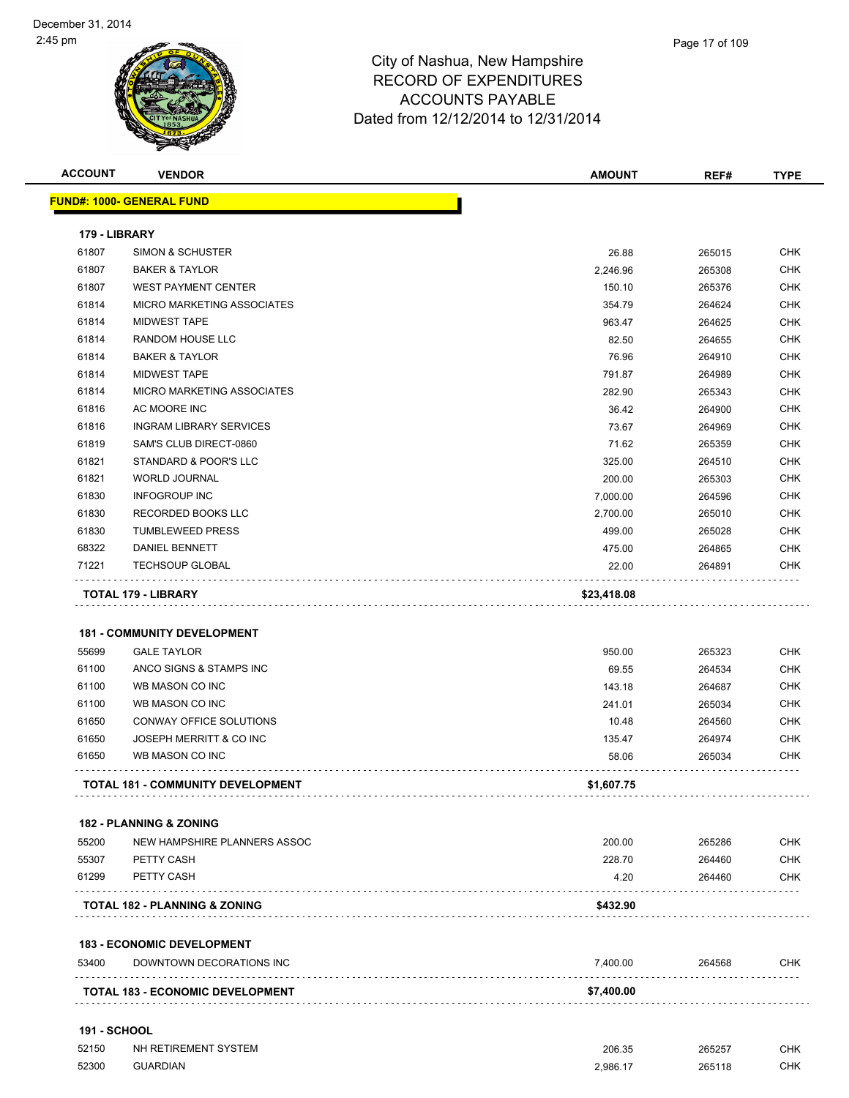| <b>ACCOUNT</b>      | <b>VENDOR</b>                                                 | <b>AMOUNT</b> | REF#             | <b>TYPE</b>              |
|---------------------|---------------------------------------------------------------|---------------|------------------|--------------------------|
|                     | <b>FUND#: 1000- GENERAL FUND</b>                              |               |                  |                          |
|                     |                                                               |               |                  |                          |
| 179 - LIBRARY       |                                                               |               |                  |                          |
| 61807<br>61807      | <b>SIMON &amp; SCHUSTER</b>                                   | 26.88         | 265015           | <b>CHK</b><br><b>CHK</b> |
|                     | <b>BAKER &amp; TAYLOR</b>                                     | 2,246.96      | 265308           |                          |
| 61807               | <b>WEST PAYMENT CENTER</b>                                    | 150.10        | 265376           | <b>CHK</b>               |
| 61814               | MICRO MARKETING ASSOCIATES                                    | 354.79        | 264624           | <b>CHK</b>               |
| 61814               | <b>MIDWEST TAPE</b>                                           | 963.47        | 264625           | <b>CHK</b>               |
| 61814               | RANDOM HOUSE LLC                                              | 82.50         | 264655           | <b>CHK</b>               |
| 61814               | <b>BAKER &amp; TAYLOR</b>                                     | 76.96         | 264910           | <b>CHK</b>               |
| 61814               | <b>MIDWEST TAPE</b>                                           | 791.87        | 264989           | <b>CHK</b>               |
| 61814               | MICRO MARKETING ASSOCIATES                                    | 282.90        | 265343           | <b>CHK</b>               |
| 61816               | AC MOORE INC                                                  | 36.42         | 264900           | <b>CHK</b>               |
| 61816               | <b>INGRAM LIBRARY SERVICES</b>                                | 73.67         | 264969           | <b>CHK</b>               |
| 61819               | SAM'S CLUB DIRECT-0860                                        | 71.62         | 265359           | <b>CHK</b>               |
| 61821               | STANDARD & POOR'S LLC                                         | 325.00        | 264510           | <b>CHK</b>               |
| 61821               | <b>WORLD JOURNAL</b>                                          | 200.00        | 265303           | <b>CHK</b>               |
| 61830               | <b>INFOGROUP INC</b>                                          | 7,000.00      | 264596           | <b>CHK</b>               |
| 61830               | RECORDED BOOKS LLC                                            | 2,700.00      | 265010           | <b>CHK</b>               |
| 61830               | <b>TUMBLEWEED PRESS</b>                                       | 499.00        | 265028           | <b>CHK</b>               |
| 68322               | DANIEL BENNETT                                                | 475.00        | 264865           | <b>CHK</b>               |
| 71221               | <b>TECHSOUP GLOBAL</b>                                        | 22.00         | 264891           | <b>CHK</b>               |
|                     | TOTAL 179 - LIBRARY                                           | \$23,418.08   |                  |                          |
|                     |                                                               |               |                  |                          |
|                     | <b>181 - COMMUNITY DEVELOPMENT</b>                            |               |                  |                          |
| 55699               | <b>GALE TAYLOR</b>                                            | 950.00        | 265323           | <b>CHK</b>               |
| 61100               | ANCO SIGNS & STAMPS INC                                       | 69.55         | 264534           | <b>CHK</b>               |
| 61100               | WB MASON CO INC                                               | 143.18        | 264687           | <b>CHK</b>               |
| 61100               | WB MASON CO INC                                               | 241.01        | 265034           | <b>CHK</b>               |
| 61650               | <b>CONWAY OFFICE SOLUTIONS</b>                                | 10.48         | 264560           | <b>CHK</b>               |
| 61650               | JOSEPH MERRITT & CO INC                                       | 135.47        | 264974           | <b>CHK</b>               |
| 61650               | WB MASON CO INC                                               | 58.06         | 265034           | <b>CHK</b>               |
|                     |                                                               |               |                  |                          |
|                     | <b>TOTAL 181 - COMMUNITY DEVELOPMENT</b>                      | \$1,607.75    |                  |                          |
|                     | <b>182 - PLANNING &amp; ZONING</b>                            |               |                  |                          |
| 55200               | NEW HAMPSHIRE PLANNERS ASSOC                                  | 200.00        | 265286           | <b>CHK</b>               |
| 55307               | PETTY CASH                                                    | 228.70        |                  | <b>CHK</b>               |
| 61299               | PETTY CASH                                                    | 4.20          | 264460<br>264460 | <b>CHK</b>               |
|                     |                                                               |               |                  |                          |
|                     | TOTAL 182 - PLANNING & ZONING                                 | \$432.90      |                  |                          |
|                     |                                                               |               |                  |                          |
| 53400               | <b>183 - ECONOMIC DEVELOPMENT</b><br>DOWNTOWN DECORATIONS INC | 7,400.00      | 264568           | <b>CHK</b>               |
|                     |                                                               |               |                  |                          |
|                     | <b>TOTAL 183 - ECONOMIC DEVELOPMENT</b>                       | \$7,400.00    |                  |                          |
| <b>191 - SCHOOL</b> |                                                               |               |                  |                          |
| 52150               | NH RETIREMENT SYSTEM                                          | 206.35        | 265257           | <b>CHK</b>               |
| 52300               | <b>GUARDIAN</b>                                               | 2,986.17      | 265118           | <b>CHK</b>               |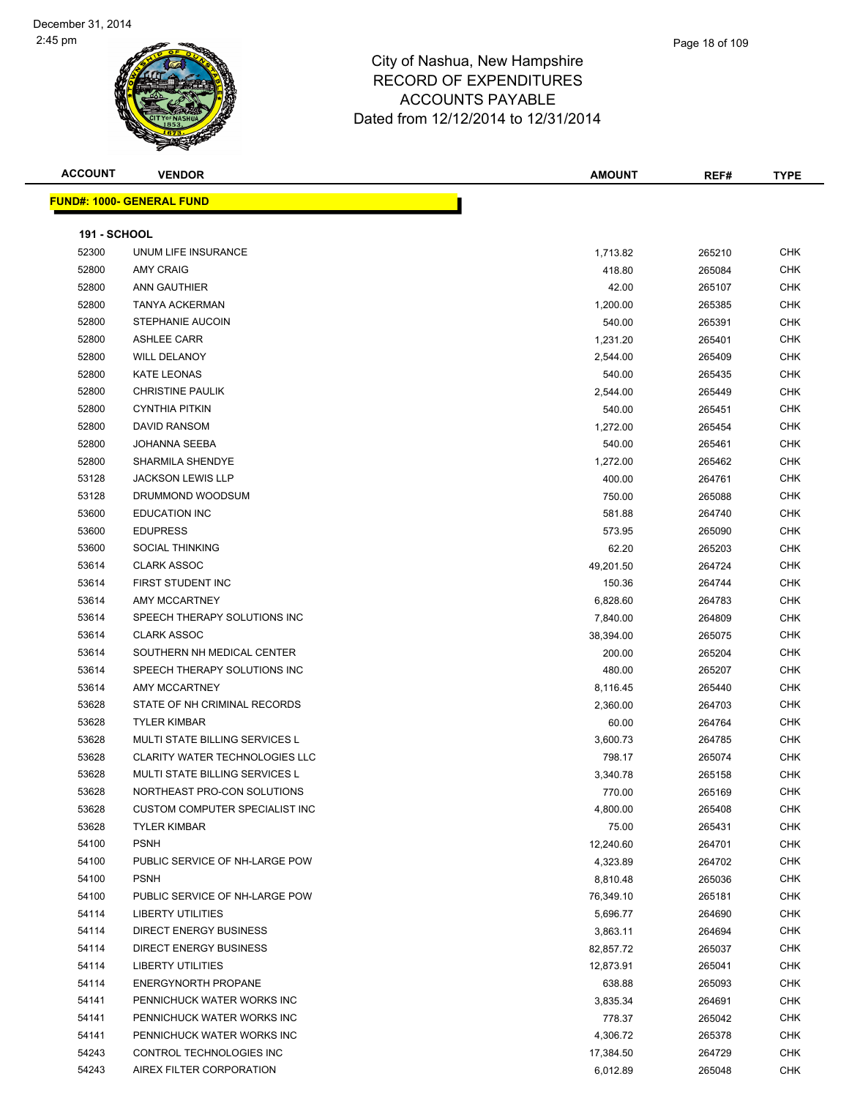#### City of Nashua, New Hampshire RECORD OF EXPENDITURES ACCOUNTS PAYABLE Date

|                     |                                 | NEGOND OF EAFLINDITUNES<br><b>ACCOUNTS PAYABLE</b><br>Dated from 12/12/2014 to 12/31/2014 |               |        |             |
|---------------------|---------------------------------|-------------------------------------------------------------------------------------------|---------------|--------|-------------|
| <b>ACCOUNT</b>      | <b>VENDOR</b>                   |                                                                                           | <b>AMOUNT</b> | REF#   | <b>TYPE</b> |
|                     | <b>IND#: 1000- GENERAL FUND</b> |                                                                                           |               |        |             |
| <b>191 - SCHOOL</b> |                                 |                                                                                           |               |        |             |
| 52300               | UNUM LIFE INSURANCE             |                                                                                           | 1,713.82      | 265210 | <b>CHK</b>  |
| 52800               | <b>AMY CRAIG</b>                |                                                                                           | 418.80        | 265084 | <b>CHK</b>  |
|                     |                                 |                                                                                           |               |        |             |

**FUND#: 1000- GENERAL FUND**

| <b>191 - SCHOOL</b> |                                       |           |        |            |
|---------------------|---------------------------------------|-----------|--------|------------|
| 52300               | UNUM LIFE INSURANCE                   | 1,713.82  | 265210 | <b>CHK</b> |
| 52800               | <b>AMY CRAIG</b>                      | 418.80    | 265084 | <b>CHK</b> |
| 52800               | <b>ANN GAUTHIER</b>                   | 42.00     | 265107 | CHK        |
| 52800               | <b>TANYA ACKERMAN</b>                 | 1,200.00  | 265385 | <b>CHK</b> |
| 52800               | STEPHANIE AUCOIN                      | 540.00    | 265391 | <b>CHK</b> |
| 52800               | <b>ASHLEE CARR</b>                    | 1,231.20  | 265401 | <b>CHK</b> |
| 52800               | <b>WILL DELANOY</b>                   | 2,544.00  | 265409 | <b>CHK</b> |
| 52800               | KATE LEONAS                           | 540.00    | 265435 | <b>CHK</b> |
| 52800               | <b>CHRISTINE PAULIK</b>               | 2,544.00  | 265449 | <b>CHK</b> |
| 52800               | <b>CYNTHIA PITKIN</b>                 | 540.00    | 265451 | <b>CHK</b> |
| 52800               | <b>DAVID RANSOM</b>                   | 1,272.00  | 265454 | <b>CHK</b> |
| 52800               | JOHANNA SEEBA                         | 540.00    | 265461 | <b>CHK</b> |
| 52800               | SHARMILA SHENDYE                      | 1,272.00  | 265462 | <b>CHK</b> |
| 53128               | <b>JACKSON LEWIS LLP</b>              | 400.00    | 264761 | CHK        |
| 53128               | DRUMMOND WOODSUM                      | 750.00    | 265088 | <b>CHK</b> |
| 53600               | <b>EDUCATION INC</b>                  | 581.88    | 264740 | <b>CHK</b> |
| 53600               | <b>EDUPRESS</b>                       | 573.95    | 265090 | <b>CHK</b> |
| 53600               | <b>SOCIAL THINKING</b>                | 62.20     | 265203 | <b>CHK</b> |
| 53614               | <b>CLARK ASSOC</b>                    | 49,201.50 | 264724 | <b>CHK</b> |
| 53614               | FIRST STUDENT INC                     | 150.36    | 264744 | <b>CHK</b> |
| 53614               | <b>AMY MCCARTNEY</b>                  | 6,828.60  | 264783 | <b>CHK</b> |
| 53614               | SPEECH THERAPY SOLUTIONS INC          | 7,840.00  | 264809 | <b>CHK</b> |
| 53614               | <b>CLARK ASSOC</b>                    | 38,394.00 | 265075 | <b>CHK</b> |
| 53614               | SOUTHERN NH MEDICAL CENTER            | 200.00    | 265204 | <b>CHK</b> |
| 53614               | SPEECH THERAPY SOLUTIONS INC          | 480.00    | 265207 | CHK        |
| 53614               | AMY MCCARTNEY                         | 8,116.45  | 265440 | <b>CHK</b> |
| 53628               | STATE OF NH CRIMINAL RECORDS          | 2,360.00  | 264703 | <b>CHK</b> |
| 53628               | <b>TYLER KIMBAR</b>                   | 60.00     | 264764 | <b>CHK</b> |
| 53628               | MULTI STATE BILLING SERVICES L        | 3,600.73  | 264785 | <b>CHK</b> |
| 53628               | <b>CLARITY WATER TECHNOLOGIES LLC</b> | 798.17    | 265074 | <b>CHK</b> |
| 53628               | <b>MULTI STATE BILLING SERVICES L</b> | 3,340.78  | 265158 | <b>CHK</b> |
| 53628               | NORTHEAST PRO-CON SOLUTIONS           | 770.00    | 265169 | <b>CHK</b> |
| 53628               | <b>CUSTOM COMPUTER SPECIALIST INC</b> | 4,800.00  | 265408 | CHK        |
| 53628               | <b>TYLER KIMBAR</b>                   | 75.00     | 265431 | <b>CHK</b> |
| 54100               | <b>PSNH</b>                           | 12,240.60 | 264701 | <b>CHK</b> |
| 54100               | PUBLIC SERVICE OF NH-LARGE POW        | 4,323.89  | 264702 | <b>CHK</b> |
| 54100               | <b>PSNH</b>                           | 8,810.48  | 265036 | <b>CHK</b> |
| 54100               | PUBLIC SERVICE OF NH-LARGE POW        | 76,349.10 | 265181 | <b>CHK</b> |
| 54114               | <b>LIBERTY UTILITIES</b>              | 5,696.77  | 264690 | <b>CHK</b> |
| 54114               | <b>DIRECT ENERGY BUSINESS</b>         | 3,863.11  | 264694 | <b>CHK</b> |
| 54114               | <b>DIRECT ENERGY BUSINESS</b>         | 82,857.72 | 265037 | <b>CHK</b> |
| 54114               | <b>LIBERTY UTILITIES</b>              | 12,873.91 | 265041 | <b>CHK</b> |
| 54114               | <b>ENERGYNORTH PROPANE</b>            | 638.88    | 265093 | <b>CHK</b> |
| 54141               | PENNICHUCK WATER WORKS INC            | 3,835.34  | 264691 | CHK        |
| 54141               | PENNICHUCK WATER WORKS INC            | 778.37    | 265042 | <b>CHK</b> |
| 54141               | PENNICHUCK WATER WORKS INC            | 4,306.72  | 265378 | CHK        |
| 54243               | CONTROL TECHNOLOGIES INC              | 17,384.50 | 264729 | CHK        |
| 54243               | AIREX FILTER CORPORATION              | 6,012.89  | 265048 | <b>CHK</b> |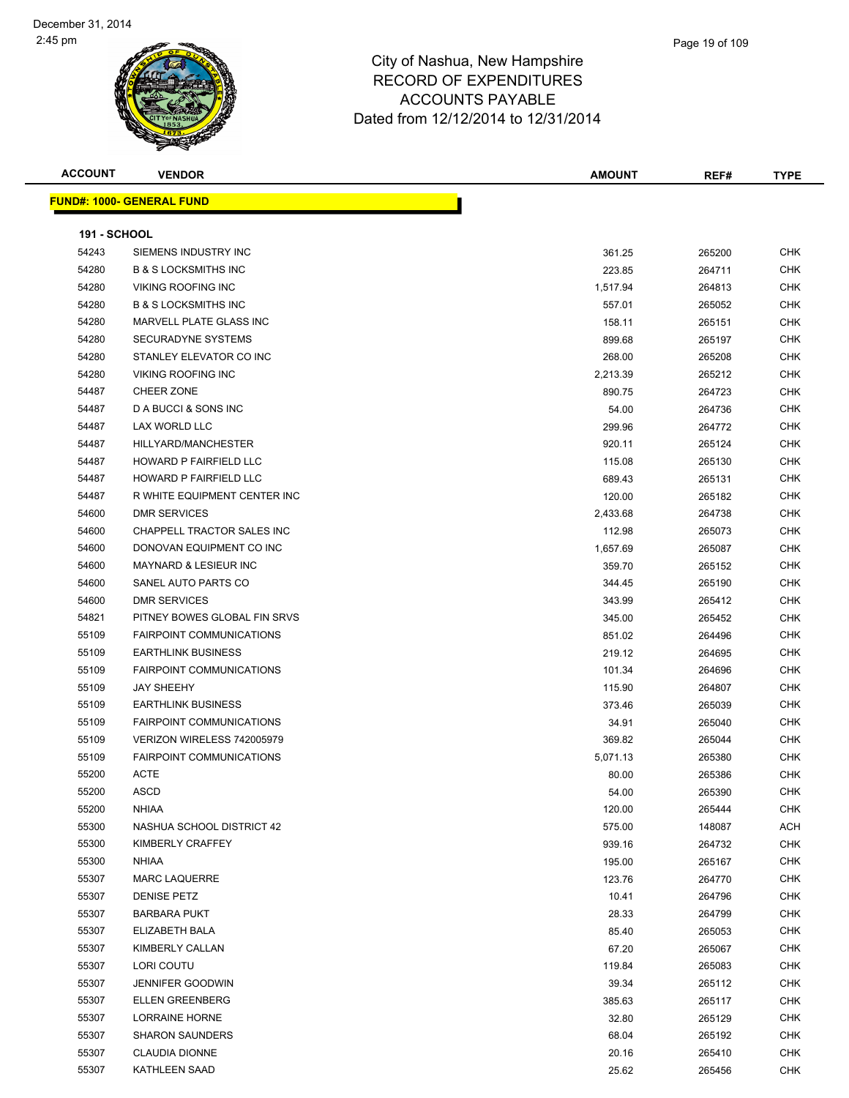

# City of Nashua, New Hampshir RECORD OF EXPEN **ACCOUNTS PAY** Dated from 12/12/2014

| <b>Hampshire</b> |  |
|------------------|--|
| <b>NDITURES</b>  |  |
| YABLE            |  |
| to 12/31/2014    |  |
|                  |  |

| <b>ACCOUNT</b>      | <b>VENDOR</b>                    | <b>AMOUNT</b> | REF#   | <b>TYPE</b> |
|---------------------|----------------------------------|---------------|--------|-------------|
|                     | <b>FUND#: 1000- GENERAL FUND</b> |               |        |             |
|                     |                                  |               |        |             |
| <b>191 - SCHOOL</b> |                                  |               |        |             |
| 54243               | SIEMENS INDUSTRY INC             | 361.25        | 265200 | CHK         |
| 54280               | <b>B &amp; S LOCKSMITHS INC</b>  | 223.85        | 264711 | CHK         |
| 54280               | <b>VIKING ROOFING INC</b>        | 1,517.94      | 264813 | CHK         |
| 54280               | <b>B &amp; S LOCKSMITHS INC</b>  | 557.01        | 265052 | <b>CHK</b>  |
| 54280               | MARVELL PLATE GLASS INC          | 158.11        | 265151 | CHK         |
| 54280               | <b>SECURADYNE SYSTEMS</b>        | 899.68        | 265197 | CHK         |
| 54280               | STANLEY ELEVATOR CO INC          | 268.00        | 265208 | <b>CHK</b>  |
| 54280               | <b>VIKING ROOFING INC</b>        | 2,213.39      | 265212 | <b>CHK</b>  |
| 54487               | <b>CHEER ZONE</b>                | 890.75        | 264723 | <b>CHK</b>  |
| 54487               | D A BUCCI & SONS INC             | 54.00         | 264736 | <b>CHK</b>  |
| 54487               | LAX WORLD LLC                    | 299.96        | 264772 | CHK         |
| 54487               | HILLYARD/MANCHESTER              | 920.11        | 265124 | <b>CHK</b>  |
| 54487               | HOWARD P FAIRFIELD LLC           | 115.08        | 265130 | <b>CHK</b>  |
| 54487               | HOWARD P FAIRFIELD LLC           | 689.43        | 265131 | <b>CHK</b>  |
| 54487               | R WHITE EQUIPMENT CENTER INC     | 120.00        | 265182 | <b>CHK</b>  |
| 54600               | <b>DMR SERVICES</b>              | 2,433.68      | 264738 | CHK         |
| 54600               | CHAPPELL TRACTOR SALES INC       | 112.98        | 265073 | <b>CHK</b>  |
| 54600               | DONOVAN EQUIPMENT CO INC         | 1,657.69      | 265087 | CHK         |
| 54600               | <b>MAYNARD &amp; LESIEUR INC</b> | 359.70        | 265152 | CHK         |
| 54600               | SANEL AUTO PARTS CO              | 344.45        | 265190 | <b>CHK</b>  |
| 54600               | <b>DMR SERVICES</b>              | 343.99        | 265412 | CHK         |
| 54821               | PITNEY BOWES GLOBAL FIN SRVS     | 345.00        | 265452 | <b>CHK</b>  |
| 55109               | <b>FAIRPOINT COMMUNICATIONS</b>  | 851.02        | 264496 | CHK         |
| 55109               | <b>EARTHLINK BUSINESS</b>        | 219.12        | 264695 | <b>CHK</b>  |
| 55109               | <b>FAIRPOINT COMMUNICATIONS</b>  | 101.34        | 264696 | <b>CHK</b>  |
| 55109               | <b>JAY SHEEHY</b>                | 115.90        | 264807 | CHK         |
| 55109               | <b>EARTHLINK BUSINESS</b>        | 373.46        | 265039 | <b>CHK</b>  |
| 55109               | <b>FAIRPOINT COMMUNICATIONS</b>  | 34.91         | 265040 | CHK         |
| 55109               | VERIZON WIRELESS 742005979       | 369.82        | 265044 | <b>CHK</b>  |
| 55109               | <b>FAIRPOINT COMMUNICATIONS</b>  | 5,071.13      | 265380 | <b>CHK</b>  |
| 55200               | ACTE                             | 80.00         | 265386 | CHK         |
| 55200               | ASCD                             | 54.00         | 265390 | <b>CHK</b>  |
| 55200               | <b>NHIAA</b>                     | 120.00        | 265444 | CHK         |
| 55300               | NASHUA SCHOOL DISTRICT 42        | 575.00        | 148087 | ACH         |
| 55300               | KIMBERLY CRAFFEY                 | 939.16        | 264732 | <b>CHK</b>  |
| 55300               | NHIAA                            | 195.00        | 265167 | CHK         |
| 55307               | <b>MARC LAQUERRE</b>             | 123.76        | 264770 | <b>CHK</b>  |
| 55307               | <b>DENISE PETZ</b>               | 10.41         | 264796 | CHK         |
| 55307               | <b>BARBARA PUKT</b>              | 28.33         | 264799 | <b>CHK</b>  |
| 55307               | ELIZABETH BALA                   | 85.40         | 265053 | <b>CHK</b>  |
| 55307               | KIMBERLY CALLAN                  | 67.20         | 265067 | <b>CHK</b>  |
| 55307               | LORI COUTU                       | 119.84        | 265083 | <b>CHK</b>  |
| 55307               | <b>JENNIFER GOODWIN</b>          | 39.34         | 265112 | CHK         |
| 55307               | <b>ELLEN GREENBERG</b>           | 385.63        | 265117 | CHK         |
| 55307               | <b>LORRAINE HORNE</b>            | 32.80         | 265129 | CHK         |
| 55307               | <b>SHARON SAUNDERS</b>           | 68.04         | 265192 | <b>CHK</b>  |
| 55307               | <b>CLAUDIA DIONNE</b>            | 20.16         | 265410 | CHK         |
| 55307               | <b>KATHLEEN SAAD</b>             | 25.62         | 265456 | <b>CHK</b>  |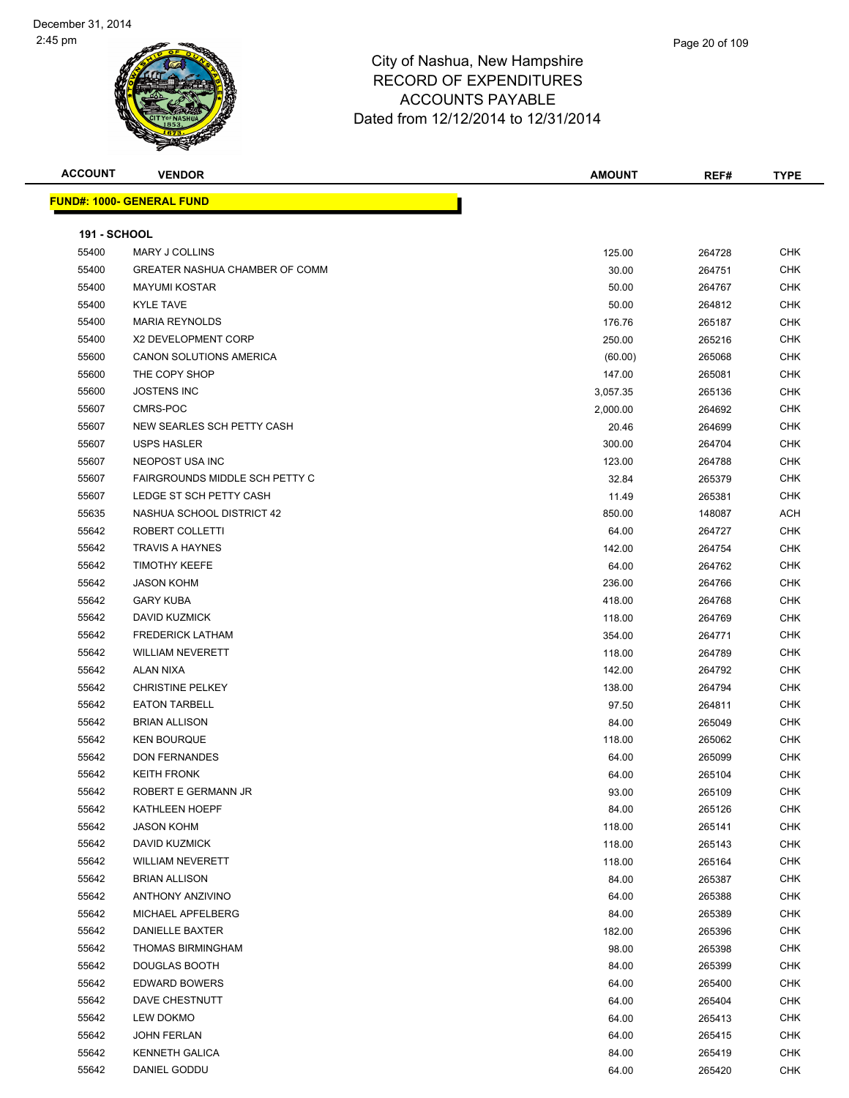| <b>ACCOUNT</b>      | <b>VENDOR</b>                    | <b>AMOUNT</b> | REF#   | <b>TYPE</b> |
|---------------------|----------------------------------|---------------|--------|-------------|
|                     | <b>FUND#: 1000- GENERAL FUND</b> |               |        |             |
|                     |                                  |               |        |             |
| <b>191 - SCHOOL</b> |                                  |               |        |             |
| 55400               | MARY J COLLINS                   | 125.00        | 264728 | <b>CHK</b>  |
| 55400               | GREATER NASHUA CHAMBER OF COMM   | 30.00         | 264751 | <b>CHK</b>  |
| 55400               | <b>MAYUMI KOSTAR</b>             | 50.00         | 264767 | <b>CHK</b>  |
| 55400               | <b>KYLE TAVE</b>                 | 50.00         | 264812 | <b>CHK</b>  |
| 55400               | <b>MARIA REYNOLDS</b>            | 176.76        | 265187 | <b>CHK</b>  |
| 55400               | X2 DEVELOPMENT CORP              | 250.00        | 265216 | <b>CHK</b>  |
| 55600               | CANON SOLUTIONS AMERICA          | (60.00)       | 265068 | <b>CHK</b>  |
| 55600               | THE COPY SHOP                    | 147.00        | 265081 | <b>CHK</b>  |
| 55600               | <b>JOSTENS INC</b>               | 3,057.35      | 265136 | <b>CHK</b>  |
| 55607               | CMRS-POC                         | 2,000.00      | 264692 | <b>CHK</b>  |
| 55607               | NEW SEARLES SCH PETTY CASH       | 20.46         | 264699 | <b>CHK</b>  |
| 55607               | <b>USPS HASLER</b>               | 300.00        | 264704 | <b>CHK</b>  |
| 55607               | NEOPOST USA INC                  | 123.00        | 264788 | <b>CHK</b>  |
| 55607               | FAIRGROUNDS MIDDLE SCH PETTY C   | 32.84         | 265379 | <b>CHK</b>  |
| 55607               | LEDGE ST SCH PETTY CASH          | 11.49         | 265381 | <b>CHK</b>  |
| 55635               | NASHUA SCHOOL DISTRICT 42        | 850.00        | 148087 | ACH         |
| 55642               | ROBERT COLLETTI                  | 64.00         | 264727 | <b>CHK</b>  |
| 55642               | <b>TRAVIS A HAYNES</b>           | 142.00        | 264754 | <b>CHK</b>  |
| 55642               | <b>TIMOTHY KEEFE</b>             | 64.00         | 264762 | <b>CHK</b>  |
| 55642               | <b>JASON KOHM</b>                | 236.00        | 264766 | <b>CHK</b>  |
| 55642               | <b>GARY KUBA</b>                 | 418.00        | 264768 | <b>CHK</b>  |
| 55642               | <b>DAVID KUZMICK</b>             | 118.00        | 264769 | <b>CHK</b>  |
| 55642               | <b>FREDERICK LATHAM</b>          | 354.00        | 264771 | <b>CHK</b>  |
| 55642               | <b>WILLIAM NEVERETT</b>          | 118.00        | 264789 | <b>CHK</b>  |
| 55642               | ALAN NIXA                        | 142.00        | 264792 | <b>CHK</b>  |
| 55642               | <b>CHRISTINE PELKEY</b>          | 138.00        | 264794 | <b>CHK</b>  |
| 55642               | <b>EATON TARBELL</b>             | 97.50         | 264811 | <b>CHK</b>  |
| 55642               | <b>BRIAN ALLISON</b>             | 84.00         | 265049 | <b>CHK</b>  |
| 55642               | <b>KEN BOURQUE</b>               | 118.00        | 265062 | <b>CHK</b>  |
| 55642               | <b>DON FERNANDES</b>             | 64.00         | 265099 | <b>CHK</b>  |
| 55642               | <b>KEITH FRONK</b>               | 64.00         | 265104 | <b>CHK</b>  |
| 55642               | ROBERT E GERMANN JR              | 93.00         | 265109 | <b>CHK</b>  |
| 55642               | <b>KATHLEEN HOEPF</b>            | 84.00         | 265126 | <b>CHK</b>  |
| 55642               | <b>JASON KOHM</b>                | 118.00        | 265141 | <b>CHK</b>  |
| 55642               | DAVID KUZMICK                    | 118.00        | 265143 | <b>CHK</b>  |
| 55642               | <b>WILLIAM NEVERETT</b>          | 118.00        | 265164 | <b>CHK</b>  |
| 55642               | <b>BRIAN ALLISON</b>             | 84.00         | 265387 | <b>CHK</b>  |
| 55642               | <b>ANTHONY ANZIVINO</b>          | 64.00         | 265388 | <b>CHK</b>  |
| 55642               | MICHAEL APFELBERG                | 84.00         | 265389 | <b>CHK</b>  |
| 55642               | DANIELLE BAXTER                  | 182.00        | 265396 | <b>CHK</b>  |
| 55642               | <b>THOMAS BIRMINGHAM</b>         | 98.00         | 265398 | <b>CHK</b>  |
| 55642               | DOUGLAS BOOTH                    | 84.00         | 265399 | <b>CHK</b>  |
| 55642               | <b>EDWARD BOWERS</b>             | 64.00         | 265400 | <b>CHK</b>  |
| 55642               | DAVE CHESTNUTT                   | 64.00         | 265404 | <b>CHK</b>  |
| 55642               | LEW DOKMO                        | 64.00         | 265413 | CHK         |
| 55642               | <b>JOHN FERLAN</b>               | 64.00         | 265415 | <b>CHK</b>  |
| 55642               | KENNETH GALICA                   | 84.00         | 265419 | CHK         |
| 55642               | DANIEL GODDU                     | 64.00         | 265420 | <b>CHK</b>  |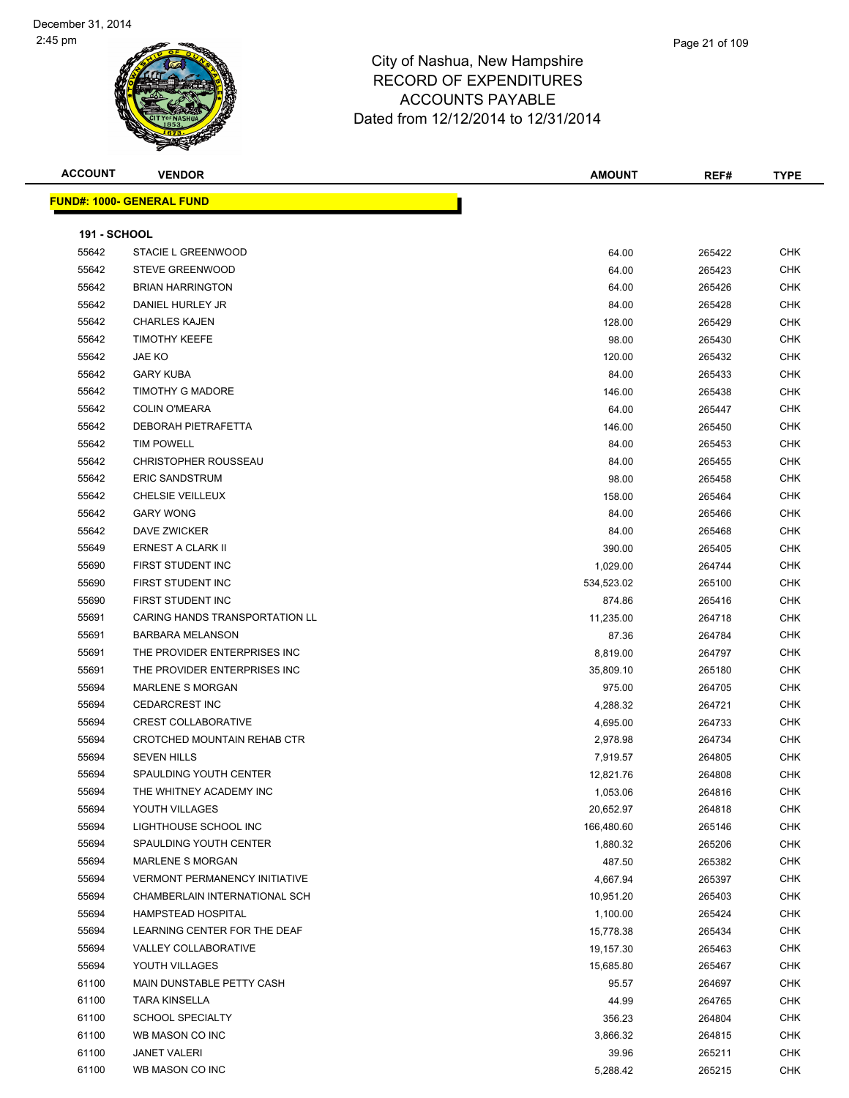

|   | Page 21 of 109 |
|---|----------------|
| € |                |

**ACCOUNT VENDOR AMOUNT REF# TYPE**

|                     | <b>FUND#: 1000- GENERAL FUND</b>     |            |        |            |
|---------------------|--------------------------------------|------------|--------|------------|
| <b>191 - SCHOOL</b> |                                      |            |        |            |
| 55642               | STACIE L GREENWOOD                   | 64.00      | 265422 | CHK        |
| 55642               | <b>STEVE GREENWOOD</b>               | 64.00      | 265423 | CHK        |
| 55642               | <b>BRIAN HARRINGTON</b>              | 64.00      | 265426 | CHK        |
| 55642               | DANIEL HURLEY JR                     | 84.00      | 265428 | CHK        |
| 55642               | <b>CHARLES KAJEN</b>                 | 128.00     | 265429 | CHK        |
| 55642               | <b>TIMOTHY KEEFE</b>                 | 98.00      | 265430 | CHK        |
| 55642               | JAE KO                               | 120.00     | 265432 | CHK        |
| 55642               | <b>GARY KUBA</b>                     | 84.00      | 265433 | <b>CHK</b> |
| 55642               | TIMOTHY G MADORE                     | 146.00     | 265438 | CHK        |
| 55642               | <b>COLIN O'MEARA</b>                 | 64.00      | 265447 | <b>CHK</b> |
| 55642               | DEBORAH PIETRAFETTA                  | 146.00     | 265450 | <b>CHK</b> |
| 55642               | <b>TIM POWELL</b>                    | 84.00      | 265453 | <b>CHK</b> |
| 55642               | <b>CHRISTOPHER ROUSSEAU</b>          | 84.00      | 265455 | <b>CHK</b> |
| 55642               | <b>ERIC SANDSTRUM</b>                | 98.00      | 265458 | CHK        |
| 55642               | CHELSIE VEILLEUX                     | 158.00     | 265464 | <b>CHK</b> |
| 55642               | <b>GARY WONG</b>                     | 84.00      | 265466 | <b>CHK</b> |
| 55642               | DAVE ZWICKER                         | 84.00      | 265468 | CHK        |
| 55649               | ERNEST A CLARK II                    | 390.00     | 265405 | CHK        |
| 55690               | FIRST STUDENT INC                    | 1,029.00   | 264744 | CHK        |
| 55690               | FIRST STUDENT INC                    | 534,523.02 | 265100 | CHK        |
| 55690               | FIRST STUDENT INC                    | 874.86     | 265416 | <b>CHK</b> |
| 55691               | CARING HANDS TRANSPORTATION LL       | 11,235.00  | 264718 | <b>CHK</b> |
| 55691               | <b>BARBARA MELANSON</b>              | 87.36      | 264784 | CHK        |
| 55691               | THE PROVIDER ENTERPRISES INC         | 8,819.00   | 264797 | CHK        |
| 55691               | THE PROVIDER ENTERPRISES INC         | 35,809.10  | 265180 | CHK        |
| 55694               | <b>MARLENE S MORGAN</b>              | 975.00     | 264705 | CHK        |
| 55694               | <b>CEDARCREST INC</b>                | 4,288.32   | 264721 | CHK        |
| 55694               | <b>CREST COLLABORATIVE</b>           | 4,695.00   | 264733 | CHK        |
| 55694               | CROTCHED MOUNTAIN REHAB CTR          | 2,978.98   | 264734 | CHK        |
| 55694               | <b>SEVEN HILLS</b>                   | 7,919.57   | 264805 | CHK        |
| 55694               | SPAULDING YOUTH CENTER               | 12,821.76  | 264808 | CHK        |
| 55694               | THE WHITNEY ACADEMY INC              | 1,053.06   | 264816 | <b>CHK</b> |
| 55694               | YOUTH VILLAGES                       | 20,652.97  | 264818 | <b>CHK</b> |
| 55694               | LIGHTHOUSE SCHOOL INC                | 166,480.60 | 265146 | CHK        |
| 55694               | SPAULDING YOUTH CENTER               | 1,880.32   | 265206 | <b>CHK</b> |
| 55694               | <b>MARLENE S MORGAN</b>              | 487.50     | 265382 | <b>CHK</b> |
| 55694               | <b>VERMONT PERMANENCY INITIATIVE</b> | 4,667.94   | 265397 | <b>CHK</b> |
| 55694               | CHAMBERLAIN INTERNATIONAL SCH        | 10,951.20  | 265403 | <b>CHK</b> |
| 55694               | HAMPSTEAD HOSPITAL                   | 1,100.00   | 265424 | CHK        |
| 55694               | LEARNING CENTER FOR THE DEAF         | 15,778.38  | 265434 | CHK        |
| 55694               | VALLEY COLLABORATIVE                 | 19,157.30  | 265463 | CHK        |
| 55694               | YOUTH VILLAGES                       | 15,685.80  | 265467 | CHK        |
| 61100               | MAIN DUNSTABLE PETTY CASH            | 95.57      | 264697 | CHK        |
| 61100               | <b>TARA KINSELLA</b>                 | 44.99      | 264765 | CHK        |
| 61100               | <b>SCHOOL SPECIALTY</b>              | 356.23     | 264804 | CHK        |
| 61100               | WB MASON CO INC                      | 3,866.32   | 264815 | <b>CHK</b> |
| 61100               | <b>JANET VALERI</b>                  | 39.96      | 265211 | CHK        |
| 61100               | WB MASON CO INC                      | 5,288.42   | 265215 | <b>CHK</b> |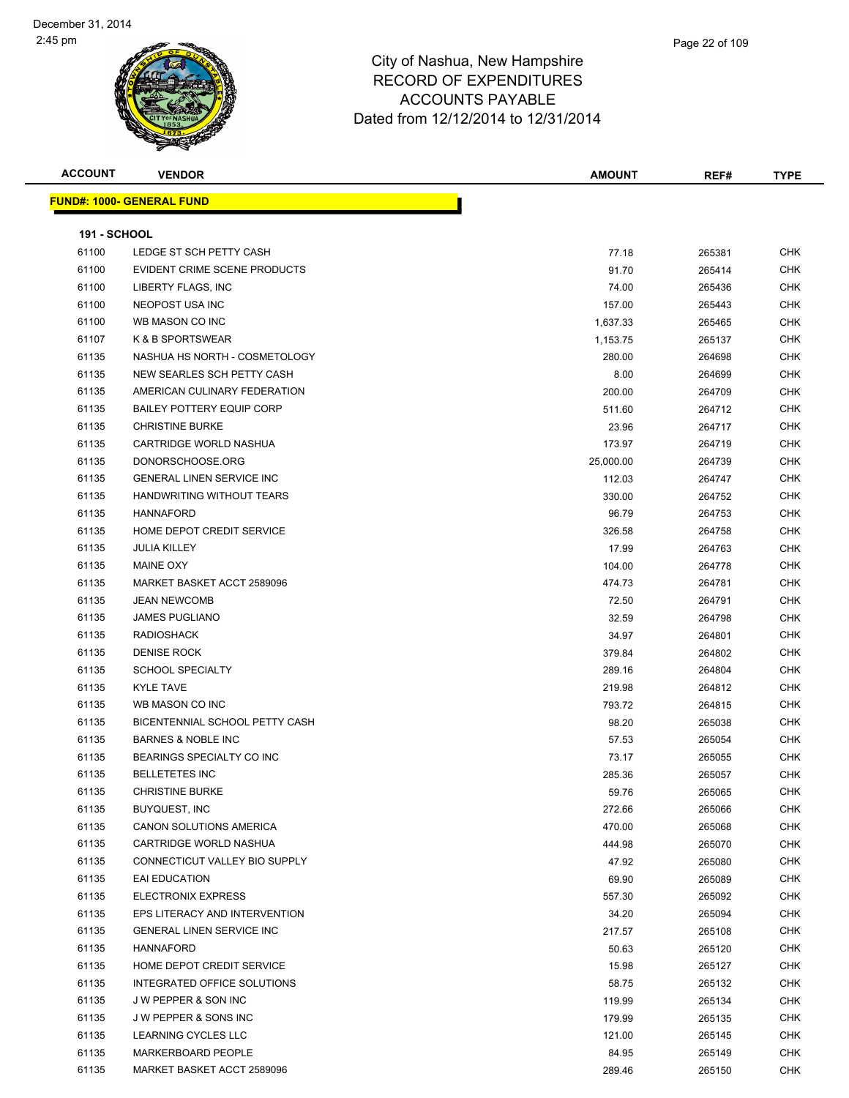| Page 22 of 109 |  |
|----------------|--|
|                |  |
|                |  |

| <b>ACCOUNT</b>      | <b>VENDOR</b>                    | <b>AMOUNT</b> | REF#   | <b>TYPE</b> |
|---------------------|----------------------------------|---------------|--------|-------------|
|                     | <b>FUND#: 1000- GENERAL FUND</b> |               |        |             |
|                     |                                  |               |        |             |
| <b>191 - SCHOOL</b> |                                  |               |        |             |
| 61100               | LEDGE ST SCH PETTY CASH          | 77.18         | 265381 | <b>CHK</b>  |
| 61100               | EVIDENT CRIME SCENE PRODUCTS     | 91.70         | 265414 | <b>CHK</b>  |
| 61100               | LIBERTY FLAGS, INC               | 74.00         | 265436 | <b>CHK</b>  |
| 61100               | NEOPOST USA INC                  | 157.00        | 265443 | <b>CHK</b>  |
| 61100               | WB MASON CO INC                  | 1,637.33      | 265465 | <b>CHK</b>  |
| 61107               | K & B SPORTSWEAR                 | 1,153.75      | 265137 | <b>CHK</b>  |
| 61135               | NASHUA HS NORTH - COSMETOLOGY    | 280.00        | 264698 | <b>CHK</b>  |
| 61135               | NEW SEARLES SCH PETTY CASH       | 8.00          | 264699 | <b>CHK</b>  |
| 61135               | AMERICAN CULINARY FEDERATION     | 200.00        | 264709 | CHK         |
| 61135               | <b>BAILEY POTTERY EQUIP CORP</b> | 511.60        | 264712 | CHK         |
| 61135               | <b>CHRISTINE BURKE</b>           | 23.96         | 264717 | CHK         |
| 61135               | CARTRIDGE WORLD NASHUA           | 173.97        | 264719 | CHK         |
| 61135               | DONORSCHOOSE.ORG                 | 25,000.00     | 264739 | CHK         |
| 61135               | <b>GENERAL LINEN SERVICE INC</b> | 112.03        | 264747 | <b>CHK</b>  |
| 61135               | HANDWRITING WITHOUT TEARS        | 330.00        | 264752 | <b>CHK</b>  |
| 61135               | <b>HANNAFORD</b>                 | 96.79         | 264753 | CHK         |
| 61135               | HOME DEPOT CREDIT SERVICE        | 326.58        | 264758 | CHK         |
| 61135               | <b>JULIA KILLEY</b>              | 17.99         | 264763 | <b>CHK</b>  |
| 61135               | <b>MAINE OXY</b>                 | 104.00        | 264778 | <b>CHK</b>  |
| 61135               | MARKET BASKET ACCT 2589096       | 474.73        | 264781 | CHK         |
| 61135               | <b>JEAN NEWCOMB</b>              | 72.50         | 264791 | CHK         |
| 61135               | <b>JAMES PUGLIANO</b>            | 32.59         | 264798 | CHK         |
| 61135               | <b>RADIOSHACK</b>                | 34.97         | 264801 | CHK         |
| 61135               | <b>DENISE ROCK</b>               | 379.84        | 264802 | <b>CHK</b>  |
| 61135               | <b>SCHOOL SPECIALTY</b>          | 289.16        | 264804 | <b>CHK</b>  |
| 61135               | <b>KYLE TAVE</b>                 | 219.98        | 264812 | CHK         |
| 61135               | WB MASON CO INC                  | 793.72        | 264815 | <b>CHK</b>  |
| 61135               | BICENTENNIAL SCHOOL PETTY CASH   | 98.20         | 265038 | <b>CHK</b>  |
| 61135               | <b>BARNES &amp; NOBLE INC</b>    | 57.53         | 265054 | <b>CHK</b>  |
| 61135               | BEARINGS SPECIALTY CO INC        | 73.17         | 265055 | CHK         |
| 61135               | <b>BELLETETES INC</b>            | 285.36        | 265057 | <b>CHK</b>  |
| 61135               | <b>CHRISTINE BURKE</b>           | 59.76         | 265065 | CHK         |
| 61135               | <b>BUYQUEST, INC</b>             | 272.66        | 265066 | <b>CHK</b>  |
| 61135               | CANON SOLUTIONS AMERICA          | 470.00        | 265068 | <b>CHK</b>  |
| 61135               | CARTRIDGE WORLD NASHUA           | 444.98        | 265070 | <b>CHK</b>  |
| 61135               | CONNECTICUT VALLEY BIO SUPPLY    | 47.92         | 265080 | <b>CHK</b>  |
| 61135               | EAI EDUCATION                    | 69.90         | 265089 | CHK         |
| 61135               | <b>ELECTRONIX EXPRESS</b>        | 557.30        | 265092 | <b>CHK</b>  |
| 61135               | EPS LITERACY AND INTERVENTION    | 34.20         | 265094 | CHK         |
| 61135               | <b>GENERAL LINEN SERVICE INC</b> | 217.57        | 265108 | CHK         |
| 61135               | <b>HANNAFORD</b>                 | 50.63         | 265120 | <b>CHK</b>  |
| 61135               | HOME DEPOT CREDIT SERVICE        | 15.98         | 265127 | CHK         |
| 61135               | INTEGRATED OFFICE SOLUTIONS      | 58.75         | 265132 | CHK         |
| 61135               | J W PEPPER & SON INC             | 119.99        | 265134 | CHK         |
| 61135               | J W PEPPER & SONS INC            | 179.99        | 265135 | CHK         |
| 61135               | LEARNING CYCLES LLC              | 121.00        | 265145 | CHK         |
| 61135               | MARKERBOARD PEOPLE               | 84.95         | 265149 | <b>CHK</b>  |
| 61135               | MARKET BASKET ACCT 2589096       | 289.46        | 265150 | <b>CHK</b>  |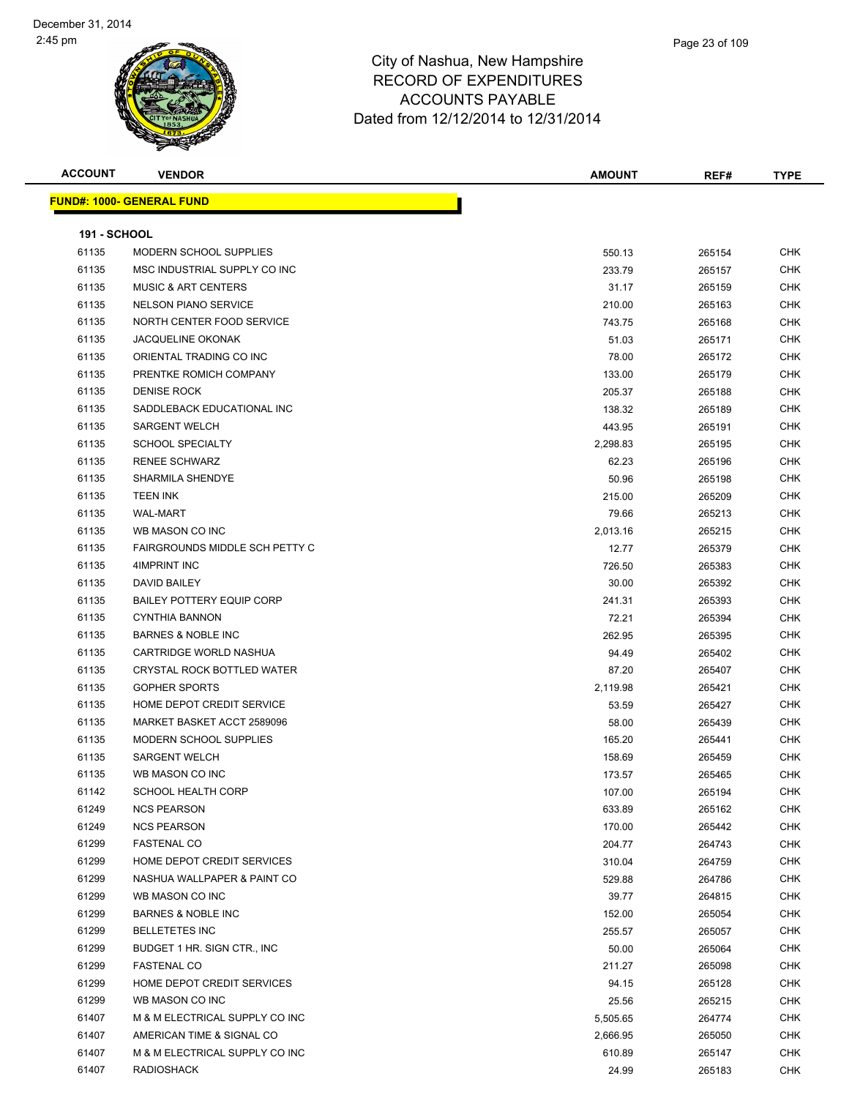**FUND#: 1000-**

#### City of Nashua, New Hampshire RECORD OF EXPENDITURES ACCOUNTS PAYABLE Dated from 12/12/2014 to 12/31/2014

| <b>ACCOUNT</b>      | <b>VENDOR</b>                    | <b>AMOUNT</b> | REF#             | <b>TYPE</b> |
|---------------------|----------------------------------|---------------|------------------|-------------|
|                     | <u> IND#: 1000- GENERAL FUND</u> |               |                  |             |
|                     |                                  |               |                  |             |
| <b>191 - SCHOOL</b> |                                  |               |                  |             |
| 61135               | <b>MODERN SCHOOL SUPPLIES</b>    | 550.13        | 265154           | <b>CHK</b>  |
| 61135               | MSC INDUSTRIAL SUPPLY CO INC     | 233.79        | 265157           | CHK         |
| 61135               | <b>MUSIC &amp; ART CENTERS</b>   | 31.17         | 265159           | <b>CHK</b>  |
| 61135               | <b>NELSON PIANO SERVICE</b>      | 210.00        | 265163           | <b>CHK</b>  |
| 61135               | NORTH CENTER FOOD SERVICE        | 743.75        | 265168           | <b>CHK</b>  |
| 61135               | <b>JACQUELINE OKONAK</b>         | 51.03         | 265171           | <b>CHK</b>  |
| 61135               | ORIENTAL TRADING CO INC          | 78.00         | 265172           | <b>CHK</b>  |
| 61135               | PRENTKE ROMICH COMPANY           | 133.00        | 265179           | <b>CHK</b>  |
| 61135               | <b>DENISE ROCK</b>               | 205.37        | 265188           | <b>CHK</b>  |
| 61135               | SADDLEBACK EDUCATIONAL INC       | 138.32        | 265189           | <b>CHK</b>  |
| 61135               | <b>SARGENT WELCH</b>             | 443.95        | 265191           | <b>CHK</b>  |
| 61135               | <b>SCHOOL SPECIALTY</b>          | 2,298.83      | 265195           | <b>CHK</b>  |
| 61135               | <b>RENEE SCHWARZ</b>             | 62.23         | 265196           | <b>CHK</b>  |
| 61135               | <b>SHARMILA SHENDYE</b>          | 50.96         | 265198           | <b>CHK</b>  |
| 61135               | <b>TEEN INK</b>                  | 215.00        | 265209           | <b>CHK</b>  |
| 61135               | <b>WAL-MART</b>                  | 79.66         | 265213           | <b>CHK</b>  |
| 61135               | WB MASON CO INC                  | 2,013.16      | 265215           | <b>CHK</b>  |
| 61135               | FAIRGROUNDS MIDDLE SCH PETTY C   | 12.77         | 265379           | <b>CHK</b>  |
| 61135               | 4IMPRINT INC                     | 726.50        | 265383           | <b>CHK</b>  |
| 61135               | DAVID BAILEY                     | 30.00         | 265392           | <b>CHK</b>  |
| 61135               | <b>BAILEY POTTERY EQUIP CORP</b> | 241.31        | 265393           | <b>CHK</b>  |
| 61135               | CYNTHIA BANNON                   | 72.21         | 265394           | <b>CHK</b>  |
| 61135               | <b>BARNES &amp; NOBLE INC</b>    | 262.95        | 265395           | <b>CHK</b>  |
| 61135               | CARTRIDGE WORLD NASHUA           | 94.49         | 265402           | <b>CHK</b>  |
| 61135               | CRYSTAL ROCK BOTTLED WATER       | 87.20         | 265407           | <b>CHK</b>  |
| 61135               | <b>GOPHER SPORTS</b>             | 2,119.98      | 265421           | <b>CHK</b>  |
| 61135               | HOME DEPOT CREDIT SERVICE        | 53.59         | 265427           | <b>CHK</b>  |
| 61135               | MARKET BASKET ACCT 2589096       | 58.00         | 265439           | <b>CHK</b>  |
| 61135               | MODERN SCHOOL SUPPLIES           | 165.20        | 265441           | <b>CHK</b>  |
| 61135               | <b>SARGENT WELCH</b>             |               |                  | <b>CHK</b>  |
|                     | WB MASON CO INC                  | 158.69        | 265459<br>265465 | <b>CHK</b>  |
| 61135<br>61142      | SCHOOL HEALTH CORP               | 173.57        |                  | CHK         |
|                     |                                  | 107.00        | 265194           |             |
| 61249               | <b>NCS PEARSON</b>               | 633.89        | 265162           | CHK         |
| 61249               | <b>NCS PEARSON</b>               | 170.00        | 265442           | <b>CHK</b>  |
| 61299               | <b>FASTENAL CO</b>               | 204.77        | 264743           | <b>CHK</b>  |
| 61299               | HOME DEPOT CREDIT SERVICES       | 310.04        | 264759           | <b>CHK</b>  |
| 61299               | NASHUA WALLPAPER & PAINT CO      | 529.88        | 264786           | <b>CHK</b>  |
| 61299               | WB MASON CO INC                  | 39.77         | 264815           | <b>CHK</b>  |
| 61299               | <b>BARNES &amp; NOBLE INC</b>    | 152.00        | 265054           | <b>CHK</b>  |
| 61299               | <b>BELLETETES INC</b>            | 255.57        | 265057           | <b>CHK</b>  |
| 61299               | BUDGET 1 HR. SIGN CTR., INC      | 50.00         | 265064           | <b>CHK</b>  |
| 61299               | <b>FASTENAL CO</b>               | 211.27        | 265098           | <b>CHK</b>  |
| 61299               | HOME DEPOT CREDIT SERVICES       | 94.15         | 265128           | <b>CHK</b>  |
| 61299               | WB MASON CO INC                  | 25.56         | 265215           | <b>CHK</b>  |
| 61407               | M & M ELECTRICAL SUPPLY CO INC   | 5,505.65      | 264774           | <b>CHK</b>  |
| 61407               | AMERICAN TIME & SIGNAL CO        | 2,666.95      | 265050           | <b>CHK</b>  |

 M & M ELECTRICAL SUPPLY CO INC 610.89 265147 CHK RADIOSHACK 24.99 265183 CHK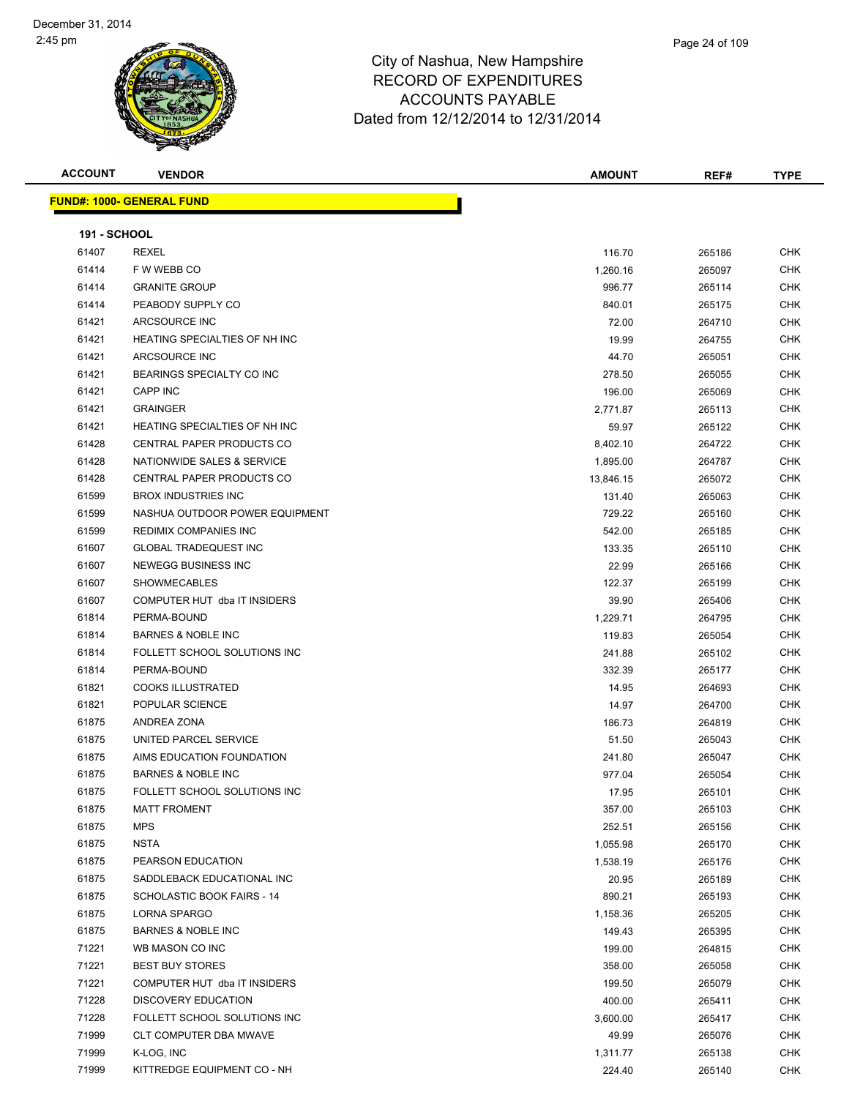

**ACCOUNT VENDOR AMOUNT REF# TYPE**

**FUND#: 1000- GENERAL FUND 191 - SCHOOL** REXEL 116.70 265186 CHK F W WEBB CO 1,260.16 265097 CHK GRANITE GROUP 996.77 265114 CHK er and the Marian PEABODY SUPPLY CO and the Superior of the State of the State of the State of the State of the State of the State of the State of the State of the State of the State of the State of the State of the State ARCSOURCE INC 72.00 264710 CHK HEATING SPECIALTIES OF NH INC 19.99 264755 CHK ARCSOURCE INC 44.70 265051 CHK BEARINGS SPECIALTY CO INC 278.50 265055 CHK CAPP INC 196.00 265069 CHK GRAINGER 2,771.87 265113 CHK 61421 HEATING SPECIALTIES OF NH INC **1990 SECOND STATES AND STATES OF STATES ASSESS** OF METHOD STATES OF NH INC CENTRAL PAPER PRODUCTS CO 8,402.10 264722 CHK er 1.895.00 1.895.00 NATIONWIDE SALES & SERVICE And the contract of the contract of the contract of the contract of the contract of the contract of the contract of the contract of the contract of the contract of the contra 61428 CENTRAL PAPER PRODUCTS CO **13,846.15** 265072 CHK BROX INDUSTRIES INC 131.40 265063 CHK 61599 NASHUA OUTDOOR POWER EQUIPMENT CHARGE 1999 CHK CHARGE 1999 2004 265160 CHK 61599 REDIMIX COMPANIES INC 66 No. 2005 12:00 265185 CHK GLOBAL TRADEQUEST INC 133.35 265110 CHK NEWEGG BUSINESS INC 22.99 265166 CHK SHOWMECABLES 122.37 265199 CHK COMPUTER HUT dba IT INSIDERS 39.90 265406 CHK PERMA-BOUND 1,229.71 264795 CHK BARNES & NOBLE INC 119.83 265054 CHK FOLLETT SCHOOL SOLUTIONS INC 241.88 265102 CHK PERMA-BOUND 332.39 265177 CHK COOKS ILLUSTRATED 14.95 264693 CHK POPULAR SCIENCE 14.97 264700 CHK ANDREA ZONA 186.73 264819 CHK 61875 UNITED PARCEL SERVICE **Finally and the CHK Service CHK** ST.50 265043 CHK AIMS EDUCATION FOUNDATION 241.80 265047 CHK BARNES & NOBLE INC 977.04 265054 CHK FOLLETT SCHOOL SOLUTIONS INC 17.95 265101 CHK MATT FROMENT 357.00 265103 CHK MPS 252.51 265156 CHK

 NSTA 1,055.98 265170 CHK PEARSON EDUCATION 1,538.19 265176 CHK SADDLEBACK EDUCATIONAL INC 20.95 265189 CHK 61875 SCHOLASTIC BOOK FAIRS - 14 890.21 265193 CHK LORNA SPARGO 1,158.36 265205 CHK BARNES & NOBLE INC 149.43 265395 CHK The State of the MASON CO INC 199.00 264815 CHK BEST BUY STORES 358.00 265058 CHK COMPUTER HUT dba IT INSIDERS 199.50 265079 CHK DISCOVERY EDUCATION 400.00 265411 CHK FOLLETT SCHOOL SOLUTIONS INC 3,600.00 265417 CHK CLT COMPUTER DBA MWAVE 49.99 265076 CHK K-LOG, INC 1,311.77 265138 CHK KITTREDGE EQUIPMENT CO - NH 224.40 265140 CHK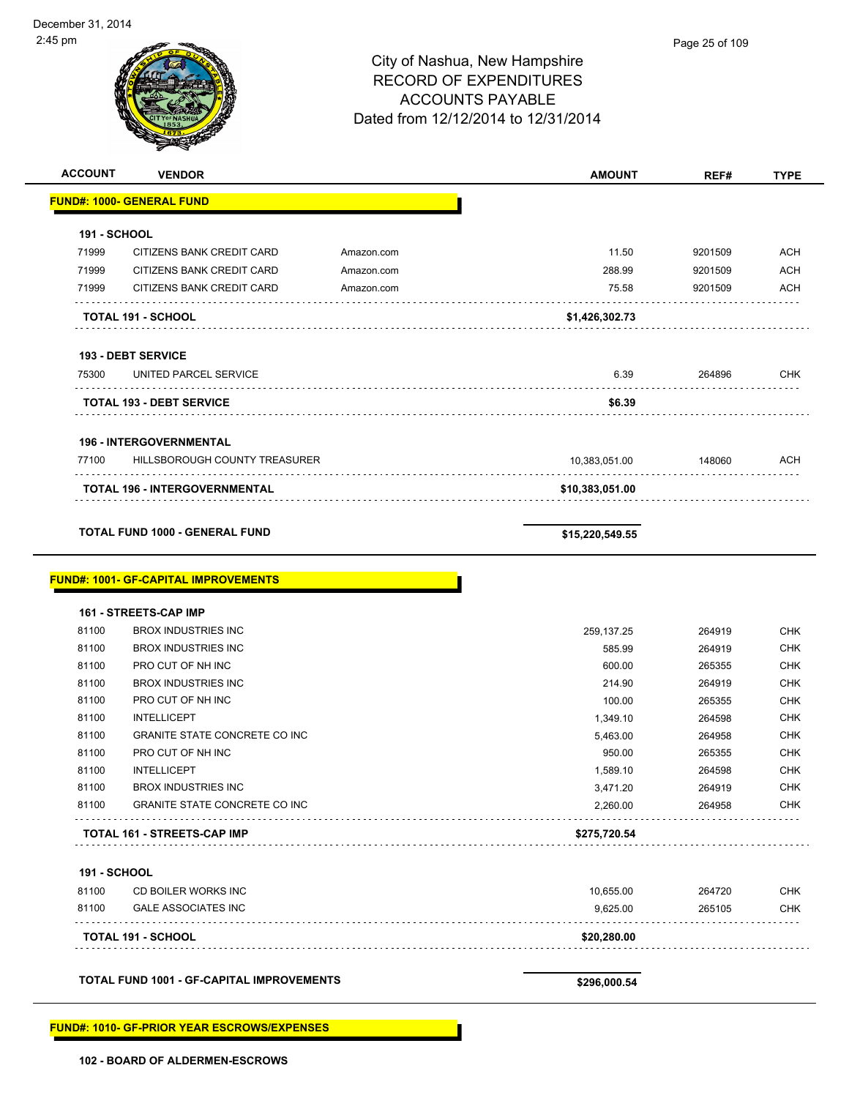| <b>ACCOUNT</b>      | <b>VENDOR</b>                               |            | <b>AMOUNT</b>   | REF#    | <b>TYPE</b> |
|---------------------|---------------------------------------------|------------|-----------------|---------|-------------|
|                     | <b>FUND#: 1000- GENERAL FUND</b>            |            |                 |         |             |
| 191 - SCHOOL        |                                             |            |                 |         |             |
| 71999               | CITIZENS BANK CREDIT CARD                   | Amazon.com | 11.50           | 9201509 | <b>ACH</b>  |
| 71999               | CITIZENS BANK CREDIT CARD                   | Amazon.com | 288.99          | 9201509 | <b>ACH</b>  |
| 71999               | CITIZENS BANK CREDIT CARD                   | Amazon.com | 75.58           | 9201509 | <b>ACH</b>  |
|                     | <b>TOTAL 191 - SCHOOL</b>                   |            | \$1,426,302.73  |         |             |
|                     | <b>193 - DEBT SERVICE</b>                   |            |                 |         |             |
| 75300               | UNITED PARCEL SERVICE<br>.                  |            | 6.39            | 264896  | <b>CHK</b>  |
|                     | <b>TOTAL 193 - DEBT SERVICE</b>             |            | \$6.39          |         |             |
|                     | <b>196 - INTERGOVERNMENTAL</b>              |            |                 |         |             |
| 77100               | HILLSBOROUGH COUNTY TREASURER               |            | 10,383,051.00   | 148060  | ACH         |
|                     | TOTAL 196 - INTERGOVERNMENTAL               |            | \$10,383,051.00 |         |             |
|                     | <b>TOTAL FUND 1000 - GENERAL FUND</b>       |            | \$15,220,549.55 |         |             |
|                     | <b>FUND#: 1001- GF-CAPITAL IMPROVEMENTS</b> |            |                 |         |             |
|                     | 161 - STREETS-CAP IMP                       |            |                 |         |             |
| 81100               | <b>BROX INDUSTRIES INC</b>                  |            | 259, 137. 25    | 264919  | <b>CHK</b>  |
| 81100               | <b>BROX INDUSTRIES INC</b>                  |            | 585.99          | 264919  | <b>CHK</b>  |
| 81100               | PRO CUT OF NH INC                           |            | 600.00          | 265355  | <b>CHK</b>  |
| 81100               | <b>BROX INDUSTRIES INC</b>                  |            | 214.90          | 264919  | <b>CHK</b>  |
| 81100               | PRO CUT OF NH INC                           |            | 100.00          | 265355  | <b>CHK</b>  |
| 81100               | <b>INTELLICEPT</b>                          |            | 1,349.10        | 264598  | <b>CHK</b>  |
| 81100               | <b>GRANITE STATE CONCRETE CO INC</b>        |            | 5,463.00        | 264958  | <b>CHK</b>  |
| 81100               | PRO CUT OF NH INC                           |            | 950.00          | 265355  | <b>CHK</b>  |
| 81100               | <b>INTELLICEPT</b>                          |            | 1,589.10        | 264598  | <b>CHK</b>  |
| 81100               | <b>BROX INDUSTRIES INC</b>                  |            | 3,471.20        | 264919  | CHK         |
| 81100               | <b>GRANITE STATE CONCRETE CO INC</b>        |            | 2,260.00        | 264958  | <b>CHK</b>  |
|                     | TOTAL 161 - STREETS-CAP IMP                 |            | \$275,720.54    |         |             |
| <b>191 - SCHOOL</b> |                                             |            |                 |         |             |
| 81100               | CD BOILER WORKS INC                         |            | 10,655.00       | 264720  | <b>CHK</b>  |
| 81100               | <b>GALE ASSOCIATES INC</b>                  |            | 9,625.00        | 265105  | <b>CHK</b>  |
|                     | TOTAL 191 - SCHOOL                          |            | \$20,280.00     |         |             |

**TOTAL FUND 1001 - GF-CAPITAL IMPROVEMENTS \$296,000.54**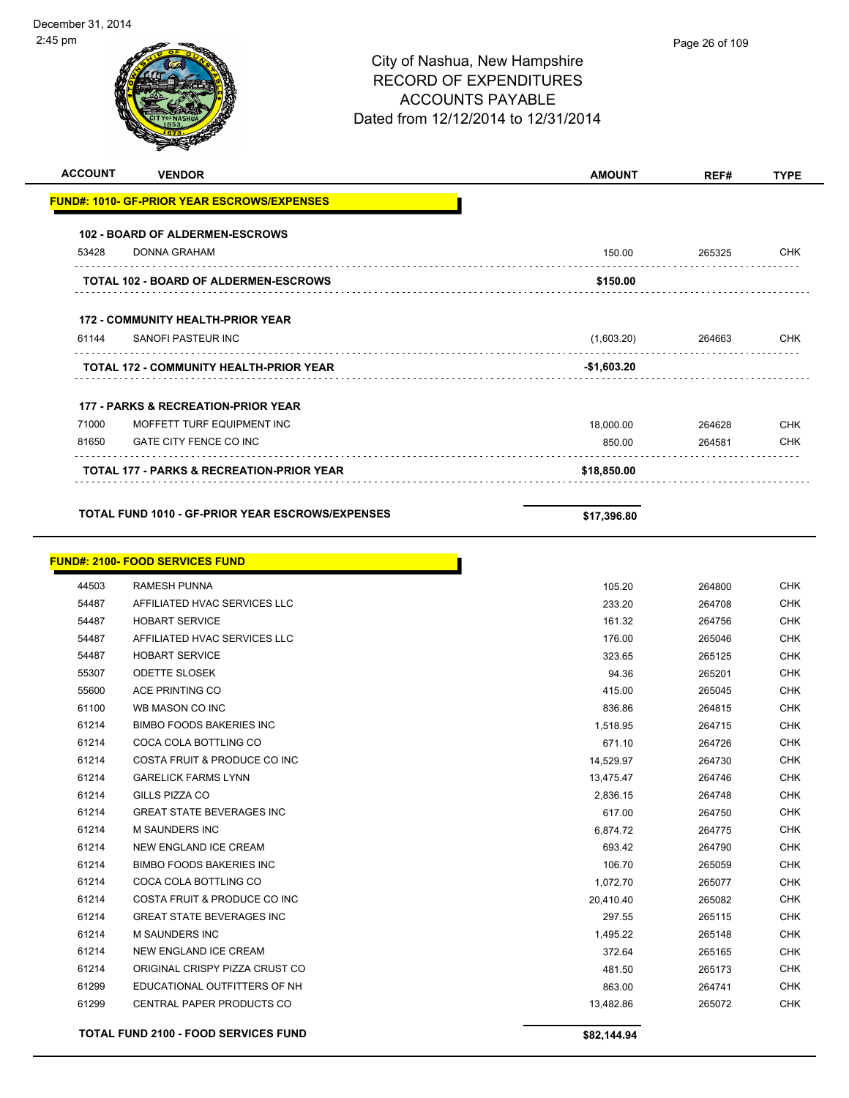| <b>ACCOUNT</b> | <b>VENDOR</b>                                       | <b>AMOUNT</b> | REF#   | <b>TYPE</b> |
|----------------|-----------------------------------------------------|---------------|--------|-------------|
|                | <u> FUND#: 1010- GF-PRIOR YEAR ESCROWS/EXPENSES</u> |               |        |             |
|                | <b>102 - BOARD OF ALDERMEN-ESCROWS</b>              |               |        |             |
| 53428          | <b>DONNA GRAHAM</b>                                 | 150.00        | 265325 | CHK         |
|                | TOTAL 102 - BOARD OF ALDERMEN-ESCROWS               | \$150.00      |        |             |
|                | <b>172 - COMMUNITY HEALTH-PRIOR YEAR</b>            |               |        |             |
| 61144          | SANOFI PASTEUR INC                                  | (1,603.20)    |        | CHK         |
|                |                                                     |               | 264663 |             |
|                | TOTAL 172 - COMMUNITY HEALTH-PRIOR YEAR             | -\$1,603.20   |        |             |
|                | <b>177 - PARKS &amp; RECREATION-PRIOR YEAR</b>      |               |        |             |
| 71000          | MOFFETT TURF EQUIPMENT INC                          | 18,000.00     | 264628 | CHK         |
| 81650          | GATE CITY FENCE CO INC                              | 850.00        | 264581 | <b>CHK</b>  |
|                | TOTAL 177 - PARKS & RECREATION-PRIOR YEAR           | \$18,850.00   |        |             |
|                |                                                     |               |        |             |
|                | TOTAL FUND 1010 - GF-PRIOR YEAR ESCROWS/EXPENSES    | \$17,396.80   |        |             |
|                | <u> FUND#: 2100- FOOD SERVICES FUND</u>             |               |        |             |
| 44503          | <b>RAMESH PUNNA</b>                                 | 105.20        | 264800 | <b>CHK</b>  |
| 54487          | AFFILIATED HVAC SERVICES LLC                        | 233.20        | 264708 | <b>CHK</b>  |
| 54487          | <b>HOBART SERVICE</b>                               | 161.32        | 264756 | <b>CHK</b>  |
| 54487          | AFFILIATED HVAC SERVICES LLC                        | 176.00        | 265046 | <b>CHK</b>  |
| 54487          | <b>HOBART SERVICE</b>                               | 323.65        | 265125 | <b>CHK</b>  |
| 55307          | <b>ODETTE SLOSEK</b>                                | 94.36         | 265201 | <b>CHK</b>  |
| 55600          | ACE PRINTING CO                                     | 415.00        | 265045 | <b>CHK</b>  |
| 61100          | WB MASON CO INC                                     | 836.86        | 264815 | <b>CHK</b>  |
| 61214          | <b>BIMBO FOODS BAKERIES INC</b>                     | 1,518.95      | 264715 | <b>CHK</b>  |
| 61214          | COCA COLA BOTTLING CO                               | 671.10        | 264726 | CHK         |
| 61214          | COSTA FRUIT & PRODUCE CO INC                        | 14,529.97     | 264730 | CHK         |
| 61214          | <b>GARELICK FARMS LYNN</b>                          | 13,475.47     | 264746 | <b>CHK</b>  |
| 61214          | GILLS PIZZA CO                                      | 2,836.15      | 264748 | <b>CHK</b>  |
| 61214          | <b>GREAT STATE BEVERAGES INC</b>                    | 617.00        | 264750 | <b>CHK</b>  |
| 61214          | <b>M SAUNDERS INC</b>                               | 6,874.72      | 264775 | <b>CHK</b>  |
| 61214          | NEW ENGLAND ICE CREAM                               | 693.42        | 264790 | <b>CHK</b>  |
| 61214          | <b>BIMBO FOODS BAKERIES INC</b>                     | 106.70        | 265059 | <b>CHK</b>  |
| 61214          | COCA COLA BOTTLING CO                               | 1,072.70      | 265077 | <b>CHK</b>  |
| 61214          | COSTA FRUIT & PRODUCE CO INC                        | 20,410.40     | 265082 | <b>CHK</b>  |
| 61214          | <b>GREAT STATE BEVERAGES INC</b>                    | 297.55        | 265115 | <b>CHK</b>  |
| 61214          | <b>M SAUNDERS INC</b>                               | 1,495.22      | 265148 | <b>CHK</b>  |
| 61214          | NEW ENGLAND ICE CREAM                               | 372.64        | 265165 | <b>CHK</b>  |
| 61214          | ORIGINAL CRISPY PIZZA CRUST CO                      | 481.50        | 265173 | <b>CHK</b>  |
| 61299          | EDUCATIONAL OUTFITTERS OF NH                        | 863.00        | 264741 | <b>CHK</b>  |
| 61299          | CENTRAL PAPER PRODUCTS CO                           | 13,482.86     | 265072 | <b>CHK</b>  |
|                | <b>TOTAL FUND 2100 - FOOD SERVICES FUND</b>         | \$82,144.94   |        |             |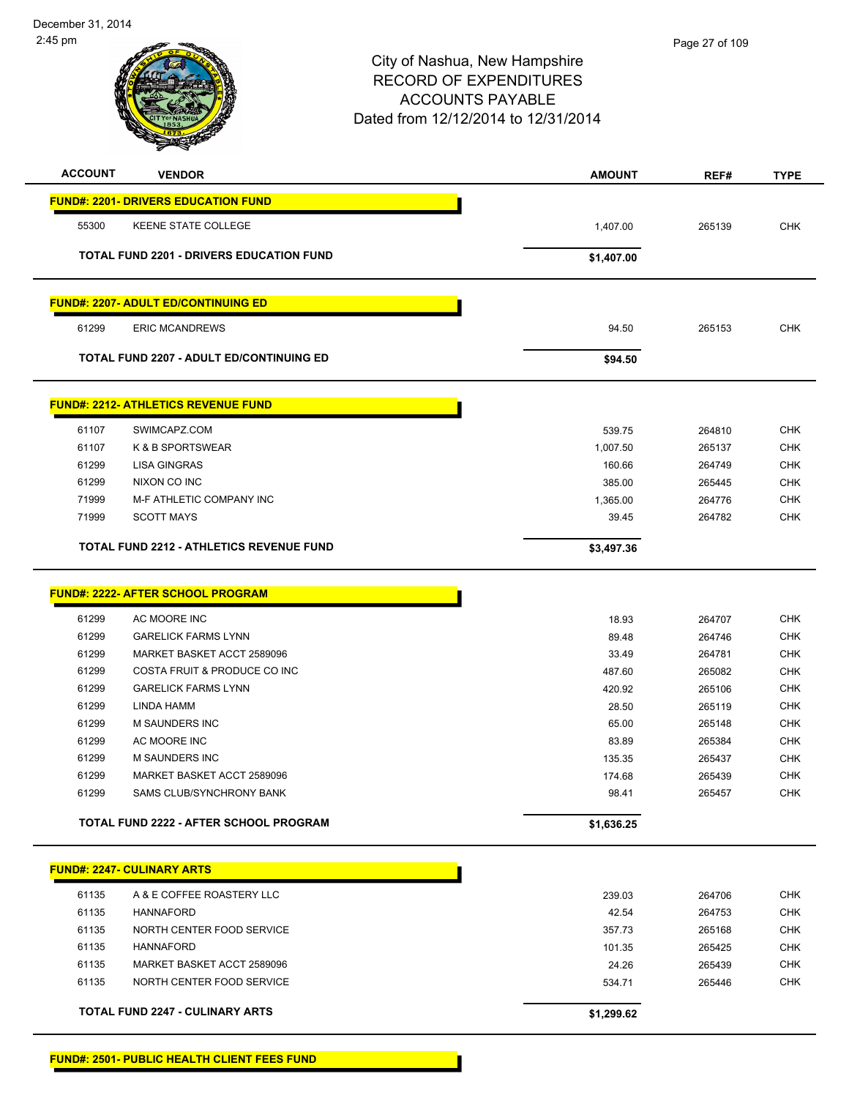

| <b>ACCOUNT</b> | <b>VENDOR</b>                                   | <b>AMOUNT</b>    | REF#             | <b>TYPE</b> |
|----------------|-------------------------------------------------|------------------|------------------|-------------|
|                | <b>FUND#: 2201- DRIVERS EDUCATION FUND</b>      |                  |                  |             |
| 55300          | KEENE STATE COLLEGE                             | 1,407.00         | 265139           | <b>CHK</b>  |
|                | TOTAL FUND 2201 - DRIVERS EDUCATION FUND        | \$1,407.00       |                  |             |
|                | <b>FUND#: 2207- ADULT ED/CONTINUING ED</b>      |                  |                  |             |
| 61299          | <b>ERIC MCANDREWS</b>                           | 94.50            | 265153           | CHK         |
|                | TOTAL FUND 2207 - ADULT ED/CONTINUING ED        | \$94.50          |                  |             |
|                |                                                 |                  |                  |             |
|                | <b>FUND#: 2212- ATHLETICS REVENUE FUND</b>      |                  |                  |             |
| 61107          | SWIMCAPZ.COM                                    | 539.75           | 264810           | <b>CHK</b>  |
| 61107          | <b>K &amp; B SPORTSWEAR</b>                     | 1,007.50         | 265137           | <b>CHK</b>  |
| 61299          | <b>LISA GINGRAS</b>                             | 160.66           | 264749           | <b>CHK</b>  |
| 61299          | NIXON CO INC                                    | 385.00           | 265445           | <b>CHK</b>  |
| 71999          | M-F ATHLETIC COMPANY INC                        | 1,365.00         | 264776           | <b>CHK</b>  |
| 71999          | <b>SCOTT MAYS</b>                               | 39.45            | 264782           | <b>CHK</b>  |
|                | <b>TOTAL FUND 2212 - ATHLETICS REVENUE FUND</b> | \$3,497.36       |                  |             |
|                | <b>FUND#: 2222- AFTER SCHOOL PROGRAM</b>        |                  |                  |             |
| 61299          | AC MOORE INC                                    |                  |                  | CHK         |
| 61299          | <b>GARELICK FARMS LYNN</b>                      | 18.93<br>89.48   | 264707<br>264746 | <b>CHK</b>  |
| 61299          | MARKET BASKET ACCT 2589096                      | 33.49            | 264781           | <b>CHK</b>  |
| 61299          | COSTA FRUIT & PRODUCE CO INC                    |                  | 265082           | <b>CHK</b>  |
| 61299          | <b>GARELICK FARMS LYNN</b>                      | 487.60<br>420.92 | 265106           | <b>CHK</b>  |
| 61299          | LINDA HAMM                                      | 28.50            | 265119           | <b>CHK</b>  |
| 61299          | <b>M SAUNDERS INC</b>                           | 65.00            | 265148           | <b>CHK</b>  |
| 61299          | AC MOORE INC                                    | 83.89            | 265384           | <b>CHK</b>  |
| 61299          | <b>M SAUNDERS INC</b>                           | 135.35           | 265437           | <b>CHK</b>  |
| 61299          | MARKET BASKET ACCT 2589096                      | 174.68           | 265439           | <b>CHK</b>  |
| 61299          | SAMS CLUB/SYNCHRONY BANK                        | 98.41            | 265457           | <b>CHK</b>  |
|                | <b>TOTAL FUND 2222 - AFTER SCHOOL PROGRAM</b>   | \$1,636.25       |                  |             |
|                |                                                 |                  |                  |             |
|                | <b>FUND#: 2247- CULINARY ARTS</b>               |                  |                  |             |
| 61135          | A & E COFFEE ROASTERY LLC                       | 239.03           | 264706           | <b>CHK</b>  |
| 61135          | <b>HANNAFORD</b>                                | 42.54            | 264753           | <b>CHK</b>  |
| 61135          | NORTH CENTER FOOD SERVICE                       | 357.73           | 265168           | <b>CHK</b>  |
| 61135          | <b>HANNAFORD</b>                                | 101.35           | 265425           | <b>CHK</b>  |
| 61135          | MARKET BASKET ACCT 2589096                      | 24.26            | 265439           | <b>CHK</b>  |
| 61135          | NORTH CENTER FOOD SERVICE                       | 534.71           | 265446           | <b>CHK</b>  |
|                | <b>TOTAL FUND 2247 - CULINARY ARTS</b>          | \$1,299.62       |                  |             |
|                |                                                 |                  |                  |             |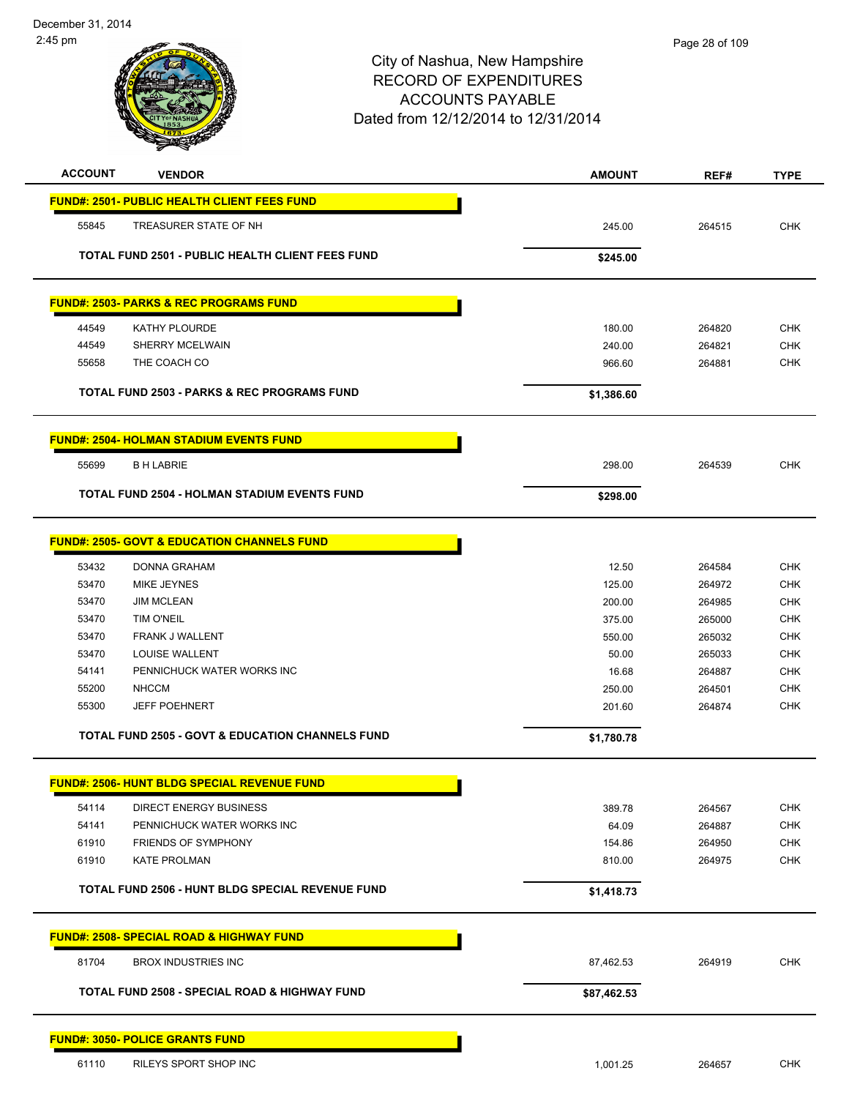| <b>ACCOUNT</b> | <b>VENDOR</b>                                               | <b>AMOUNT</b> | REF#   | <b>TYPE</b> |
|----------------|-------------------------------------------------------------|---------------|--------|-------------|
|                | <b>FUND#: 2501- PUBLIC HEALTH CLIENT FEES FUND</b>          |               |        |             |
| 55845          | TREASURER STATE OF NH                                       | 245.00        | 264515 | <b>CHK</b>  |
|                | <b>TOTAL FUND 2501 - PUBLIC HEALTH CLIENT FEES FUND</b>     | \$245.00      |        |             |
|                | <b>FUND#: 2503- PARKS &amp; REC PROGRAMS FUND</b>           |               |        |             |
| 44549          | <b>KATHY PLOURDE</b>                                        | 180.00        | 264820 | <b>CHK</b>  |
| 44549          | SHERRY MCELWAIN                                             | 240.00        | 264821 | CHK         |
| 55658          | THE COACH CO                                                | 966.60        | 264881 | <b>CHK</b>  |
|                | <b>TOTAL FUND 2503 - PARKS &amp; REC PROGRAMS FUND</b>      | \$1,386.60    |        |             |
|                | <b>FUND#: 2504- HOLMAN STADIUM EVENTS FUND</b>              |               |        |             |
| 55699          | <b>B H LABRIE</b>                                           | 298.00        | 264539 | <b>CHK</b>  |
|                | <b>TOTAL FUND 2504 - HOLMAN STADIUM EVENTS FUND</b>         | \$298.00      |        |             |
|                | <b>FUND#: 2505- GOVT &amp; EDUCATION CHANNELS FUND</b>      |               |        |             |
| 53432          | DONNA GRAHAM                                                | 12.50         | 264584 | <b>CHK</b>  |
| 53470          | <b>MIKE JEYNES</b>                                          | 125.00        | 264972 | CHK         |
| 53470          | <b>JIM MCLEAN</b>                                           | 200.00        | 264985 | <b>CHK</b>  |
| 53470          | <b>TIM O'NEIL</b>                                           | 375.00        | 265000 | <b>CHK</b>  |
| 53470          | FRANK J WALLENT                                             | 550.00        | 265032 | <b>CHK</b>  |
| 53470          | LOUISE WALLENT                                              | 50.00         | 265033 | <b>CHK</b>  |
| 54141          | PENNICHUCK WATER WORKS INC                                  | 16.68         | 264887 | <b>CHK</b>  |
| 55200          | <b>NHCCM</b>                                                | 250.00        | 264501 | <b>CHK</b>  |
| 55300          | <b>JEFF POEHNERT</b>                                        | 201.60        | 264874 | <b>CHK</b>  |
|                | <b>TOTAL FUND 2505 - GOVT &amp; EDUCATION CHANNELS FUND</b> | \$1,780.78    |        |             |
|                | <b>FUND#: 2506- HUNT BLDG SPECIAL REVENUE FUND</b>          |               |        |             |
| 54114          | <b>DIRECT ENERGY BUSINESS</b>                               | 389.78        | 264567 | <b>CHK</b>  |
| 54141          | PENNICHUCK WATER WORKS INC                                  | 64.09         | 264887 | CHK         |
| 61910          | <b>FRIENDS OF SYMPHONY</b>                                  | 154.86        | 264950 | <b>CHK</b>  |
| 61910          | <b>KATE PROLMAN</b>                                         | 810.00        | 264975 | <b>CHK</b>  |
|                | <b>TOTAL FUND 2506 - HUNT BLDG SPECIAL REVENUE FUND</b>     | \$1,418.73    |        |             |
|                | <b>FUND#: 2508- SPECIAL ROAD &amp; HIGHWAY FUND</b>         |               |        |             |
| 81704          | <b>BROX INDUSTRIES INC</b>                                  | 87,462.53     | 264919 | <b>CHK</b>  |
|                | <b>TOTAL FUND 2508 - SPECIAL ROAD &amp; HIGHWAY FUND</b>    | \$87,462.53   |        |             |
|                | <b>FUND#: 3050- POLICE GRANTS FUND</b>                      |               |        |             |
| 61110          | RILEYS SPORT SHOP INC                                       | 1,001.25      | 264657 | <b>CHK</b>  |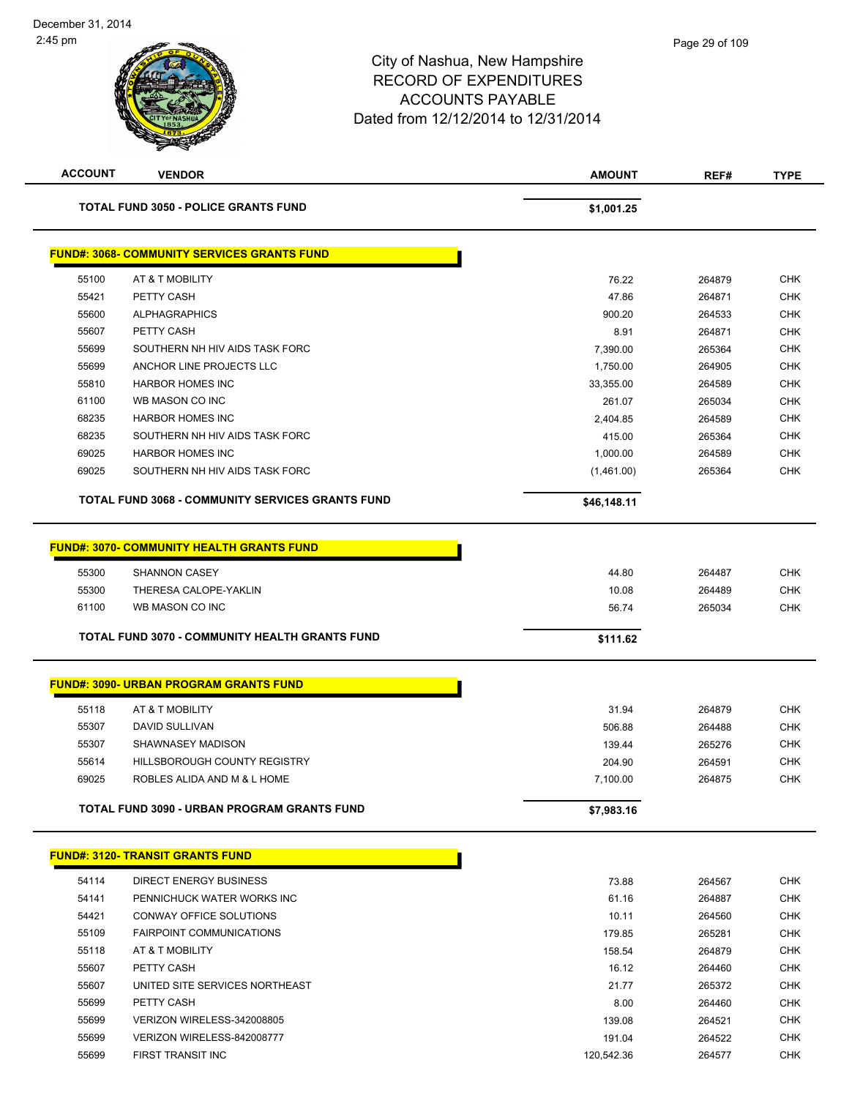| <b>ACCOUNT</b> | <b>VENDOR</b>                                           | <b>AMOUNT</b> | REF#   | <b>TYPE</b> |
|----------------|---------------------------------------------------------|---------------|--------|-------------|
|                | <b>TOTAL FUND 3050 - POLICE GRANTS FUND</b>             | \$1,001.25    |        |             |
|                | <b>FUND#: 3068- COMMUNITY SERVICES GRANTS FUND</b>      |               |        |             |
| 55100          | AT & T MOBILITY                                         | 76.22         | 264879 | <b>CHK</b>  |
| 55421          | PETTY CASH                                              | 47.86         | 264871 | <b>CHK</b>  |
| 55600          | <b>ALPHAGRAPHICS</b>                                    | 900.20        | 264533 | <b>CHK</b>  |
| 55607          | PETTY CASH                                              | 8.91          | 264871 | <b>CHK</b>  |
| 55699          | SOUTHERN NH HIV AIDS TASK FORC                          | 7,390.00      | 265364 | <b>CHK</b>  |
| 55699          | ANCHOR LINE PROJECTS LLC                                | 1,750.00      | 264905 | <b>CHK</b>  |
| 55810          | <b>HARBOR HOMES INC</b>                                 | 33,355.00     | 264589 | <b>CHK</b>  |
| 61100          | WB MASON CO INC                                         | 261.07        | 265034 | <b>CHK</b>  |
| 68235          | <b>HARBOR HOMES INC</b>                                 | 2,404.85      | 264589 | <b>CHK</b>  |
| 68235          | SOUTHERN NH HIV AIDS TASK FORC                          | 415.00        | 265364 | <b>CHK</b>  |
| 69025          | <b>HARBOR HOMES INC</b>                                 | 1,000.00      | 264589 | <b>CHK</b>  |
| 69025          | SOUTHERN NH HIV AIDS TASK FORC                          | (1,461.00)    | 265364 | <b>CHK</b>  |
|                | <b>TOTAL FUND 3068 - COMMUNITY SERVICES GRANTS FUND</b> | \$46,148.11   |        |             |
|                | <b>FUND#: 3070- COMMUNITY HEALTH GRANTS FUND</b>        |               |        |             |
|                |                                                         |               |        |             |
| 55300          | <b>SHANNON CASEY</b>                                    | 44.80         | 264487 | <b>CHK</b>  |
| 55300          | THERESA CALOPE-YAKLIN                                   | 10.08         | 264489 | <b>CHK</b>  |
| 61100          | WB MASON CO INC                                         | 56.74         | 265034 | <b>CHK</b>  |
|                | TOTAL FUND 3070 - COMMUNITY HEALTH GRANTS FUND          | \$111.62      |        |             |
|                | <b>FUND#: 3090- URBAN PROGRAM GRANTS FUND</b>           |               |        |             |
| 55118          | AT & T MOBILITY                                         | 31.94         | 264879 | <b>CHK</b>  |
| 55307          | DAVID SULLIVAN                                          | 506.88        | 264488 | <b>CHK</b>  |
| 55307          | SHAWNASEY MADISON                                       | 139.44        | 265276 | <b>CHK</b>  |
| 55614          | HILLSBOROUGH COUNTY REGISTRY                            | 204.90        | 264591 | <b>CHK</b>  |
| 69025          | ROBLES ALIDA AND M & L HOME                             | 7,100.00      | 264875 | <b>CHK</b>  |
|                | <b>TOTAL FUND 3090 - URBAN PROGRAM GRANTS FUND</b>      | \$7,983.16    |        |             |
|                |                                                         |               |        |             |
|                | <b>FUND#: 3120- TRANSIT GRANTS FUND</b>                 |               |        |             |
| 54114          | <b>DIRECT ENERGY BUSINESS</b>                           | 73.88         | 264567 | <b>CHK</b>  |
| 54141          | PENNICHUCK WATER WORKS INC                              | 61.16         | 264887 | <b>CHK</b>  |
| 54421          | <b>CONWAY OFFICE SOLUTIONS</b>                          | 10.11         | 264560 | <b>CHK</b>  |
| 55109          | <b>FAIRPOINT COMMUNICATIONS</b>                         | 179.85        | 265281 | <b>CHK</b>  |
| 55118          | AT & T MOBILITY                                         | 158.54        | 264879 | <b>CHK</b>  |
| 55607          | PETTY CASH                                              | 16.12         | 264460 | <b>CHK</b>  |
| 55607          | UNITED SITE SERVICES NORTHEAST                          | 21.77         | 265372 | <b>CHK</b>  |
| 55699          | PETTY CASH                                              | 8.00          | 264460 | CHK         |
| 55699          | VERIZON WIRELESS-342008805                              | 139.08        | 264521 | <b>CHK</b>  |
| 55699          | VERIZON WIRELESS-842008777                              | 191.04        | 264522 | <b>CHK</b>  |
| 55699          | FIRST TRANSIT INC                                       | 120,542.36    | 264577 | <b>CHK</b>  |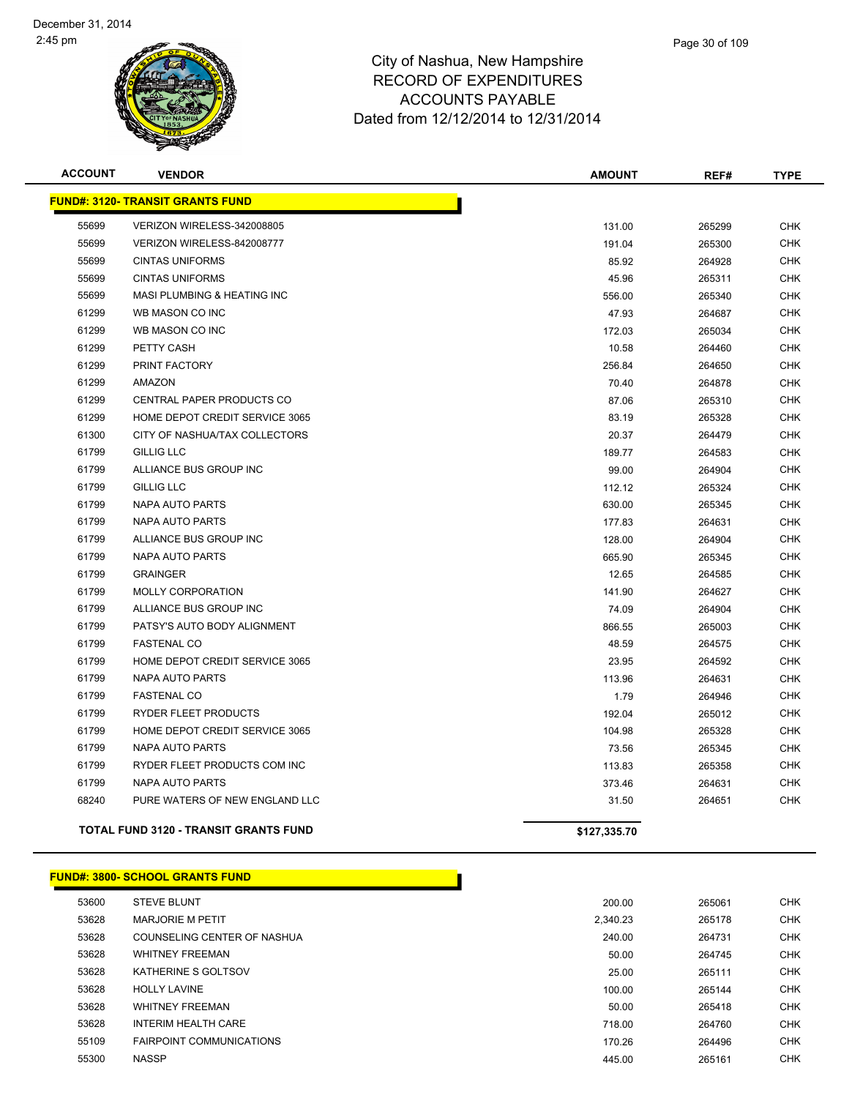

| <b>ACCOUNT</b> | <b>VENDOR</b>                                | <b>AMOUNT</b> | REF#   | <b>TYPE</b> |
|----------------|----------------------------------------------|---------------|--------|-------------|
|                | <b>FUND#: 3120- TRANSIT GRANTS FUND</b>      |               |        |             |
| 55699          | VERIZON WIRELESS-342008805                   | 131.00        | 265299 | <b>CHK</b>  |
| 55699          | VERIZON WIRELESS-842008777                   | 191.04        | 265300 | <b>CHK</b>  |
| 55699          | <b>CINTAS UNIFORMS</b>                       | 85.92         | 264928 | <b>CHK</b>  |
| 55699          | <b>CINTAS UNIFORMS</b>                       | 45.96         | 265311 | <b>CHK</b>  |
| 55699          | MASI PLUMBING & HEATING INC                  | 556.00        | 265340 | <b>CHK</b>  |
| 61299          | WB MASON CO INC                              | 47.93         | 264687 | <b>CHK</b>  |
| 61299          | WB MASON CO INC                              | 172.03        | 265034 | <b>CHK</b>  |
| 61299          | PETTY CASH                                   | 10.58         | 264460 | <b>CHK</b>  |
| 61299          | PRINT FACTORY                                | 256.84        | 264650 | <b>CHK</b>  |
| 61299          | AMAZON                                       | 70.40         | 264878 | <b>CHK</b>  |
| 61299          | CENTRAL PAPER PRODUCTS CO                    | 87.06         | 265310 | <b>CHK</b>  |
| 61299          | HOME DEPOT CREDIT SERVICE 3065               | 83.19         | 265328 | <b>CHK</b>  |
| 61300          | CITY OF NASHUA/TAX COLLECTORS                | 20.37         | 264479 | <b>CHK</b>  |
| 61799          | <b>GILLIG LLC</b>                            | 189.77        | 264583 | <b>CHK</b>  |
| 61799          | ALLIANCE BUS GROUP INC                       | 99.00         | 264904 | <b>CHK</b>  |
| 61799          | <b>GILLIG LLC</b>                            | 112.12        | 265324 | <b>CHK</b>  |
| 61799          | <b>NAPA AUTO PARTS</b>                       | 630.00        | 265345 | <b>CHK</b>  |
| 61799          | <b>NAPA AUTO PARTS</b>                       | 177.83        | 264631 | <b>CHK</b>  |
| 61799          | ALLIANCE BUS GROUP INC                       | 128.00        | 264904 | <b>CHK</b>  |
| 61799          | <b>NAPA AUTO PARTS</b>                       | 665.90        | 265345 | <b>CHK</b>  |
| 61799          | <b>GRAINGER</b>                              | 12.65         | 264585 | <b>CHK</b>  |
| 61799          | <b>MOLLY CORPORATION</b>                     | 141.90        | 264627 | <b>CHK</b>  |
| 61799          | ALLIANCE BUS GROUP INC                       | 74.09         | 264904 | <b>CHK</b>  |
| 61799          | PATSY'S AUTO BODY ALIGNMENT                  | 866.55        | 265003 | <b>CHK</b>  |
| 61799          | <b>FASTENAL CO</b>                           | 48.59         | 264575 | <b>CHK</b>  |
| 61799          | HOME DEPOT CREDIT SERVICE 3065               | 23.95         | 264592 | <b>CHK</b>  |
| 61799          | <b>NAPA AUTO PARTS</b>                       | 113.96        | 264631 | <b>CHK</b>  |
| 61799          | <b>FASTENAL CO</b>                           | 1.79          | 264946 | <b>CHK</b>  |
| 61799          | RYDER FLEET PRODUCTS                         | 192.04        | 265012 | <b>CHK</b>  |
| 61799          | HOME DEPOT CREDIT SERVICE 3065               | 104.98        | 265328 | <b>CHK</b>  |
| 61799          | <b>NAPA AUTO PARTS</b>                       | 73.56         | 265345 | <b>CHK</b>  |
| 61799          | RYDER FLEET PRODUCTS COM INC                 | 113.83        | 265358 | <b>CHK</b>  |
| 61799          | NAPA AUTO PARTS                              | 373.46        | 264631 | <b>CHK</b>  |
| 68240          | PURE WATERS OF NEW ENGLAND LLC               | 31.50         | 264651 | <b>CHK</b>  |
|                | <b>TOTAL FUND 3120 - TRANSIT GRANTS FUND</b> | \$127,335.70  |        |             |

#### **FUND#: 3800- SCHOOL GRANTS FUND**

| 53600 | <b>STEVE BLUNT</b>              | 200.00   | 265061 |  |
|-------|---------------------------------|----------|--------|--|
| 53628 | <b>MARJORIE M PETIT</b>         | 2.340.23 | 265178 |  |
| 53628 | COUNSELING CENTER OF NASHUA     | 240.00   | 264731 |  |
| 53628 | <b>WHITNEY FREEMAN</b>          | 50.00    | 264745 |  |
| 53628 | KATHERINE S GOLTSOV             | 25.00    | 265111 |  |
| 53628 | <b>HOLLY LAVINE</b>             | 100.00   | 265144 |  |
| 53628 | <b>WHITNEY FREEMAN</b>          | 50.00    | 265418 |  |
| 53628 | <b>INTERIM HEALTH CARE</b>      | 718.00   | 264760 |  |
| 55109 | <b>FAIRPOINT COMMUNICATIONS</b> | 170.26   | 264496 |  |
| 55300 | <b>NASSP</b>                    | 445.00   | 265161 |  |
|       |                                 |          |        |  |

h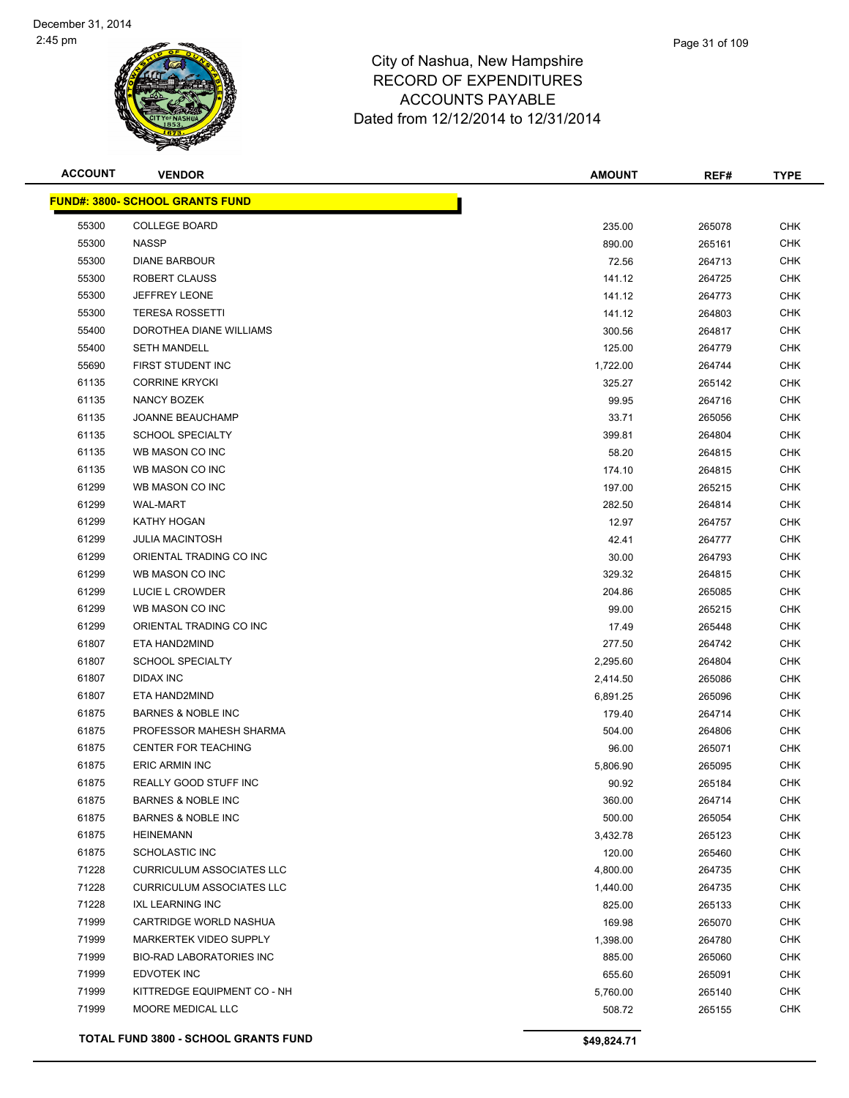

| <b>ACCOUNT</b> | <b>VENDOR</b>                               | <b>AMOUNT</b> | REF#   | <b>TYPE</b> |
|----------------|---------------------------------------------|---------------|--------|-------------|
|                | <u> FUND#: 3800- SCHOOL GRANTS FUND</u>     |               |        |             |
| 55300          | <b>COLLEGE BOARD</b>                        | 235.00        | 265078 | <b>CHK</b>  |
| 55300          | <b>NASSP</b>                                | 890.00        | 265161 | <b>CHK</b>  |
| 55300          | <b>DIANE BARBOUR</b>                        | 72.56         | 264713 | <b>CHK</b>  |
| 55300          | ROBERT CLAUSS                               | 141.12        | 264725 | <b>CHK</b>  |
| 55300          | JEFFREY LEONE                               | 141.12        | 264773 | <b>CHK</b>  |
| 55300          | <b>TERESA ROSSETTI</b>                      | 141.12        | 264803 | <b>CHK</b>  |
| 55400          | DOROTHEA DIANE WILLIAMS                     | 300.56        | 264817 | <b>CHK</b>  |
| 55400          | <b>SETH MANDELL</b>                         | 125.00        | 264779 | CHK         |
| 55690          | FIRST STUDENT INC                           | 1,722.00      | 264744 | CHK         |
| 61135          | <b>CORRINE KRYCKI</b>                       | 325.27        | 265142 | CHK         |
| 61135          | NANCY BOZEK                                 | 99.95         | 264716 | CHK         |
| 61135          | <b>JOANNE BEAUCHAMP</b>                     | 33.71         | 265056 | <b>CHK</b>  |
| 61135          | <b>SCHOOL SPECIALTY</b>                     | 399.81        | 264804 | <b>CHK</b>  |
| 61135          | WB MASON CO INC                             | 58.20         | 264815 | <b>CHK</b>  |
| 61135          | WB MASON CO INC                             | 174.10        | 264815 | <b>CHK</b>  |
| 61299          | WB MASON CO INC                             | 197.00        | 265215 | <b>CHK</b>  |
| 61299          | <b>WAL-MART</b>                             | 282.50        | 264814 | <b>CHK</b>  |
| 61299          | KATHY HOGAN                                 | 12.97         | 264757 | CHK         |
| 61299          | <b>JULIA MACINTOSH</b>                      | 42.41         | 264777 | <b>CHK</b>  |
| 61299          | ORIENTAL TRADING CO INC                     | 30.00         | 264793 | <b>CHK</b>  |
| 61299          | WB MASON CO INC                             | 329.32        | 264815 | <b>CHK</b>  |
| 61299          | LUCIE L CROWDER                             | 204.86        | 265085 | <b>CHK</b>  |
| 61299          | WB MASON CO INC                             | 99.00         | 265215 | <b>CHK</b>  |
| 61299          | ORIENTAL TRADING CO INC                     | 17.49         | 265448 | <b>CHK</b>  |
| 61807          | ETA HAND2MIND                               | 277.50        | 264742 | <b>CHK</b>  |
| 61807          | <b>SCHOOL SPECIALTY</b>                     | 2,295.60      | 264804 | <b>CHK</b>  |
| 61807          | DIDAX INC                                   | 2,414.50      | 265086 | <b>CHK</b>  |
| 61807          | ETA HAND2MIND                               | 6,891.25      | 265096 | <b>CHK</b>  |
| 61875          | <b>BARNES &amp; NOBLE INC</b>               | 179.40        | 264714 | CHK         |
| 61875          | PROFESSOR MAHESH SHARMA                     | 504.00        | 264806 | CHK         |
| 61875          | <b>CENTER FOR TEACHING</b>                  | 96.00         | 265071 | CHK         |
| 61875          | <b>ERIC ARMIN INC</b>                       | 5,806.90      | 265095 | <b>CHK</b>  |
| 61875          | <b>REALLY GOOD STUFF INC</b>                | 90.92         | 265184 | <b>CHK</b>  |
| 61875          | <b>BARNES &amp; NOBLE INC</b>               | 360.00        | 264714 | CHK         |
| 61875          | <b>BARNES &amp; NOBLE INC</b>               | 500.00        | 265054 | <b>CHK</b>  |
| 61875          | <b>HEINEMANN</b>                            | 3,432.78      | 265123 | <b>CHK</b>  |
| 61875          | <b>SCHOLASTIC INC</b>                       | 120.00        | 265460 | <b>CHK</b>  |
| 71228          | <b>CURRICULUM ASSOCIATES LLC</b>            | 4,800.00      | 264735 | <b>CHK</b>  |
| 71228          | <b>CURRICULUM ASSOCIATES LLC</b>            | 1,440.00      | 264735 | <b>CHK</b>  |
| 71228          | <b>IXL LEARNING INC</b>                     | 825.00        | 265133 | CHK         |
| 71999          | CARTRIDGE WORLD NASHUA                      | 169.98        | 265070 | <b>CHK</b>  |
| 71999          | MARKERTEK VIDEO SUPPLY                      | 1,398.00      | 264780 | <b>CHK</b>  |
| 71999          | <b>BIO-RAD LABORATORIES INC</b>             | 885.00        | 265060 | CHK         |
| 71999          | <b>EDVOTEK INC</b>                          | 655.60        | 265091 | <b>CHK</b>  |
| 71999          | KITTREDGE EQUIPMENT CO - NH                 | 5,760.00      | 265140 | CHK         |
| 71999          | MOORE MEDICAL LLC                           | 508.72        | 265155 | CHK         |
|                |                                             |               |        |             |
|                | <b>TOTAL FUND 3800 - SCHOOL GRANTS FUND</b> | \$49,824.71   |        |             |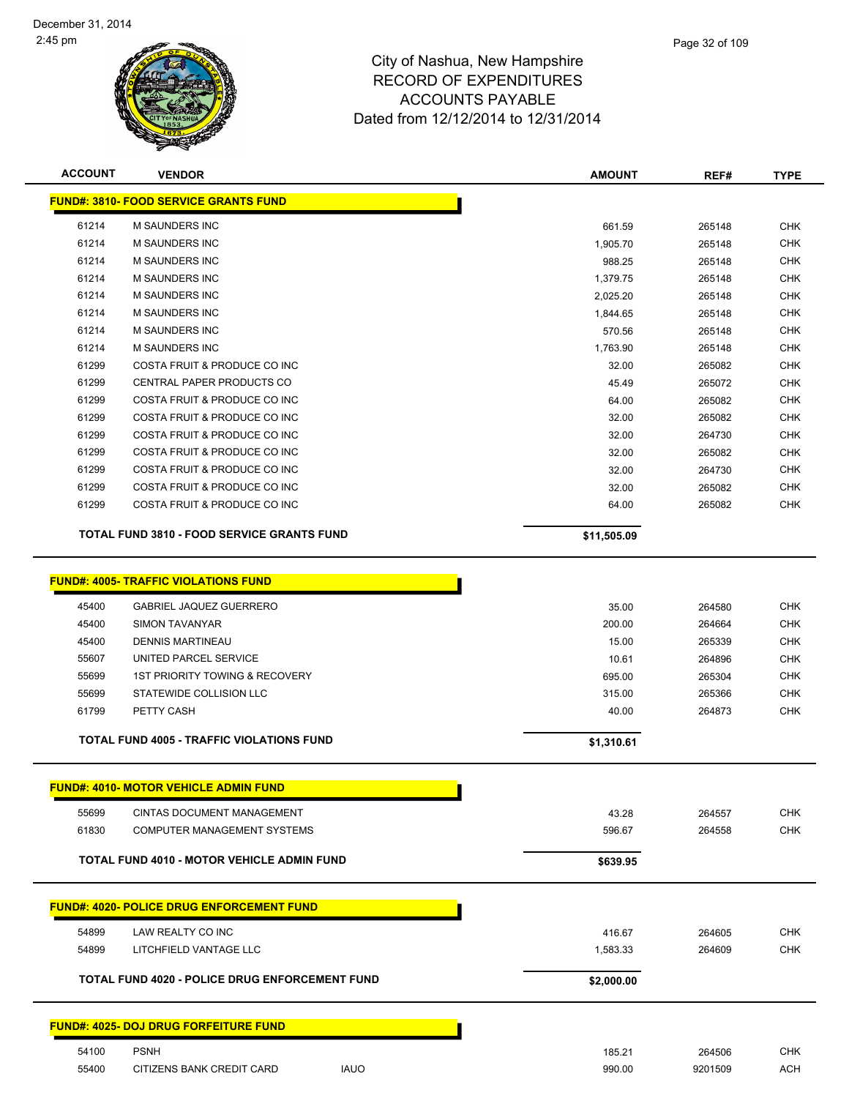

| <b>ACCOUNT</b> | <b>VENDOR</b>                                      | <b>AMOUNT</b>   | REF#             | <b>TYPE</b>              |
|----------------|----------------------------------------------------|-----------------|------------------|--------------------------|
|                | <b>FUND#: 3810- FOOD SERVICE GRANTS FUND</b>       |                 |                  |                          |
| 61214          | M SAUNDERS INC                                     | 661.59          | 265148           | <b>CHK</b>               |
| 61214          | <b>M SAUNDERS INC</b>                              | 1,905.70        | 265148           | <b>CHK</b>               |
| 61214          | <b>M SAUNDERS INC</b>                              | 988.25          | 265148           | <b>CHK</b>               |
| 61214          | <b>M SAUNDERS INC</b>                              | 1,379.75        | 265148           | <b>CHK</b>               |
| 61214          | <b>M SAUNDERS INC</b>                              | 2,025.20        | 265148           | <b>CHK</b>               |
| 61214          | <b>M SAUNDERS INC</b>                              | 1,844.65        | 265148           | <b>CHK</b>               |
| 61214          | <b>M SAUNDERS INC</b>                              | 570.56          | 265148           | <b>CHK</b>               |
| 61214          | <b>M SAUNDERS INC</b>                              | 1,763.90        | 265148           | <b>CHK</b>               |
| 61299          | COSTA FRUIT & PRODUCE CO INC                       | 32.00           | 265082           | <b>CHK</b>               |
| 61299          | CENTRAL PAPER PRODUCTS CO                          | 45.49           | 265072           | <b>CHK</b>               |
| 61299          | COSTA FRUIT & PRODUCE CO INC                       | 64.00           | 265082           | <b>CHK</b>               |
| 61299          | COSTA FRUIT & PRODUCE CO INC                       | 32.00           | 265082           | <b>CHK</b>               |
| 61299          | COSTA FRUIT & PRODUCE CO INC                       | 32.00           | 264730           | <b>CHK</b>               |
| 61299          | COSTA FRUIT & PRODUCE CO INC                       | 32.00           | 265082           | <b>CHK</b>               |
| 61299          | COSTA FRUIT & PRODUCE CO INC                       | 32.00           | 264730           | <b>CHK</b>               |
| 61299          | COSTA FRUIT & PRODUCE CO INC                       | 32.00           | 265082           | <b>CHK</b>               |
| 61299          | COSTA FRUIT & PRODUCE CO INC                       | 64.00           | 265082           | CHK                      |
|                | <b>TOTAL FUND 3810 - FOOD SERVICE GRANTS FUND</b>  | \$11,505.09     |                  |                          |
|                | <b>FUND#: 4005- TRAFFIC VIOLATIONS FUND</b>        |                 |                  |                          |
|                |                                                    |                 |                  |                          |
| 45400          | <b>GABRIEL JAQUEZ GUERRERO</b>                     | 35.00           | 264580           | <b>CHK</b>               |
| 45400          | SIMON TAVANYAR                                     | 200.00          | 264664           | <b>CHK</b>               |
| 45400          | <b>DENNIS MARTINEAU</b><br>UNITED PARCEL SERVICE   | 15.00           | 265339           | <b>CHK</b>               |
| 55607<br>55699 | <b>1ST PRIORITY TOWING &amp; RECOVERY</b>          | 10.61           | 264896           | <b>CHK</b>               |
| 55699          | STATEWIDE COLLISION LLC                            | 695.00          | 265304           | <b>CHK</b><br><b>CHK</b> |
| 61799          | PETTY CASH                                         | 315.00<br>40.00 | 265366<br>264873 | <b>CHK</b>               |
|                |                                                    |                 |                  |                          |
|                | <b>TOTAL FUND 4005 - TRAFFIC VIOLATIONS FUND</b>   | \$1,310.61      |                  |                          |
|                | <mark>FUND#: 4010- MOTOR VEHICLE ADMIN FUND</mark> |                 |                  |                          |
| 55699          | <b>CINTAS DOCUMENT MANAGEMENT</b>                  | 43.28           | 264557           | <b>CHK</b>               |
| 61830          | COMPUTER MANAGEMENT SYSTEMS                        | 596.67          | 264558           | <b>CHK</b>               |
|                | <b>TOTAL FUND 4010 - MOTOR VEHICLE ADMIN FUND</b>  | \$639.95        |                  |                          |
|                |                                                    |                 |                  |                          |
|                | <u> FUND#: 4020- POLICE DRUG ENFORCEMENT FUND</u>  |                 |                  |                          |
| 54899          | LAW REALTY CO INC                                  | 416.67          | 264605           | <b>CHK</b>               |
| 54899          | LITCHFIELD VANTAGE LLC                             | 1,583.33        | 264609           | <b>CHK</b>               |
|                | TOTAL FUND 4020 - POLICE DRUG ENFORCEMENT FUND     | \$2,000.00      |                  |                          |
|                | <b>FUND#: 4025- DOJ DRUG FORFEITURE FUND</b>       |                 |                  |                          |
| 54100          | <b>PSNH</b>                                        | 185.21          | 264506           | <b>CHK</b>               |
| 55400          | <b>IAUO</b><br>CITIZENS BANK CREDIT CARD           | 990.00          | 9201509          | ACH                      |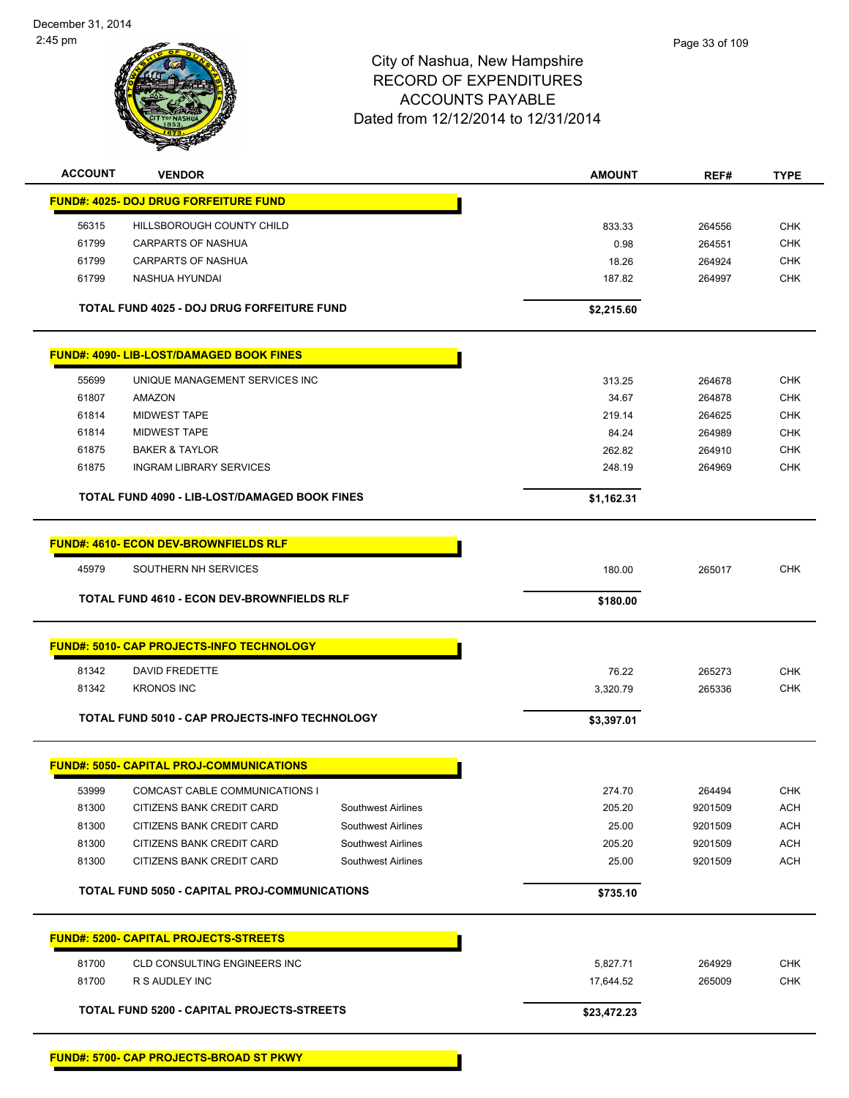

| <b>ACCOUNT</b> | <b>VENDOR</b>                                        |                    | <b>AMOUNT</b> | REF#    | <b>TYPE</b> |
|----------------|------------------------------------------------------|--------------------|---------------|---------|-------------|
|                | <b>FUND#: 4025- DOJ DRUG FORFEITURE FUND</b>         |                    |               |         |             |
| 56315          | HILLSBOROUGH COUNTY CHILD                            |                    | 833.33        | 264556  | <b>CHK</b>  |
| 61799          | CARPARTS OF NASHUA                                   |                    | 0.98          | 264551  | <b>CHK</b>  |
| 61799          | <b>CARPARTS OF NASHUA</b>                            |                    | 18.26         | 264924  | <b>CHK</b>  |
| 61799          | NASHUA HYUNDAI                                       |                    | 187.82        | 264997  | <b>CHK</b>  |
|                | TOTAL FUND 4025 - DOJ DRUG FORFEITURE FUND           |                    | \$2,215.60    |         |             |
|                | <b>FUND#: 4090- LIB-LOST/DAMAGED BOOK FINES</b>      |                    |               |         |             |
| 55699          | UNIQUE MANAGEMENT SERVICES INC                       |                    | 313.25        | 264678  | <b>CHK</b>  |
| 61807          | AMAZON                                               |                    | 34.67         | 264878  | <b>CHK</b>  |
| 61814          | <b>MIDWEST TAPE</b>                                  |                    | 219.14        | 264625  | <b>CHK</b>  |
| 61814          | <b>MIDWEST TAPE</b>                                  |                    | 84.24         | 264989  | CHK         |
| 61875          | <b>BAKER &amp; TAYLOR</b>                            |                    | 262.82        | 264910  | <b>CHK</b>  |
| 61875          | <b>INGRAM LIBRARY SERVICES</b>                       |                    | 248.19        | 264969  | <b>CHK</b>  |
|                | TOTAL FUND 4090 - LIB-LOST/DAMAGED BOOK FINES        |                    | \$1,162.31    |         |             |
|                | <b>FUND#: 4610- ECON DEV-BROWNFIELDS RLF</b>         |                    |               |         |             |
| 45979          | SOUTHERN NH SERVICES                                 |                    | 180.00        | 265017  | <b>CHK</b>  |
|                | <b>TOTAL FUND 4610 - ECON DEV-BROWNFIELDS RLF</b>    |                    | \$180.00      |         |             |
|                |                                                      |                    |               |         |             |
|                | FUND#: 5010- CAP PROJECTS-INFO TECHNOLOGY            |                    |               |         |             |
| 81342          | <b>DAVID FREDETTE</b>                                |                    | 76.22         | 265273  | <b>CHK</b>  |
| 81342          | <b>KRONOS INC</b>                                    |                    | 3,320.79      | 265336  | <b>CHK</b>  |
|                | TOTAL FUND 5010 - CAP PROJECTS-INFO TECHNOLOGY       |                    | \$3,397.01    |         |             |
|                | <b>FUND#: 5050- CAPITAL PROJ-COMMUNICATIONS</b>      |                    |               |         |             |
| 53999          | COMCAST CABLE COMMUNICATIONS I                       |                    | 274.70        | 264494  | <b>CHK</b>  |
| 81300          | CITIZENS BANK CREDIT CARD                            | Southwest Airlines | 205.20        | 9201509 | <b>ACH</b>  |
| 81300          | CITIZENS BANK CREDIT CARD                            | Southwest Airlines | 25.00         | 9201509 | <b>ACH</b>  |
| 81300          | CITIZENS BANK CREDIT CARD                            | Southwest Airlines | 205.20        | 9201509 | <b>ACH</b>  |
| 81300          | CITIZENS BANK CREDIT CARD                            | Southwest Airlines | 25.00         | 9201509 | <b>ACH</b>  |
|                | <b>TOTAL FUND 5050 - CAPITAL PROJ-COMMUNICATIONS</b> |                    | \$735.10      |         |             |
|                | <b>FUND#: 5200- CAPITAL PROJECTS-STREETS</b>         |                    |               |         |             |
| 81700          | CLD CONSULTING ENGINEERS INC                         |                    | 5,827.71      | 264929  | <b>CHK</b>  |
| 81700          | R S AUDLEY INC                                       |                    | 17,644.52     | 265009  | <b>CHK</b>  |
|                | TOTAL FUND 5200 - CAPITAL PROJECTS-STREETS           |                    | \$23,472.23   |         |             |
|                |                                                      |                    |               |         |             |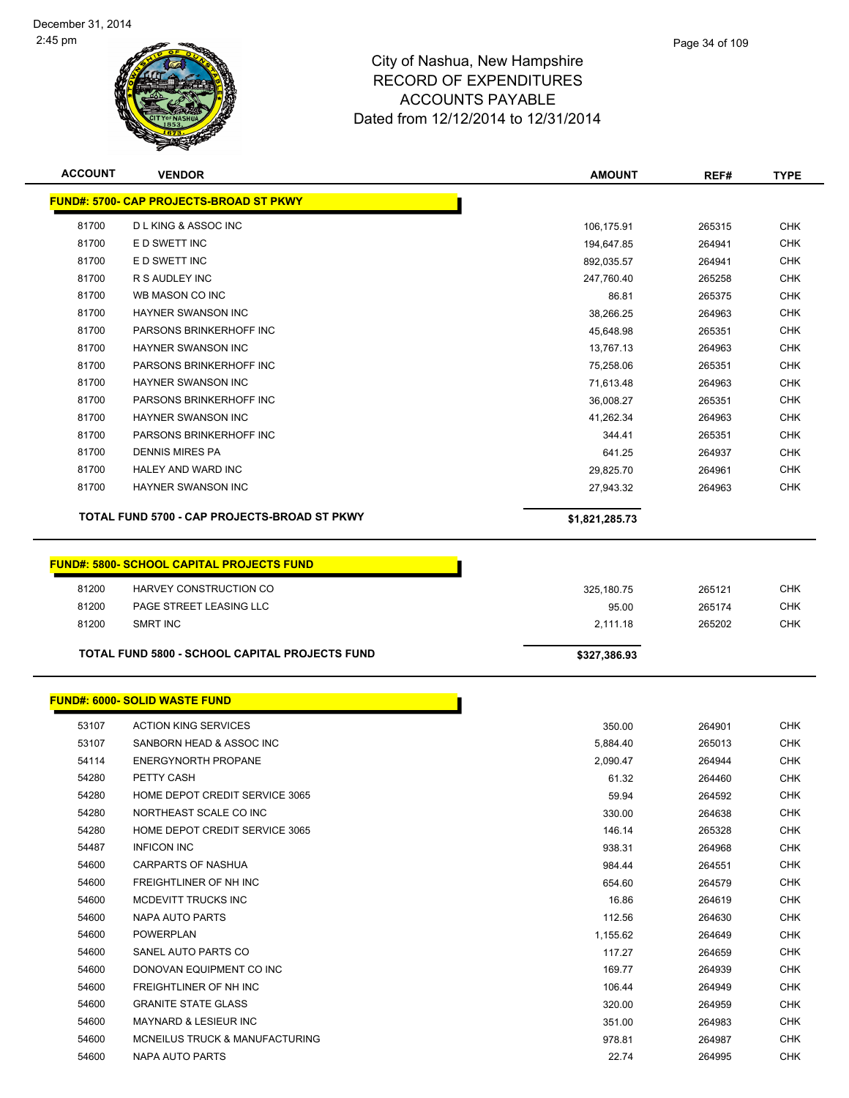

| <b>ACCOUNT</b> | <b>VENDOR</b>                                                              | <b>AMOUNT</b>  | REF#   | <b>TYPE</b> |
|----------------|----------------------------------------------------------------------------|----------------|--------|-------------|
|                | <b>FUND#: 5700- CAP PROJECTS-BROAD ST PKWY</b>                             |                |        |             |
| 81700          | <b>DLKING &amp; ASSOC INC</b>                                              | 106,175.91     | 265315 | <b>CHK</b>  |
| 81700          | E D SWETT INC                                                              | 194,647.85     | 264941 | <b>CHK</b>  |
| 81700          | E D SWETT INC                                                              | 892,035.57     | 264941 | <b>CHK</b>  |
| 81700          | R S AUDLEY INC                                                             | 247,760.40     | 265258 | <b>CHK</b>  |
| 81700          | WB MASON CO INC                                                            | 86.81          | 265375 | <b>CHK</b>  |
| 81700          | <b>HAYNER SWANSON INC</b>                                                  | 38,266.25      | 264963 | <b>CHK</b>  |
| 81700          | PARSONS BRINKERHOFF INC                                                    | 45,648.98      | 265351 | <b>CHK</b>  |
| 81700          | <b>HAYNER SWANSON INC</b>                                                  | 13,767.13      | 264963 | <b>CHK</b>  |
| 81700          | PARSONS BRINKERHOFF INC                                                    | 75,258.06      | 265351 | <b>CHK</b>  |
| 81700          | <b>HAYNER SWANSON INC</b>                                                  | 71,613.48      | 264963 | <b>CHK</b>  |
| 81700          | PARSONS BRINKERHOFF INC                                                    | 36,008.27      | 265351 | <b>CHK</b>  |
| 81700          | <b>HAYNER SWANSON INC</b>                                                  | 41,262.34      | 264963 | <b>CHK</b>  |
| 81700          | PARSONS BRINKERHOFF INC                                                    | 344.41         | 265351 | <b>CHK</b>  |
| 81700          | <b>DENNIS MIRES PA</b>                                                     | 641.25         | 264937 | CHK         |
| 81700          | HALEY AND WARD INC                                                         | 29,825.70      | 264961 | <b>CHK</b>  |
| 81700          | HAYNER SWANSON INC                                                         | 27,943.32      | 264963 | <b>CHK</b>  |
|                | TOTAL FUND 5700 - CAP PROJECTS-BROAD ST PKWY                               | \$1,821,285.73 |        |             |
| 81200          | <b>FUND#: 5800- SCHOOL CAPITAL PROJECTS FUND</b><br>HARVEY CONSTRUCTION CO | 325,180.75     | 265121 | <b>CHK</b>  |
| 81200          | PAGE STREET LEASING LLC                                                    | 95.00          | 265174 | <b>CHK</b>  |
| 81200          | <b>SMRT INC</b>                                                            | 2,111.18       | 265202 | <b>CHK</b>  |
|                |                                                                            |                |        |             |
|                | <b>TOTAL FUND 5800 - SCHOOL CAPITAL PROJECTS FUND</b>                      | \$327,386.93   |        |             |
|                | <b>FUND#: 6000- SOLID WASTE FUND</b>                                       |                |        |             |
| 53107          | <b>ACTION KING SERVICES</b>                                                | 350.00         | 264901 | <b>CHK</b>  |
| 53107          | SANBORN HEAD & ASSOC INC                                                   | 5,884.40       | 265013 | <b>CHK</b>  |
| 54114          | <b>ENERGYNORTH PROPANE</b>                                                 | 2,090.47       | 264944 | <b>CHK</b>  |
| 54280          | PETTY CASH                                                                 | 61.32          | 264460 | <b>CHK</b>  |
| 54280          | HOME DEPOT CREDIT SERVICE 3065                                             | 59.94          | 264592 | <b>CHK</b>  |
| 54280          | NORTHEAST SCALE CO INC                                                     | 330.00         | 264638 | <b>CHK</b>  |
| 54280          | HOME DEPOT CREDIT SERVICE 3065                                             | 146.14         | 265328 | <b>CHK</b>  |
| 54487          | <b>INFICON INC</b>                                                         | 938.31         | 264968 | <b>CHK</b>  |
| 54600          | <b>CARPARTS OF NASHUA</b>                                                  | 984.44         | 264551 | <b>CHK</b>  |
| 54600          | FREIGHTLINER OF NH INC                                                     | 654.60         | 264579 | <b>CHK</b>  |
| 54600          | MCDEVITT TRUCKS INC                                                        | 16.86          | 264619 | <b>CHK</b>  |
| 54600          | NAPA AUTO PARTS                                                            | 112.56         | 264630 | <b>CHK</b>  |
| 54600          | POWERPLAN                                                                  | 1,155.62       | 264649 | <b>CHK</b>  |
| 54600          | SANEL AUTO PARTS CO                                                        | 117.27         | 264659 | <b>CHK</b>  |
| 54600          | DONOVAN EQUIPMENT CO INC                                                   | 169.77         | 264939 | <b>CHK</b>  |
| 54600          | FREIGHTLINER OF NH INC                                                     | 106.44         | 264949 | <b>CHK</b>  |
| 54600          | <b>GRANITE STATE GLASS</b>                                                 | 320.00         | 264959 | <b>CHK</b>  |
| 54600          | <b>MAYNARD &amp; LESIEUR INC</b>                                           | 351.00         | 264983 | <b>CHK</b>  |
| 54600          | MCNEILUS TRUCK & MANUFACTURING                                             | 978.81         | 264987 | <b>CHK</b>  |
| 54600          | NAPA AUTO PARTS                                                            | 22.74          | 264995 | <b>CHK</b>  |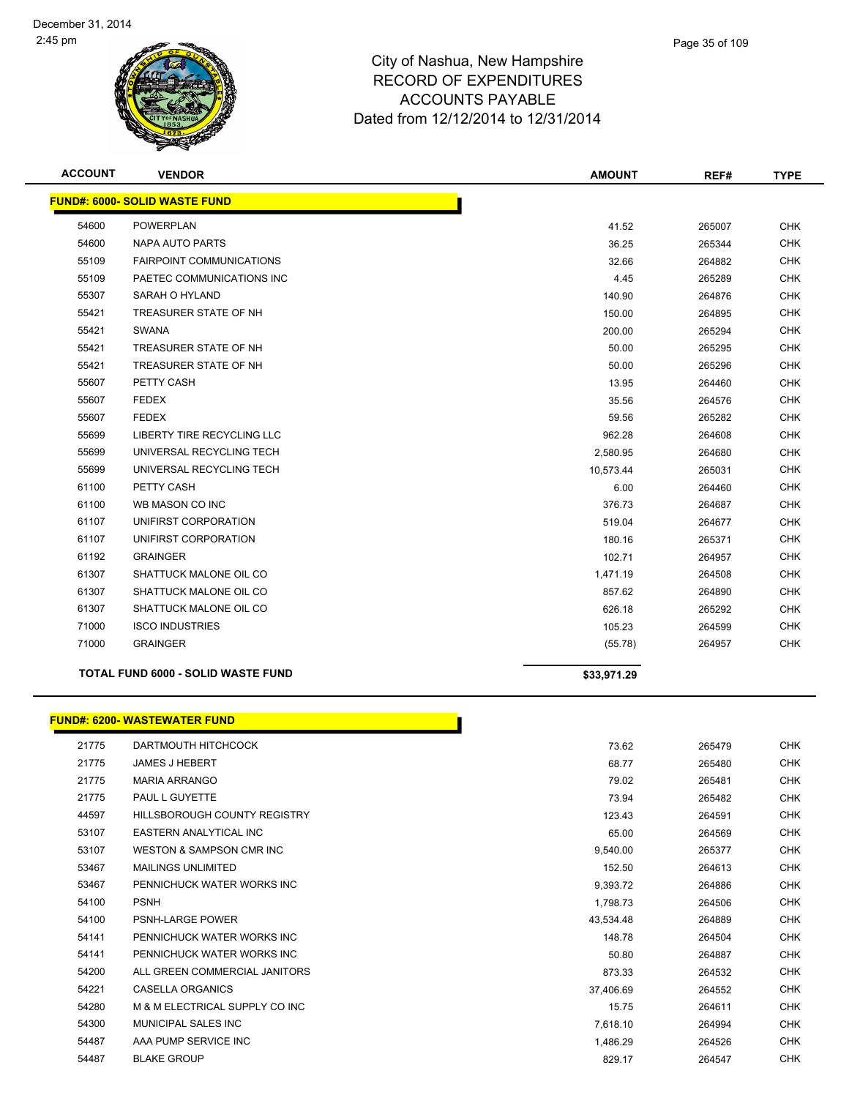

**ACCOUNT VENDOR AMOUNT REF# TYPE**

|                | <b>FUND#: 6000- SOLID WASTE FUND</b>       |                    |        |                          |
|----------------|--------------------------------------------|--------------------|--------|--------------------------|
| 54600          | <b>POWERPLAN</b>                           | 41.52              | 265007 | <b>CHK</b>               |
| 54600          | NAPA AUTO PARTS                            | 36.25              | 265344 | <b>CHK</b>               |
| 55109          | <b>FAIRPOINT COMMUNICATIONS</b>            | 32.66              | 264882 | <b>CHK</b>               |
| 55109          | PAETEC COMMUNICATIONS INC                  | 4.45               | 265289 | <b>CHK</b>               |
| 55307          | SARAH O HYLAND                             | 140.90             | 264876 | <b>CHK</b>               |
| 55421          | TREASURER STATE OF NH                      | 150.00             | 264895 | <b>CHK</b>               |
| 55421          | <b>SWANA</b>                               | 200.00             | 265294 | <b>CHK</b>               |
| 55421          | TREASURER STATE OF NH                      | 50.00              | 265295 | <b>CHK</b>               |
| 55421          | TREASURER STATE OF NH                      | 50.00              | 265296 | <b>CHK</b>               |
| 55607          | PETTY CASH                                 | 13.95              | 264460 | <b>CHK</b>               |
| 55607          | <b>FEDEX</b>                               | 35.56              | 264576 | <b>CHK</b>               |
| 55607          | <b>FEDEX</b>                               | 59.56              | 265282 | <b>CHK</b>               |
| 55699          | LIBERTY TIRE RECYCLING LLC                 | 962.28             | 264608 | <b>CHK</b>               |
| 55699          | UNIVERSAL RECYCLING TECH                   | 2,580.95           | 264680 | <b>CHK</b>               |
| 55699          | UNIVERSAL RECYCLING TECH                   | 10,573.44          | 265031 | <b>CHK</b>               |
| 61100          | PETTY CASH                                 | 6.00               | 264460 | <b>CHK</b>               |
| 61100          | WB MASON CO INC                            | 376.73             | 264687 | <b>CHK</b>               |
| 61107          | UNIFIRST CORPORATION                       | 519.04             | 264677 | <b>CHK</b>               |
| 61107          | UNIFIRST CORPORATION                       | 180.16             | 265371 | <b>CHK</b>               |
| 61192          | <b>GRAINGER</b>                            | 102.71             | 264957 | <b>CHK</b>               |
| 61307          | SHATTUCK MALONE OIL CO                     | 1,471.19           | 264508 | <b>CHK</b>               |
| 61307          | SHATTUCK MALONE OIL CO                     | 857.62             | 264890 | <b>CHK</b>               |
| 61307          | SHATTUCK MALONE OIL CO                     | 626.18             | 265292 | <b>CHK</b>               |
| 71000          | <b>ISCO INDUSTRIES</b>                     | 105.23             | 264599 | <b>CHK</b>               |
|                |                                            |                    |        |                          |
| 71000          | <b>GRAINGER</b>                            | (55.78)            | 264957 | <b>CHK</b>               |
|                | TOTAL FUND 6000 - SOLID WASTE FUND         | \$33,971.29        |        |                          |
|                |                                            |                    |        |                          |
|                | <b>FUND#: 6200- WASTEWATER FUND</b>        |                    |        |                          |
| 21775          | DARTMOUTH HITCHCOCK                        | 73.62              | 265479 | <b>CHK</b>               |
| 21775          | <b>JAMES J HEBERT</b>                      | 68.77              | 265480 | <b>CHK</b>               |
| 21775          | <b>MARIA ARRANGO</b>                       | 79.02              | 265481 | <b>CHK</b>               |
| 21775          | PAUL L GUYETTE                             | 73.94              | 265482 | <b>CHK</b>               |
| 44597          | HILLSBOROUGH COUNTY REGISTRY               | 123.43             | 264591 | <b>CHK</b>               |
| 53107          | <b>EASTERN ANALYTICAL INC</b>              | 65.00              | 264569 | <b>CHK</b>               |
| 53107          | WESTON & SAMPSON CMR INC                   | 9,540.00           | 265377 | <b>CHK</b>               |
| 53467          | <b>MAILINGS UNLIMITED</b>                  | 152.50             | 264613 | <b>CHK</b>               |
| 53467          | PENNICHUCK WATER WORKS INC                 | 9,393.72           | 264886 | <b>CHK</b>               |
| 54100          | <b>PSNH</b>                                | 1,798.73           | 264506 | <b>CHK</b>               |
| 54100          | PSNH-LARGE POWER                           | 43,534.48          | 264889 | <b>CHK</b>               |
| 54141          | PENNICHUCK WATER WORKS INC                 | 148.78             | 264504 | <b>CHK</b>               |
| 54141          | PENNICHUCK WATER WORKS INC                 | 50.80              | 264887 | <b>CHK</b>               |
| 54200          | ALL GREEN COMMERCIAL JANITORS              | 873.33             | 264532 | <b>CHK</b>               |
| 54221          | CASELLA ORGANICS                           | 37,406.69          | 264552 | CHK                      |
| 54280          | M & M ELECTRICAL SUPPLY CO INC             | 15.75              | 264611 | <b>CHK</b>               |
| 54300          | MUNICIPAL SALES INC                        | 7,618.10           | 264994 | CHK                      |
| 54487<br>54487 | AAA PUMP SERVICE INC<br><b>BLAKE GROUP</b> | 1,486.29<br>829.17 | 264526 | <b>CHK</b><br><b>CHK</b> |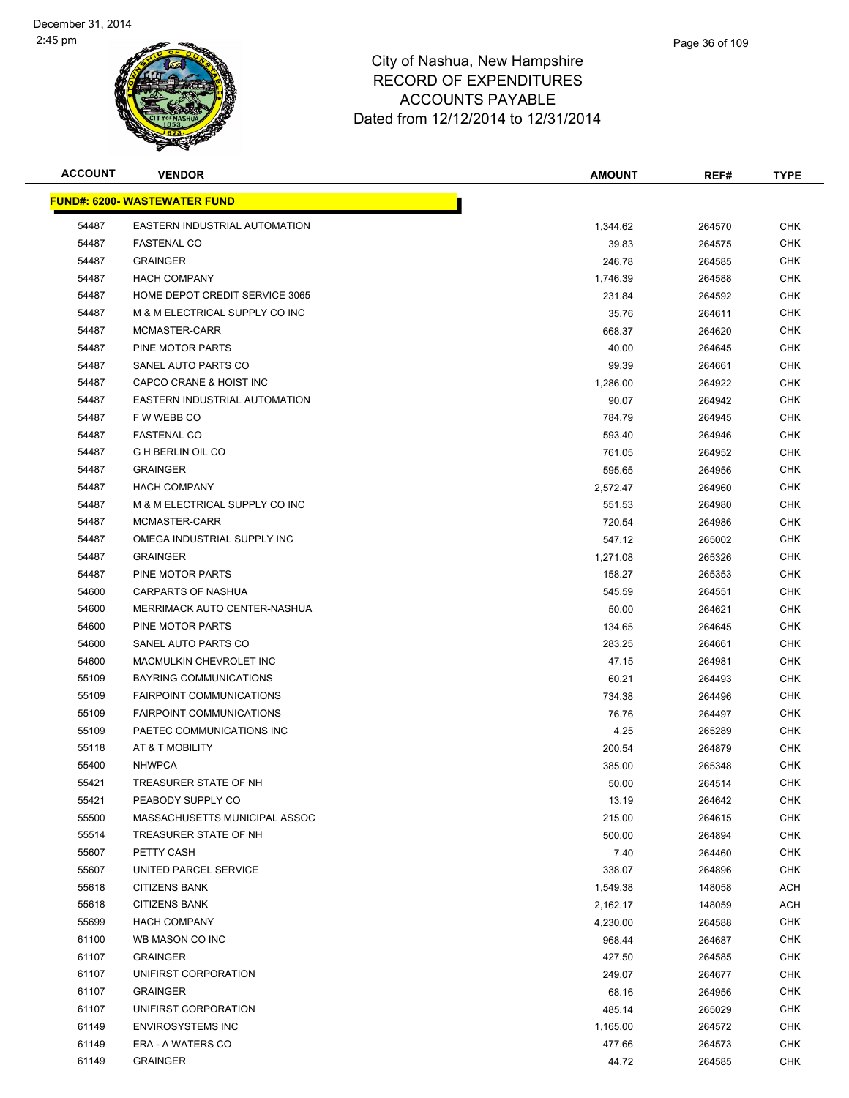

| Page 36 of 109 |  |
|----------------|--|
|                |  |
|                |  |

| <b>ACCOUNT</b>                      | <b>VENDOR</b>                   | <b>AMOUNT</b> | REF#   | <b>TYPE</b> |
|-------------------------------------|---------------------------------|---------------|--------|-------------|
| <b>FUND#: 6200- WASTEWATER FUND</b> |                                 |               |        |             |
| 54487                               | EASTERN INDUSTRIAL AUTOMATION   | 1,344.62      | 264570 | <b>CHK</b>  |
| 54487                               | <b>FASTENAL CO</b>              | 39.83         | 264575 | <b>CHK</b>  |
| 54487                               | <b>GRAINGER</b>                 | 246.78        | 264585 | <b>CHK</b>  |
| 54487                               | <b>HACH COMPANY</b>             | 1,746.39      | 264588 | <b>CHK</b>  |
| 54487                               | HOME DEPOT CREDIT SERVICE 3065  | 231.84        | 264592 | CHK         |
| 54487                               | M & M ELECTRICAL SUPPLY CO INC  | 35.76         | 264611 | <b>CHK</b>  |
| 54487                               | MCMASTER-CARR                   | 668.37        | 264620 | CHK         |
| 54487                               | PINE MOTOR PARTS                | 40.00         | 264645 | CHK         |
| 54487                               | SANEL AUTO PARTS CO             | 99.39         | 264661 | <b>CHK</b>  |
| 54487                               | CAPCO CRANE & HOIST INC         | 1,286.00      | 264922 | <b>CHK</b>  |
| 54487                               | EASTERN INDUSTRIAL AUTOMATION   | 90.07         | 264942 | CHK         |
| 54487                               | F W WEBB CO                     | 784.79        | 264945 | <b>CHK</b>  |
| 54487                               | <b>FASTENAL CO</b>              | 593.40        | 264946 | <b>CHK</b>  |
| 54487                               | <b>G H BERLIN OIL CO</b>        | 761.05        | 264952 | <b>CHK</b>  |
| 54487                               | <b>GRAINGER</b>                 | 595.65        | 264956 | <b>CHK</b>  |
| 54487                               | <b>HACH COMPANY</b>             | 2,572.47      | 264960 | CHK         |
| 54487                               | M & M ELECTRICAL SUPPLY CO INC  | 551.53        | 264980 | <b>CHK</b>  |
| 54487                               | MCMASTER-CARR                   | 720.54        | 264986 | CHK         |
| 54487                               | OMEGA INDUSTRIAL SUPPLY INC     | 547.12        | 265002 | <b>CHK</b>  |
| 54487                               | <b>GRAINGER</b>                 | 1,271.08      | 265326 | <b>CHK</b>  |
| 54487                               | PINE MOTOR PARTS                | 158.27        | 265353 | <b>CHK</b>  |
| 54600                               | <b>CARPARTS OF NASHUA</b>       | 545.59        | 264551 | <b>CHK</b>  |
| 54600                               | MERRIMACK AUTO CENTER-NASHUA    | 50.00         | 264621 | <b>CHK</b>  |
| 54600                               | PINE MOTOR PARTS                | 134.65        | 264645 | <b>CHK</b>  |
| 54600                               | SANEL AUTO PARTS CO             | 283.25        | 264661 | <b>CHK</b>  |
| 54600                               | MACMULKIN CHEVROLET INC         | 47.15         | 264981 | CHK         |
| 55109                               | <b>BAYRING COMMUNICATIONS</b>   | 60.21         | 264493 | <b>CHK</b>  |
| 55109                               | <b>FAIRPOINT COMMUNICATIONS</b> | 734.38        | 264496 | <b>CHK</b>  |
| 55109                               | <b>FAIRPOINT COMMUNICATIONS</b> | 76.76         | 264497 | <b>CHK</b>  |
| 55109                               | PAETEC COMMUNICATIONS INC       | 4.25          | 265289 | CHK         |
| 55118                               | AT & T MOBILITY                 | 200.54        | 264879 | CHK         |
| 55400                               | <b>NHWPCA</b>                   | 385.00        | 265348 | <b>CHK</b>  |
| 55421                               | TREASURER STATE OF NH           | 50.00         | 264514 | <b>CHK</b>  |
| 55421                               | PEABODY SUPPLY CO               | 13.19         | 264642 | <b>CHK</b>  |
| 55500                               | MASSACHUSETTS MUNICIPAL ASSOC   | 215.00        | 264615 | <b>CHK</b>  |
| 55514                               | TREASURER STATE OF NH           | 500.00        | 264894 | <b>CHK</b>  |
| 55607                               | PETTY CASH                      | 7.40          | 264460 | <b>CHK</b>  |
| 55607                               | UNITED PARCEL SERVICE           | 338.07        | 264896 | <b>CHK</b>  |
| 55618                               | <b>CITIZENS BANK</b>            | 1,549.38      | 148058 | <b>ACH</b>  |
| 55618                               | <b>CITIZENS BANK</b>            | 2,162.17      | 148059 | <b>ACH</b>  |
| 55699                               | <b>HACH COMPANY</b>             | 4,230.00      | 264588 | <b>CHK</b>  |
| 61100                               | WB MASON CO INC                 | 968.44        | 264687 | <b>CHK</b>  |
| 61107                               | <b>GRAINGER</b>                 | 427.50        | 264585 | <b>CHK</b>  |
| 61107                               | UNIFIRST CORPORATION            | 249.07        | 264677 | <b>CHK</b>  |
| 61107                               | <b>GRAINGER</b>                 | 68.16         | 264956 | <b>CHK</b>  |
| 61107                               | UNIFIRST CORPORATION            | 485.14        | 265029 | <b>CHK</b>  |
| 61149                               | <b>ENVIROSYSTEMS INC</b>        | 1,165.00      | 264572 | <b>CHK</b>  |
| 61149                               | ERA - A WATERS CO               | 477.66        | 264573 | <b>CHK</b>  |
| 61149                               | <b>GRAINGER</b>                 | 44.72         | 264585 | <b>CHK</b>  |
|                                     |                                 |               |        |             |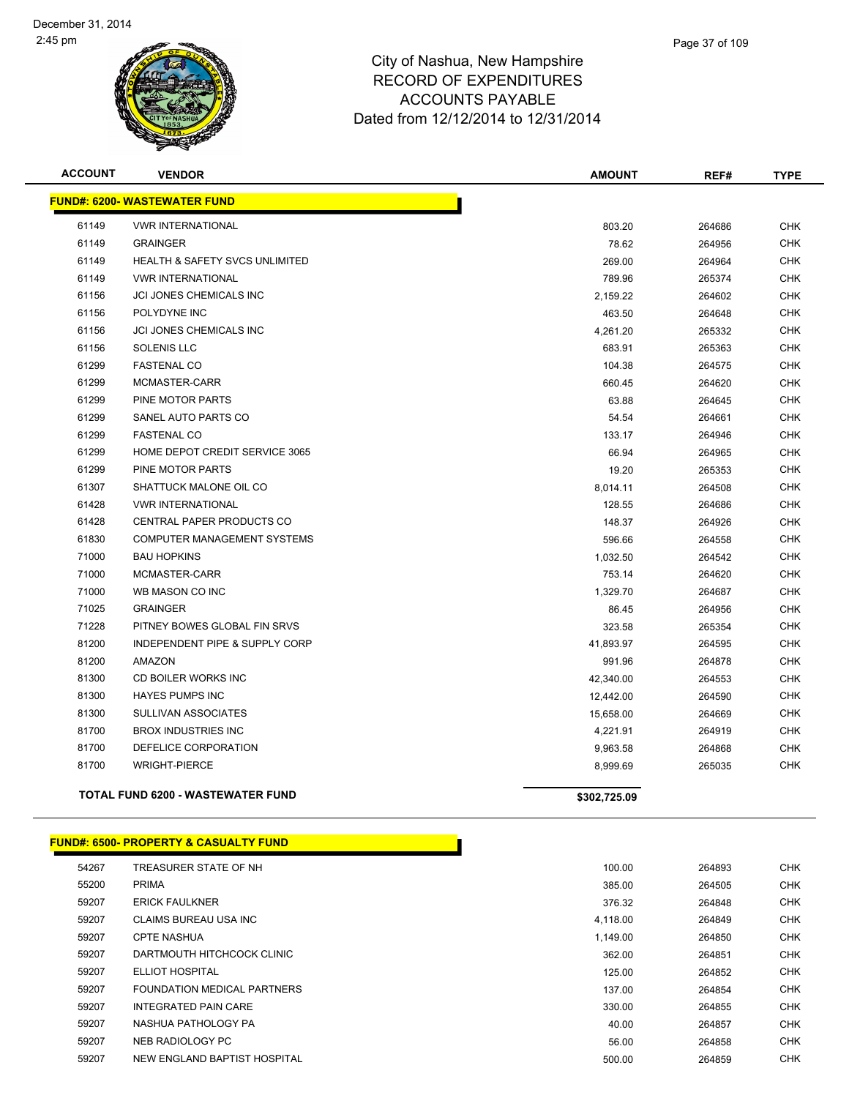

| <b>ACCOUNT</b> | <b>VENDOR</b>                            | <b>AMOUNT</b> | REF#   | <b>TYPE</b> |
|----------------|------------------------------------------|---------------|--------|-------------|
|                | <b>FUND#: 6200- WASTEWATER FUND</b>      |               |        |             |
| 61149          | <b>VWR INTERNATIONAL</b>                 | 803.20        | 264686 | <b>CHK</b>  |
| 61149          | <b>GRAINGER</b>                          | 78.62         | 264956 | CHK         |
| 61149          | HEALTH & SAFETY SVCS UNLIMITED           | 269.00        | 264964 | <b>CHK</b>  |
| 61149          | <b>VWR INTERNATIONAL</b>                 | 789.96        | 265374 | <b>CHK</b>  |
| 61156          | JCI JONES CHEMICALS INC                  | 2,159.22      | 264602 | <b>CHK</b>  |
| 61156          | POLYDYNE INC                             | 463.50        | 264648 | <b>CHK</b>  |
| 61156          | JCI JONES CHEMICALS INC                  | 4,261.20      | 265332 | <b>CHK</b>  |
| 61156          | <b>SOLENIS LLC</b>                       | 683.91        | 265363 | <b>CHK</b>  |
| 61299          | <b>FASTENAL CO</b>                       | 104.38        | 264575 | <b>CHK</b>  |
| 61299          | MCMASTER-CARR                            | 660.45        | 264620 | <b>CHK</b>  |
| 61299          | <b>PINE MOTOR PARTS</b>                  | 63.88         | 264645 | <b>CHK</b>  |
| 61299          | SANEL AUTO PARTS CO                      | 54.54         | 264661 | <b>CHK</b>  |
| 61299          | <b>FASTENAL CO</b>                       | 133.17        | 264946 | <b>CHK</b>  |
| 61299          | HOME DEPOT CREDIT SERVICE 3065           | 66.94         | 264965 | <b>CHK</b>  |
| 61299          | <b>PINE MOTOR PARTS</b>                  | 19.20         | 265353 | <b>CHK</b>  |
| 61307          | SHATTUCK MALONE OIL CO                   | 8,014.11      | 264508 | <b>CHK</b>  |
| 61428          | <b>VWR INTERNATIONAL</b>                 | 128.55        | 264686 | <b>CHK</b>  |
| 61428          | <b>CENTRAL PAPER PRODUCTS CO</b>         | 148.37        | 264926 | <b>CHK</b>  |
| 61830          | <b>COMPUTER MANAGEMENT SYSTEMS</b>       | 596.66        | 264558 | <b>CHK</b>  |
| 71000          | <b>BAU HOPKINS</b>                       | 1,032.50      | 264542 | <b>CHK</b>  |
| 71000          | MCMASTER-CARR                            | 753.14        | 264620 | <b>CHK</b>  |
| 71000          | WB MASON CO INC                          | 1,329.70      | 264687 | <b>CHK</b>  |
| 71025          | <b>GRAINGER</b>                          | 86.45         | 264956 | <b>CHK</b>  |
| 71228          | PITNEY BOWES GLOBAL FIN SRVS             | 323.58        | 265354 | <b>CHK</b>  |
| 81200          | INDEPENDENT PIPE & SUPPLY CORP           | 41,893.97     | 264595 | <b>CHK</b>  |
| 81200          | AMAZON                                   | 991.96        | 264878 | <b>CHK</b>  |
| 81300          | CD BOILER WORKS INC                      | 42,340.00     | 264553 | <b>CHK</b>  |
| 81300          | <b>HAYES PUMPS INC</b>                   | 12,442.00     | 264590 | <b>CHK</b>  |
| 81300          | <b>SULLIVAN ASSOCIATES</b>               | 15,658.00     | 264669 | <b>CHK</b>  |
| 81700          | <b>BROX INDUSTRIES INC</b>               | 4,221.91      | 264919 | <b>CHK</b>  |
| 81700          | DEFELICE CORPORATION                     | 9,963.58      | 264868 | <b>CHK</b>  |
| 81700          | <b>WRIGHT-PIERCE</b>                     | 8,999.69      | 265035 | <b>CHK</b>  |
|                | <b>TOTAL FUND 6200 - WASTEWATER FUND</b> | \$302,725.09  |        |             |

### **FUND#: 6500- PROPERTY & CASUALTY FUND**

| 54267 | TREASURER STATE OF NH        | 100.00   | 264893 | <b>CHK</b> |
|-------|------------------------------|----------|--------|------------|
| 55200 | <b>PRIMA</b>                 | 385.00   | 264505 | <b>CHK</b> |
| 59207 | <b>ERICK FAULKNER</b>        | 376.32   | 264848 | <b>CHK</b> |
| 59207 | <b>CLAIMS BUREAU USA INC</b> | 4,118.00 | 264849 | <b>CHK</b> |
| 59207 | <b>CPTE NASHUA</b>           | 1.149.00 | 264850 | <b>CHK</b> |
| 59207 | DARTMOUTH HITCHCOCK CLINIC   | 362.00   | 264851 | <b>CHK</b> |
| 59207 | <b>ELLIOT HOSPITAL</b>       | 125.00   | 264852 | <b>CHK</b> |
| 59207 | FOUNDATION MEDICAL PARTNERS  | 137.00   | 264854 | <b>CHK</b> |
| 59207 | <b>INTEGRATED PAIN CARE</b>  | 330.00   | 264855 | <b>CHK</b> |
| 59207 | NASHUA PATHOLOGY PA          | 40.00    | 264857 | <b>CHK</b> |
| 59207 | NEB RADIOLOGY PC             | 56.00    | 264858 | <b>CHK</b> |
| 59207 | NEW ENGLAND BAPTIST HOSPITAL | 500.00   | 264859 | <b>CHK</b> |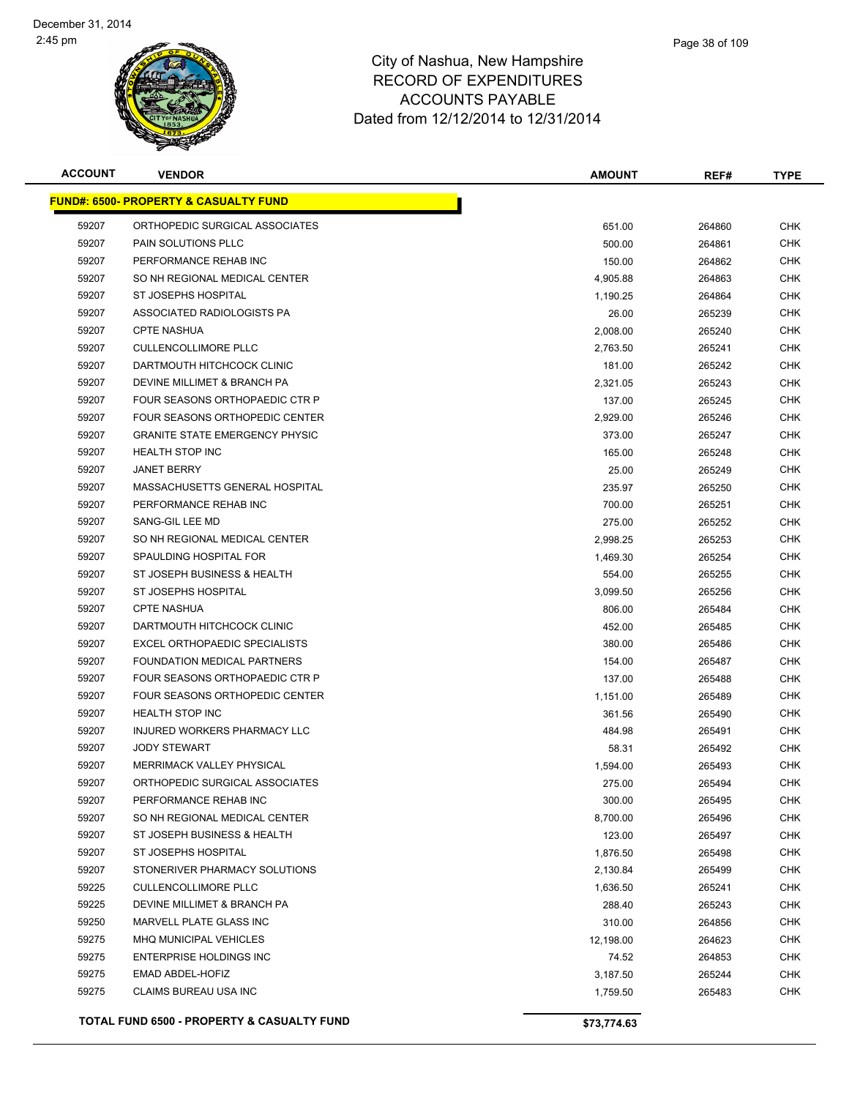

| Page 38 of 109 |
|----------------|
|                |

| <b>ACCOUNT</b> | <b>VENDOR</b>                                    | <b>AMOUNT</b> | REF#   | <b>TYPE</b> |
|----------------|--------------------------------------------------|---------------|--------|-------------|
|                | <b>FUND#: 6500- PROPERTY &amp; CASUALTY FUND</b> |               |        |             |
| 59207          | ORTHOPEDIC SURGICAL ASSOCIATES                   | 651.00        | 264860 | <b>CHK</b>  |
| 59207          | PAIN SOLUTIONS PLLC                              | 500.00        | 264861 | <b>CHK</b>  |
| 59207          | PERFORMANCE REHAB INC                            | 150.00        | 264862 | <b>CHK</b>  |
| 59207          | SO NH REGIONAL MEDICAL CENTER                    | 4,905.88      | 264863 | CHK         |
| 59207          | ST JOSEPHS HOSPITAL                              | 1,190.25      | 264864 | <b>CHK</b>  |
| 59207          | ASSOCIATED RADIOLOGISTS PA                       | 26.00         | 265239 | <b>CHK</b>  |
| 59207          | <b>CPTE NASHUA</b>                               | 2,008.00      | 265240 | CHK         |
| 59207          | <b>CULLENCOLLIMORE PLLC</b>                      | 2,763.50      | 265241 | <b>CHK</b>  |
| 59207          | DARTMOUTH HITCHCOCK CLINIC                       | 181.00        | 265242 | CHK         |
| 59207          | DEVINE MILLIMET & BRANCH PA                      | 2,321.05      | 265243 | CHK         |
| 59207          | FOUR SEASONS ORTHOPAEDIC CTR P                   | 137.00        | 265245 | <b>CHK</b>  |
| 59207          | FOUR SEASONS ORTHOPEDIC CENTER                   | 2,929.00      | 265246 | <b>CHK</b>  |
| 59207          | <b>GRANITE STATE EMERGENCY PHYSIC</b>            | 373.00        | 265247 | CHK         |
| 59207          | <b>HEALTH STOP INC</b>                           | 165.00        | 265248 | <b>CHK</b>  |
| 59207          | <b>JANET BERRY</b>                               | 25.00         | 265249 | CHK         |
| 59207          | MASSACHUSETTS GENERAL HOSPITAL                   | 235.97        | 265250 | <b>CHK</b>  |
| 59207          | PERFORMANCE REHAB INC                            | 700.00        | 265251 | <b>CHK</b>  |
| 59207          | SANG-GIL LEE MD                                  | 275.00        | 265252 | CHK         |
| 59207          | SO NH REGIONAL MEDICAL CENTER                    | 2,998.25      | 265253 | <b>CHK</b>  |
| 59207          | SPAULDING HOSPITAL FOR                           | 1,469.30      | 265254 | CHK         |
| 59207          | ST JOSEPH BUSINESS & HEALTH                      | 554.00        | 265255 | <b>CHK</b>  |
| 59207          | ST JOSEPHS HOSPITAL                              | 3,099.50      | 265256 | <b>CHK</b>  |
| 59207          | <b>CPTE NASHUA</b>                               | 806.00        | 265484 | <b>CHK</b>  |
| 59207          | DARTMOUTH HITCHCOCK CLINIC                       | 452.00        | 265485 | CHK         |
| 59207          | EXCEL ORTHOPAEDIC SPECIALISTS                    | 380.00        | 265486 | <b>CHK</b>  |
| 59207          | FOUNDATION MEDICAL PARTNERS                      | 154.00        | 265487 | <b>CHK</b>  |
| 59207          | FOUR SEASONS ORTHOPAEDIC CTR P                   | 137.00        | 265488 | <b>CHK</b>  |
| 59207          | FOUR SEASONS ORTHOPEDIC CENTER                   | 1,151.00      | 265489 | <b>CHK</b>  |
| 59207          | <b>HEALTH STOP INC</b>                           | 361.56        | 265490 | <b>CHK</b>  |
| 59207          | INJURED WORKERS PHARMACY LLC                     | 484.98        | 265491 | <b>CHK</b>  |
| 59207          | <b>JODY STEWART</b>                              | 58.31         | 265492 | <b>CHK</b>  |
| 59207          | <b>MERRIMACK VALLEY PHYSICAL</b>                 | 1,594.00      | 265493 | CHK         |
| 59207          | ORTHOPEDIC SURGICAL ASSOCIATES                   | 275.00        | 265494 | <b>CHK</b>  |
| 59207          | PERFORMANCE REHAB INC                            | 300.00        | 265495 | <b>CHK</b>  |
| 59207          | SO NH REGIONAL MEDICAL CENTER                    | 8,700.00      | 265496 | <b>CHK</b>  |
| 59207          | ST JOSEPH BUSINESS & HEALTH                      | 123.00        | 265497 | <b>CHK</b>  |
| 59207          | ST JOSEPHS HOSPITAL                              | 1,876.50      | 265498 | <b>CHK</b>  |
| 59207          | STONERIVER PHARMACY SOLUTIONS                    | 2,130.84      | 265499 | <b>CHK</b>  |
| 59225          | <b>CULLENCOLLIMORE PLLC</b>                      | 1,636.50      | 265241 | <b>CHK</b>  |
| 59225          | DEVINE MILLIMET & BRANCH PA                      | 288.40        | 265243 | <b>CHK</b>  |
| 59250          | MARVELL PLATE GLASS INC                          | 310.00        | 264856 | <b>CHK</b>  |
| 59275          | MHQ MUNICIPAL VEHICLES                           | 12,198.00     | 264623 | <b>CHK</b>  |
| 59275          | <b>ENTERPRISE HOLDINGS INC</b>                   | 74.52         | 264853 | <b>CHK</b>  |
| 59275          | EMAD ABDEL-HOFIZ                                 | 3,187.50      | 265244 | <b>CHK</b>  |
| 59275          | CLAIMS BUREAU USA INC                            | 1,759.50      | 265483 | CHK         |
|                | TOTAL FUND 6500 - PROPERTY & CASUALTY FUND       | \$73,774.63   |        |             |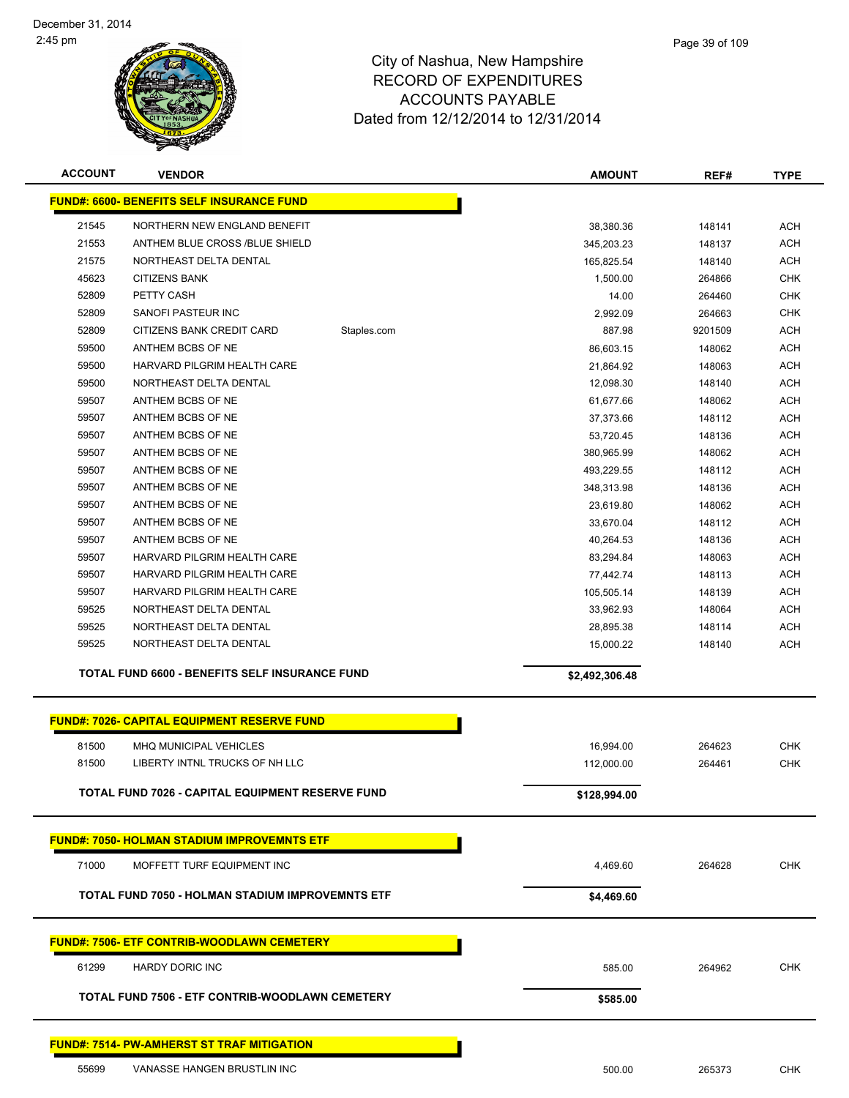

| <b>ACCOUNT</b> | <b>VENDOR</b>                                      |             | <b>AMOUNT</b>           | REF#             | <b>TYPE</b> |
|----------------|----------------------------------------------------|-------------|-------------------------|------------------|-------------|
|                | <b>FUND#: 6600- BENEFITS SELF INSURANCE FUND</b>   |             |                         |                  |             |
| 21545          | NORTHERN NEW ENGLAND BENEFIT                       |             |                         |                  | <b>ACH</b>  |
| 21553          | ANTHEM BLUE CROSS /BLUE SHIELD                     |             | 38,380.36<br>345,203.23 | 148141<br>148137 | <b>ACH</b>  |
| 21575          | NORTHEAST DELTA DENTAL                             |             | 165,825.54              | 148140           | <b>ACH</b>  |
| 45623          | <b>CITIZENS BANK</b>                               |             | 1,500.00                | 264866           | <b>CHK</b>  |
| 52809          | PETTY CASH                                         |             | 14.00                   | 264460           | <b>CHK</b>  |
| 52809          | SANOFI PASTEUR INC                                 |             | 2,992.09                | 264663           | <b>CHK</b>  |
| 52809          | CITIZENS BANK CREDIT CARD                          | Staples.com | 887.98                  | 9201509          | <b>ACH</b>  |
| 59500          | ANTHEM BCBS OF NE                                  |             | 86,603.15               | 148062           | <b>ACH</b>  |
| 59500          | HARVARD PILGRIM HEALTH CARE                        |             | 21,864.92               | 148063           | <b>ACH</b>  |
| 59500          | NORTHEAST DELTA DENTAL                             |             | 12,098.30               | 148140           | <b>ACH</b>  |
| 59507          | ANTHEM BCBS OF NE                                  |             | 61,677.66               | 148062           | <b>ACH</b>  |
| 59507          | ANTHEM BCBS OF NE                                  |             | 37,373.66               | 148112           | <b>ACH</b>  |
| 59507          | ANTHEM BCBS OF NE                                  |             | 53,720.45               | 148136           | <b>ACH</b>  |
| 59507          | ANTHEM BCBS OF NE                                  |             | 380,965.99              | 148062           | <b>ACH</b>  |
| 59507          | ANTHEM BCBS OF NE                                  |             | 493,229.55              | 148112           | <b>ACH</b>  |
| 59507          | ANTHEM BCBS OF NE                                  |             | 348,313.98              | 148136           | <b>ACH</b>  |
| 59507          | ANTHEM BCBS OF NE                                  |             | 23,619.80               | 148062           | <b>ACH</b>  |
| 59507          | ANTHEM BCBS OF NE                                  |             | 33,670.04               | 148112           | <b>ACH</b>  |
| 59507          | ANTHEM BCBS OF NE                                  |             | 40,264.53               | 148136           | <b>ACH</b>  |
| 59507          | HARVARD PILGRIM HEALTH CARE                        |             | 83,294.84               | 148063           | <b>ACH</b>  |
| 59507          | HARVARD PILGRIM HEALTH CARE                        |             | 77,442.74               | 148113           | <b>ACH</b>  |
| 59507          | HARVARD PILGRIM HEALTH CARE                        |             | 105,505.14              | 148139           | <b>ACH</b>  |
| 59525          | NORTHEAST DELTA DENTAL                             |             | 33,962.93               | 148064           | <b>ACH</b>  |
| 59525          | NORTHEAST DELTA DENTAL                             |             | 28,895.38               | 148114           | <b>ACH</b>  |
| 59525          | NORTHEAST DELTA DENTAL                             |             | 15,000.22               | 148140           | <b>ACH</b>  |
|                | TOTAL FUND 6600 - BENEFITS SELF INSURANCE FUND     |             |                         |                  |             |
|                |                                                    |             | \$2,492,306.48          |                  |             |
|                | <b>FUND#: 7026- CAPITAL EQUIPMENT RESERVE FUND</b> |             |                         |                  |             |
|                |                                                    |             |                         |                  |             |
| 81500          | <b>MHQ MUNICIPAL VEHICLES</b>                      |             | 16,994.00               | 264623           | <b>CHK</b>  |
| 81500          | LIBERTY INTNL TRUCKS OF NH LLC                     |             | 112,000.00              | 264461           | <b>CHK</b>  |
|                | TOTAL FUND 7026 - CAPITAL EQUIPMENT RESERVE FUND   |             | \$128,994.00            |                  |             |
|                |                                                    |             |                         |                  |             |
|                | <b>FUND#: 7050- HOLMAN STADIUM IMPROVEMNTS ETF</b> |             |                         |                  |             |
| 71000          | MOFFETT TURF EQUIPMENT INC                         |             | 4,469.60                | 264628           | <b>CHK</b>  |
|                | TOTAL FUND 7050 - HOLMAN STADIUM IMPROVEMNTS ETF   |             | \$4,469.60              |                  |             |
|                |                                                    |             |                         |                  |             |
|                | <u> FUND#: 7506- ETF CONTRIB-WOODLAWN CEMETERY</u> |             |                         |                  |             |
| 61299          | <b>HARDY DORIC INC</b>                             |             | 585.00                  | 264962           | <b>CHK</b>  |
|                | TOTAL FUND 7506 - ETF CONTRIB-WOODLAWN CEMETERY    |             | \$585.00                |                  |             |
|                |                                                    |             |                         |                  |             |
|                | <u>FUND#: 7514- PW-AMHERST ST TRAF MITIGATION</u>  |             |                         |                  |             |
| 55699          | VANASSE HANGEN BRUSTLIN INC                        |             | 500.00                  | 265373           | <b>CHK</b>  |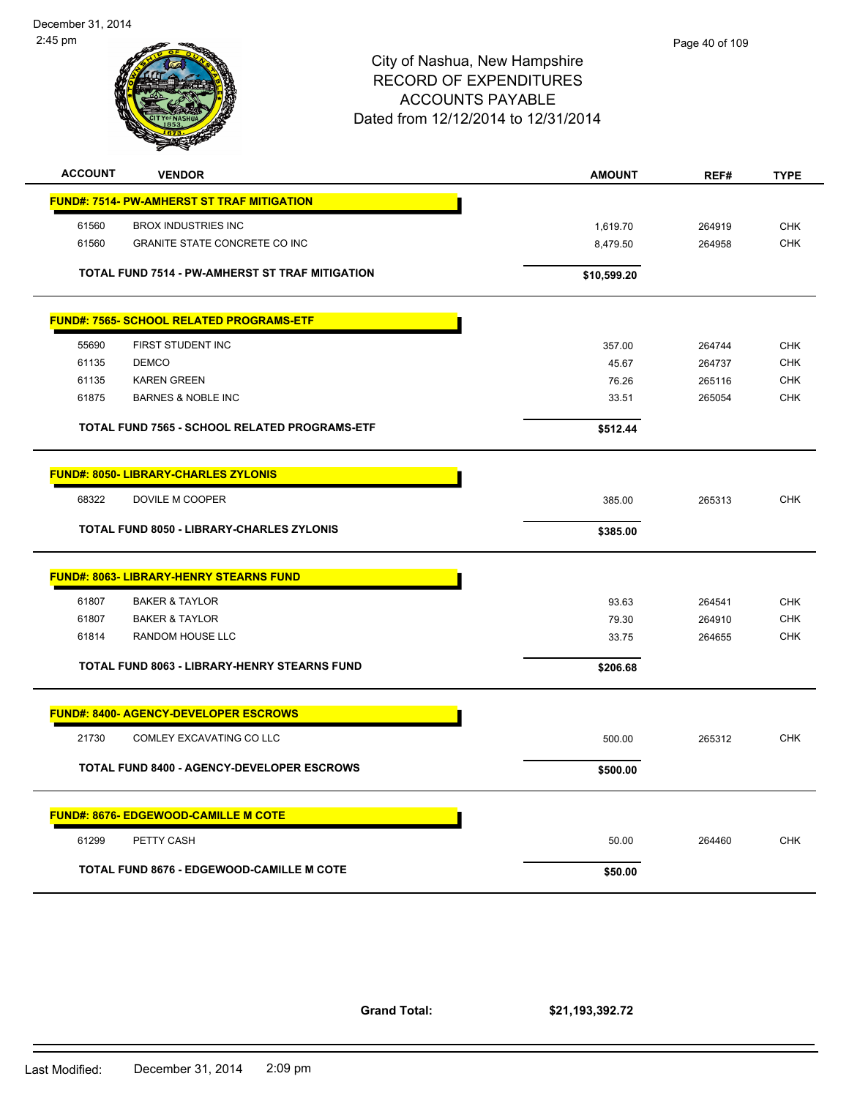

| <b>ACCOUNT</b><br><b>VENDOR</b>                     | <b>AMOUNT</b> | REF#   | <b>TYPE</b> |
|-----------------------------------------------------|---------------|--------|-------------|
| <b>FUND#: 7514- PW-AMHERST ST TRAF MITIGATION</b>   |               |        |             |
| 61560<br><b>BROX INDUSTRIES INC</b>                 | 1,619.70      | 264919 | <b>CHK</b>  |
| 61560<br><b>GRANITE STATE CONCRETE CO INC</b>       | 8,479.50      | 264958 | <b>CHK</b>  |
| TOTAL FUND 7514 - PW-AMHERST ST TRAF MITIGATION     | \$10,599.20   |        |             |
| <b>FUND#: 7565- SCHOOL RELATED PROGRAMS-ETF</b>     |               |        |             |
| 55690<br>FIRST STUDENT INC                          | 357.00        | 264744 | <b>CHK</b>  |
| 61135<br><b>DEMCO</b>                               | 45.67         | 264737 | <b>CHK</b>  |
| 61135<br><b>KAREN GREEN</b>                         | 76.26         | 265116 | <b>CHK</b>  |
| 61875<br><b>BARNES &amp; NOBLE INC</b>              | 33.51         | 265054 | <b>CHK</b>  |
| TOTAL FUND 7565 - SCHOOL RELATED PROGRAMS-ETF       | \$512.44      |        |             |
| <b>FUND#: 8050- LIBRARY-CHARLES ZYLONIS</b>         |               |        |             |
| 68322<br>DOVILE M COOPER                            | 385.00        | 265313 | <b>CHK</b>  |
| <b>TOTAL FUND 8050 - LIBRARY-CHARLES ZYLONIS</b>    | \$385.00      |        |             |
| <b>FUND#: 8063- LIBRARY-HENRY STEARNS FUND</b>      |               |        |             |
| 61807<br><b>BAKER &amp; TAYLOR</b>                  | 93.63         | 264541 | <b>CHK</b>  |
| 61807<br><b>BAKER &amp; TAYLOR</b>                  | 79.30         | 264910 | <b>CHK</b>  |
| 61814<br>RANDOM HOUSE LLC                           | 33.75         | 264655 | <b>CHK</b>  |
| <b>TOTAL FUND 8063 - LIBRARY-HENRY STEARNS FUND</b> | \$206.68      |        |             |
| <b>FUND#: 8400- AGENCY-DEVELOPER ESCROWS</b>        |               |        |             |
| COMLEY EXCAVATING CO LLC<br>21730                   | 500.00        | 265312 | <b>CHK</b>  |
| TOTAL FUND 8400 - AGENCY-DEVELOPER ESCROWS          | \$500.00      |        |             |
| <b>FUND#: 8676- EDGEWOOD-CAMILLE M COTE</b>         |               |        |             |
| 61299<br>PETTY CASH                                 | 50.00         | 264460 | <b>CHK</b>  |
| <b>TOTAL FUND 8676 - EDGEWOOD-CAMILLE M COTE</b>    | \$50.00       |        |             |

**Grand Total:**

**\$21,193,392.72**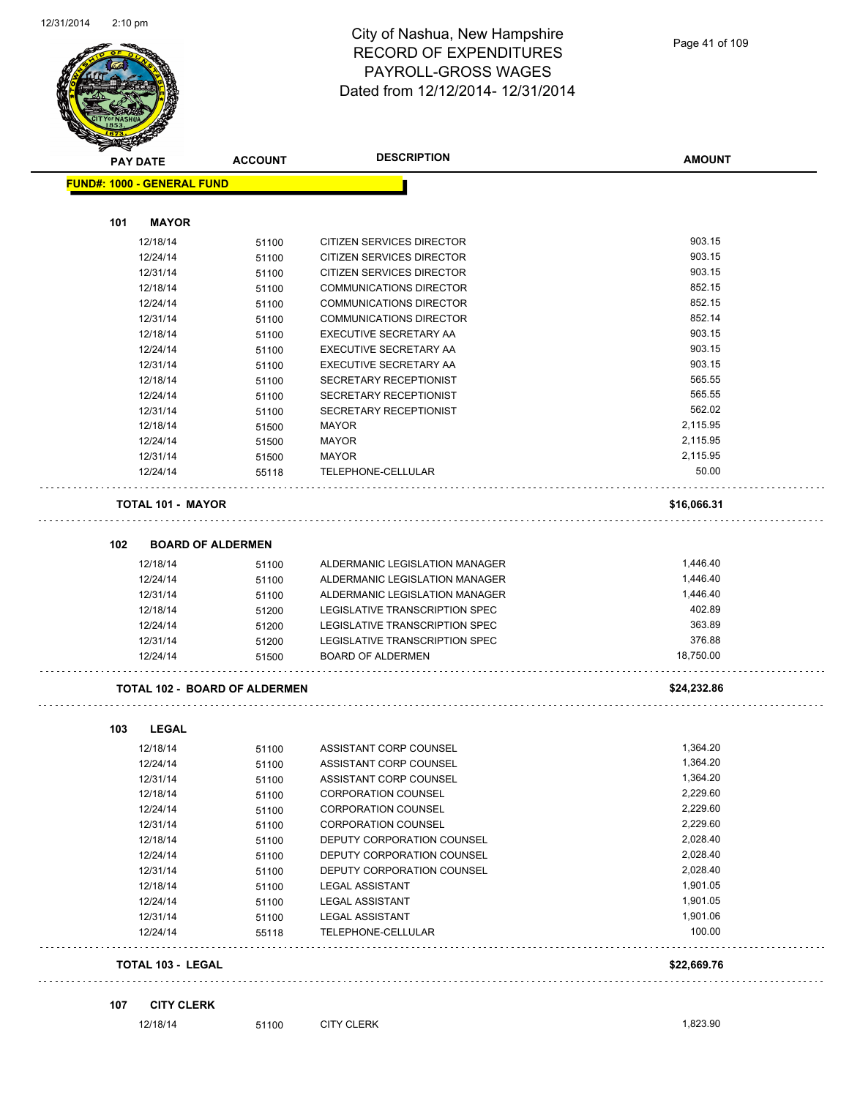

**AMOUNT**

| <b>FUND#: 1000 - GENERAL FUND</b>    |       |                                  |             |
|--------------------------------------|-------|----------------------------------|-------------|
|                                      |       |                                  |             |
| 101<br><b>MAYOR</b>                  |       |                                  |             |
| 12/18/14                             | 51100 | <b>CITIZEN SERVICES DIRECTOR</b> | 903.15      |
| 12/24/14                             | 51100 | CITIZEN SERVICES DIRECTOR        | 903.15      |
| 12/31/14                             | 51100 | CITIZEN SERVICES DIRECTOR        | 903.15      |
| 12/18/14                             | 51100 | <b>COMMUNICATIONS DIRECTOR</b>   | 852.15      |
| 12/24/14                             | 51100 | <b>COMMUNICATIONS DIRECTOR</b>   | 852.15      |
| 12/31/14                             | 51100 | COMMUNICATIONS DIRECTOR          | 852.14      |
| 12/18/14                             | 51100 | EXECUTIVE SECRETARY AA           | 903.15      |
| 12/24/14                             | 51100 | EXECUTIVE SECRETARY AA           | 903.15      |
| 12/31/14                             | 51100 | EXECUTIVE SECRETARY AA           | 903.15      |
| 12/18/14                             | 51100 | SECRETARY RECEPTIONIST           | 565.55      |
| 12/24/14                             | 51100 | SECRETARY RECEPTIONIST           | 565.55      |
| 12/31/14                             | 51100 | SECRETARY RECEPTIONIST           | 562.02      |
| 12/18/14                             | 51500 | MAYOR                            | 2,115.95    |
| 12/24/14                             | 51500 | MAYOR                            | 2,115.95    |
| 12/31/14                             | 51500 | <b>MAYOR</b>                     | 2,115.95    |
| 12/24/14                             | 55118 | TELEPHONE-CELLULAR               | 50.00       |
| <b>TOTAL 101 - MAYOR</b>             |       |                                  | \$16,066.31 |
| 102<br><b>BOARD OF ALDERMEN</b>      |       |                                  |             |
| 12/18/14                             | 51100 | ALDERMANIC LEGISLATION MANAGER   | 1,446.40    |
| 12/24/14                             | 51100 | ALDERMANIC LEGISLATION MANAGER   | 1,446.40    |
| 12/31/14                             | 51100 | ALDERMANIC LEGISLATION MANAGER   | 1,446.40    |
| 12/18/14                             | 51200 | LEGISLATIVE TRANSCRIPTION SPEC   | 402.89      |
| 12/24/14                             | 51200 | LEGISLATIVE TRANSCRIPTION SPEC   | 363.89      |
| 12/31/14                             | 51200 | LEGISLATIVE TRANSCRIPTION SPEC   | 376.88      |
| 12/24/14                             | 51500 | <b>BOARD OF ALDERMEN</b>         | 18,750.00   |
| <b>TOTAL 102 - BOARD OF ALDERMEN</b> |       |                                  | \$24,232.86 |
| 103<br><b>LEGAL</b>                  |       |                                  |             |
| 12/18/14                             | 51100 | ASSISTANT CORP COUNSEL           | 1,364.20    |
| 12/24/14                             | 51100 | ASSISTANT CORP COUNSEL           | 1,364.20    |
| 12/31/14                             | 51100 | ASSISTANT CORP COUNSEL           | 1,364.20    |
| 12/18/14                             | 51100 | <b>CORPORATION COUNSEL</b>       | 2,229.60    |
| 12/24/14                             | 51100 | <b>CORPORATION COUNSEL</b>       | 2,229.60    |
| 12/31/14                             | 51100 | <b>CORPORATION COUNSEL</b>       | 2,229.60    |
| 12/18/14                             | 51100 | DEPUTY CORPORATION COUNSEL       | 2,028.40    |
| 12/24/14                             | 51100 | DEPUTY CORPORATION COUNSEL       | 2,028.40    |
| 12/31/14                             | 51100 | DEPUTY CORPORATION COUNSEL       | 2,028.40    |
| 12/18/14                             | 51100 | <b>LEGAL ASSISTANT</b>           | 1,901.05    |
| 12/24/14                             | 51100 | <b>LEGAL ASSISTANT</b>           | 1,901.05    |
| 12/31/14                             | 51100 | <b>LEGAL ASSISTANT</b>           | 1,901.06    |
| 12/24/14                             | 55118 | TELEPHONE-CELLULAR               | 100.00      |
| <b>TOTAL 103 - LEGAL</b>             |       |                                  | \$22,669.76 |

### **107 CITY CLERK**

12/18/14 51100 CITY CLERK 5100 51100 51100 CITY CLERK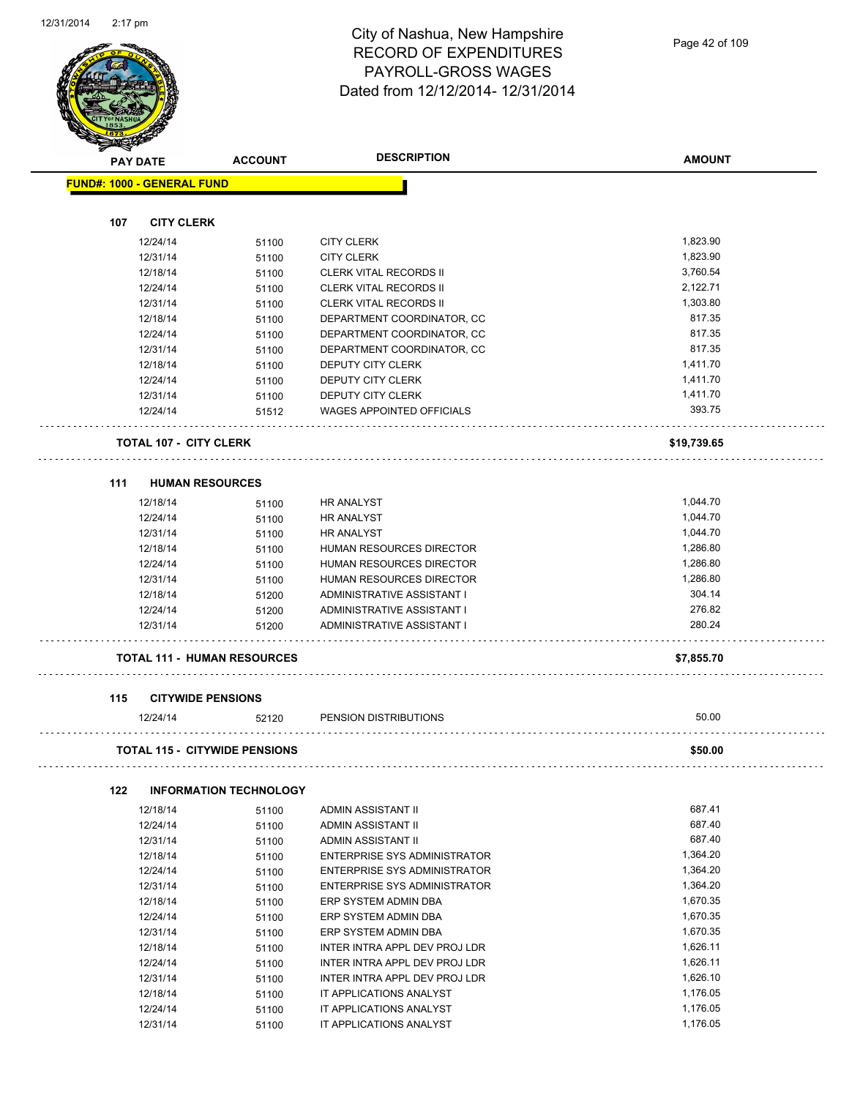| <b>PAY DATE</b>                   | <b>ACCOUNT</b>                       | <b>DESCRIPTION</b>                                          | <b>AMOUNT</b>        |
|-----------------------------------|--------------------------------------|-------------------------------------------------------------|----------------------|
| <b>FUND#: 1000 - GENERAL FUND</b> |                                      |                                                             |                      |
|                                   |                                      |                                                             |                      |
| 107                               | <b>CITY CLERK</b>                    |                                                             |                      |
| 12/24/14                          | 51100                                | <b>CITY CLERK</b>                                           | 1,823.90             |
| 12/31/14                          | 51100                                | <b>CITY CLERK</b>                                           | 1,823.90             |
| 12/18/14                          | 51100                                | <b>CLERK VITAL RECORDS II</b>                               | 3,760.54             |
| 12/24/14                          | 51100                                | <b>CLERK VITAL RECORDS II</b>                               | 2,122.71             |
| 12/31/14                          | 51100                                | <b>CLERK VITAL RECORDS II</b>                               | 1,303.80             |
| 12/18/14                          | 51100                                | DEPARTMENT COORDINATOR, CC                                  | 817.35               |
| 12/24/14                          | 51100                                | DEPARTMENT COORDINATOR, CC                                  | 817.35<br>817.35     |
| 12/31/14                          | 51100                                | DEPARTMENT COORDINATOR, CC                                  |                      |
| 12/18/14                          | 51100                                | DEPUTY CITY CLERK                                           | 1,411.70             |
| 12/24/14                          | 51100                                | DEPUTY CITY CLERK                                           | 1,411.70             |
| 12/31/14<br>12/24/14              | 51100<br>51512                       | DEPUTY CITY CLERK<br><b>WAGES APPOINTED OFFICIALS</b>       | 1,411.70<br>393.75   |
|                                   |                                      |                                                             |                      |
|                                   | <b>TOTAL 107 - CITY CLERK</b>        |                                                             | \$19,739.65          |
|                                   |                                      |                                                             |                      |
| 111<br>12/18/14                   | <b>HUMAN RESOURCES</b>               |                                                             |                      |
|                                   | 51100                                | HR ANALYST                                                  | 1,044.70             |
| 12/24/14                          | 51100                                | <b>HR ANALYST</b>                                           | 1,044.70             |
| 12/31/14                          | 51100                                | <b>HR ANALYST</b>                                           | 1,044.70<br>1,286.80 |
| 12/18/14                          | 51100                                | HUMAN RESOURCES DIRECTOR                                    |                      |
| 12/24/14<br>12/31/14              | 51100                                | HUMAN RESOURCES DIRECTOR<br><b>HUMAN RESOURCES DIRECTOR</b> | 1,286.80<br>1,286.80 |
| 12/18/14                          | 51100                                | ADMINISTRATIVE ASSISTANT I                                  | 304.14               |
| 12/24/14                          | 51200<br>51200                       | ADMINISTRATIVE ASSISTANT I                                  | 276.82               |
| 12/31/14                          | 51200                                | ADMINISTRATIVE ASSISTANT I                                  | 280.24               |
|                                   |                                      |                                                             |                      |
|                                   | <b>TOTAL 111 - HUMAN RESOURCES</b>   |                                                             | \$7,855.70           |
| 115                               | <b>CITYWIDE PENSIONS</b>             |                                                             |                      |
| 12/24/14                          | 52120                                | PENSION DISTRIBUTIONS                                       | 50.00                |
|                                   | <b>TOTAL 115 - CITYWIDE PENSIONS</b> |                                                             | \$50.00              |
|                                   |                                      |                                                             |                      |
| 122<br>12/18/14                   | <b>INFORMATION TECHNOLOGY</b>        | ADMIN ASSISTANT II                                          | 687.41               |
| 12/24/14                          | 51100                                | ADMIN ASSISTANT II                                          | 687.40               |
| 12/31/14                          | 51100<br>51100                       | ADMIN ASSISTANT II                                          | 687.40               |
| 12/18/14                          | 51100                                | <b>ENTERPRISE SYS ADMINISTRATOR</b>                         | 1,364.20             |
| 12/24/14                          | 51100                                | <b>ENTERPRISE SYS ADMINISTRATOR</b>                         | 1,364.20             |
| 12/31/14                          | 51100                                | <b>ENTERPRISE SYS ADMINISTRATOR</b>                         | 1,364.20             |
| 12/18/14                          | 51100                                | ERP SYSTEM ADMIN DBA                                        | 1,670.35             |
| 12/24/14                          | 51100                                | ERP SYSTEM ADMIN DBA                                        | 1,670.35             |
| 12/31/14                          | 51100                                | ERP SYSTEM ADMIN DBA                                        | 1,670.35             |
| 12/18/14                          | 51100                                | INTER INTRA APPL DEV PROJ LDR                               | 1,626.11             |
| 12/24/14                          | 51100                                | INTER INTRA APPL DEV PROJ LDR                               | 1,626.11             |
| 12/31/14                          | 51100                                | INTER INTRA APPL DEV PROJ LDR                               | 1,626.10             |
|                                   | 51100                                | IT APPLICATIONS ANALYST                                     | 1,176.05             |
| 12/18/14                          |                                      |                                                             |                      |

12/31/14 51100 IT APPLICATIONS ANALYST 1,176.05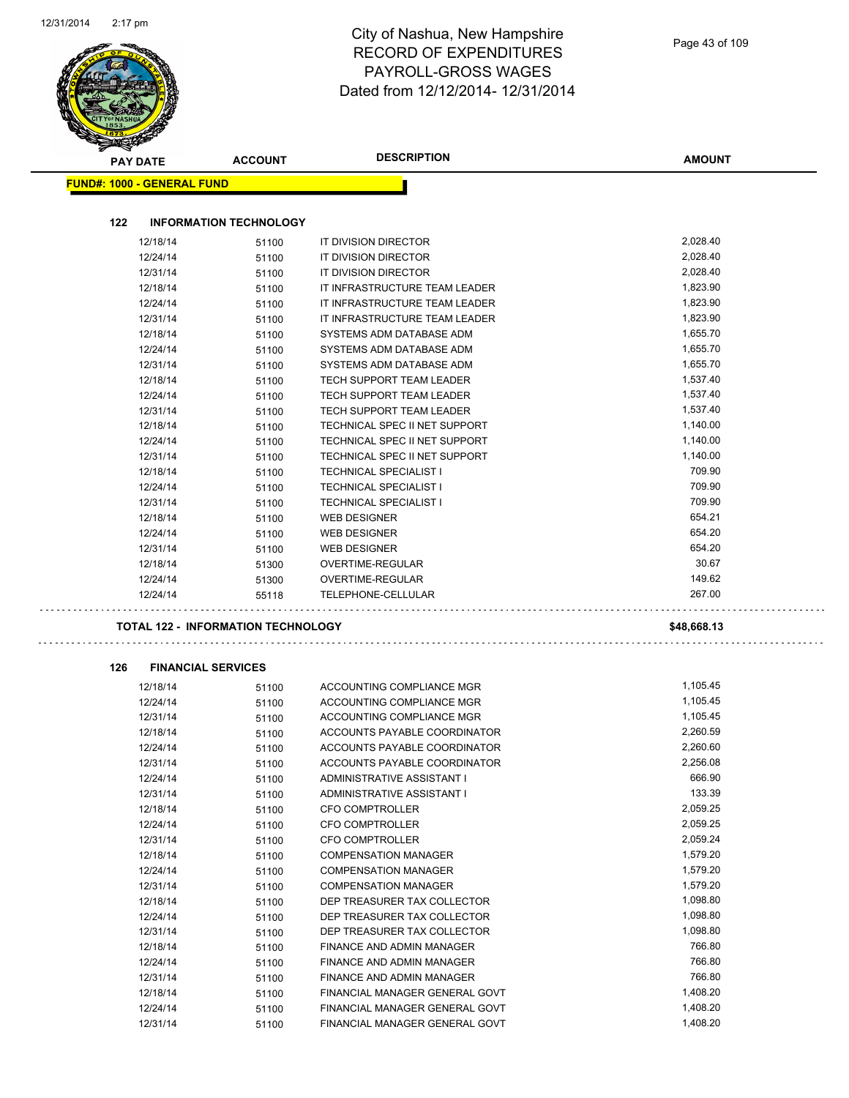|     | <b>PAY DATE</b>                   | <b>ACCOUNT</b>                            | <b>DESCRIPTION</b>                                               | <b>AMOUNT</b>        |
|-----|-----------------------------------|-------------------------------------------|------------------------------------------------------------------|----------------------|
|     | <b>FUND#: 1000 - GENERAL FUND</b> |                                           |                                                                  |                      |
|     |                                   |                                           |                                                                  |                      |
| 122 |                                   | <b>INFORMATION TECHNOLOGY</b>             |                                                                  |                      |
|     | 12/18/14                          | 51100                                     | IT DIVISION DIRECTOR                                             | 2,028.40             |
|     | 12/24/14                          | 51100                                     | IT DIVISION DIRECTOR                                             | 2,028.40             |
|     | 12/31/14                          | 51100                                     | IT DIVISION DIRECTOR                                             | 2,028.40             |
|     | 12/18/14                          | 51100                                     | IT INFRASTRUCTURE TEAM LEADER                                    | 1,823.90             |
|     | 12/24/14                          | 51100                                     | IT INFRASTRUCTURE TEAM LEADER                                    | 1,823.90             |
|     | 12/31/14                          | 51100                                     | IT INFRASTRUCTURE TEAM LEADER                                    | 1,823.90             |
|     | 12/18/14<br>12/24/14              | 51100                                     | SYSTEMS ADM DATABASE ADM<br>SYSTEMS ADM DATABASE ADM             | 1,655.70<br>1,655.70 |
|     | 12/31/14                          | 51100                                     | SYSTEMS ADM DATABASE ADM                                         | 1,655.70             |
|     | 12/18/14                          | 51100                                     | TECH SUPPORT TEAM LEADER                                         | 1,537.40             |
|     | 12/24/14                          | 51100<br>51100                            | TECH SUPPORT TEAM LEADER                                         | 1,537.40             |
|     | 12/31/14                          | 51100                                     | TECH SUPPORT TEAM LEADER                                         | 1,537.40             |
|     | 12/18/14                          | 51100                                     | TECHNICAL SPEC II NET SUPPORT                                    | 1,140.00             |
|     | 12/24/14                          | 51100                                     | TECHNICAL SPEC II NET SUPPORT                                    | 1,140.00             |
|     | 12/31/14                          | 51100                                     | TECHNICAL SPEC II NET SUPPORT                                    | 1,140.00             |
|     | 12/18/14                          | 51100                                     | <b>TECHNICAL SPECIALIST I</b>                                    | 709.90               |
|     | 12/24/14                          | 51100                                     | <b>TECHNICAL SPECIALIST I</b>                                    | 709.90               |
|     | 12/31/14                          | 51100                                     | <b>TECHNICAL SPECIALIST I</b>                                    | 709.90               |
|     | 12/18/14                          | 51100                                     | <b>WEB DESIGNER</b>                                              | 654.21               |
|     | 12/24/14                          | 51100                                     | <b>WEB DESIGNER</b>                                              | 654.20               |
|     | 12/31/14                          | 51100                                     | <b>WEB DESIGNER</b>                                              | 654.20               |
|     | 12/18/14                          | 51300                                     | OVERTIME-REGULAR                                                 | 30.67                |
|     | 12/24/14                          | 51300                                     | OVERTIME-REGULAR                                                 | 149.62               |
|     | 12/24/14                          | 55118                                     | TELEPHONE-CELLULAR                                               | 267.00               |
|     |                                   | <b>TOTAL 122 - INFORMATION TECHNOLOGY</b> |                                                                  | \$48,668.13          |
| 126 |                                   | <b>FINANCIAL SERVICES</b>                 |                                                                  |                      |
|     | 12/18/14                          | 51100                                     | ACCOUNTING COMPLIANCE MGR                                        | 1,105.45             |
|     | 12/24/14                          | 51100                                     | ACCOUNTING COMPLIANCE MGR                                        | 1,105.45             |
|     | 12/31/14                          | 51100                                     | ACCOUNTING COMPLIANCE MGR                                        | 1,105.45             |
|     | 12/18/14                          | 51100                                     | ACCOUNTS PAYABLE COORDINATOR                                     | 2,260.59             |
|     | 12/24/14                          | 51100                                     | ACCOUNTS PAYABLE COORDINATOR                                     | 2,260.60             |
|     | 12/31/14                          | 51100                                     | ACCOUNTS PAYABLE COORDINATOR                                     | 2,256.08             |
|     | 12/24/14                          | 51100                                     | ADMINISTRATIVE ASSISTANT I                                       | 666.90               |
|     | 12/31/14                          | 51100                                     | ADMINISTRATIVE ASSISTANT I                                       | 133.39               |
|     | 12/18/14                          | 51100                                     | <b>CFO COMPTROLLER</b>                                           | 2,059.25             |
|     | 12/24/14                          | 51100                                     | CFO COMPTROLLER                                                  | 2,059.25             |
|     | 12/31/14                          | 51100                                     | CFO COMPTROLLER                                                  | 2,059.24             |
|     | 12/18/14                          | 51100                                     | <b>COMPENSATION MANAGER</b>                                      | 1,579.20             |
|     | 12/24/14                          | 51100                                     | <b>COMPENSATION MANAGER</b>                                      | 1,579.20             |
|     | 12/31/14                          | 51100                                     | <b>COMPENSATION MANAGER</b>                                      | 1,579.20             |
|     | 12/18/14                          | 51100                                     | DEP TREASURER TAX COLLECTOR                                      | 1,098.80             |
|     | 12/24/14                          | 51100                                     | DEP TREASURER TAX COLLECTOR                                      | 1,098.80             |
|     | 12/31/14                          | 51100                                     | DEP TREASURER TAX COLLECTOR                                      | 1,098.80             |
|     |                                   |                                           |                                                                  |                      |
|     | 12/18/14                          | 51100                                     | FINANCE AND ADMIN MANAGER                                        | 766.80               |
|     | 12/24/14                          | 51100                                     | FINANCE AND ADMIN MANAGER                                        | 766.80               |
|     | 12/31/14                          | 51100                                     | FINANCE AND ADMIN MANAGER                                        | 766.80               |
|     | 12/18/14<br>12/24/14              | 51100<br>51100                            | FINANCIAL MANAGER GENERAL GOVT<br>FINANCIAL MANAGER GENERAL GOVT | 1,408.20<br>1,408.20 |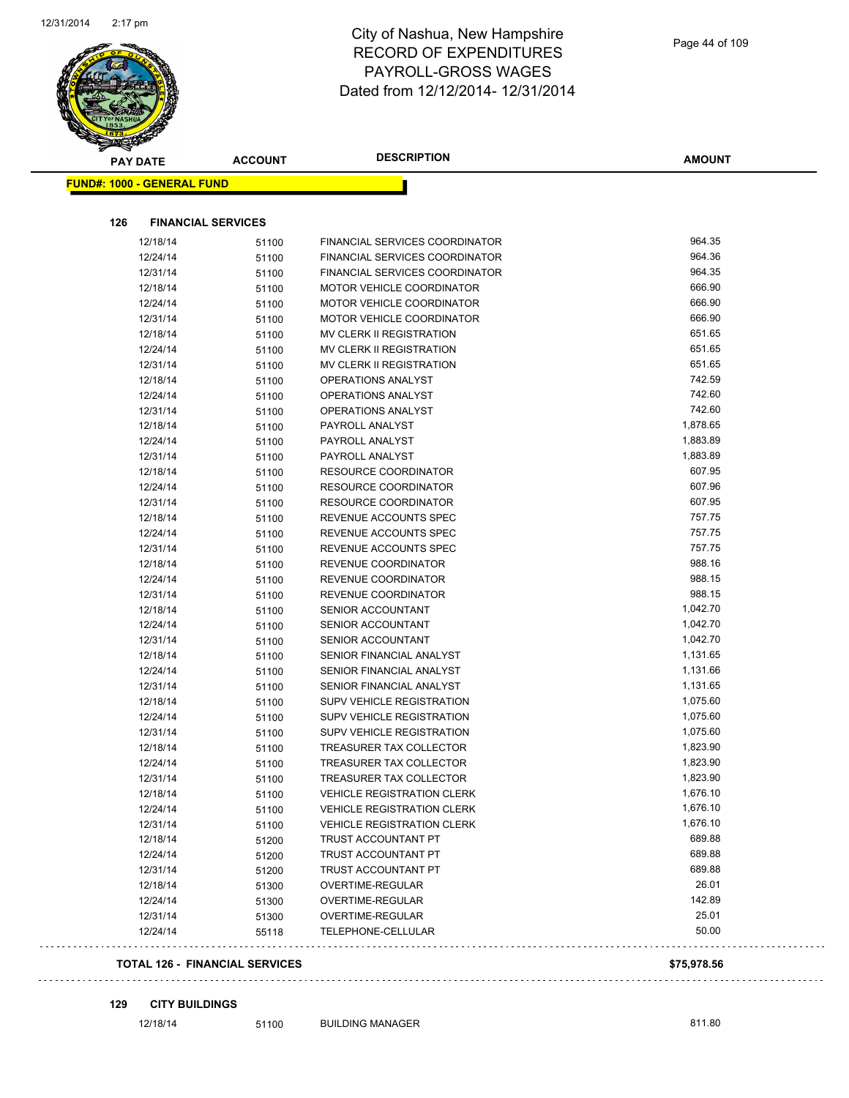

| <b>PAY DATE</b>                   | <b>ACCOUNT</b>            | <b>DESCRIPTION</b>                | <b>AMOUNT</b> |
|-----------------------------------|---------------------------|-----------------------------------|---------------|
| <b>FUND#: 1000 - GENERAL FUND</b> |                           |                                   |               |
|                                   |                           |                                   |               |
| 126                               | <b>FINANCIAL SERVICES</b> |                                   |               |
| 12/18/14                          | 51100                     | FINANCIAL SERVICES COORDINATOR    | 964.35        |
| 12/24/14                          | 51100                     | FINANCIAL SERVICES COORDINATOR    | 964.36        |
| 12/31/14                          | 51100                     | FINANCIAL SERVICES COORDINATOR    | 964.35        |
| 12/18/14                          | 51100                     | <b>MOTOR VEHICLE COORDINATOR</b>  | 666.90        |
| 12/24/14                          | 51100                     | <b>MOTOR VEHICLE COORDINATOR</b>  | 666.90        |
| 12/31/14                          | 51100                     | <b>MOTOR VEHICLE COORDINATOR</b>  | 666.90        |
| 12/18/14                          | 51100                     | MV CLERK II REGISTRATION          | 651.65        |
| 12/24/14                          | 51100                     | MV CLERK II REGISTRATION          | 651.65        |
| 12/31/14                          | 51100                     | MV CLERK II REGISTRATION          | 651.65        |
| 12/18/14                          | 51100                     | OPERATIONS ANALYST                | 742.59        |
| 12/24/14                          | 51100                     | OPERATIONS ANALYST                | 742.60        |
| 12/31/14                          | 51100                     | OPERATIONS ANALYST                | 742.60        |
| 12/18/14                          | 51100                     | PAYROLL ANALYST                   | 1,878.65      |
| 12/24/14                          | 51100                     | PAYROLL ANALYST                   | 1,883.89      |
| 12/31/14                          | 51100                     | PAYROLL ANALYST                   | 1,883.89      |
| 12/18/14                          | 51100                     | <b>RESOURCE COORDINATOR</b>       | 607.95        |
| 12/24/14                          | 51100                     | RESOURCE COORDINATOR              | 607.96        |
| 12/31/14                          | 51100                     | RESOURCE COORDINATOR              | 607.95        |
| 12/18/14                          | 51100                     | REVENUE ACCOUNTS SPEC             | 757.75        |
| 12/24/14                          | 51100                     | REVENUE ACCOUNTS SPEC             | 757.75        |
| 12/31/14                          | 51100                     | REVENUE ACCOUNTS SPEC             | 757.75        |
| 12/18/14                          | 51100                     | REVENUE COORDINATOR               | 988.16        |
| 12/24/14                          | 51100                     | REVENUE COORDINATOR               | 988.15        |
| 12/31/14                          | 51100                     | REVENUE COORDINATOR               | 988.15        |
| 12/18/14                          | 51100                     | <b>SENIOR ACCOUNTANT</b>          | 1,042.70      |
| 12/24/14                          | 51100                     | <b>SENIOR ACCOUNTANT</b>          | 1,042.70      |
| 12/31/14                          | 51100                     | <b>SENIOR ACCOUNTANT</b>          | 1,042.70      |
| 12/18/14                          | 51100                     | SENIOR FINANCIAL ANALYST          | 1,131.65      |
| 12/24/14                          | 51100                     | SENIOR FINANCIAL ANALYST          | 1,131.66      |
| 12/31/14                          | 51100                     | SENIOR FINANCIAL ANALYST          | 1,131.65      |
| 12/18/14                          | 51100                     | <b>SUPV VEHICLE REGISTRATION</b>  | 1,075.60      |
| 12/24/14                          | 51100                     | <b>SUPV VEHICLE REGISTRATION</b>  | 1,075.60      |
| 12/31/14                          | 51100                     | SUPV VEHICLE REGISTRATION         | 1,075.60      |
| 12/18/14                          | 51100                     | TREASURER TAX COLLECTOR           | 1,823.90      |
| 12/24/14                          | 51100                     | TREASURER TAX COLLECTOR           | 1,823.90      |
| 12/31/14                          | 51100                     | TREASURER TAX COLLECTOR           | 1,823.90      |
| 12/18/14                          | 51100                     | <b>VEHICLE REGISTRATION CLERK</b> | 1,676.10      |
| 12/24/14                          | 51100                     | <b>VEHICLE REGISTRATION CLERK</b> | 1,676.10      |
| 12/31/14                          | 51100                     | <b>VEHICLE REGISTRATION CLERK</b> | 1,676.10      |
| 12/18/14                          | 51200                     | TRUST ACCOUNTANT PT               | 689.88        |
| 12/24/14                          | 51200                     | TRUST ACCOUNTANT PT               | 689.88        |
| 12/31/14                          | 51200                     | TRUST ACCOUNTANT PT               | 689.88        |
| 12/18/14                          | 51300                     | OVERTIME-REGULAR                  | 26.01         |
| 12/24/14                          | 51300                     | OVERTIME-REGULAR                  | 142.89        |
| 12/31/14                          | 51300                     | OVERTIME-REGULAR                  | 25.01         |
| 12/24/14                          | 55118                     | TELEPHONE-CELLULAR                | 50.00         |

### **129 CITY BUILDINGS**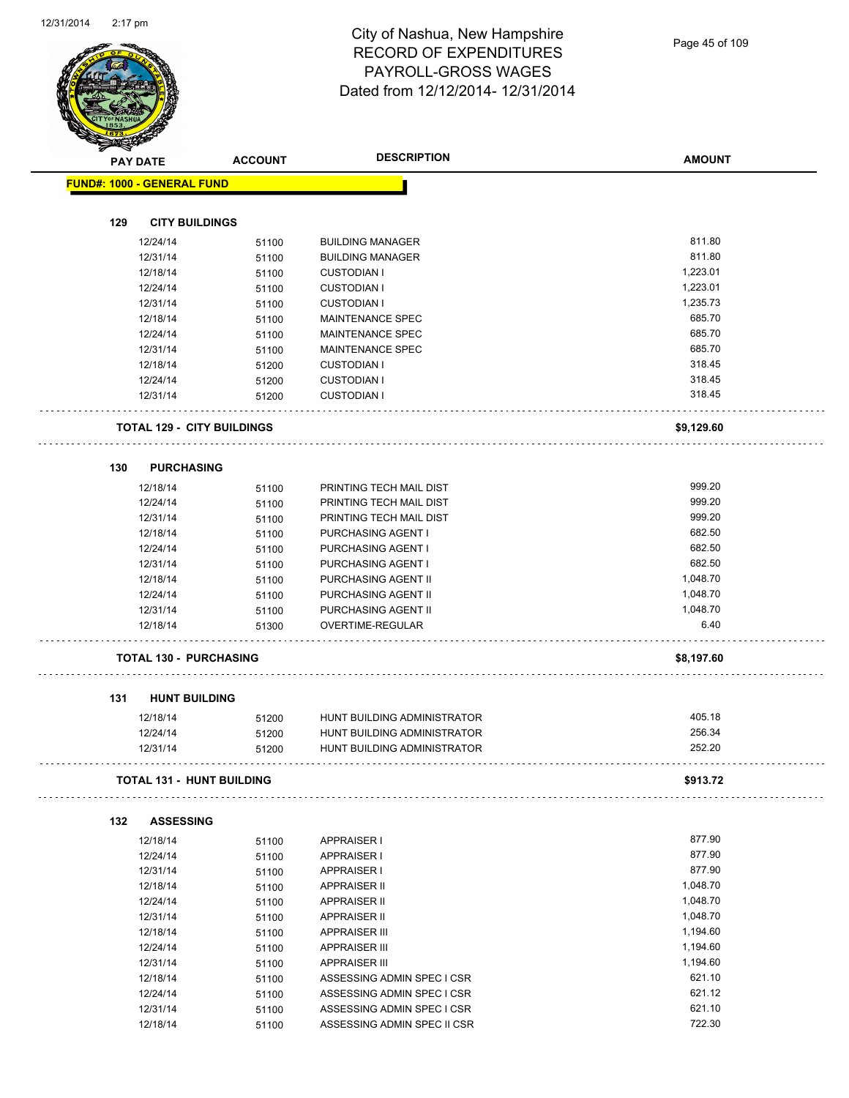|     | <b>PAY DATE</b>                   | <b>ACCOUNT</b> | <b>DESCRIPTION</b>                                       | <b>AMOUNT</b> |
|-----|-----------------------------------|----------------|----------------------------------------------------------|---------------|
|     | <b>FUND#: 1000 - GENERAL FUND</b> |                |                                                          |               |
|     |                                   |                |                                                          |               |
| 129 | <b>CITY BUILDINGS</b>             |                |                                                          |               |
|     | 12/24/14                          | 51100          | <b>BUILDING MANAGER</b>                                  | 811.80        |
|     | 12/31/14                          | 51100          | <b>BUILDING MANAGER</b>                                  | 811.80        |
|     | 12/18/14                          | 51100          | <b>CUSTODIAN I</b>                                       | 1,223.01      |
|     | 12/24/14                          | 51100          | <b>CUSTODIAN I</b>                                       | 1,223.01      |
|     | 12/31/14                          | 51100          | <b>CUSTODIAN I</b>                                       | 1,235.73      |
|     | 12/18/14                          | 51100          | MAINTENANCE SPEC                                         | 685.70        |
|     | 12/24/14                          | 51100          | MAINTENANCE SPEC                                         | 685.70        |
|     | 12/31/14                          | 51100          | MAINTENANCE SPEC                                         | 685.70        |
|     | 12/18/14                          | 51200          | <b>CUSTODIAN I</b>                                       | 318.45        |
|     | 12/24/14                          | 51200          | <b>CUSTODIAN I</b>                                       | 318.45        |
|     | 12/31/14                          | 51200          | <b>CUSTODIAN I</b>                                       | 318.45        |
|     | <b>TOTAL 129 - CITY BUILDINGS</b> |                |                                                          | \$9,129.60    |
| 130 | <b>PURCHASING</b>                 |                |                                                          |               |
|     | 12/18/14                          | 51100          | PRINTING TECH MAIL DIST                                  | 999.20        |
|     | 12/24/14                          | 51100          | PRINTING TECH MAIL DIST                                  | 999.20        |
|     | 12/31/14                          | 51100          | PRINTING TECH MAIL DIST                                  | 999.20        |
|     | 12/18/14                          | 51100          | PURCHASING AGENT I                                       | 682.50        |
|     | 12/24/14                          | 51100          | PURCHASING AGENT I                                       | 682.50        |
|     | 12/31/14                          |                | PURCHASING AGENT I                                       | 682.50        |
|     |                                   | 51100          |                                                          | 1,048.70      |
|     | 12/18/14                          | 51100          | PURCHASING AGENT II                                      | 1,048.70      |
|     | 12/24/14                          | 51100          | PURCHASING AGENT II                                      |               |
|     | 12/31/14                          | 51100          | PURCHASING AGENT II                                      | 1,048.70      |
|     | 12/18/14                          | 51300          | OVERTIME-REGULAR                                         | 6.40          |
|     | <b>TOTAL 130 - PURCHASING</b>     |                |                                                          | \$8,197.60    |
|     |                                   |                |                                                          |               |
| 131 | <b>HUNT BUILDING</b>              |                |                                                          |               |
|     | 12/18/14                          | 51200          | HUNT BUILDING ADMINISTRATOR                              | 405.18        |
|     | 12/24/14                          | 51200          | HUNT BUILDING ADMINISTRATOR                              | 256.34        |
|     | 12/31/14                          | 51200          | HUNT BUILDING ADMINISTRATOR                              | 252.20        |
|     | <b>TOTAL 131 - HUNT BUILDING</b>  |                |                                                          | \$913.72      |
| 132 | <b>ASSESSING</b>                  |                |                                                          |               |
|     | 12/18/14                          | 51100          | <b>APPRAISER I</b>                                       | 877.90        |
|     | 12/24/14                          | 51100          | <b>APPRAISER I</b>                                       | 877.90        |
|     | 12/31/14                          | 51100          | APPRAISER I                                              | 877.90        |
|     | 12/18/14                          | 51100          | <b>APPRAISER II</b>                                      | 1,048.70      |
|     | 12/24/14                          | 51100          | APPRAISER II                                             | 1,048.70      |
|     | 12/31/14                          | 51100          | APPRAISER II                                             | 1,048.70      |
|     | 12/18/14                          | 51100          | <b>APPRAISER III</b>                                     | 1,194.60      |
|     | 12/24/14                          | 51100          | <b>APPRAISER III</b>                                     | 1,194.60      |
|     | 12/31/14                          | 51100          | <b>APPRAISER III</b>                                     | 1,194.60      |
|     |                                   |                | ASSESSING ADMIN SPEC I CSR                               | 621.10        |
|     |                                   |                |                                                          |               |
|     | 12/18/14                          | 51100          |                                                          | 621.12        |
|     | 12/24/14<br>12/31/14              | 51100<br>51100 | ASSESSING ADMIN SPEC I CSR<br>ASSESSING ADMIN SPEC I CSR | 621.10        |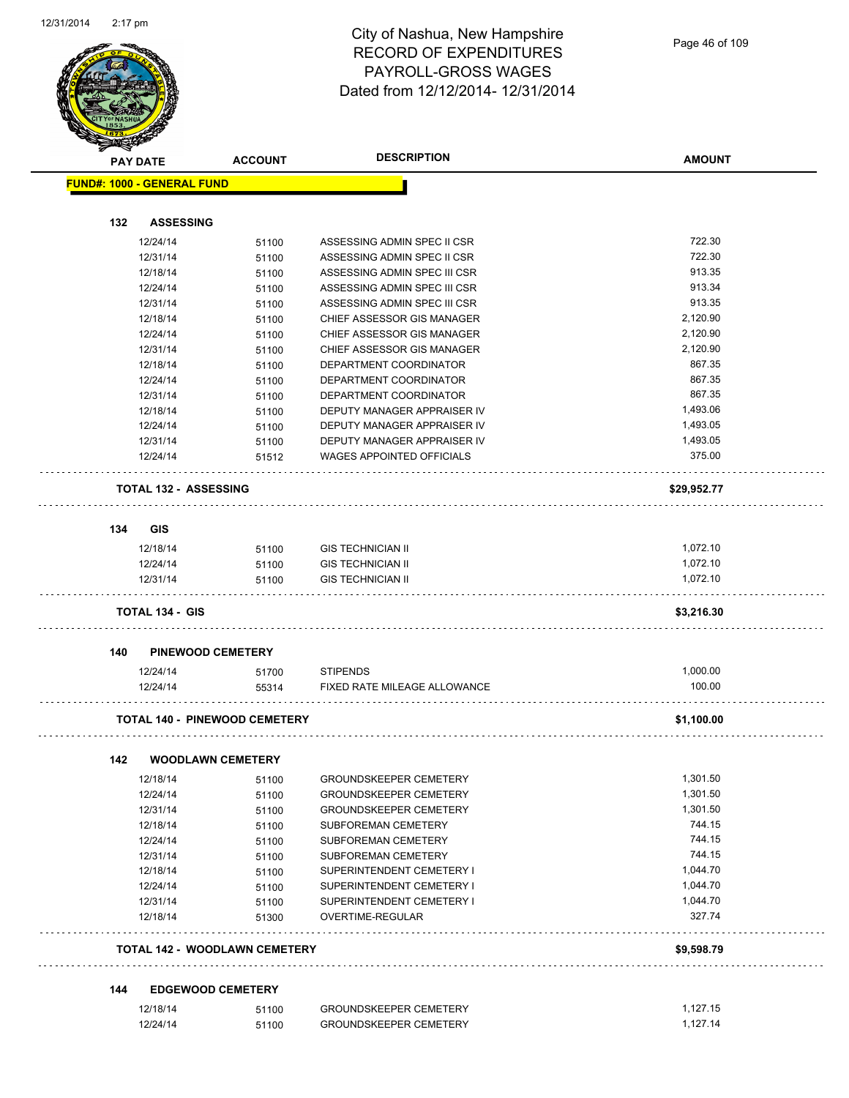

|     | <b>PAY DATE</b>                   | <b>ACCOUNT</b>                       | <b>DESCRIPTION</b>                                   | <b>AMOUNT</b> |
|-----|-----------------------------------|--------------------------------------|------------------------------------------------------|---------------|
|     | <b>FUND#: 1000 - GENERAL FUND</b> |                                      |                                                      |               |
|     |                                   |                                      |                                                      |               |
| 132 | <b>ASSESSING</b>                  |                                      |                                                      |               |
|     | 12/24/14                          | 51100                                | ASSESSING ADMIN SPEC II CSR                          | 722.30        |
|     | 12/31/14                          | 51100                                | ASSESSING ADMIN SPEC II CSR                          | 722.30        |
|     | 12/18/14                          | 51100                                | ASSESSING ADMIN SPEC III CSR                         | 913.35        |
|     | 12/24/14                          | 51100                                | ASSESSING ADMIN SPEC III CSR                         | 913.34        |
|     | 12/31/14                          | 51100                                | ASSESSING ADMIN SPEC III CSR                         | 913.35        |
|     | 12/18/14                          | 51100                                | CHIEF ASSESSOR GIS MANAGER                           | 2,120.90      |
|     | 12/24/14                          | 51100                                | CHIEF ASSESSOR GIS MANAGER                           | 2,120.90      |
|     | 12/31/14                          | 51100                                | CHIEF ASSESSOR GIS MANAGER                           | 2,120.90      |
|     | 12/18/14                          | 51100                                | DEPARTMENT COORDINATOR                               | 867.35        |
|     | 12/24/14                          | 51100                                | DEPARTMENT COORDINATOR                               | 867.35        |
|     | 12/31/14                          | 51100                                | DEPARTMENT COORDINATOR                               | 867.35        |
|     | 12/18/14                          | 51100                                | DEPUTY MANAGER APPRAISER IV                          | 1,493.06      |
|     | 12/24/14                          | 51100                                | DEPUTY MANAGER APPRAISER IV                          | 1,493.05      |
|     | 12/31/14                          | 51100                                | DEPUTY MANAGER APPRAISER IV                          | 1,493.05      |
|     | 12/24/14                          | 51512                                | <b>WAGES APPOINTED OFFICIALS</b>                     | 375.00        |
|     | <b>TOTAL 132 - ASSESSING</b>      |                                      |                                                      | \$29,952.77   |
| 134 | <b>GIS</b>                        |                                      |                                                      |               |
|     |                                   |                                      |                                                      | 1,072.10      |
|     | 12/18/14                          | 51100                                | <b>GIS TECHNICIAN II</b>                             | 1,072.10      |
|     | 12/24/14<br>12/31/14              | 51100                                | <b>GIS TECHNICIAN II</b><br><b>GIS TECHNICIAN II</b> | 1,072.10      |
|     |                                   | 51100                                |                                                      |               |
|     | <b>TOTAL 134 - GIS</b>            |                                      |                                                      | \$3,216.30    |
| 140 |                                   | <b>PINEWOOD CEMETERY</b>             |                                                      |               |
|     | 12/24/14                          | 51700                                | <b>STIPENDS</b>                                      | 1,000.00      |
|     | 12/24/14                          | 55314                                | FIXED RATE MILEAGE ALLOWANCE                         | 100.00        |
|     |                                   | <b>TOTAL 140 - PINEWOOD CEMETERY</b> |                                                      | \$1,100.00    |
| 142 |                                   | <b>WOODLAWN CEMETERY</b>             |                                                      |               |
|     | 12/18/14                          | 51100                                | <b>GROUNDSKEEPER CEMETERY</b>                        | 1,301.50      |
|     | 12/24/14                          | 51100                                | <b>GROUNDSKEEPER CEMETERY</b>                        | 1,301.50      |
|     | 12/31/14                          | 51100                                | <b>GROUNDSKEEPER CEMETERY</b>                        | 1,301.50      |
|     | 12/18/14                          | 51100                                | SUBFOREMAN CEMETERY                                  | 744.15        |
|     | 12/24/14                          | 51100                                | SUBFOREMAN CEMETERY                                  | 744.15        |
|     | 12/31/14                          | 51100                                | SUBFOREMAN CEMETERY                                  | 744.15        |
|     | 12/18/14                          | 51100                                | SUPERINTENDENT CEMETERY I                            | 1,044.70      |
|     | 12/24/14                          |                                      | SUPERINTENDENT CEMETERY I                            | 1,044.70      |
|     | 12/31/14                          | 51100                                | SUPERINTENDENT CEMETERY I                            | 1,044.70      |
|     | 12/18/14                          | 51100<br>51300                       | <b>OVERTIME-REGULAR</b>                              | 327.74        |
|     |                                   |                                      |                                                      |               |
|     |                                   | <b>TOTAL 142 - WOODLAWN CEMETERY</b> |                                                      | \$9,598.79    |
| 144 |                                   | <b>EDGEWOOD CEMETERY</b>             |                                                      |               |
|     | 12/18/14                          | 51100                                | <b>GROUNDSKEEPER CEMETERY</b>                        | 1,127.15      |
|     | 12/24/14                          | 51100                                | <b>GROUNDSKEEPER CEMETERY</b>                        | 1,127.14      |
|     |                                   |                                      |                                                      |               |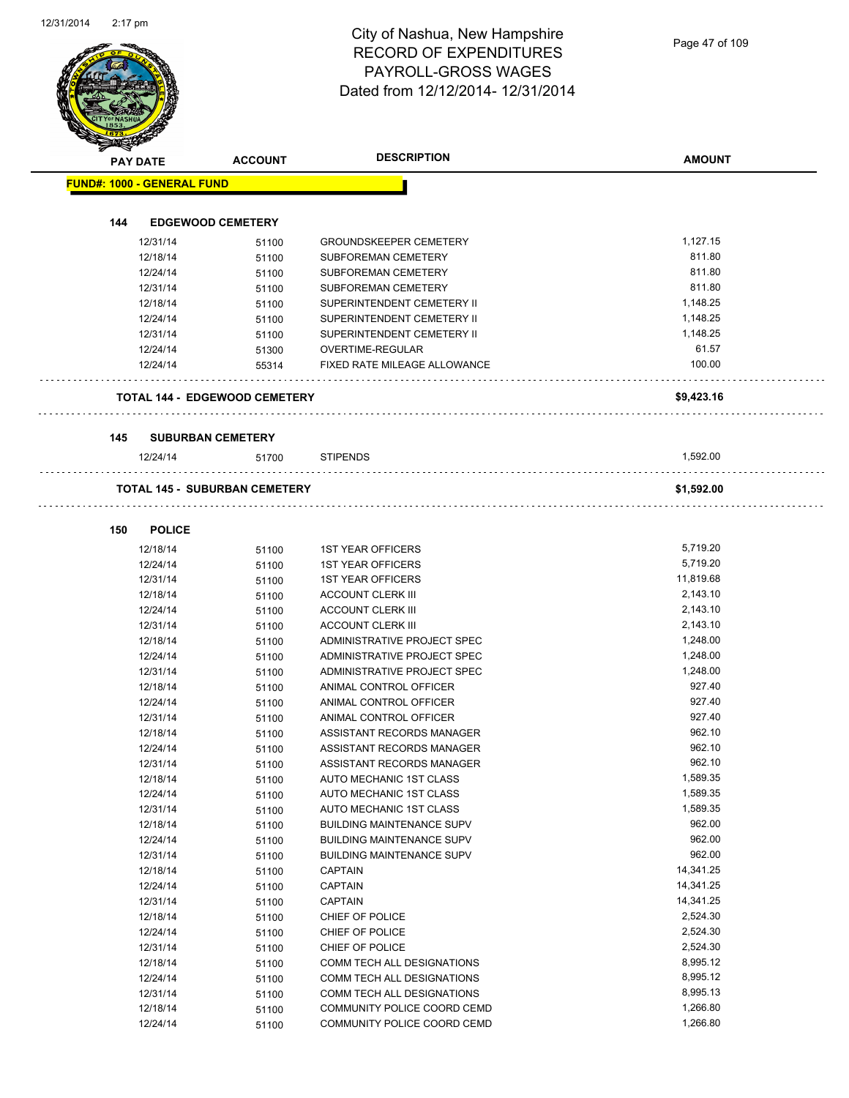|     | <b>PAY DATE</b>                   | <b>ACCOUNT</b>                       | <b>DESCRIPTION</b>                                   | <b>AMOUNT</b>    |
|-----|-----------------------------------|--------------------------------------|------------------------------------------------------|------------------|
|     | <b>FUND#: 1000 - GENERAL FUND</b> |                                      |                                                      |                  |
|     |                                   |                                      |                                                      |                  |
| 144 |                                   | <b>EDGEWOOD CEMETERY</b>             |                                                      |                  |
|     | 12/31/14                          | 51100                                | <b>GROUNDSKEEPER CEMETERY</b>                        | 1,127.15         |
|     | 12/18/14                          | 51100                                | SUBFOREMAN CEMETERY                                  | 811.80<br>811.80 |
|     | 12/24/14                          | 51100                                | SUBFOREMAN CEMETERY                                  |                  |
|     | 12/31/14                          | 51100                                | <b>SUBFOREMAN CEMETERY</b>                           | 811.80           |
|     | 12/18/14                          | 51100                                | SUPERINTENDENT CEMETERY II                           | 1,148.25         |
|     | 12/24/14                          | 51100                                | SUPERINTENDENT CEMETERY II                           | 1,148.25         |
|     | 12/31/14                          | 51100                                | SUPERINTENDENT CEMETERY II                           | 1,148.25         |
|     | 12/24/14<br>12/24/14              | 51300<br>55314                       | OVERTIME-REGULAR<br>FIXED RATE MILEAGE ALLOWANCE     | 61.57<br>100.00  |
|     |                                   |                                      |                                                      |                  |
|     |                                   | <b>TOTAL 144 - EDGEWOOD CEMETERY</b> |                                                      | \$9,423.16       |
| 145 |                                   | <b>SUBURBAN CEMETERY</b>             |                                                      |                  |
|     | 12/24/14                          | 51700                                | <b>STIPENDS</b>                                      | 1,592.00         |
|     |                                   | <b>TOTAL 145 - SUBURBAN CEMETERY</b> |                                                      | \$1,592.00       |
| 150 | <b>POLICE</b>                     |                                      |                                                      |                  |
|     | 12/18/14                          |                                      | <b>1ST YEAR OFFICERS</b>                             | 5,719.20         |
|     | 12/24/14                          | 51100                                | <b>1ST YEAR OFFICERS</b>                             | 5,719.20         |
|     |                                   | 51100                                |                                                      | 11,819.68        |
|     | 12/31/14                          | 51100                                | <b>1ST YEAR OFFICERS</b>                             | 2,143.10         |
|     | 12/18/14<br>12/24/14              | 51100                                | <b>ACCOUNT CLERK III</b>                             | 2,143.10         |
|     | 12/31/14                          | 51100                                | <b>ACCOUNT CLERK III</b><br><b>ACCOUNT CLERK III</b> | 2,143.10         |
|     | 12/18/14                          | 51100                                | ADMINISTRATIVE PROJECT SPEC                          | 1,248.00         |
|     | 12/24/14                          | 51100<br>51100                       | ADMINISTRATIVE PROJECT SPEC                          | 1,248.00         |
|     | 12/31/14                          | 51100                                | ADMINISTRATIVE PROJECT SPEC                          | 1,248.00         |
|     | 12/18/14                          | 51100                                | ANIMAL CONTROL OFFICER                               | 927.40           |
|     | 12/24/14                          | 51100                                | ANIMAL CONTROL OFFICER                               | 927.40           |
|     | 12/31/14                          | 51100                                | ANIMAL CONTROL OFFICER                               | 927.40           |
|     | 12/18/14                          | 51100                                | ASSISTANT RECORDS MANAGER                            | 962.10           |
|     | 12/24/14                          | 51100                                | ASSISTANT RECORDS MANAGER                            | 962.10           |
|     | 12/31/14                          | 51100                                | ASSISTANT RECORDS MANAGER                            | 962.10           |
|     | 12/18/14                          | 51100                                | AUTO MECHANIC 1ST CLASS                              | 1,589.35         |
|     | 12/24/14                          | 51100                                | AUTO MECHANIC 1ST CLASS                              | 1,589.35         |
|     | 12/31/14                          | 51100                                | AUTO MECHANIC 1ST CLASS                              | 1,589.35         |
|     | 12/18/14                          | 51100                                | <b>BUILDING MAINTENANCE SUPV</b>                     | 962.00           |
|     | 12/24/14                          | 51100                                | <b>BUILDING MAINTENANCE SUPV</b>                     | 962.00           |
|     | 12/31/14                          | 51100                                | <b>BUILDING MAINTENANCE SUPV</b>                     | 962.00           |
|     | 12/18/14                          | 51100                                | <b>CAPTAIN</b>                                       | 14,341.25        |
|     | 12/24/14                          | 51100                                | <b>CAPTAIN</b>                                       | 14,341.25        |
|     | 12/31/14                          | 51100                                | <b>CAPTAIN</b>                                       | 14,341.25        |
|     | 12/18/14                          | 51100                                | CHIEF OF POLICE                                      | 2,524.30         |
|     | 12/24/14                          | 51100                                | CHIEF OF POLICE                                      | 2,524.30         |
|     | 12/31/14                          | 51100                                | CHIEF OF POLICE                                      | 2,524.30         |
|     | 12/18/14                          | 51100                                | COMM TECH ALL DESIGNATIONS                           | 8,995.12         |
|     | 12/24/14                          | 51100                                | COMM TECH ALL DESIGNATIONS                           | 8,995.12         |
|     | 12/31/14                          | 51100                                | COMM TECH ALL DESIGNATIONS                           | 8,995.13         |
|     | 12/18/14                          | 51100                                | COMMUNITY POLICE COORD CEMD                          | 1,266.80         |
|     | 12/24/14                          | 51100                                | COMMUNITY POLICE COORD CEMD                          | 1,266.80         |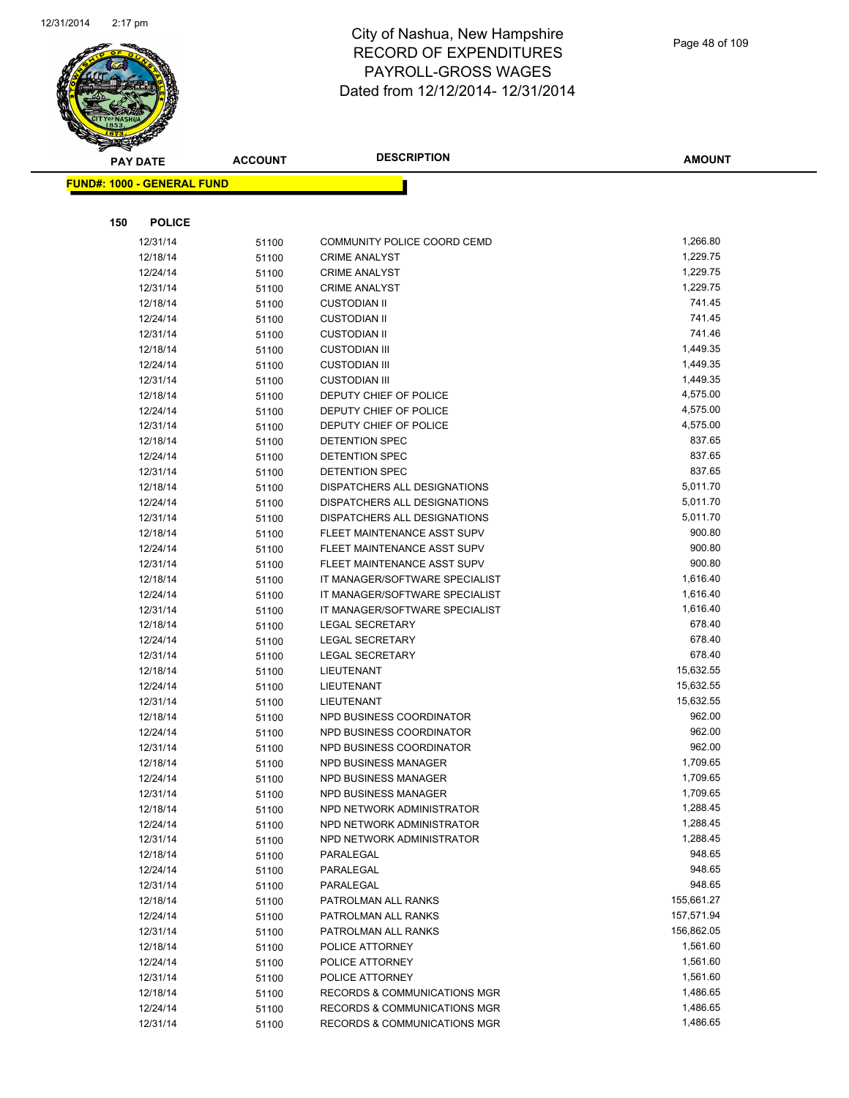

|     | <b>PAY DATE</b>                   | <b>ACCOUNT</b> | <b>DESCRIPTION</b>                                     | <b>AMOUNT</b>        |
|-----|-----------------------------------|----------------|--------------------------------------------------------|----------------------|
|     | <b>FUND#: 1000 - GENERAL FUND</b> |                |                                                        |                      |
|     |                                   |                |                                                        |                      |
|     |                                   |                |                                                        |                      |
| 150 | <b>POLICE</b>                     |                |                                                        |                      |
|     | 12/31/14                          | 51100          | COMMUNITY POLICE COORD CEMD                            | 1,266.80             |
|     | 12/18/14                          | 51100          | <b>CRIME ANALYST</b>                                   | 1,229.75             |
|     | 12/24/14                          | 51100          | <b>CRIME ANALYST</b>                                   | 1,229.75             |
|     | 12/31/14                          | 51100          | <b>CRIME ANALYST</b>                                   | 1,229.75             |
|     | 12/18/14                          | 51100          | <b>CUSTODIAN II</b>                                    | 741.45               |
|     | 12/24/14                          | 51100          | <b>CUSTODIAN II</b>                                    | 741.45               |
|     | 12/31/14                          | 51100          | <b>CUSTODIAN II</b>                                    | 741.46               |
|     | 12/18/14                          | 51100          | <b>CUSTODIAN III</b>                                   | 1,449.35             |
|     | 12/24/14                          | 51100          | <b>CUSTODIAN III</b>                                   | 1,449.35             |
|     | 12/31/14                          | 51100          | <b>CUSTODIAN III</b>                                   | 1,449.35             |
|     | 12/18/14                          | 51100          | DEPUTY CHIEF OF POLICE                                 | 4,575.00             |
|     | 12/24/14                          | 51100          | DEPUTY CHIEF OF POLICE                                 | 4,575.00             |
|     | 12/31/14                          | 51100          | DEPUTY CHIEF OF POLICE                                 | 4,575.00             |
|     | 12/18/14                          | 51100          | <b>DETENTION SPEC</b>                                  | 837.65               |
|     | 12/24/14                          | 51100          | DETENTION SPEC                                         | 837.65               |
|     | 12/31/14                          | 51100          | <b>DETENTION SPEC</b>                                  | 837.65               |
|     | 12/18/14                          | 51100          | DISPATCHERS ALL DESIGNATIONS                           | 5,011.70             |
|     | 12/24/14                          | 51100          | DISPATCHERS ALL DESIGNATIONS                           | 5,011.70             |
|     | 12/31/14                          | 51100          | DISPATCHERS ALL DESIGNATIONS                           | 5,011.70             |
|     | 12/18/14                          | 51100          | FLEET MAINTENANCE ASST SUPV                            | 900.80               |
|     | 12/24/14                          | 51100          | FLEET MAINTENANCE ASST SUPV                            | 900.80               |
|     | 12/31/14                          | 51100          | FLEET MAINTENANCE ASST SUPV                            | 900.80               |
|     | 12/18/14                          | 51100          | IT MANAGER/SOFTWARE SPECIALIST                         | 1,616.40             |
|     | 12/24/14                          | 51100          | IT MANAGER/SOFTWARE SPECIALIST                         | 1,616.40             |
|     | 12/31/14                          | 51100          | IT MANAGER/SOFTWARE SPECIALIST                         | 1,616.40             |
|     | 12/18/14                          | 51100          | <b>LEGAL SECRETARY</b>                                 | 678.40               |
|     | 12/24/14                          | 51100          | <b>LEGAL SECRETARY</b>                                 | 678.40               |
|     | 12/31/14                          | 51100          | <b>LEGAL SECRETARY</b>                                 | 678.40               |
|     | 12/18/14                          | 51100          | LIEUTENANT                                             | 15,632.55            |
|     | 12/24/14                          | 51100          | LIEUTENANT                                             | 15,632.55            |
|     | 12/31/14                          | 51100          | LIEUTENANT                                             | 15,632.55            |
|     | 12/18/14                          | 51100          | NPD BUSINESS COORDINATOR                               | 962.00               |
|     | 12/24/14                          | 51100          | NPD BUSINESS COORDINATOR                               | 962.00               |
|     | 12/31/14                          | 51100          | NPD BUSINESS COORDINATOR                               | 962.00<br>1,709.65   |
|     | 12/18/14                          | 51100          | NPD BUSINESS MANAGER<br>NPD BUSINESS MANAGER           |                      |
|     | 12/24/14                          | 51100          |                                                        | 1,709.65<br>1,709.65 |
|     | 12/31/14                          | 51100          | <b>NPD BUSINESS MANAGER</b>                            | 1,288.45             |
|     | 12/18/14                          | 51100          | NPD NETWORK ADMINISTRATOR<br>NPD NETWORK ADMINISTRATOR | 1,288.45             |
|     | 12/24/14<br>12/31/14              | 51100          | NPD NETWORK ADMINISTRATOR                              | 1,288.45             |
|     | 12/18/14                          | 51100          | PARALEGAL                                              | 948.65               |
|     | 12/24/14                          | 51100          | PARALEGAL                                              | 948.65               |
|     | 12/31/14                          | 51100          | PARALEGAL                                              | 948.65               |
|     | 12/18/14                          | 51100          | PATROLMAN ALL RANKS                                    | 155,661.27           |
|     | 12/24/14                          | 51100          | PATROLMAN ALL RANKS                                    | 157,571.94           |
|     | 12/31/14                          | 51100<br>51100 | PATROLMAN ALL RANKS                                    | 156,862.05           |
|     | 12/18/14                          | 51100          | POLICE ATTORNEY                                        | 1,561.60             |
|     | 12/24/14                          | 51100          | POLICE ATTORNEY                                        | 1,561.60             |
|     | 12/31/14                          | 51100          | POLICE ATTORNEY                                        | 1,561.60             |
|     | 12/18/14                          | 51100          | <b>RECORDS &amp; COMMUNICATIONS MGR</b>                | 1,486.65             |
|     | 12/24/14                          | 51100          | RECORDS & COMMUNICATIONS MGR                           | 1,486.65             |
|     | 12/31/14                          | 51100          | RECORDS & COMMUNICATIONS MGR                           | 1,486.65             |
|     |                                   |                |                                                        |                      |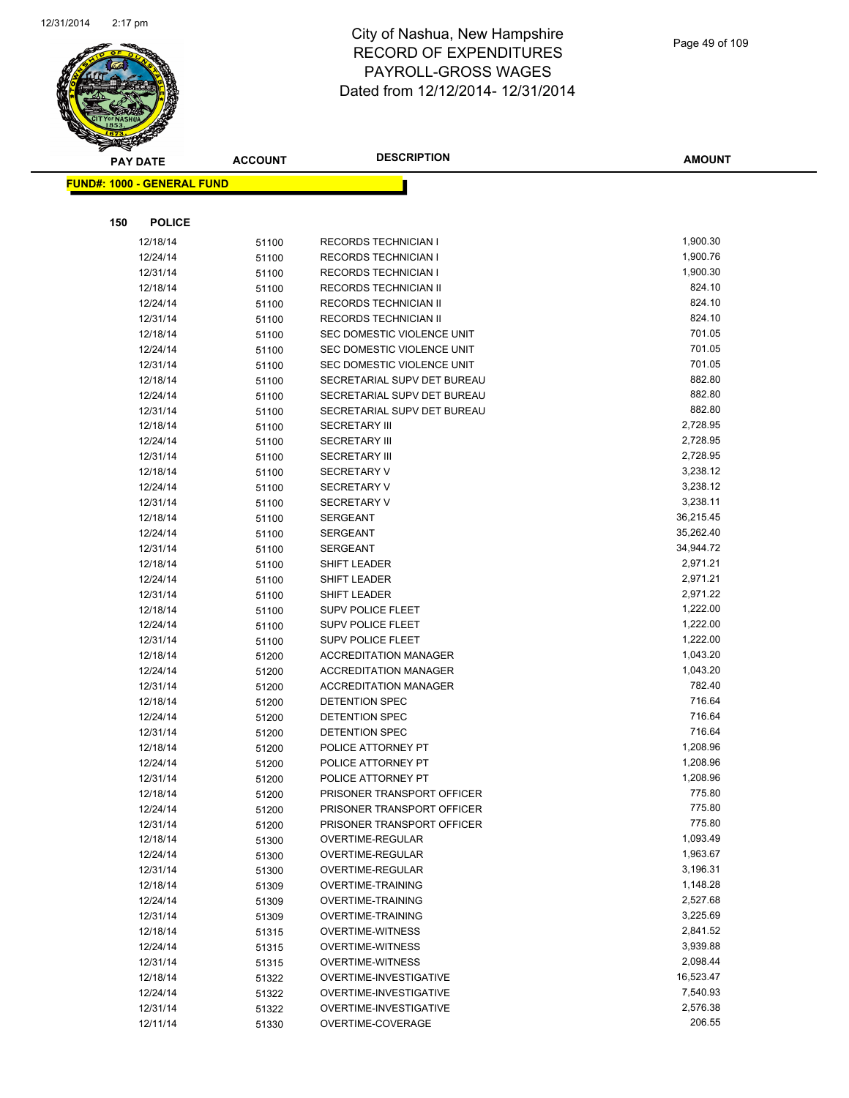

|     | <b>PAY DATE</b>                   | <b>ACCOUNT</b> | <b>DESCRIPTION</b>                                       | <b>AMOUNT</b>      |
|-----|-----------------------------------|----------------|----------------------------------------------------------|--------------------|
|     | <b>FUND#: 1000 - GENERAL FUND</b> |                |                                                          |                    |
|     |                                   |                |                                                          |                    |
|     |                                   |                |                                                          |                    |
| 150 | <b>POLICE</b>                     |                |                                                          |                    |
|     | 12/18/14                          | 51100          | RECORDS TECHNICIAN I                                     | 1,900.30           |
|     | 12/24/14                          | 51100          | <b>RECORDS TECHNICIAN I</b>                              | 1,900.76           |
|     | 12/31/14                          | 51100          | RECORDS TECHNICIAN I                                     | 1,900.30           |
|     | 12/18/14                          | 51100          | RECORDS TECHNICIAN II                                    | 824.10             |
|     | 12/24/14                          | 51100          | RECORDS TECHNICIAN II                                    | 824.10             |
|     | 12/31/14                          | 51100          | RECORDS TECHNICIAN II                                    | 824.10             |
|     | 12/18/14                          | 51100          | SEC DOMESTIC VIOLENCE UNIT                               | 701.05<br>701.05   |
|     | 12/24/14                          | 51100          | SEC DOMESTIC VIOLENCE UNIT<br>SEC DOMESTIC VIOLENCE UNIT | 701.05             |
|     | 12/31/14<br>12/18/14              | 51100          | SECRETARIAL SUPV DET BUREAU                              | 882.80             |
|     | 12/24/14                          | 51100          | SECRETARIAL SUPV DET BUREAU                              | 882.80             |
|     | 12/31/14                          | 51100          | SECRETARIAL SUPV DET BUREAU                              | 882.80             |
|     | 12/18/14                          | 51100<br>51100 | <b>SECRETARY III</b>                                     | 2,728.95           |
|     | 12/24/14                          | 51100          | <b>SECRETARY III</b>                                     | 2,728.95           |
|     | 12/31/14                          | 51100          | <b>SECRETARY III</b>                                     | 2,728.95           |
|     | 12/18/14                          | 51100          | <b>SECRETARY V</b>                                       | 3,238.12           |
|     | 12/24/14                          | 51100          | <b>SECRETARY V</b>                                       | 3,238.12           |
|     | 12/31/14                          | 51100          | <b>SECRETARY V</b>                                       | 3,238.11           |
|     | 12/18/14                          | 51100          | SERGEANT                                                 | 36,215.45          |
|     | 12/24/14                          | 51100          | <b>SERGEANT</b>                                          | 35,262.40          |
|     | 12/31/14                          | 51100          | SERGEANT                                                 | 34,944.72          |
|     | 12/18/14                          | 51100          | SHIFT LEADER                                             | 2,971.21           |
|     | 12/24/14                          | 51100          | SHIFT LEADER                                             | 2,971.21           |
|     | 12/31/14                          | 51100          | SHIFT LEADER                                             | 2,971.22           |
|     | 12/18/14                          | 51100          | SUPV POLICE FLEET                                        | 1,222.00           |
|     | 12/24/14                          | 51100          | SUPV POLICE FLEET                                        | 1,222.00           |
|     | 12/31/14                          | 51100          | SUPV POLICE FLEET                                        | 1,222.00           |
|     | 12/18/14                          | 51200          | <b>ACCREDITATION MANAGER</b>                             | 1,043.20           |
|     | 12/24/14                          | 51200          | <b>ACCREDITATION MANAGER</b>                             | 1,043.20           |
|     | 12/31/14                          | 51200          | <b>ACCREDITATION MANAGER</b>                             | 782.40             |
|     | 12/18/14                          | 51200          | <b>DETENTION SPEC</b>                                    | 716.64             |
|     | 12/24/14                          | 51200          | DETENTION SPEC                                           | 716.64             |
|     | 12/31/14                          | 51200          | <b>DETENTION SPEC</b>                                    | 716.64             |
|     | 12/18/14                          | 51200          | POLICE ATTORNEY PT                                       | 1,208.96           |
|     | 12/24/14                          | 51200          | POLICE ATTORNEY PT                                       | 1,208.96           |
|     | 12/31/14                          | 51200          | POLICE ATTORNEY PT                                       | 1,208.96           |
|     | 12/18/14                          | 51200          | PRISONER TRANSPORT OFFICER                               | 775.80             |
|     | 12/24/14                          | 51200          | PRISONER TRANSPORT OFFICER                               | 775.80             |
|     | 12/31/14                          | 51200          | PRISONER TRANSPORT OFFICER                               | 775.80             |
|     | 12/18/14                          | 51300          | OVERTIME-REGULAR                                         | 1,093.49           |
|     | 12/24/14                          | 51300          | OVERTIME-REGULAR                                         | 1,963.67           |
|     | 12/31/14                          | 51300          | OVERTIME-REGULAR                                         | 3,196.31           |
|     | 12/18/14                          | 51309          | <b>OVERTIME-TRAINING</b>                                 | 1,148.28           |
|     | 12/24/14                          | 51309          | <b>OVERTIME-TRAINING</b>                                 | 2,527.68           |
|     | 12/31/14                          | 51309          | OVERTIME-TRAINING                                        | 3,225.69           |
|     | 12/18/14                          | 51315          | <b>OVERTIME-WITNESS</b>                                  | 2,841.52           |
|     | 12/24/14                          | 51315          | <b>OVERTIME-WITNESS</b>                                  | 3,939.88           |
|     | 12/31/14                          | 51315          | <b>OVERTIME-WITNESS</b>                                  | 2,098.44           |
|     | 12/18/14                          | 51322          | OVERTIME-INVESTIGATIVE                                   | 16,523.47          |
|     | 12/24/14                          | 51322          | OVERTIME-INVESTIGATIVE                                   | 7,540.93           |
|     | 12/31/14                          | 51322          | OVERTIME-INVESTIGATIVE                                   | 2,576.38<br>206.55 |
|     | 12/11/14                          | 51330          | OVERTIME-COVERAGE                                        |                    |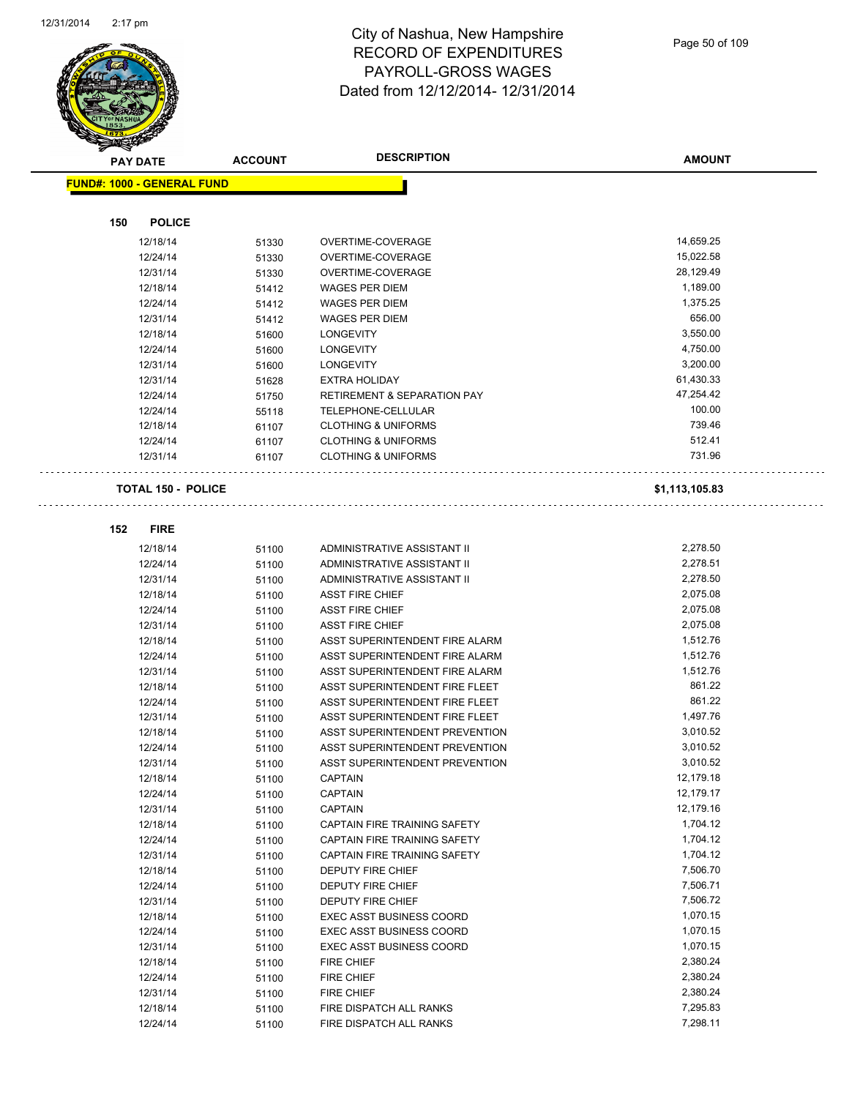

Page 50 of 109

|     | <b>PAY DATE</b>                   | <b>ACCOUNT</b> | <b>DESCRIPTION</b>                     | <b>AMOUNT</b>        |
|-----|-----------------------------------|----------------|----------------------------------------|----------------------|
|     | <b>FUND#: 1000 - GENERAL FUND</b> |                |                                        |                      |
|     |                                   |                |                                        |                      |
| 150 | <b>POLICE</b>                     |                |                                        |                      |
|     | 12/18/14                          | 51330          | OVERTIME-COVERAGE                      | 14,659.25            |
|     | 12/24/14                          | 51330          | OVERTIME-COVERAGE                      | 15,022.58            |
|     | 12/31/14                          | 51330          | OVERTIME-COVERAGE                      | 28,129.49            |
|     | 12/18/14                          | 51412          | <b>WAGES PER DIEM</b>                  | 1,189.00             |
|     | 12/24/14                          | 51412          | <b>WAGES PER DIEM</b>                  | 1,375.25             |
|     | 12/31/14                          | 51412          | <b>WAGES PER DIEM</b>                  | 656.00               |
|     | 12/18/14                          | 51600          | <b>LONGEVITY</b>                       | 3,550.00             |
|     | 12/24/14                          | 51600          | <b>LONGEVITY</b>                       | 4,750.00             |
|     | 12/31/14                          | 51600          | <b>LONGEVITY</b>                       | 3,200.00             |
|     | 12/31/14                          | 51628          | <b>EXTRA HOLIDAY</b>                   | 61,430.33            |
|     | 12/24/14                          | 51750          | <b>RETIREMENT &amp; SEPARATION PAY</b> | 47,254.42            |
|     | 12/24/14                          | 55118          | TELEPHONE-CELLULAR                     | 100.00               |
|     | 12/18/14                          | 61107          | <b>CLOTHING &amp; UNIFORMS</b>         | 739.46               |
|     | 12/24/14                          | 61107          | <b>CLOTHING &amp; UNIFORMS</b>         | 512.41               |
|     | 12/31/14                          | 61107          | <b>CLOTHING &amp; UNIFORMS</b>         | 731.96               |
|     | <b>TOTAL 150 - POLICE</b>         |                |                                        | \$1,113,105.83       |
|     |                                   |                |                                        |                      |
| 152 | <b>FIRE</b>                       |                |                                        |                      |
|     | 12/18/14                          | 51100          | ADMINISTRATIVE ASSISTANT II            | 2,278.50             |
|     | 12/24/14                          | 51100          | ADMINISTRATIVE ASSISTANT II            | 2,278.51             |
|     | 12/31/14                          | 51100          | ADMINISTRATIVE ASSISTANT II            | 2,278.50             |
|     | 12/18/14                          | 51100          | <b>ASST FIRE CHIEF</b>                 | 2,075.08             |
|     | 12/24/14                          | 51100          | <b>ASST FIRE CHIEF</b>                 | 2,075.08             |
|     | 12/31/14                          | 51100          | <b>ASST FIRE CHIEF</b>                 | 2,075.08             |
|     | 12/18/14                          | 51100          | ASST SUPERINTENDENT FIRE ALARM         | 1,512.76             |
|     | 12/24/14                          | 51100          | ASST SUPERINTENDENT FIRE ALARM         | 1,512.76             |
|     | 12/31/14                          | 51100          | ASST SUPERINTENDENT FIRE ALARM         | 1,512.76             |
|     | 12/18/14                          | 51100          | ASST SUPERINTENDENT FIRE FLEET         | 861.22               |
|     | 12/24/14                          | 51100          | ASST SUPERINTENDENT FIRE FLEET         | 861.22               |
|     | 12/31/14                          | 51100          | ASST SUPERINTENDENT FIRE FLEET         | 1,497.76             |
|     | 12/18/14                          | 51100          | ASST SUPERINTENDENT PREVENTION         | 3,010.52             |
|     | 12/24/14                          | 51100          | ASST SUPERINTENDENT PREVENTION         | 3,010.52             |
|     | 12/31/14                          | 51100          | ASST SUPERINTENDENT PREVENTION         | 3,010.52             |
|     | 12/18/14                          | 51100          | <b>CAPTAIN</b>                         | 12,179.18            |
|     | 12/24/14                          | 51100          | <b>CAPTAIN</b>                         | 12,179.17            |
|     | 12/31/14                          | 51100          | <b>CAPTAIN</b>                         | 12,179.16            |
|     | 12/18/14                          | 51100          | CAPTAIN FIRE TRAINING SAFETY           | 1,704.12             |
|     | 12/24/14                          | 51100          | CAPTAIN FIRE TRAINING SAFETY           | 1,704.12             |
|     | 12/31/14<br>12/18/14              | 51100          | CAPTAIN FIRE TRAINING SAFETY           | 1,704.12             |
|     | 12/24/14                          | 51100          | DEPUTY FIRE CHIEF                      | 7,506.70<br>7,506.71 |
|     | 12/31/14                          | 51100          | DEPUTY FIRE CHIEF<br>DEPUTY FIRE CHIEF | 7,506.72             |
|     | 12/18/14                          | 51100<br>51100 | <b>EXEC ASST BUSINESS COORD</b>        | 1,070.15             |
|     | 12/24/14                          | 51100          | EXEC ASST BUSINESS COORD               | 1,070.15             |
|     | 12/31/14                          | 51100          | EXEC ASST BUSINESS COORD               | 1,070.15             |
|     | 12/18/14                          | 51100          | FIRE CHIEF                             | 2,380.24             |
|     | 12/24/14                          | 51100          | FIRE CHIEF                             | 2,380.24             |
|     | 12/31/14                          | 51100          | FIRE CHIEF                             | 2,380.24             |
|     | 12/18/14                          | 51100          | FIRE DISPATCH ALL RANKS                | 7,295.83             |
|     | 12/24/14                          | 51100          | FIRE DISPATCH ALL RANKS                | 7,298.11             |
|     |                                   |                |                                        |                      |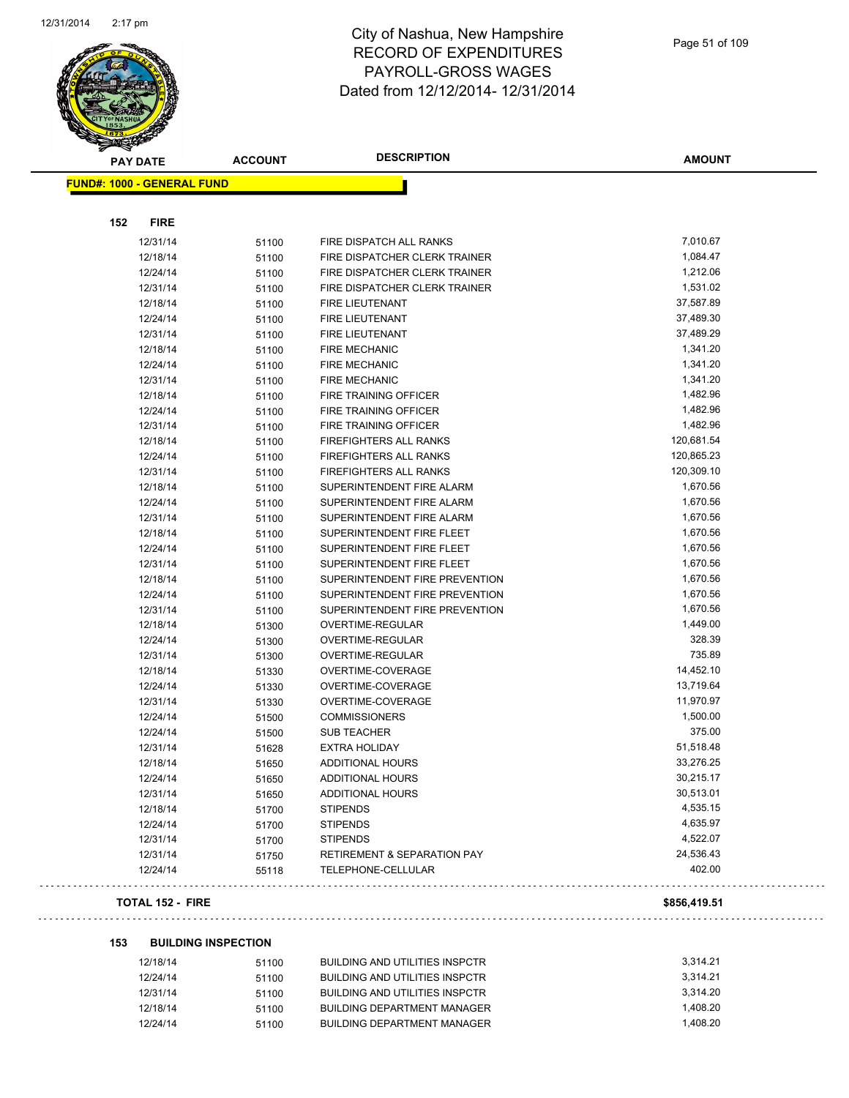

| <b>PAY DATE</b>                   | <b>ACCOUNT</b> | <b>DESCRIPTION</b>                     | <b>AMOUNT</b> |
|-----------------------------------|----------------|----------------------------------------|---------------|
| <b>FUND#: 1000 - GENERAL FUND</b> |                |                                        |               |
|                                   |                |                                        |               |
| 152<br><b>FIRE</b>                |                |                                        |               |
| 12/31/14                          | 51100          | FIRE DISPATCH ALL RANKS                | 7,010.67      |
| 12/18/14                          | 51100          | FIRE DISPATCHER CLERK TRAINER          | 1,084.47      |
| 12/24/14                          | 51100          | FIRE DISPATCHER CLERK TRAINER          | 1,212.06      |
| 12/31/14                          | 51100          | FIRE DISPATCHER CLERK TRAINER          | 1,531.02      |
| 12/18/14                          | 51100          | <b>FIRE LIEUTENANT</b>                 | 37,587.89     |
| 12/24/14                          | 51100          | FIRE LIEUTENANT                        | 37,489.30     |
| 12/31/14                          | 51100          | <b>FIRE LIEUTENANT</b>                 | 37,489.29     |
| 12/18/14                          | 51100          | <b>FIRE MECHANIC</b>                   | 1,341.20      |
| 12/24/14                          | 51100          | <b>FIRE MECHANIC</b>                   | 1,341.20      |
| 12/31/14                          | 51100          | <b>FIRE MECHANIC</b>                   | 1,341.20      |
| 12/18/14                          | 51100          | FIRE TRAINING OFFICER                  | 1,482.96      |
| 12/24/14                          | 51100          | FIRE TRAINING OFFICER                  | 1,482.96      |
| 12/31/14                          | 51100          | FIRE TRAINING OFFICER                  | 1,482.96      |
| 12/18/14                          | 51100          | <b>FIREFIGHTERS ALL RANKS</b>          | 120,681.54    |
| 12/24/14                          | 51100          | <b>FIREFIGHTERS ALL RANKS</b>          | 120,865.23    |
| 12/31/14                          | 51100          | <b>FIREFIGHTERS ALL RANKS</b>          | 120,309.10    |
| 12/18/14                          | 51100          | SUPERINTENDENT FIRE ALARM              | 1,670.56      |
| 12/24/14                          | 51100          | SUPERINTENDENT FIRE ALARM              | 1,670.56      |
| 12/31/14                          | 51100          | SUPERINTENDENT FIRE ALARM              | 1,670.56      |
| 12/18/14                          | 51100          | SUPERINTENDENT FIRE FLEET              | 1,670.56      |
| 12/24/14                          | 51100          | SUPERINTENDENT FIRE FLEET              | 1,670.56      |
| 12/31/14                          | 51100          | SUPERINTENDENT FIRE FLEET              | 1,670.56      |
| 12/18/14                          | 51100          | SUPERINTENDENT FIRE PREVENTION         | 1,670.56      |
| 12/24/14                          | 51100          | SUPERINTENDENT FIRE PREVENTION         | 1,670.56      |
| 12/31/14                          | 51100          | SUPERINTENDENT FIRE PREVENTION         | 1,670.56      |
| 12/18/14                          | 51300          | OVERTIME-REGULAR                       | 1,449.00      |
| 12/24/14                          | 51300          | OVERTIME-REGULAR                       | 328.39        |
| 12/31/14                          | 51300          | OVERTIME-REGULAR                       | 735.89        |
| 12/18/14                          | 51330          | OVERTIME-COVERAGE                      | 14,452.10     |
| 12/24/14                          | 51330          | OVERTIME-COVERAGE                      | 13,719.64     |
| 12/31/14                          | 51330          | OVERTIME-COVERAGE                      | 11,970.97     |
| 12/24/14                          | 51500          | <b>COMMISSIONERS</b>                   | 1,500.00      |
| 12/24/14                          | 51500          | <b>SUB TEACHER</b>                     | 375.00        |
| 12/31/14                          | 51628          | <b>EXTRA HOLIDAY</b>                   | 51,518.48     |
| 12/18/14                          | 51650          | <b>ADDITIONAL HOURS</b>                | 33,276.25     |
| 12/24/14                          | 51650          | ADDITIONAL HOURS                       | 30,215.17     |
| 12/31/14                          | 51650          | ADDITIONAL HOURS                       | 30,513.01     |
| 12/18/14                          | 51700          | <b>STIPENDS</b>                        | 4,535.15      |
| 12/24/14                          | 51700          | <b>STIPENDS</b>                        | 4,635.97      |
| 12/31/14                          | 51700          | <b>STIPENDS</b>                        | 4,522.07      |
| 12/31/14                          | 51750          | <b>RETIREMENT &amp; SEPARATION PAY</b> | 24,536.43     |
| 12/24/14                          | 55118          | TELEPHONE-CELLULAR                     | 402.00        |

### **TOTAL 152 - FIRE \$856,419.51**

### **153 BUILDING INSPECTION**

| 12/18/14 | 51100 | BUILDING AND UTILITIES INSPCTR | 3.314.21 |
|----------|-------|--------------------------------|----------|
| 12/24/14 | 51100 | BUILDING AND UTILITIES INSPCTR | 3.314.21 |
| 12/31/14 | 51100 | BUILDING AND UTILITIES INSPCTR | 3.314.20 |
| 12/18/14 | 51100 | BUILDING DEPARTMENT MANAGER    | 1.408.20 |
| 12/24/14 | 51100 | BUILDING DEPARTMENT MANAGER    | 1.408.20 |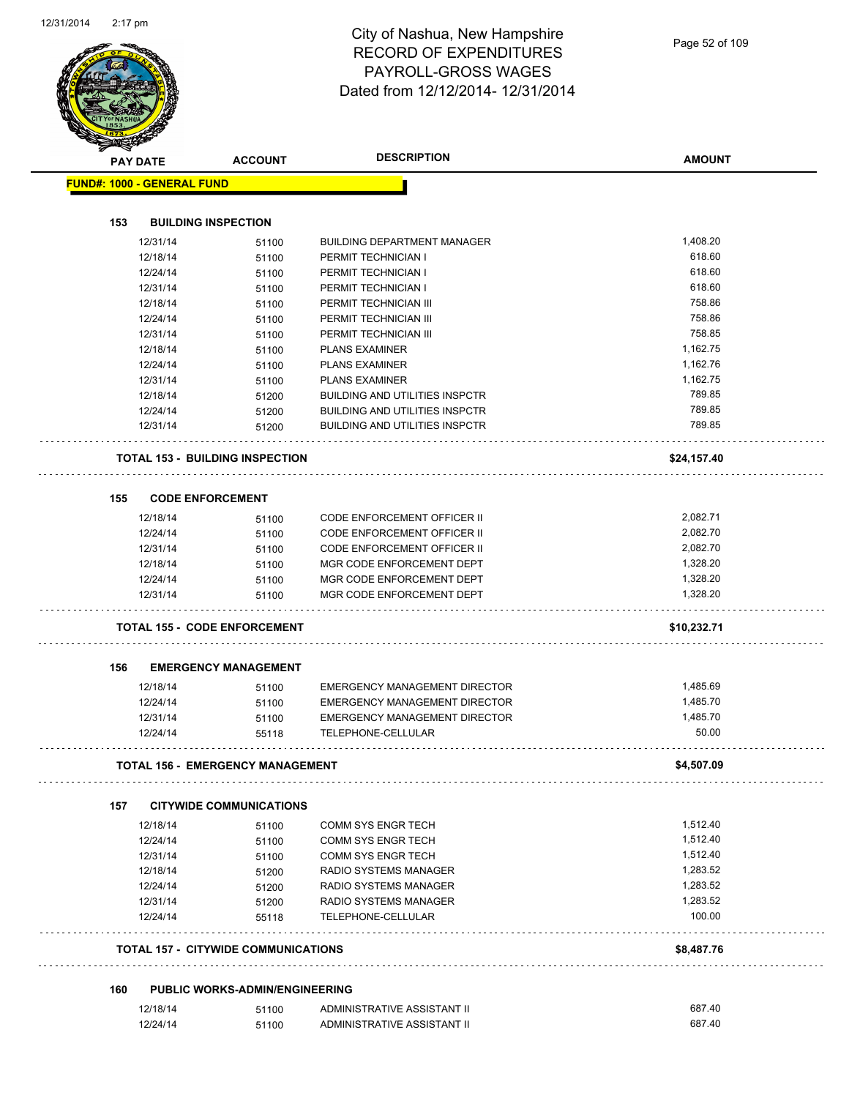|     | <b>PAY DATE</b>                   | <b>ACCOUNT</b>                                 | <b>DESCRIPTION</b>                    | <b>AMOUNT</b> |
|-----|-----------------------------------|------------------------------------------------|---------------------------------------|---------------|
|     | <b>FUND#: 1000 - GENERAL FUND</b> |                                                |                                       |               |
|     |                                   |                                                |                                       |               |
| 153 |                                   | <b>BUILDING INSPECTION</b>                     |                                       |               |
|     | 12/31/14                          | 51100                                          | <b>BUILDING DEPARTMENT MANAGER</b>    | 1,408.20      |
|     | 12/18/14                          | 51100                                          | PERMIT TECHNICIAN I                   | 618.60        |
|     | 12/24/14                          | 51100                                          | PERMIT TECHNICIAN I                   | 618.60        |
|     | 12/31/14                          | 51100                                          | PERMIT TECHNICIAN I                   | 618.60        |
|     | 12/18/14                          | 51100                                          | PERMIT TECHNICIAN III                 | 758.86        |
|     | 12/24/14                          | 51100                                          | PERMIT TECHNICIAN III                 | 758.86        |
|     | 12/31/14                          | 51100                                          | PERMIT TECHNICIAN III                 | 758.85        |
|     | 12/18/14                          | 51100                                          | <b>PLANS EXAMINER</b>                 | 1,162.75      |
|     | 12/24/14                          | 51100                                          | <b>PLANS EXAMINER</b>                 | 1,162.76      |
|     | 12/31/14                          | 51100                                          | <b>PLANS EXAMINER</b>                 | 1,162.75      |
|     | 12/18/14                          | 51200                                          | <b>BUILDING AND UTILITIES INSPCTR</b> | 789.85        |
|     | 12/24/14                          | 51200                                          | <b>BUILDING AND UTILITIES INSPCTR</b> | 789.85        |
|     | 12/31/14                          | 51200                                          | <b>BUILDING AND UTILITIES INSPCTR</b> | 789.85        |
|     |                                   | <b>TOTAL 153 - BUILDING INSPECTION</b>         |                                       | \$24,157.40   |
| 155 |                                   | <b>CODE ENFORCEMENT</b>                        |                                       |               |
|     | 12/18/14                          | 51100                                          | <b>CODE ENFORCEMENT OFFICER II</b>    | 2,082.71      |
|     | 12/24/14                          | 51100                                          | <b>CODE ENFORCEMENT OFFICER II</b>    | 2,082.70      |
|     | 12/31/14                          | 51100                                          | <b>CODE ENFORCEMENT OFFICER II</b>    | 2,082.70      |
|     | 12/18/14                          | 51100                                          | MGR CODE ENFORCEMENT DEPT             | 1,328.20      |
|     | 12/24/14                          | 51100                                          | MGR CODE ENFORCEMENT DEPT             | 1,328.20      |
|     | 12/31/14                          | 51100                                          | MGR CODE ENFORCEMENT DEPT             | 1,328.20      |
|     |                                   | <b>TOTAL 155 - CODE ENFORCEMENT</b>            |                                       | \$10,232.71   |
|     |                                   |                                                |                                       |               |
| 156 |                                   | <b>EMERGENCY MANAGEMENT</b>                    |                                       |               |
|     | 12/18/14                          | 51100                                          | <b>EMERGENCY MANAGEMENT DIRECTOR</b>  | 1,485.69      |
|     | 12/24/14                          | 51100                                          | EMERGENCY MANAGEMENT DIRECTOR         | 1.485.70      |
|     | 12/31/14                          | 51100                                          | <b>EMERGENCY MANAGEMENT DIRECTOR</b>  | 1,485.70      |
|     | 12/24/14                          | 55118                                          | TELEPHONE-CELLULAR                    | 50.00         |
|     |                                   | <b>TOTAL 156 - EMERGENCY MANAGEMENT</b>        |                                       | \$4,507.09    |
| 157 |                                   | <b>CITYWIDE COMMUNICATIONS</b>                 |                                       |               |
|     | 12/18/14                          | 51100                                          | <b>COMM SYS ENGR TECH</b>             | 1,512.40      |
|     | 12/24/14                          | 51100                                          | <b>COMM SYS ENGR TECH</b>             | 1,512.40      |
|     | 12/31/14                          | 51100                                          | <b>COMM SYS ENGR TECH</b>             | 1,512.40      |
|     | 12/18/14                          | 51200                                          | RADIO SYSTEMS MANAGER                 | 1,283.52      |
|     | 12/24/14                          | 51200                                          | RADIO SYSTEMS MANAGER                 | 1,283.52      |
|     | 12/31/14                          | 51200                                          | RADIO SYSTEMS MANAGER                 | 1,283.52      |
|     | 12/24/14                          | 55118                                          | TELEPHONE-CELLULAR                    | 100.00        |
|     |                                   | <b>TOTAL 157 - CITYWIDE COMMUNICATIONS</b>     |                                       | \$8,487.76    |
|     |                                   |                                                |                                       |               |
|     |                                   |                                                |                                       |               |
| 160 | 12/18/14                          | <b>PUBLIC WORKS-ADMIN/ENGINEERING</b><br>51100 | ADMINISTRATIVE ASSISTANT II           | 687.40        |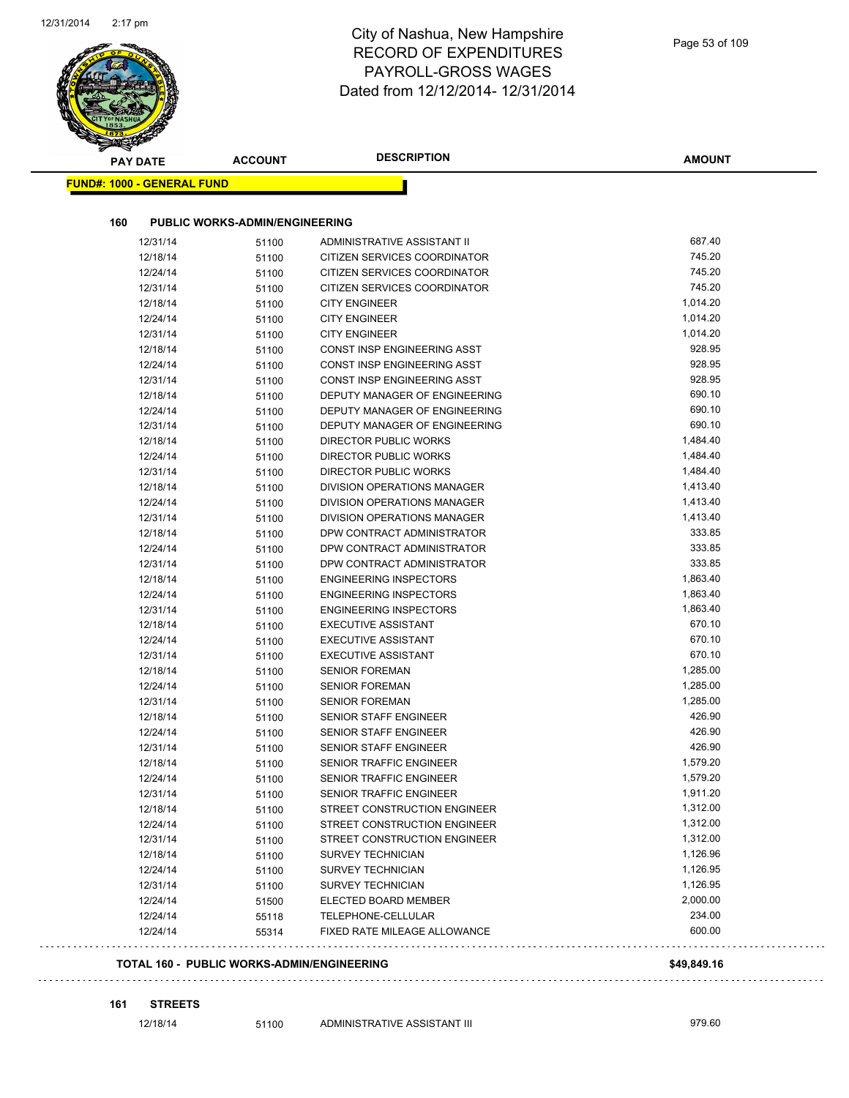| <b>PAY DATE</b>                   | <b>ACCOUNT</b>                        | <b>DESCRIPTION</b>                                 | <b>AMOUNT</b>    |
|-----------------------------------|---------------------------------------|----------------------------------------------------|------------------|
| <b>FUND#: 1000 - GENERAL FUND</b> |                                       |                                                    |                  |
|                                   | <b>PUBLIC WORKS-ADMIN/ENGINEERING</b> |                                                    |                  |
| 160                               |                                       | ADMINISTRATIVE ASSISTANT II                        | 687.40           |
| 12/31/14<br>12/18/14              | 51100                                 | CITIZEN SERVICES COORDINATOR                       | 745.20           |
| 12/24/14                          | 51100<br>51100                        | CITIZEN SERVICES COORDINATOR                       | 745.20           |
| 12/31/14                          |                                       | CITIZEN SERVICES COORDINATOR                       | 745.20           |
| 12/18/14                          | 51100<br>51100                        | <b>CITY ENGINEER</b>                               | 1,014.20         |
| 12/24/14                          | 51100                                 | <b>CITY ENGINEER</b>                               | 1,014.20         |
| 12/31/14                          | 51100                                 | <b>CITY ENGINEER</b>                               | 1,014.20         |
| 12/18/14                          | 51100                                 | CONST INSP ENGINEERING ASST                        | 928.95           |
| 12/24/14                          | 51100                                 | CONST INSP ENGINEERING ASST                        | 928.95           |
| 12/31/14                          | 51100                                 | <b>CONST INSP ENGINEERING ASST</b>                 | 928.95           |
| 12/18/14                          | 51100                                 | DEPUTY MANAGER OF ENGINEERING                      | 690.10           |
| 12/24/14                          | 51100                                 | DEPUTY MANAGER OF ENGINEERING                      | 690.10           |
| 12/31/14                          | 51100                                 | DEPUTY MANAGER OF ENGINEERING                      | 690.10           |
| 12/18/14                          | 51100                                 | <b>DIRECTOR PUBLIC WORKS</b>                       | 1,484.40         |
| 12/24/14                          | 51100                                 | <b>DIRECTOR PUBLIC WORKS</b>                       | 1,484.40         |
| 12/31/14                          | 51100                                 | DIRECTOR PUBLIC WORKS                              | 1,484.40         |
| 12/18/14                          | 51100                                 | DIVISION OPERATIONS MANAGER                        | 1,413.40         |
| 12/24/14                          | 51100                                 | DIVISION OPERATIONS MANAGER                        | 1,413.40         |
| 12/31/14                          | 51100                                 | DIVISION OPERATIONS MANAGER                        | 1,413.40         |
| 12/18/14                          | 51100                                 | DPW CONTRACT ADMINISTRATOR                         | 333.85           |
| 12/24/14                          | 51100                                 | DPW CONTRACT ADMINISTRATOR                         | 333.85           |
| 12/31/14                          | 51100                                 | DPW CONTRACT ADMINISTRATOR                         | 333.85           |
| 12/18/14                          | 51100                                 | <b>ENGINEERING INSPECTORS</b>                      | 1,863.40         |
| 12/24/14                          | 51100                                 | <b>ENGINEERING INSPECTORS</b>                      | 1,863.40         |
| 12/31/14                          | 51100                                 | <b>ENGINEERING INSPECTORS</b>                      | 1,863.40         |
| 12/18/14                          | 51100                                 | <b>EXECUTIVE ASSISTANT</b>                         | 670.10           |
| 12/24/14                          | 51100                                 | <b>EXECUTIVE ASSISTANT</b>                         | 670.10           |
| 12/31/14                          | 51100                                 | <b>EXECUTIVE ASSISTANT</b>                         | 670.10           |
| 12/18/14                          | 51100                                 | <b>SENIOR FOREMAN</b>                              | 1,285.00         |
| 12/24/14                          | 51100                                 | <b>SENIOR FOREMAN</b>                              | 1,285.00         |
| 12/31/14                          | 51100                                 | <b>SENIOR FOREMAN</b>                              | 1,285.00         |
| 12/18/14                          | 51100                                 | <b>SENIOR STAFF ENGINEER</b>                       | 426.90<br>426.90 |
| 12/24/14                          | 51100                                 | <b>SENIOR STAFF ENGINEER</b>                       | 426.90           |
| 12/31/14                          | 51100                                 | SENIOR STAFF ENGINEER                              | 1,579.20         |
| 12/18/14<br>12/24/14              | 51100                                 | SENIOR TRAFFIC ENGINEER<br>SENIOR TRAFFIC ENGINEER | 1,579.20         |
|                                   | 51100                                 | SENIOR TRAFFIC ENGINEER                            | 1,911.20         |
| 12/31/14<br>12/18/14              | 51100<br>51100                        | STREET CONSTRUCTION ENGINEER                       | 1,312.00         |
| 12/24/14                          | 51100                                 | STREET CONSTRUCTION ENGINEER                       | 1,312.00         |
| 12/31/14                          | 51100                                 | STREET CONSTRUCTION ENGINEER                       | 1,312.00         |
| 12/18/14                          | 51100                                 | SURVEY TECHNICIAN                                  | 1,126.96         |
| 12/24/14                          | 51100                                 | SURVEY TECHNICIAN                                  | 1,126.95         |
| 12/31/14                          | 51100                                 | SURVEY TECHNICIAN                                  | 1,126.95         |
| 12/24/14                          | 51500                                 | ELECTED BOARD MEMBER                               | 2,000.00         |
| 12/24/14                          | 55118                                 | TELEPHONE-CELLULAR                                 | 234.00           |
| 12/24/14                          | 55314                                 | FIXED RATE MILEAGE ALLOWANCE                       | 600.00           |

**161 STREETS**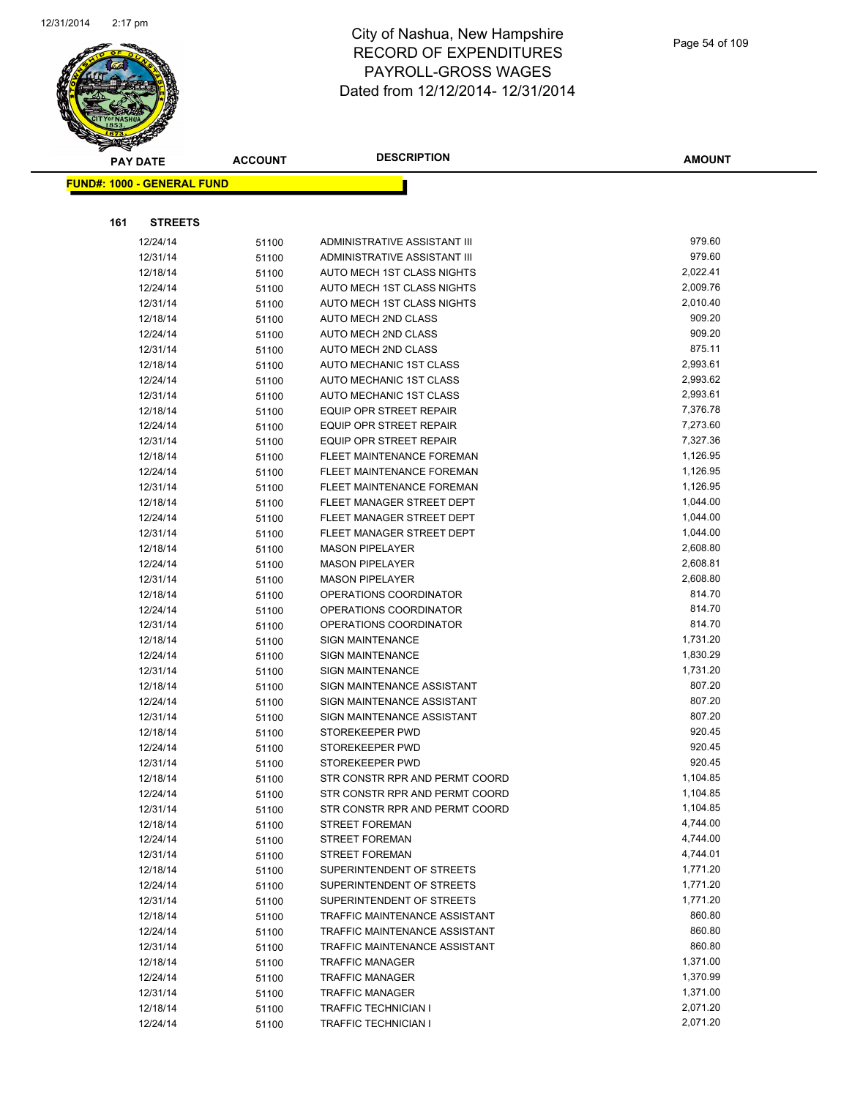

**AMOUNT**

|     | <b>FUND#: 1000 - GENERAL FUND</b> |                |                                                |                      |
|-----|-----------------------------------|----------------|------------------------------------------------|----------------------|
|     |                                   |                |                                                |                      |
| 161 | <b>STREETS</b>                    |                |                                                |                      |
|     | 12/24/14                          | 51100          | ADMINISTRATIVE ASSISTANT III                   | 979.60               |
|     | 12/31/14                          | 51100          | ADMINISTRATIVE ASSISTANT III                   | 979.60               |
|     | 12/18/14                          | 51100          | AUTO MECH 1ST CLASS NIGHTS                     | 2,022.41             |
|     | 12/24/14                          | 51100          | AUTO MECH 1ST CLASS NIGHTS                     | 2,009.76             |
|     | 12/31/14                          | 51100          | AUTO MECH 1ST CLASS NIGHTS                     | 2,010.40             |
|     | 12/18/14                          | 51100          | AUTO MECH 2ND CLASS                            | 909.20               |
|     | 12/24/14                          | 51100          | AUTO MECH 2ND CLASS                            | 909.20               |
|     | 12/31/14                          | 51100          | AUTO MECH 2ND CLASS                            | 875.11               |
|     | 12/18/14                          | 51100          | <b>AUTO MECHANIC 1ST CLASS</b>                 | 2,993.61             |
|     | 12/24/14                          | 51100          | AUTO MECHANIC 1ST CLASS                        | 2,993.62             |
|     | 12/31/14                          | 51100          | AUTO MECHANIC 1ST CLASS                        | 2,993.61             |
|     | 12/18/14                          | 51100          | EQUIP OPR STREET REPAIR                        | 7,376.78             |
|     | 12/24/14                          | 51100          | EQUIP OPR STREET REPAIR                        | 7,273.60             |
|     | 12/31/14                          | 51100          | <b>EQUIP OPR STREET REPAIR</b>                 | 7,327.36             |
|     | 12/18/14                          | 51100          | FLEET MAINTENANCE FOREMAN                      | 1,126.95             |
|     | 12/24/14                          | 51100          | FLEET MAINTENANCE FOREMAN                      | 1,126.95             |
|     | 12/31/14                          | 51100          | FLEET MAINTENANCE FOREMAN                      | 1,126.95             |
|     | 12/18/14                          | 51100          | FLEET MANAGER STREET DEPT                      | 1,044.00             |
|     | 12/24/14                          | 51100          | FLEET MANAGER STREET DEPT                      | 1,044.00             |
|     | 12/31/14                          | 51100          | FLEET MANAGER STREET DEPT                      | 1,044.00             |
|     | 12/18/14                          | 51100          | <b>MASON PIPELAYER</b>                         | 2,608.80             |
|     | 12/24/14                          | 51100          | <b>MASON PIPELAYER</b>                         | 2,608.81             |
|     | 12/31/14                          | 51100          | <b>MASON PIPELAYER</b>                         | 2,608.80             |
|     | 12/18/14                          | 51100          | OPERATIONS COORDINATOR                         | 814.70               |
|     | 12/24/14                          | 51100          | OPERATIONS COORDINATOR                         | 814.70               |
|     | 12/31/14                          | 51100          | OPERATIONS COORDINATOR                         | 814.70               |
|     | 12/18/14                          | 51100          | <b>SIGN MAINTENANCE</b>                        | 1,731.20             |
|     | 12/24/14                          | 51100          | <b>SIGN MAINTENANCE</b>                        | 1,830.29             |
|     | 12/31/14                          | 51100          | <b>SIGN MAINTENANCE</b>                        | 1,731.20             |
|     | 12/18/14                          | 51100          | SIGN MAINTENANCE ASSISTANT                     | 807.20               |
|     | 12/24/14                          | 51100          | SIGN MAINTENANCE ASSISTANT                     | 807.20               |
|     | 12/31/14                          | 51100          | SIGN MAINTENANCE ASSISTANT                     | 807.20               |
|     | 12/18/14                          | 51100          | STOREKEEPER PWD                                | 920.45               |
|     | 12/24/14                          | 51100          | STOREKEEPER PWD                                | 920.45               |
|     | 12/31/14                          | 51100          | STOREKEEPER PWD                                | 920.45               |
|     | 12/18/14                          | 51100          | STR CONSTR RPR AND PERMT COORD                 | 1,104.85<br>1,104.85 |
|     | 12/24/14                          | 51100          | STR CONSTR RPR AND PERMT COORD                 | 1,104.85             |
|     | 12/31/14                          | 51100          | STR CONSTR RPR AND PERMT COORD                 | 4,744.00             |
|     | 12/18/14                          | 51100          | <b>STREET FOREMAN</b>                          | 4,744.00             |
|     | 12/24/14<br>12/31/14              | 51100          | <b>STREET FOREMAN</b><br><b>STREET FOREMAN</b> | 4,744.01             |
|     | 12/18/14                          | 51100          | SUPERINTENDENT OF STREETS                      | 1,771.20             |
|     | 12/24/14                          | 51100<br>51100 | SUPERINTENDENT OF STREETS                      | 1,771.20             |
|     | 12/31/14                          |                | SUPERINTENDENT OF STREETS                      | 1,771.20             |
|     | 12/18/14                          | 51100<br>51100 | TRAFFIC MAINTENANCE ASSISTANT                  | 860.80               |
|     | 12/24/14                          | 51100          | <b>TRAFFIC MAINTENANCE ASSISTANT</b>           | 860.80               |
|     | 12/31/14                          | 51100          | TRAFFIC MAINTENANCE ASSISTANT                  | 860.80               |
|     | 12/18/14                          | 51100          | <b>TRAFFIC MANAGER</b>                         | 1,371.00             |
|     | 12/24/14                          | 51100          | <b>TRAFFIC MANAGER</b>                         | 1,370.99             |
|     | 12/31/14                          | 51100          | <b>TRAFFIC MANAGER</b>                         | 1,371.00             |
|     | 12/18/14                          | 51100          | TRAFFIC TECHNICIAN I                           | 2,071.20             |
|     | 12/24/14                          | 51100          | <b>TRAFFIC TECHNICIAN I</b>                    | 2,071.20             |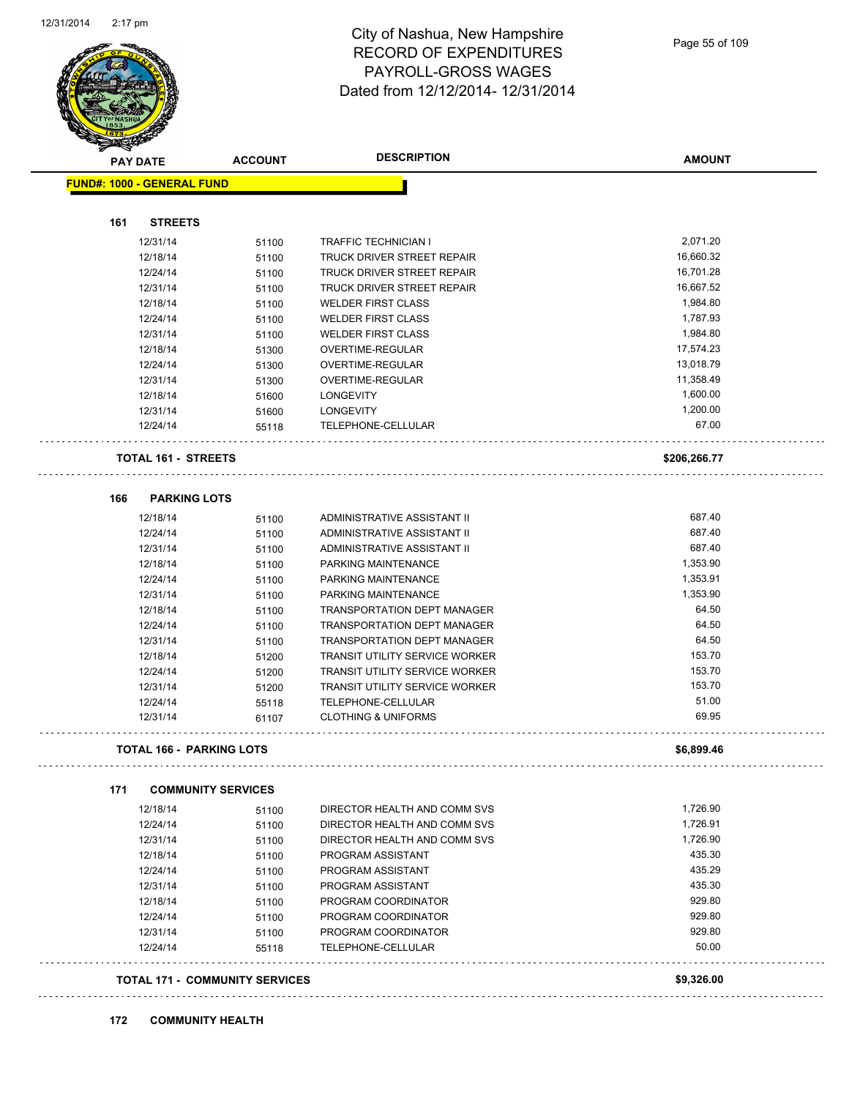

| <b>PAY DATE</b>                       | <b>ACCOUNT</b> | <b>DESCRIPTION</b>                                     | <b>AMOUNT</b> |
|---------------------------------------|----------------|--------------------------------------------------------|---------------|
| <b>FUND#: 1000 - GENERAL FUND</b>     |                |                                                        |               |
| 161<br><b>STREETS</b>                 |                |                                                        |               |
| 12/31/14                              | 51100          | <b>TRAFFIC TECHNICIAN I</b>                            | 2,071.20      |
| 12/18/14                              | 51100          | TRUCK DRIVER STREET REPAIR                             | 16,660.32     |
| 12/24/14                              | 51100          | TRUCK DRIVER STREET REPAIR                             | 16,701.28     |
|                                       |                | TRUCK DRIVER STREET REPAIR                             | 16,667.52     |
| 12/31/14                              | 51100          |                                                        | 1,984.80      |
| 12/18/14                              | 51100          | <b>WELDER FIRST CLASS</b><br><b>WELDER FIRST CLASS</b> | 1,787.93      |
| 12/24/14                              | 51100          |                                                        | 1,984.80      |
| 12/31/14                              | 51100          | <b>WELDER FIRST CLASS</b>                              | 17,574.23     |
| 12/18/14                              | 51300          | OVERTIME-REGULAR                                       |               |
| 12/24/14                              | 51300          | OVERTIME-REGULAR                                       | 13,018.79     |
| 12/31/14                              | 51300          | OVERTIME-REGULAR                                       | 11,358.49     |
| 12/18/14                              | 51600          | <b>LONGEVITY</b>                                       | 1,600.00      |
| 12/31/14                              | 51600          | <b>LONGEVITY</b>                                       | 1,200.00      |
| 12/24/14                              | 55118          | TELEPHONE-CELLULAR                                     | 67.00         |
| <b>TOTAL 161 - STREETS</b>            |                |                                                        | \$206,266.77  |
| <b>PARKING LOTS</b><br>166            |                |                                                        |               |
| 12/18/14                              | 51100          | ADMINISTRATIVE ASSISTANT II                            | 687.40        |
| 12/24/14                              | 51100          | ADMINISTRATIVE ASSISTANT II                            | 687.40        |
| 12/31/14                              | 51100          | ADMINISTRATIVE ASSISTANT II                            | 687.40        |
| 12/18/14                              | 51100          | PARKING MAINTENANCE                                    | 1,353.90      |
| 12/24/14                              | 51100          | PARKING MAINTENANCE                                    | 1,353.91      |
| 12/31/14                              | 51100          | PARKING MAINTENANCE                                    | 1,353.90      |
| 12/18/14                              | 51100          | <b>TRANSPORTATION DEPT MANAGER</b>                     | 64.50         |
| 12/24/14                              | 51100          | TRANSPORTATION DEPT MANAGER                            | 64.50         |
| 12/31/14                              | 51100          | TRANSPORTATION DEPT MANAGER                            | 64.50         |
| 12/18/14                              | 51200          | <b>TRANSIT UTILITY SERVICE WORKER</b>                  | 153.70        |
| 12/24/14                              | 51200          | TRANSIT UTILITY SERVICE WORKER                         | 153.70        |
| 12/31/14                              | 51200          | TRANSIT UTILITY SERVICE WORKER                         | 153.70        |
| 12/24/14                              | 55118          | TELEPHONE-CELLULAR                                     | 51.00         |
| 12/31/14                              | 61107          | <b>CLOTHING &amp; UNIFORMS</b>                         | 69.95         |
| <b>TOTAL 166 - PARKING LOTS</b>       |                |                                                        | \$6,899.46    |
| 171<br><b>COMMUNITY SERVICES</b>      |                |                                                        |               |
| 12/18/14                              | 51100          | DIRECTOR HEALTH AND COMM SVS                           | 1,726.90      |
| 12/24/14                              | 51100          | DIRECTOR HEALTH AND COMM SVS                           | 1,726.91      |
| 12/31/14                              | 51100          | DIRECTOR HEALTH AND COMM SVS                           | 1,726.90      |
| 12/18/14                              | 51100          | PROGRAM ASSISTANT                                      | 435.30        |
| 12/24/14                              | 51100          | PROGRAM ASSISTANT                                      | 435.29        |
| 12/31/14                              | 51100          | PROGRAM ASSISTANT                                      | 435.30        |
| 12/18/14                              | 51100          | PROGRAM COORDINATOR                                    | 929.80        |
| 12/24/14                              | 51100          | PROGRAM COORDINATOR                                    | 929.80        |
| 12/31/14                              | 51100          | PROGRAM COORDINATOR                                    | 929.80        |
| 12/24/14                              | 55118          | TELEPHONE-CELLULAR                                     | 50.00         |
|                                       |                |                                                        |               |
| <b>TOTAL 171 - COMMUNITY SERVICES</b> |                |                                                        | \$9,326.00    |

### **172 COMMUNITY HEALTH**

. . . . . . . . . . . . . . . . . . . .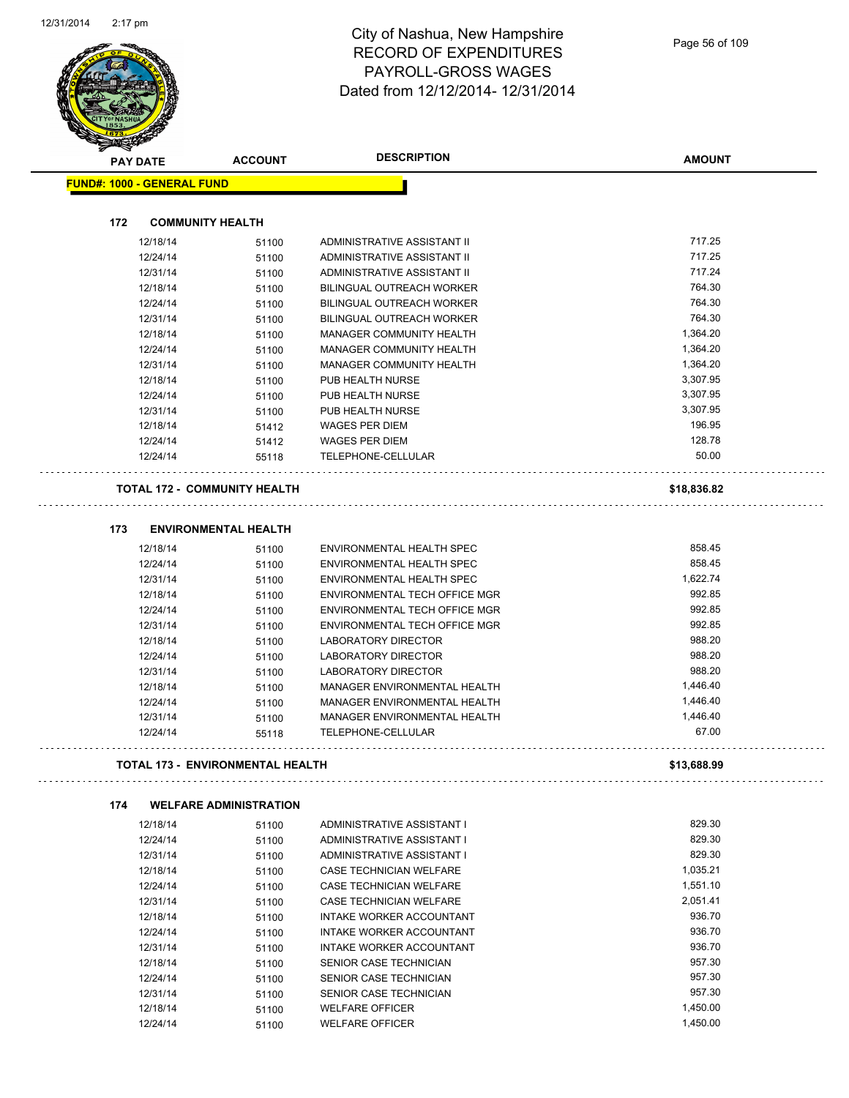

|     | <b>PAY DATE</b>                     | <b>ACCOUNT</b>                | <b>DESCRIPTION</b>               | <b>AMOUNT</b> |
|-----|-------------------------------------|-------------------------------|----------------------------------|---------------|
|     | <b>FUND#: 1000 - GENERAL FUND</b>   |                               |                                  |               |
|     |                                     |                               |                                  |               |
| 172 | <b>COMMUNITY HEALTH</b>             |                               |                                  |               |
|     | 12/18/14                            | 51100                         | ADMINISTRATIVE ASSISTANT II      | 717.25        |
|     | 12/24/14                            | 51100                         | ADMINISTRATIVE ASSISTANT II      | 717.25        |
|     | 12/31/14                            | 51100                         | ADMINISTRATIVE ASSISTANT II      | 717.24        |
|     | 12/18/14                            | 51100                         | BILINGUAL OUTREACH WORKER        | 764.30        |
|     | 12/24/14                            | 51100                         | <b>BILINGUAL OUTREACH WORKER</b> | 764.30        |
|     | 12/31/14                            | 51100                         | <b>BILINGUAL OUTREACH WORKER</b> | 764.30        |
|     | 12/18/14                            | 51100                         | MANAGER COMMUNITY HEALTH         | 1,364.20      |
|     | 12/24/14                            | 51100                         | MANAGER COMMUNITY HEALTH         | 1,364.20      |
|     | 12/31/14                            | 51100                         | MANAGER COMMUNITY HEALTH         | 1,364.20      |
|     | 12/18/14                            | 51100                         | PUB HEALTH NURSE                 | 3,307.95      |
|     | 12/24/14                            | 51100                         | PUB HEALTH NURSE                 | 3,307.95      |
|     | 12/31/14                            | 51100                         | PUB HEALTH NURSE                 | 3,307.95      |
|     | 12/18/14                            | 51412                         | <b>WAGES PER DIEM</b>            | 196.95        |
|     | 12/24/14                            | 51412                         | <b>WAGES PER DIEM</b>            | 128.78        |
|     | 12/24/14                            | 55118                         | TELEPHONE-CELLULAR               | 50.00         |
|     | <b>TOTAL 172 - COMMUNITY HEALTH</b> |                               |                                  | \$18,836.82   |
| 173 |                                     | <b>ENVIRONMENTAL HEALTH</b>   |                                  |               |
|     | 12/18/14                            | 51100                         | ENVIRONMENTAL HEALTH SPEC        | 858.45        |
|     | 12/24/14                            | 51100                         | ENVIRONMENTAL HEALTH SPEC        | 858.45        |
|     | 12/31/14                            | 51100                         | ENVIRONMENTAL HEALTH SPEC        | 1,622.74      |
|     | 12/18/14                            | 51100                         | ENVIRONMENTAL TECH OFFICE MGR    | 992.85        |
|     | 12/24/14                            | 51100                         | ENVIRONMENTAL TECH OFFICE MGR    | 992.85        |
|     | 12/31/14                            | 51100                         | ENVIRONMENTAL TECH OFFICE MGR    | 992.85        |
|     | 12/18/14                            | 51100                         | LABORATORY DIRECTOR              | 988.20        |
|     | 12/24/14                            | 51100                         | LABORATORY DIRECTOR              | 988.20        |
|     | 12/31/14                            | 51100                         | LABORATORY DIRECTOR              | 988.20        |
|     | 12/18/14                            | 51100                         | MANAGER ENVIRONMENTAL HEALTH     | 1,446.40      |
|     | 12/24/14                            | 51100                         | MANAGER ENVIRONMENTAL HEALTH     | 1,446.40      |
|     | 12/31/14                            | 51100                         | MANAGER ENVIRONMENTAL HEALTH     | 1,446.40      |
|     | 12/24/14                            | 55118                         | TELEPHONE-CELLULAR               | 67.00         |
|     | TOTAL 173 - ENVIRONMENTAL HEALTH    |                               |                                  | \$13,688.99   |
| 174 |                                     | <b>WELFARE ADMINISTRATION</b> |                                  |               |
|     | 12/18/14                            | 51100                         | ADMINISTRATIVE ASSISTANT I       | 829.30        |
|     | 12/24/14                            | 51100                         | ADMINISTRATIVE ASSISTANT I       | 829.30        |
|     | 12/31/14                            | 51100                         | ADMINISTRATIVE ASSISTANT I       | 829.30        |
|     | 12/18/14                            | 51100                         | CASE TECHNICIAN WELFARE          | 1,035.21      |
|     | 12/24/14                            | 51100                         | CASE TECHNICIAN WELFARE          | 1,551.10      |
|     | 12/31/14                            | 51100                         | CASE TECHNICIAN WELFARE          | 2,051.41      |
|     | 12/18/14                            | 51100                         | INTAKE WORKER ACCOUNTANT         | 936.70        |
|     | 12/24/14                            | 51100                         | INTAKE WORKER ACCOUNTANT         | 936.70        |
|     | 12/31/14                            | 51100                         | INTAKE WORKER ACCOUNTANT         | 936.70        |
|     | 12/18/14                            | 51100                         | SENIOR CASE TECHNICIAN           | 957.30        |
|     | 12/24/14                            | 51100                         | SENIOR CASE TECHNICIAN           | 957.30        |

12/31/14 51100 SENIOR CASE TECHNICIAN 557.30<br>12/18/14 51100 WELFARE OFFICER 51.00 SENIOR CONTRACT STREET 1,450.00

12/24/14 51100 WELFARE OFFICER 1,450.00

12/18/14 51100 WELFARE OFFICER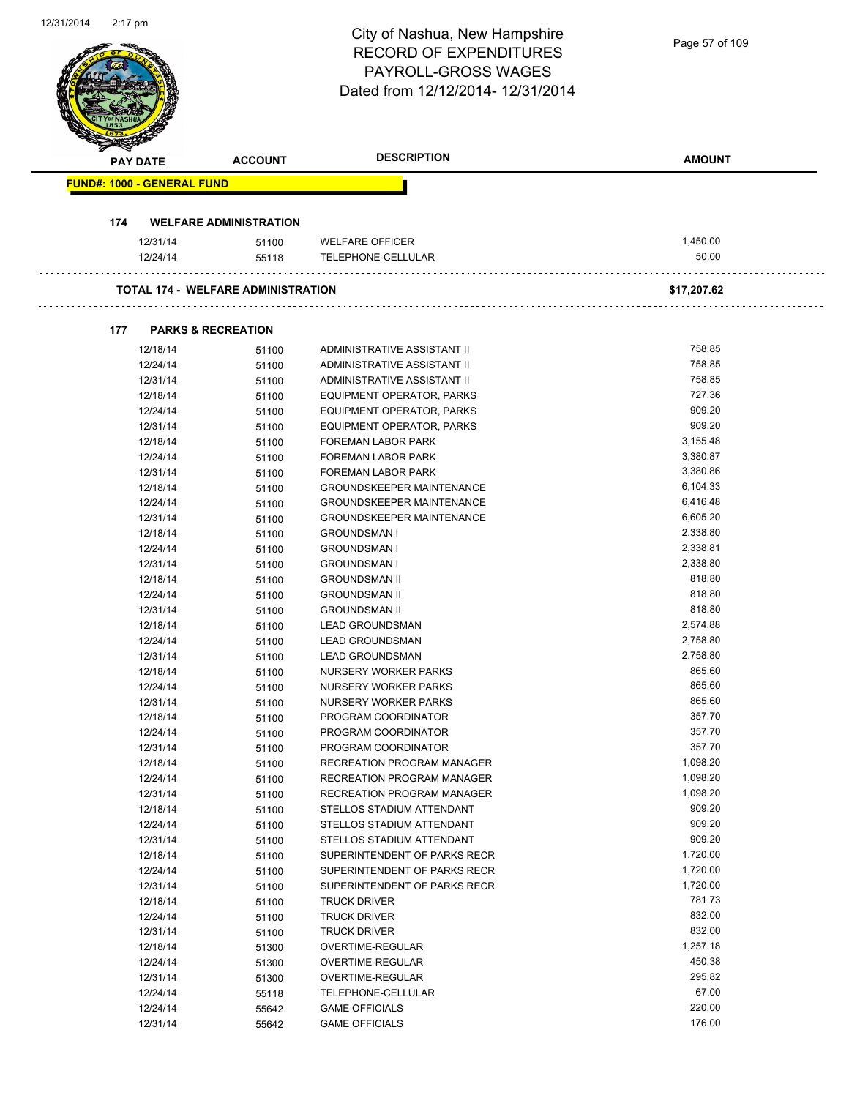| 12/31/2014 | $2:17 \text{ pm}$                 |                                           | City of Nashua, New Hampshire<br><b>RECORD OF EXPENDITURES</b><br><b>PAYROLL-GROSS WAGES</b><br>Dated from 12/12/2014-12/31/2014 | Page 57 of 109 |
|------------|-----------------------------------|-------------------------------------------|----------------------------------------------------------------------------------------------------------------------------------|----------------|
|            | PAY DATE                          | <b>ACCOUNT</b>                            | <b>DESCRIPTION</b>                                                                                                               | <b>AMOUNT</b>  |
|            | <b>FUND#: 1000 - GENERAL FUND</b> |                                           |                                                                                                                                  |                |
|            |                                   |                                           |                                                                                                                                  |                |
|            | 174                               | <b>WELFARE ADMINISTRATION</b>             |                                                                                                                                  |                |
|            | 12/31/14                          | 51100                                     | <b>WELFARE OFFICER</b>                                                                                                           | 1,450.00       |
|            | 12/24/14                          | 55118                                     | TELEPHONE-CELLULAR                                                                                                               | 50.00          |
|            |                                   | <b>TOTAL 174 - WELFARE ADMINISTRATION</b> |                                                                                                                                  | \$17,207.62    |
|            | 177                               | <b>PARKS &amp; RECREATION</b>             |                                                                                                                                  |                |
|            | 12/18/14                          | 51100                                     | ADMINISTRATIVE ASSISTANT II                                                                                                      | 758.85         |
|            | 12/24/14                          | 51100                                     | ADMINISTRATIVE ASSISTANT II                                                                                                      | 758.85         |
|            | 12/31/14                          | 51100                                     | ADMINISTRATIVE ASSISTANT II                                                                                                      | 758.85         |
|            | 12/18/14                          | 51100                                     | EQUIPMENT OPERATOR, PARKS                                                                                                        | 727.36         |
|            | 12/24/14                          | 51100                                     | EQUIPMENT OPERATOR, PARKS                                                                                                        | 909.20         |
|            | 12/31/14                          | 51100                                     | EQUIPMENT OPERATOR, PARKS                                                                                                        | 909.20         |
|            | 12/18/14                          | 51100                                     | FOREMAN LABOR PARK                                                                                                               | 3,155.48       |
|            | 12/24/14                          | 51100                                     | FOREMAN LABOR PARK                                                                                                               | 3,380.87       |
|            | 12/31/14                          | 51100                                     | FOREMAN LABOR PARK                                                                                                               | 3,380.86       |
|            | 12/18/14                          | 51100                                     | <b>GROUNDSKEEPER MAINTENANCE</b>                                                                                                 | 6,104.33       |
|            | 12/24/14                          | 51100                                     | <b>GROUNDSKEEPER MAINTENANCE</b>                                                                                                 | 6,416.48       |
|            | 12/31/14                          | 51100                                     | <b>GROUNDSKEEPER MAINTENANCE</b>                                                                                                 | 6,605.20       |
|            | 12/18/14                          | 51100                                     | <b>GROUNDSMAN I</b>                                                                                                              | 2,338.80       |
|            | 12/24/14                          | 51100                                     | <b>GROUNDSMAN I</b>                                                                                                              | 2,338.81       |
|            | 12/31/14                          | 51100                                     | <b>GROUNDSMAN I</b>                                                                                                              | 2,338.80       |
|            | 12/18/14                          | 51100                                     | <b>GROUNDSMAN II</b>                                                                                                             | 818.80         |
|            | 12/24/14                          | 51100                                     | <b>GROUNDSMAN II</b>                                                                                                             | 818.80         |
|            | 12/31/14                          | 51100                                     | <b>GROUNDSMAN II</b>                                                                                                             | 818.80         |
|            | 12/18/14                          | 51100                                     | <b>LEAD GROUNDSMAN</b>                                                                                                           | 2,574.88       |
|            | 12/24/14                          | 51100                                     | <b>LEAD GROUNDSMAN</b>                                                                                                           | 2,758.80       |
|            | 12/31/14                          | 51100                                     | <b>LEAD GROUNDSMAN</b>                                                                                                           | 2,758.80       |
|            | 12/18/14                          | 51100                                     | NURSERY WORKER PARKS                                                                                                             | 865.60         |
|            | 12/24/14                          | 51100                                     | NURSERY WORKER PARKS                                                                                                             | 865.60         |
|            | 12/31/14                          | 51100                                     | NURSERY WORKER PARKS                                                                                                             | 865.60         |
|            | 12/18/14                          | 51100                                     | PROGRAM COORDINATOR                                                                                                              | 357.70         |
|            | 12/24/14                          | 51100                                     | PROGRAM COORDINATOR                                                                                                              | 357.70         |
|            | 12/31/14                          | 51100                                     | PROGRAM COORDINATOR                                                                                                              | 357.70         |
|            | 12/18/14                          | 51100                                     | <b>RECREATION PROGRAM MANAGER</b>                                                                                                | 1,098.20       |
|            | 12/24/14                          | 51100                                     | RECREATION PROGRAM MANAGER                                                                                                       | 1,098.20       |
|            | 12/31/14                          | 51100                                     | RECREATION PROGRAM MANAGER                                                                                                       | 1,098.20       |
|            | 12/18/14                          | 51100                                     | STELLOS STADIUM ATTENDANT                                                                                                        | 909.20         |
|            | 12/24/14                          | 51100                                     | STELLOS STADIUM ATTENDANT                                                                                                        | 909.20         |
|            | 12/31/14                          | 51100                                     | STELLOS STADIUM ATTENDANT                                                                                                        | 909.20         |
|            | 12/18/14                          | 51100                                     | SUPERINTENDENT OF PARKS RECR                                                                                                     | 1,720.00       |

12/24/14 51100 SUPERINTENDENT OF PARKS RECR 1,720.00 12/31/14 51100 SUPERINTENDENT OF PARKS RECR 1,720.00 12/18/14 51100 TRUCK DRIVER 781.73 12/24/14 51100 TRUCK DRIVER 832.00

12/18/14 51300 OVERTIME-REGULAR 1,257.18 12/24/14 51300 OVERTIME-REGULAR 450.38 12/31/14 51300 OVERTIME-REGULAR 295.82 12/24/14 55118 TELEPHONE-CELLULAR 67.00 12/24/14 55642 GAME OFFICIALS 220.00 12/31/14 55642 GAME OFFICIALS 176.00

12/31/14 51100 TRUCK DRIVER

 $\mathcal{L}$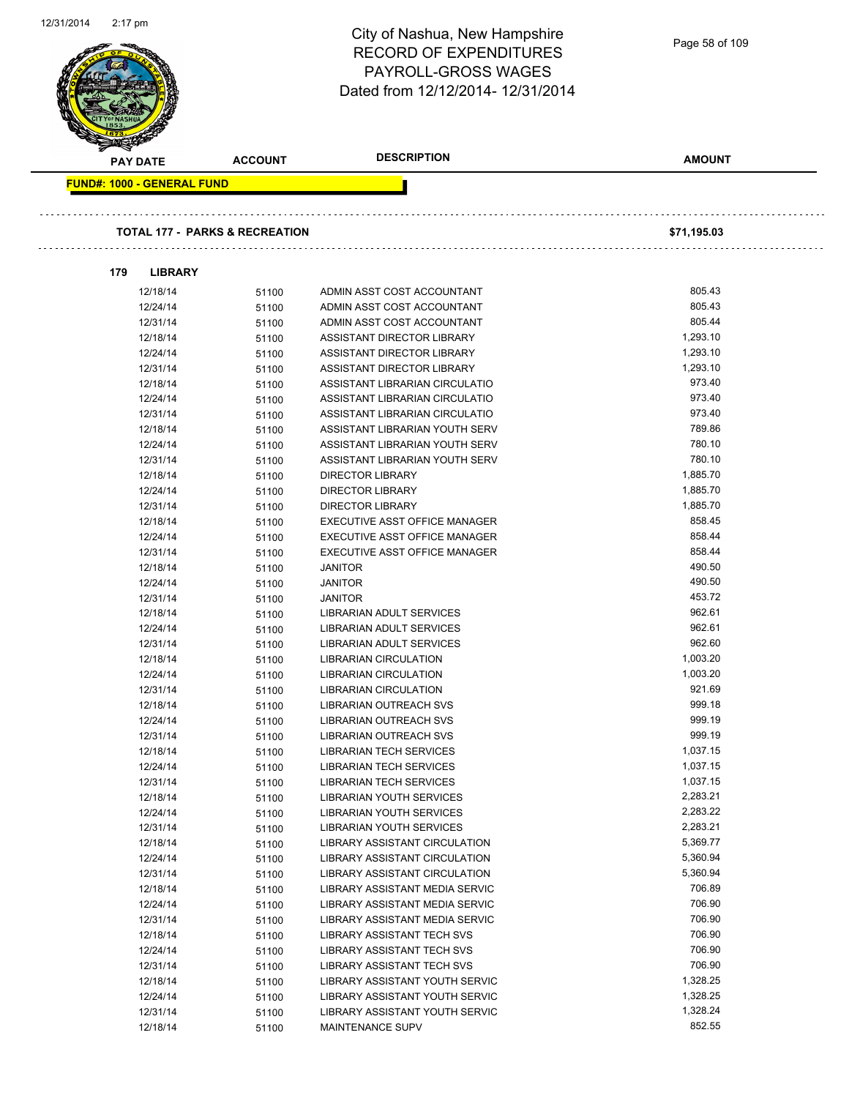| 12/31/2014<br>$2.17$ pm |                                   |                                           | City of Nashua, New Hampshire<br><b>RECORD OF EXPENDITURES</b><br>PAYROLL-GROSS WAGES | Page 58 of 109   |
|-------------------------|-----------------------------------|-------------------------------------------|---------------------------------------------------------------------------------------|------------------|
|                         |                                   |                                           | Dated from 12/12/2014-12/31/2014                                                      |                  |
| <b>PAY DATE</b>         |                                   | <b>ACCOUNT</b>                            | <b>DESCRIPTION</b>                                                                    | <b>AMOUNT</b>    |
|                         | <b>FUND#: 1000 - GENERAL FUND</b> |                                           |                                                                                       |                  |
|                         |                                   |                                           |                                                                                       |                  |
|                         |                                   | <b>TOTAL 177 - PARKS &amp; RECREATION</b> |                                                                                       | \$71,195.03      |
| 179                     | <b>LIBRARY</b>                    |                                           |                                                                                       |                  |
|                         | 12/18/14                          | 51100                                     | ADMIN ASST COST ACCOUNTANT                                                            | 805.43           |
|                         | 12/24/14                          | 51100                                     | ADMIN ASST COST ACCOUNTANT                                                            | 805.43           |
|                         | 12/31/14                          | 51100                                     | ADMIN ASST COST ACCOUNTANT                                                            | 805.44           |
|                         | 12/18/14                          | 51100                                     | ASSISTANT DIRECTOR LIBRARY                                                            | 1,293.10         |
|                         | 12/24/14                          | 51100                                     | ASSISTANT DIRECTOR LIBRARY                                                            | 1,293.10         |
|                         | 12/31/14                          | 51100                                     | ASSISTANT DIRECTOR LIBRARY                                                            | 1,293.10         |
|                         | 12/18/14                          | 51100                                     | ASSISTANT LIBRARIAN CIRCULATIO                                                        | 973.40           |
|                         | 12/24/14                          | 51100                                     | ASSISTANT LIBRARIAN CIRCULATIO                                                        | 973.40           |
|                         | 12/31/14                          | 51100                                     | ASSISTANT LIBRARIAN CIRCULATIO                                                        | 973.40           |
|                         | 12/18/14                          | 51100                                     | ASSISTANT LIBRARIAN YOUTH SERV                                                        | 789.86           |
|                         | 12/24/14                          | 51100                                     | ASSISTANT LIBRARIAN YOUTH SERV                                                        | 780.10           |
|                         | 12/31/14                          | 51100                                     | ASSISTANT LIBRARIAN YOUTH SERV                                                        | 780.10           |
|                         | 12/18/14                          | 51100                                     | <b>DIRECTOR LIBRARY</b>                                                               | 1,885.70         |
|                         | 12/24/14                          | 51100                                     | <b>DIRECTOR LIBRARY</b>                                                               | 1,885.70         |
|                         | 12/31/14                          | 51100                                     | <b>DIRECTOR LIBRARY</b>                                                               | 1,885.70         |
|                         | 12/18/14                          | 51100                                     | EXECUTIVE ASST OFFICE MANAGER                                                         | 858.45           |
|                         | 12/24/14                          | 51100                                     | EXECUTIVE ASST OFFICE MANAGER                                                         | 858.44           |
|                         | 12/31/14                          | 51100                                     | EXECUTIVE ASST OFFICE MANAGER                                                         | 858.44<br>490.50 |
|                         | 12/18/14                          | 51100                                     | <b>JANITOR</b>                                                                        | 490.50           |
|                         | 12/24/14                          | 51100                                     | <b>JANITOR</b>                                                                        | 453.72           |
|                         | 12/31/14<br>12/18/14              | 51100                                     | <b>JANITOR</b>                                                                        | 962.61           |
|                         | 12/24/14                          | 51100                                     | LIBRARIAN ADULT SERVICES<br><b>LIBRARIAN ADULT SERVICES</b>                           | 962.61           |
|                         |                                   | 51100                                     |                                                                                       | 962.60           |
|                         | 12/31/14<br>12/18/14              | 51100                                     | LIBRARIAN ADULT SERVICES<br><b>LIBRARIAN CIRCULATION</b>                              | 1,003.20         |
|                         | 12/24/14                          | 51100<br>51100                            | <b>LIBRARIAN CIRCULATION</b>                                                          | 1,003.20         |
|                         | 12/31/14                          | 51100                                     | <b>LIBRARIAN CIRCULATION</b>                                                          | 921.69           |
|                         | 12/18/14                          | 51100                                     | <b>LIBRARIAN OUTREACH SVS</b>                                                         | 999.18           |
|                         | 12/24/14                          | 51100                                     | <b>LIBRARIAN OUTREACH SVS</b>                                                         | 999.19           |
|                         | 12/31/14                          | 51100                                     | <b>LIBRARIAN OUTREACH SVS</b>                                                         | 999.19           |
|                         | 12/18/14                          | 51100                                     | <b>LIBRARIAN TECH SERVICES</b>                                                        | 1,037.15         |
|                         | 12/24/14                          | 51100                                     | <b>LIBRARIAN TECH SERVICES</b>                                                        | 1,037.15         |
|                         | 12/31/14                          | 51100                                     | <b>LIBRARIAN TECH SERVICES</b>                                                        | 1,037.15         |
|                         | 12/18/14                          | 51100                                     | <b>LIBRARIAN YOUTH SERVICES</b>                                                       | 2,283.21         |
|                         | 12/24/14                          | 51100                                     | LIBRARIAN YOUTH SERVICES                                                              | 2,283.22         |
|                         | 12/31/14                          | 51100                                     | LIBRARIAN YOUTH SERVICES                                                              | 2,283.21         |
|                         | 12/18/14                          | 51100                                     | LIBRARY ASSISTANT CIRCULATION                                                         | 5,369.77         |
|                         | 12/24/14                          | 51100                                     | LIBRARY ASSISTANT CIRCULATION                                                         | 5,360.94         |
|                         | 12/31/14                          | 51100                                     | LIBRARY ASSISTANT CIRCULATION                                                         | 5,360.94         |
|                         | 12/18/14                          | 51100                                     | LIBRARY ASSISTANT MEDIA SERVIC                                                        | 706.89           |
|                         | 12/24/14                          | 51100                                     | LIBRARY ASSISTANT MEDIA SERVIC                                                        | 706.90           |
|                         | 12/31/14                          | 51100                                     | LIBRARY ASSISTANT MEDIA SERVIC                                                        | 706.90           |
|                         | 12/18/14                          | 51100                                     | LIBRARY ASSISTANT TECH SVS                                                            | 706.90           |
|                         | 12/24/14                          | 51100                                     | LIBRARY ASSISTANT TECH SVS                                                            | 706.90           |
|                         | 12/31/14                          | 51100                                     | LIBRARY ASSISTANT TECH SVS                                                            | 706.90           |
|                         | 12/18/14                          | 51100                                     | LIBRARY ASSISTANT YOUTH SERVIC                                                        | 1,328.25         |
|                         | 12/24/14                          | 51100                                     | LIBRARY ASSISTANT YOUTH SERVIC                                                        | 1,328.25         |
|                         | 12/31/14                          | 51100                                     | LIBRARY ASSISTANT YOUTH SERVIC                                                        | 1,328.24         |
|                         | 12/18/14                          | 51100                                     | MAINTENANCE SUPV                                                                      | 852.55           |
|                         |                                   |                                           |                                                                                       |                  |

12/31/2014 2:17 pm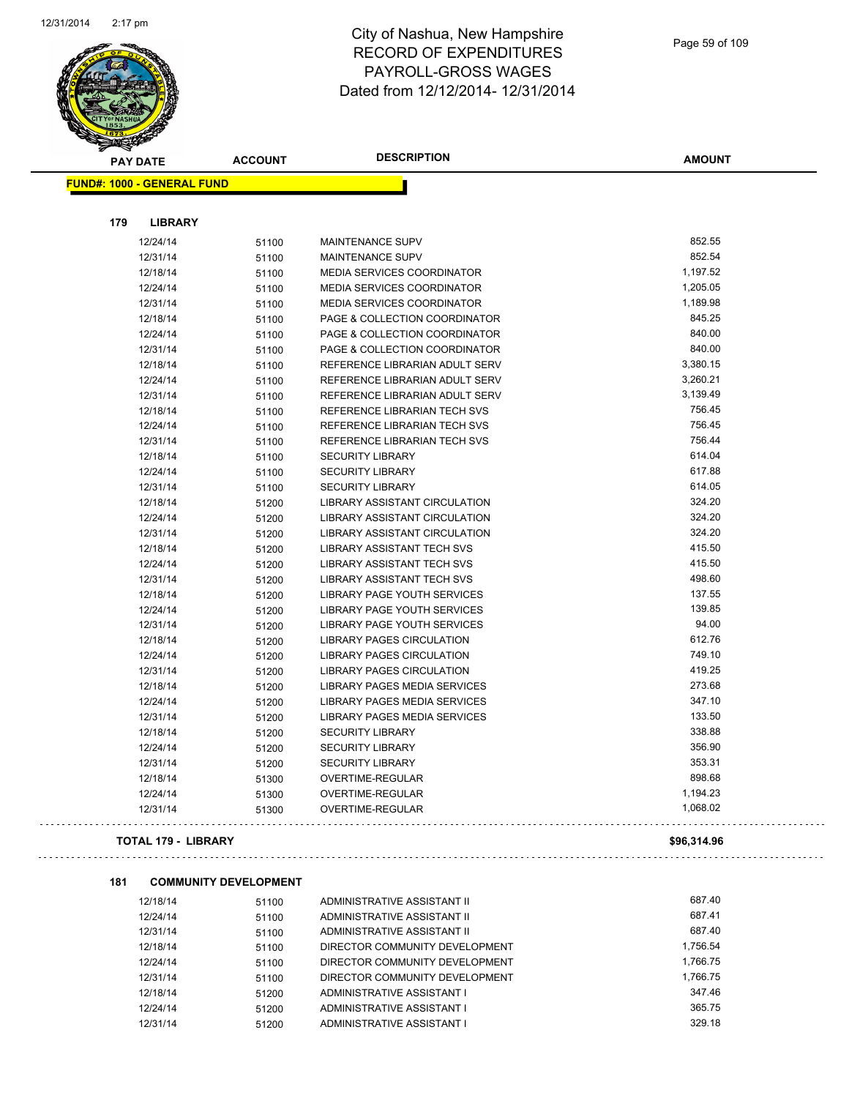

| ❤<br><b>PAY DATE</b>              | <b>ACCOUNT</b> | <b>DESCRIPTION</b>                 | <b>AMOUNT</b> |
|-----------------------------------|----------------|------------------------------------|---------------|
| <b>FUND#: 1000 - GENERAL FUND</b> |                |                                    |               |
|                                   |                |                                    |               |
| 179<br><b>LIBRARY</b>             |                |                                    |               |
| 12/24/14                          | 51100          | <b>MAINTENANCE SUPV</b>            | 852.55        |
| 12/31/14                          | 51100          | MAINTENANCE SUPV                   | 852.54        |
| 12/18/14                          | 51100          | MEDIA SERVICES COORDINATOR         | 1,197.52      |
| 12/24/14                          | 51100          | MEDIA SERVICES COORDINATOR         | 1,205.05      |
| 12/31/14                          | 51100          | MEDIA SERVICES COORDINATOR         | 1,189.98      |
| 12/18/14                          | 51100          | PAGE & COLLECTION COORDINATOR      | 845.25        |
| 12/24/14                          | 51100          | PAGE & COLLECTION COORDINATOR      | 840.00        |
| 12/31/14                          | 51100          | PAGE & COLLECTION COORDINATOR      | 840.00        |
| 12/18/14                          | 51100          | REFERENCE LIBRARIAN ADULT SERV     | 3,380.15      |
| 12/24/14                          | 51100          | REFERENCE LIBRARIAN ADULT SERV     | 3,260.21      |
| 12/31/14                          | 51100          | REFERENCE LIBRARIAN ADULT SERV     | 3,139.49      |
| 12/18/14                          | 51100          | REFERENCE LIBRARIAN TECH SVS       | 756.45        |
| 12/24/14                          | 51100          | REFERENCE LIBRARIAN TECH SVS       | 756.45        |
| 12/31/14                          | 51100          | REFERENCE LIBRARIAN TECH SVS       | 756.44        |
| 12/18/14                          | 51100          | <b>SECURITY LIBRARY</b>            | 614.04        |
| 12/24/14                          | 51100          | <b>SECURITY LIBRARY</b>            | 617.88        |
| 12/31/14                          | 51100          | <b>SECURITY LIBRARY</b>            | 614.05        |
| 12/18/14                          | 51200          | LIBRARY ASSISTANT CIRCULATION      | 324.20        |
| 12/24/14                          | 51200          | LIBRARY ASSISTANT CIRCULATION      | 324.20        |
| 12/31/14                          | 51200          | LIBRARY ASSISTANT CIRCULATION      | 324.20        |
| 12/18/14                          | 51200          | <b>LIBRARY ASSISTANT TECH SVS</b>  | 415.50        |
| 12/24/14                          | 51200          | <b>LIBRARY ASSISTANT TECH SVS</b>  | 415.50        |
| 12/31/14                          | 51200          | <b>LIBRARY ASSISTANT TECH SVS</b>  | 498.60        |
| 12/18/14                          | 51200          | <b>LIBRARY PAGE YOUTH SERVICES</b> | 137.55        |
| 12/24/14                          | 51200          | LIBRARY PAGE YOUTH SERVICES        | 139.85        |
| 12/31/14                          | 51200          | LIBRARY PAGE YOUTH SERVICES        | 94.00         |
| 12/18/14                          | 51200          | <b>LIBRARY PAGES CIRCULATION</b>   | 612.76        |
| 12/24/14                          | 51200          | <b>LIBRARY PAGES CIRCULATION</b>   | 749.10        |
| 12/31/14                          | 51200          | LIBRARY PAGES CIRCULATION          | 419.25        |
| 12/18/14                          | 51200          | LIBRARY PAGES MEDIA SERVICES       | 273.68        |
| 12/24/14                          | 51200          | LIBRARY PAGES MEDIA SERVICES       | 347.10        |
| 12/31/14                          | 51200          | LIBRARY PAGES MEDIA SERVICES       | 133.50        |
| 12/18/14                          | 51200          | <b>SECURITY LIBRARY</b>            | 338.88        |
| 12/24/14                          | 51200          | <b>SECURITY LIBRARY</b>            | 356.90        |
| 12/31/14                          | 51200          | <b>SECURITY LIBRARY</b>            | 353.31        |
| 12/18/14                          | 51300          | OVERTIME-REGULAR                   | 898.68        |
| 12/24/14                          | 51300          | <b>OVERTIME-REGULAR</b>            | 1,194.23      |
| 12/31/14                          | 51300          | OVERTIME-REGULAR                   | 1,068.02      |
|                                   |                |                                    |               |

### **TOTAL 179 - LIBRARY \$96,314.96**

 $\mathbb{Z}^2$  ,  $\mathbb{Z}^2$  ,  $\mathbb{Z}^2$ 

| 181 |          | <b>COMMUNITY DEVELOPMENT</b> |                                |          |
|-----|----------|------------------------------|--------------------------------|----------|
|     | 12/18/14 | 51100                        | ADMINISTRATIVE ASSISTANT II    | 687.40   |
|     | 12/24/14 | 51100                        | ADMINISTRATIVE ASSISTANT II    | 687.41   |
|     | 12/31/14 | 51100                        | ADMINISTRATIVE ASSISTANT II    | 687.40   |
|     | 12/18/14 | 51100                        | DIRECTOR COMMUNITY DEVELOPMENT | 1.756.54 |
|     | 12/24/14 | 51100                        | DIRECTOR COMMUNITY DEVELOPMENT | 1.766.75 |
|     | 12/31/14 | 51100                        | DIRECTOR COMMUNITY DEVELOPMENT | 1.766.75 |
|     | 12/18/14 | 51200                        | ADMINISTRATIVE ASSISTANT I     | 347.46   |
|     | 12/24/14 | 51200                        | ADMINISTRATIVE ASSISTANT I     | 365.75   |
|     | 12/31/14 | 51200                        | ADMINISTRATIVE ASSISTANT I     | 329.18   |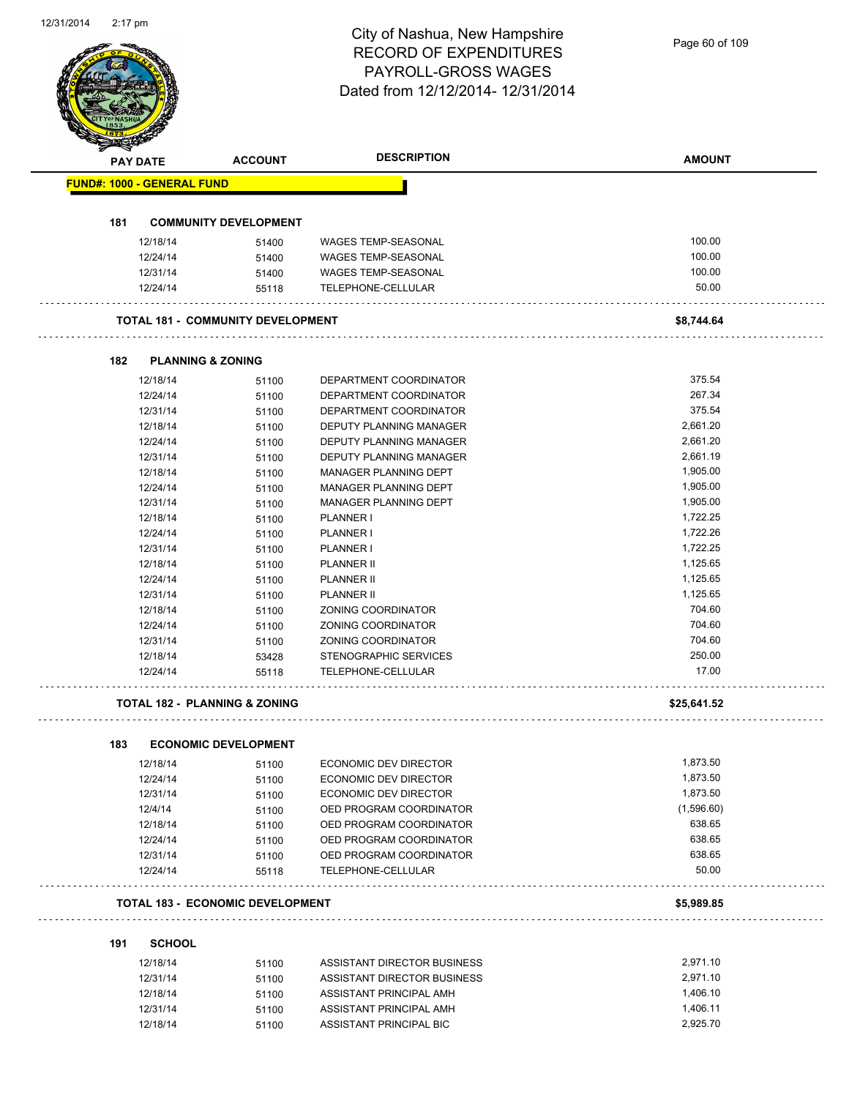# City of Nashua, New Hampshire RECORD OF EXPENDITURES PAYROLL-GROSS WAGES

| PAYROLL-GROSS WAGES<br>Dated from 12/12/2014- 12/31/2014<br><b>DESCRIPTION</b><br>WAGES TEMP-SEASONAL<br><b>WAGES TEMP-SEASONAL</b><br>WAGES TEMP-SEASONAL<br>TELEPHONE-CELLULAR<br><b>TOTAL 181 - COMMUNITY DEVELOPMENT</b><br>DEPARTMENT COORDINATOR<br>DEPARTMENT COORDINATOR<br>DEPARTMENT COORDINATOR | <b>AMOUNT</b><br>100.00<br>100.00<br>100.00<br>50.00<br>\$8,744.64<br>375.54                                                                                                                                                                                                                                                                                                                                                                                                                                                                                                                                           |
|------------------------------------------------------------------------------------------------------------------------------------------------------------------------------------------------------------------------------------------------------------------------------------------------------------|------------------------------------------------------------------------------------------------------------------------------------------------------------------------------------------------------------------------------------------------------------------------------------------------------------------------------------------------------------------------------------------------------------------------------------------------------------------------------------------------------------------------------------------------------------------------------------------------------------------------|
|                                                                                                                                                                                                                                                                                                            |                                                                                                                                                                                                                                                                                                                                                                                                                                                                                                                                                                                                                        |
|                                                                                                                                                                                                                                                                                                            |                                                                                                                                                                                                                                                                                                                                                                                                                                                                                                                                                                                                                        |
|                                                                                                                                                                                                                                                                                                            |                                                                                                                                                                                                                                                                                                                                                                                                                                                                                                                                                                                                                        |
|                                                                                                                                                                                                                                                                                                            |                                                                                                                                                                                                                                                                                                                                                                                                                                                                                                                                                                                                                        |
|                                                                                                                                                                                                                                                                                                            |                                                                                                                                                                                                                                                                                                                                                                                                                                                                                                                                                                                                                        |
|                                                                                                                                                                                                                                                                                                            |                                                                                                                                                                                                                                                                                                                                                                                                                                                                                                                                                                                                                        |
|                                                                                                                                                                                                                                                                                                            |                                                                                                                                                                                                                                                                                                                                                                                                                                                                                                                                                                                                                        |
|                                                                                                                                                                                                                                                                                                            |                                                                                                                                                                                                                                                                                                                                                                                                                                                                                                                                                                                                                        |
|                                                                                                                                                                                                                                                                                                            |                                                                                                                                                                                                                                                                                                                                                                                                                                                                                                                                                                                                                        |
|                                                                                                                                                                                                                                                                                                            |                                                                                                                                                                                                                                                                                                                                                                                                                                                                                                                                                                                                                        |
|                                                                                                                                                                                                                                                                                                            |                                                                                                                                                                                                                                                                                                                                                                                                                                                                                                                                                                                                                        |
|                                                                                                                                                                                                                                                                                                            |                                                                                                                                                                                                                                                                                                                                                                                                                                                                                                                                                                                                                        |
|                                                                                                                                                                                                                                                                                                            |                                                                                                                                                                                                                                                                                                                                                                                                                                                                                                                                                                                                                        |
|                                                                                                                                                                                                                                                                                                            |                                                                                                                                                                                                                                                                                                                                                                                                                                                                                                                                                                                                                        |
|                                                                                                                                                                                                                                                                                                            |                                                                                                                                                                                                                                                                                                                                                                                                                                                                                                                                                                                                                        |
|                                                                                                                                                                                                                                                                                                            |                                                                                                                                                                                                                                                                                                                                                                                                                                                                                                                                                                                                                        |
|                                                                                                                                                                                                                                                                                                            |                                                                                                                                                                                                                                                                                                                                                                                                                                                                                                                                                                                                                        |
|                                                                                                                                                                                                                                                                                                            |                                                                                                                                                                                                                                                                                                                                                                                                                                                                                                                                                                                                                        |
|                                                                                                                                                                                                                                                                                                            |                                                                                                                                                                                                                                                                                                                                                                                                                                                                                                                                                                                                                        |
|                                                                                                                                                                                                                                                                                                            | 267.34                                                                                                                                                                                                                                                                                                                                                                                                                                                                                                                                                                                                                 |
|                                                                                                                                                                                                                                                                                                            | 375.54                                                                                                                                                                                                                                                                                                                                                                                                                                                                                                                                                                                                                 |
| DEPUTY PLANNING MANAGER                                                                                                                                                                                                                                                                                    | 2,661.20                                                                                                                                                                                                                                                                                                                                                                                                                                                                                                                                                                                                               |
| <b>DEPUTY PLANNING MANAGER</b>                                                                                                                                                                                                                                                                             | 2,661.20                                                                                                                                                                                                                                                                                                                                                                                                                                                                                                                                                                                                               |
| DEPUTY PLANNING MANAGER                                                                                                                                                                                                                                                                                    | 2,661.19                                                                                                                                                                                                                                                                                                                                                                                                                                                                                                                                                                                                               |
| <b>MANAGER PLANNING DEPT</b>                                                                                                                                                                                                                                                                               | 1,905.00                                                                                                                                                                                                                                                                                                                                                                                                                                                                                                                                                                                                               |
|                                                                                                                                                                                                                                                                                                            |                                                                                                                                                                                                                                                                                                                                                                                                                                                                                                                                                                                                                        |
|                                                                                                                                                                                                                                                                                                            | 1,905.00                                                                                                                                                                                                                                                                                                                                                                                                                                                                                                                                                                                                               |
|                                                                                                                                                                                                                                                                                                            | 1,905.00                                                                                                                                                                                                                                                                                                                                                                                                                                                                                                                                                                                                               |
|                                                                                                                                                                                                                                                                                                            | 1,722.25                                                                                                                                                                                                                                                                                                                                                                                                                                                                                                                                                                                                               |
|                                                                                                                                                                                                                                                                                                            | 1,722.26                                                                                                                                                                                                                                                                                                                                                                                                                                                                                                                                                                                                               |
|                                                                                                                                                                                                                                                                                                            | 1,722.25                                                                                                                                                                                                                                                                                                                                                                                                                                                                                                                                                                                                               |
|                                                                                                                                                                                                                                                                                                            | 1,125.65                                                                                                                                                                                                                                                                                                                                                                                                                                                                                                                                                                                                               |
|                                                                                                                                                                                                                                                                                                            | 1,125.65                                                                                                                                                                                                                                                                                                                                                                                                                                                                                                                                                                                                               |
|                                                                                                                                                                                                                                                                                                            | 1,125.65                                                                                                                                                                                                                                                                                                                                                                                                                                                                                                                                                                                                               |
|                                                                                                                                                                                                                                                                                                            | 704.60                                                                                                                                                                                                                                                                                                                                                                                                                                                                                                                                                                                                                 |
|                                                                                                                                                                                                                                                                                                            | 704.60                                                                                                                                                                                                                                                                                                                                                                                                                                                                                                                                                                                                                 |
|                                                                                                                                                                                                                                                                                                            | 704.60                                                                                                                                                                                                                                                                                                                                                                                                                                                                                                                                                                                                                 |
|                                                                                                                                                                                                                                                                                                            | 250.00                                                                                                                                                                                                                                                                                                                                                                                                                                                                                                                                                                                                                 |
|                                                                                                                                                                                                                                                                                                            |                                                                                                                                                                                                                                                                                                                                                                                                                                                                                                                                                                                                                        |
|                                                                                                                                                                                                                                                                                                            | 17.00                                                                                                                                                                                                                                                                                                                                                                                                                                                                                                                                                                                                                  |
|                                                                                                                                                                                                                                                                                                            | \$25,641.52                                                                                                                                                                                                                                                                                                                                                                                                                                                                                                                                                                                                            |
|                                                                                                                                                                                                                                                                                                            |                                                                                                                                                                                                                                                                                                                                                                                                                                                                                                                                                                                                                        |
|                                                                                                                                                                                                                                                                                                            |                                                                                                                                                                                                                                                                                                                                                                                                                                                                                                                                                                                                                        |
|                                                                                                                                                                                                                                                                                                            | 1,873.50                                                                                                                                                                                                                                                                                                                                                                                                                                                                                                                                                                                                               |
|                                                                                                                                                                                                                                                                                                            | 1,873.50                                                                                                                                                                                                                                                                                                                                                                                                                                                                                                                                                                                                               |
|                                                                                                                                                                                                                                                                                                            | 1,873.50                                                                                                                                                                                                                                                                                                                                                                                                                                                                                                                                                                                                               |
|                                                                                                                                                                                                                                                                                                            | (1,596.60)                                                                                                                                                                                                                                                                                                                                                                                                                                                                                                                                                                                                             |
|                                                                                                                                                                                                                                                                                                            | 638.65                                                                                                                                                                                                                                                                                                                                                                                                                                                                                                                                                                                                                 |
|                                                                                                                                                                                                                                                                                                            | 638.65                                                                                                                                                                                                                                                                                                                                                                                                                                                                                                                                                                                                                 |
|                                                                                                                                                                                                                                                                                                            | 638.65                                                                                                                                                                                                                                                                                                                                                                                                                                                                                                                                                                                                                 |
|                                                                                                                                                                                                                                                                                                            | 50.00                                                                                                                                                                                                                                                                                                                                                                                                                                                                                                                                                                                                                  |
|                                                                                                                                                                                                                                                                                                            |                                                                                                                                                                                                                                                                                                                                                                                                                                                                                                                                                                                                                        |
|                                                                                                                                                                                                                                                                                                            | \$5,989.85                                                                                                                                                                                                                                                                                                                                                                                                                                                                                                                                                                                                             |
|                                                                                                                                                                                                                                                                                                            |                                                                                                                                                                                                                                                                                                                                                                                                                                                                                                                                                                                                                        |
|                                                                                                                                                                                                                                                                                                            | 2,971.10                                                                                                                                                                                                                                                                                                                                                                                                                                                                                                                                                                                                               |
|                                                                                                                                                                                                                                                                                                            | 2,971.10                                                                                                                                                                                                                                                                                                                                                                                                                                                                                                                                                                                                               |
|                                                                                                                                                                                                                                                                                                            | 1,406.10                                                                                                                                                                                                                                                                                                                                                                                                                                                                                                                                                                                                               |
|                                                                                                                                                                                                                                                                                                            |                                                                                                                                                                                                                                                                                                                                                                                                                                                                                                                                                                                                                        |
| ASSISTANT PRINCIPAL AMH                                                                                                                                                                                                                                                                                    | 1,406.11                                                                                                                                                                                                                                                                                                                                                                                                                                                                                                                                                                                                               |
|                                                                                                                                                                                                                                                                                                            | MANAGER PLANNING DEPT<br>MANAGER PLANNING DEPT<br>PLANNER I<br>PLANNER I<br><b>PLANNER I</b><br>PLANNER II<br><b>PLANNER II</b><br>PLANNER II<br>ZONING COORDINATOR<br>ZONING COORDINATOR<br>ZONING COORDINATOR<br><b>STENOGRAPHIC SERVICES</b><br>TELEPHONE-CELLULAR<br>ECONOMIC DEV DIRECTOR<br>ECONOMIC DEV DIRECTOR<br>ECONOMIC DEV DIRECTOR<br>OED PROGRAM COORDINATOR<br>OED PROGRAM COORDINATOR<br>OED PROGRAM COORDINATOR<br>OED PROGRAM COORDINATOR<br>TELEPHONE-CELLULAR<br><b>TOTAL 183 - ECONOMIC DEVELOPMENT</b><br>ASSISTANT DIRECTOR BUSINESS<br>ASSISTANT DIRECTOR BUSINESS<br>ASSISTANT PRINCIPAL AMH |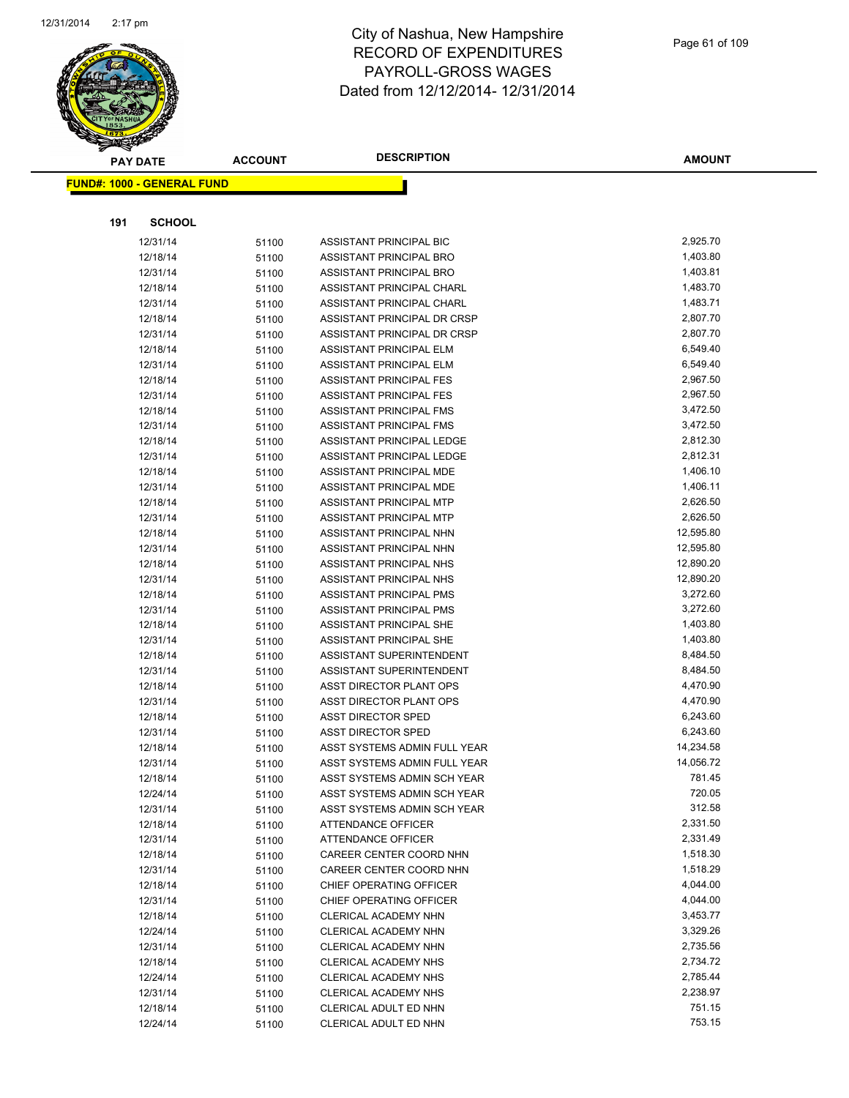

|     | <b>PAY DATE</b>                   | <b>ACCOUNT</b> | <b>DESCRIPTION</b>                            | <b>AMOUNT</b>        |
|-----|-----------------------------------|----------------|-----------------------------------------------|----------------------|
|     | <b>FUND#: 1000 - GENERAL FUND</b> |                |                                               |                      |
|     |                                   |                |                                               |                      |
| 191 | <b>SCHOOL</b>                     |                |                                               |                      |
|     | 12/31/14                          | 51100          | ASSISTANT PRINCIPAL BIC                       | 2,925.70             |
|     | 12/18/14                          | 51100          | ASSISTANT PRINCIPAL BRO                       | 1,403.80             |
|     | 12/31/14                          | 51100          | ASSISTANT PRINCIPAL BRO                       | 1,403.81             |
|     | 12/18/14                          | 51100          | ASSISTANT PRINCIPAL CHARL                     | 1,483.70             |
|     | 12/31/14                          | 51100          | ASSISTANT PRINCIPAL CHARL                     | 1,483.71             |
|     | 12/18/14                          | 51100          | ASSISTANT PRINCIPAL DR CRSP                   | 2,807.70             |
|     | 12/31/14                          | 51100          | <b>ASSISTANT PRINCIPAL DR CRSP</b>            | 2,807.70             |
|     | 12/18/14                          | 51100          | ASSISTANT PRINCIPAL ELM                       | 6,549.40             |
|     | 12/31/14                          | 51100          | ASSISTANT PRINCIPAL ELM                       | 6,549.40             |
|     | 12/18/14                          | 51100          | ASSISTANT PRINCIPAL FES                       | 2,967.50             |
|     | 12/31/14                          | 51100          | ASSISTANT PRINCIPAL FES                       | 2,967.50             |
|     | 12/18/14                          | 51100          | ASSISTANT PRINCIPAL FMS                       | 3,472.50             |
|     | 12/31/14                          | 51100          | ASSISTANT PRINCIPAL FMS                       | 3,472.50             |
|     | 12/18/14                          | 51100          | ASSISTANT PRINCIPAL LEDGE                     | 2,812.30             |
|     | 12/31/14                          | 51100          | ASSISTANT PRINCIPAL LEDGE                     | 2,812.31             |
|     | 12/18/14                          | 51100          | ASSISTANT PRINCIPAL MDE                       | 1,406.10             |
|     | 12/31/14                          | 51100          | ASSISTANT PRINCIPAL MDE                       | 1,406.11             |
|     | 12/18/14                          | 51100          | ASSISTANT PRINCIPAL MTP                       | 2,626.50             |
|     | 12/31/14                          | 51100          | ASSISTANT PRINCIPAL MTP                       | 2,626.50             |
|     | 12/18/14                          | 51100          | ASSISTANT PRINCIPAL NHN                       | 12,595.80            |
|     | 12/31/14                          | 51100          | ASSISTANT PRINCIPAL NHN                       | 12,595.80            |
|     | 12/18/14                          | 51100          | ASSISTANT PRINCIPAL NHS                       | 12,890.20            |
|     | 12/31/14                          | 51100          | ASSISTANT PRINCIPAL NHS                       | 12,890.20            |
|     | 12/18/14                          | 51100          | ASSISTANT PRINCIPAL PMS                       | 3,272.60             |
|     | 12/31/14                          | 51100          | ASSISTANT PRINCIPAL PMS                       | 3,272.60             |
|     | 12/18/14                          | 51100          | ASSISTANT PRINCIPAL SHE                       | 1,403.80             |
|     | 12/31/14                          | 51100          | ASSISTANT PRINCIPAL SHE                       | 1,403.80             |
|     | 12/18/14                          | 51100          | ASSISTANT SUPERINTENDENT                      | 8,484.50             |
|     | 12/31/14                          | 51100          | ASSISTANT SUPERINTENDENT                      | 8,484.50             |
|     | 12/18/14                          | 51100          | ASST DIRECTOR PLANT OPS                       | 4,470.90             |
|     | 12/31/14                          | 51100          | ASST DIRECTOR PLANT OPS                       | 4,470.90             |
|     | 12/18/14                          | 51100          | <b>ASST DIRECTOR SPED</b>                     | 6,243.60             |
|     | 12/31/14                          | 51100          | <b>ASST DIRECTOR SPED</b>                     | 6,243.60             |
|     | 12/18/14                          | 51100          | ASST SYSTEMS ADMIN FULL YEAR                  | 14,234.58            |
|     | 12/31/14                          | 51100          | ASST SYSTEMS ADMIN FULL YEAR                  | 14,056.72            |
|     | 12/18/14                          | 51100          | ASST SYSTEMS ADMIN SCH YEAR                   | 781.45               |
|     | 12/24/14                          | 51100          | ASST SYSTEMS ADMIN SCH YEAR                   | 720.05               |
|     | 12/31/14                          | 51100          | ASST SYSTEMS ADMIN SCH YEAR                   | 312.58               |
|     | 12/18/14                          | 51100          | ATTENDANCE OFFICER                            | 2,331.50             |
|     | 12/31/14                          | 51100          | ATTENDANCE OFFICER                            | 2,331.49             |
|     | 12/18/14                          | 51100          | CAREER CENTER COORD NHN                       | 1,518.30             |
|     | 12/31/14                          | 51100          | CAREER CENTER COORD NHN                       | 1,518.29             |
|     | 12/18/14                          | 51100          | CHIEF OPERATING OFFICER                       | 4,044.00             |
|     | 12/31/14                          | 51100          | CHIEF OPERATING OFFICER                       | 4,044.00             |
|     | 12/18/14                          | 51100          | CLERICAL ACADEMY NHN                          | 3,453.77             |
|     | 12/24/14                          | 51100          | CLERICAL ACADEMY NHN                          | 3,329.26             |
|     | 12/31/14                          | 51100          | CLERICAL ACADEMY NHN                          | 2,735.56             |
|     | 12/18/14                          | 51100          | <b>CLERICAL ACADEMY NHS</b>                   | 2,734.72             |
|     | 12/24/14                          | 51100          | CLERICAL ACADEMY NHS                          | 2,785.44<br>2,238.97 |
|     | 12/31/14<br>12/18/14              | 51100          | CLERICAL ACADEMY NHS<br>CLERICAL ADULT ED NHN | 751.15               |
|     | 12/24/14                          | 51100<br>51100 | CLERICAL ADULT ED NHN                         | 753.15               |
|     |                                   |                |                                               |                      |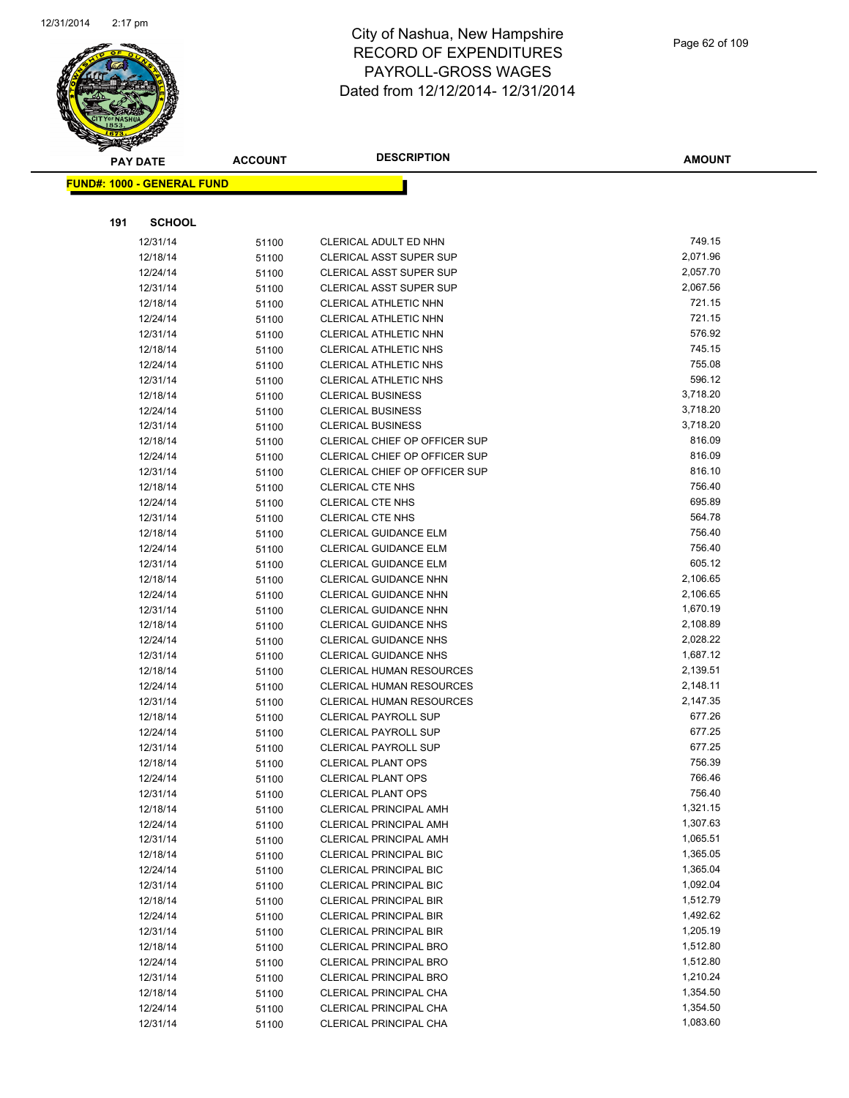

**AMOUNT**

|     | <u> FUND#: 1000 - GENERAL FUND</u> |                |                                                                |                      |
|-----|------------------------------------|----------------|----------------------------------------------------------------|----------------------|
|     |                                    |                |                                                                |                      |
| 191 | <b>SCHOOL</b>                      |                |                                                                |                      |
|     | 12/31/14                           | 51100          | CLERICAL ADULT ED NHN                                          | 749.15               |
|     | 12/18/14                           | 51100          | <b>CLERICAL ASST SUPER SUP</b>                                 | 2,071.96             |
|     | 12/24/14                           | 51100          | <b>CLERICAL ASST SUPER SUP</b>                                 | 2,057.70             |
|     | 12/31/14                           | 51100          | <b>CLERICAL ASST SUPER SUP</b>                                 | 2,067.56             |
|     | 12/18/14                           | 51100          | CLERICAL ATHLETIC NHN                                          | 721.15               |
|     | 12/24/14                           | 51100          | CLERICAL ATHLETIC NHN                                          | 721.15               |
|     | 12/31/14                           | 51100          | CLERICAL ATHLETIC NHN                                          | 576.92               |
|     | 12/18/14                           | 51100          | <b>CLERICAL ATHLETIC NHS</b>                                   | 745.15               |
|     | 12/24/14                           | 51100          | <b>CLERICAL ATHLETIC NHS</b>                                   | 755.08               |
|     | 12/31/14                           | 51100          | CLERICAL ATHLETIC NHS                                          | 596.12               |
|     | 12/18/14                           | 51100          | <b>CLERICAL BUSINESS</b>                                       | 3,718.20             |
|     | 12/24/14                           | 51100          | <b>CLERICAL BUSINESS</b>                                       | 3,718.20             |
|     | 12/31/14                           | 51100          | <b>CLERICAL BUSINESS</b>                                       | 3,718.20             |
|     | 12/18/14                           | 51100          | CLERICAL CHIEF OP OFFICER SUP                                  | 816.09               |
|     | 12/24/14                           | 51100          | CLERICAL CHIEF OP OFFICER SUP                                  | 816.09               |
|     | 12/31/14                           | 51100          | CLERICAL CHIEF OP OFFICER SUP                                  | 816.10               |
|     | 12/18/14                           | 51100          | <b>CLERICAL CTE NHS</b>                                        | 756.40               |
|     | 12/24/14                           | 51100          | <b>CLERICAL CTE NHS</b>                                        | 695.89               |
|     | 12/31/14                           | 51100          | <b>CLERICAL CTE NHS</b>                                        | 564.78               |
|     | 12/18/14                           | 51100          | <b>CLERICAL GUIDANCE ELM</b>                                   | 756.40               |
|     | 12/24/14                           | 51100          | CLERICAL GUIDANCE ELM                                          | 756.40               |
|     | 12/31/14                           | 51100          | <b>CLERICAL GUIDANCE ELM</b>                                   | 605.12               |
|     | 12/18/14                           | 51100          | CLERICAL GUIDANCE NHN                                          | 2,106.65             |
|     | 12/24/14                           | 51100          | CLERICAL GUIDANCE NHN                                          | 2,106.65             |
|     | 12/31/14                           | 51100          | CLERICAL GUIDANCE NHN                                          | 1,670.19             |
|     | 12/18/14                           | 51100          | <b>CLERICAL GUIDANCE NHS</b>                                   | 2,108.89             |
|     | 12/24/14                           | 51100          | <b>CLERICAL GUIDANCE NHS</b>                                   | 2,028.22             |
|     | 12/31/14                           | 51100          | <b>CLERICAL GUIDANCE NHS</b>                                   | 1,687.12             |
|     | 12/18/14                           | 51100          | <b>CLERICAL HUMAN RESOURCES</b>                                | 2,139.51             |
|     | 12/24/14                           | 51100          | CLERICAL HUMAN RESOURCES                                       | 2,148.11             |
|     | 12/31/14                           | 51100          | <b>CLERICAL HUMAN RESOURCES</b>                                | 2,147.35             |
|     | 12/18/14                           | 51100          | <b>CLERICAL PAYROLL SUP</b>                                    | 677.26               |
|     | 12/24/14                           | 51100          | <b>CLERICAL PAYROLL SUP</b>                                    | 677.25               |
|     | 12/31/14                           | 51100          | <b>CLERICAL PAYROLL SUP</b>                                    | 677.25               |
|     | 12/18/14                           | 51100          | <b>CLERICAL PLANT OPS</b>                                      | 756.39               |
|     | 12/24/14                           | 51100          | <b>CLERICAL PLANT OPS</b>                                      | 766.46               |
|     | 12/31/14                           | 51100          | CLERICAL PLANT OPS                                             | 756.40               |
|     | 12/18/14                           | 51100          | <b>CLERICAL PRINCIPAL AMH</b>                                  | 1,321.15             |
|     | 12/24/14                           | 51100          | <b>CLERICAL PRINCIPAL AMH</b>                                  | 1,307.63             |
|     | 12/31/14                           | 51100          | <b>CLERICAL PRINCIPAL AMH</b>                                  | 1,065.51             |
|     | 12/18/14                           | 51100          | <b>CLERICAL PRINCIPAL BIC</b><br><b>CLERICAL PRINCIPAL BIC</b> | 1,365.05<br>1,365.04 |
|     | 12/24/14                           | 51100          | <b>CLERICAL PRINCIPAL BIC</b>                                  | 1,092.04             |
|     | 12/31/14<br>12/18/14               | 51100          | <b>CLERICAL PRINCIPAL BIR</b>                                  | 1,512.79             |
|     | 12/24/14                           | 51100          | <b>CLERICAL PRINCIPAL BIR</b>                                  | 1,492.62             |
|     | 12/31/14                           | 51100<br>51100 | <b>CLERICAL PRINCIPAL BIR</b>                                  | 1,205.19             |
|     | 12/18/14                           | 51100          | <b>CLERICAL PRINCIPAL BRO</b>                                  | 1,512.80             |
|     | 12/24/14                           | 51100          | <b>CLERICAL PRINCIPAL BRO</b>                                  | 1,512.80             |
|     | 12/31/14                           | 51100          | <b>CLERICAL PRINCIPAL BRO</b>                                  | 1,210.24             |
|     | 12/18/14                           | 51100          | CLERICAL PRINCIPAL CHA                                         | 1,354.50             |
|     | 12/24/14                           | 51100          | CLERICAL PRINCIPAL CHA                                         | 1,354.50             |
|     | 12/31/14                           | 51100          | CLERICAL PRINCIPAL CHA                                         | 1,083.60             |
|     |                                    |                |                                                                |                      |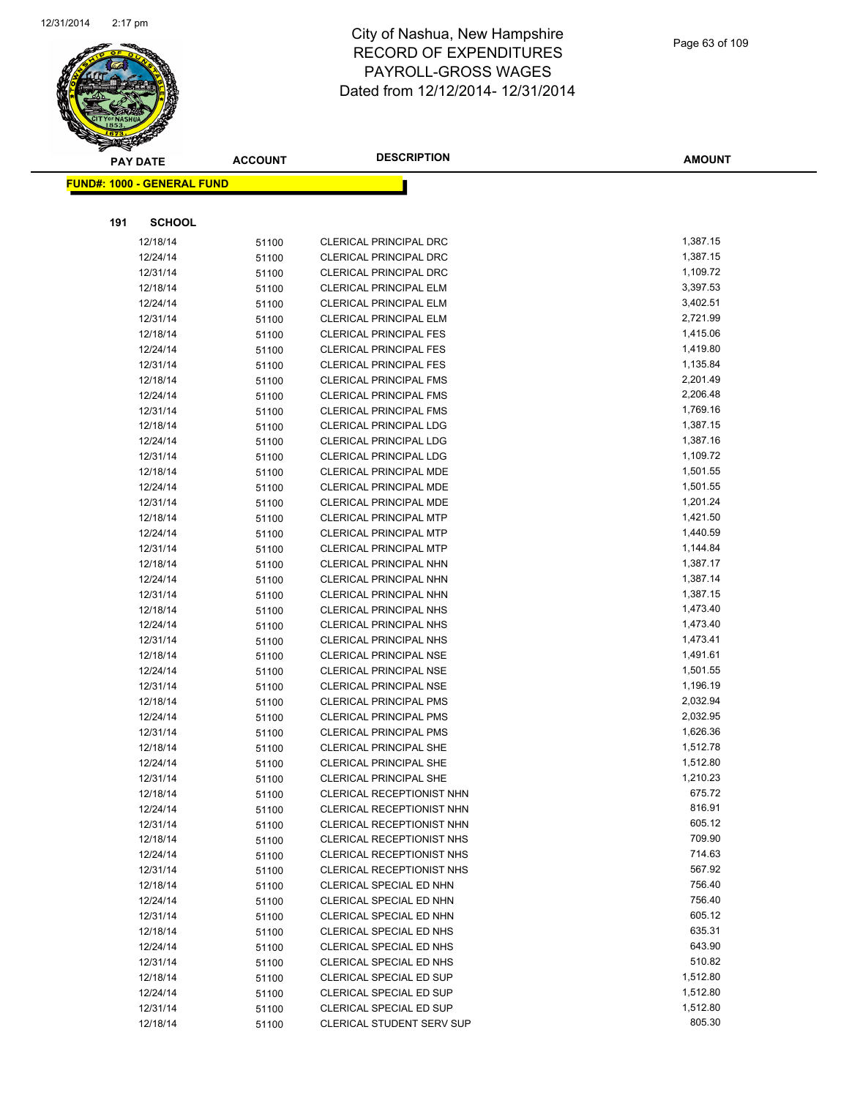

|     | <b>PAY DATE</b>                   | <b>ACCOUNT</b> | <b>DESCRIPTION</b>                                        | <b>AMOUNT</b>        |
|-----|-----------------------------------|----------------|-----------------------------------------------------------|----------------------|
|     | <b>FUND#: 1000 - GENERAL FUND</b> |                |                                                           |                      |
|     |                                   |                |                                                           |                      |
|     |                                   |                |                                                           |                      |
| 191 | <b>SCHOOL</b>                     |                |                                                           |                      |
|     | 12/18/14                          | 51100          | CLERICAL PRINCIPAL DRC                                    | 1,387.15             |
|     | 12/24/14                          | 51100          | <b>CLERICAL PRINCIPAL DRC</b>                             | 1,387.15             |
|     | 12/31/14                          | 51100          | <b>CLERICAL PRINCIPAL DRC</b>                             | 1,109.72             |
|     | 12/18/14                          | 51100          | <b>CLERICAL PRINCIPAL ELM</b>                             | 3,397.53             |
|     | 12/24/14                          | 51100          | CLERICAL PRINCIPAL ELM                                    | 3,402.51             |
|     | 12/31/14                          | 51100          | CLERICAL PRINCIPAL ELM                                    | 2,721.99             |
|     | 12/18/14                          | 51100          | <b>CLERICAL PRINCIPAL FES</b>                             | 1,415.06             |
|     | 12/24/14                          | 51100          | <b>CLERICAL PRINCIPAL FES</b>                             | 1,419.80             |
|     | 12/31/14                          | 51100          | <b>CLERICAL PRINCIPAL FES</b>                             | 1,135.84             |
|     | 12/18/14                          | 51100          | <b>CLERICAL PRINCIPAL FMS</b>                             | 2,201.49             |
|     | 12/24/14                          | 51100          | <b>CLERICAL PRINCIPAL FMS</b>                             | 2,206.48             |
|     | 12/31/14                          | 51100          | <b>CLERICAL PRINCIPAL FMS</b>                             | 1,769.16             |
|     | 12/18/14                          | 51100          | <b>CLERICAL PRINCIPAL LDG</b>                             | 1,387.15             |
|     | 12/24/14                          | 51100          | <b>CLERICAL PRINCIPAL LDG</b>                             | 1,387.16             |
|     | 12/31/14                          | 51100          | <b>CLERICAL PRINCIPAL LDG</b>                             | 1,109.72             |
|     | 12/18/14                          | 51100          | <b>CLERICAL PRINCIPAL MDE</b>                             | 1,501.55             |
|     | 12/24/14                          | 51100          | CLERICAL PRINCIPAL MDE                                    | 1,501.55<br>1,201.24 |
|     | 12/31/14<br>12/18/14              | 51100          | CLERICAL PRINCIPAL MDE<br><b>CLERICAL PRINCIPAL MTP</b>   | 1,421.50             |
|     | 12/24/14                          | 51100          | <b>CLERICAL PRINCIPAL MTP</b>                             | 1,440.59             |
|     | 12/31/14                          | 51100<br>51100 | <b>CLERICAL PRINCIPAL MTP</b>                             | 1,144.84             |
|     | 12/18/14                          | 51100          | CLERICAL PRINCIPAL NHN                                    | 1,387.17             |
|     | 12/24/14                          | 51100          | CLERICAL PRINCIPAL NHN                                    | 1,387.14             |
|     | 12/31/14                          | 51100          | CLERICAL PRINCIPAL NHN                                    | 1,387.15             |
|     | 12/18/14                          | 51100          | <b>CLERICAL PRINCIPAL NHS</b>                             | 1,473.40             |
|     | 12/24/14                          | 51100          | <b>CLERICAL PRINCIPAL NHS</b>                             | 1,473.40             |
|     | 12/31/14                          | 51100          | <b>CLERICAL PRINCIPAL NHS</b>                             | 1,473.41             |
|     | 12/18/14                          | 51100          | <b>CLERICAL PRINCIPAL NSE</b>                             | 1,491.61             |
|     | 12/24/14                          | 51100          | <b>CLERICAL PRINCIPAL NSE</b>                             | 1,501.55             |
|     | 12/31/14                          | 51100          | <b>CLERICAL PRINCIPAL NSE</b>                             | 1,196.19             |
|     | 12/18/14                          | 51100          | <b>CLERICAL PRINCIPAL PMS</b>                             | 2,032.94             |
|     | 12/24/14                          | 51100          | <b>CLERICAL PRINCIPAL PMS</b>                             | 2,032.95             |
|     | 12/31/14                          | 51100          | <b>CLERICAL PRINCIPAL PMS</b>                             | 1,626.36             |
|     | 12/18/14                          | 51100          | <b>CLERICAL PRINCIPAL SHE</b>                             | 1,512.78             |
|     | 12/24/14                          | 51100          | <b>CLERICAL PRINCIPAL SHE</b>                             | 1,512.80             |
|     | 12/31/14                          | 51100          | <b>CLERICAL PRINCIPAL SHE</b>                             | 1,210.23             |
|     | 12/18/14                          | 51100          | <b>CLERICAL RECEPTIONIST NHN</b>                          | 675.72               |
|     | 12/24/14                          | 51100          | CLERICAL RECEPTIONIST NHN                                 | 816.91               |
|     | 12/31/14                          | 51100          | CLERICAL RECEPTIONIST NHN                                 | 605.12               |
|     | 12/18/14                          | 51100          | <b>CLERICAL RECEPTIONIST NHS</b>                          | 709.90               |
|     | 12/24/14                          | 51100          | CLERICAL RECEPTIONIST NHS                                 | 714.63               |
|     | 12/31/14                          | 51100          | CLERICAL RECEPTIONIST NHS                                 | 567.92               |
|     | 12/18/14                          | 51100          | CLERICAL SPECIAL ED NHN                                   | 756.40               |
|     | 12/24/14                          | 51100          | CLERICAL SPECIAL ED NHN                                   | 756.40               |
|     | 12/31/14                          | 51100          | CLERICAL SPECIAL ED NHN                                   | 605.12               |
|     | 12/18/14                          | 51100          | CLERICAL SPECIAL ED NHS                                   | 635.31               |
|     | 12/24/14                          | 51100          | CLERICAL SPECIAL ED NHS                                   | 643.90               |
|     | 12/31/14                          | 51100          | CLERICAL SPECIAL ED NHS                                   | 510.82<br>1,512.80   |
|     | 12/18/14<br>12/24/14              | 51100          | <b>CLERICAL SPECIAL ED SUP</b><br>CLERICAL SPECIAL ED SUP | 1,512.80             |
|     | 12/31/14                          | 51100          | <b>CLERICAL SPECIAL ED SUP</b>                            | 1,512.80             |
|     | 12/18/14                          | 51100<br>51100 | <b>CLERICAL STUDENT SERV SUP</b>                          | 805.30               |
|     |                                   |                |                                                           |                      |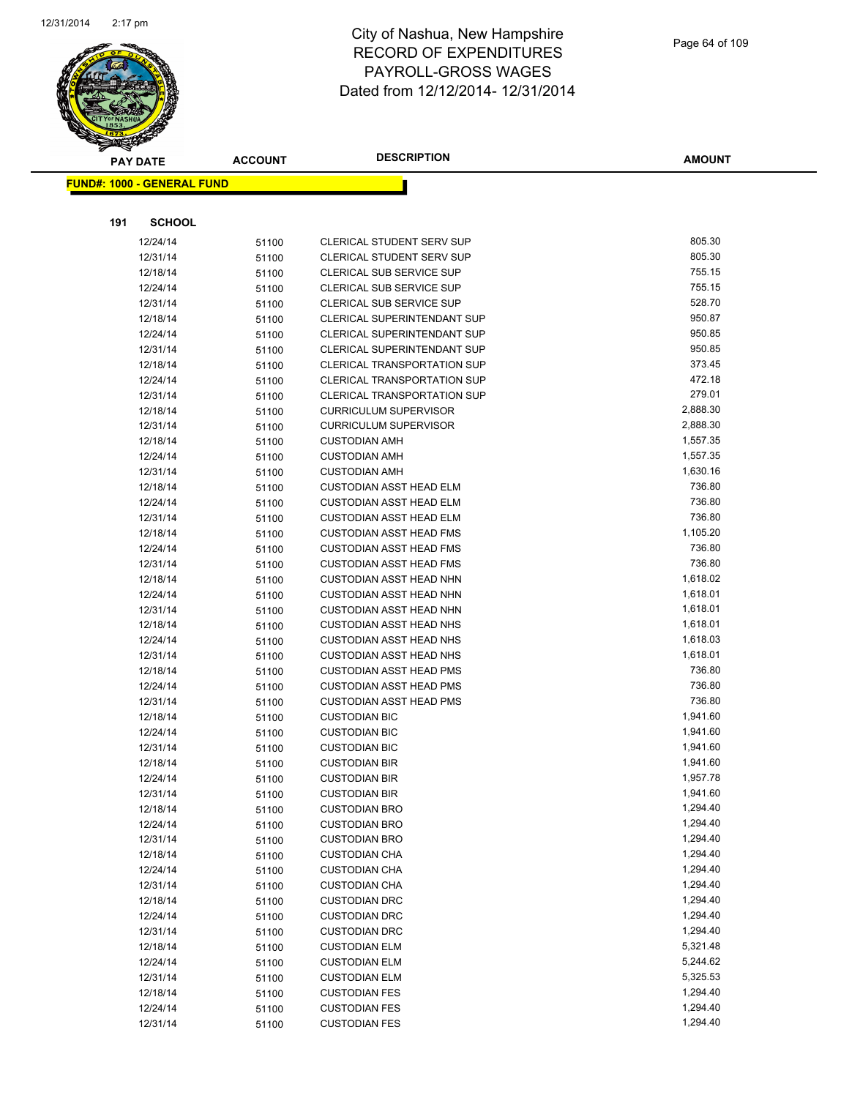

|     | <b>PAY DATE</b>                   | <b>ACCOUNT</b> | <b>DESCRIPTION</b>                                               | AMOUNT             |
|-----|-----------------------------------|----------------|------------------------------------------------------------------|--------------------|
|     | <b>FUND#: 1000 - GENERAL FUND</b> |                |                                                                  |                    |
|     |                                   |                |                                                                  |                    |
|     |                                   |                |                                                                  |                    |
| 191 | <b>SCHOOL</b>                     |                |                                                                  |                    |
|     | 12/24/14                          | 51100          | <b>CLERICAL STUDENT SERV SUP</b>                                 | 805.30             |
|     | 12/31/14                          | 51100          | CLERICAL STUDENT SERV SUP                                        | 805.30             |
|     | 12/18/14                          | 51100          | <b>CLERICAL SUB SERVICE SUP</b>                                  | 755.15             |
|     | 12/24/14                          | 51100          | CLERICAL SUB SERVICE SUP                                         | 755.15             |
|     | 12/31/14                          | 51100          | CLERICAL SUB SERVICE SUP                                         | 528.70             |
|     | 12/18/14                          | 51100          | <b>CLERICAL SUPERINTENDANT SUP</b>                               | 950.87             |
|     | 12/24/14                          | 51100          | CLERICAL SUPERINTENDANT SUP                                      | 950.85             |
|     | 12/31/14                          | 51100          | CLERICAL SUPERINTENDANT SUP                                      | 950.85             |
|     | 12/18/14                          | 51100          | <b>CLERICAL TRANSPORTATION SUP</b>                               | 373.45             |
|     | 12/24/14                          | 51100          | CLERICAL TRANSPORTATION SUP                                      | 472.18             |
|     | 12/31/14                          | 51100          | <b>CLERICAL TRANSPORTATION SUP</b>                               | 279.01             |
|     | 12/18/14                          | 51100          | <b>CURRICULUM SUPERVISOR</b>                                     | 2,888.30           |
|     | 12/31/14                          | 51100          | <b>CURRICULUM SUPERVISOR</b>                                     | 2,888.30           |
|     | 12/18/14                          | 51100          | <b>CUSTODIAN AMH</b>                                             | 1,557.35           |
|     | 12/24/14                          | 51100          | <b>CUSTODIAN AMH</b>                                             | 1,557.35           |
|     | 12/31/14                          | 51100          | <b>CUSTODIAN AMH</b>                                             | 1,630.16           |
|     | 12/18/14                          | 51100          | <b>CUSTODIAN ASST HEAD ELM</b>                                   | 736.80<br>736.80   |
|     | 12/24/14                          | 51100          | <b>CUSTODIAN ASST HEAD ELM</b>                                   |                    |
|     | 12/31/14                          | 51100          | <b>CUSTODIAN ASST HEAD ELM</b>                                   | 736.80<br>1,105.20 |
|     | 12/18/14                          | 51100          | <b>CUSTODIAN ASST HEAD FMS</b><br><b>CUSTODIAN ASST HEAD FMS</b> | 736.80             |
|     | 12/24/14                          | 51100          | <b>CUSTODIAN ASST HEAD FMS</b>                                   | 736.80             |
|     | 12/31/14<br>12/18/14              | 51100          | <b>CUSTODIAN ASST HEAD NHN</b>                                   | 1,618.02           |
|     | 12/24/14                          | 51100          | <b>CUSTODIAN ASST HEAD NHN</b>                                   | 1,618.01           |
|     | 12/31/14                          | 51100          | <b>CUSTODIAN ASST HEAD NHN</b>                                   | 1,618.01           |
|     | 12/18/14                          | 51100<br>51100 | <b>CUSTODIAN ASST HEAD NHS</b>                                   | 1,618.01           |
|     | 12/24/14                          | 51100          | <b>CUSTODIAN ASST HEAD NHS</b>                                   | 1,618.03           |
|     | 12/31/14                          | 51100          | <b>CUSTODIAN ASST HEAD NHS</b>                                   | 1,618.01           |
|     | 12/18/14                          | 51100          | <b>CUSTODIAN ASST HEAD PMS</b>                                   | 736.80             |
|     | 12/24/14                          | 51100          | <b>CUSTODIAN ASST HEAD PMS</b>                                   | 736.80             |
|     | 12/31/14                          | 51100          | <b>CUSTODIAN ASST HEAD PMS</b>                                   | 736.80             |
|     | 12/18/14                          | 51100          | <b>CUSTODIAN BIC</b>                                             | 1,941.60           |
|     | 12/24/14                          | 51100          | <b>CUSTODIAN BIC</b>                                             | 1,941.60           |
|     | 12/31/14                          | 51100          | <b>CUSTODIAN BIC</b>                                             | 1,941.60           |
|     | 12/18/14                          | 51100          | <b>CUSTODIAN BIR</b>                                             | 1,941.60           |
|     | 12/24/14                          | 51100          | <b>CUSTODIAN BIR</b>                                             | 1,957.78           |
|     | 12/31/14                          | 51100          | <b>CUSTODIAN BIR</b>                                             | 1,941.60           |
|     | 12/18/14                          | 51100          | <b>CUSTODIAN BRO</b>                                             | 1,294.40           |
|     | 12/24/14                          | 51100          | <b>CUSTODIAN BRO</b>                                             | 1,294.40           |
|     | 12/31/14                          | 51100          | <b>CUSTODIAN BRO</b>                                             | 1,294.40           |
|     | 12/18/14                          | 51100          | <b>CUSTODIAN CHA</b>                                             | 1,294.40           |
|     | 12/24/14                          | 51100          | <b>CUSTODIAN CHA</b>                                             | 1,294.40           |
|     | 12/31/14                          | 51100          | <b>CUSTODIAN CHA</b>                                             | 1,294.40           |
|     | 12/18/14                          | 51100          | <b>CUSTODIAN DRC</b>                                             | 1,294.40           |
|     | 12/24/14                          | 51100          | <b>CUSTODIAN DRC</b>                                             | 1,294.40           |
|     | 12/31/14                          | 51100          | <b>CUSTODIAN DRC</b>                                             | 1,294.40           |
|     | 12/18/14                          | 51100          | <b>CUSTODIAN ELM</b>                                             | 5,321.48           |
|     | 12/24/14                          | 51100          | <b>CUSTODIAN ELM</b>                                             | 5,244.62           |
|     | 12/31/14                          | 51100          | <b>CUSTODIAN ELM</b>                                             | 5,325.53           |
|     | 12/18/14                          | 51100          | <b>CUSTODIAN FES</b>                                             | 1,294.40           |
|     | 12/24/14                          | 51100          | <b>CUSTODIAN FES</b>                                             | 1,294.40           |
|     | 12/31/14                          | 51100          | <b>CUSTODIAN FES</b>                                             | 1,294.40           |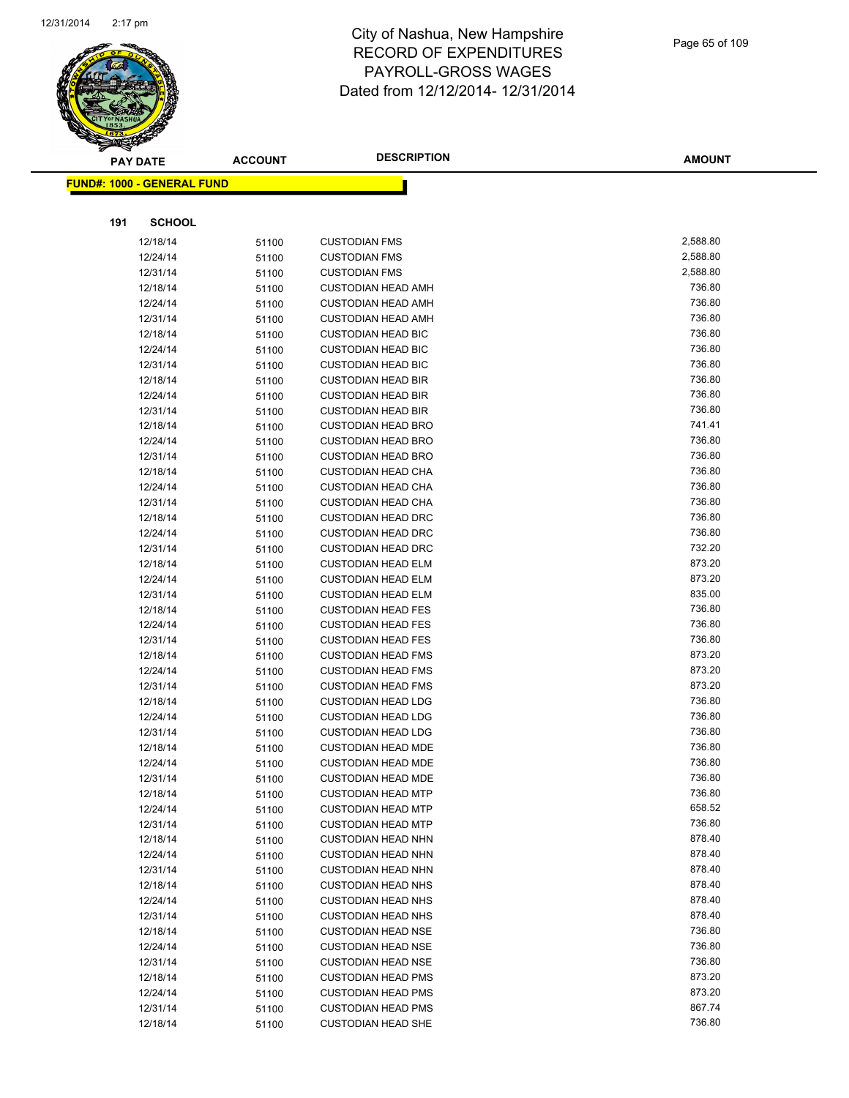

|     | <b>PAY DATE</b>                   | <b>ACCOUNT</b> | <b>DESCRIPTION</b>        | <b>AMOUNT</b> |
|-----|-----------------------------------|----------------|---------------------------|---------------|
|     | <b>FUND#: 1000 - GENERAL FUND</b> |                |                           |               |
|     |                                   |                |                           |               |
|     |                                   |                |                           |               |
| 191 | <b>SCHOOL</b>                     |                |                           |               |
|     | 12/18/14                          | 51100          | <b>CUSTODIAN FMS</b>      | 2,588.80      |
|     | 12/24/14                          | 51100          | <b>CUSTODIAN FMS</b>      | 2,588.80      |
|     | 12/31/14                          | 51100          | <b>CUSTODIAN FMS</b>      | 2,588.80      |
|     | 12/18/14                          | 51100          | <b>CUSTODIAN HEAD AMH</b> | 736.80        |
|     | 12/24/14                          | 51100          | <b>CUSTODIAN HEAD AMH</b> | 736.80        |
|     | 12/31/14                          | 51100          | <b>CUSTODIAN HEAD AMH</b> | 736.80        |
|     | 12/18/14                          | 51100          | <b>CUSTODIAN HEAD BIC</b> | 736.80        |
|     | 12/24/14                          | 51100          | <b>CUSTODIAN HEAD BIC</b> | 736.80        |
|     | 12/31/14                          | 51100          | <b>CUSTODIAN HEAD BIC</b> | 736.80        |
|     | 12/18/14                          | 51100          | <b>CUSTODIAN HEAD BIR</b> | 736.80        |
|     | 12/24/14                          | 51100          | <b>CUSTODIAN HEAD BIR</b> | 736.80        |
|     | 12/31/14                          | 51100          | <b>CUSTODIAN HEAD BIR</b> | 736.80        |
|     | 12/18/14                          | 51100          | <b>CUSTODIAN HEAD BRO</b> | 741.41        |
|     | 12/24/14                          | 51100          | <b>CUSTODIAN HEAD BRO</b> | 736.80        |
|     | 12/31/14                          | 51100          | <b>CUSTODIAN HEAD BRO</b> | 736.80        |
|     | 12/18/14                          | 51100          | <b>CUSTODIAN HEAD CHA</b> | 736.80        |
|     | 12/24/14                          | 51100          | <b>CUSTODIAN HEAD CHA</b> | 736.80        |
|     | 12/31/14                          | 51100          | <b>CUSTODIAN HEAD CHA</b> | 736.80        |
|     | 12/18/14                          | 51100          | <b>CUSTODIAN HEAD DRC</b> | 736.80        |
|     | 12/24/14                          | 51100          | <b>CUSTODIAN HEAD DRC</b> | 736.80        |
|     | 12/31/14                          | 51100          | <b>CUSTODIAN HEAD DRC</b> | 732.20        |
|     | 12/18/14                          | 51100          | <b>CUSTODIAN HEAD ELM</b> | 873.20        |
|     | 12/24/14                          | 51100          | <b>CUSTODIAN HEAD ELM</b> | 873.20        |
|     | 12/31/14                          | 51100          | <b>CUSTODIAN HEAD ELM</b> | 835.00        |
|     | 12/18/14                          | 51100          | <b>CUSTODIAN HEAD FES</b> | 736.80        |
|     | 12/24/14                          | 51100          | <b>CUSTODIAN HEAD FES</b> | 736.80        |
|     | 12/31/14                          | 51100          | <b>CUSTODIAN HEAD FES</b> | 736.80        |
|     | 12/18/14                          | 51100          | <b>CUSTODIAN HEAD FMS</b> | 873.20        |
|     | 12/24/14                          | 51100          | <b>CUSTODIAN HEAD FMS</b> | 873.20        |
|     | 12/31/14                          | 51100          | <b>CUSTODIAN HEAD FMS</b> | 873.20        |
|     | 12/18/14                          | 51100          | <b>CUSTODIAN HEAD LDG</b> | 736.80        |
|     | 12/24/14                          | 51100          | <b>CUSTODIAN HEAD LDG</b> | 736.80        |
|     | 12/31/14                          | 51100          | <b>CUSTODIAN HEAD LDG</b> | 736.80        |
|     | 12/18/14                          | 51100          | <b>CUSTODIAN HEAD MDE</b> | 736.80        |
|     | 12/24/14                          | 51100          | <b>CUSTODIAN HEAD MDE</b> | 736.80        |
|     | 12/31/14                          | 51100          | <b>CUSTODIAN HEAD MDE</b> | 736.80        |
|     | 12/18/14                          | 51100          | <b>CUSTODIAN HEAD MTP</b> | 736.80        |
|     | 12/24/14                          | 51100          | <b>CUSTODIAN HEAD MTP</b> | 658.52        |
|     | 12/31/14                          | 51100          | <b>CUSTODIAN HEAD MTP</b> | 736.80        |
|     | 12/18/14                          | 51100          | <b>CUSTODIAN HEAD NHN</b> | 878.40        |
|     | 12/24/14                          | 51100          | <b>CUSTODIAN HEAD NHN</b> | 878.40        |
|     | 12/31/14                          | 51100          | <b>CUSTODIAN HEAD NHN</b> | 878.40        |
|     | 12/18/14                          | 51100          | <b>CUSTODIAN HEAD NHS</b> | 878.40        |
|     | 12/24/14                          | 51100          | <b>CUSTODIAN HEAD NHS</b> | 878.40        |
|     | 12/31/14                          | 51100          | <b>CUSTODIAN HEAD NHS</b> | 878.40        |
|     | 12/18/14                          | 51100          | <b>CUSTODIAN HEAD NSE</b> | 736.80        |
|     | 12/24/14                          | 51100          | <b>CUSTODIAN HEAD NSE</b> | 736.80        |
|     | 12/31/14                          | 51100          | <b>CUSTODIAN HEAD NSE</b> | 736.80        |
|     | 12/18/14                          | 51100          | <b>CUSTODIAN HEAD PMS</b> | 873.20        |
|     | 12/24/14                          | 51100          | <b>CUSTODIAN HEAD PMS</b> | 873.20        |
|     | 12/31/14                          | 51100          | <b>CUSTODIAN HEAD PMS</b> | 867.74        |
|     | 12/18/14                          | 51100          | <b>CUSTODIAN HEAD SHE</b> | 736.80        |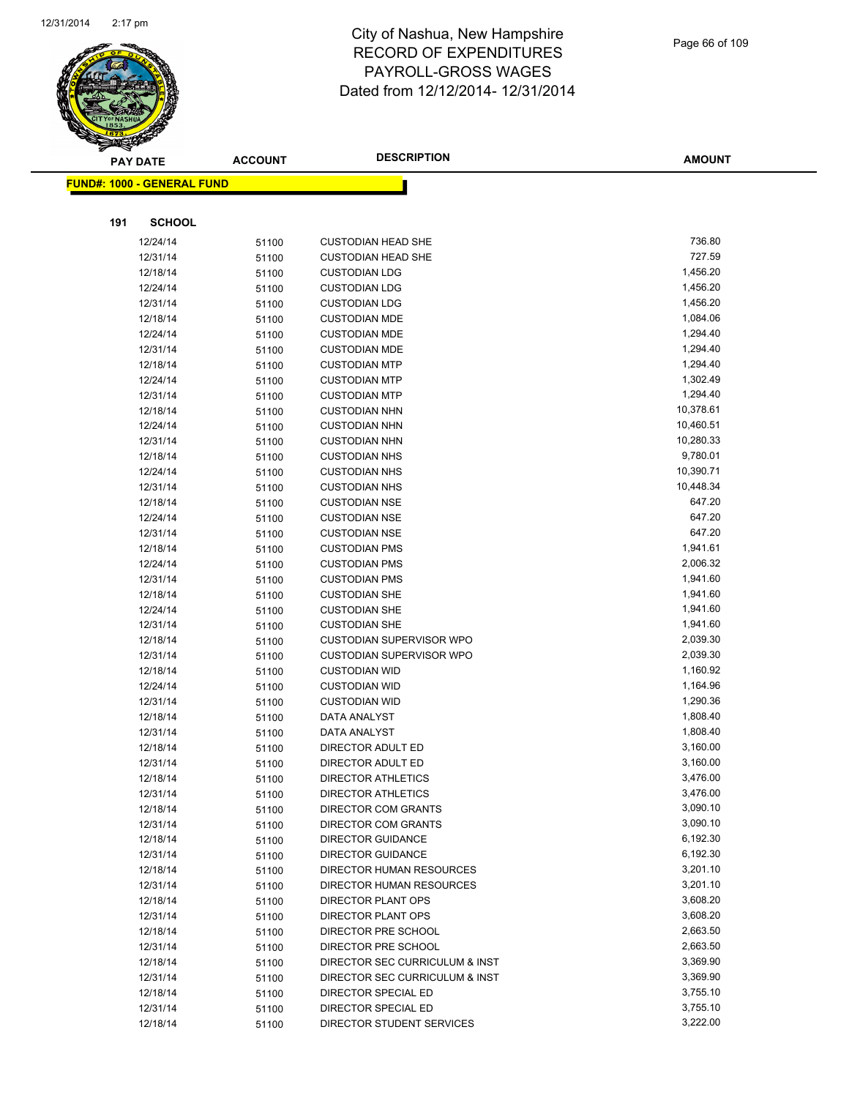

|     | <b>PAY DATE</b>                   | <b>ACCOUNT</b> | <b>DESCRIPTION</b>                                | <b>AMOUNT</b>        |
|-----|-----------------------------------|----------------|---------------------------------------------------|----------------------|
|     | <b>FUND#: 1000 - GENERAL FUND</b> |                |                                                   |                      |
|     |                                   |                |                                                   |                      |
|     |                                   |                |                                                   |                      |
| 191 | <b>SCHOOL</b>                     |                |                                                   |                      |
|     | 12/24/14                          | 51100          | <b>CUSTODIAN HEAD SHE</b>                         | 736.80               |
|     | 12/31/14                          | 51100          | <b>CUSTODIAN HEAD SHE</b>                         | 727.59               |
|     | 12/18/14                          | 51100          | <b>CUSTODIAN LDG</b>                              | 1,456.20             |
|     | 12/24/14                          | 51100          | <b>CUSTODIAN LDG</b>                              | 1,456.20             |
|     | 12/31/14                          | 51100          | <b>CUSTODIAN LDG</b>                              | 1,456.20             |
|     | 12/18/14                          | 51100          | <b>CUSTODIAN MDE</b>                              | 1,084.06             |
|     | 12/24/14                          | 51100          | <b>CUSTODIAN MDE</b>                              | 1,294.40             |
|     | 12/31/14                          | 51100          | <b>CUSTODIAN MDE</b>                              | 1,294.40             |
|     | 12/18/14                          | 51100          | <b>CUSTODIAN MTP</b>                              | 1,294.40             |
|     | 12/24/14                          | 51100          | <b>CUSTODIAN MTP</b>                              | 1,302.49             |
|     | 12/31/14                          | 51100          | <b>CUSTODIAN MTP</b>                              | 1,294.40             |
|     | 12/18/14                          | 51100          | <b>CUSTODIAN NHN</b>                              | 10,378.61            |
|     | 12/24/14                          | 51100          | <b>CUSTODIAN NHN</b>                              | 10,460.51            |
|     | 12/31/14                          | 51100          | <b>CUSTODIAN NHN</b>                              | 10,280.33            |
|     | 12/18/14                          | 51100          | <b>CUSTODIAN NHS</b>                              | 9,780.01             |
|     | 12/24/14                          | 51100          | <b>CUSTODIAN NHS</b>                              | 10,390.71            |
|     | 12/31/14                          | 51100          | <b>CUSTODIAN NHS</b>                              | 10,448.34            |
|     | 12/18/14                          | 51100          | <b>CUSTODIAN NSE</b>                              | 647.20               |
|     | 12/24/14                          | 51100          | <b>CUSTODIAN NSE</b>                              | 647.20               |
|     | 12/31/14                          | 51100          | <b>CUSTODIAN NSE</b>                              | 647.20               |
|     | 12/18/14                          | 51100          | <b>CUSTODIAN PMS</b>                              | 1,941.61             |
|     | 12/24/14                          | 51100          | <b>CUSTODIAN PMS</b>                              | 2,006.32             |
|     | 12/31/14                          | 51100          | <b>CUSTODIAN PMS</b>                              | 1,941.60             |
|     | 12/18/14                          | 51100          | <b>CUSTODIAN SHE</b>                              | 1,941.60             |
|     | 12/24/14                          | 51100          | <b>CUSTODIAN SHE</b>                              | 1,941.60             |
|     | 12/31/14                          | 51100          | <b>CUSTODIAN SHE</b>                              | 1,941.60             |
|     | 12/18/14                          | 51100          | <b>CUSTODIAN SUPERVISOR WPO</b>                   | 2,039.30             |
|     | 12/31/14                          | 51100          | <b>CUSTODIAN SUPERVISOR WPO</b>                   | 2,039.30             |
|     | 12/18/14                          | 51100          | <b>CUSTODIAN WID</b>                              | 1,160.92             |
|     | 12/24/14                          | 51100          | <b>CUSTODIAN WID</b>                              | 1,164.96             |
|     | 12/31/14                          | 51100          | <b>CUSTODIAN WID</b>                              | 1,290.36             |
|     | 12/18/14                          | 51100          | DATA ANALYST                                      | 1,808.40             |
|     | 12/31/14                          | 51100          | DATA ANALYST                                      | 1,808.40             |
|     | 12/18/14                          | 51100          | DIRECTOR ADULT ED                                 | 3,160.00             |
|     | 12/31/14                          | 51100          | DIRECTOR ADULT ED                                 | 3,160.00<br>3,476.00 |
|     | 12/18/14                          | 51100          | <b>DIRECTOR ATHLETICS</b>                         |                      |
|     | 12/31/14<br>12/18/14              | 51100          | <b>DIRECTOR ATHLETICS</b>                         | 3,476.00<br>3,090.10 |
|     |                                   | 51100          | DIRECTOR COM GRANTS<br><b>DIRECTOR COM GRANTS</b> | 3,090.10             |
|     | 12/31/14<br>12/18/14              | 51100          | <b>DIRECTOR GUIDANCE</b>                          | 6,192.30             |
|     | 12/31/14                          | 51100          | <b>DIRECTOR GUIDANCE</b>                          | 6,192.30             |
|     | 12/18/14                          | 51100          | DIRECTOR HUMAN RESOURCES                          | 3,201.10             |
|     | 12/31/14                          | 51100<br>51100 | DIRECTOR HUMAN RESOURCES                          | 3,201.10             |
|     | 12/18/14                          |                | DIRECTOR PLANT OPS                                | 3,608.20             |
|     | 12/31/14                          | 51100<br>51100 | DIRECTOR PLANT OPS                                | 3,608.20             |
|     | 12/18/14                          | 51100          | DIRECTOR PRE SCHOOL                               | 2,663.50             |
|     | 12/31/14                          | 51100          | DIRECTOR PRE SCHOOL                               | 2,663.50             |
|     | 12/18/14                          | 51100          | DIRECTOR SEC CURRICULUM & INST                    | 3,369.90             |
|     | 12/31/14                          | 51100          | DIRECTOR SEC CURRICULUM & INST                    | 3,369.90             |
|     | 12/18/14                          | 51100          | DIRECTOR SPECIAL ED                               | 3,755.10             |
|     | 12/31/14                          | 51100          | DIRECTOR SPECIAL ED                               | 3,755.10             |
|     | 12/18/14                          | 51100          | DIRECTOR STUDENT SERVICES                         | 3,222.00             |
|     |                                   |                |                                                   |                      |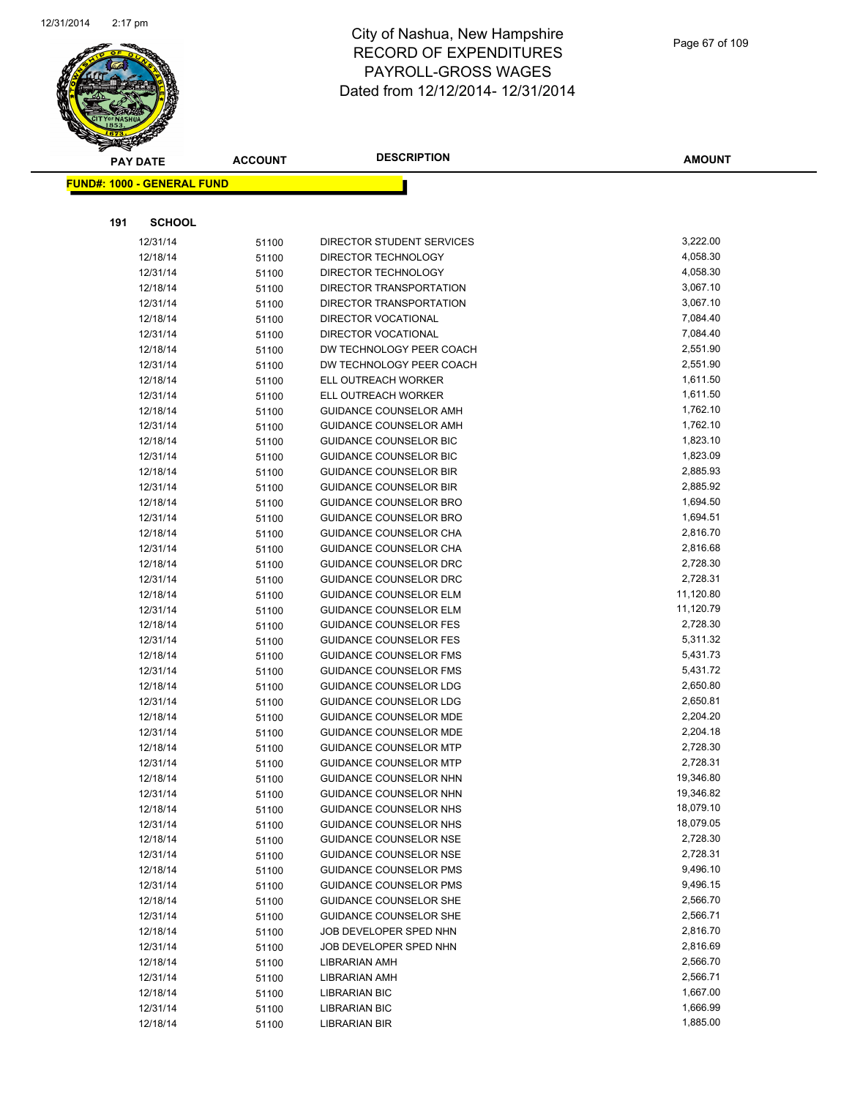

|     | <b>PAY DATE</b>                   | <b>ACCOUNT</b> | <b>DESCRIPTION</b>                                             | <b>AMOUNT</b>        |
|-----|-----------------------------------|----------------|----------------------------------------------------------------|----------------------|
|     | <b>FUND#: 1000 - GENERAL FUND</b> |                |                                                                |                      |
|     |                                   |                |                                                                |                      |
| 191 | <b>SCHOOL</b>                     |                |                                                                |                      |
|     |                                   |                |                                                                |                      |
|     | 12/31/14                          | 51100          | DIRECTOR STUDENT SERVICES                                      | 3,222.00             |
|     | 12/18/14                          | 51100          | DIRECTOR TECHNOLOGY                                            | 4,058.30             |
|     | 12/31/14                          | 51100          | DIRECTOR TECHNOLOGY                                            | 4,058.30             |
|     | 12/18/14                          | 51100          | DIRECTOR TRANSPORTATION                                        | 3,067.10             |
|     | 12/31/14                          | 51100          | DIRECTOR TRANSPORTATION                                        | 3,067.10             |
|     | 12/18/14                          | 51100          | <b>DIRECTOR VOCATIONAL</b>                                     | 7,084.40             |
|     | 12/31/14                          | 51100          | <b>DIRECTOR VOCATIONAL</b>                                     | 7,084.40             |
|     | 12/18/14                          | 51100          | DW TECHNOLOGY PEER COACH                                       | 2,551.90             |
|     | 12/31/14                          | 51100          | DW TECHNOLOGY PEER COACH                                       | 2,551.90             |
|     | 12/18/14                          | 51100          | ELL OUTREACH WORKER                                            | 1,611.50             |
|     | 12/31/14                          | 51100          | ELL OUTREACH WORKER                                            | 1,611.50<br>1,762.10 |
|     | 12/18/14<br>12/31/14              | 51100          | <b>GUIDANCE COUNSELOR AMH</b><br><b>GUIDANCE COUNSELOR AMH</b> | 1,762.10             |
|     |                                   | 51100          | GUIDANCE COUNSELOR BIC                                         | 1,823.10             |
|     | 12/18/14<br>12/31/14              | 51100          | <b>GUIDANCE COUNSELOR BIC</b>                                  | 1,823.09             |
|     | 12/18/14                          | 51100          | <b>GUIDANCE COUNSELOR BIR</b>                                  | 2,885.93             |
|     | 12/31/14                          | 51100          | <b>GUIDANCE COUNSELOR BIR</b>                                  | 2,885.92             |
|     | 12/18/14                          | 51100          | <b>GUIDANCE COUNSELOR BRO</b>                                  | 1,694.50             |
|     | 12/31/14                          | 51100          | <b>GUIDANCE COUNSELOR BRO</b>                                  | 1,694.51             |
|     | 12/18/14                          | 51100<br>51100 | GUIDANCE COUNSELOR CHA                                         | 2,816.70             |
|     | 12/31/14                          | 51100          | GUIDANCE COUNSELOR CHA                                         | 2,816.68             |
|     | 12/18/14                          | 51100          | GUIDANCE COUNSELOR DRC                                         | 2,728.30             |
|     | 12/31/14                          | 51100          | GUIDANCE COUNSELOR DRC                                         | 2,728.31             |
|     | 12/18/14                          | 51100          | <b>GUIDANCE COUNSELOR ELM</b>                                  | 11,120.80            |
|     | 12/31/14                          | 51100          | <b>GUIDANCE COUNSELOR ELM</b>                                  | 11,120.79            |
|     | 12/18/14                          | 51100          | <b>GUIDANCE COUNSELOR FES</b>                                  | 2,728.30             |
|     | 12/31/14                          | 51100          | <b>GUIDANCE COUNSELOR FES</b>                                  | 5,311.32             |
|     | 12/18/14                          | 51100          | <b>GUIDANCE COUNSELOR FMS</b>                                  | 5,431.73             |
|     | 12/31/14                          | 51100          | <b>GUIDANCE COUNSELOR FMS</b>                                  | 5,431.72             |
|     | 12/18/14                          | 51100          | <b>GUIDANCE COUNSELOR LDG</b>                                  | 2,650.80             |
|     | 12/31/14                          | 51100          | <b>GUIDANCE COUNSELOR LDG</b>                                  | 2,650.81             |
|     | 12/18/14                          | 51100          | GUIDANCE COUNSELOR MDE                                         | 2,204.20             |
|     | 12/31/14                          | 51100          | <b>GUIDANCE COUNSELOR MDE</b>                                  | 2,204.18             |
|     | 12/18/14                          | 51100          | <b>GUIDANCE COUNSELOR MTP</b>                                  | 2,728.30             |
|     | 12/31/14                          | 51100          | <b>GUIDANCE COUNSELOR MTP</b>                                  | 2,728.31             |
|     | 12/18/14                          | 51100          | GUIDANCE COUNSELOR NHN                                         | 19,346.80            |
|     | 12/31/14                          | 51100          | GUIDANCE COUNSELOR NHN                                         | 19,346.82            |
|     | 12/18/14                          | 51100          | GUIDANCE COUNSELOR NHS                                         | 18,079.10            |
|     | 12/31/14                          | 51100          | GUIDANCE COUNSELOR NHS                                         | 18,079.05            |
|     | 12/18/14                          | 51100          | GUIDANCE COUNSELOR NSE                                         | 2,728.30             |
|     | 12/31/14                          | 51100          | <b>GUIDANCE COUNSELOR NSE</b>                                  | 2,728.31             |
|     | 12/18/14                          | 51100          | <b>GUIDANCE COUNSELOR PMS</b>                                  | 9,496.10             |
|     | 12/31/14                          | 51100          | <b>GUIDANCE COUNSELOR PMS</b>                                  | 9,496.15             |
|     | 12/18/14                          | 51100          | <b>GUIDANCE COUNSELOR SHE</b>                                  | 2,566.70             |
|     | 12/31/14                          | 51100          | <b>GUIDANCE COUNSELOR SHE</b>                                  | 2,566.71             |
|     | 12/18/14                          | 51100          | JOB DEVELOPER SPED NHN                                         | 2,816.70             |
|     | 12/31/14                          | 51100          | JOB DEVELOPER SPED NHN                                         | 2,816.69             |
|     | 12/18/14                          | 51100          | <b>LIBRARIAN AMH</b>                                           | 2,566.70             |
|     | 12/31/14                          | 51100          | LIBRARIAN AMH                                                  | 2,566.71             |
|     | 12/18/14                          | 51100          | <b>LIBRARIAN BIC</b>                                           | 1,667.00             |
|     | 12/31/14                          | 51100          | <b>LIBRARIAN BIC</b>                                           | 1,666.99             |
|     | 12/18/14                          | 51100          | <b>LIBRARIAN BIR</b>                                           | 1,885.00             |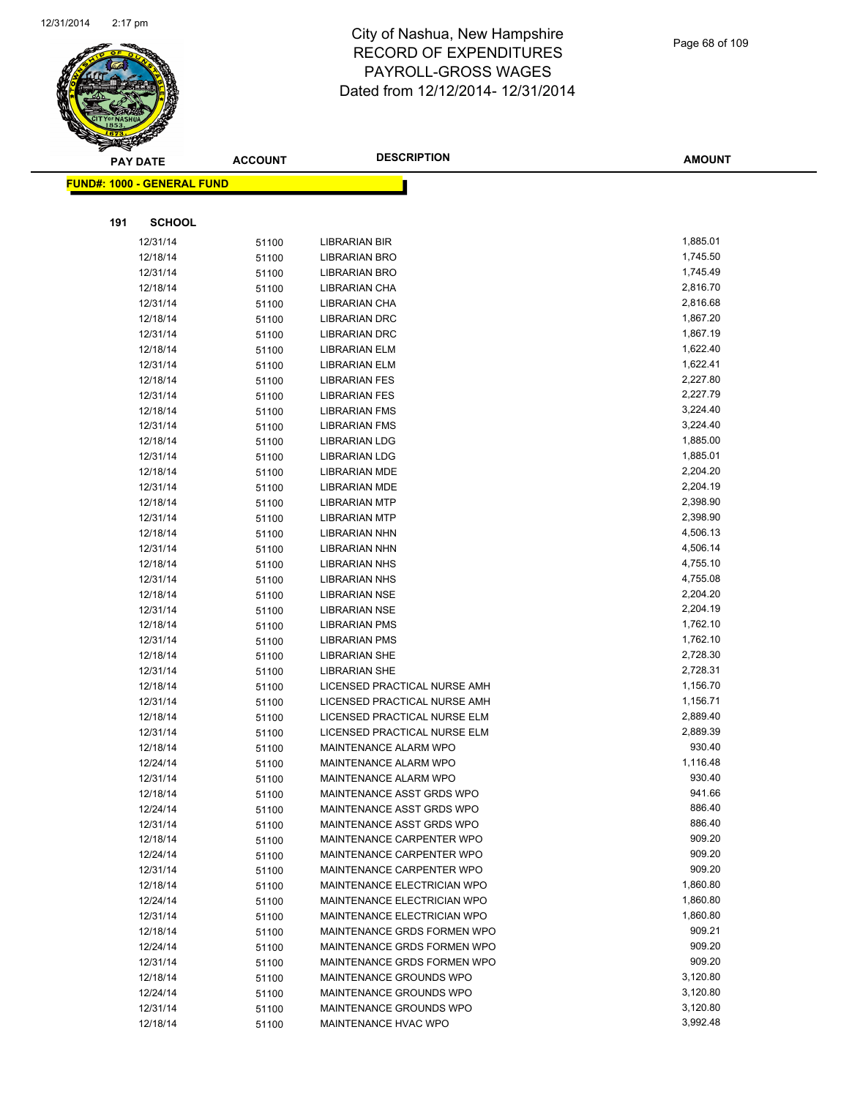

|     | <b>PAY DATE</b>                   | <b>ACCOUNT</b> | <b>DESCRIPTION</b>                                 | <b>AMOUNT</b>    |
|-----|-----------------------------------|----------------|----------------------------------------------------|------------------|
|     | <b>FUND#: 1000 - GENERAL FUND</b> |                |                                                    |                  |
|     |                                   |                |                                                    |                  |
| 191 | <b>SCHOOL</b>                     |                |                                                    |                  |
|     | 12/31/14                          | 51100          | LIBRARIAN BIR                                      | 1,885.01         |
|     | 12/18/14                          | 51100          | LIBRARIAN BRO                                      | 1,745.50         |
|     | 12/31/14                          | 51100          | LIBRARIAN BRO                                      | 1,745.49         |
|     | 12/18/14                          | 51100          | LIBRARIAN CHA                                      | 2,816.70         |
|     | 12/31/14                          | 51100          | LIBRARIAN CHA                                      | 2,816.68         |
|     | 12/18/14                          | 51100          | <b>LIBRARIAN DRC</b>                               | 1,867.20         |
|     | 12/31/14                          | 51100          | <b>LIBRARIAN DRC</b>                               | 1,867.19         |
|     | 12/18/14                          | 51100          | LIBRARIAN ELM                                      | 1,622.40         |
|     | 12/31/14                          | 51100          | LIBRARIAN ELM                                      | 1,622.41         |
|     | 12/18/14                          | 51100          | LIBRARIAN FES                                      | 2,227.80         |
|     | 12/31/14                          | 51100          | <b>LIBRARIAN FES</b>                               | 2,227.79         |
|     | 12/18/14                          | 51100          | <b>LIBRARIAN FMS</b>                               | 3,224.40         |
|     | 12/31/14                          | 51100          | <b>LIBRARIAN FMS</b>                               | 3,224.40         |
|     | 12/18/14                          | 51100          | <b>LIBRARIAN LDG</b>                               | 1,885.00         |
|     | 12/31/14                          | 51100          | <b>LIBRARIAN LDG</b>                               | 1,885.01         |
|     | 12/18/14                          | 51100          | LIBRARIAN MDE                                      | 2,204.20         |
|     | 12/31/14                          | 51100          | LIBRARIAN MDE                                      | 2,204.19         |
|     | 12/18/14                          | 51100          | <b>LIBRARIAN MTP</b>                               | 2,398.90         |
|     | 12/31/14                          | 51100          | <b>LIBRARIAN MTP</b>                               | 2,398.90         |
|     | 12/18/14                          | 51100          | LIBRARIAN NHN                                      | 4,506.13         |
|     | 12/31/14                          | 51100          | LIBRARIAN NHN                                      | 4,506.14         |
|     | 12/18/14                          | 51100          | <b>LIBRARIAN NHS</b>                               | 4,755.10         |
|     | 12/31/14                          | 51100          | <b>LIBRARIAN NHS</b>                               | 4,755.08         |
|     | 12/18/14                          | 51100          | LIBRARIAN NSE                                      | 2,204.20         |
|     | 12/31/14                          | 51100          | LIBRARIAN NSE                                      | 2,204.19         |
|     | 12/18/14                          | 51100          | <b>LIBRARIAN PMS</b>                               | 1,762.10         |
|     | 12/31/14                          | 51100          | <b>LIBRARIAN PMS</b>                               | 1,762.10         |
|     | 12/18/14                          | 51100          | <b>LIBRARIAN SHE</b>                               | 2,728.30         |
|     | 12/31/14                          | 51100          | <b>LIBRARIAN SHE</b>                               | 2,728.31         |
|     | 12/18/14                          | 51100          | LICENSED PRACTICAL NURSE AMH                       | 1,156.70         |
|     | 12/31/14                          | 51100          | LICENSED PRACTICAL NURSE AMH                       | 1,156.71         |
|     | 12/18/14                          | 51100          | LICENSED PRACTICAL NURSE ELM                       | 2,889.40         |
|     | 12/31/14                          | 51100          | LICENSED PRACTICAL NURSE ELM                       | 2,889.39         |
|     | 12/18/14                          | 51100          | MAINTENANCE ALARM WPO                              | 930.40           |
|     | 12/24/14                          | 51100          | <b>MAINTENANCE ALARM WPO</b>                       | 1,116.48         |
|     | 12/31/14                          | 51100          | MAINTENANCE ALARM WPO<br>MAINTENANCE ASST GRDS WPO | 930.40<br>941.66 |
|     | 12/18/14<br>12/24/14              | 51100          | MAINTENANCE ASST GRDS WPO                          | 886.40           |
|     | 12/31/14                          | 51100          | MAINTENANCE ASST GRDS WPO                          | 886.40           |
|     | 12/18/14                          | 51100          | MAINTENANCE CARPENTER WPO                          | 909.20           |
|     | 12/24/14                          | 51100<br>51100 | MAINTENANCE CARPENTER WPO                          | 909.20           |
|     | 12/31/14                          | 51100          | MAINTENANCE CARPENTER WPO                          | 909.20           |
|     | 12/18/14                          | 51100          | MAINTENANCE ELECTRICIAN WPO                        | 1,860.80         |
|     | 12/24/14                          | 51100          | MAINTENANCE ELECTRICIAN WPO                        | 1,860.80         |
|     | 12/31/14                          | 51100          | MAINTENANCE ELECTRICIAN WPO                        | 1,860.80         |
|     | 12/18/14                          | 51100          | MAINTENANCE GRDS FORMEN WPO                        | 909.21           |
|     | 12/24/14                          | 51100          | MAINTENANCE GRDS FORMEN WPO                        | 909.20           |
|     | 12/31/14                          | 51100          | MAINTENANCE GRDS FORMEN WPO                        | 909.20           |
|     | 12/18/14                          | 51100          | MAINTENANCE GROUNDS WPO                            | 3,120.80         |
|     | 12/24/14                          | 51100          | MAINTENANCE GROUNDS WPO                            | 3,120.80         |
|     | 12/31/14                          | 51100          | MAINTENANCE GROUNDS WPO                            | 3,120.80         |
|     | 12/18/14                          | 51100          | MAINTENANCE HVAC WPO                               | 3,992.48         |
|     |                                   |                |                                                    |                  |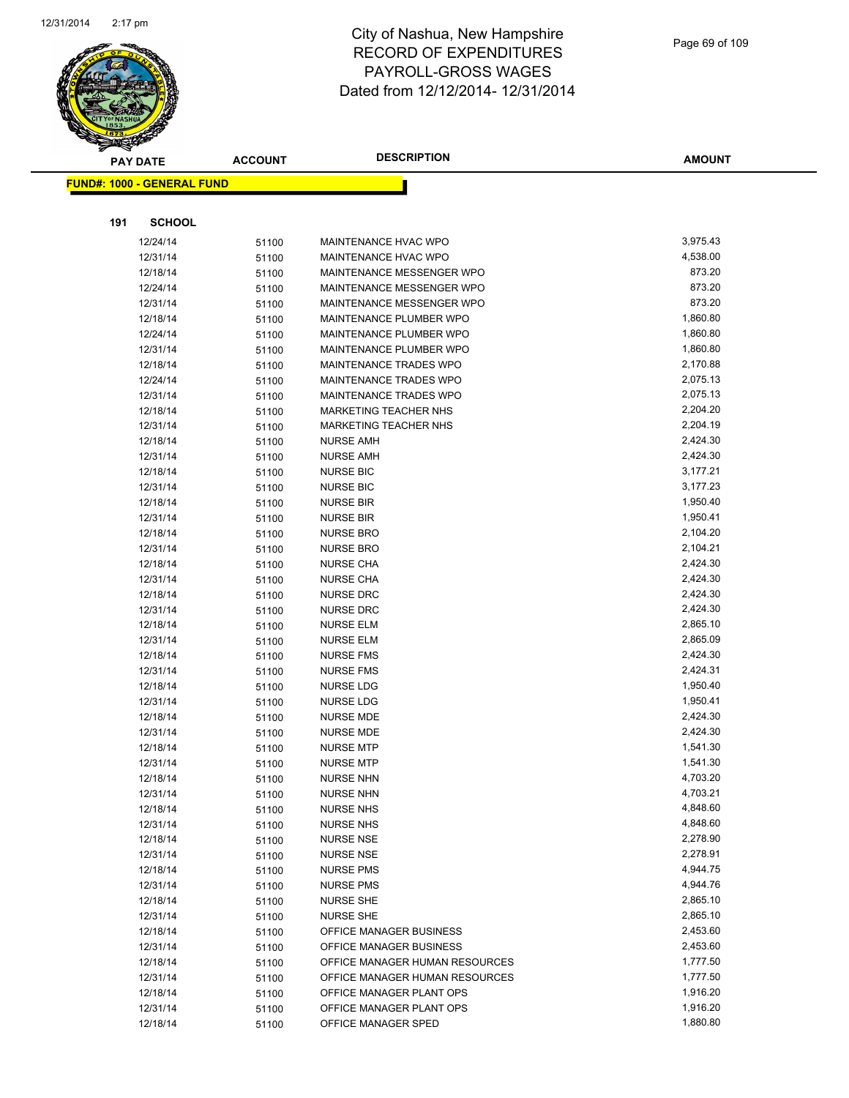

|     | <b>PAY DATE</b>                   | <b>ACCOUNT</b> | <b>DESCRIPTION</b>                   | <b>AMOUNT</b>        |
|-----|-----------------------------------|----------------|--------------------------------------|----------------------|
|     | <b>FUND#: 1000 - GENERAL FUND</b> |                |                                      |                      |
|     |                                   |                |                                      |                      |
|     |                                   |                |                                      |                      |
| 191 | <b>SCHOOL</b>                     |                |                                      |                      |
|     | 12/24/14                          | 51100          | MAINTENANCE HVAC WPO                 | 3,975.43             |
|     | 12/31/14                          | 51100          | MAINTENANCE HVAC WPO                 | 4,538.00             |
|     | 12/18/14                          | 51100          | MAINTENANCE MESSENGER WPO            | 873.20               |
|     | 12/24/14                          | 51100          | MAINTENANCE MESSENGER WPO            | 873.20               |
|     | 12/31/14                          | 51100          | MAINTENANCE MESSENGER WPO            | 873.20               |
|     | 12/18/14                          | 51100          | MAINTENANCE PLUMBER WPO              | 1,860.80             |
|     | 12/24/14                          | 51100          | MAINTENANCE PLUMBER WPO              | 1,860.80             |
|     | 12/31/14                          | 51100          | MAINTENANCE PLUMBER WPO              | 1,860.80             |
|     | 12/18/14                          | 51100          | MAINTENANCE TRADES WPO               | 2,170.88             |
|     | 12/24/14                          | 51100          | MAINTENANCE TRADES WPO               | 2,075.13             |
|     | 12/31/14                          | 51100          | MAINTENANCE TRADES WPO               | 2,075.13             |
|     | 12/18/14                          | 51100          | <b>MARKETING TEACHER NHS</b>         | 2,204.20             |
|     | 12/31/14                          | 51100          | <b>MARKETING TEACHER NHS</b>         | 2,204.19             |
|     | 12/18/14                          | 51100          | <b>NURSE AMH</b>                     | 2,424.30             |
|     | 12/31/14                          | 51100          | <b>NURSE AMH</b>                     | 2,424.30             |
|     | 12/18/14                          | 51100          | <b>NURSE BIC</b>                     | 3,177.21             |
|     | 12/31/14                          | 51100          | <b>NURSE BIC</b>                     | 3,177.23             |
|     | 12/18/14                          | 51100          | <b>NURSE BIR</b>                     | 1,950.40             |
|     | 12/31/14                          | 51100          | <b>NURSE BIR</b>                     | 1,950.41             |
|     | 12/18/14                          | 51100          | <b>NURSE BRO</b>                     | 2,104.20             |
|     | 12/31/14                          | 51100          | <b>NURSE BRO</b>                     | 2,104.21             |
|     | 12/18/14                          | 51100          | <b>NURSE CHA</b>                     | 2,424.30<br>2,424.30 |
|     | 12/31/14                          | 51100          | <b>NURSE CHA</b>                     | 2,424.30             |
|     | 12/18/14                          | 51100          | <b>NURSE DRC</b>                     | 2,424.30             |
|     | 12/31/14<br>12/18/14              | 51100          | <b>NURSE DRC</b><br><b>NURSE ELM</b> | 2,865.10             |
|     | 12/31/14                          | 51100          | <b>NURSE ELM</b>                     | 2,865.09             |
|     | 12/18/14                          | 51100<br>51100 | <b>NURSE FMS</b>                     | 2,424.30             |
|     | 12/31/14                          | 51100          | <b>NURSE FMS</b>                     | 2,424.31             |
|     | 12/18/14                          | 51100          | <b>NURSE LDG</b>                     | 1,950.40             |
|     | 12/31/14                          | 51100          | <b>NURSE LDG</b>                     | 1,950.41             |
|     | 12/18/14                          | 51100          | NURSE MDE                            | 2,424.30             |
|     | 12/31/14                          | 51100          | NURSE MDE                            | 2,424.30             |
|     | 12/18/14                          | 51100          | <b>NURSE MTP</b>                     | 1,541.30             |
|     | 12/31/14                          | 51100          | <b>NURSE MTP</b>                     | 1,541.30             |
|     | 12/18/14                          | 51100          | <b>NURSE NHN</b>                     | 4,703.20             |
|     | 12/31/14                          | 51100          | <b>NURSE NHN</b>                     | 4,703.21             |
|     | 12/18/14                          | 51100          | <b>NURSE NHS</b>                     | 4,848.60             |
|     | 12/31/14                          | 51100          | <b>NURSE NHS</b>                     | 4,848.60             |
|     | 12/18/14                          | 51100          | <b>NURSE NSE</b>                     | 2,278.90             |
|     | 12/31/14                          | 51100          | <b>NURSE NSE</b>                     | 2,278.91             |
|     | 12/18/14                          | 51100          | <b>NURSE PMS</b>                     | 4,944.75             |
|     | 12/31/14                          | 51100          | <b>NURSE PMS</b>                     | 4,944.76             |
|     | 12/18/14                          | 51100          | <b>NURSE SHE</b>                     | 2,865.10             |
|     | 12/31/14                          | 51100          | <b>NURSE SHE</b>                     | 2,865.10             |
|     | 12/18/14                          | 51100          | OFFICE MANAGER BUSINESS              | 2,453.60             |
|     | 12/31/14                          | 51100          | OFFICE MANAGER BUSINESS              | 2,453.60             |
|     | 12/18/14                          | 51100          | OFFICE MANAGER HUMAN RESOURCES       | 1,777.50             |
|     | 12/31/14                          | 51100          | OFFICE MANAGER HUMAN RESOURCES       | 1,777.50             |
|     | 12/18/14                          | 51100          | OFFICE MANAGER PLANT OPS             | 1,916.20             |
|     | 12/31/14                          | 51100          | OFFICE MANAGER PLANT OPS             | 1,916.20             |
|     | 12/18/14                          | 51100          | OFFICE MANAGER SPED                  | 1,880.80             |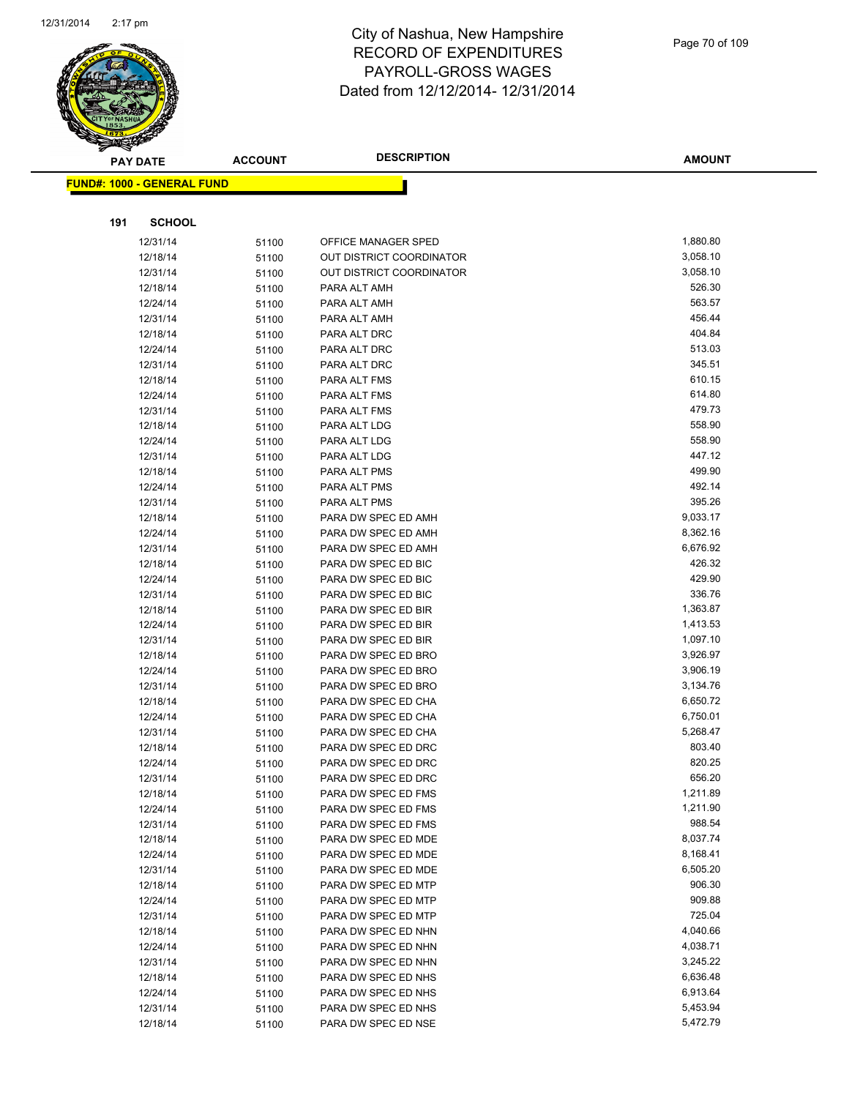

| <b>PAY DATE</b>                   | <b>ACCOUNT</b> | <b>DESCRIPTION</b>           | <b>AMOUNT</b>    |
|-----------------------------------|----------------|------------------------------|------------------|
| <b>FUND#: 1000 - GENERAL FUND</b> |                |                              |                  |
|                                   |                |                              |                  |
|                                   |                |                              |                  |
| 191<br><b>SCHOOL</b>              |                |                              |                  |
| 12/31/14                          | 51100          | OFFICE MANAGER SPED          | 1,880.80         |
| 12/18/14                          | 51100          | OUT DISTRICT COORDINATOR     | 3,058.10         |
| 12/31/14                          | 51100          | OUT DISTRICT COORDINATOR     | 3,058.10         |
| 12/18/14                          | 51100          | PARA ALT AMH                 | 526.30           |
| 12/24/14                          | 51100          | PARA ALT AMH                 | 563.57           |
| 12/31/14                          | 51100          | PARA ALT AMH                 | 456.44           |
| 12/18/14                          | 51100          | PARA ALT DRC                 | 404.84           |
| 12/24/14                          | 51100          | PARA ALT DRC                 | 513.03           |
| 12/31/14                          | 51100          | PARA ALT DRC                 | 345.51           |
| 12/18/14                          | 51100          | PARA ALT FMS                 | 610.15           |
| 12/24/14                          | 51100          | PARA ALT FMS                 | 614.80<br>479.73 |
| 12/31/14                          | 51100          | PARA ALT FMS                 | 558.90           |
| 12/18/14                          | 51100          | PARA ALT LDG                 | 558.90           |
| 12/24/14<br>12/31/14              | 51100          | PARA ALT LDG<br>PARA ALT LDG | 447.12           |
| 12/18/14                          | 51100          | PARA ALT PMS                 | 499.90           |
| 12/24/14                          | 51100          | PARA ALT PMS                 | 492.14           |
| 12/31/14                          | 51100<br>51100 | PARA ALT PMS                 | 395.26           |
| 12/18/14                          | 51100          | PARA DW SPEC ED AMH          | 9,033.17         |
| 12/24/14                          | 51100          | PARA DW SPEC ED AMH          | 8,362.16         |
| 12/31/14                          | 51100          | PARA DW SPEC ED AMH          | 6,676.92         |
| 12/18/14                          | 51100          | PARA DW SPEC ED BIC          | 426.32           |
| 12/24/14                          | 51100          | PARA DW SPEC ED BIC          | 429.90           |
| 12/31/14                          | 51100          | PARA DW SPEC ED BIC          | 336.76           |
| 12/18/14                          | 51100          | PARA DW SPEC ED BIR          | 1,363.87         |
| 12/24/14                          | 51100          | PARA DW SPEC ED BIR          | 1,413.53         |
| 12/31/14                          | 51100          | PARA DW SPEC ED BIR          | 1,097.10         |
| 12/18/14                          | 51100          | PARA DW SPEC ED BRO          | 3,926.97         |
| 12/24/14                          | 51100          | PARA DW SPEC ED BRO          | 3,906.19         |
| 12/31/14                          | 51100          | PARA DW SPEC ED BRO          | 3,134.76         |
| 12/18/14                          | 51100          | PARA DW SPEC ED CHA          | 6,650.72         |
| 12/24/14                          | 51100          | PARA DW SPEC ED CHA          | 6,750.01         |
| 12/31/14                          | 51100          | PARA DW SPEC ED CHA          | 5,268.47         |
| 12/18/14                          | 51100          | PARA DW SPEC ED DRC          | 803.40           |
| 12/24/14                          | 51100          | PARA DW SPEC ED DRC          | 820.25           |
| 12/31/14                          | 51100          | PARA DW SPEC ED DRC          | 656.20           |
| 12/18/14                          | 51100          | PARA DW SPEC ED FMS          | 1,211.89         |
| 12/24/14                          | 51100          | PARA DW SPEC ED FMS          | 1,211.90         |
| 12/31/14                          | 51100          | PARA DW SPEC ED FMS          | 988.54           |
| 12/18/14                          | 51100          | PARA DW SPEC ED MDE          | 8,037.74         |
| 12/24/14                          | 51100          | PARA DW SPEC ED MDE          | 8,168.41         |
| 12/31/14                          | 51100          | PARA DW SPEC ED MDE          | 6,505.20         |
| 12/18/14                          | 51100          | PARA DW SPEC ED MTP          | 906.30           |
| 12/24/14                          | 51100          | PARA DW SPEC ED MTP          | 909.88           |
| 12/31/14                          | 51100          | PARA DW SPEC ED MTP          | 725.04           |
| 12/18/14                          | 51100          | PARA DW SPEC ED NHN          | 4,040.66         |
| 12/24/14                          | 51100          | PARA DW SPEC ED NHN          | 4,038.71         |
| 12/31/14                          | 51100          | PARA DW SPEC ED NHN          | 3,245.22         |
| 12/18/14                          | 51100          | PARA DW SPEC ED NHS          | 6,636.48         |
| 12/24/14                          | 51100          | PARA DW SPEC ED NHS          | 6,913.64         |
| 12/31/14                          | 51100          | PARA DW SPEC ED NHS          | 5,453.94         |
| 12/18/14                          | 51100          | PARA DW SPEC ED NSE          | 5,472.79         |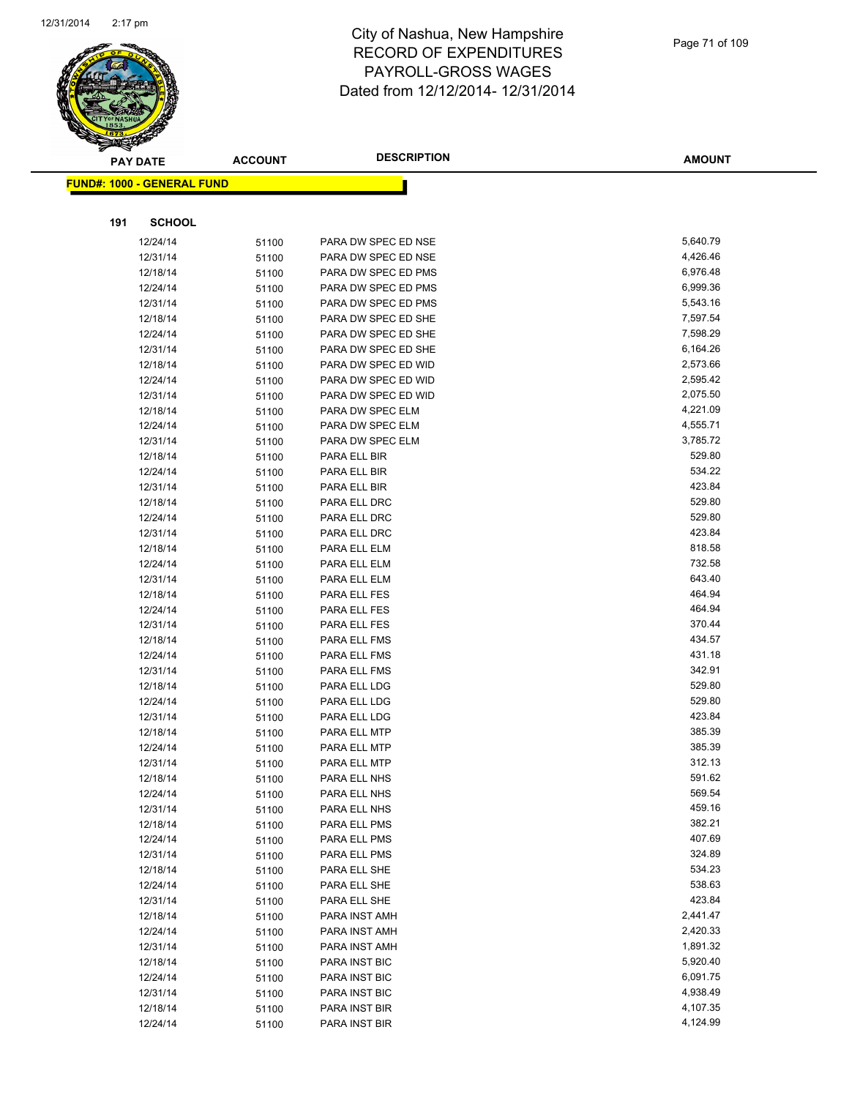

|     | <b>PAY DATE</b>                   | <b>ACCOUNT</b> | <b>DESCRIPTION</b>           | <b>AMOUNT</b>    |
|-----|-----------------------------------|----------------|------------------------------|------------------|
|     | <b>FUND#: 1000 - GENERAL FUND</b> |                |                              |                  |
|     |                                   |                |                              |                  |
| 191 | <b>SCHOOL</b>                     |                |                              |                  |
|     | 12/24/14                          | 51100          | PARA DW SPEC ED NSE          | 5,640.79         |
|     | 12/31/14                          | 51100          | PARA DW SPEC ED NSE          | 4,426.46         |
|     | 12/18/14                          | 51100          | PARA DW SPEC ED PMS          | 6,976.48         |
|     | 12/24/14                          | 51100          | PARA DW SPEC ED PMS          | 6,999.36         |
|     | 12/31/14                          | 51100          | PARA DW SPEC ED PMS          | 5,543.16         |
|     | 12/18/14                          | 51100          | PARA DW SPEC ED SHE          | 7,597.54         |
|     | 12/24/14                          | 51100          | PARA DW SPEC ED SHE          | 7,598.29         |
|     | 12/31/14                          | 51100          | PARA DW SPEC ED SHE          | 6,164.26         |
|     | 12/18/14                          | 51100          | PARA DW SPEC ED WID          | 2,573.66         |
|     | 12/24/14                          | 51100          | PARA DW SPEC ED WID          | 2,595.42         |
|     | 12/31/14                          | 51100          | PARA DW SPEC ED WID          | 2,075.50         |
|     | 12/18/14                          | 51100          | PARA DW SPEC ELM             | 4,221.09         |
|     | 12/24/14                          | 51100          | PARA DW SPEC ELM             | 4,555.71         |
|     | 12/31/14                          | 51100          | PARA DW SPEC ELM             | 3,785.72         |
|     | 12/18/14                          | 51100          | PARA ELL BIR                 | 529.80           |
|     | 12/24/14                          | 51100          | PARA ELL BIR                 | 534.22           |
|     | 12/31/14                          | 51100          | PARA ELL BIR                 | 423.84           |
|     | 12/18/14                          | 51100          | PARA ELL DRC                 | 529.80           |
|     | 12/24/14                          | 51100          | PARA ELL DRC                 | 529.80           |
|     | 12/31/14                          | 51100          | PARA ELL DRC                 | 423.84           |
|     | 12/18/14                          | 51100          | PARA ELL ELM                 | 818.58           |
|     | 12/24/14                          | 51100          | PARA ELL ELM                 | 732.58           |
|     | 12/31/14                          | 51100          | PARA ELL ELM                 | 643.40           |
|     | 12/18/14                          | 51100          | PARA ELL FES                 | 464.94           |
|     | 12/24/14                          | 51100          | PARA ELL FES                 | 464.94<br>370.44 |
|     | 12/31/14                          | 51100          | PARA ELL FES                 | 434.57           |
|     | 12/18/14<br>12/24/14              | 51100<br>51100 | PARA ELL FMS<br>PARA ELL FMS | 431.18           |
|     | 12/31/14                          | 51100          | PARA ELL FMS                 | 342.91           |
|     | 12/18/14                          | 51100          | PARA ELL LDG                 | 529.80           |
|     | 12/24/14                          | 51100          | PARA ELL LDG                 | 529.80           |
|     | 12/31/14                          | 51100          | PARA ELL LDG                 | 423.84           |
|     | 12/18/14                          | 51100          | PARA ELL MTP                 | 385.39           |
|     | 12/24/14                          | 51100          | PARA ELL MTP                 | 385.39           |
|     | 12/31/14                          | 51100          | PARA ELL MTP                 | 312.13           |
|     | 12/18/14                          | 51100          | PARA ELL NHS                 | 591.62           |
|     | 12/24/14                          | 51100          | PARA ELL NHS                 | 569.54           |
|     | 12/31/14                          | 51100          | PARA ELL NHS                 | 459.16           |
|     | 12/18/14                          | 51100          | PARA ELL PMS                 | 382.21           |
|     | 12/24/14                          | 51100          | PARA ELL PMS                 | 407.69           |
|     | 12/31/14                          | 51100          | PARA ELL PMS                 | 324.89           |
|     | 12/18/14                          | 51100          | PARA ELL SHE                 | 534.23           |
|     | 12/24/14                          | 51100          | PARA ELL SHE                 | 538.63           |
|     | 12/31/14                          | 51100          | PARA ELL SHE                 | 423.84           |
|     | 12/18/14                          | 51100          | PARA INST AMH                | 2,441.47         |
|     | 12/24/14                          | 51100          | PARA INST AMH                | 2,420.33         |
|     | 12/31/14                          | 51100          | PARA INST AMH                | 1,891.32         |
|     | 12/18/14                          | 51100          | PARA INST BIC                | 5,920.40         |
|     | 12/24/14                          | 51100          | PARA INST BIC                | 6,091.75         |
|     | 12/31/14                          | 51100          | PARA INST BIC                | 4,938.49         |
|     | 12/18/14                          | 51100          | PARA INST BIR                | 4,107.35         |
|     | 12/24/14                          | 51100          | PARA INST BIR                | 4,124.99         |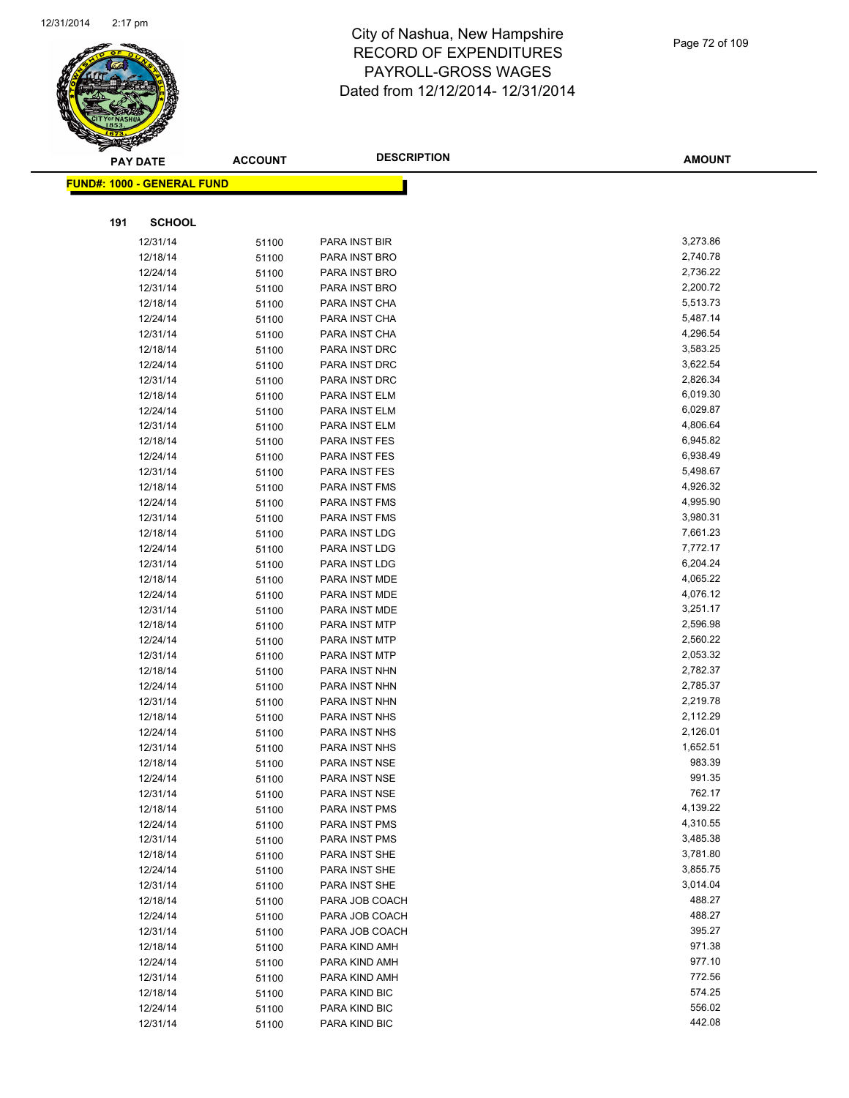

|     | <b>PAY DATE</b>                   | <b>ACCOUNT</b> | <b>DESCRIPTION</b>             | <b>AMOUNT</b>        |
|-----|-----------------------------------|----------------|--------------------------------|----------------------|
|     | <b>FUND#: 1000 - GENERAL FUND</b> |                |                                |                      |
|     |                                   |                |                                |                      |
|     |                                   |                |                                |                      |
| 191 | <b>SCHOOL</b>                     |                |                                |                      |
|     | 12/31/14                          | 51100          | PARA INST BIR                  | 3,273.86             |
|     | 12/18/14                          | 51100          | PARA INST BRO                  | 2,740.78             |
|     | 12/24/14                          | 51100          | PARA INST BRO                  | 2,736.22             |
|     | 12/31/14                          | 51100          | PARA INST BRO                  | 2,200.72             |
|     | 12/18/14                          | 51100          | PARA INST CHA                  | 5,513.73             |
|     | 12/24/14                          | 51100          | PARA INST CHA                  | 5,487.14             |
|     | 12/31/14                          | 51100          | PARA INST CHA                  | 4,296.54             |
|     | 12/18/14                          | 51100          | PARA INST DRC                  | 3,583.25             |
|     | 12/24/14                          | 51100          | PARA INST DRC                  | 3,622.54             |
|     | 12/31/14                          | 51100          | PARA INST DRC                  | 2,826.34             |
|     | 12/18/14                          | 51100          | PARA INST ELM                  | 6,019.30             |
|     | 12/24/14                          | 51100          | PARA INST ELM                  | 6,029.87             |
|     | 12/31/14                          | 51100          | PARA INST ELM                  | 4,806.64             |
|     | 12/18/14                          | 51100          | PARA INST FES                  | 6,945.82             |
|     | 12/24/14                          | 51100          | PARA INST FES                  | 6,938.49             |
|     | 12/31/14                          | 51100          | PARA INST FES                  | 5,498.67             |
|     | 12/18/14                          | 51100          | PARA INST FMS                  | 4,926.32             |
|     | 12/24/14                          | 51100          | PARA INST FMS                  | 4,995.90             |
|     | 12/31/14                          | 51100          | PARA INST FMS                  | 3,980.31             |
|     | 12/18/14                          | 51100          | PARA INST LDG                  | 7,661.23             |
|     | 12/24/14                          | 51100          | PARA INST LDG                  | 7,772.17             |
|     | 12/31/14                          | 51100          | PARA INST LDG                  | 6,204.24             |
|     | 12/18/14                          | 51100          | PARA INST MDE                  | 4,065.22             |
|     | 12/24/14                          | 51100          | PARA INST MDE                  | 4,076.12             |
|     | 12/31/14                          | 51100          | PARA INST MDE                  | 3,251.17             |
|     | 12/18/14                          | 51100          | PARA INST MTP                  | 2,596.98             |
|     | 12/24/14                          | 51100          | PARA INST MTP                  | 2,560.22             |
|     | 12/31/14                          | 51100          | PARA INST MTP                  | 2,053.32<br>2,782.37 |
|     | 12/18/14                          | 51100          | PARA INST NHN                  | 2,785.37             |
|     | 12/24/14                          | 51100          | PARA INST NHN                  | 2,219.78             |
|     | 12/31/14<br>12/18/14              | 51100          | PARA INST NHN<br>PARA INST NHS | 2,112.29             |
|     | 12/24/14                          | 51100          | PARA INST NHS                  | 2,126.01             |
|     | 12/31/14                          | 51100<br>51100 | PARA INST NHS                  | 1,652.51             |
|     | 12/18/14                          | 51100          | PARA INST NSE                  | 983.39               |
|     | 12/24/14                          | 51100          | PARA INST NSE                  | 991.35               |
|     | 12/31/14                          | 51100          | PARA INST NSE                  | 762.17               |
|     | 12/18/14                          | 51100          | PARA INST PMS                  | 4,139.22             |
|     | 12/24/14                          | 51100          | PARA INST PMS                  | 4,310.55             |
|     | 12/31/14                          | 51100          | PARA INST PMS                  | 3,485.38             |
|     | 12/18/14                          | 51100          | PARA INST SHE                  | 3,781.80             |
|     | 12/24/14                          | 51100          | PARA INST SHE                  | 3,855.75             |
|     | 12/31/14                          | 51100          | PARA INST SHE                  | 3,014.04             |
|     | 12/18/14                          | 51100          | PARA JOB COACH                 | 488.27               |
|     | 12/24/14                          | 51100          | PARA JOB COACH                 | 488.27               |
|     | 12/31/14                          | 51100          | PARA JOB COACH                 | 395.27               |
|     | 12/18/14                          | 51100          | PARA KIND AMH                  | 971.38               |
|     | 12/24/14                          | 51100          | PARA KIND AMH                  | 977.10               |
|     | 12/31/14                          | 51100          | PARA KIND AMH                  | 772.56               |
|     | 12/18/14                          | 51100          | PARA KIND BIC                  | 574.25               |
|     | 12/24/14                          | 51100          | PARA KIND BIC                  | 556.02               |
|     | 12/31/14                          | 51100          | PARA KIND BIC                  | 442.08               |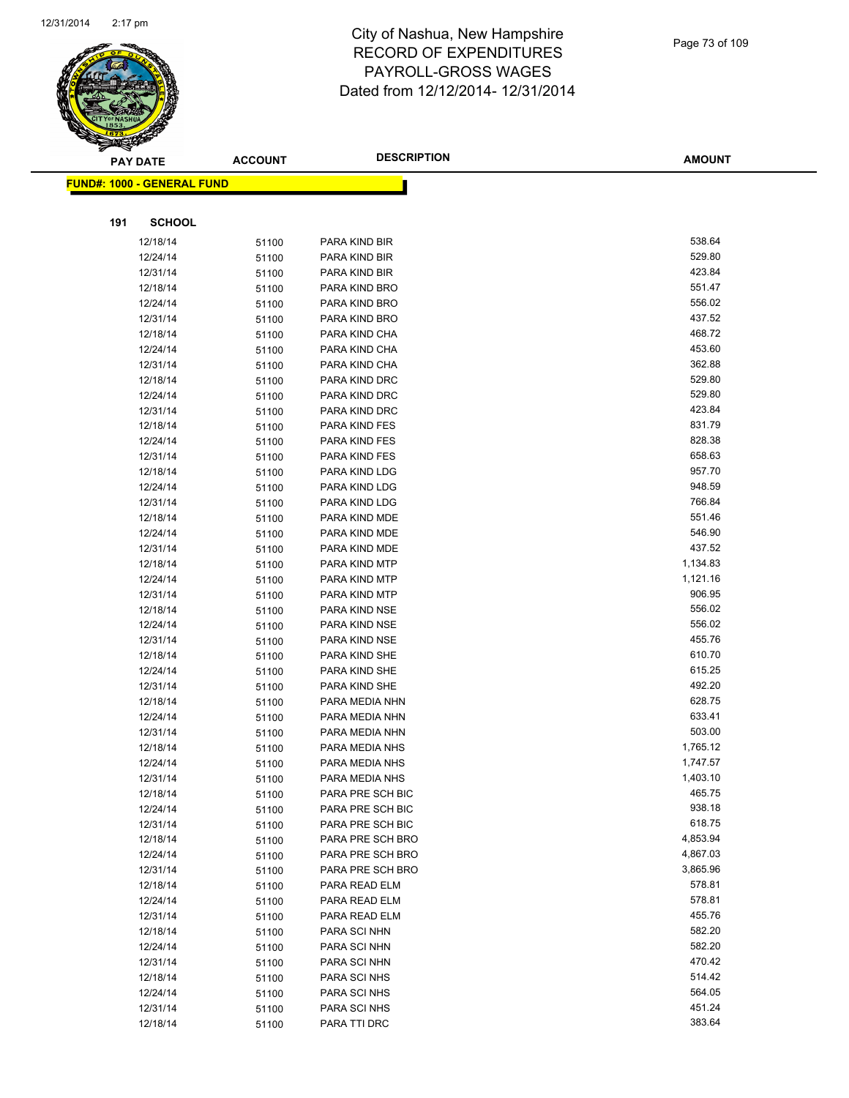

|     | <b>PAY DATE</b>                    | <b>ACCOUNT</b> | <b>DESCRIPTION</b>                   | <b>AMOUNT</b>      |
|-----|------------------------------------|----------------|--------------------------------------|--------------------|
|     | <u> FUND#: 1000 - GENERAL FUND</u> |                |                                      |                    |
|     |                                    |                |                                      |                    |
|     |                                    |                |                                      |                    |
| 191 | <b>SCHOOL</b>                      |                |                                      |                    |
|     | 12/18/14                           | 51100          | PARA KIND BIR                        | 538.64             |
|     | 12/24/14                           | 51100          | PARA KIND BIR                        | 529.80             |
|     | 12/31/14                           | 51100          | PARA KIND BIR                        | 423.84             |
|     | 12/18/14                           | 51100          | PARA KIND BRO                        | 551.47             |
|     | 12/24/14                           | 51100          | PARA KIND BRO                        | 556.02             |
|     | 12/31/14                           | 51100          | PARA KIND BRO                        | 437.52             |
|     | 12/18/14                           | 51100          | PARA KIND CHA                        | 468.72             |
|     | 12/24/14                           | 51100          | PARA KIND CHA                        | 453.60             |
|     | 12/31/14                           | 51100          | PARA KIND CHA                        | 362.88             |
|     | 12/18/14                           | 51100          | PARA KIND DRC                        | 529.80             |
|     | 12/24/14                           | 51100          | PARA KIND DRC                        | 529.80             |
|     | 12/31/14                           | 51100          | PARA KIND DRC                        | 423.84             |
|     | 12/18/14                           | 51100          | PARA KIND FES                        | 831.79             |
|     | 12/24/14                           | 51100          | PARA KIND FES                        | 828.38             |
|     | 12/31/14                           | 51100          | PARA KIND FES                        | 658.63             |
|     | 12/18/14                           | 51100          | PARA KIND LDG                        | 957.70             |
|     | 12/24/14                           | 51100          | PARA KIND LDG                        | 948.59             |
|     | 12/31/14                           | 51100          | PARA KIND LDG                        | 766.84             |
|     | 12/18/14                           | 51100          | PARA KIND MDE                        | 551.46             |
|     | 12/24/14                           | 51100          | PARA KIND MDE                        | 546.90             |
|     | 12/31/14                           | 51100          | PARA KIND MDE                        | 437.52             |
|     | 12/18/14                           | 51100          | PARA KIND MTP                        | 1,134.83           |
|     | 12/24/14                           | 51100          | PARA KIND MTP                        | 1,121.16           |
|     | 12/31/14                           | 51100          | PARA KIND MTP                        | 906.95             |
|     | 12/18/14                           | 51100          | PARA KIND NSE                        | 556.02             |
|     | 12/24/14                           | 51100          | PARA KIND NSE                        | 556.02             |
|     | 12/31/14                           | 51100          | PARA KIND NSE                        | 455.76             |
|     | 12/18/14                           | 51100          | PARA KIND SHE                        | 610.70             |
|     | 12/24/14                           | 51100          | PARA KIND SHE                        | 615.25             |
|     | 12/31/14                           | 51100          | PARA KIND SHE                        | 492.20             |
|     | 12/18/14                           | 51100          | PARA MEDIA NHN                       | 628.75             |
|     | 12/24/14                           | 51100          | PARA MEDIA NHN                       | 633.41             |
|     | 12/31/14                           | 51100          | PARA MEDIA NHN                       | 503.00             |
|     | 12/18/14                           | 51100          | PARA MEDIA NHS                       | 1,765.12           |
|     | 12/24/14                           | 51100          | PARA MEDIA NHS                       | 1,747.57           |
|     | 12/31/14                           | 51100          | PARA MEDIA NHS                       | 1,403.10<br>465.75 |
|     | 12/18/14                           | 51100          | PARA PRE SCH BIC                     | 938.18             |
|     | 12/24/14                           | 51100          | PARA PRE SCH BIC                     | 618.75             |
|     | 12/31/14                           | 51100          | PARA PRE SCH BIC<br>PARA PRE SCH BRO | 4,853.94           |
|     | 12/18/14<br>12/24/14               | 51100          | PARA PRE SCH BRO                     | 4,867.03           |
|     | 12/31/14                           | 51100          | PARA PRE SCH BRO                     | 3,865.96           |
|     | 12/18/14                           | 51100<br>51100 | PARA READ ELM                        | 578.81             |
|     | 12/24/14                           |                | PARA READ ELM                        | 578.81             |
|     | 12/31/14                           | 51100<br>51100 | PARA READ ELM                        | 455.76             |
|     | 12/18/14                           | 51100          | PARA SCI NHN                         | 582.20             |
|     | 12/24/14                           | 51100          | PARA SCI NHN                         | 582.20             |
|     | 12/31/14                           | 51100          | PARA SCI NHN                         | 470.42             |
|     | 12/18/14                           | 51100          | PARA SCI NHS                         | 514.42             |
|     | 12/24/14                           | 51100          | PARA SCI NHS                         | 564.05             |
|     | 12/31/14                           | 51100          | PARA SCI NHS                         | 451.24             |
|     | 12/18/14                           | 51100          | PARA TTI DRC                         | 383.64             |

12/18/14 51100 PARA TTI DRC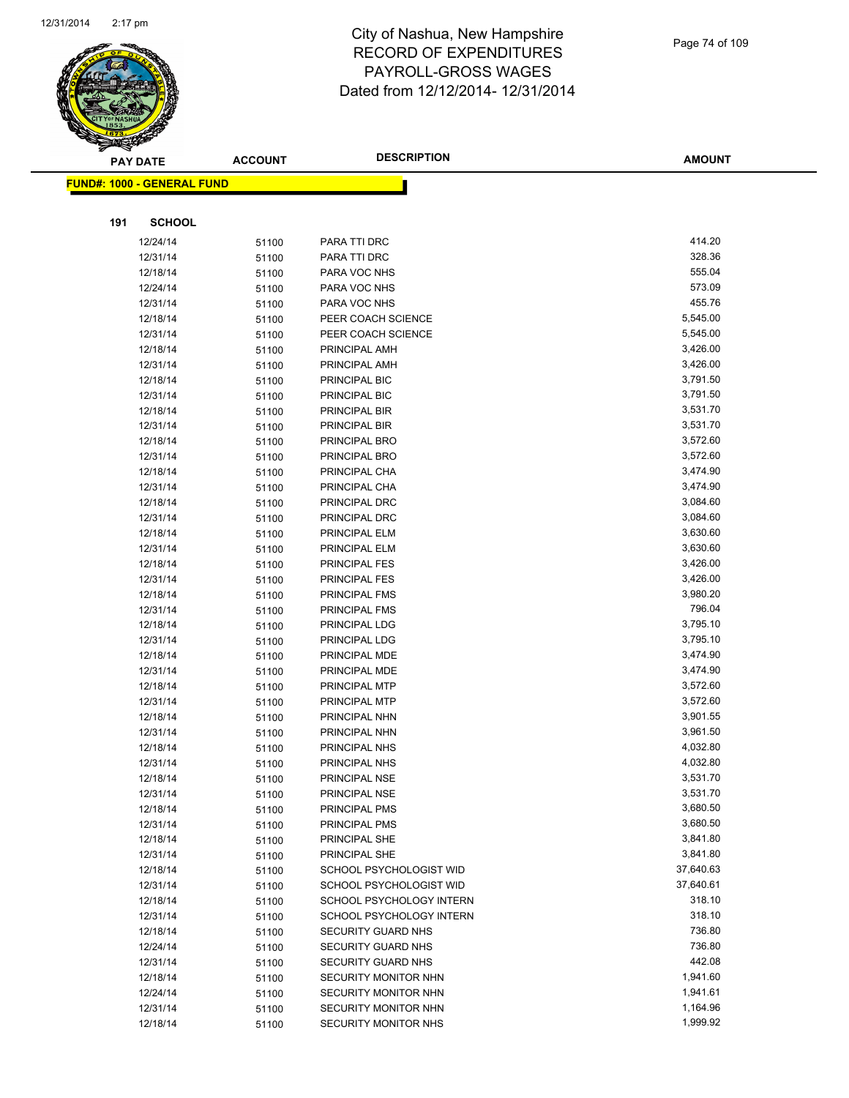

|     | <b>PAY DATE</b>                   | <b>ACCOUNT</b> | <b>DESCRIPTION</b>        | <b>AMOUNT</b> |
|-----|-----------------------------------|----------------|---------------------------|---------------|
|     | <b>FUND#: 1000 - GENERAL FUND</b> |                |                           |               |
|     |                                   |                |                           |               |
|     |                                   |                |                           |               |
| 191 | <b>SCHOOL</b>                     |                |                           |               |
|     | 12/24/14                          | 51100          | PARA TTI DRC              | 414.20        |
|     | 12/31/14                          | 51100          | PARA TTI DRC              | 328.36        |
|     | 12/18/14                          | 51100          | PARA VOC NHS              | 555.04        |
|     | 12/24/14                          | 51100          | PARA VOC NHS              | 573.09        |
|     | 12/31/14                          | 51100          | PARA VOC NHS              | 455.76        |
|     | 12/18/14                          | 51100          | PEER COACH SCIENCE        | 5,545.00      |
|     | 12/31/14                          | 51100          | PEER COACH SCIENCE        | 5,545.00      |
|     | 12/18/14                          | 51100          | PRINCIPAL AMH             | 3,426.00      |
|     | 12/31/14                          | 51100          | PRINCIPAL AMH             | 3,426.00      |
|     | 12/18/14                          | 51100          | PRINCIPAL BIC             | 3,791.50      |
|     | 12/31/14                          | 51100          | PRINCIPAL BIC             | 3,791.50      |
|     | 12/18/14                          | 51100          | PRINCIPAL BIR             | 3,531.70      |
|     | 12/31/14                          | 51100          | PRINCIPAL BIR             | 3,531.70      |
|     | 12/18/14                          | 51100          | PRINCIPAL BRO             | 3,572.60      |
|     | 12/31/14                          | 51100          | PRINCIPAL BRO             | 3,572.60      |
|     | 12/18/14                          | 51100          | PRINCIPAL CHA             | 3,474.90      |
|     | 12/31/14                          | 51100          | PRINCIPAL CHA             | 3,474.90      |
|     | 12/18/14                          | 51100          | PRINCIPAL DRC             | 3,084.60      |
|     | 12/31/14                          | 51100          | PRINCIPAL DRC             | 3,084.60      |
|     | 12/18/14                          | 51100          | PRINCIPAL ELM             | 3,630.60      |
|     | 12/31/14                          | 51100          | PRINCIPAL ELM             | 3,630.60      |
|     | 12/18/14                          | 51100          | PRINCIPAL FES             | 3,426.00      |
|     | 12/31/14                          | 51100          | PRINCIPAL FES             | 3,426.00      |
|     | 12/18/14                          | 51100          | PRINCIPAL FMS             | 3,980.20      |
|     | 12/31/14                          | 51100          | PRINCIPAL FMS             | 796.04        |
|     | 12/18/14                          | 51100          | PRINCIPAL LDG             | 3,795.10      |
|     | 12/31/14                          | 51100          | PRINCIPAL LDG             | 3,795.10      |
|     | 12/18/14                          | 51100          | PRINCIPAL MDE             | 3,474.90      |
|     | 12/31/14                          | 51100          | PRINCIPAL MDE             | 3,474.90      |
|     | 12/18/14                          | 51100          | PRINCIPAL MTP             | 3,572.60      |
|     | 12/31/14                          | 51100          | PRINCIPAL MTP             | 3,572.60      |
|     | 12/18/14                          | 51100          | PRINCIPAL NHN             | 3,901.55      |
|     | 12/31/14                          | 51100          | PRINCIPAL NHN             | 3,961.50      |
|     | 12/18/14                          | 51100          | PRINCIPAL NHS             | 4,032.80      |
|     | 12/31/14                          | 51100          | PRINCIPAL NHS             | 4,032.80      |
|     | 12/18/14                          | 51100          | PRINCIPAL NSE             | 3,531.70      |
|     | 12/31/14                          | 51100          | PRINCIPAL NSE             | 3,531.70      |
|     | 12/18/14                          | 51100          | PRINCIPAL PMS             | 3,680.50      |
|     | 12/31/14                          | 51100          | PRINCIPAL PMS             | 3,680.50      |
|     | 12/18/14                          | 51100          | PRINCIPAL SHE             | 3,841.80      |
|     | 12/31/14                          | 51100          | PRINCIPAL SHE             | 3,841.80      |
|     | 12/18/14                          | 51100          | SCHOOL PSYCHOLOGIST WID   | 37,640.63     |
|     | 12/31/14                          | 51100          | SCHOOL PSYCHOLOGIST WID   | 37,640.61     |
|     | 12/18/14                          | 51100          | SCHOOL PSYCHOLOGY INTERN  | 318.10        |
|     | 12/31/14                          | 51100          | SCHOOL PSYCHOLOGY INTERN  | 318.10        |
|     | 12/18/14                          | 51100          | <b>SECURITY GUARD NHS</b> | 736.80        |
|     | 12/24/14                          | 51100          | SECURITY GUARD NHS        | 736.80        |
|     | 12/31/14                          | 51100          | SECURITY GUARD NHS        | 442.08        |
|     | 12/18/14                          | 51100          | SECURITY MONITOR NHN      | 1,941.60      |
|     | 12/24/14                          | 51100          | SECURITY MONITOR NHN      | 1,941.61      |
|     | 12/31/14                          | 51100          | SECURITY MONITOR NHN      | 1,164.96      |
|     | 12/18/14                          | 51100          | SECURITY MONITOR NHS      | 1,999.92      |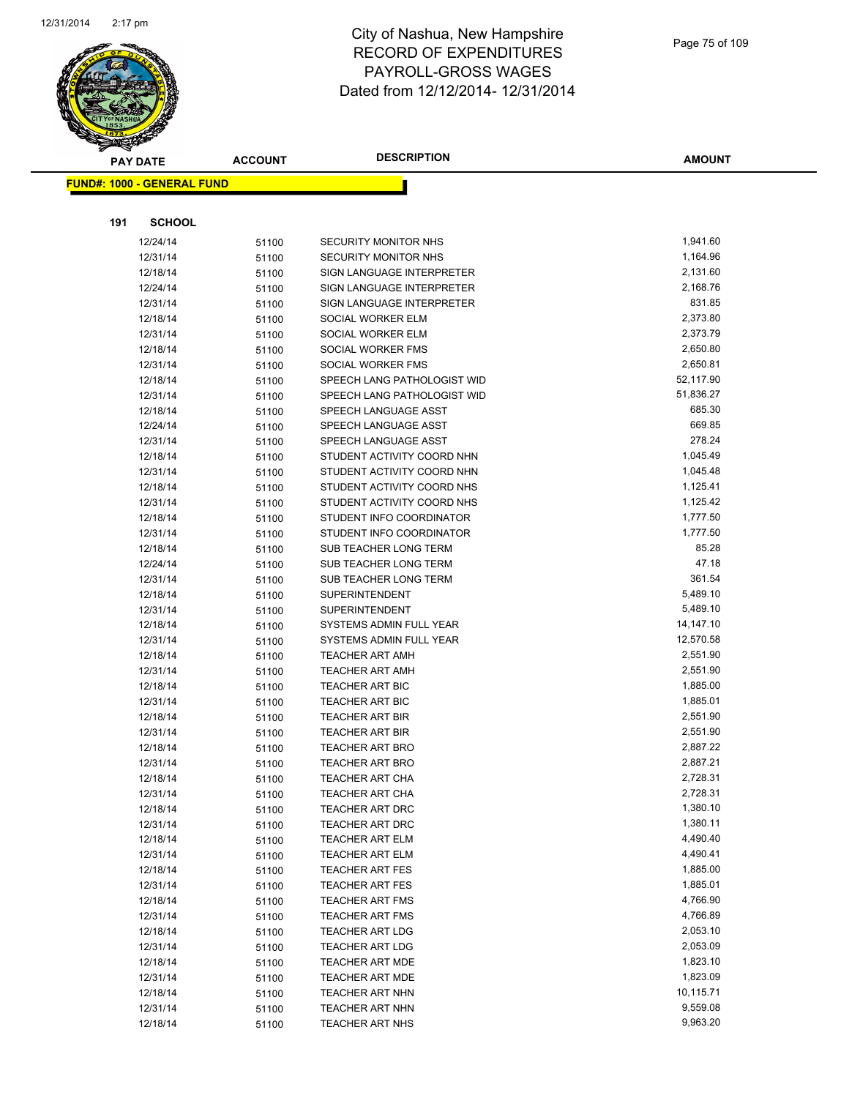

|     | <b>PAY DATE</b>                   | <b>ACCOUNT</b> | <b>DESCRIPTION</b>                                     | AMOUNT               |
|-----|-----------------------------------|----------------|--------------------------------------------------------|----------------------|
|     | <b>FUND#: 1000 - GENERAL FUND</b> |                |                                                        |                      |
|     |                                   |                |                                                        |                      |
| 191 | <b>SCHOOL</b>                     |                |                                                        |                      |
|     |                                   |                |                                                        |                      |
|     | 12/24/14<br>12/31/14              | 51100          | SECURITY MONITOR NHS<br>SECURITY MONITOR NHS           | 1,941.60<br>1,164.96 |
|     |                                   | 51100          |                                                        | 2,131.60             |
|     | 12/18/14<br>12/24/14              | 51100          | SIGN LANGUAGE INTERPRETER<br>SIGN LANGUAGE INTERPRETER | 2,168.76             |
|     |                                   | 51100          | SIGN LANGUAGE INTERPRETER                              | 831.85               |
|     | 12/31/14<br>12/18/14              | 51100          | SOCIAL WORKER ELM                                      | 2,373.80             |
|     | 12/31/14                          | 51100<br>51100 | SOCIAL WORKER ELM                                      | 2,373.79             |
|     | 12/18/14                          | 51100          | SOCIAL WORKER FMS                                      | 2,650.80             |
|     | 12/31/14                          | 51100          | SOCIAL WORKER FMS                                      | 2,650.81             |
|     | 12/18/14                          | 51100          | SPEECH LANG PATHOLOGIST WID                            | 52,117.90            |
|     | 12/31/14                          | 51100          | SPEECH LANG PATHOLOGIST WID                            | 51,836.27            |
|     | 12/18/14                          | 51100          | SPEECH LANGUAGE ASST                                   | 685.30               |
|     | 12/24/14                          | 51100          | SPEECH LANGUAGE ASST                                   | 669.85               |
|     | 12/31/14                          | 51100          | SPEECH LANGUAGE ASST                                   | 278.24               |
|     | 12/18/14                          | 51100          | STUDENT ACTIVITY COORD NHN                             | 1,045.49             |
|     | 12/31/14                          | 51100          | STUDENT ACTIVITY COORD NHN                             | 1,045.48             |
|     | 12/18/14                          | 51100          | STUDENT ACTIVITY COORD NHS                             | 1,125.41             |
|     | 12/31/14                          | 51100          | STUDENT ACTIVITY COORD NHS                             | 1,125.42             |
|     | 12/18/14                          | 51100          | STUDENT INFO COORDINATOR                               | 1,777.50             |
|     | 12/31/14                          | 51100          | STUDENT INFO COORDINATOR                               | 1,777.50             |
|     | 12/18/14                          | 51100          | SUB TEACHER LONG TERM                                  | 85.28                |
|     | 12/24/14                          | 51100          | SUB TEACHER LONG TERM                                  | 47.18                |
|     | 12/31/14                          | 51100          | SUB TEACHER LONG TERM                                  | 361.54               |
|     | 12/18/14                          | 51100          | <b>SUPERINTENDENT</b>                                  | 5,489.10             |
|     | 12/31/14                          | 51100          | <b>SUPERINTENDENT</b>                                  | 5,489.10             |
|     | 12/18/14                          | 51100          | SYSTEMS ADMIN FULL YEAR                                | 14,147.10            |
|     | 12/31/14                          | 51100          | SYSTEMS ADMIN FULL YEAR                                | 12,570.58            |
|     | 12/18/14                          | 51100          | <b>TEACHER ART AMH</b>                                 | 2,551.90             |
|     | 12/31/14                          | 51100          | <b>TEACHER ART AMH</b>                                 | 2,551.90             |
|     | 12/18/14                          | 51100          | <b>TEACHER ART BIC</b>                                 | 1,885.00             |
|     | 12/31/14                          | 51100          | <b>TEACHER ART BIC</b>                                 | 1,885.01             |
|     | 12/18/14                          | 51100          | <b>TEACHER ART BIR</b>                                 | 2,551.90             |
|     | 12/31/14                          | 51100          | <b>TEACHER ART BIR</b>                                 | 2,551.90             |
|     | 12/18/14                          | 51100          | <b>TEACHER ART BRO</b>                                 | 2,887.22             |
|     | 12/31/14                          | 51100          | <b>TEACHER ART BRO</b>                                 | 2,887.21             |
|     | 12/18/14                          | 51100          | <b>TEACHER ART CHA</b>                                 | 2,728.31             |
|     | 12/31/14                          | 51100          | <b>TEACHER ART CHA</b>                                 | 2,728.31             |
|     | 12/18/14                          | 51100          | <b>TEACHER ART DRC</b>                                 | 1,380.10             |
|     | 12/31/14                          | 51100          | <b>TEACHER ART DRC</b>                                 | 1,380.11             |
|     | 12/18/14                          | 51100          | <b>TEACHER ART ELM</b>                                 | 4,490.40             |
|     | 12/31/14                          | 51100          | <b>TEACHER ART ELM</b>                                 | 4,490.41             |
|     | 12/18/14                          | 51100          | <b>TEACHER ART FES</b>                                 | 1,885.00             |
|     | 12/31/14                          | 51100          | <b>TEACHER ART FES</b>                                 | 1,885.01             |
|     | 12/18/14                          | 51100          | <b>TEACHER ART FMS</b>                                 | 4,766.90             |
|     | 12/31/14                          | 51100          | <b>TEACHER ART FMS</b>                                 | 4,766.89             |
|     | 12/18/14                          | 51100          | <b>TEACHER ART LDG</b>                                 | 2,053.10             |
|     | 12/31/14                          | 51100          | <b>TEACHER ART LDG</b>                                 | 2,053.09             |
|     | 12/18/14                          | 51100          | <b>TEACHER ART MDE</b>                                 | 1,823.10             |
|     | 12/31/14                          | 51100          | <b>TEACHER ART MDE</b>                                 | 1,823.09             |
|     | 12/18/14                          | 51100          | <b>TEACHER ART NHN</b>                                 | 10,115.71            |
|     | 12/31/14                          | 51100          | <b>TEACHER ART NHN</b>                                 | 9,559.08             |
|     | 12/18/14                          | 51100          | <b>TEACHER ART NHS</b>                                 | 9,963.20             |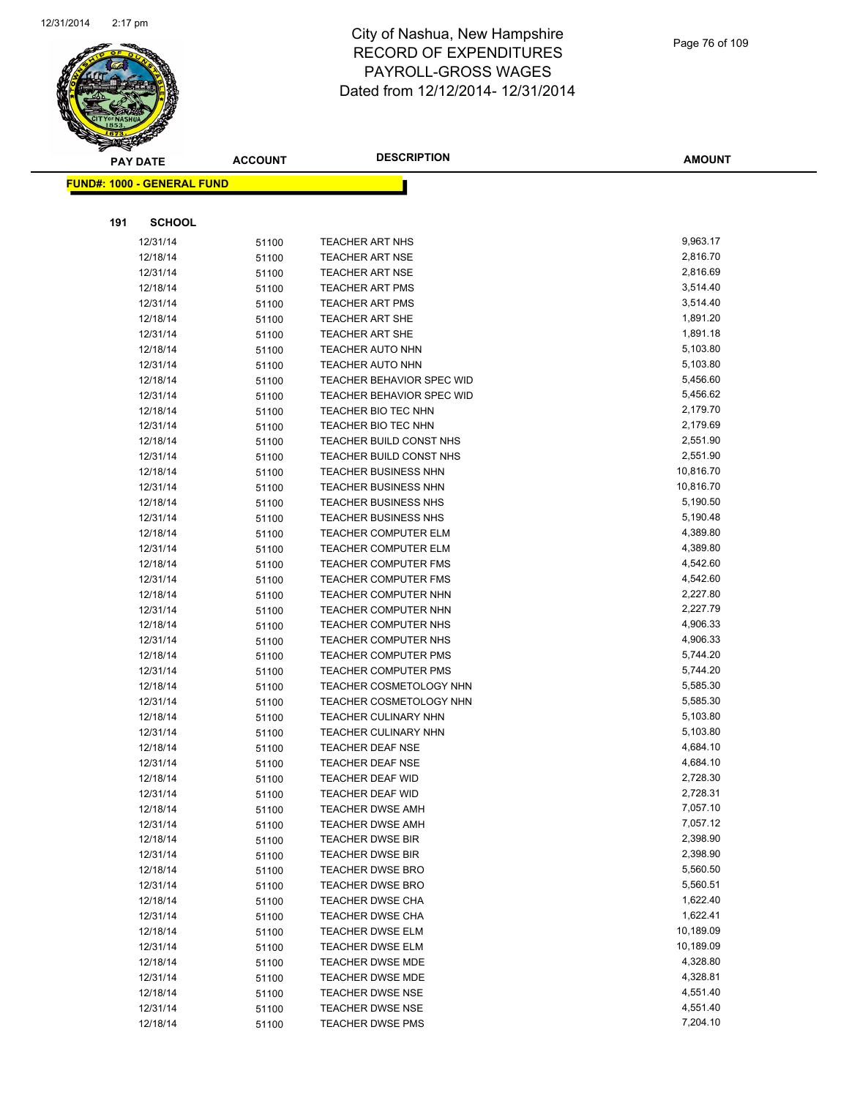

|     | <b>PAY DATE</b>                   | <b>ACCOUNT</b> | <b>DESCRIPTION</b>                                     | <b>AMOUNT</b>        |
|-----|-----------------------------------|----------------|--------------------------------------------------------|----------------------|
|     | <b>FUND#: 1000 - GENERAL FUND</b> |                |                                                        |                      |
|     |                                   |                |                                                        |                      |
| 191 | <b>SCHOOL</b>                     |                |                                                        |                      |
|     | 12/31/14                          | 51100          | <b>TEACHER ART NHS</b>                                 | 9,963.17             |
|     | 12/18/14                          | 51100          | <b>TEACHER ART NSE</b>                                 | 2,816.70             |
|     | 12/31/14                          | 51100          | <b>TEACHER ART NSE</b>                                 | 2,816.69             |
|     | 12/18/14                          | 51100          | <b>TEACHER ART PMS</b>                                 | 3,514.40             |
|     | 12/31/14                          | 51100          | <b>TEACHER ART PMS</b>                                 | 3,514.40             |
|     | 12/18/14                          | 51100          | <b>TEACHER ART SHE</b>                                 | 1,891.20             |
|     | 12/31/14                          | 51100          | <b>TEACHER ART SHE</b>                                 | 1,891.18             |
|     | 12/18/14                          | 51100          | <b>TEACHER AUTO NHN</b>                                | 5,103.80             |
|     | 12/31/14                          | 51100          | <b>TEACHER AUTO NHN</b>                                | 5,103.80             |
|     | 12/18/14                          | 51100          | <b>TEACHER BEHAVIOR SPEC WID</b>                       | 5,456.60             |
|     | 12/31/14                          | 51100          | <b>TEACHER BEHAVIOR SPEC WID</b>                       | 5,456.62             |
|     | 12/18/14                          | 51100          | TEACHER BIO TEC NHN                                    | 2,179.70             |
|     | 12/31/14                          | 51100          | TEACHER BIO TEC NHN                                    | 2,179.69             |
|     | 12/18/14                          | 51100          | TEACHER BUILD CONST NHS                                | 2,551.90             |
|     | 12/31/14                          | 51100          | TEACHER BUILD CONST NHS                                | 2,551.90             |
|     | 12/18/14                          | 51100          | <b>TEACHER BUSINESS NHN</b>                            | 10,816.70            |
|     | 12/31/14                          | 51100          | <b>TEACHER BUSINESS NHN</b>                            | 10,816.70            |
|     | 12/18/14                          | 51100          | <b>TEACHER BUSINESS NHS</b>                            | 5,190.50             |
|     | 12/31/14                          | 51100          | <b>TEACHER BUSINESS NHS</b>                            | 5,190.48             |
|     | 12/18/14                          | 51100          | TEACHER COMPUTER ELM                                   | 4,389.80             |
|     | 12/31/14                          | 51100          | <b>TEACHER COMPUTER ELM</b>                            | 4,389.80             |
|     | 12/18/14                          | 51100          | <b>TEACHER COMPUTER FMS</b>                            | 4,542.60             |
|     | 12/31/14                          | 51100          | <b>TEACHER COMPUTER FMS</b>                            | 4,542.60             |
|     | 12/18/14                          | 51100          | <b>TEACHER COMPUTER NHN</b>                            | 2,227.80             |
|     | 12/31/14                          | 51100          | <b>TEACHER COMPUTER NHN</b>                            | 2,227.79             |
|     | 12/18/14                          | 51100          | TEACHER COMPUTER NHS                                   | 4,906.33             |
|     | 12/31/14                          | 51100          | TEACHER COMPUTER NHS                                   | 4,906.33             |
|     | 12/18/14                          | 51100          | <b>TEACHER COMPUTER PMS</b>                            | 5,744.20             |
|     | 12/31/14                          | 51100          | <b>TEACHER COMPUTER PMS</b>                            | 5,744.20             |
|     | 12/18/14                          | 51100          | <b>TEACHER COSMETOLOGY NHN</b>                         | 5,585.30<br>5,585.30 |
|     | 12/31/14                          | 51100          | TEACHER COSMETOLOGY NHN<br><b>TEACHER CULINARY NHN</b> |                      |
|     | 12/18/14                          | 51100          |                                                        | 5,103.80<br>5,103.80 |
|     | 12/31/14<br>12/18/14              | 51100          | <b>TEACHER CULINARY NHN</b><br><b>TEACHER DEAF NSE</b> | 4,684.10             |
|     | 12/31/14                          | 51100          | <b>TEACHER DEAF NSE</b>                                | 4,684.10             |
|     | 12/18/14                          | 51100          | <b>TEACHER DEAF WID</b>                                | 2,728.30             |
|     | 12/31/14                          | 51100          | <b>TEACHER DEAF WID</b>                                | 2,728.31             |
|     | 12/18/14                          | 51100<br>51100 | <b>TEACHER DWSE AMH</b>                                | 7,057.10             |
|     | 12/31/14                          | 51100          | TEACHER DWSE AMH                                       | 7,057.12             |
|     | 12/18/14                          |                | <b>TEACHER DWSE BIR</b>                                | 2,398.90             |
|     | 12/31/14                          | 51100<br>51100 | <b>TEACHER DWSE BIR</b>                                | 2,398.90             |
|     | 12/18/14                          | 51100          | <b>TEACHER DWSE BRO</b>                                | 5,560.50             |
|     | 12/31/14                          | 51100          | <b>TEACHER DWSE BRO</b>                                | 5,560.51             |
|     | 12/18/14                          | 51100          | <b>TEACHER DWSE CHA</b>                                | 1,622.40             |
|     | 12/31/14                          | 51100          | <b>TEACHER DWSE CHA</b>                                | 1,622.41             |
|     | 12/18/14                          | 51100          | <b>TEACHER DWSE ELM</b>                                | 10,189.09            |
|     | 12/31/14                          | 51100          | <b>TEACHER DWSE ELM</b>                                | 10,189.09            |
|     | 12/18/14                          | 51100          | <b>TEACHER DWSE MDE</b>                                | 4,328.80             |
|     | 12/31/14                          | 51100          | <b>TEACHER DWSE MDE</b>                                | 4,328.81             |
|     | 12/18/14                          | 51100          | <b>TEACHER DWSE NSE</b>                                | 4,551.40             |
|     | 12/31/14                          | 51100          | TEACHER DWSE NSE                                       | 4,551.40             |
|     | 12/18/14                          | 51100          | <b>TEACHER DWSE PMS</b>                                | 7,204.10             |
|     |                                   |                |                                                        |                      |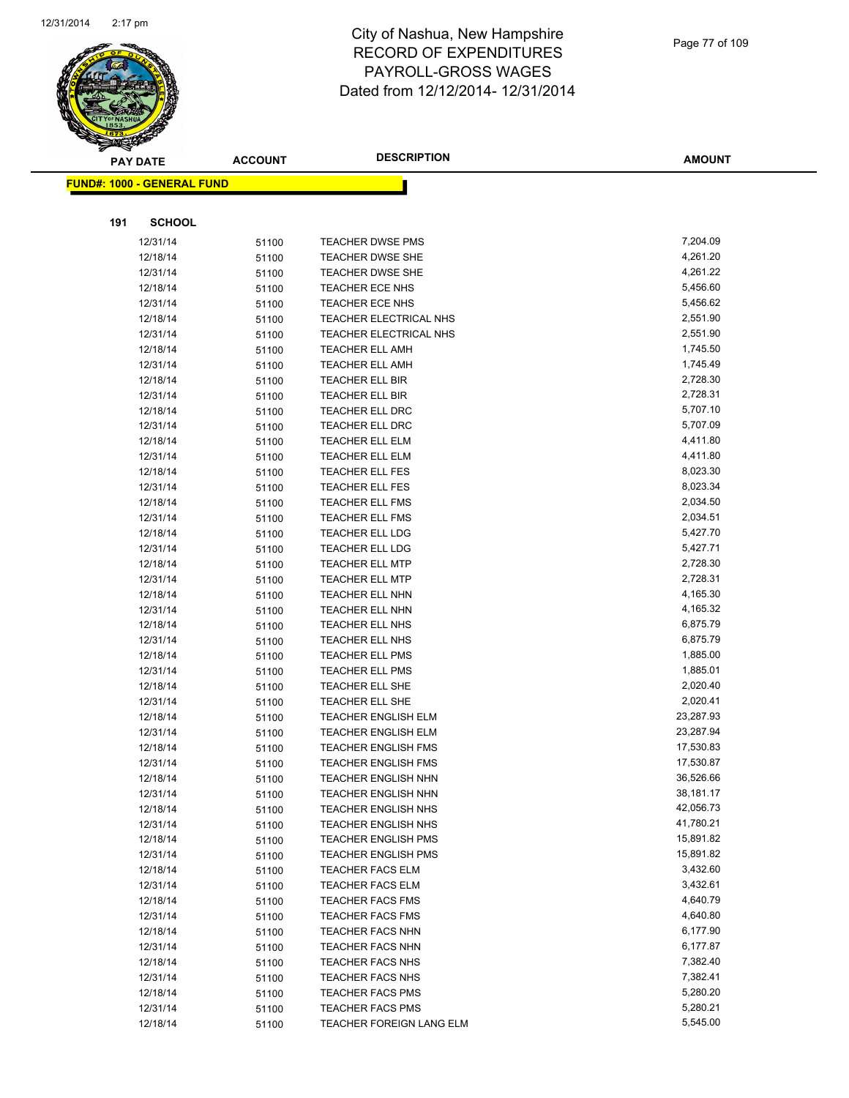

|     | <b>PAY DATE</b>                    | <b>ACCOUNT</b> | <b>DESCRIPTION</b>                               | <b>AMOUNT</b>        |
|-----|------------------------------------|----------------|--------------------------------------------------|----------------------|
|     | <u> FUND#: 1000 - GENERAL FUND</u> |                |                                                  |                      |
|     |                                    |                |                                                  |                      |
|     |                                    |                |                                                  |                      |
| 191 | <b>SCHOOL</b>                      |                |                                                  |                      |
|     | 12/31/14                           | 51100          | <b>TEACHER DWSE PMS</b>                          | 7,204.09             |
|     | 12/18/14                           | 51100          | <b>TEACHER DWSE SHE</b>                          | 4,261.20             |
|     | 12/31/14                           | 51100          | <b>TEACHER DWSE SHE</b>                          | 4,261.22             |
|     | 12/18/14                           | 51100          | <b>TEACHER ECE NHS</b>                           | 5,456.60             |
|     | 12/31/14                           | 51100          | TEACHER ECE NHS                                  | 5,456.62             |
|     | 12/18/14                           | 51100          | TEACHER ELECTRICAL NHS                           | 2,551.90             |
|     | 12/31/14                           | 51100          | TEACHER ELECTRICAL NHS                           | 2,551.90             |
|     | 12/18/14                           | 51100          | <b>TEACHER ELL AMH</b>                           | 1,745.50             |
|     | 12/31/14                           | 51100          | <b>TEACHER ELL AMH</b>                           | 1,745.49             |
|     | 12/18/14                           | 51100          | <b>TEACHER ELL BIR</b>                           | 2,728.30             |
|     | 12/31/14                           | 51100          | <b>TEACHER ELL BIR</b>                           | 2,728.31             |
|     | 12/18/14                           | 51100          | <b>TEACHER ELL DRC</b>                           | 5,707.10             |
|     | 12/31/14                           | 51100          | <b>TEACHER ELL DRC</b>                           | 5,707.09             |
|     | 12/18/14                           | 51100          | TEACHER ELL ELM                                  | 4,411.80             |
|     | 12/31/14                           | 51100          | <b>TEACHER ELL ELM</b>                           | 4,411.80<br>8,023.30 |
|     | 12/18/14                           | 51100          | <b>TEACHER ELL FES</b><br><b>TEACHER ELL FES</b> | 8,023.34             |
|     | 12/31/14<br>12/18/14               | 51100          | <b>TEACHER ELL FMS</b>                           | 2,034.50             |
|     | 12/31/14                           | 51100          | <b>TEACHER ELL FMS</b>                           | 2,034.51             |
|     | 12/18/14                           | 51100<br>51100 | <b>TEACHER ELL LDG</b>                           | 5,427.70             |
|     | 12/31/14                           | 51100          | <b>TEACHER ELL LDG</b>                           | 5,427.71             |
|     | 12/18/14                           | 51100          | <b>TEACHER ELL MTP</b>                           | 2,728.30             |
|     | 12/31/14                           | 51100          | <b>TEACHER ELL MTP</b>                           | 2,728.31             |
|     | 12/18/14                           | 51100          | <b>TEACHER ELL NHN</b>                           | 4,165.30             |
|     | 12/31/14                           | 51100          | <b>TEACHER ELL NHN</b>                           | 4,165.32             |
|     | 12/18/14                           | 51100          | <b>TEACHER ELL NHS</b>                           | 6,875.79             |
|     | 12/31/14                           | 51100          | <b>TEACHER ELL NHS</b>                           | 6,875.79             |
|     | 12/18/14                           | 51100          | <b>TEACHER ELL PMS</b>                           | 1,885.00             |
|     | 12/31/14                           | 51100          | <b>TEACHER ELL PMS</b>                           | 1,885.01             |
|     | 12/18/14                           | 51100          | <b>TEACHER ELL SHE</b>                           | 2,020.40             |
|     | 12/31/14                           | 51100          | <b>TEACHER ELL SHE</b>                           | 2,020.41             |
|     | 12/18/14                           | 51100          | <b>TEACHER ENGLISH ELM</b>                       | 23,287.93            |
|     | 12/31/14                           | 51100          | <b>TEACHER ENGLISH ELM</b>                       | 23,287.94            |
|     | 12/18/14                           | 51100          | <b>TEACHER ENGLISH FMS</b>                       | 17,530.83            |
|     | 12/31/14                           | 51100          | <b>TEACHER ENGLISH FMS</b>                       | 17,530.87            |
|     | 12/18/14                           | 51100          | TEACHER ENGLISH NHN                              | 36,526.66            |
|     | 12/31/14                           | 51100          | <b>TEACHER ENGLISH NHN</b>                       | 38,181.17            |
|     | 12/18/14                           | 51100          | <b>TEACHER ENGLISH NHS</b>                       | 42,056.73            |
|     | 12/31/14                           | 51100          | <b>TEACHER ENGLISH NHS</b>                       | 41,780.21            |
|     | 12/18/14                           | 51100          | <b>TEACHER ENGLISH PMS</b>                       | 15,891.82            |
|     | 12/31/14                           | 51100          | <b>TEACHER ENGLISH PMS</b>                       | 15,891.82            |
|     | 12/18/14                           | 51100          | <b>TEACHER FACS ELM</b>                          | 3,432.60             |
|     | 12/31/14                           | 51100          | <b>TEACHER FACS ELM</b>                          | 3,432.61             |
|     | 12/18/14                           | 51100          | <b>TEACHER FACS FMS</b>                          | 4,640.79             |
|     | 12/31/14                           | 51100          | <b>TEACHER FACS FMS</b>                          | 4,640.80             |
|     | 12/18/14                           | 51100          | <b>TEACHER FACS NHN</b>                          | 6,177.90             |
|     | 12/31/14                           | 51100          | <b>TEACHER FACS NHN</b>                          | 6,177.87             |
|     | 12/18/14                           | 51100          | <b>TEACHER FACS NHS</b>                          | 7,382.40             |
|     | 12/31/14                           | 51100          | <b>TEACHER FACS NHS</b>                          | 7,382.41             |
|     | 12/18/14                           | 51100          | <b>TEACHER FACS PMS</b>                          | 5,280.20             |
|     | 12/31/14                           | 51100          | <b>TEACHER FACS PMS</b>                          | 5,280.21             |
|     | 12/18/14                           | 51100          | TEACHER FOREIGN LANG ELM                         | 5,545.00             |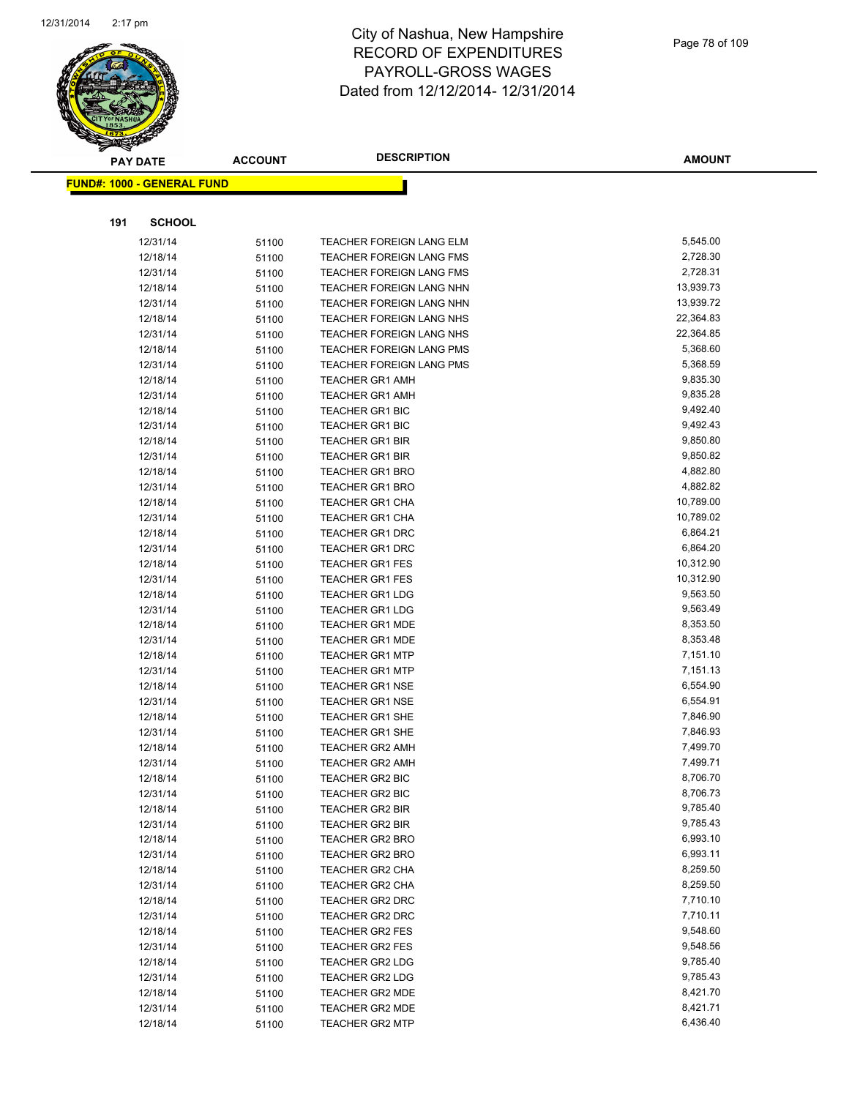

|     | <b>PAY DATE</b>                   | <b>ACCOUNT</b> | <b>DESCRIPTION</b>              | <b>AMOUNT</b> |
|-----|-----------------------------------|----------------|---------------------------------|---------------|
|     | <b>FUND#: 1000 - GENERAL FUND</b> |                |                                 |               |
|     |                                   |                |                                 |               |
| 191 | <b>SCHOOL</b>                     |                |                                 |               |
|     | 12/31/14                          | 51100          | TEACHER FOREIGN LANG ELM        | 5,545.00      |
|     | 12/18/14                          | 51100          | TEACHER FOREIGN LANG FMS        | 2,728.30      |
|     | 12/31/14                          | 51100          | <b>TEACHER FOREIGN LANG FMS</b> | 2,728.31      |
|     | 12/18/14                          | 51100          | TEACHER FOREIGN LANG NHN        | 13,939.73     |
|     | 12/31/14                          | 51100          | TEACHER FOREIGN LANG NHN        | 13,939.72     |
|     | 12/18/14                          | 51100          | TEACHER FOREIGN LANG NHS        | 22,364.83     |
|     | 12/31/14                          | 51100          | TEACHER FOREIGN LANG NHS        | 22,364.85     |
|     | 12/18/14                          | 51100          | TEACHER FOREIGN LANG PMS        | 5,368.60      |
|     | 12/31/14                          | 51100          | TEACHER FOREIGN LANG PMS        | 5,368.59      |
|     | 12/18/14                          | 51100          | <b>TEACHER GR1 AMH</b>          | 9,835.30      |
|     | 12/31/14                          | 51100          | <b>TEACHER GR1 AMH</b>          | 9,835.28      |
|     | 12/18/14                          | 51100          | <b>TEACHER GR1 BIC</b>          | 9,492.40      |
|     | 12/31/14                          | 51100          | <b>TEACHER GR1 BIC</b>          | 9,492.43      |
|     | 12/18/14                          | 51100          | <b>TEACHER GR1 BIR</b>          | 9,850.80      |
|     | 12/31/14                          | 51100          | <b>TEACHER GR1 BIR</b>          | 9,850.82      |
|     | 12/18/14                          | 51100          | <b>TEACHER GR1 BRO</b>          | 4,882.80      |
|     | 12/31/14                          | 51100          | <b>TEACHER GR1 BRO</b>          | 4,882.82      |
|     | 12/18/14                          | 51100          | <b>TEACHER GR1 CHA</b>          | 10,789.00     |
|     | 12/31/14                          | 51100          | <b>TEACHER GR1 CHA</b>          | 10,789.02     |
|     | 12/18/14                          | 51100          | <b>TEACHER GR1 DRC</b>          | 6,864.21      |
|     | 12/31/14                          | 51100          | <b>TEACHER GR1 DRC</b>          | 6,864.20      |
|     | 12/18/14                          | 51100          | <b>TEACHER GR1 FES</b>          | 10,312.90     |
|     | 12/31/14                          | 51100          | <b>TEACHER GR1 FES</b>          | 10,312.90     |
|     | 12/18/14                          | 51100          | <b>TEACHER GR1 LDG</b>          | 9,563.50      |
|     | 12/31/14                          | 51100          | <b>TEACHER GR1 LDG</b>          | 9,563.49      |
|     | 12/18/14                          | 51100          | <b>TEACHER GR1 MDE</b>          | 8,353.50      |
|     | 12/31/14                          | 51100          | <b>TEACHER GR1 MDE</b>          | 8,353.48      |
|     | 12/18/14                          | 51100          | <b>TEACHER GR1 MTP</b>          | 7,151.10      |
|     | 12/31/14                          | 51100          | <b>TEACHER GR1 MTP</b>          | 7,151.13      |
|     | 12/18/14                          | 51100          | <b>TEACHER GR1 NSE</b>          | 6,554.90      |
|     | 12/31/14                          | 51100          | <b>TEACHER GR1 NSE</b>          | 6,554.91      |
|     | 12/18/14                          | 51100          | <b>TEACHER GR1 SHE</b>          | 7,846.90      |
|     | 12/31/14                          | 51100          | <b>TEACHER GR1 SHE</b>          | 7,846.93      |
|     | 12/18/14                          | 51100          | <b>TEACHER GR2 AMH</b>          | 7,499.70      |
|     | 12/31/14                          | 51100          | <b>TEACHER GR2 AMH</b>          | 7,499.71      |
|     | 12/18/14                          | 51100          | <b>TEACHER GR2 BIC</b>          | 8,706.70      |
|     | 12/31/14                          | 51100          | <b>TEACHER GR2 BIC</b>          | 8,706.73      |
|     | 12/18/14                          | 51100          | <b>TEACHER GR2 BIR</b>          | 9,785.40      |
|     | 12/31/14                          | 51100          | TEACHER GR2 BIR                 | 9,785.43      |
|     | 12/18/14                          | 51100          | <b>TEACHER GR2 BRO</b>          | 6,993.10      |
|     | 12/31/14                          | 51100          | <b>TEACHER GR2 BRO</b>          | 6,993.11      |
|     | 12/18/14                          | 51100          | <b>TEACHER GR2 CHA</b>          | 8,259.50      |
|     | 12/31/14                          | 51100          | <b>TEACHER GR2 CHA</b>          | 8,259.50      |
|     | 12/18/14                          | 51100          | TEACHER GR2 DRC                 | 7,710.10      |
|     | 12/31/14                          | 51100          | <b>TEACHER GR2 DRC</b>          | 7,710.11      |
|     | 12/18/14                          | 51100          | <b>TEACHER GR2 FES</b>          | 9,548.60      |
|     | 12/31/14                          | 51100          | <b>TEACHER GR2 FES</b>          | 9,548.56      |
|     | 12/18/14                          | 51100          | TEACHER GR2 LDG                 | 9,785.40      |
|     | 12/31/14                          | 51100          | <b>TEACHER GR2 LDG</b>          | 9,785.43      |
|     | 12/18/14                          | 51100          | TEACHER GR2 MDE                 | 8,421.70      |
|     | 12/31/14                          | 51100          | TEACHER GR2 MDE                 | 8,421.71      |
|     | 12/18/14                          | 51100          | TEACHER GR2 MTP                 | 6,436.40      |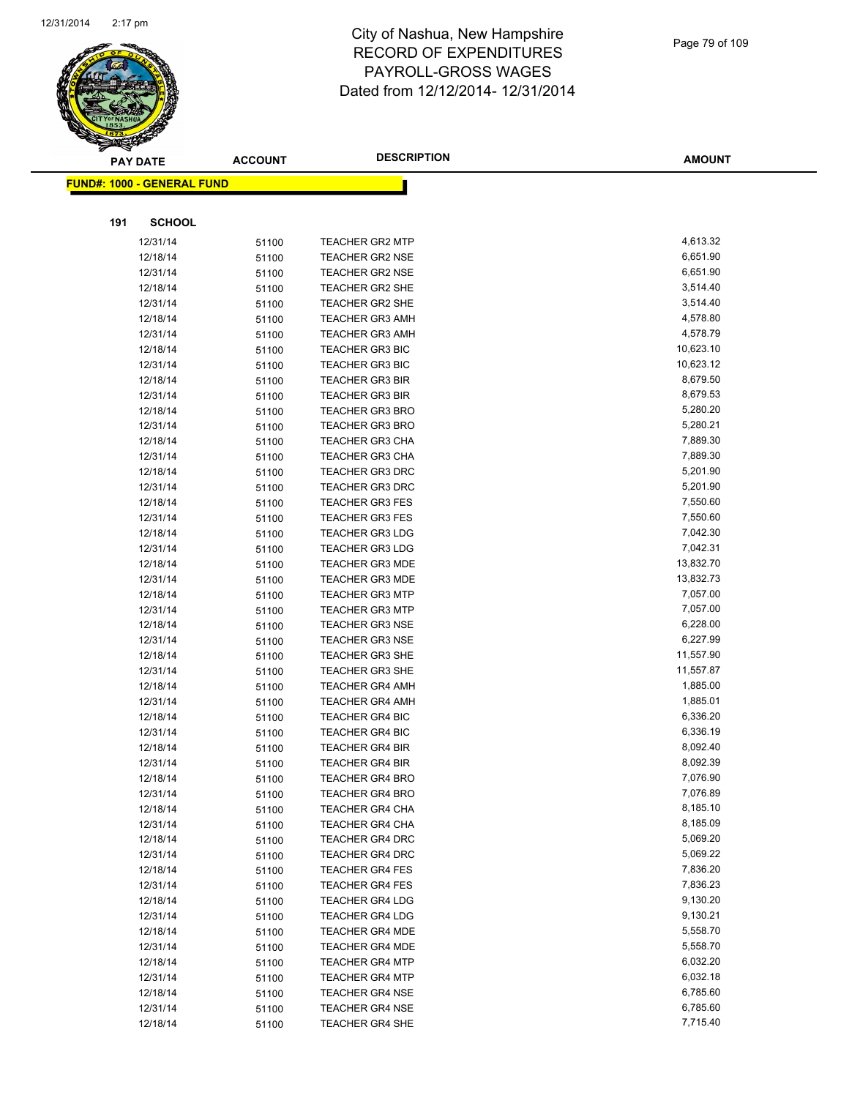

|     | <b>PAY DATE</b>                   | <b>ACCOUNT</b> | <b>DESCRIPTION</b>     | <b>AMOUNT</b> |
|-----|-----------------------------------|----------------|------------------------|---------------|
|     | <b>FUND#: 1000 - GENERAL FUND</b> |                |                        |               |
|     |                                   |                |                        |               |
|     |                                   |                |                        |               |
| 191 | <b>SCHOOL</b>                     |                |                        |               |
|     | 12/31/14                          | 51100          | <b>TEACHER GR2 MTP</b> | 4,613.32      |
|     | 12/18/14                          | 51100          | <b>TEACHER GR2 NSE</b> | 6,651.90      |
|     | 12/31/14                          | 51100          | <b>TEACHER GR2 NSE</b> | 6,651.90      |
|     | 12/18/14                          | 51100          | <b>TEACHER GR2 SHE</b> | 3,514.40      |
|     | 12/31/14                          | 51100          | <b>TEACHER GR2 SHE</b> | 3,514.40      |
|     | 12/18/14                          | 51100          | <b>TEACHER GR3 AMH</b> | 4,578.80      |
|     | 12/31/14                          | 51100          | <b>TEACHER GR3 AMH</b> | 4,578.79      |
|     | 12/18/14                          | 51100          | <b>TEACHER GR3 BIC</b> | 10,623.10     |
|     | 12/31/14                          | 51100          | <b>TEACHER GR3 BIC</b> | 10,623.12     |
|     | 12/18/14                          | 51100          | <b>TEACHER GR3 BIR</b> | 8,679.50      |
|     | 12/31/14                          | 51100          | <b>TEACHER GR3 BIR</b> | 8,679.53      |
|     | 12/18/14                          | 51100          | <b>TEACHER GR3 BRO</b> | 5,280.20      |
|     | 12/31/14                          | 51100          | <b>TEACHER GR3 BRO</b> | 5,280.21      |
|     | 12/18/14                          | 51100          | <b>TEACHER GR3 CHA</b> | 7,889.30      |
|     | 12/31/14                          | 51100          | <b>TEACHER GR3 CHA</b> | 7,889.30      |
|     | 12/18/14                          | 51100          | <b>TEACHER GR3 DRC</b> | 5,201.90      |
|     | 12/31/14                          | 51100          | <b>TEACHER GR3 DRC</b> | 5,201.90      |
|     | 12/18/14                          | 51100          | <b>TEACHER GR3 FES</b> | 7,550.60      |
|     | 12/31/14                          | 51100          | <b>TEACHER GR3 FES</b> | 7,550.60      |
|     | 12/18/14                          | 51100          | <b>TEACHER GR3 LDG</b> | 7,042.30      |
|     | 12/31/14                          | 51100          | <b>TEACHER GR3 LDG</b> | 7,042.31      |
|     | 12/18/14                          | 51100          | <b>TEACHER GR3 MDE</b> | 13,832.70     |
|     | 12/31/14                          | 51100          | <b>TEACHER GR3 MDE</b> | 13,832.73     |
|     | 12/18/14                          | 51100          | <b>TEACHER GR3 MTP</b> | 7,057.00      |
|     | 12/31/14                          | 51100          | <b>TEACHER GR3 MTP</b> | 7,057.00      |
|     | 12/18/14                          | 51100          | <b>TEACHER GR3 NSE</b> | 6,228.00      |
|     | 12/31/14                          | 51100          | <b>TEACHER GR3 NSE</b> | 6,227.99      |
|     | 12/18/14                          | 51100          | <b>TEACHER GR3 SHE</b> | 11,557.90     |
|     | 12/31/14                          | 51100          | <b>TEACHER GR3 SHE</b> | 11,557.87     |
|     | 12/18/14                          | 51100          | <b>TEACHER GR4 AMH</b> | 1,885.00      |
|     | 12/31/14                          | 51100          | <b>TEACHER GR4 AMH</b> | 1,885.01      |
|     | 12/18/14                          | 51100          | <b>TEACHER GR4 BIC</b> | 6,336.20      |
|     | 12/31/14                          | 51100          | <b>TEACHER GR4 BIC</b> | 6,336.19      |
|     | 12/18/14                          | 51100          | <b>TEACHER GR4 BIR</b> | 8,092.40      |
|     | 12/31/14                          | 51100          | <b>TEACHER GR4 BIR</b> | 8,092.39      |
|     | 12/18/14                          | 51100          | <b>TEACHER GR4 BRO</b> | 7,076.90      |
|     | 12/31/14                          | 51100          | TEACHER GR4 BRO        | 7,076.89      |
|     | 12/18/14                          | 51100          | <b>TEACHER GR4 CHA</b> | 8,185.10      |
|     | 12/31/14                          | 51100          | <b>TEACHER GR4 CHA</b> | 8,185.09      |
|     | 12/18/14                          | 51100          | <b>TEACHER GR4 DRC</b> | 5,069.20      |
|     | 12/31/14                          | 51100          | <b>TEACHER GR4 DRC</b> | 5,069.22      |
|     | 12/18/14                          | 51100          | <b>TEACHER GR4 FES</b> | 7,836.20      |
|     | 12/31/14                          | 51100          | <b>TEACHER GR4 FES</b> | 7,836.23      |
|     | 12/18/14                          | 51100          | <b>TEACHER GR4 LDG</b> | 9,130.20      |
|     | 12/31/14                          | 51100          | <b>TEACHER GR4 LDG</b> | 9,130.21      |
|     | 12/18/14                          | 51100          | TEACHER GR4 MDE        | 5,558.70      |
|     | 12/31/14                          | 51100          | TEACHER GR4 MDE        | 5,558.70      |
|     | 12/18/14                          | 51100          | <b>TEACHER GR4 MTP</b> | 6,032.20      |
|     | 12/31/14                          | 51100          | <b>TEACHER GR4 MTP</b> | 6,032.18      |
|     | 12/18/14                          | 51100          | <b>TEACHER GR4 NSE</b> | 6,785.60      |
|     | 12/31/14                          | 51100          | <b>TEACHER GR4 NSE</b> | 6,785.60      |
|     | 12/18/14                          | 51100          | <b>TEACHER GR4 SHE</b> | 7,715.40      |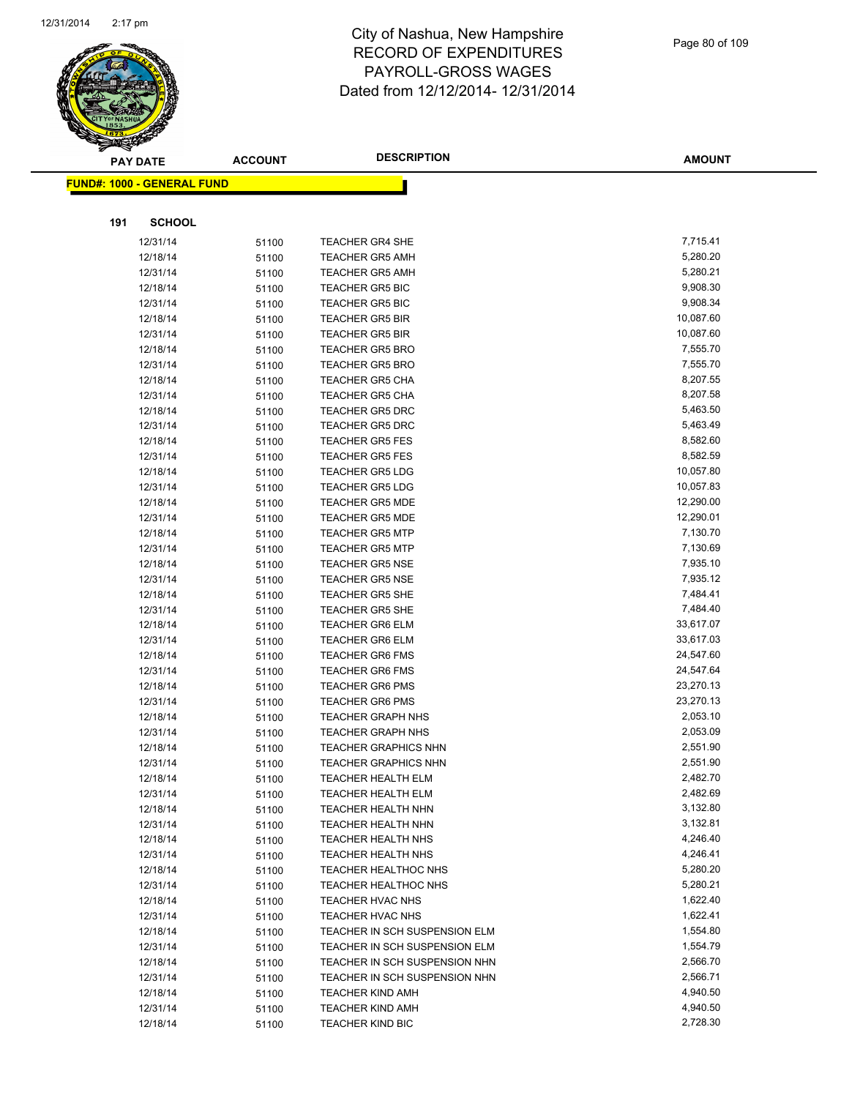

|     | <b>PAY DATE</b>                   | <b>ACCOUNT</b> | <b>DESCRIPTION</b>                               | <b>AMOUNT</b>         |
|-----|-----------------------------------|----------------|--------------------------------------------------|-----------------------|
|     | <b>FUND#: 1000 - GENERAL FUND</b> |                |                                                  |                       |
|     |                                   |                |                                                  |                       |
| 191 | <b>SCHOOL</b>                     |                |                                                  |                       |
|     |                                   |                |                                                  |                       |
|     | 12/31/14                          | 51100          | <b>TEACHER GR4 SHE</b>                           | 7,715.41              |
|     | 12/18/14                          | 51100          | <b>TEACHER GR5 AMH</b>                           | 5,280.20              |
|     | 12/31/14                          | 51100          | <b>TEACHER GR5 AMH</b>                           | 5,280.21              |
|     | 12/18/14                          | 51100          | <b>TEACHER GR5 BIC</b>                           | 9,908.30              |
|     | 12/31/14                          | 51100          | <b>TEACHER GR5 BIC</b>                           | 9,908.34              |
|     | 12/18/14                          | 51100          | <b>TEACHER GR5 BIR</b>                           | 10,087.60             |
|     | 12/31/14                          | 51100          | <b>TEACHER GR5 BIR</b>                           | 10,087.60<br>7,555.70 |
|     | 12/18/14                          | 51100          | <b>TEACHER GR5 BRO</b>                           | 7,555.70              |
|     | 12/31/14                          | 51100          | <b>TEACHER GR5 BRO</b>                           | 8,207.55              |
|     | 12/18/14                          | 51100          | <b>TEACHER GR5 CHA</b><br><b>TEACHER GR5 CHA</b> | 8,207.58              |
|     | 12/31/14<br>12/18/14              | 51100          | <b>TEACHER GR5 DRC</b>                           | 5,463.50              |
|     | 12/31/14                          | 51100          | <b>TEACHER GR5 DRC</b>                           | 5,463.49              |
|     | 12/18/14                          | 51100          | <b>TEACHER GR5 FES</b>                           | 8,582.60              |
|     | 12/31/14                          | 51100          | <b>TEACHER GR5 FES</b>                           | 8,582.59              |
|     | 12/18/14                          | 51100<br>51100 | <b>TEACHER GR5 LDG</b>                           | 10,057.80             |
|     | 12/31/14                          | 51100          | <b>TEACHER GR5 LDG</b>                           | 10,057.83             |
|     | 12/18/14                          | 51100          | <b>TEACHER GR5 MDE</b>                           | 12,290.00             |
|     | 12/31/14                          | 51100          | <b>TEACHER GR5 MDE</b>                           | 12,290.01             |
|     | 12/18/14                          | 51100          | <b>TEACHER GR5 MTP</b>                           | 7,130.70              |
|     | 12/31/14                          | 51100          | <b>TEACHER GR5 MTP</b>                           | 7,130.69              |
|     | 12/18/14                          | 51100          | <b>TEACHER GR5 NSE</b>                           | 7,935.10              |
|     | 12/31/14                          | 51100          | <b>TEACHER GR5 NSE</b>                           | 7,935.12              |
|     | 12/18/14                          | 51100          | <b>TEACHER GR5 SHE</b>                           | 7,484.41              |
|     | 12/31/14                          | 51100          | <b>TEACHER GR5 SHE</b>                           | 7,484.40              |
|     | 12/18/14                          | 51100          | <b>TEACHER GR6 ELM</b>                           | 33,617.07             |
|     | 12/31/14                          | 51100          | <b>TEACHER GR6 ELM</b>                           | 33,617.03             |
|     | 12/18/14                          | 51100          | <b>TEACHER GR6 FMS</b>                           | 24,547.60             |
|     | 12/31/14                          | 51100          | <b>TEACHER GR6 FMS</b>                           | 24,547.64             |
|     | 12/18/14                          | 51100          | <b>TEACHER GR6 PMS</b>                           | 23,270.13             |
|     | 12/31/14                          | 51100          | TEACHER GR6 PMS                                  | 23,270.13             |
|     | 12/18/14                          | 51100          | <b>TEACHER GRAPH NHS</b>                         | 2,053.10              |
|     | 12/31/14                          | 51100          | <b>TEACHER GRAPH NHS</b>                         | 2,053.09              |
|     | 12/18/14                          | 51100          | <b>TEACHER GRAPHICS NHN</b>                      | 2,551.90              |
|     | 12/31/14                          | 51100          | <b>TEACHER GRAPHICS NHN</b>                      | 2,551.90              |
|     | 12/18/14                          | 51100          | <b>TEACHER HEALTH ELM</b>                        | 2,482.70              |
|     | 12/31/14                          | 51100          | TEACHER HEALTH ELM                               | 2,482.69              |
|     | 12/18/14                          | 51100          | <b>TEACHER HEALTH NHN</b>                        | 3,132.80              |
|     | 12/31/14                          | 51100          | TEACHER HEALTH NHN                               | 3,132.81              |
|     | 12/18/14                          | 51100          | TEACHER HEALTH NHS                               | 4,246.40              |
|     | 12/31/14                          | 51100          | <b>TEACHER HEALTH NHS</b>                        | 4,246.41              |
|     | 12/18/14                          | 51100          | <b>TEACHER HEALTHOC NHS</b>                      | 5,280.20              |
|     | 12/31/14                          | 51100          | TEACHER HEALTHOC NHS                             | 5,280.21              |
|     | 12/18/14                          | 51100          | TEACHER HVAC NHS                                 | 1,622.40              |
|     | 12/31/14                          | 51100          | TEACHER HVAC NHS                                 | 1,622.41              |
|     | 12/18/14                          | 51100          | TEACHER IN SCH SUSPENSION ELM                    | 1,554.80              |
|     | 12/31/14                          | 51100          | TEACHER IN SCH SUSPENSION ELM                    | 1,554.79              |
|     | 12/18/14                          | 51100          | TEACHER IN SCH SUSPENSION NHN                    | 2,566.70              |
|     | 12/31/14                          | 51100          | TEACHER IN SCH SUSPENSION NHN                    | 2,566.71              |
|     | 12/18/14                          | 51100          | <b>TEACHER KIND AMH</b>                          | 4,940.50              |
|     | 12/31/14                          | 51100          | <b>TEACHER KIND AMH</b>                          | 4,940.50              |
|     | 12/18/14                          | 51100          | <b>TEACHER KIND BIC</b>                          | 2,728.30              |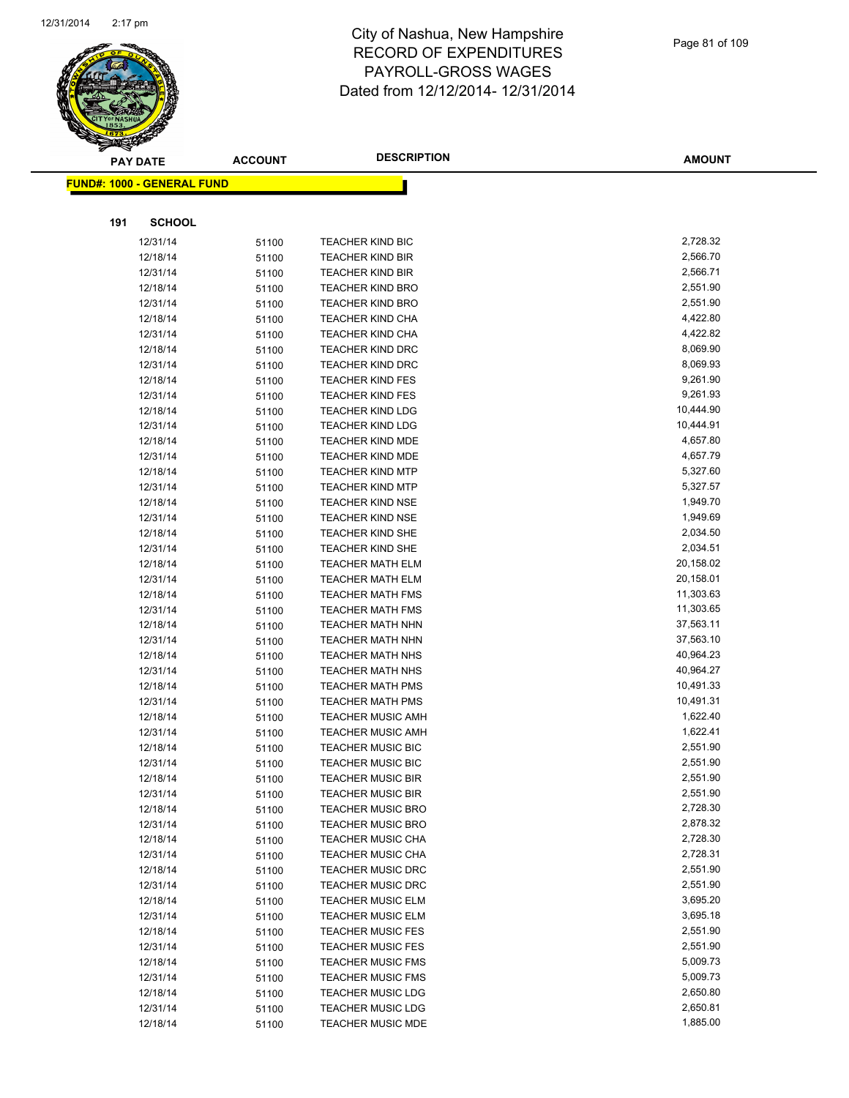

|     | <b>PAY DATE</b>            | <b>ACCOUNT</b> | <b>DESCRIPTION</b>                                 | <b>AMOUNT</b>          |
|-----|----------------------------|----------------|----------------------------------------------------|------------------------|
|     | FUND#: 1000 - GENERAL FUND |                |                                                    |                        |
|     |                            |                |                                                    |                        |
| 191 | <b>SCHOOL</b>              |                |                                                    |                        |
|     | 12/31/14                   | 51100          | <b>TEACHER KIND BIC</b>                            | 2,728.32               |
|     | 12/18/14                   | 51100          | <b>TEACHER KIND BIR</b>                            | 2,566.70               |
|     | 12/31/14                   | 51100          | <b>TEACHER KIND BIR</b>                            | 2,566.71               |
|     | 12/18/14                   | 51100          | <b>TEACHER KIND BRO</b>                            | 2,551.90               |
|     | 12/31/14                   | 51100          | <b>TEACHER KIND BRO</b>                            | 2,551.90               |
|     | 12/18/14                   | 51100          | <b>TEACHER KIND CHA</b>                            | 4,422.80               |
|     | 12/31/14                   | 51100          | <b>TEACHER KIND CHA</b>                            | 4,422.82               |
|     | 12/18/14                   | 51100          | <b>TEACHER KIND DRC</b>                            | 8,069.90               |
|     | 12/31/14                   | 51100          | <b>TEACHER KIND DRC</b>                            | 8,069.93               |
|     | 12/18/14                   | 51100          | <b>TEACHER KIND FES</b>                            | 9,261.90               |
|     | 12/31/14                   | 51100          | <b>TEACHER KIND FES</b>                            | 9,261.93               |
|     | 12/18/14                   | 51100          | <b>TEACHER KIND LDG</b>                            | 10,444.90              |
|     | 12/31/14                   | 51100          | <b>TEACHER KIND LDG</b>                            | 10,444.91              |
|     | 12/18/14                   | 51100          | <b>TEACHER KIND MDE</b>                            | 4,657.80               |
|     | 12/31/14                   | 51100          | <b>TEACHER KIND MDE</b>                            | 4,657.79               |
|     | 12/18/14                   | 51100          | <b>TEACHER KIND MTP</b>                            | 5,327.60               |
|     | 12/31/14                   | 51100          | <b>TEACHER KIND MTP</b>                            | 5,327.57               |
|     | 12/18/14                   | 51100          | <b>TEACHER KIND NSE</b>                            | 1,949.70               |
|     | 12/31/14                   | 51100          | <b>TEACHER KIND NSE</b>                            | 1,949.69               |
|     | 12/18/14                   | 51100          | <b>TEACHER KIND SHE</b>                            | 2,034.50               |
|     | 12/31/14                   | 51100          | <b>TEACHER KIND SHE</b>                            | 2,034.51               |
|     | 12/18/14                   | 51100          | <b>TEACHER MATH ELM</b>                            | 20,158.02<br>20,158.01 |
|     | 12/31/14                   | 51100          | <b>TEACHER MATH ELM</b>                            | 11,303.63              |
|     | 12/18/14<br>12/31/14       | 51100          | <b>TEACHER MATH FMS</b><br><b>TEACHER MATH FMS</b> | 11,303.65              |
|     | 12/18/14                   | 51100<br>51100 | <b>TEACHER MATH NHN</b>                            | 37,563.11              |
|     | 12/31/14                   | 51100          | <b>TEACHER MATH NHN</b>                            | 37,563.10              |
|     | 12/18/14                   | 51100          | <b>TEACHER MATH NHS</b>                            | 40,964.23              |
|     | 12/31/14                   | 51100          | <b>TEACHER MATH NHS</b>                            | 40,964.27              |
|     | 12/18/14                   | 51100          | <b>TEACHER MATH PMS</b>                            | 10,491.33              |
|     | 12/31/14                   | 51100          | <b>TEACHER MATH PMS</b>                            | 10,491.31              |
|     | 12/18/14                   | 51100          | <b>TEACHER MUSIC AMH</b>                           | 1,622.40               |
|     | 12/31/14                   | 51100          | <b>TEACHER MUSIC AMH</b>                           | 1,622.41               |
|     | 12/18/14                   | 51100          | <b>TEACHER MUSIC BIC</b>                           | 2,551.90               |
|     | 12/31/14                   | 51100          | <b>TEACHER MUSIC BIC</b>                           | 2,551.90               |
|     | 12/18/14                   | 51100          | <b>TEACHER MUSIC BIR</b>                           | 2,551.90               |
|     | 12/31/14                   | 51100          | <b>TEACHER MUSIC BIR</b>                           | 2,551.90               |
|     | 12/18/14                   | 51100          | <b>TEACHER MUSIC BRO</b>                           | 2,728.30               |
|     | 12/31/14                   | 51100          | <b>TEACHER MUSIC BRO</b>                           | 2,878.32               |
|     | 12/18/14                   | 51100          | <b>TEACHER MUSIC CHA</b>                           | 2,728.30               |
|     | 12/31/14                   | 51100          | <b>TEACHER MUSIC CHA</b>                           | 2,728.31               |
|     | 12/18/14                   | 51100          | <b>TEACHER MUSIC DRC</b>                           | 2,551.90               |
|     | 12/31/14                   | 51100          | <b>TEACHER MUSIC DRC</b>                           | 2,551.90               |
|     | 12/18/14                   | 51100          | <b>TEACHER MUSIC ELM</b>                           | 3,695.20               |
|     | 12/31/14                   | 51100          | <b>TEACHER MUSIC ELM</b>                           | 3,695.18               |
|     | 12/18/14                   | 51100          | <b>TEACHER MUSIC FES</b>                           | 2,551.90               |
|     | 12/31/14                   | 51100          | <b>TEACHER MUSIC FES</b>                           | 2,551.90               |
|     | 12/18/14                   | 51100          | <b>TEACHER MUSIC FMS</b>                           | 5,009.73               |
|     | 12/31/14                   | 51100          | <b>TEACHER MUSIC FMS</b>                           | 5,009.73               |
|     | 12/18/14                   | 51100          | <b>TEACHER MUSIC LDG</b>                           | 2,650.80               |
|     | 12/31/14                   | 51100          | <b>TEACHER MUSIC LDG</b>                           | 2,650.81               |
|     | 12/18/14                   | 51100          | <b>TEACHER MUSIC MDE</b>                           | 1,885.00               |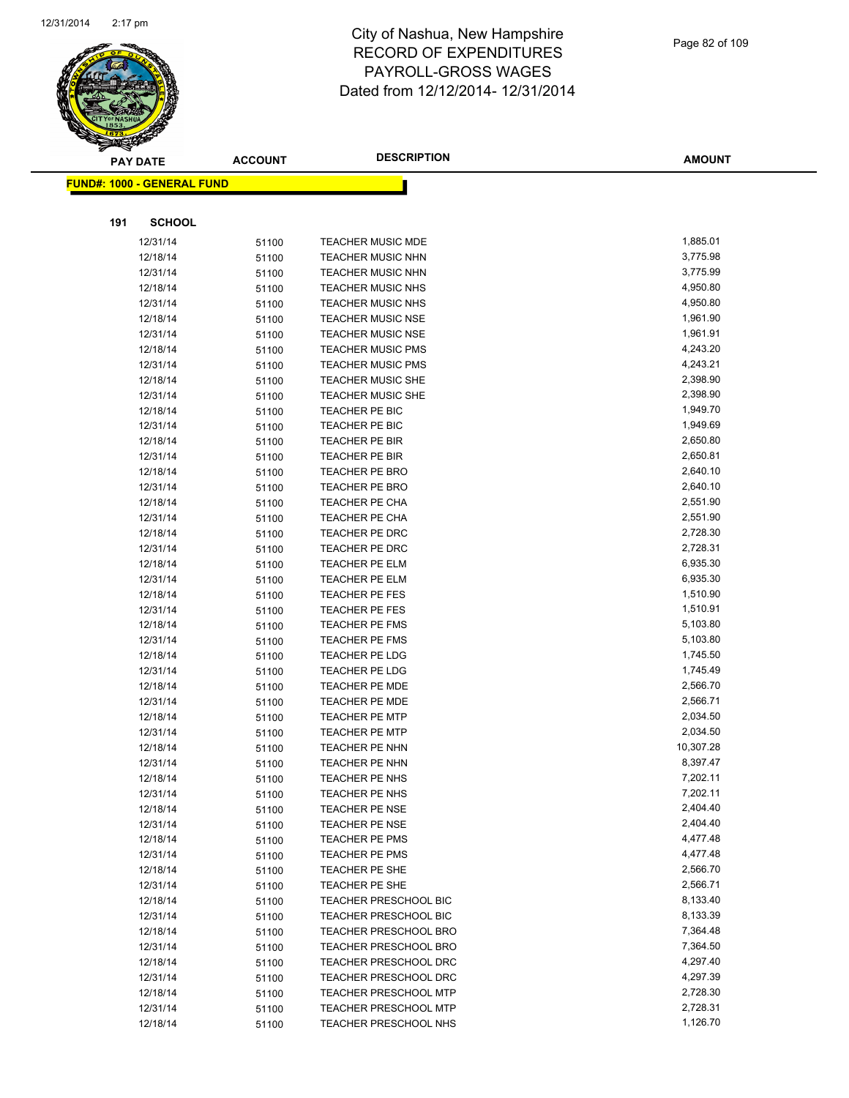

|     | <b>PAY DATE</b>                    | <b>ACCOUNT</b> | <b>DESCRIPTION</b>           | <b>AMOUNT</b> |
|-----|------------------------------------|----------------|------------------------------|---------------|
|     | <u> FUND#: 1000 - GENERAL FUND</u> |                |                              |               |
|     |                                    |                |                              |               |
| 191 | <b>SCHOOL</b>                      |                |                              |               |
|     | 12/31/14                           | 51100          | <b>TEACHER MUSIC MDE</b>     | 1,885.01      |
|     | 12/18/14                           | 51100          | <b>TEACHER MUSIC NHN</b>     | 3,775.98      |
|     | 12/31/14                           | 51100          | <b>TEACHER MUSIC NHN</b>     | 3,775.99      |
|     | 12/18/14                           | 51100          | <b>TEACHER MUSIC NHS</b>     | 4,950.80      |
|     | 12/31/14                           | 51100          | <b>TEACHER MUSIC NHS</b>     | 4,950.80      |
|     | 12/18/14                           | 51100          | <b>TEACHER MUSIC NSE</b>     | 1,961.90      |
|     | 12/31/14                           | 51100          | <b>TEACHER MUSIC NSE</b>     | 1,961.91      |
|     | 12/18/14                           | 51100          | <b>TEACHER MUSIC PMS</b>     | 4,243.20      |
|     | 12/31/14                           | 51100          | <b>TEACHER MUSIC PMS</b>     | 4,243.21      |
|     | 12/18/14                           | 51100          | <b>TEACHER MUSIC SHE</b>     | 2,398.90      |
|     | 12/31/14                           | 51100          | <b>TEACHER MUSIC SHE</b>     | 2,398.90      |
|     | 12/18/14                           | 51100          | TEACHER PE BIC               | 1,949.70      |
|     | 12/31/14                           | 51100          | TEACHER PE BIC               | 1,949.69      |
|     | 12/18/14                           | 51100          | TEACHER PE BIR               | 2,650.80      |
|     | 12/31/14                           | 51100          | TEACHER PE BIR               | 2,650.81      |
|     | 12/18/14                           | 51100          | <b>TEACHER PE BRO</b>        | 2,640.10      |
|     | 12/31/14                           | 51100          | <b>TEACHER PE BRO</b>        | 2,640.10      |
|     | 12/18/14                           | 51100          | TEACHER PE CHA               | 2,551.90      |
|     | 12/31/14                           | 51100          | TEACHER PE CHA               | 2,551.90      |
|     | 12/18/14                           | 51100          | TEACHER PE DRC               | 2,728.30      |
|     | 12/31/14                           | 51100          | TEACHER PE DRC               | 2,728.31      |
|     | 12/18/14                           | 51100          | <b>TEACHER PE ELM</b>        | 6,935.30      |
|     | 12/31/14                           | 51100          | <b>TEACHER PE ELM</b>        | 6,935.30      |
|     | 12/18/14                           | 51100          | <b>TEACHER PE FES</b>        | 1,510.90      |
|     | 12/31/14                           | 51100          | <b>TEACHER PE FES</b>        | 1,510.91      |
|     | 12/18/14                           | 51100          | <b>TEACHER PE FMS</b>        | 5,103.80      |
|     | 12/31/14                           | 51100          | <b>TEACHER PE FMS</b>        | 5,103.80      |
|     | 12/18/14                           | 51100          | <b>TEACHER PE LDG</b>        | 1,745.50      |
|     | 12/31/14                           | 51100          | TEACHER PE LDG               | 1,745.49      |
|     | 12/18/14                           | 51100          | <b>TEACHER PE MDE</b>        | 2,566.70      |
|     | 12/31/14                           | 51100          | TEACHER PE MDE               | 2,566.71      |
|     | 12/18/14                           | 51100          | <b>TEACHER PE MTP</b>        | 2,034.50      |
|     | 12/31/14                           | 51100          | <b>TEACHER PE MTP</b>        | 2,034.50      |
|     | 12/18/14                           | 51100          | <b>TEACHER PE NHN</b>        | 10,307.28     |
|     | 12/31/14                           | 51100          | <b>TEACHER PE NHN</b>        | 8,397.47      |
|     | 12/18/14                           | 51100          | <b>TEACHER PE NHS</b>        | 7,202.11      |
|     | 12/31/14                           | 51100          | <b>TEACHER PE NHS</b>        | 7,202.11      |
|     | 12/18/14                           | 51100          | <b>TEACHER PE NSE</b>        | 2,404.40      |
|     | 12/31/14                           | 51100          | <b>TEACHER PE NSE</b>        | 2,404.40      |
|     | 12/18/14                           | 51100          | <b>TEACHER PE PMS</b>        | 4,477.48      |
|     | 12/31/14                           | 51100          | <b>TEACHER PE PMS</b>        | 4,477.48      |
|     | 12/18/14                           | 51100          | TEACHER PE SHE               | 2,566.70      |
|     | 12/31/14                           | 51100          | TEACHER PE SHE               | 2,566.71      |
|     | 12/18/14                           | 51100          | <b>TEACHER PRESCHOOL BIC</b> | 8,133.40      |
|     | 12/31/14                           | 51100          | <b>TEACHER PRESCHOOL BIC</b> | 8,133.39      |
|     | 12/18/14                           | 51100          | <b>TEACHER PRESCHOOL BRO</b> | 7,364.48      |
|     | 12/31/14                           | 51100          | <b>TEACHER PRESCHOOL BRO</b> | 7,364.50      |
|     | 12/18/14                           | 51100          | <b>TEACHER PRESCHOOL DRC</b> | 4,297.40      |
|     | 12/31/14                           | 51100          | TEACHER PRESCHOOL DRC        | 4,297.39      |
|     | 12/18/14                           | 51100          | <b>TEACHER PRESCHOOL MTP</b> | 2,728.30      |
|     | 12/31/14                           | 51100          | <b>TEACHER PRESCHOOL MTP</b> | 2,728.31      |
|     | 12/18/14                           | 51100          | TEACHER PRESCHOOL NHS        | 1,126.70      |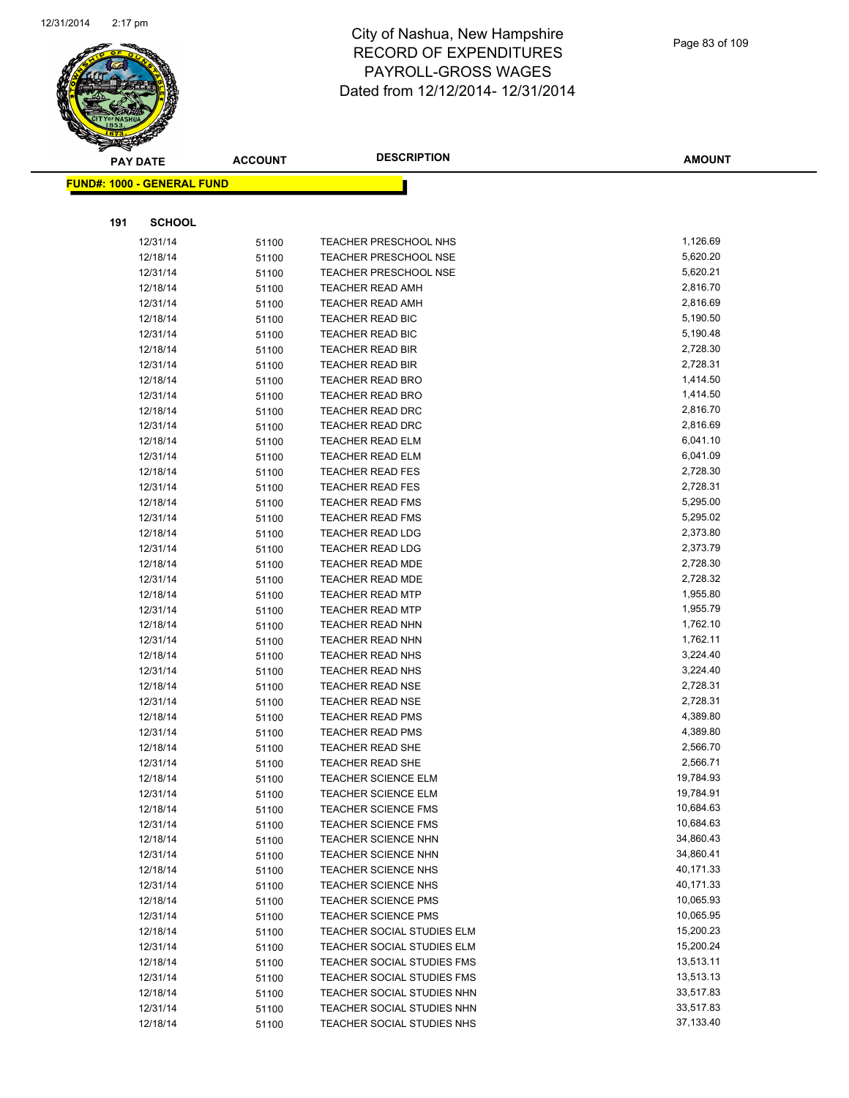

|     | <b>PAY DATE</b>                   | <b>ACCOUNT</b> | <b>DESCRIPTION</b>                                       | <b>AMOUNT</b>          |
|-----|-----------------------------------|----------------|----------------------------------------------------------|------------------------|
|     | <b>FUND#: 1000 - GENERAL FUND</b> |                |                                                          |                        |
|     |                                   |                |                                                          |                        |
| 191 | <b>SCHOOL</b>                     |                |                                                          |                        |
|     | 12/31/14                          | 51100          | <b>TEACHER PRESCHOOL NHS</b>                             | 1,126.69               |
|     | 12/18/14                          | 51100          | <b>TEACHER PRESCHOOL NSE</b>                             | 5,620.20               |
|     | 12/31/14                          | 51100          | <b>TEACHER PRESCHOOL NSE</b>                             | 5,620.21               |
|     | 12/18/14                          | 51100          | <b>TEACHER READ AMH</b>                                  | 2,816.70               |
|     | 12/31/14                          | 51100          | <b>TEACHER READ AMH</b>                                  | 2,816.69               |
|     | 12/18/14                          | 51100          | <b>TEACHER READ BIC</b>                                  | 5,190.50               |
|     | 12/31/14                          | 51100          | TEACHER READ BIC                                         | 5,190.48               |
|     | 12/18/14                          | 51100          | <b>TEACHER READ BIR</b>                                  | 2,728.30               |
|     | 12/31/14                          | 51100          | <b>TEACHER READ BIR</b>                                  | 2,728.31               |
|     | 12/18/14                          | 51100          | <b>TEACHER READ BRO</b>                                  | 1,414.50               |
|     | 12/31/14                          | 51100          | <b>TEACHER READ BRO</b>                                  | 1,414.50               |
|     | 12/18/14                          | 51100          | TEACHER READ DRC                                         | 2,816.70               |
|     | 12/31/14                          | 51100          | TEACHER READ DRC                                         | 2,816.69               |
|     | 12/18/14                          | 51100          | <b>TEACHER READ ELM</b>                                  | 6,041.10               |
|     | 12/31/14                          | 51100          | <b>TEACHER READ ELM</b>                                  | 6,041.09               |
|     | 12/18/14                          | 51100          | <b>TEACHER READ FES</b>                                  | 2,728.30               |
|     | 12/31/14                          | 51100          | <b>TEACHER READ FES</b>                                  | 2,728.31               |
|     | 12/18/14                          | 51100          | <b>TEACHER READ FMS</b>                                  | 5,295.00               |
|     | 12/31/14                          | 51100          | <b>TEACHER READ FMS</b>                                  | 5,295.02               |
|     | 12/18/14                          | 51100          | <b>TEACHER READ LDG</b>                                  | 2,373.80               |
|     | 12/31/14                          | 51100          | <b>TEACHER READ LDG</b>                                  | 2,373.79               |
|     | 12/18/14                          | 51100          | <b>TEACHER READ MDE</b>                                  | 2,728.30               |
|     | 12/31/14                          | 51100          | <b>TEACHER READ MDE</b>                                  | 2,728.32               |
|     | 12/18/14                          | 51100          | <b>TEACHER READ MTP</b>                                  | 1,955.80               |
|     | 12/31/14                          | 51100          | <b>TEACHER READ MTP</b>                                  | 1,955.79               |
|     | 12/18/14                          | 51100          | <b>TEACHER READ NHN</b>                                  | 1,762.10               |
|     | 12/31/14                          | 51100          | <b>TEACHER READ NHN</b>                                  | 1,762.11               |
|     | 12/18/14                          | 51100          | <b>TEACHER READ NHS</b>                                  | 3,224.40               |
|     | 12/31/14                          | 51100          | TEACHER READ NHS                                         | 3,224.40               |
|     | 12/18/14                          | 51100          | <b>TEACHER READ NSE</b>                                  | 2,728.31               |
|     | 12/31/14                          | 51100          | <b>TEACHER READ NSE</b>                                  | 2,728.31               |
|     | 12/18/14                          | 51100          | <b>TEACHER READ PMS</b>                                  | 4,389.80               |
|     | 12/31/14                          | 51100          | <b>TEACHER READ PMS</b>                                  | 4,389.80               |
|     | 12/18/14                          | 51100          | <b>TEACHER READ SHE</b>                                  | 2,566.70               |
|     | 12/31/14                          | 51100          | <b>TEACHER READ SHE</b>                                  | 2,566.71               |
|     | 12/18/14<br>12/31/14              | 51100          | <b>TEACHER SCIENCE ELM</b>                               | 19,784.93<br>19,784.91 |
|     | 12/18/14                          | 51100          | <b>TEACHER SCIENCE ELM</b>                               | 10,684.63              |
|     |                                   | 51100          | <b>TEACHER SCIENCE FMS</b>                               | 10,684.63              |
|     | 12/31/14<br>12/18/14              | 51100          | <b>TEACHER SCIENCE FMS</b><br><b>TEACHER SCIENCE NHN</b> | 34,860.43              |
|     | 12/31/14                          | 51100<br>51100 | <b>TEACHER SCIENCE NHN</b>                               | 34,860.41              |
|     | 12/18/14                          |                | <b>TEACHER SCIENCE NHS</b>                               | 40,171.33              |
|     | 12/31/14                          | 51100<br>51100 | <b>TEACHER SCIENCE NHS</b>                               | 40,171.33              |
|     | 12/18/14                          | 51100          | <b>TEACHER SCIENCE PMS</b>                               | 10,065.93              |
|     | 12/31/14                          | 51100          | <b>TEACHER SCIENCE PMS</b>                               | 10,065.95              |
|     | 12/18/14                          | 51100          | TEACHER SOCIAL STUDIES ELM                               | 15,200.23              |
|     | 12/31/14                          | 51100          | TEACHER SOCIAL STUDIES ELM                               | 15,200.24              |
|     | 12/18/14                          | 51100          | TEACHER SOCIAL STUDIES FMS                               | 13,513.11              |
|     | 12/31/14                          | 51100          | TEACHER SOCIAL STUDIES FMS                               | 13,513.13              |
|     | 12/18/14                          | 51100          | TEACHER SOCIAL STUDIES NHN                               | 33,517.83              |
|     | 12/31/14                          | 51100          | TEACHER SOCIAL STUDIES NHN                               | 33,517.83              |
|     | 12/18/14                          | 51100          | TEACHER SOCIAL STUDIES NHS                               | 37,133.40              |
|     |                                   |                |                                                          |                        |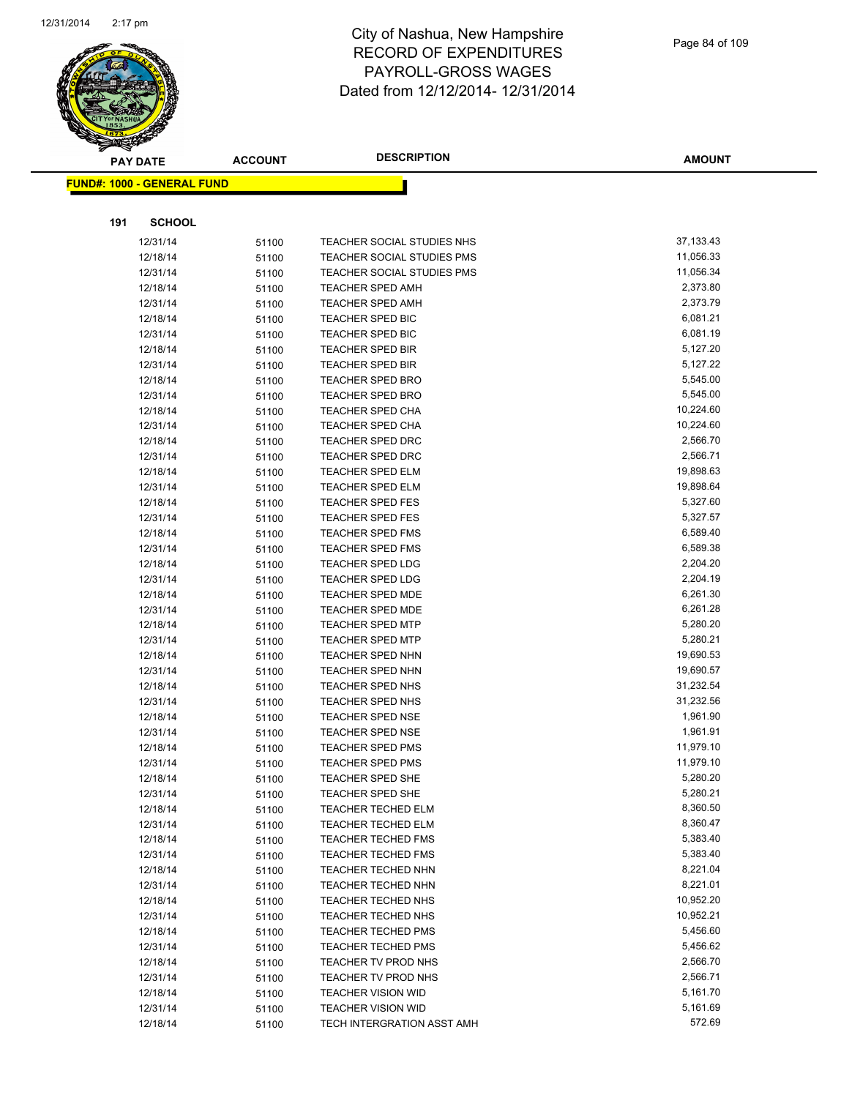

**AMOUNT**

|     | <u> FUND#: 1000 - GENERAL FUND</u> |                |                                                    |                      |
|-----|------------------------------------|----------------|----------------------------------------------------|----------------------|
|     |                                    |                |                                                    |                      |
|     |                                    |                |                                                    |                      |
| 191 | <b>SCHOOL</b>                      |                |                                                    |                      |
|     | 12/31/14                           | 51100          | TEACHER SOCIAL STUDIES NHS                         | 37,133.43            |
|     | 12/18/14                           | 51100          | TEACHER SOCIAL STUDIES PMS                         | 11,056.33            |
|     | 12/31/14                           | 51100          | TEACHER SOCIAL STUDIES PMS                         | 11,056.34            |
|     | 12/18/14                           | 51100          | <b>TEACHER SPED AMH</b>                            | 2,373.80             |
|     | 12/31/14                           | 51100          | <b>TEACHER SPED AMH</b>                            | 2,373.79             |
|     | 12/18/14                           | 51100          | <b>TEACHER SPED BIC</b>                            | 6,081.21             |
|     | 12/31/14                           | 51100          | <b>TEACHER SPED BIC</b>                            | 6,081.19             |
|     | 12/18/14                           | 51100          | <b>TEACHER SPED BIR</b>                            | 5,127.20             |
|     | 12/31/14                           | 51100          | <b>TEACHER SPED BIR</b>                            | 5,127.22             |
|     | 12/18/14                           | 51100          | <b>TEACHER SPED BRO</b>                            | 5,545.00             |
|     | 12/31/14                           | 51100          | <b>TEACHER SPED BRO</b>                            | 5,545.00             |
|     | 12/18/14                           | 51100          | <b>TEACHER SPED CHA</b>                            | 10,224.60            |
|     | 12/31/14                           | 51100          | <b>TEACHER SPED CHA</b>                            | 10,224.60            |
|     | 12/18/14                           | 51100          | <b>TEACHER SPED DRC</b>                            | 2,566.70             |
|     | 12/31/14                           | 51100          | <b>TEACHER SPED DRC</b>                            | 2,566.71             |
|     | 12/18/14                           | 51100          | <b>TEACHER SPED ELM</b>                            | 19,898.63            |
|     | 12/31/14                           | 51100          | <b>TEACHER SPED ELM</b>                            | 19,898.64            |
|     | 12/18/14                           | 51100          | <b>TEACHER SPED FES</b>                            | 5,327.60             |
|     | 12/31/14                           | 51100          | <b>TEACHER SPED FES</b>                            | 5,327.57             |
|     | 12/18/14                           | 51100          | <b>TEACHER SPED FMS</b>                            | 6,589.40             |
|     | 12/31/14                           | 51100          | <b>TEACHER SPED FMS</b>                            | 6,589.38             |
|     | 12/18/14                           | 51100          | <b>TEACHER SPED LDG</b>                            | 2,204.20             |
|     | 12/31/14                           | 51100          | <b>TEACHER SPED LDG</b>                            | 2,204.19<br>6,261.30 |
|     | 12/18/14                           | 51100          | TEACHER SPED MDE                                   | 6,261.28             |
|     | 12/31/14<br>12/18/14               | 51100          | <b>TEACHER SPED MDE</b><br><b>TEACHER SPED MTP</b> | 5,280.20             |
|     | 12/31/14                           | 51100          | <b>TEACHER SPED MTP</b>                            | 5,280.21             |
|     | 12/18/14                           | 51100<br>51100 | <b>TEACHER SPED NHN</b>                            | 19,690.53            |
|     | 12/31/14                           | 51100          | TEACHER SPED NHN                                   | 19,690.57            |
|     | 12/18/14                           | 51100          | TEACHER SPED NHS                                   | 31,232.54            |
|     | 12/31/14                           | 51100          | TEACHER SPED NHS                                   | 31,232.56            |
|     | 12/18/14                           | 51100          | TEACHER SPED NSE                                   | 1,961.90             |
|     | 12/31/14                           | 51100          | <b>TEACHER SPED NSE</b>                            | 1,961.91             |
|     | 12/18/14                           | 51100          | <b>TEACHER SPED PMS</b>                            | 11,979.10            |
|     | 12/31/14                           | 51100          | <b>TEACHER SPED PMS</b>                            | 11,979.10            |
|     | 12/18/14                           | 51100          | TEACHER SPED SHE                                   | 5,280.20             |
|     | 12/31/14                           | 51100          | TEACHER SPED SHE                                   | 5,280.21             |
|     | 12/18/14                           | 51100          | <b>TEACHER TECHED ELM</b>                          | 8,360.50             |
|     | 12/31/14                           | 51100          | <b>TEACHER TECHED ELM</b>                          | 8,360.47             |
|     | 12/18/14                           | 51100          | <b>TEACHER TECHED FMS</b>                          | 5,383.40             |
|     | 12/31/14                           | 51100          | <b>TEACHER TECHED FMS</b>                          | 5,383.40             |
|     | 12/18/14                           | 51100          | <b>TEACHER TECHED NHN</b>                          | 8,221.04             |
|     | 12/31/14                           | 51100          | TEACHER TECHED NHN                                 | 8,221.01             |
|     | 12/18/14                           | 51100          | TEACHER TECHED NHS                                 | 10,952.20            |
|     | 12/31/14                           | 51100          | TEACHER TECHED NHS                                 | 10,952.21            |
|     | 12/18/14                           | 51100          | <b>TEACHER TECHED PMS</b>                          | 5,456.60             |
|     | 12/31/14                           | 51100          | <b>TEACHER TECHED PMS</b>                          | 5,456.62             |
|     | 12/18/14                           | 51100          | TEACHER TV PROD NHS                                | 2,566.70             |
|     | 12/31/14                           | 51100          | TEACHER TV PROD NHS                                | 2,566.71             |
|     | 12/18/14                           | 51100          | <b>TEACHER VISION WID</b>                          | 5,161.70             |
|     | 12/31/14                           | 51100          | <b>TEACHER VISION WID</b>                          | 5,161.69             |
|     | 12/18/14                           | 51100          | TECH INTERGRATION ASST AMH                         | 572.69               |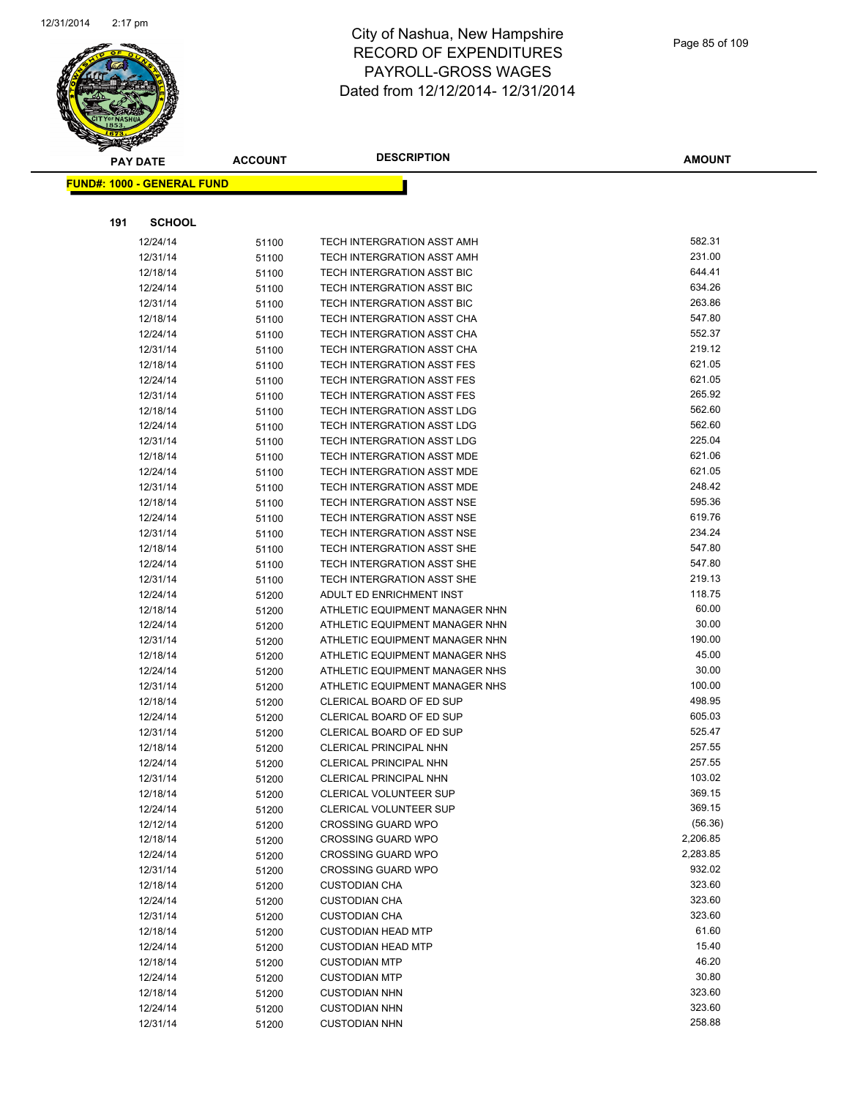

| <b>FUND#: 1000 - GENERAL FUND</b><br>191<br><b>SCHOOL</b><br>582.31<br>12/24/14<br>TECH INTERGRATION ASST AMH<br>51100<br>231.00<br>12/31/14<br>TECH INTERGRATION ASST AMH<br>51100<br>644.41<br>12/18/14<br>TECH INTERGRATION ASST BIC<br>51100<br>634.26<br>12/24/14<br>TECH INTERGRATION ASST BIC<br>51100 |  |
|---------------------------------------------------------------------------------------------------------------------------------------------------------------------------------------------------------------------------------------------------------------------------------------------------------------|--|
|                                                                                                                                                                                                                                                                                                               |  |
|                                                                                                                                                                                                                                                                                                               |  |
|                                                                                                                                                                                                                                                                                                               |  |
|                                                                                                                                                                                                                                                                                                               |  |
|                                                                                                                                                                                                                                                                                                               |  |
|                                                                                                                                                                                                                                                                                                               |  |
|                                                                                                                                                                                                                                                                                                               |  |
| 263.86<br>12/31/14<br>TECH INTERGRATION ASST BIC<br>51100                                                                                                                                                                                                                                                     |  |
| 547.80<br>12/18/14<br>TECH INTERGRATION ASST CHA<br>51100                                                                                                                                                                                                                                                     |  |
| 552.37<br>TECH INTERGRATION ASST CHA<br>12/24/14<br>51100                                                                                                                                                                                                                                                     |  |
| 219.12<br>TECH INTERGRATION ASST CHA<br>12/31/14<br>51100                                                                                                                                                                                                                                                     |  |
| 621.05<br>12/18/14<br>TECH INTERGRATION ASST FES<br>51100                                                                                                                                                                                                                                                     |  |
| 621.05<br>12/24/14<br>TECH INTERGRATION ASST FES<br>51100                                                                                                                                                                                                                                                     |  |
| 265.92<br>12/31/14<br>TECH INTERGRATION ASST FES<br>51100                                                                                                                                                                                                                                                     |  |
| 562.60<br>12/18/14<br>TECH INTERGRATION ASST LDG<br>51100                                                                                                                                                                                                                                                     |  |
| 562.60<br>12/24/14<br><b>TECH INTERGRATION ASST LDG</b><br>51100                                                                                                                                                                                                                                              |  |
| 225.04<br>12/31/14<br>TECH INTERGRATION ASST LDG<br>51100                                                                                                                                                                                                                                                     |  |
| 621.06<br>12/18/14<br>TECH INTERGRATION ASST MDE<br>51100                                                                                                                                                                                                                                                     |  |
| 621.05<br>12/24/14<br>TECH INTERGRATION ASST MDE<br>51100                                                                                                                                                                                                                                                     |  |
| 248.42<br>12/31/14<br>TECH INTERGRATION ASST MDE<br>51100                                                                                                                                                                                                                                                     |  |
| 595.36<br>12/18/14<br>TECH INTERGRATION ASST NSE<br>51100                                                                                                                                                                                                                                                     |  |
| 619.76<br>12/24/14<br>TECH INTERGRATION ASST NSE<br>51100                                                                                                                                                                                                                                                     |  |
| 234.24<br>TECH INTERGRATION ASST NSE<br>12/31/14<br>51100                                                                                                                                                                                                                                                     |  |
| 547.80<br>12/18/14<br><b>TECH INTERGRATION ASST SHE</b><br>51100                                                                                                                                                                                                                                              |  |
| 547.80<br>12/24/14<br>TECH INTERGRATION ASST SHE<br>51100                                                                                                                                                                                                                                                     |  |
| 219.13<br>12/31/14<br>TECH INTERGRATION ASST SHE<br>51100                                                                                                                                                                                                                                                     |  |
| 118.75<br>12/24/14<br>ADULT ED ENRICHMENT INST<br>51200                                                                                                                                                                                                                                                       |  |
| 60.00<br>12/18/14<br>ATHLETIC EQUIPMENT MANAGER NHN<br>51200                                                                                                                                                                                                                                                  |  |
| 30.00<br>12/24/14<br>ATHLETIC EQUIPMENT MANAGER NHN<br>51200                                                                                                                                                                                                                                                  |  |
| 190.00<br>12/31/14<br>ATHLETIC EQUIPMENT MANAGER NHN<br>51200                                                                                                                                                                                                                                                 |  |
| 45.00<br>12/18/14<br>ATHLETIC EQUIPMENT MANAGER NHS<br>51200<br>30.00                                                                                                                                                                                                                                         |  |
| 12/24/14<br>ATHLETIC EQUIPMENT MANAGER NHS<br>51200<br>100.00                                                                                                                                                                                                                                                 |  |
| 12/31/14<br>ATHLETIC EQUIPMENT MANAGER NHS<br>51200<br>498.95<br>12/18/14<br>CLERICAL BOARD OF ED SUP                                                                                                                                                                                                         |  |
| 51200<br>605.03<br>12/24/14<br>CLERICAL BOARD OF ED SUP                                                                                                                                                                                                                                                       |  |
| 51200<br>525.47<br>12/31/14<br>CLERICAL BOARD OF ED SUP                                                                                                                                                                                                                                                       |  |
| 51200<br>257.55<br>12/18/14<br><b>CLERICAL PRINCIPAL NHN</b>                                                                                                                                                                                                                                                  |  |
| 51200<br>257.55<br><b>CLERICAL PRINCIPAL NHN</b><br>12/24/14<br>51200                                                                                                                                                                                                                                         |  |
| 103.02<br>12/31/14<br>CLERICAL PRINCIPAL NHN<br>51200                                                                                                                                                                                                                                                         |  |
| 369.15<br>12/18/14<br>51200<br>CLERICAL VOLUNTEER SUP                                                                                                                                                                                                                                                         |  |
| 369.15<br>12/24/14<br>CLERICAL VOLUNTEER SUP<br>51200                                                                                                                                                                                                                                                         |  |
| (56.36)<br>12/12/14<br>51200<br><b>CROSSING GUARD WPO</b>                                                                                                                                                                                                                                                     |  |
| 2,206.85<br><b>CROSSING GUARD WPO</b><br>12/18/14<br>51200                                                                                                                                                                                                                                                    |  |
| 2,283.85<br>12/24/14<br><b>CROSSING GUARD WPO</b><br>51200                                                                                                                                                                                                                                                    |  |
| 932.02<br>12/31/14<br><b>CROSSING GUARD WPO</b><br>51200                                                                                                                                                                                                                                                      |  |
| 323.60<br>12/18/14<br><b>CUSTODIAN CHA</b><br>51200                                                                                                                                                                                                                                                           |  |
| 323.60<br>12/24/14<br>51200<br><b>CUSTODIAN CHA</b>                                                                                                                                                                                                                                                           |  |
| 323.60<br>12/31/14<br><b>CUSTODIAN CHA</b><br>51200                                                                                                                                                                                                                                                           |  |
| 61.60<br>12/18/14<br><b>CUSTODIAN HEAD MTP</b><br>51200                                                                                                                                                                                                                                                       |  |
| 15.40<br>12/24/14<br><b>CUSTODIAN HEAD MTP</b><br>51200                                                                                                                                                                                                                                                       |  |
| 46.20<br>12/18/14<br>51200<br><b>CUSTODIAN MTP</b>                                                                                                                                                                                                                                                            |  |
| 30.80<br>12/24/14<br><b>CUSTODIAN MTP</b><br>51200                                                                                                                                                                                                                                                            |  |
| 323.60<br>12/18/14<br>51200<br><b>CUSTODIAN NHN</b>                                                                                                                                                                                                                                                           |  |
| 323.60<br>12/24/14<br><b>CUSTODIAN NHN</b><br>51200                                                                                                                                                                                                                                                           |  |
| 258.88<br>12/31/14<br>51200<br><b>CUSTODIAN NHN</b>                                                                                                                                                                                                                                                           |  |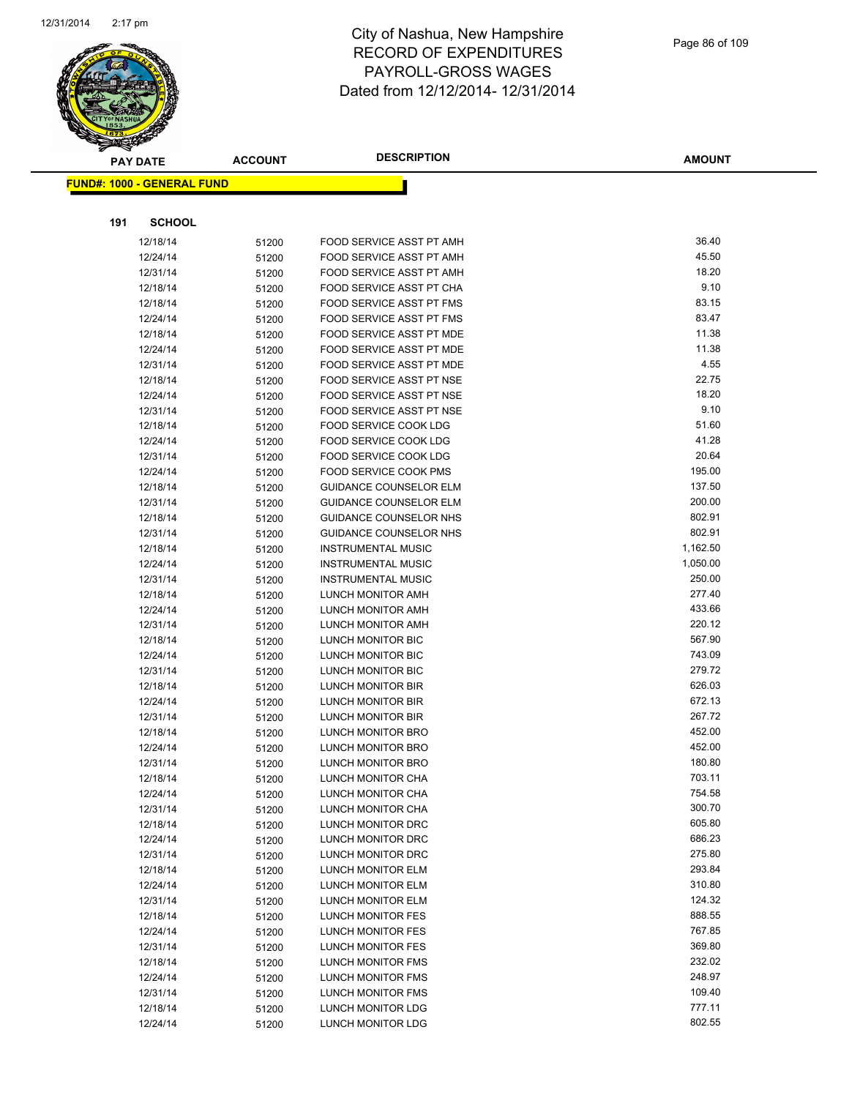

|     | <b>PAY DATE</b>                    | ACCOUNT        | <b>DESCRIPTION</b>                                         | <b>AMOUNT</b>    |
|-----|------------------------------------|----------------|------------------------------------------------------------|------------------|
|     | <u> FUND#: 1000 - GENERAL FUND</u> |                |                                                            |                  |
|     |                                    |                |                                                            |                  |
|     |                                    |                |                                                            |                  |
| 191 | <b>SCHOOL</b>                      |                |                                                            |                  |
|     | 12/18/14                           | 51200          | FOOD SERVICE ASST PT AMH                                   | 36.40            |
|     | 12/24/14                           | 51200          | FOOD SERVICE ASST PT AMH                                   | 45.50            |
|     | 12/31/14                           | 51200          | FOOD SERVICE ASST PT AMH                                   | 18.20            |
|     | 12/18/14                           | 51200          | FOOD SERVICE ASST PT CHA                                   | 9.10             |
|     | 12/18/14                           | 51200          | FOOD SERVICE ASST PT FMS                                   | 83.15            |
|     | 12/24/14                           | 51200          | FOOD SERVICE ASST PT FMS                                   | 83.47            |
|     | 12/18/14                           | 51200          | FOOD SERVICE ASST PT MDE                                   | 11.38            |
|     | 12/24/14                           | 51200          | FOOD SERVICE ASST PT MDE                                   | 11.38            |
|     | 12/31/14                           | 51200          | FOOD SERVICE ASST PT MDE                                   | 4.55             |
|     | 12/18/14                           | 51200          | FOOD SERVICE ASST PT NSE                                   | 22.75            |
|     | 12/24/14                           | 51200          | FOOD SERVICE ASST PT NSE                                   | 18.20            |
|     | 12/31/14                           | 51200          | FOOD SERVICE ASST PT NSE                                   | 9.10             |
|     | 12/18/14                           | 51200          | FOOD SERVICE COOK LDG                                      | 51.60            |
|     | 12/24/14                           | 51200          | FOOD SERVICE COOK LDG                                      | 41.28            |
|     | 12/31/14                           | 51200          | FOOD SERVICE COOK LDG                                      | 20.64<br>195.00  |
|     | 12/24/14                           | 51200          | FOOD SERVICE COOK PMS                                      |                  |
|     | 12/18/14                           | 51200          | <b>GUIDANCE COUNSELOR ELM</b>                              | 137.50<br>200.00 |
|     | 12/31/14<br>12/18/14               | 51200          | <b>GUIDANCE COUNSELOR ELM</b>                              | 802.91           |
|     |                                    | 51200          | GUIDANCE COUNSELOR NHS                                     | 802.91           |
|     | 12/31/14<br>12/18/14               | 51200          | <b>GUIDANCE COUNSELOR NHS</b><br><b>INSTRUMENTAL MUSIC</b> | 1,162.50         |
|     | 12/24/14                           | 51200          | <b>INSTRUMENTAL MUSIC</b>                                  | 1,050.00         |
|     | 12/31/14                           | 51200          | <b>INSTRUMENTAL MUSIC</b>                                  | 250.00           |
|     | 12/18/14                           | 51200<br>51200 | LUNCH MONITOR AMH                                          | 277.40           |
|     | 12/24/14                           |                | LUNCH MONITOR AMH                                          | 433.66           |
|     | 12/31/14                           | 51200<br>51200 | LUNCH MONITOR AMH                                          | 220.12           |
|     | 12/18/14                           | 51200          | LUNCH MONITOR BIC                                          | 567.90           |
|     | 12/24/14                           | 51200          | LUNCH MONITOR BIC                                          | 743.09           |
|     | 12/31/14                           | 51200          | LUNCH MONITOR BIC                                          | 279.72           |
|     | 12/18/14                           | 51200          | LUNCH MONITOR BIR                                          | 626.03           |
|     | 12/24/14                           | 51200          | LUNCH MONITOR BIR                                          | 672.13           |
|     | 12/31/14                           | 51200          | LUNCH MONITOR BIR                                          | 267.72           |
|     | 12/18/14                           | 51200          | LUNCH MONITOR BRO                                          | 452.00           |
|     | 12/24/14                           | 51200          | LUNCH MONITOR BRO                                          | 452.00           |
|     | 12/31/14                           | 51200          | <b>LUNCH MONITOR BRO</b>                                   | 180.80           |
|     | 12/18/14                           | 51200          | LUNCH MONITOR CHA                                          | 703.11           |
|     | 12/24/14                           | 51200          | LUNCH MONITOR CHA                                          | 754.58           |
|     | 12/31/14                           | 51200          | LUNCH MONITOR CHA                                          | 300.70           |
|     | 12/18/14                           | 51200          | LUNCH MONITOR DRC                                          | 605.80           |
|     | 12/24/14                           | 51200          | LUNCH MONITOR DRC                                          | 686.23           |
|     | 12/31/14                           | 51200          | LUNCH MONITOR DRC                                          | 275.80           |
|     | 12/18/14                           | 51200          | LUNCH MONITOR ELM                                          | 293.84           |
|     | 12/24/14                           | 51200          | LUNCH MONITOR ELM                                          | 310.80           |
|     | 12/31/14                           | 51200          | LUNCH MONITOR ELM                                          | 124.32           |
|     | 12/18/14                           | 51200          | LUNCH MONITOR FES                                          | 888.55           |
|     | 12/24/14                           | 51200          | LUNCH MONITOR FES                                          | 767.85           |
|     | 12/31/14                           | 51200          | LUNCH MONITOR FES                                          | 369.80           |
|     | 12/18/14                           | 51200          | LUNCH MONITOR FMS                                          | 232.02           |
|     | 12/24/14                           | 51200          | LUNCH MONITOR FMS                                          | 248.97           |
|     | 12/31/14                           | 51200          | LUNCH MONITOR FMS                                          | 109.40           |
|     | 12/18/14                           | 51200          | LUNCH MONITOR LDG                                          | 777.11           |
|     | 12/24/14                           | 51200          | LUNCH MONITOR LDG                                          | 802.55           |
|     |                                    |                |                                                            |                  |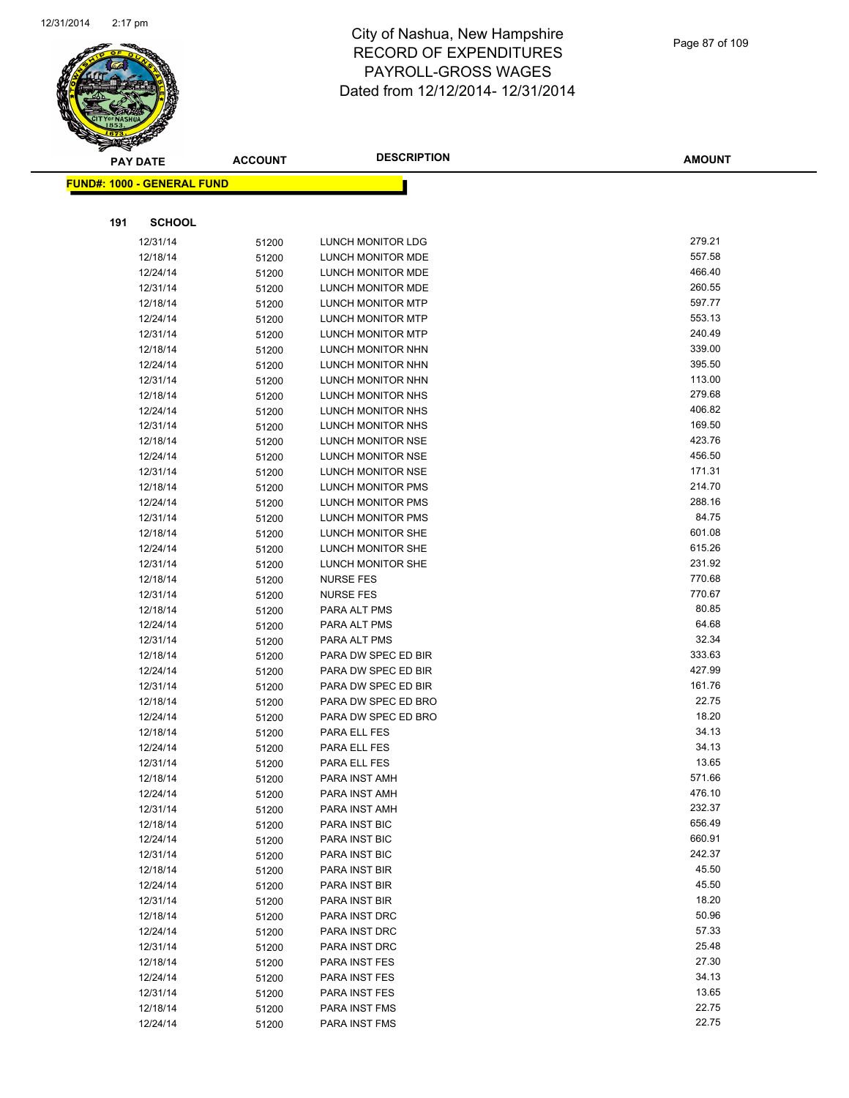

|     | <b>PAY DATE</b>                    | <b>ACCOUNT</b> | <b>DESCRIPTION</b>  | <b>AMOUNT</b> |
|-----|------------------------------------|----------------|---------------------|---------------|
|     | <u> FUND#: 1000 - GENERAL FUND</u> |                |                     |               |
|     |                                    |                |                     |               |
| 191 | <b>SCHOOL</b>                      |                |                     |               |
|     | 12/31/14                           | 51200          | LUNCH MONITOR LDG   | 279.21        |
|     | 12/18/14                           | 51200          | LUNCH MONITOR MDE   | 557.58        |
|     | 12/24/14                           | 51200          | LUNCH MONITOR MDE   | 466.40        |
|     | 12/31/14                           | 51200          | LUNCH MONITOR MDE   | 260.55        |
|     | 12/18/14                           | 51200          | LUNCH MONITOR MTP   | 597.77        |
|     | 12/24/14                           | 51200          | LUNCH MONITOR MTP   | 553.13        |
|     | 12/31/14                           | 51200          | LUNCH MONITOR MTP   | 240.49        |
|     | 12/18/14                           | 51200          | LUNCH MONITOR NHN   | 339.00        |
|     | 12/24/14                           | 51200          | LUNCH MONITOR NHN   | 395.50        |
|     | 12/31/14                           | 51200          | LUNCH MONITOR NHN   | 113.00        |
|     | 12/18/14                           | 51200          | LUNCH MONITOR NHS   | 279.68        |
|     | 12/24/14                           | 51200          | LUNCH MONITOR NHS   | 406.82        |
|     | 12/31/14                           | 51200          | LUNCH MONITOR NHS   | 169.50        |
|     | 12/18/14                           | 51200          | LUNCH MONITOR NSE   | 423.76        |
|     | 12/24/14                           | 51200          | LUNCH MONITOR NSE   | 456.50        |
|     | 12/31/14                           | 51200          | LUNCH MONITOR NSE   | 171.31        |
|     | 12/18/14                           | 51200          | LUNCH MONITOR PMS   | 214.70        |
|     | 12/24/14                           | 51200          | LUNCH MONITOR PMS   | 288.16        |
|     | 12/31/14                           | 51200          | LUNCH MONITOR PMS   | 84.75         |
|     | 12/18/14                           | 51200          | LUNCH MONITOR SHE   | 601.08        |
|     | 12/24/14                           | 51200          | LUNCH MONITOR SHE   | 615.26        |
|     | 12/31/14                           | 51200          | LUNCH MONITOR SHE   | 231.92        |
|     | 12/18/14                           | 51200          | <b>NURSE FES</b>    | 770.68        |
|     | 12/31/14                           | 51200          | <b>NURSE FES</b>    | 770.67        |
|     | 12/18/14                           | 51200          | PARA ALT PMS        | 80.85         |
|     | 12/24/14                           | 51200          | PARA ALT PMS        | 64.68         |
|     | 12/31/14                           | 51200          | PARA ALT PMS        | 32.34         |
|     | 12/18/14                           | 51200          | PARA DW SPEC ED BIR | 333.63        |
|     | 12/24/14                           | 51200          | PARA DW SPEC ED BIR | 427.99        |
|     | 12/31/14                           | 51200          | PARA DW SPEC ED BIR | 161.76        |
|     | 12/18/14                           | 51200          | PARA DW SPEC ED BRO | 22.75         |
|     | 12/24/14                           | 51200          | PARA DW SPEC ED BRO | 18.20         |
|     | 12/18/14                           | 51200          | PARA ELL FES        | 34.13         |
|     | 12/24/14                           | 51200          | PARA ELL FES        | 34.13         |
|     | 12/31/14                           | 51200          | PARA ELL FES        | 13.65         |
|     | 12/18/14                           | 51200          | PARA INST AMH       | 571.66        |
|     | 12/24/14                           | 51200          | PARA INST AMH       | 476.10        |
|     | 12/31/14                           | 51200          | PARA INST AMH       | 232.37        |
|     | 12/18/14                           | 51200          | PARA INST BIC       | 656.49        |
|     | 12/24/14                           | 51200          | PARA INST BIC       | 660.91        |
|     | 12/31/14                           | 51200          | PARA INST BIC       | 242.37        |
|     | 12/18/14                           | 51200          | PARA INST BIR       | 45.50         |
|     | 12/24/14                           | 51200          | PARA INST BIR       | 45.50         |
|     | 12/31/14                           | 51200          | PARA INST BIR       | 18.20         |
|     | 12/18/14                           | 51200          | PARA INST DRC       | 50.96         |
|     | 12/24/14                           | 51200          | PARA INST DRC       | 57.33         |
|     | 12/31/14                           | 51200          | PARA INST DRC       | 25.48         |
|     | 12/18/14                           | 51200          | PARA INST FES       | 27.30         |
|     | 12/24/14                           | 51200          | PARA INST FES       | 34.13         |
|     | 12/31/14                           | 51200          | PARA INST FES       | 13.65         |
|     | 12/18/14                           | 51200          | PARA INST FMS       | 22.75         |
|     | 12/24/14                           | 51200          | PARA INST FMS       | 22.75         |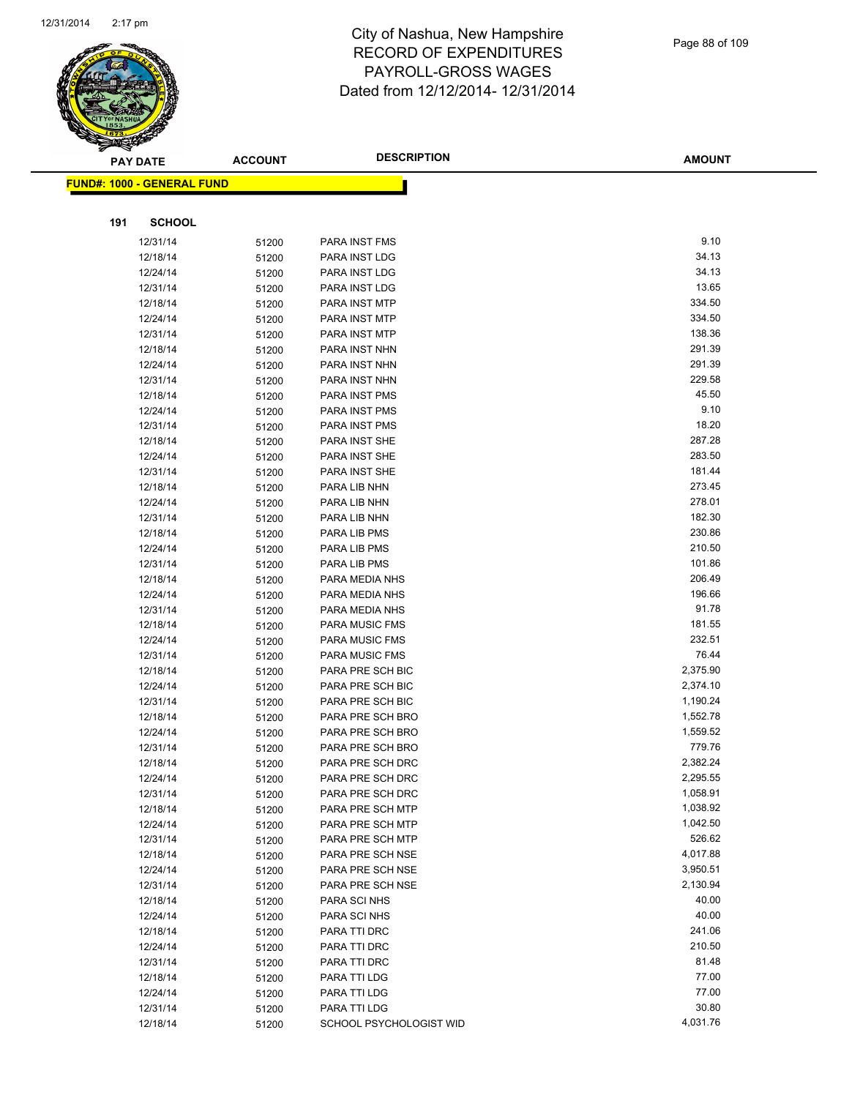

| ॼ   | <b>PAY DATE</b>                   | <b>ACCOUNT</b> | <b>DESCRIPTION</b>      | <b>AMOUNT</b> |
|-----|-----------------------------------|----------------|-------------------------|---------------|
|     | <b>FUND#: 1000 - GENERAL FUND</b> |                |                         |               |
|     |                                   |                |                         |               |
| 191 | <b>SCHOOL</b>                     |                |                         |               |
|     | 12/31/14                          |                | PARA INST FMS           | 9.10          |
|     | 12/18/14                          | 51200          | PARA INST LDG           | 34.13         |
|     | 12/24/14                          | 51200<br>51200 | PARA INST LDG           | 34.13         |
|     | 12/31/14                          | 51200          | PARA INST LDG           | 13.65         |
|     | 12/18/14                          | 51200          | PARA INST MTP           | 334.50        |
|     | 12/24/14                          | 51200          | PARA INST MTP           | 334.50        |
|     | 12/31/14                          | 51200          | PARA INST MTP           | 138.36        |
|     | 12/18/14                          | 51200          | PARA INST NHN           | 291.39        |
|     | 12/24/14                          | 51200          | PARA INST NHN           | 291.39        |
|     | 12/31/14                          | 51200          | PARA INST NHN           | 229.58        |
|     | 12/18/14                          | 51200          | PARA INST PMS           | 45.50         |
|     | 12/24/14                          | 51200          | <b>PARA INST PMS</b>    | 9.10          |
|     | 12/31/14                          | 51200          | PARA INST PMS           | 18.20         |
|     | 12/18/14                          | 51200          | PARA INST SHE           | 287.28        |
|     | 12/24/14                          | 51200          | PARA INST SHE           | 283.50        |
|     | 12/31/14                          | 51200          | PARA INST SHE           | 181.44        |
|     | 12/18/14                          | 51200          | PARA LIB NHN            | 273.45        |
|     | 12/24/14                          | 51200          | PARA LIB NHN            | 278.01        |
|     | 12/31/14                          | 51200          | PARA LIB NHN            | 182.30        |
|     | 12/18/14                          | 51200          | PARA LIB PMS            | 230.86        |
|     | 12/24/14                          | 51200          | PARA LIB PMS            | 210.50        |
|     | 12/31/14                          | 51200          | PARA LIB PMS            | 101.86        |
|     | 12/18/14                          | 51200          | PARA MEDIA NHS          | 206.49        |
|     | 12/24/14                          | 51200          | PARA MEDIA NHS          | 196.66        |
|     | 12/31/14                          | 51200          | PARA MEDIA NHS          | 91.78         |
|     | 12/18/14                          | 51200          | PARA MUSIC FMS          | 181.55        |
|     | 12/24/14                          | 51200          | PARA MUSIC FMS          | 232.51        |
|     | 12/31/14                          | 51200          | PARA MUSIC FMS          | 76.44         |
|     | 12/18/14                          | 51200          | PARA PRE SCH BIC        | 2,375.90      |
|     | 12/24/14                          | 51200          | PARA PRE SCH BIC        | 2,374.10      |
|     | 12/31/14                          | 51200          | PARA PRE SCH BIC        | 1,190.24      |
|     | 12/18/14                          | 51200          | PARA PRE SCH BRO        | 1,552.78      |
|     | 12/24/14                          | 51200          | PARA PRE SCH BRO        | 1,559.52      |
|     | 12/31/14                          | 51200          | PARA PRE SCH BRO        | 779.76        |
|     | 12/18/14                          | 51200          | PARA PRE SCH DRC        | 2,382.24      |
|     | 12/24/14                          | 51200          | PARA PRE SCH DRC        | 2,295.55      |
|     | 12/31/14                          | 51200          | PARA PRE SCH DRC        | 1,058.91      |
|     | 12/18/14                          | 51200          | PARA PRE SCH MTP        | 1,038.92      |
|     | 12/24/14                          | 51200          | PARA PRE SCH MTP        | 1,042.50      |
|     | 12/31/14                          | 51200          | PARA PRE SCH MTP        | 526.62        |
|     | 12/18/14                          | 51200          | PARA PRE SCH NSE        | 4,017.88      |
|     | 12/24/14                          | 51200          | PARA PRE SCH NSE        | 3,950.51      |
|     | 12/31/14                          | 51200          | PARA PRE SCH NSE        | 2,130.94      |
|     | 12/18/14                          | 51200          | PARA SCI NHS            | 40.00         |
|     | 12/24/14                          | 51200          | PARA SCI NHS            | 40.00         |
|     | 12/18/14                          | 51200          | PARA TTI DRC            | 241.06        |
|     | 12/24/14                          | 51200          | PARA TTI DRC            | 210.50        |
|     | 12/31/14                          | 51200          | PARA TTI DRC            | 81.48         |
|     | 12/18/14                          | 51200          | PARA TTI LDG            | 77.00         |
|     | 12/24/14                          | 51200          | PARA TTI LDG            | 77.00         |
|     | 12/31/14                          | 51200          | PARA TTI LDG            | 30.80         |
|     | 12/18/14                          | 51200          | SCHOOL PSYCHOLOGIST WID | 4,031.76      |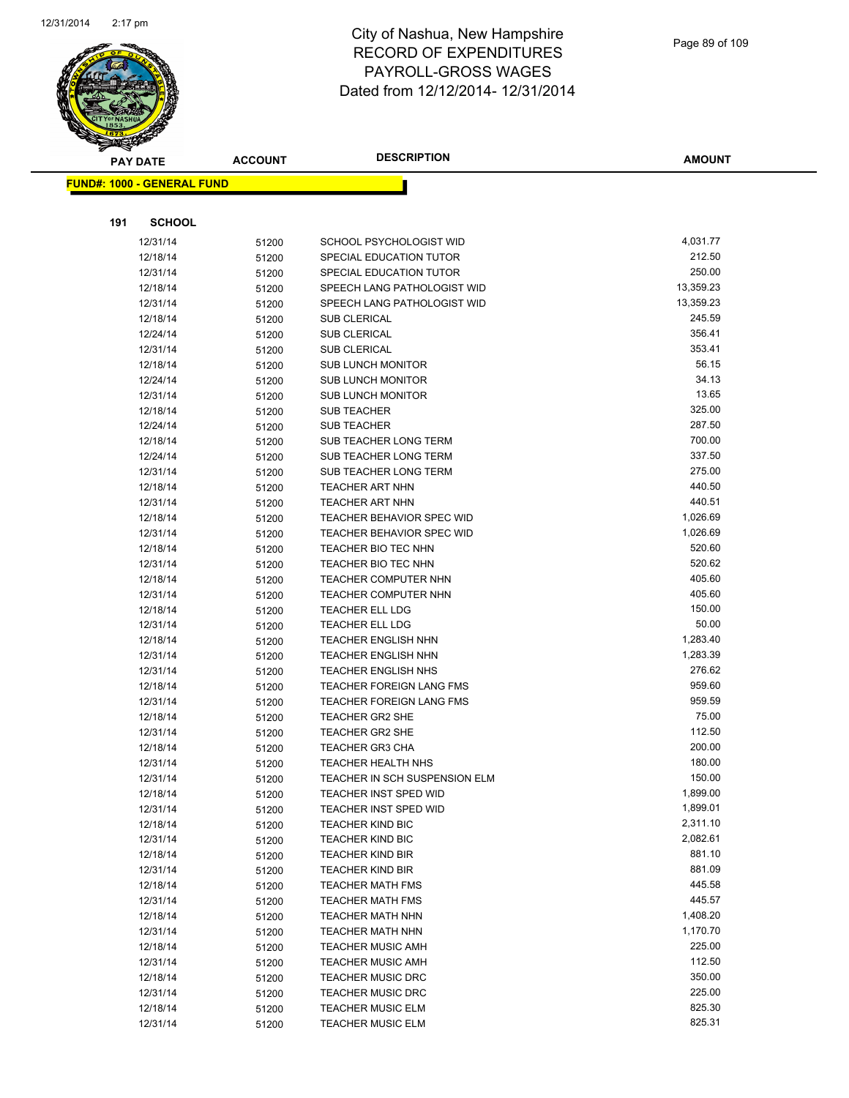

**AMOUNT**

| <u> FUND#: 1000 - GENERAL FUND</u> |                |                                                      |                  |
|------------------------------------|----------------|------------------------------------------------------|------------------|
|                                    |                |                                                      |                  |
| 191<br><b>SCHOOL</b>               |                |                                                      |                  |
| 12/31/14                           | 51200          | SCHOOL PSYCHOLOGIST WID                              | 4,031.77         |
| 12/18/14                           | 51200          | SPECIAL EDUCATION TUTOR                              | 212.50           |
| 12/31/14                           | 51200          | SPECIAL EDUCATION TUTOR                              | 250.00           |
| 12/18/14                           | 51200          | SPEECH LANG PATHOLOGIST WID                          | 13,359.23        |
| 12/31/14                           | 51200          | SPEECH LANG PATHOLOGIST WID                          | 13,359.23        |
| 12/18/14                           | 51200          | <b>SUB CLERICAL</b>                                  | 245.59           |
| 12/24/14                           | 51200          | <b>SUB CLERICAL</b>                                  | 356.41           |
| 12/31/14                           | 51200          | <b>SUB CLERICAL</b>                                  | 353.41           |
| 12/18/14                           | 51200          | <b>SUB LUNCH MONITOR</b>                             | 56.15            |
| 12/24/14                           | 51200          | <b>SUB LUNCH MONITOR</b>                             | 34.13            |
| 12/31/14                           | 51200          | <b>SUB LUNCH MONITOR</b>                             | 13.65            |
| 12/18/14                           | 51200          | <b>SUB TEACHER</b>                                   | 325.00           |
| 12/24/14                           | 51200          | SUB TEACHER                                          | 287.50           |
| 12/18/14                           | 51200          | SUB TEACHER LONG TERM                                | 700.00           |
| 12/24/14                           | 51200          | SUB TEACHER LONG TERM                                | 337.50           |
| 12/31/14                           | 51200          | SUB TEACHER LONG TERM                                | 275.00           |
| 12/18/14                           | 51200          | TEACHER ART NHN                                      | 440.50           |
| 12/31/14                           | 51200          | <b>TEACHER ART NHN</b>                               | 440.51           |
| 12/18/14                           | 51200          | TEACHER BEHAVIOR SPEC WID                            | 1,026.69         |
| 12/31/14                           | 51200          | <b>TEACHER BEHAVIOR SPEC WID</b>                     | 1,026.69         |
| 12/18/14                           | 51200          | TEACHER BIO TEC NHN                                  | 520.60           |
| 12/31/14                           | 51200          | TEACHER BIO TEC NHN                                  | 520.62           |
| 12/18/14                           | 51200          | TEACHER COMPUTER NHN                                 | 405.60           |
| 12/31/14                           | 51200          | <b>TEACHER COMPUTER NHN</b>                          | 405.60<br>150.00 |
| 12/18/14<br>12/31/14               | 51200          | <b>TEACHER ELL LDG</b><br><b>TEACHER ELL LDG</b>     | 50.00            |
| 12/18/14                           | 51200          | <b>TEACHER ENGLISH NHN</b>                           | 1,283.40         |
| 12/31/14                           | 51200<br>51200 | <b>TEACHER ENGLISH NHN</b>                           | 1,283.39         |
| 12/31/14                           | 51200          | <b>TEACHER ENGLISH NHS</b>                           | 276.62           |
| 12/18/14                           | 51200          | TEACHER FOREIGN LANG FMS                             | 959.60           |
| 12/31/14                           | 51200          | <b>TEACHER FOREIGN LANG FMS</b>                      | 959.59           |
| 12/18/14                           | 51200          | <b>TEACHER GR2 SHE</b>                               | 75.00            |
| 12/31/14                           | 51200          | <b>TEACHER GR2 SHE</b>                               | 112.50           |
| 12/18/14                           | 51200          | <b>TEACHER GR3 CHA</b>                               | 200.00           |
| 12/31/14                           | 51200          | <b>TEACHER HEALTH NHS</b>                            | 180.00           |
| 12/31/14                           | 51200          | TEACHER IN SCH SUSPENSION ELM                        | 150.00           |
| 12/18/14                           | 51200          | TEACHER INST SPED WID                                | 1,899.00         |
| 12/31/14                           | 51200          | TEACHER INST SPED WID                                | 1,899.01         |
| 12/18/14                           | 51200          | <b>TEACHER KIND BIC</b>                              | 2,311.10         |
| 12/31/14                           | 51200          | <b>TEACHER KIND BIC</b>                              | 2,082.61         |
| 12/18/14                           | 51200          | <b>TEACHER KIND BIR</b>                              | 881.10           |
| 12/31/14                           | 51200          | <b>TEACHER KIND BIR</b>                              | 881.09           |
| 12/18/14                           | 51200          | <b>TEACHER MATH FMS</b>                              | 445.58           |
| 12/31/14                           | 51200          | <b>TEACHER MATH FMS</b>                              | 445.57           |
| 12/18/14                           | 51200          | <b>TEACHER MATH NHN</b>                              | 1,408.20         |
| 12/31/14                           | 51200          | <b>TEACHER MATH NHN</b>                              | 1,170.70         |
| 12/18/14                           | 51200          | <b>TEACHER MUSIC AMH</b>                             | 225.00           |
| 12/31/14                           | 51200          | <b>TEACHER MUSIC AMH</b>                             | 112.50           |
| 12/18/14                           | 51200          | <b>TEACHER MUSIC DRC</b><br><b>TEACHER MUSIC DRC</b> | 350.00<br>225.00 |
| 12/31/14<br>12/18/14               | 51200          | <b>TEACHER MUSIC ELM</b>                             | 825.30           |
| 12/31/14                           | 51200<br>51200 | <b>TEACHER MUSIC ELM</b>                             | 825.31           |
|                                    |                |                                                      |                  |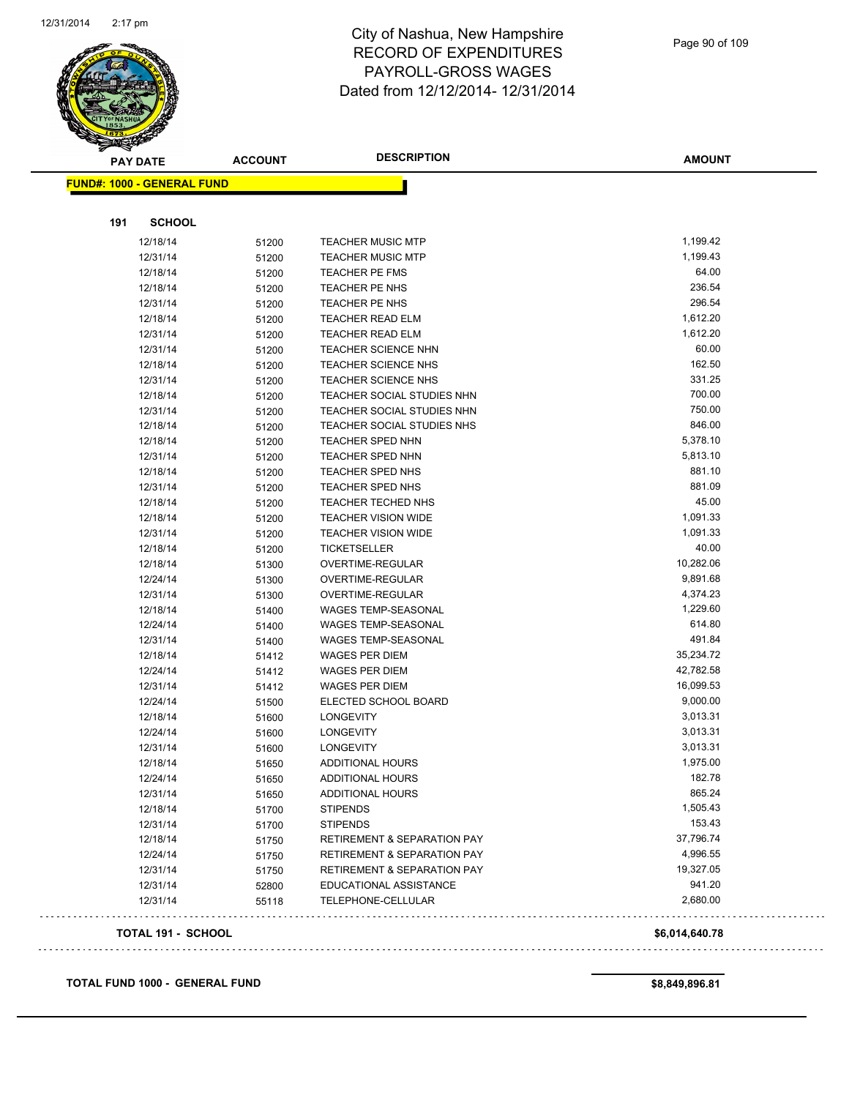

| <b>FUND#: 1000 - GENERAL FUND</b><br>191<br><b>SCHOOL</b><br>1,199.42<br>12/18/14<br><b>TEACHER MUSIC MTP</b><br>51200<br>1,199.43<br>12/31/14<br><b>TEACHER MUSIC MTP</b><br>51200<br>64.00<br>12/18/14<br><b>TEACHER PE FMS</b><br>51200<br>236.54<br>12/18/14<br>TEACHER PE NHS<br>51200<br>296.54<br>12/31/14<br>51200<br>TEACHER PE NHS<br>TEACHER READ ELM<br>1,612.20<br>12/18/14<br>51200<br>1,612.20<br><b>TEACHER READ ELM</b><br>12/31/14<br>51200<br>60.00<br>12/31/14<br><b>TEACHER SCIENCE NHN</b><br>51200<br>162.50<br>12/18/14<br><b>TEACHER SCIENCE NHS</b><br>51200<br>331.25<br>12/31/14<br><b>TEACHER SCIENCE NHS</b><br>51200<br>700.00<br>12/18/14<br>TEACHER SOCIAL STUDIES NHN<br>51200<br>750.00<br>12/31/14<br>TEACHER SOCIAL STUDIES NHN<br>51200<br>846.00<br>12/18/14<br>TEACHER SOCIAL STUDIES NHS<br>51200<br>5,378.10<br>TEACHER SPED NHN<br>12/18/14<br>51200<br>5,813.10<br>12/31/14<br><b>TEACHER SPED NHN</b><br>51200<br>881.10<br><b>TEACHER SPED NHS</b><br>12/18/14<br>51200<br>881.09<br>12/31/14<br><b>TEACHER SPED NHS</b><br>51200<br>45.00<br>TEACHER TECHED NHS<br>12/18/14<br>51200<br>1,091.33<br>12/18/14<br><b>TEACHER VISION WIDE</b><br>51200<br>1,091.33<br>12/31/14<br><b>TEACHER VISION WIDE</b><br>51200<br>40.00<br>12/18/14<br>TICKETSELLER<br>51200<br>10,282.06<br>12/18/14<br>OVERTIME-REGULAR<br>51300<br>9,891.68<br>12/24/14<br>OVERTIME-REGULAR<br>51300<br>4,374.23<br>12/31/14<br>OVERTIME-REGULAR<br>51300<br>1,229.60<br>12/18/14<br>WAGES TEMP-SEASONAL<br>51400<br>614.80<br>12/24/14<br><b>WAGES TEMP-SEASONAL</b><br>51400<br>491.84<br><b>WAGES TEMP-SEASONAL</b><br>12/31/14<br>51400<br>35,234.72<br>12/18/14<br><b>WAGES PER DIEM</b><br>51412<br>42,782.58<br>12/24/14<br><b>WAGES PER DIEM</b><br>51412<br>16,099.53<br>12/31/14<br><b>WAGES PER DIEM</b><br>51412<br>9,000.00<br>12/24/14<br>ELECTED SCHOOL BOARD<br>51500<br>3,013.31<br>12/18/14<br><b>LONGEVITY</b><br>51600<br>3,013.31<br>12/24/14<br>51600<br>LONGEVITY<br>3,013.31<br>12/31/14<br><b>LONGEVITY</b><br>51600<br>1,975.00<br><b>ADDITIONAL HOURS</b><br>12/18/14<br>51650<br>182.78<br>12/24/14<br>ADDITIONAL HOURS<br>51650<br>865.24<br>12/31/14<br>51650<br><b>ADDITIONAL HOURS</b><br>1,505.43<br><b>STIPENDS</b><br>12/18/14<br>51700<br>153.43<br>12/31/14<br><b>STIPENDS</b><br>51700<br>37,796.74<br>12/18/14<br>RETIREMENT & SEPARATION PAY<br>51750<br>4,996.55<br>12/24/14<br><b>RETIREMENT &amp; SEPARATION PAY</b><br>51750<br>19,327.05<br>12/31/14<br>RETIREMENT & SEPARATION PAY<br>51750<br>941.20<br>12/31/14<br>EDUCATIONAL ASSISTANCE<br>52800<br>2,680.00<br>12/31/14<br>TELEPHONE-CELLULAR<br>55118<br><b>TOTAL 191 - SCHOOL</b><br>\$6,014,640.78 | <b>PAY DATE</b> | <b>ACCOUNT</b> | <b>DESCRIPTION</b> | <b>AMOUNT</b> |
|--------------------------------------------------------------------------------------------------------------------------------------------------------------------------------------------------------------------------------------------------------------------------------------------------------------------------------------------------------------------------------------------------------------------------------------------------------------------------------------------------------------------------------------------------------------------------------------------------------------------------------------------------------------------------------------------------------------------------------------------------------------------------------------------------------------------------------------------------------------------------------------------------------------------------------------------------------------------------------------------------------------------------------------------------------------------------------------------------------------------------------------------------------------------------------------------------------------------------------------------------------------------------------------------------------------------------------------------------------------------------------------------------------------------------------------------------------------------------------------------------------------------------------------------------------------------------------------------------------------------------------------------------------------------------------------------------------------------------------------------------------------------------------------------------------------------------------------------------------------------------------------------------------------------------------------------------------------------------------------------------------------------------------------------------------------------------------------------------------------------------------------------------------------------------------------------------------------------------------------------------------------------------------------------------------------------------------------------------------------------------------------------------------------------------------------------------------------------------------------------------------------------------------------------------------------------------------------------------------------------------------------------------------------------------------------------------------------------------------|-----------------|----------------|--------------------|---------------|
|                                                                                                                                                                                                                                                                                                                                                                                                                                                                                                                                                                                                                                                                                                                                                                                                                                                                                                                                                                                                                                                                                                                                                                                                                                                                                                                                                                                                                                                                                                                                                                                                                                                                                                                                                                                                                                                                                                                                                                                                                                                                                                                                                                                                                                                                                                                                                                                                                                                                                                                                                                                                                                                                                                                                |                 |                |                    |               |
|                                                                                                                                                                                                                                                                                                                                                                                                                                                                                                                                                                                                                                                                                                                                                                                                                                                                                                                                                                                                                                                                                                                                                                                                                                                                                                                                                                                                                                                                                                                                                                                                                                                                                                                                                                                                                                                                                                                                                                                                                                                                                                                                                                                                                                                                                                                                                                                                                                                                                                                                                                                                                                                                                                                                |                 |                |                    |               |
|                                                                                                                                                                                                                                                                                                                                                                                                                                                                                                                                                                                                                                                                                                                                                                                                                                                                                                                                                                                                                                                                                                                                                                                                                                                                                                                                                                                                                                                                                                                                                                                                                                                                                                                                                                                                                                                                                                                                                                                                                                                                                                                                                                                                                                                                                                                                                                                                                                                                                                                                                                                                                                                                                                                                |                 |                |                    |               |
|                                                                                                                                                                                                                                                                                                                                                                                                                                                                                                                                                                                                                                                                                                                                                                                                                                                                                                                                                                                                                                                                                                                                                                                                                                                                                                                                                                                                                                                                                                                                                                                                                                                                                                                                                                                                                                                                                                                                                                                                                                                                                                                                                                                                                                                                                                                                                                                                                                                                                                                                                                                                                                                                                                                                |                 |                |                    |               |
|                                                                                                                                                                                                                                                                                                                                                                                                                                                                                                                                                                                                                                                                                                                                                                                                                                                                                                                                                                                                                                                                                                                                                                                                                                                                                                                                                                                                                                                                                                                                                                                                                                                                                                                                                                                                                                                                                                                                                                                                                                                                                                                                                                                                                                                                                                                                                                                                                                                                                                                                                                                                                                                                                                                                |                 |                |                    |               |
|                                                                                                                                                                                                                                                                                                                                                                                                                                                                                                                                                                                                                                                                                                                                                                                                                                                                                                                                                                                                                                                                                                                                                                                                                                                                                                                                                                                                                                                                                                                                                                                                                                                                                                                                                                                                                                                                                                                                                                                                                                                                                                                                                                                                                                                                                                                                                                                                                                                                                                                                                                                                                                                                                                                                |                 |                |                    |               |
|                                                                                                                                                                                                                                                                                                                                                                                                                                                                                                                                                                                                                                                                                                                                                                                                                                                                                                                                                                                                                                                                                                                                                                                                                                                                                                                                                                                                                                                                                                                                                                                                                                                                                                                                                                                                                                                                                                                                                                                                                                                                                                                                                                                                                                                                                                                                                                                                                                                                                                                                                                                                                                                                                                                                |                 |                |                    |               |
|                                                                                                                                                                                                                                                                                                                                                                                                                                                                                                                                                                                                                                                                                                                                                                                                                                                                                                                                                                                                                                                                                                                                                                                                                                                                                                                                                                                                                                                                                                                                                                                                                                                                                                                                                                                                                                                                                                                                                                                                                                                                                                                                                                                                                                                                                                                                                                                                                                                                                                                                                                                                                                                                                                                                |                 |                |                    |               |
|                                                                                                                                                                                                                                                                                                                                                                                                                                                                                                                                                                                                                                                                                                                                                                                                                                                                                                                                                                                                                                                                                                                                                                                                                                                                                                                                                                                                                                                                                                                                                                                                                                                                                                                                                                                                                                                                                                                                                                                                                                                                                                                                                                                                                                                                                                                                                                                                                                                                                                                                                                                                                                                                                                                                |                 |                |                    |               |
|                                                                                                                                                                                                                                                                                                                                                                                                                                                                                                                                                                                                                                                                                                                                                                                                                                                                                                                                                                                                                                                                                                                                                                                                                                                                                                                                                                                                                                                                                                                                                                                                                                                                                                                                                                                                                                                                                                                                                                                                                                                                                                                                                                                                                                                                                                                                                                                                                                                                                                                                                                                                                                                                                                                                |                 |                |                    |               |
|                                                                                                                                                                                                                                                                                                                                                                                                                                                                                                                                                                                                                                                                                                                                                                                                                                                                                                                                                                                                                                                                                                                                                                                                                                                                                                                                                                                                                                                                                                                                                                                                                                                                                                                                                                                                                                                                                                                                                                                                                                                                                                                                                                                                                                                                                                                                                                                                                                                                                                                                                                                                                                                                                                                                |                 |                |                    |               |
|                                                                                                                                                                                                                                                                                                                                                                                                                                                                                                                                                                                                                                                                                                                                                                                                                                                                                                                                                                                                                                                                                                                                                                                                                                                                                                                                                                                                                                                                                                                                                                                                                                                                                                                                                                                                                                                                                                                                                                                                                                                                                                                                                                                                                                                                                                                                                                                                                                                                                                                                                                                                                                                                                                                                |                 |                |                    |               |
|                                                                                                                                                                                                                                                                                                                                                                                                                                                                                                                                                                                                                                                                                                                                                                                                                                                                                                                                                                                                                                                                                                                                                                                                                                                                                                                                                                                                                                                                                                                                                                                                                                                                                                                                                                                                                                                                                                                                                                                                                                                                                                                                                                                                                                                                                                                                                                                                                                                                                                                                                                                                                                                                                                                                |                 |                |                    |               |
|                                                                                                                                                                                                                                                                                                                                                                                                                                                                                                                                                                                                                                                                                                                                                                                                                                                                                                                                                                                                                                                                                                                                                                                                                                                                                                                                                                                                                                                                                                                                                                                                                                                                                                                                                                                                                                                                                                                                                                                                                                                                                                                                                                                                                                                                                                                                                                                                                                                                                                                                                                                                                                                                                                                                |                 |                |                    |               |
|                                                                                                                                                                                                                                                                                                                                                                                                                                                                                                                                                                                                                                                                                                                                                                                                                                                                                                                                                                                                                                                                                                                                                                                                                                                                                                                                                                                                                                                                                                                                                                                                                                                                                                                                                                                                                                                                                                                                                                                                                                                                                                                                                                                                                                                                                                                                                                                                                                                                                                                                                                                                                                                                                                                                |                 |                |                    |               |
|                                                                                                                                                                                                                                                                                                                                                                                                                                                                                                                                                                                                                                                                                                                                                                                                                                                                                                                                                                                                                                                                                                                                                                                                                                                                                                                                                                                                                                                                                                                                                                                                                                                                                                                                                                                                                                                                                                                                                                                                                                                                                                                                                                                                                                                                                                                                                                                                                                                                                                                                                                                                                                                                                                                                |                 |                |                    |               |
|                                                                                                                                                                                                                                                                                                                                                                                                                                                                                                                                                                                                                                                                                                                                                                                                                                                                                                                                                                                                                                                                                                                                                                                                                                                                                                                                                                                                                                                                                                                                                                                                                                                                                                                                                                                                                                                                                                                                                                                                                                                                                                                                                                                                                                                                                                                                                                                                                                                                                                                                                                                                                                                                                                                                |                 |                |                    |               |
|                                                                                                                                                                                                                                                                                                                                                                                                                                                                                                                                                                                                                                                                                                                                                                                                                                                                                                                                                                                                                                                                                                                                                                                                                                                                                                                                                                                                                                                                                                                                                                                                                                                                                                                                                                                                                                                                                                                                                                                                                                                                                                                                                                                                                                                                                                                                                                                                                                                                                                                                                                                                                                                                                                                                |                 |                |                    |               |
|                                                                                                                                                                                                                                                                                                                                                                                                                                                                                                                                                                                                                                                                                                                                                                                                                                                                                                                                                                                                                                                                                                                                                                                                                                                                                                                                                                                                                                                                                                                                                                                                                                                                                                                                                                                                                                                                                                                                                                                                                                                                                                                                                                                                                                                                                                                                                                                                                                                                                                                                                                                                                                                                                                                                |                 |                |                    |               |
|                                                                                                                                                                                                                                                                                                                                                                                                                                                                                                                                                                                                                                                                                                                                                                                                                                                                                                                                                                                                                                                                                                                                                                                                                                                                                                                                                                                                                                                                                                                                                                                                                                                                                                                                                                                                                                                                                                                                                                                                                                                                                                                                                                                                                                                                                                                                                                                                                                                                                                                                                                                                                                                                                                                                |                 |                |                    |               |
|                                                                                                                                                                                                                                                                                                                                                                                                                                                                                                                                                                                                                                                                                                                                                                                                                                                                                                                                                                                                                                                                                                                                                                                                                                                                                                                                                                                                                                                                                                                                                                                                                                                                                                                                                                                                                                                                                                                                                                                                                                                                                                                                                                                                                                                                                                                                                                                                                                                                                                                                                                                                                                                                                                                                |                 |                |                    |               |
|                                                                                                                                                                                                                                                                                                                                                                                                                                                                                                                                                                                                                                                                                                                                                                                                                                                                                                                                                                                                                                                                                                                                                                                                                                                                                                                                                                                                                                                                                                                                                                                                                                                                                                                                                                                                                                                                                                                                                                                                                                                                                                                                                                                                                                                                                                                                                                                                                                                                                                                                                                                                                                                                                                                                |                 |                |                    |               |
|                                                                                                                                                                                                                                                                                                                                                                                                                                                                                                                                                                                                                                                                                                                                                                                                                                                                                                                                                                                                                                                                                                                                                                                                                                                                                                                                                                                                                                                                                                                                                                                                                                                                                                                                                                                                                                                                                                                                                                                                                                                                                                                                                                                                                                                                                                                                                                                                                                                                                                                                                                                                                                                                                                                                |                 |                |                    |               |
|                                                                                                                                                                                                                                                                                                                                                                                                                                                                                                                                                                                                                                                                                                                                                                                                                                                                                                                                                                                                                                                                                                                                                                                                                                                                                                                                                                                                                                                                                                                                                                                                                                                                                                                                                                                                                                                                                                                                                                                                                                                                                                                                                                                                                                                                                                                                                                                                                                                                                                                                                                                                                                                                                                                                |                 |                |                    |               |
|                                                                                                                                                                                                                                                                                                                                                                                                                                                                                                                                                                                                                                                                                                                                                                                                                                                                                                                                                                                                                                                                                                                                                                                                                                                                                                                                                                                                                                                                                                                                                                                                                                                                                                                                                                                                                                                                                                                                                                                                                                                                                                                                                                                                                                                                                                                                                                                                                                                                                                                                                                                                                                                                                                                                |                 |                |                    |               |
|                                                                                                                                                                                                                                                                                                                                                                                                                                                                                                                                                                                                                                                                                                                                                                                                                                                                                                                                                                                                                                                                                                                                                                                                                                                                                                                                                                                                                                                                                                                                                                                                                                                                                                                                                                                                                                                                                                                                                                                                                                                                                                                                                                                                                                                                                                                                                                                                                                                                                                                                                                                                                                                                                                                                |                 |                |                    |               |
|                                                                                                                                                                                                                                                                                                                                                                                                                                                                                                                                                                                                                                                                                                                                                                                                                                                                                                                                                                                                                                                                                                                                                                                                                                                                                                                                                                                                                                                                                                                                                                                                                                                                                                                                                                                                                                                                                                                                                                                                                                                                                                                                                                                                                                                                                                                                                                                                                                                                                                                                                                                                                                                                                                                                |                 |                |                    |               |
|                                                                                                                                                                                                                                                                                                                                                                                                                                                                                                                                                                                                                                                                                                                                                                                                                                                                                                                                                                                                                                                                                                                                                                                                                                                                                                                                                                                                                                                                                                                                                                                                                                                                                                                                                                                                                                                                                                                                                                                                                                                                                                                                                                                                                                                                                                                                                                                                                                                                                                                                                                                                                                                                                                                                |                 |                |                    |               |
|                                                                                                                                                                                                                                                                                                                                                                                                                                                                                                                                                                                                                                                                                                                                                                                                                                                                                                                                                                                                                                                                                                                                                                                                                                                                                                                                                                                                                                                                                                                                                                                                                                                                                                                                                                                                                                                                                                                                                                                                                                                                                                                                                                                                                                                                                                                                                                                                                                                                                                                                                                                                                                                                                                                                |                 |                |                    |               |
|                                                                                                                                                                                                                                                                                                                                                                                                                                                                                                                                                                                                                                                                                                                                                                                                                                                                                                                                                                                                                                                                                                                                                                                                                                                                                                                                                                                                                                                                                                                                                                                                                                                                                                                                                                                                                                                                                                                                                                                                                                                                                                                                                                                                                                                                                                                                                                                                                                                                                                                                                                                                                                                                                                                                |                 |                |                    |               |
|                                                                                                                                                                                                                                                                                                                                                                                                                                                                                                                                                                                                                                                                                                                                                                                                                                                                                                                                                                                                                                                                                                                                                                                                                                                                                                                                                                                                                                                                                                                                                                                                                                                                                                                                                                                                                                                                                                                                                                                                                                                                                                                                                                                                                                                                                                                                                                                                                                                                                                                                                                                                                                                                                                                                |                 |                |                    |               |
|                                                                                                                                                                                                                                                                                                                                                                                                                                                                                                                                                                                                                                                                                                                                                                                                                                                                                                                                                                                                                                                                                                                                                                                                                                                                                                                                                                                                                                                                                                                                                                                                                                                                                                                                                                                                                                                                                                                                                                                                                                                                                                                                                                                                                                                                                                                                                                                                                                                                                                                                                                                                                                                                                                                                |                 |                |                    |               |
|                                                                                                                                                                                                                                                                                                                                                                                                                                                                                                                                                                                                                                                                                                                                                                                                                                                                                                                                                                                                                                                                                                                                                                                                                                                                                                                                                                                                                                                                                                                                                                                                                                                                                                                                                                                                                                                                                                                                                                                                                                                                                                                                                                                                                                                                                                                                                                                                                                                                                                                                                                                                                                                                                                                                |                 |                |                    |               |
|                                                                                                                                                                                                                                                                                                                                                                                                                                                                                                                                                                                                                                                                                                                                                                                                                                                                                                                                                                                                                                                                                                                                                                                                                                                                                                                                                                                                                                                                                                                                                                                                                                                                                                                                                                                                                                                                                                                                                                                                                                                                                                                                                                                                                                                                                                                                                                                                                                                                                                                                                                                                                                                                                                                                |                 |                |                    |               |
|                                                                                                                                                                                                                                                                                                                                                                                                                                                                                                                                                                                                                                                                                                                                                                                                                                                                                                                                                                                                                                                                                                                                                                                                                                                                                                                                                                                                                                                                                                                                                                                                                                                                                                                                                                                                                                                                                                                                                                                                                                                                                                                                                                                                                                                                                                                                                                                                                                                                                                                                                                                                                                                                                                                                |                 |                |                    |               |
|                                                                                                                                                                                                                                                                                                                                                                                                                                                                                                                                                                                                                                                                                                                                                                                                                                                                                                                                                                                                                                                                                                                                                                                                                                                                                                                                                                                                                                                                                                                                                                                                                                                                                                                                                                                                                                                                                                                                                                                                                                                                                                                                                                                                                                                                                                                                                                                                                                                                                                                                                                                                                                                                                                                                |                 |                |                    |               |
|                                                                                                                                                                                                                                                                                                                                                                                                                                                                                                                                                                                                                                                                                                                                                                                                                                                                                                                                                                                                                                                                                                                                                                                                                                                                                                                                                                                                                                                                                                                                                                                                                                                                                                                                                                                                                                                                                                                                                                                                                                                                                                                                                                                                                                                                                                                                                                                                                                                                                                                                                                                                                                                                                                                                |                 |                |                    |               |
|                                                                                                                                                                                                                                                                                                                                                                                                                                                                                                                                                                                                                                                                                                                                                                                                                                                                                                                                                                                                                                                                                                                                                                                                                                                                                                                                                                                                                                                                                                                                                                                                                                                                                                                                                                                                                                                                                                                                                                                                                                                                                                                                                                                                                                                                                                                                                                                                                                                                                                                                                                                                                                                                                                                                |                 |                |                    |               |
|                                                                                                                                                                                                                                                                                                                                                                                                                                                                                                                                                                                                                                                                                                                                                                                                                                                                                                                                                                                                                                                                                                                                                                                                                                                                                                                                                                                                                                                                                                                                                                                                                                                                                                                                                                                                                                                                                                                                                                                                                                                                                                                                                                                                                                                                                                                                                                                                                                                                                                                                                                                                                                                                                                                                |                 |                |                    |               |
|                                                                                                                                                                                                                                                                                                                                                                                                                                                                                                                                                                                                                                                                                                                                                                                                                                                                                                                                                                                                                                                                                                                                                                                                                                                                                                                                                                                                                                                                                                                                                                                                                                                                                                                                                                                                                                                                                                                                                                                                                                                                                                                                                                                                                                                                                                                                                                                                                                                                                                                                                                                                                                                                                                                                |                 |                |                    |               |
|                                                                                                                                                                                                                                                                                                                                                                                                                                                                                                                                                                                                                                                                                                                                                                                                                                                                                                                                                                                                                                                                                                                                                                                                                                                                                                                                                                                                                                                                                                                                                                                                                                                                                                                                                                                                                                                                                                                                                                                                                                                                                                                                                                                                                                                                                                                                                                                                                                                                                                                                                                                                                                                                                                                                |                 |                |                    |               |
|                                                                                                                                                                                                                                                                                                                                                                                                                                                                                                                                                                                                                                                                                                                                                                                                                                                                                                                                                                                                                                                                                                                                                                                                                                                                                                                                                                                                                                                                                                                                                                                                                                                                                                                                                                                                                                                                                                                                                                                                                                                                                                                                                                                                                                                                                                                                                                                                                                                                                                                                                                                                                                                                                                                                |                 |                |                    |               |
|                                                                                                                                                                                                                                                                                                                                                                                                                                                                                                                                                                                                                                                                                                                                                                                                                                                                                                                                                                                                                                                                                                                                                                                                                                                                                                                                                                                                                                                                                                                                                                                                                                                                                                                                                                                                                                                                                                                                                                                                                                                                                                                                                                                                                                                                                                                                                                                                                                                                                                                                                                                                                                                                                                                                |                 |                |                    |               |
|                                                                                                                                                                                                                                                                                                                                                                                                                                                                                                                                                                                                                                                                                                                                                                                                                                                                                                                                                                                                                                                                                                                                                                                                                                                                                                                                                                                                                                                                                                                                                                                                                                                                                                                                                                                                                                                                                                                                                                                                                                                                                                                                                                                                                                                                                                                                                                                                                                                                                                                                                                                                                                                                                                                                |                 |                |                    |               |
|                                                                                                                                                                                                                                                                                                                                                                                                                                                                                                                                                                                                                                                                                                                                                                                                                                                                                                                                                                                                                                                                                                                                                                                                                                                                                                                                                                                                                                                                                                                                                                                                                                                                                                                                                                                                                                                                                                                                                                                                                                                                                                                                                                                                                                                                                                                                                                                                                                                                                                                                                                                                                                                                                                                                |                 |                |                    |               |
|                                                                                                                                                                                                                                                                                                                                                                                                                                                                                                                                                                                                                                                                                                                                                                                                                                                                                                                                                                                                                                                                                                                                                                                                                                                                                                                                                                                                                                                                                                                                                                                                                                                                                                                                                                                                                                                                                                                                                                                                                                                                                                                                                                                                                                                                                                                                                                                                                                                                                                                                                                                                                                                                                                                                |                 |                |                    |               |
|                                                                                                                                                                                                                                                                                                                                                                                                                                                                                                                                                                                                                                                                                                                                                                                                                                                                                                                                                                                                                                                                                                                                                                                                                                                                                                                                                                                                                                                                                                                                                                                                                                                                                                                                                                                                                                                                                                                                                                                                                                                                                                                                                                                                                                                                                                                                                                                                                                                                                                                                                                                                                                                                                                                                |                 |                |                    |               |
|                                                                                                                                                                                                                                                                                                                                                                                                                                                                                                                                                                                                                                                                                                                                                                                                                                                                                                                                                                                                                                                                                                                                                                                                                                                                                                                                                                                                                                                                                                                                                                                                                                                                                                                                                                                                                                                                                                                                                                                                                                                                                                                                                                                                                                                                                                                                                                                                                                                                                                                                                                                                                                                                                                                                |                 |                |                    |               |

**TOTAL FUND 1000 - GENERAL FUND \$8,849,896.81**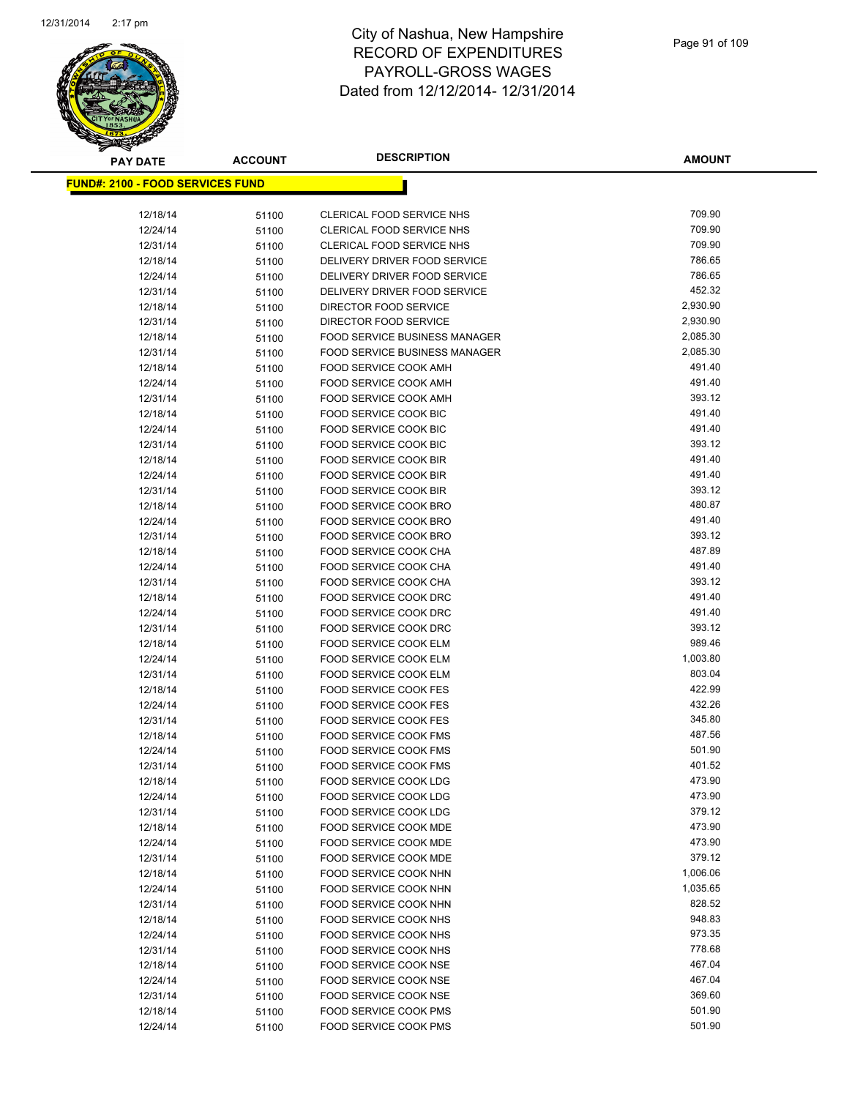

| <b>PAY DATE</b>                          | <b>ACCOUNT</b> | <b>DESCRIPTION</b>                             | <b>AMOUNT</b>    |
|------------------------------------------|----------------|------------------------------------------------|------------------|
| <u> FUND#: 2100 - FOOD SERVICES FUND</u> |                |                                                |                  |
|                                          |                |                                                |                  |
| 12/18/14                                 | 51100          | CLERICAL FOOD SERVICE NHS                      | 709.90           |
| 12/24/14                                 | 51100          | <b>CLERICAL FOOD SERVICE NHS</b>               | 709.90           |
| 12/31/14                                 | 51100          | CLERICAL FOOD SERVICE NHS                      | 709.90           |
| 12/18/14                                 | 51100          | DELIVERY DRIVER FOOD SERVICE                   | 786.65           |
| 12/24/14                                 | 51100          | DELIVERY DRIVER FOOD SERVICE                   | 786.65           |
| 12/31/14                                 | 51100          | DELIVERY DRIVER FOOD SERVICE                   | 452.32           |
| 12/18/14                                 | 51100          | DIRECTOR FOOD SERVICE                          | 2,930.90         |
| 12/31/14                                 | 51100          | DIRECTOR FOOD SERVICE                          | 2,930.90         |
| 12/18/14                                 | 51100          | <b>FOOD SERVICE BUSINESS MANAGER</b>           | 2,085.30         |
| 12/31/14                                 | 51100          | <b>FOOD SERVICE BUSINESS MANAGER</b>           | 2,085.30         |
| 12/18/14                                 | 51100          | FOOD SERVICE COOK AMH                          | 491.40           |
| 12/24/14                                 | 51100          | FOOD SERVICE COOK AMH                          | 491.40           |
| 12/31/14                                 | 51100          | FOOD SERVICE COOK AMH                          | 393.12           |
| 12/18/14                                 | 51100          | FOOD SERVICE COOK BIC                          | 491.40           |
| 12/24/14                                 | 51100          | FOOD SERVICE COOK BIC                          | 491.40           |
| 12/31/14                                 | 51100          | <b>FOOD SERVICE COOK BIC</b>                   | 393.12           |
| 12/18/14                                 | 51100          | FOOD SERVICE COOK BIR                          | 491.40           |
| 12/24/14                                 | 51100          | FOOD SERVICE COOK BIR                          | 491.40           |
| 12/31/14                                 | 51100          | FOOD SERVICE COOK BIR                          | 393.12           |
| 12/18/14                                 | 51100          | FOOD SERVICE COOK BRO                          | 480.87           |
| 12/24/14                                 | 51100          | FOOD SERVICE COOK BRO                          | 491.40           |
| 12/31/14                                 | 51100          | <b>FOOD SERVICE COOK BRO</b>                   | 393.12<br>487.89 |
| 12/18/14                                 | 51100          | FOOD SERVICE COOK CHA<br>FOOD SERVICE COOK CHA | 491.40           |
| 12/24/14<br>12/31/14                     | 51100          | FOOD SERVICE COOK CHA                          | 393.12           |
| 12/18/14                                 | 51100          | FOOD SERVICE COOK DRC                          | 491.40           |
| 12/24/14                                 | 51100          | FOOD SERVICE COOK DRC                          | 491.40           |
| 12/31/14                                 | 51100<br>51100 | FOOD SERVICE COOK DRC                          | 393.12           |
| 12/18/14                                 | 51100          | FOOD SERVICE COOK ELM                          | 989.46           |
| 12/24/14                                 | 51100          | <b>FOOD SERVICE COOK ELM</b>                   | 1,003.80         |
| 12/31/14                                 | 51100          | FOOD SERVICE COOK ELM                          | 803.04           |
| 12/18/14                                 | 51100          | <b>FOOD SERVICE COOK FES</b>                   | 422.99           |
| 12/24/14                                 | 51100          | <b>FOOD SERVICE COOK FES</b>                   | 432.26           |
| 12/31/14                                 | 51100          | <b>FOOD SERVICE COOK FES</b>                   | 345.80           |
| 12/18/14                                 | 51100          | <b>FOOD SERVICE COOK FMS</b>                   | 487.56           |
| 12/24/14                                 | 51100          | <b>FOOD SERVICE COOK FMS</b>                   | 501.90           |
| 12/31/14                                 | 51100          | <b>FOOD SERVICE COOK FMS</b>                   | 401.52           |
| 12/18/14                                 | 51100          | FOOD SERVICE COOK LDG                          | 473.90           |
| 12/24/14                                 | 51100          | FOOD SERVICE COOK LDG                          | 473.90           |
| 12/31/14                                 | 51100          | FOOD SERVICE COOK LDG                          | 379.12           |
| 12/18/14                                 | 51100          | FOOD SERVICE COOK MDE                          | 473.90           |
| 12/24/14                                 | 51100          | FOOD SERVICE COOK MDE                          | 473.90           |
| 12/31/14                                 | 51100          | <b>FOOD SERVICE COOK MDE</b>                   | 379.12           |
| 12/18/14                                 | 51100          | FOOD SERVICE COOK NHN                          | 1,006.06         |
| 12/24/14                                 | 51100          | FOOD SERVICE COOK NHN                          | 1,035.65         |
| 12/31/14                                 | 51100          | FOOD SERVICE COOK NHN                          | 828.52           |
| 12/18/14                                 | 51100          | FOOD SERVICE COOK NHS                          | 948.83           |
| 12/24/14                                 | 51100          | FOOD SERVICE COOK NHS                          | 973.35           |
| 12/31/14                                 | 51100          | FOOD SERVICE COOK NHS                          | 778.68           |
| 12/18/14                                 | 51100          | FOOD SERVICE COOK NSE                          | 467.04           |
| 12/24/14                                 | 51100          | FOOD SERVICE COOK NSE                          | 467.04           |
| 12/31/14                                 | 51100          | FOOD SERVICE COOK NSE                          | 369.60           |
| 12/18/14                                 | 51100          | FOOD SERVICE COOK PMS                          | 501.90           |
| 12/24/14                                 | 51100          | <b>FOOD SERVICE COOK PMS</b>                   | 501.90           |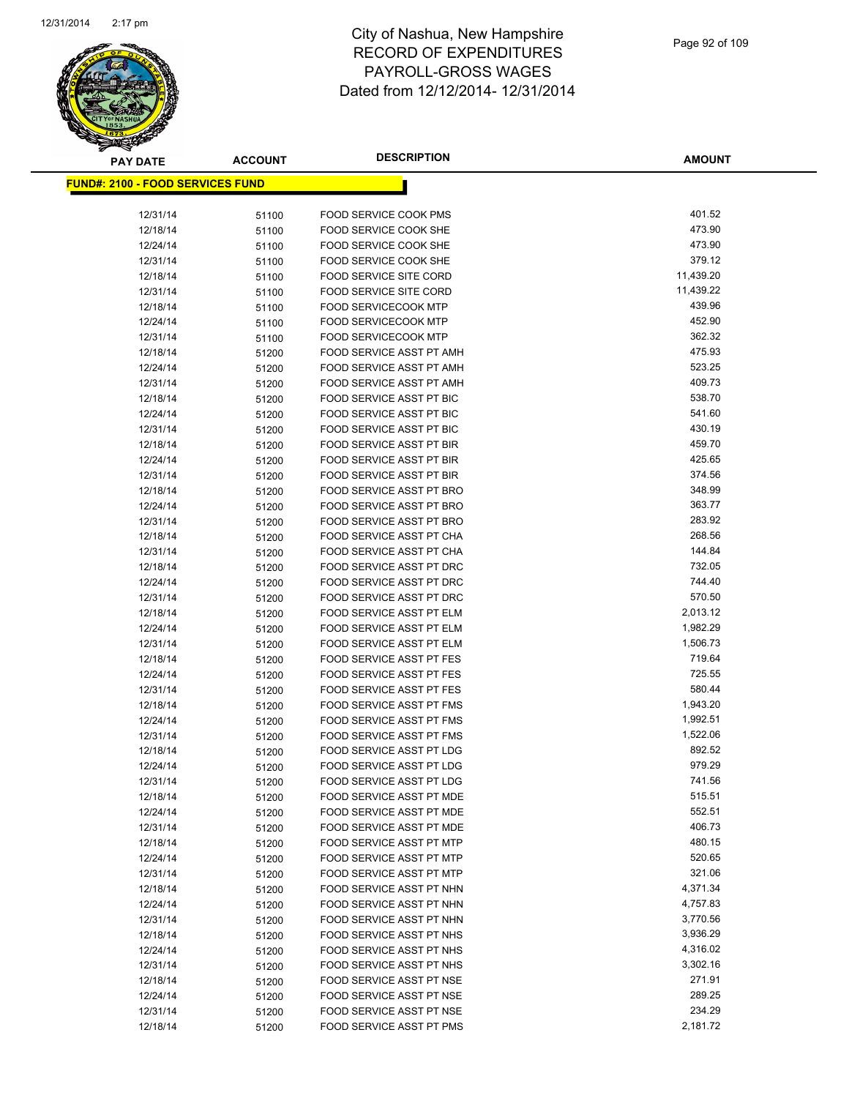

**AMOUNT**

| <b>FUND#: 2100 - FOOD SERVICES FUND</b> |       |                                 |           |
|-----------------------------------------|-------|---------------------------------|-----------|
| 12/31/14                                | 51100 | <b>FOOD SERVICE COOK PMS</b>    | 401.52    |
| 12/18/14                                | 51100 | FOOD SERVICE COOK SHE           | 473.90    |
| 12/24/14                                | 51100 | FOOD SERVICE COOK SHE           | 473.90    |
| 12/31/14                                | 51100 | FOOD SERVICE COOK SHE           | 379.12    |
| 12/18/14                                | 51100 | <b>FOOD SERVICE SITE CORD</b>   | 11,439.20 |
| 12/31/14                                | 51100 | <b>FOOD SERVICE SITE CORD</b>   | 11,439.22 |
| 12/18/14                                | 51100 | <b>FOOD SERVICECOOK MTP</b>     | 439.96    |
| 12/24/14                                | 51100 | <b>FOOD SERVICECOOK MTP</b>     | 452.90    |
| 12/31/14                                | 51100 | <b>FOOD SERVICECOOK MTP</b>     | 362.32    |
| 12/18/14                                | 51200 | FOOD SERVICE ASST PT AMH        | 475.93    |
| 12/24/14                                | 51200 | <b>FOOD SERVICE ASST PT AMH</b> | 523.25    |
| 12/31/14                                | 51200 | FOOD SERVICE ASST PT AMH        | 409.73    |
| 12/18/14                                | 51200 | FOOD SERVICE ASST PT BIC        | 538.70    |
| 12/24/14                                | 51200 | FOOD SERVICE ASST PT BIC        | 541.60    |
| 12/31/14                                | 51200 | FOOD SERVICE ASST PT BIC        | 430.19    |
| 12/18/14                                | 51200 | <b>FOOD SERVICE ASST PT BIR</b> | 459.70    |
| 12/24/14                                | 51200 | <b>FOOD SERVICE ASST PT BIR</b> | 425.65    |
| 12/31/14                                | 51200 | FOOD SERVICE ASST PT BIR        | 374.56    |
| 12/18/14                                | 51200 | FOOD SERVICE ASST PT BRO        | 348.99    |
| 12/24/14                                | 51200 | FOOD SERVICE ASST PT BRO        | 363.77    |
| 12/31/14                                | 51200 | FOOD SERVICE ASST PT BRO        | 283.92    |
| 12/18/14                                | 51200 | FOOD SERVICE ASST PT CHA        | 268.56    |
| 12/31/14                                | 51200 | FOOD SERVICE ASST PT CHA        | 144.84    |
| 12/18/14                                | 51200 | FOOD SERVICE ASST PT DRC        | 732.05    |
| 12/24/14                                | 51200 | FOOD SERVICE ASST PT DRC        | 744.40    |
| 12/31/14                                | 51200 | FOOD SERVICE ASST PT DRC        | 570.50    |
| 12/18/14                                | 51200 | FOOD SERVICE ASST PT ELM        | 2,013.12  |
| 12/24/14                                | 51200 | FOOD SERVICE ASST PT ELM        | 1,982.29  |
| 12/31/14                                | 51200 | FOOD SERVICE ASST PT ELM        | 1,506.73  |
| 12/18/14                                | 51200 | FOOD SERVICE ASST PT FES        | 719.64    |
| 12/24/14                                | 51200 | FOOD SERVICE ASST PT FES        | 725.55    |
| 12/31/14                                | 51200 | FOOD SERVICE ASST PT FES        | 580.44    |
| 12/18/14                                | 51200 | FOOD SERVICE ASST PT FMS        | 1,943.20  |
| 12/24/14                                | 51200 | FOOD SERVICE ASST PT FMS        | 1,992.51  |
| 12/31/14                                | 51200 | FOOD SERVICE ASST PT FMS        | 1,522.06  |
| 12/18/14                                | 51200 | FOOD SERVICE ASST PT LDG        | 892.52    |
| 12/24/14                                | 51200 | FOOD SERVICE ASST PT LDG        | 979.29    |
| 12/31/14                                | 51200 | FOOD SERVICE ASST PT LDG        | 741.56    |
| 12/18/14                                | 51200 | FOOD SERVICE ASST PT MDE        | 515.51    |
| 12/24/14                                | 51200 | FOOD SERVICE ASST PT MDE        | 552.51    |
| 12/31/14                                | 51200 | FOOD SERVICE ASST PT MDE        | 406.73    |
| 12/18/14                                | 51200 | FOOD SERVICE ASST PT MTP        | 480.15    |
| 12/24/14                                | 51200 | FOOD SERVICE ASST PT MTP        | 520.65    |
| 12/31/14                                | 51200 | FOOD SERVICE ASST PT MTP        | 321.06    |
| 12/18/14                                | 51200 | FOOD SERVICE ASST PT NHN        | 4,371.34  |
| 12/24/14                                | 51200 | FOOD SERVICE ASST PT NHN        | 4,757.83  |
| 12/31/14                                | 51200 | FOOD SERVICE ASST PT NHN        | 3,770.56  |
| 12/18/14                                | 51200 | FOOD SERVICE ASST PT NHS        | 3,936.29  |
| 12/24/14                                | 51200 | FOOD SERVICE ASST PT NHS        | 4,316.02  |
| 12/31/14                                | 51200 | FOOD SERVICE ASST PT NHS        | 3,302.16  |
| 12/18/14                                | 51200 | FOOD SERVICE ASST PT NSE        | 271.91    |
| 12/24/14                                | 51200 | FOOD SERVICE ASST PT NSE        | 289.25    |
| 12/31/14                                | 51200 | FOOD SERVICE ASST PT NSE        | 234.29    |
| 12/18/14                                | 51200 | FOOD SERVICE ASST PT PMS        | 2,181.72  |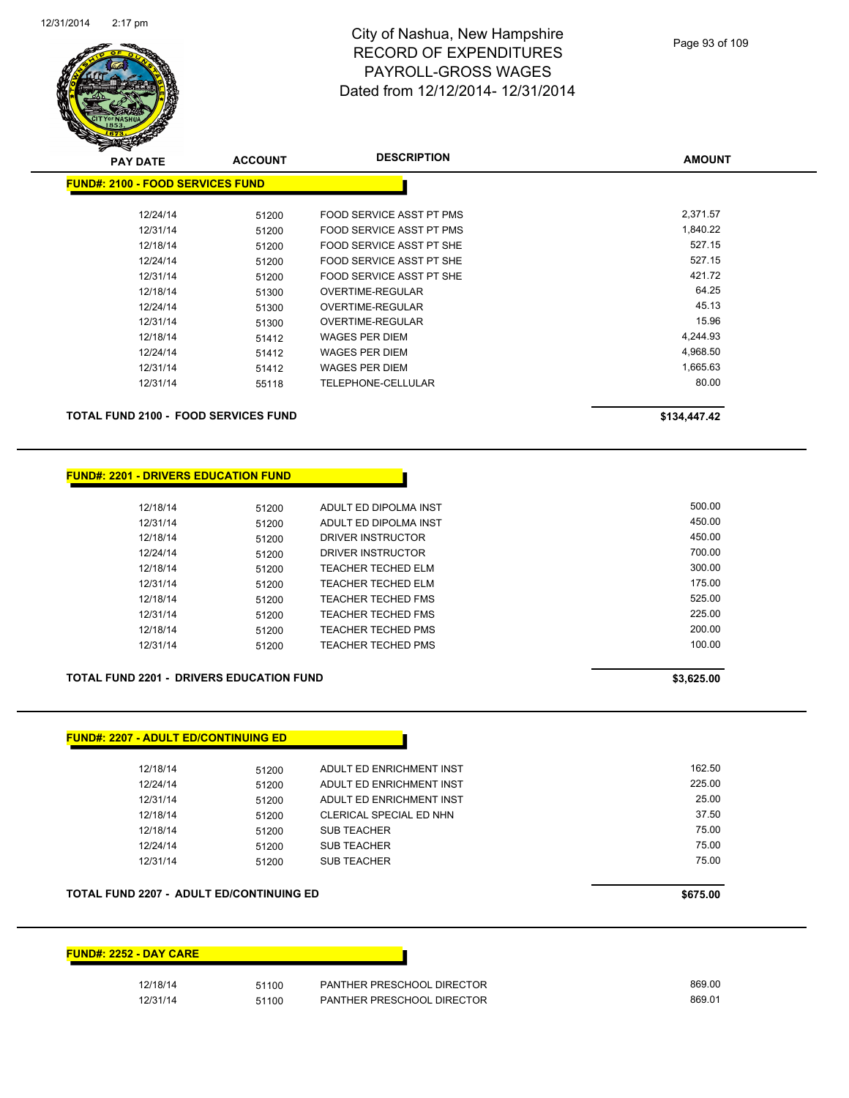

| <b>PAY DATE</b>                         | <b>ACCOUNT</b> | <b>DESCRIPTION</b>              | <b>AMOUNT</b> |
|-----------------------------------------|----------------|---------------------------------|---------------|
| <b>FUND#: 2100 - FOOD SERVICES FUND</b> |                |                                 |               |
| 12/24/14                                | 51200          | <b>FOOD SERVICE ASST PT PMS</b> | 2,371.57      |
| 12/31/14                                | 51200          | FOOD SERVICE ASST PT PMS        | 1,840.22      |
| 12/18/14                                | 51200          | FOOD SERVICE ASST PT SHE        | 527.15        |
| 12/24/14                                | 51200          | FOOD SERVICE ASST PT SHE        | 527.15        |
| 12/31/14                                | 51200          | FOOD SERVICE ASST PT SHE        | 421.72        |
| 12/18/14                                | 51300          | OVERTIME-REGULAR                | 64.25         |
| 12/24/14                                | 51300          | OVERTIME-REGULAR                | 45.13         |
| 12/31/14                                | 51300          | OVERTIME-REGULAR                | 15.96         |
| 12/18/14                                | 51412          | WAGES PER DIEM                  | 4,244.93      |
| 12/24/14                                | 51412          | WAGES PER DIEM                  | 4,968.50      |
| 12/31/14                                | 51412          | WAGES PER DIEM                  | 1,665.63      |
| 12/31/14                                | 55118          | TELEPHONE-CELLULAR              | 80.00         |
|                                         |                |                                 |               |

**TOTAL FUND 2100 - FOOD SERVICES FUND \$134,447.42** 

#### **FUND#: 2201 - DRIVERS EDUCATION FUND**

| 12/18/14 | 51200 | ADULT ED DIPOLMA INST     | 500.00 |
|----------|-------|---------------------------|--------|
| 12/31/14 | 51200 | ADULT ED DIPOLMA INST     | 450.00 |
| 12/18/14 | 51200 | DRIVER INSTRUCTOR         | 450.00 |
| 12/24/14 | 51200 | DRIVER INSTRUCTOR         | 700.00 |
| 12/18/14 | 51200 | <b>TEACHER TECHED ELM</b> | 300.00 |
| 12/31/14 | 51200 | TEACHER TECHED ELM        | 175.00 |
| 12/18/14 | 51200 | TEACHER TECHED FMS        | 525.00 |
| 12/31/14 | 51200 | TEACHER TECHED FMS        | 225.00 |
| 12/18/14 | 51200 | TEACHER TECHED PMS        | 200.00 |
| 12/31/14 | 51200 | TEACHER TECHED PMS        | 100.00 |

#### **TOTAL FUND 2201 - DRIVERS EDUCATION FUND \$3,625.00**

| <u> FUND#: 2207 - ADULT ED/CONTINUING ED</u> |       |                          |        |
|----------------------------------------------|-------|--------------------------|--------|
| 12/18/14                                     | 51200 | ADULT ED ENRICHMENT INST | 162.50 |
| 12/24/14                                     | 51200 | ADULT ED ENRICHMENT INST | 225.00 |
| 12/31/14                                     | 51200 | ADULT ED ENRICHMENT INST | 25.00  |
| 12/18/14                                     | 51200 | CLERICAL SPECIAL ED NHN  | 37.50  |
| 12/18/14                                     | 51200 | <b>SUB TEACHER</b>       | 75.00  |
| 12/24/14                                     | 51200 | <b>SUB TEACHER</b>       | 75.00  |
| 12/31/14                                     | 51200 | <b>SUB TEACHER</b>       | 75.00  |
|                                              |       |                          |        |

#### **TOTAL FUND 2207 - ADULT ED/CONTINUING ED \$675.00**

#### **FUND#: 2252 - DAY CARE**

| 12/18/14 | 51100 | PANTHER PRESCHOOL DIRECTOR | 869.00 |
|----------|-------|----------------------------|--------|
| 12/31/14 | 51100 | PANTHER PRESCHOOL DIRECTOR | 869.01 |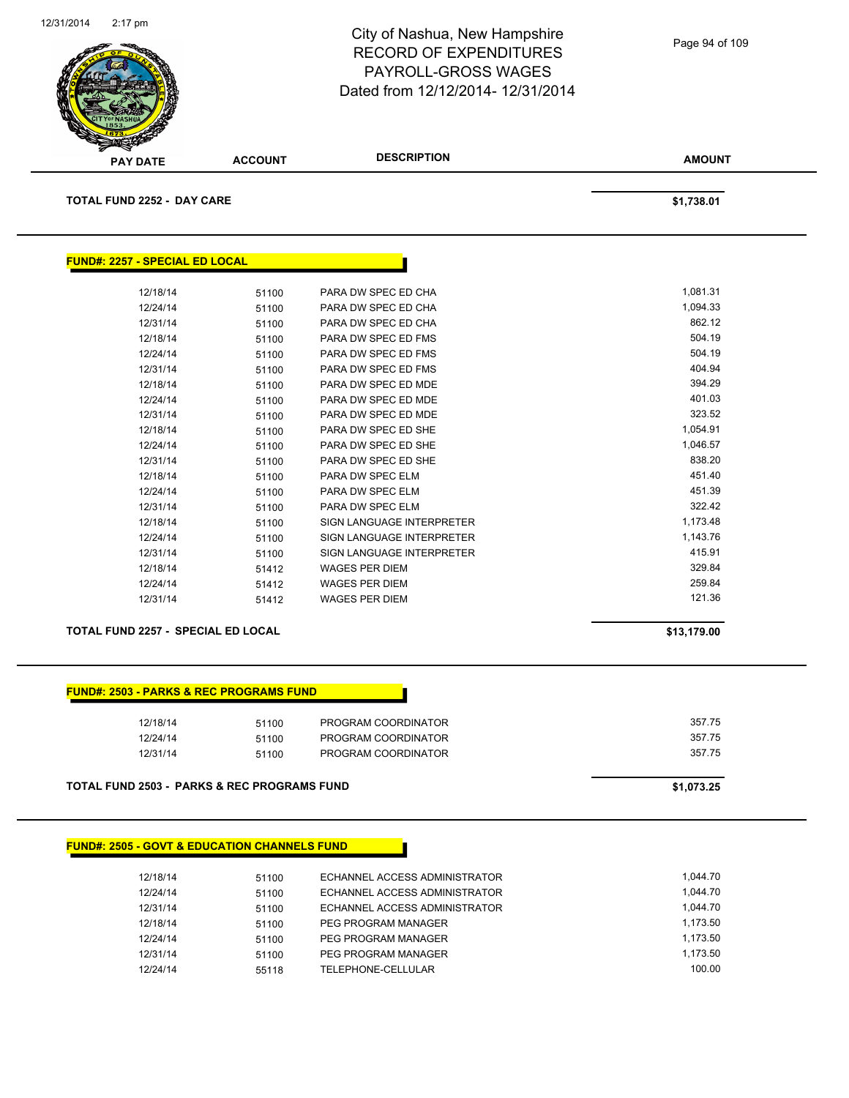

| Page 94 of 109 |  |  |  |
|----------------|--|--|--|
|----------------|--|--|--|

| <b>TOTAL FUND 2252 - DAY CARE</b>     |                                           |                           | \$1,738.01 |
|---------------------------------------|-------------------------------------------|---------------------------|------------|
|                                       |                                           |                           |            |
|                                       |                                           |                           |            |
| <b>FUND#: 2257 - SPECIAL ED LOCAL</b> |                                           |                           |            |
| 12/18/14                              | 51100                                     | PARA DW SPEC ED CHA       | 1,081.31   |
| 12/24/14                              | 51100                                     | PARA DW SPEC ED CHA       | 1,094.33   |
| 12/31/14                              | 51100                                     | PARA DW SPEC ED CHA       | 862.12     |
| 12/18/14                              | 51100                                     | PARA DW SPEC ED FMS       | 504.19     |
| 12/24/14                              | 51100                                     | PARA DW SPEC ED FMS       | 504.19     |
| 12/31/14                              | 51100                                     | PARA DW SPEC ED FMS       | 404.94     |
| 12/18/14                              | 51100                                     | PARA DW SPEC ED MDE       | 394.29     |
| 12/24/14                              | 51100                                     | PARA DW SPEC ED MDE       | 401.03     |
| 12/31/14                              | 51100                                     | PARA DW SPEC ED MDE       | 323.52     |
| 12/18/14                              | 51100                                     | PARA DW SPEC ED SHE       | 1,054.91   |
| 12/24/14                              | 51100                                     | PARA DW SPEC ED SHE       | 1,046.57   |
| 12/31/14                              | 51100                                     | PARA DW SPEC ED SHE       | 838.20     |
| 12/18/14                              | 51100                                     | PARA DW SPEC ELM          | 451.40     |
| 12/24/14                              | 51100                                     | PARA DW SPEC ELM          | 451.39     |
| 12/31/14                              | 51100                                     | PARA DW SPEC ELM          | 322.42     |
| 12/18/14                              | 51100                                     | SIGN LANGUAGE INTERPRETER | 1,173.48   |
| 12/24/14                              | 51100                                     | SIGN LANGUAGE INTERPRETER | 1,143.76   |
| 12/31/14                              | 51100                                     | SIGN LANGUAGE INTERPRETER | 415.91     |
| 12/18/14                              | 51412                                     | <b>WAGES PER DIEM</b>     | 329.84     |
| 12/24/14                              | 51412                                     | <b>WAGES PER DIEM</b>     | 259.84     |
| 12/31/14                              | 51412                                     | <b>WAGES PER DIEM</b>     | 121.36     |
|                                       | <b>TOTAL FUND 2257 - SPECIAL ED LOCAL</b> |                           |            |

#### **FUND#: 2503 - PARKS & REC PROGRAMS FUND**

| 12/18/14 | 51100 | PROGRAM COORDINATOR | 357.75 |
|----------|-------|---------------------|--------|
| 12/24/14 | 51100 | PROGRAM COORDINATOR | 357.75 |
| 12/31/14 | 51100 | PROGRAM COORDINATOR | 357.75 |
|          |       |                     |        |
|          |       |                     |        |

**TOTAL FUND 2503 - PARKS & REC PROGRAMS FUND \$1,073.25** 

#### **FUND#: 2505 - GOVT & EDUCATION CHANNELS FUND**

| 12/18/14 | 51100 | ECHANNEL ACCESS ADMINISTRATOR | 1.044.70 |
|----------|-------|-------------------------------|----------|
| 12/24/14 | 51100 | ECHANNEL ACCESS ADMINISTRATOR | 1.044.70 |
| 12/31/14 | 51100 | ECHANNEL ACCESS ADMINISTRATOR | 1.044.70 |
| 12/18/14 | 51100 | PEG PROGRAM MANAGER           | 1.173.50 |
| 12/24/14 | 51100 | PEG PROGRAM MANAGER           | 1.173.50 |
| 12/31/14 | 51100 | PEG PROGRAM MANAGER           | 1.173.50 |
| 12/24/14 | 55118 | TELEPHONE-CELLULAR            | 100.00   |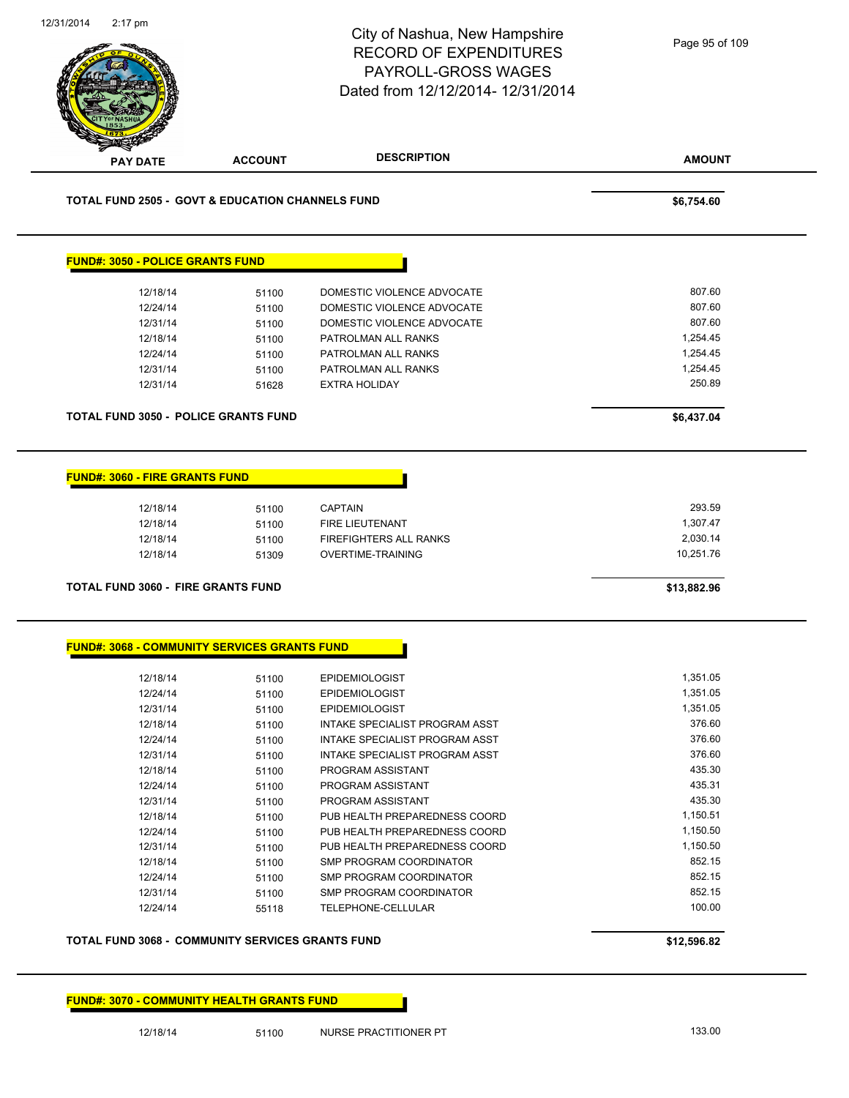|                                                     |                | City of Nashua, New Hampshire<br><b>RECORD OF EXPENDITURES</b><br><b>PAYROLL-GROSS WAGES</b><br>Dated from 12/12/2014- 12/31/2014 | Page 95 of 109        |
|-----------------------------------------------------|----------------|-----------------------------------------------------------------------------------------------------------------------------------|-----------------------|
| <b>PAY DATE</b>                                     | <b>ACCOUNT</b> | <b>DESCRIPTION</b>                                                                                                                | <b>AMOUNT</b>         |
| TOTAL FUND 2505 - GOVT & EDUCATION CHANNELS FUND    |                |                                                                                                                                   | \$6,754.60            |
| <b>FUND#: 3050 - POLICE GRANTS FUND</b>             |                |                                                                                                                                   |                       |
| 12/18/14                                            | 51100          | DOMESTIC VIOLENCE ADVOCATE                                                                                                        | 807.60                |
| 12/24/14                                            | 51100          | DOMESTIC VIOLENCE ADVOCATE                                                                                                        | 807.60                |
| 12/31/14                                            | 51100          | DOMESTIC VIOLENCE ADVOCATE                                                                                                        | 807.60                |
| 12/18/14                                            | 51100          | PATROLMAN ALL RANKS                                                                                                               | 1,254.45              |
| 12/24/14                                            | 51100          | PATROLMAN ALL RANKS                                                                                                               | 1,254.45              |
| 12/31/14                                            | 51100          | PATROLMAN ALL RANKS                                                                                                               | 1,254.45              |
| 12/31/14                                            | 51628          | <b>EXTRA HOLIDAY</b>                                                                                                              | 250.89                |
| <b>TOTAL FUND 3050 - POLICE GRANTS FUND</b>         |                |                                                                                                                                   | \$6,437.04            |
|                                                     | 51100          | FIRE LIEUTENANT                                                                                                                   | 1,307.47              |
| 12/18/14<br>12/18/14<br>12/18/14                    | 51100<br>51309 | <b>FIREFIGHTERS ALL RANKS</b><br><b>OVERTIME-TRAINING</b>                                                                         | 2,030.14<br>10,251.76 |
| <b>TOTAL FUND 3060 - FIRE GRANTS FUND</b>           |                |                                                                                                                                   | \$13,882.96           |
| <b>FUND#: 3068 - COMMUNITY SERVICES GRANTS FUND</b> |                |                                                                                                                                   |                       |
| 12/18/14                                            | 51100          | <b>EPIDEMIOLOGIST</b>                                                                                                             | 1,351.05              |
| 12/24/14                                            | 51100          | <b>EPIDEMIOLOGIST</b>                                                                                                             | 1,351.05              |
| 12/31/14                                            | 51100          | <b>EPIDEMIOLOGIST</b>                                                                                                             | 1,351.05              |
| 12/18/14                                            | 51100          | INTAKE SPECIALIST PROGRAM ASST                                                                                                    | 376.60                |
| 12/24/14                                            | 51100          | INTAKE SPECIALIST PROGRAM ASST                                                                                                    | 376.60                |
| 12/31/14                                            | 51100          | <b>INTAKE SPECIALIST PROGRAM ASST</b>                                                                                             | 376.60                |
| 12/18/14                                            | 51100          | PROGRAM ASSISTANT                                                                                                                 | 435.30                |
| 12/24/14                                            | 51100          | PROGRAM ASSISTANT                                                                                                                 | 435.31                |
| 12/31/14                                            | 51100          | PROGRAM ASSISTANT                                                                                                                 | 435.30                |
| 12/18/14                                            | 51100          | PUB HEALTH PREPAREDNESS COORD                                                                                                     | 1,150.51              |
| 12/24/14                                            | 51100          | PUB HEALTH PREPAREDNESS COORD                                                                                                     | 1,150.50              |
| 12/31/14                                            | 51100          | PUB HEALTH PREPAREDNESS COORD                                                                                                     | 1,150.50              |
| 12/18/14                                            | 51100          | SMP PROGRAM COORDINATOR                                                                                                           | 852.15                |
| 12/24/14                                            | 51100          | SMP PROGRAM COORDINATOR                                                                                                           | 852.15                |
| 12/31/14<br>12/24/14                                | 51100<br>55118 | SMP PROGRAM COORDINATOR<br>TELEPHONE-CELLULAR                                                                                     | 852.15<br>100.00      |

**FUND#: 3070 - COMMUNITY HEALTH GRANTS FUND**

12/18/14 51100 NURSE PRACTITIONER PT 12/18/14 5133.00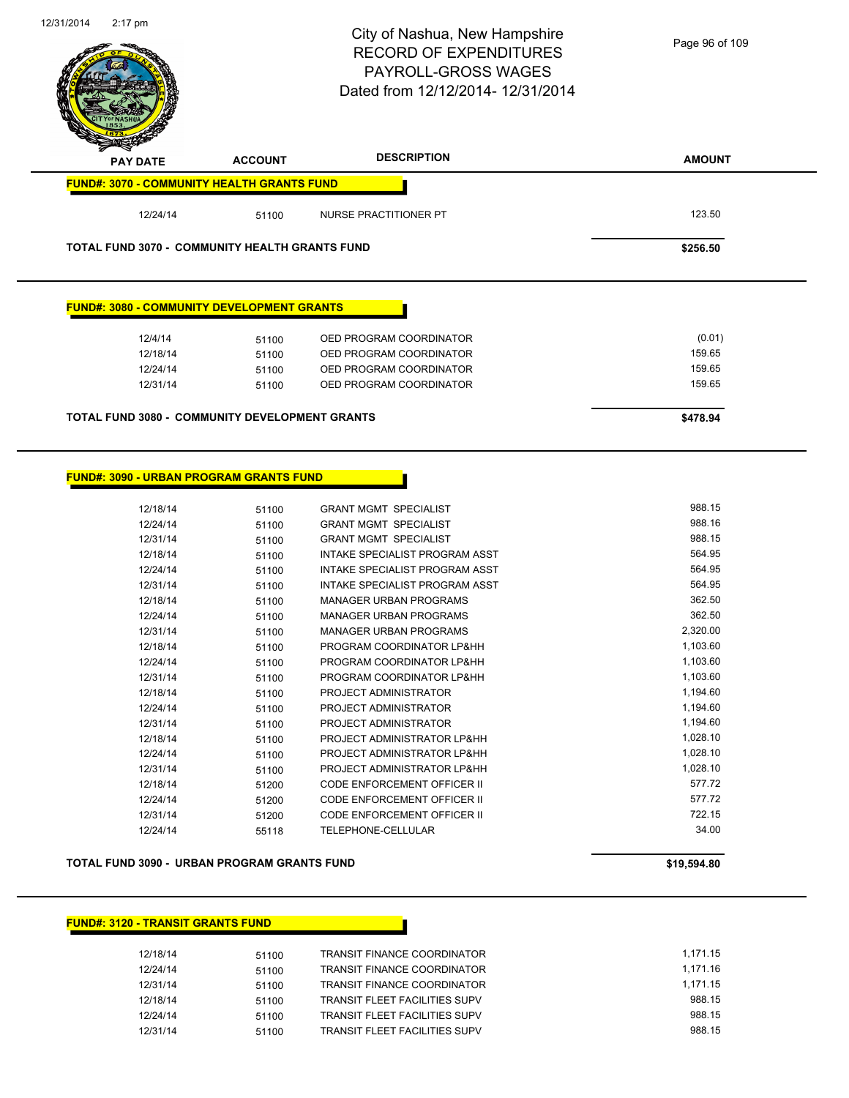

#### **FUND#: 3080 - COMMUNITY DEVELOPMENT GRANTS**

| 12/4/14  | 51100 | OED PROGRAM COORDINATOR | (0.01) |
|----------|-------|-------------------------|--------|
| 12/18/14 | 51100 | OED PROGRAM COORDINATOR | 159.65 |
| 12/24/14 | 51100 | OED PROGRAM COORDINATOR | 159.65 |
| 12/31/14 | 51100 | OED PROGRAM COORDINATOR | 159.65 |
|          |       |                         |        |

**TOTAL FUND 3080 - COMMUNITY DEVELOPMENT GRANTS \$478.94** 

#### **FUND#: 3090 - URBAN PROGRAM GRANTS FUND**

| 12/18/14 | 51100 | <b>GRANT MGMT SPECIALIST</b>       | 988.15   |
|----------|-------|------------------------------------|----------|
| 12/24/14 | 51100 | <b>GRANT MGMT SPECIALIST</b>       | 988.16   |
| 12/31/14 | 51100 | <b>GRANT MGMT SPECIALIST</b>       | 988.15   |
| 12/18/14 | 51100 | INTAKE SPECIALIST PROGRAM ASST     | 564.95   |
| 12/24/14 | 51100 | INTAKE SPECIALIST PROGRAM ASST     | 564.95   |
| 12/31/14 | 51100 | INTAKE SPECIALIST PROGRAM ASST     | 564.95   |
| 12/18/14 | 51100 | <b>MANAGER URBAN PROGRAMS</b>      | 362.50   |
| 12/24/14 | 51100 | <b>MANAGER URBAN PROGRAMS</b>      | 362.50   |
| 12/31/14 | 51100 | <b>MANAGER URBAN PROGRAMS</b>      | 2,320.00 |
| 12/18/14 | 51100 | PROGRAM COORDINATOR LP&HH          | 1,103.60 |
| 12/24/14 | 51100 | PROGRAM COORDINATOR LP&HH          | 1,103.60 |
| 12/31/14 | 51100 | PROGRAM COORDINATOR LP&HH          | 1,103.60 |
| 12/18/14 | 51100 | PROJECT ADMINISTRATOR              | 1,194.60 |
| 12/24/14 | 51100 | PROJECT ADMINISTRATOR              | 1,194.60 |
| 12/31/14 | 51100 | PROJECT ADMINISTRATOR              | 1,194.60 |
| 12/18/14 | 51100 | PROJECT ADMINISTRATOR LP&HH        | 1,028.10 |
| 12/24/14 | 51100 | PROJECT ADMINISTRATOR LP&HH        | 1,028.10 |
| 12/31/14 | 51100 | PROJECT ADMINISTRATOR LP&HH        | 1,028.10 |
| 12/18/14 | 51200 | CODE ENFORCEMENT OFFICER II        | 577.72   |
| 12/24/14 | 51200 | CODE ENFORCEMENT OFFICER II        | 577.72   |
| 12/31/14 | 51200 | <b>CODE ENFORCEMENT OFFICER II</b> | 722.15   |
| 12/24/14 | 55118 | <b>TELEPHONE-CELLULAR</b>          | 34.00    |

#### **TOTAL FUND 3090 - URBAN PROGRAM GRANTS FUND \$19,594.80**

#### **FUND#: 3120 - TRANSIT GRANTS FUND**

| 12/18/14 | 51100 | TRANSIT FINANCE COORDINATOR          | 1.171.15 |
|----------|-------|--------------------------------------|----------|
| 12/24/14 | 51100 | <b>TRANSIT FINANCE COORDINATOR</b>   | 1.171.16 |
| 12/31/14 | 51100 | <b>TRANSIT FINANCE COORDINATOR</b>   | 1.171.15 |
| 12/18/14 | 51100 | TRANSIT FLEET FACILITIES SUPV        | 988.15   |
| 12/24/14 | 51100 | <b>TRANSIT FLEET FACILITIES SUPV</b> | 988.15   |
| 12/31/14 | 51100 | TRANSIT FLEET FACILITIES SUPV        | 988.15   |

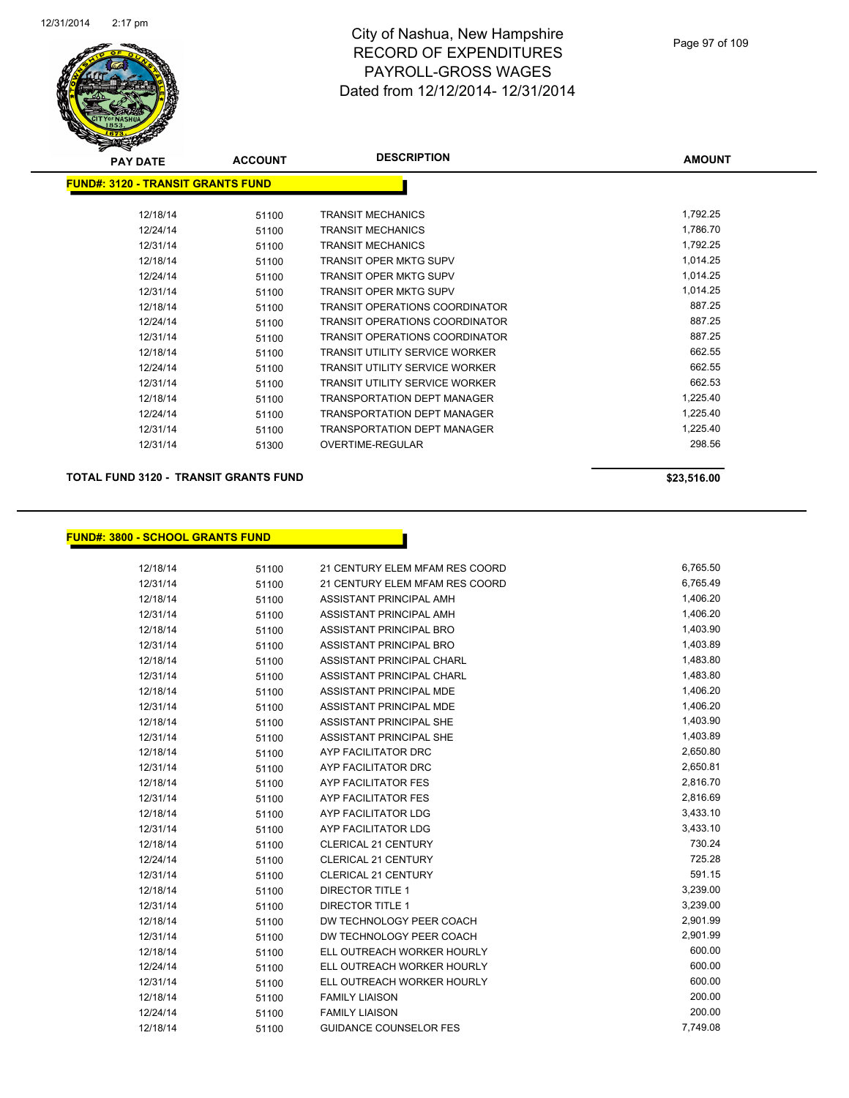

| $\tilde{\phantom{a}}$                     |                |                                       |               |
|-------------------------------------------|----------------|---------------------------------------|---------------|
| <b>PAY DATE</b>                           | <b>ACCOUNT</b> | <b>DESCRIPTION</b>                    | <b>AMOUNT</b> |
| <u> FUND#: 3120 - TRANSIT GRANTS FUND</u> |                |                                       |               |
|                                           |                |                                       |               |
| 12/18/14                                  | 51100          | <b>TRANSIT MECHANICS</b>              | 1,792.25      |
| 12/24/14                                  | 51100          | <b>TRANSIT MECHANICS</b>              | 1,786.70      |
| 12/31/14                                  | 51100          | <b>TRANSIT MECHANICS</b>              | 1,792.25      |
| 12/18/14                                  | 51100          | <b>TRANSIT OPER MKTG SUPV</b>         | 1,014.25      |
| 12/24/14                                  | 51100          | <b>TRANSIT OPER MKTG SUPV</b>         | 1,014.25      |
| 12/31/14                                  | 51100          | <b>TRANSIT OPER MKTG SUPV</b>         | 1,014.25      |
| 12/18/14                                  | 51100          | TRANSIT OPERATIONS COORDINATOR        | 887.25        |
| 12/24/14                                  | 51100          | <b>TRANSIT OPERATIONS COORDINATOR</b> | 887.25        |
| 12/31/14                                  | 51100          | TRANSIT OPERATIONS COORDINATOR        | 887.25        |
| 12/18/14                                  | 51100          | <b>TRANSIT UTILITY SERVICE WORKER</b> | 662.55        |
| 12/24/14                                  | 51100          | <b>TRANSIT UTILITY SERVICE WORKER</b> | 662.55        |
| 12/31/14                                  | 51100          | <b>TRANSIT UTILITY SERVICE WORKER</b> | 662.53        |
| 12/18/14                                  | 51100          | <b>TRANSPORTATION DEPT MANAGER</b>    | 1,225.40      |
| 12/24/14                                  | 51100          | TRANSPORTATION DEPT MANAGER           | 1,225.40      |
| 12/31/14                                  | 51100          | <b>TRANSPORTATION DEPT MANAGER</b>    | 1,225.40      |
| 12/31/14                                  | 51300          | OVERTIME-REGULAR                      | 298.56        |
|                                           |                |                                       |               |

**TOTAL FUND 3120 - TRANSIT GRANTS FUND \$23,516.00** 

#### **FUND#: 3800 - SCHOOL GRANTS FUND**

| 12/18/14 | 51100 | 21 CENTURY ELEM MFAM RES COORD | 6,765.50 |
|----------|-------|--------------------------------|----------|
| 12/31/14 | 51100 | 21 CENTURY ELEM MFAM RES COORD | 6,765.49 |
| 12/18/14 | 51100 | ASSISTANT PRINCIPAL AMH        | 1,406.20 |
| 12/31/14 | 51100 | ASSISTANT PRINCIPAL AMH        | 1,406.20 |
| 12/18/14 | 51100 | ASSISTANT PRINCIPAL BRO        | 1,403.90 |
| 12/31/14 | 51100 | ASSISTANT PRINCIPAL BRO        | 1,403.89 |
| 12/18/14 | 51100 | ASSISTANT PRINCIPAL CHARL      | 1,483.80 |
| 12/31/14 | 51100 | ASSISTANT PRINCIPAL CHARL      | 1,483.80 |
| 12/18/14 | 51100 | ASSISTANT PRINCIPAL MDE        | 1,406.20 |
| 12/31/14 | 51100 | ASSISTANT PRINCIPAL MDE        | 1,406.20 |
| 12/18/14 | 51100 | ASSISTANT PRINCIPAL SHE        | 1,403.90 |
| 12/31/14 | 51100 | <b>ASSISTANT PRINCIPAL SHE</b> | 1,403.89 |
| 12/18/14 | 51100 | AYP FACILITATOR DRC            | 2,650.80 |
| 12/31/14 | 51100 | AYP FACILITATOR DRC            | 2,650.81 |
| 12/18/14 | 51100 | AYP FACILITATOR FES            | 2,816.70 |
| 12/31/14 | 51100 | <b>AYP FACILITATOR FES</b>     | 2,816.69 |
| 12/18/14 | 51100 | AYP FACILITATOR LDG            | 3,433.10 |
| 12/31/14 | 51100 | AYP FACILITATOR LDG            | 3,433.10 |
| 12/18/14 | 51100 | <b>CLERICAL 21 CENTURY</b>     | 730.24   |
| 12/24/14 | 51100 | <b>CLERICAL 21 CENTURY</b>     | 725.28   |
| 12/31/14 | 51100 | <b>CLERICAL 21 CENTURY</b>     | 591.15   |
| 12/18/14 | 51100 | <b>DIRECTOR TITLE 1</b>        | 3,239.00 |
| 12/31/14 | 51100 | <b>DIRECTOR TITLE 1</b>        | 3,239.00 |
| 12/18/14 | 51100 | DW TECHNOLOGY PEER COACH       | 2,901.99 |
| 12/31/14 | 51100 | DW TECHNOLOGY PEER COACH       | 2,901.99 |
| 12/18/14 | 51100 | ELL OUTREACH WORKER HOURLY     | 600.00   |
| 12/24/14 | 51100 | ELL OUTREACH WORKER HOURLY     | 600.00   |
| 12/31/14 | 51100 | ELL OUTREACH WORKER HOURLY     | 600.00   |
| 12/18/14 | 51100 | <b>FAMILY LIAISON</b>          | 200.00   |
| 12/24/14 | 51100 | <b>FAMILY LIAISON</b>          | 200.00   |
| 12/18/14 | 51100 | <b>GUIDANCE COUNSELOR FES</b>  | 7,749.08 |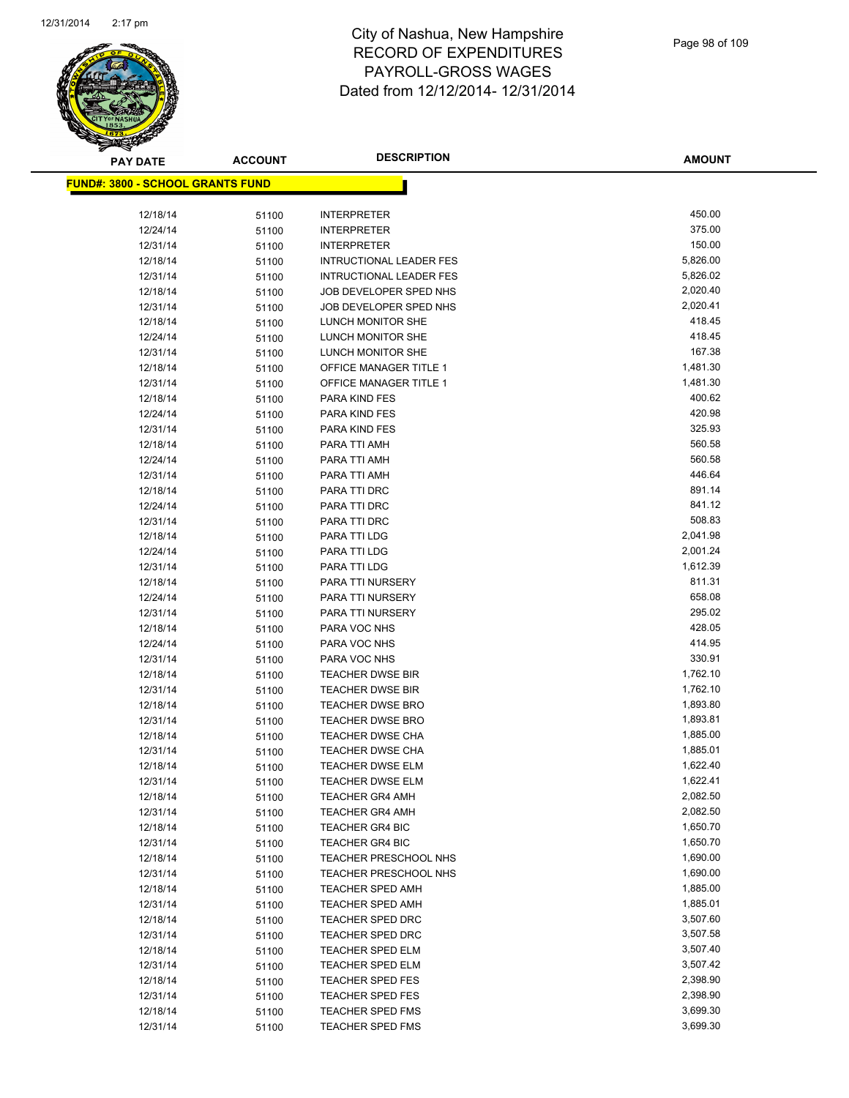

| <b>PAY DATE</b>                          | <b>ACCOUNT</b> | <b>DESCRIPTION</b>                                 | <b>AMOUNT</b>        |
|------------------------------------------|----------------|----------------------------------------------------|----------------------|
| <u> FUND#: 3800 - SCHOOL GRANTS FUND</u> |                |                                                    |                      |
|                                          |                |                                                    |                      |
| 12/18/14                                 | 51100          | <b>INTERPRETER</b>                                 | 450.00               |
| 12/24/14                                 | 51100          | <b>INTERPRETER</b>                                 | 375.00               |
| 12/31/14                                 | 51100          | <b>INTERPRETER</b>                                 | 150.00               |
| 12/18/14                                 | 51100          | <b>INTRUCTIONAL LEADER FES</b>                     | 5,826.00             |
| 12/31/14                                 | 51100          | <b>INTRUCTIONAL LEADER FES</b>                     | 5,826.02             |
| 12/18/14                                 | 51100          | JOB DEVELOPER SPED NHS                             | 2,020.40             |
| 12/31/14                                 | 51100          | JOB DEVELOPER SPED NHS                             | 2,020.41             |
| 12/18/14                                 | 51100          | LUNCH MONITOR SHE                                  | 418.45               |
| 12/24/14                                 | 51100          | LUNCH MONITOR SHE                                  | 418.45               |
| 12/31/14                                 | 51100          | LUNCH MONITOR SHE                                  | 167.38               |
| 12/18/14                                 | 51100          | <b>OFFICE MANAGER TITLE 1</b>                      | 1,481.30             |
| 12/31/14                                 | 51100          | <b>OFFICE MANAGER TITLE 1</b>                      | 1,481.30             |
| 12/18/14                                 | 51100          | PARA KIND FES                                      | 400.62               |
| 12/24/14                                 | 51100          | PARA KIND FES                                      | 420.98               |
| 12/31/14                                 | 51100          | PARA KIND FES                                      | 325.93               |
| 12/18/14                                 | 51100          | PARA TTI AMH                                       | 560.58               |
| 12/24/14                                 | 51100          | PARA TTI AMH                                       | 560.58               |
| 12/31/14                                 | 51100          | PARA TTI AMH                                       | 446.64               |
| 12/18/14                                 | 51100          | PARA TTI DRC                                       | 891.14               |
| 12/24/14                                 | 51100          | PARA TTI DRC                                       | 841.12               |
| 12/31/14                                 | 51100          | PARA TTI DRC                                       | 508.83               |
| 12/18/14                                 | 51100          | PARA TTI LDG                                       | 2,041.98             |
| 12/24/14                                 | 51100          | PARA TTI LDG                                       | 2,001.24             |
| 12/31/14                                 | 51100          | PARA TTI LDG                                       | 1,612.39             |
| 12/18/14                                 | 51100          | PARA TTI NURSERY                                   | 811.31               |
| 12/24/14                                 | 51100          | PARA TTI NURSERY                                   | 658.08               |
| 12/31/14                                 | 51100          | PARA TTI NURSERY                                   | 295.02               |
| 12/18/14                                 | 51100          | PARA VOC NHS                                       | 428.05               |
| 12/24/14                                 | 51100          | PARA VOC NHS                                       | 414.95               |
| 12/31/14                                 | 51100          | PARA VOC NHS                                       | 330.91               |
| 12/18/14                                 | 51100          | <b>TEACHER DWSE BIR</b>                            | 1,762.10             |
| 12/31/14<br>12/18/14                     | 51100          | <b>TEACHER DWSE BIR</b><br><b>TEACHER DWSE BRO</b> | 1,762.10<br>1,893.80 |
| 12/31/14                                 | 51100          | TEACHER DWSE BRO                                   | 1,893.81             |
| 12/18/14                                 | 51100          | <b>TEACHER DWSE CHA</b>                            | 1,885.00             |
| 12/31/14                                 | 51100<br>51100 | <b>TEACHER DWSE CHA</b>                            | 1,885.01             |
| 12/18/14                                 | 51100          | <b>TEACHER DWSE ELM</b>                            | 1,622.40             |
| 12/31/14                                 | 51100          | TEACHER DWSE ELM                                   | 1,622.41             |
| 12/18/14                                 | 51100          | <b>TEACHER GR4 AMH</b>                             | 2,082.50             |
| 12/31/14                                 | 51100          | <b>TEACHER GR4 AMH</b>                             | 2,082.50             |
| 12/18/14                                 | 51100          | <b>TEACHER GR4 BIC</b>                             | 1,650.70             |
| 12/31/14                                 | 51100          | <b>TEACHER GR4 BIC</b>                             | 1,650.70             |
| 12/18/14                                 | 51100          | TEACHER PRESCHOOL NHS                              | 1,690.00             |
| 12/31/14                                 | 51100          | TEACHER PRESCHOOL NHS                              | 1,690.00             |
| 12/18/14                                 | 51100          | <b>TEACHER SPED AMH</b>                            | 1,885.00             |
| 12/31/14                                 | 51100          | <b>TEACHER SPED AMH</b>                            | 1,885.01             |
| 12/18/14                                 | 51100          | TEACHER SPED DRC                                   | 3,507.60             |
| 12/31/14                                 | 51100          | <b>TEACHER SPED DRC</b>                            | 3,507.58             |
| 12/18/14                                 | 51100          | <b>TEACHER SPED ELM</b>                            | 3,507.40             |
| 12/31/14                                 | 51100          | <b>TEACHER SPED ELM</b>                            | 3,507.42             |
| 12/18/14                                 | 51100          | <b>TEACHER SPED FES</b>                            | 2,398.90             |
| 12/31/14                                 | 51100          | <b>TEACHER SPED FES</b>                            | 2,398.90             |
| 12/18/14                                 | 51100          | TEACHER SPED FMS                                   | 3,699.30             |
| 12/31/14                                 | 51100          | <b>TEACHER SPED FMS</b>                            | 3,699.30             |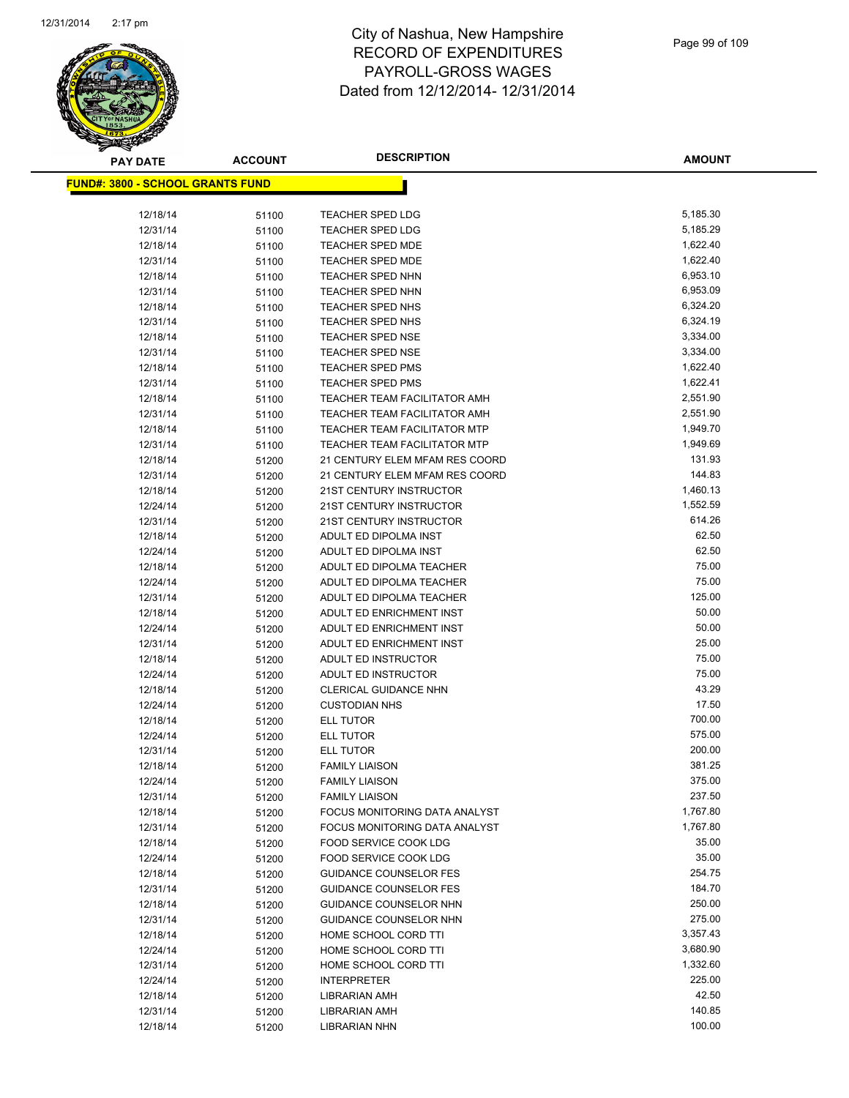$FUN$ 



# City of Nashua, New Hampshire RECORD OF EXPENDITURES PAYROLL-GROSS WAGES Dated from 12/12/2014- 12/31/2014

**AMOUNT**

| <u> D#: 3800 - SCHOOL GRANTS FUND</u> |       |                                     |          |
|---------------------------------------|-------|-------------------------------------|----------|
|                                       |       |                                     |          |
| 12/18/14                              | 51100 | <b>TEACHER SPED LDG</b>             | 5,185.30 |
| 12/31/14                              | 51100 | <b>TEACHER SPED LDG</b>             | 5,185.29 |
| 12/18/14                              | 51100 | <b>TEACHER SPED MDE</b>             | 1,622.40 |
| 12/31/14                              | 51100 | <b>TEACHER SPED MDE</b>             | 1,622.40 |
| 12/18/14                              | 51100 | <b>TEACHER SPED NHN</b>             | 6,953.10 |
| 12/31/14                              | 51100 | <b>TEACHER SPED NHN</b>             | 6,953.09 |
| 12/18/14                              | 51100 | <b>TEACHER SPED NHS</b>             | 6,324.20 |
| 12/31/14                              | 51100 | TEACHER SPED NHS                    | 6,324.19 |
| 12/18/14                              | 51100 | <b>TEACHER SPED NSE</b>             | 3,334.00 |
| 12/31/14                              | 51100 | <b>TEACHER SPED NSE</b>             | 3,334.00 |
| 12/18/14                              | 51100 | <b>TEACHER SPED PMS</b>             | 1,622.40 |
| 12/31/14                              | 51100 | <b>TEACHER SPED PMS</b>             | 1,622.41 |
| 12/18/14                              | 51100 | TEACHER TEAM FACILITATOR AMH        | 2,551.90 |
| 12/31/14                              | 51100 | TEACHER TEAM FACILITATOR AMH        | 2,551.90 |
| 12/18/14                              | 51100 | <b>TEACHER TEAM FACILITATOR MTP</b> | 1,949.70 |
| 12/31/14                              | 51100 | TEACHER TEAM FACILITATOR MTP        | 1,949.69 |
| 12/18/14                              | 51200 | 21 CENTURY ELEM MFAM RES COORD      | 131.93   |
| 12/31/14                              | 51200 | 21 CENTURY ELEM MFAM RES COORD      | 144.83   |
| 12/18/14                              | 51200 | 21ST CENTURY INSTRUCTOR             | 1,460.13 |
| 12/24/14                              | 51200 | 21ST CENTURY INSTRUCTOR             | 1,552.59 |
| 12/31/14                              | 51200 | 21ST CENTURY INSTRUCTOR             | 614.26   |
| 12/18/14                              | 51200 | ADULT ED DIPOLMA INST               | 62.50    |
| 12/24/14                              | 51200 | ADULT ED DIPOLMA INST               | 62.50    |
| 12/18/14                              | 51200 | ADULT ED DIPOLMA TEACHER            | 75.00    |
| 12/24/14                              | 51200 | ADULT ED DIPOLMA TEACHER            | 75.00    |
| 12/31/14                              | 51200 | ADULT ED DIPOLMA TEACHER            | 125.00   |
| 12/18/14                              | 51200 | ADULT ED ENRICHMENT INST            | 50.00    |
| 12/24/14                              | 51200 | ADULT ED ENRICHMENT INST            | 50.00    |
| 12/31/14                              | 51200 | ADULT ED ENRICHMENT INST            | 25.00    |
| 12/18/14                              | 51200 | ADULT ED INSTRUCTOR                 | 75.00    |
| 12/24/14                              | 51200 | ADULT ED INSTRUCTOR                 | 75.00    |
| 12/18/14                              | 51200 | <b>CLERICAL GUIDANCE NHN</b>        | 43.29    |
| 12/24/14                              | 51200 | <b>CUSTODIAN NHS</b>                | 17.50    |
| 12/18/14                              | 51200 | <b>ELL TUTOR</b>                    | 700.00   |
| 12/24/14                              | 51200 | <b>ELL TUTOR</b>                    | 575.00   |
| 12/31/14                              | 51200 | ELL TUTOR                           | 200.00   |
| 12/18/14                              | 51200 | <b>FAMILY LIAISON</b>               | 381.25   |
| 12/24/14                              | 51200 | <b>FAMILY LIAISON</b>               | 375.00   |
| 12/31/14                              | 51200 | <b>FAMILY LIAISON</b>               | 237.50   |
| 12/18/14                              | 51200 | FOCUS MONITORING DATA ANALYST       | 1,767.80 |
| 12/31/14                              | 51200 | FOCUS MONITORING DATA ANALYST       | 1,767.80 |
| 12/18/14                              | 51200 | FOOD SERVICE COOK LDG               | 35.00    |
| 12/24/14                              | 51200 | FOOD SERVICE COOK LDG               | 35.00    |
| 12/18/14                              | 51200 | <b>GUIDANCE COUNSELOR FES</b>       | 254.75   |
| 12/31/14                              | 51200 | <b>GUIDANCE COUNSELOR FES</b>       | 184.70   |
| 12/18/14                              | 51200 | GUIDANCE COUNSELOR NHN              | 250.00   |
| 12/31/14                              | 51200 | GUIDANCE COUNSELOR NHN              | 275.00   |
| 12/18/14                              | 51200 | HOME SCHOOL CORD TTI                | 3,357.43 |
| 12/24/14                              | 51200 | HOME SCHOOL CORD TTI                | 3,680.90 |
| 12/31/14                              | 51200 | HOME SCHOOL CORD TTI                | 1,332.60 |
| 12/24/14                              | 51200 | <b>INTERPRETER</b>                  | 225.00   |
| 12/18/14                              | 51200 | LIBRARIAN AMH                       | 42.50    |
| 12/31/14                              | 51200 | LIBRARIAN AMH                       | 140.85   |
| 12/18/14                              | 51200 | LIBRARIAN NHN                       | 100.00   |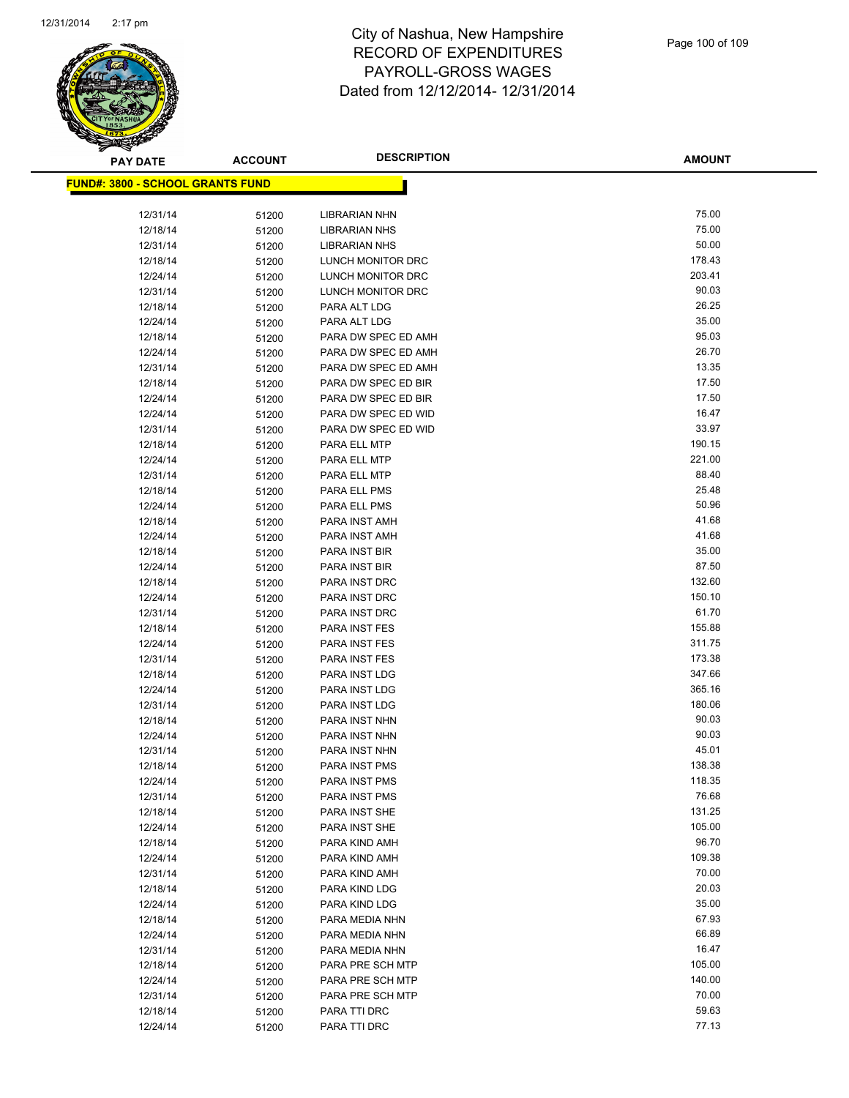

| <b>PAY DATE</b>                          | <b>ACCOUNT</b> | <b>DESCRIPTION</b>             | <b>AMOUNT</b>  |
|------------------------------------------|----------------|--------------------------------|----------------|
| <u> FUND#: 3800 - SCHOOL GRANTS FUND</u> |                |                                |                |
|                                          |                |                                |                |
| 12/31/14                                 | 51200          | <b>LIBRARIAN NHN</b>           | 75.00          |
| 12/18/14                                 | 51200          | <b>LIBRARIAN NHS</b>           | 75.00          |
| 12/31/14                                 | 51200          | <b>LIBRARIAN NHS</b>           | 50.00          |
| 12/18/14                                 | 51200          | LUNCH MONITOR DRC              | 178.43         |
| 12/24/14                                 | 51200          | LUNCH MONITOR DRC              | 203.41         |
| 12/31/14                                 | 51200          | LUNCH MONITOR DRC              | 90.03          |
| 12/18/14                                 | 51200          | PARA ALT LDG                   | 26.25          |
| 12/24/14                                 | 51200          | PARA ALT LDG                   | 35.00          |
| 12/18/14                                 | 51200          | PARA DW SPEC ED AMH            | 95.03          |
| 12/24/14                                 | 51200          | PARA DW SPEC ED AMH            | 26.70          |
| 12/31/14                                 | 51200          | PARA DW SPEC ED AMH            | 13.35          |
| 12/18/14                                 | 51200          | PARA DW SPEC ED BIR            | 17.50          |
| 12/24/14                                 | 51200          | PARA DW SPEC ED BIR            | 17.50          |
| 12/24/14                                 | 51200          | PARA DW SPEC ED WID            | 16.47          |
| 12/31/14                                 | 51200          | PARA DW SPEC ED WID            | 33.97          |
| 12/18/14                                 | 51200          | PARA ELL MTP                   | 190.15         |
| 12/24/14                                 | 51200          | PARA ELL MTP                   | 221.00         |
| 12/31/14                                 | 51200          | PARA ELL MTP                   | 88.40          |
| 12/18/14                                 | 51200          | PARA ELL PMS                   | 25.48          |
| 12/24/14                                 | 51200          | PARA ELL PMS                   | 50.96          |
| 12/18/14                                 | 51200          | PARA INST AMH                  | 41.68          |
| 12/24/14                                 | 51200          | PARA INST AMH                  | 41.68          |
| 12/18/14                                 | 51200          | PARA INST BIR                  | 35.00<br>87.50 |
| 12/24/14<br>12/18/14                     | 51200          | PARA INST BIR<br>PARA INST DRC | 132.60         |
| 12/24/14                                 | 51200          | PARA INST DRC                  | 150.10         |
| 12/31/14                                 | 51200          | PARA INST DRC                  | 61.70          |
| 12/18/14                                 | 51200<br>51200 | PARA INST FES                  | 155.88         |
| 12/24/14                                 | 51200          | PARA INST FES                  | 311.75         |
| 12/31/14                                 | 51200          | PARA INST FES                  | 173.38         |
| 12/18/14                                 | 51200          | PARA INST LDG                  | 347.66         |
| 12/24/14                                 | 51200          | PARA INST LDG                  | 365.16         |
| 12/31/14                                 | 51200          | PARA INST LDG                  | 180.06         |
| 12/18/14                                 | 51200          | PARA INST NHN                  | 90.03          |
| 12/24/14                                 | 51200          | PARA INST NHN                  | 90.03          |
| 12/31/14                                 | 51200          | PARA INST NHN                  | 45.01          |
| 12/18/14                                 | 51200          | <b>PARA INST PMS</b>           | 138.38         |
| 12/24/14                                 | 51200          | PARA INST PMS                  | 118.35         |
| 12/31/14                                 | 51200          | PARA INST PMS                  | 76.68          |
| 12/18/14                                 | 51200          | PARA INST SHE                  | 131.25         |
| 12/24/14                                 | 51200          | PARA INST SHE                  | 105.00         |
| 12/18/14                                 | 51200          | PARA KIND AMH                  | 96.70          |
| 12/24/14                                 | 51200          | PARA KIND AMH                  | 109.38         |
| 12/31/14                                 | 51200          | PARA KIND AMH                  | 70.00          |
| 12/18/14                                 | 51200          | PARA KIND LDG                  | 20.03          |
| 12/24/14                                 | 51200          | PARA KIND LDG                  | 35.00          |
| 12/18/14                                 | 51200          | PARA MEDIA NHN                 | 67.93          |
| 12/24/14                                 | 51200          | PARA MEDIA NHN                 | 66.89          |
| 12/31/14                                 | 51200          | PARA MEDIA NHN                 | 16.47          |
| 12/18/14                                 | 51200          | PARA PRE SCH MTP               | 105.00         |
| 12/24/14                                 | 51200          | PARA PRE SCH MTP               | 140.00         |
| 12/31/14                                 | 51200          | PARA PRE SCH MTP               | 70.00          |
| 12/18/14                                 | 51200          | PARA TTI DRC                   | 59.63<br>77.13 |
| 12/24/14                                 | 51200          | PARA TTI DRC                   |                |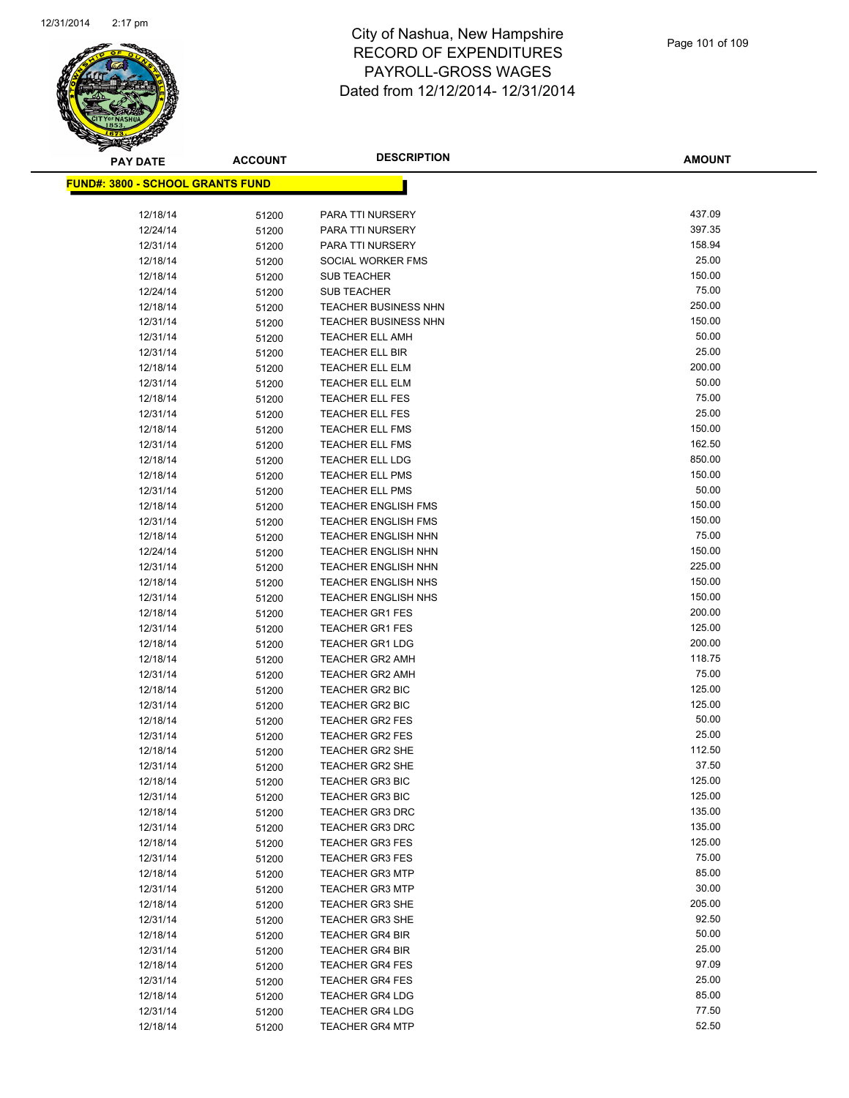

| <b>PAY DATE</b>                          | <b>ACCOUNT</b> | <b>DESCRIPTION</b>                        | <b>AMOUNT</b>   |
|------------------------------------------|----------------|-------------------------------------------|-----------------|
| <u> FUND#: 3800 - SCHOOL GRANTS FUND</u> |                |                                           |                 |
|                                          |                |                                           |                 |
| 12/18/14                                 | 51200          | PARA TTI NURSERY                          | 437.09          |
| 12/24/14                                 | 51200          | PARA TTI NURSERY                          | 397.35          |
| 12/31/14                                 | 51200          | PARA TTI NURSERY                          | 158.94          |
| 12/18/14                                 | 51200          | SOCIAL WORKER FMS                         | 25.00           |
| 12/18/14                                 | 51200          | <b>SUB TEACHER</b>                        | 150.00          |
| 12/24/14                                 | 51200          | <b>SUB TEACHER</b>                        | 75.00           |
| 12/18/14                                 | 51200          | <b>TEACHER BUSINESS NHN</b>               | 250.00          |
| 12/31/14                                 | 51200          | <b>TEACHER BUSINESS NHN</b>               | 150.00          |
| 12/31/14                                 | 51200          | <b>TEACHER ELL AMH</b>                    | 50.00           |
| 12/31/14                                 | 51200          | TEACHER ELL BIR                           | 25.00           |
| 12/18/14                                 | 51200          | TEACHER ELL ELM                           | 200.00          |
| 12/31/14                                 | 51200          | TEACHER ELL ELM                           | 50.00           |
| 12/18/14                                 | 51200          | <b>TEACHER ELL FES</b>                    | 75.00           |
| 12/31/14                                 | 51200          | <b>TEACHER ELL FES</b>                    | 25.00           |
| 12/18/14                                 | 51200          | <b>TEACHER ELL FMS</b>                    | 150.00          |
| 12/31/14                                 | 51200          | <b>TEACHER ELL FMS</b>                    | 162.50          |
| 12/18/14                                 | 51200          | <b>TEACHER ELL LDG</b>                    | 850.00          |
| 12/18/14                                 | 51200          | <b>TEACHER ELL PMS</b>                    | 150.00          |
| 12/31/14                                 | 51200          | <b>TEACHER ELL PMS</b>                    | 50.00           |
| 12/18/14                                 | 51200          | <b>TEACHER ENGLISH FMS</b>                | 150.00          |
| 12/31/14                                 | 51200          | <b>TEACHER ENGLISH FMS</b>                | 150.00          |
| 12/18/14                                 | 51200          | <b>TEACHER ENGLISH NHN</b>                | 75.00           |
| 12/24/14                                 | 51200          | <b>TEACHER ENGLISH NHN</b>                | 150.00          |
| 12/31/14                                 | 51200          | <b>TEACHER ENGLISH NHN</b>                | 225.00          |
| 12/18/14                                 | 51200          | <b>TEACHER ENGLISH NHS</b>                | 150.00          |
| 12/31/14                                 | 51200          | <b>TEACHER ENGLISH NHS</b>                | 150.00          |
| 12/18/14                                 | 51200          | <b>TEACHER GR1 FES</b>                    | 200.00          |
| 12/31/14                                 | 51200          | <b>TEACHER GR1 FES</b>                    | 125.00          |
| 12/18/14                                 | 51200          | <b>TEACHER GR1 LDG</b>                    | 200.00          |
| 12/18/14                                 | 51200          | <b>TEACHER GR2 AMH</b>                    | 118.75          |
| 12/31/14                                 | 51200          | <b>TEACHER GR2 AMH</b>                    | 75.00           |
| 12/18/14                                 | 51200          | <b>TEACHER GR2 BIC</b>                    | 125.00          |
| 12/31/14                                 | 51200          | <b>TEACHER GR2 BIC</b>                    | 125.00<br>50.00 |
| 12/18/14                                 | 51200          | <b>TEACHER GR2 FES</b>                    | 25.00           |
| 12/31/14                                 | 51200          | <b>TEACHER GR2 FES</b><br>TEACHER GR2 SHE | 112.50          |
| 12/18/14<br>12/31/14                     | 51200          | <b>TEACHER GR2 SHE</b>                    | 37.50           |
| 12/18/14                                 | 51200          | <b>TEACHER GR3 BIC</b>                    | 125.00          |
| 12/31/14                                 | 51200<br>51200 | <b>TEACHER GR3 BIC</b>                    | 125.00          |
| 12/18/14                                 | 51200          | <b>TEACHER GR3 DRC</b>                    | 135.00          |
| 12/31/14                                 | 51200          | <b>TEACHER GR3 DRC</b>                    | 135.00          |
| 12/18/14                                 | 51200          | <b>TEACHER GR3 FES</b>                    | 125.00          |
| 12/31/14                                 | 51200          | <b>TEACHER GR3 FES</b>                    | 75.00           |
| 12/18/14                                 | 51200          | <b>TEACHER GR3 MTP</b>                    | 85.00           |
| 12/31/14                                 | 51200          | <b>TEACHER GR3 MTP</b>                    | 30.00           |
| 12/18/14                                 | 51200          | <b>TEACHER GR3 SHE</b>                    | 205.00          |
| 12/31/14                                 | 51200          | <b>TEACHER GR3 SHE</b>                    | 92.50           |
| 12/18/14                                 | 51200          | <b>TEACHER GR4 BIR</b>                    | 50.00           |
| 12/31/14                                 | 51200          | <b>TEACHER GR4 BIR</b>                    | 25.00           |
| 12/18/14                                 | 51200          | <b>TEACHER GR4 FES</b>                    | 97.09           |
| 12/31/14                                 | 51200          | <b>TEACHER GR4 FES</b>                    | 25.00           |
| 12/18/14                                 | 51200          | <b>TEACHER GR4 LDG</b>                    | 85.00           |
| 12/31/14                                 | 51200          | <b>TEACHER GR4 LDG</b>                    | 77.50           |
| 12/18/14                                 | 51200          | <b>TEACHER GR4 MTP</b>                    | 52.50           |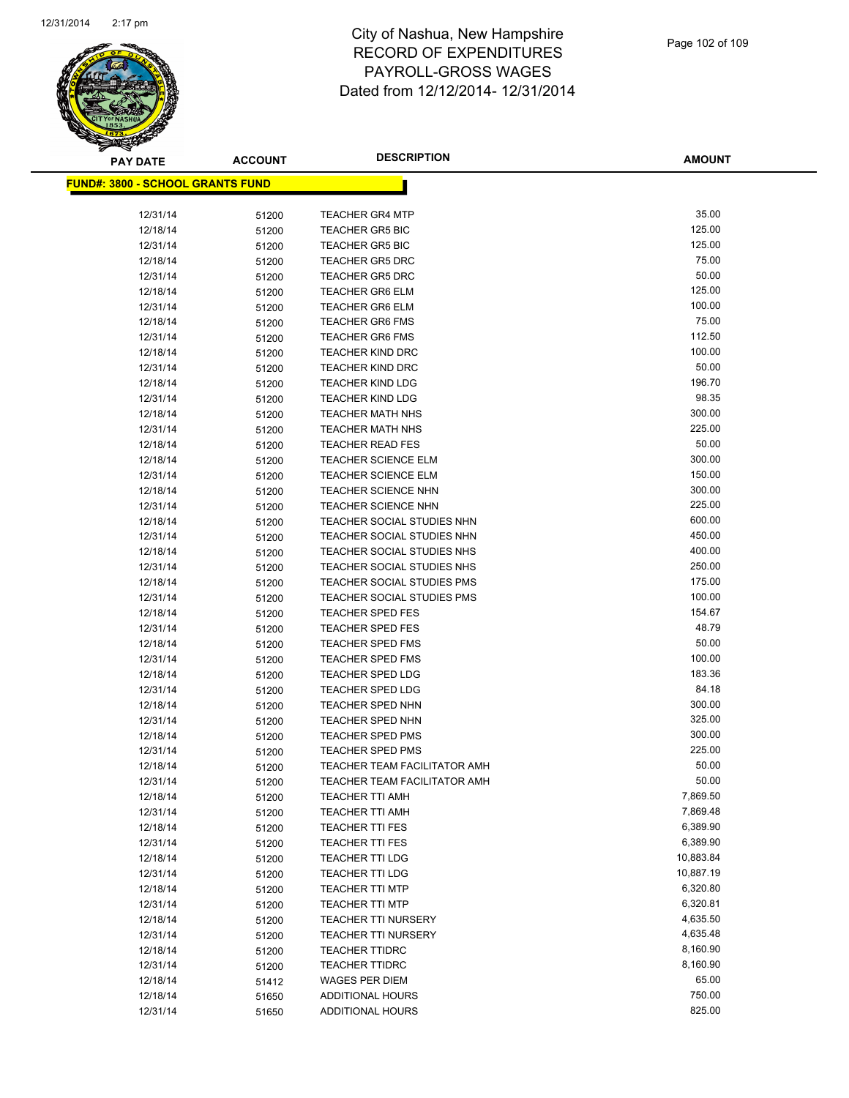

**AMOUNT**

| <u> FUND#: 3800 - SCHOOL GRANTS FUND</u> |       |                                                          |                      |
|------------------------------------------|-------|----------------------------------------------------------|----------------------|
|                                          |       |                                                          |                      |
| 12/31/14                                 | 51200 | <b>TEACHER GR4 MTP</b>                                   | 35.00                |
| 12/18/14                                 | 51200 | <b>TEACHER GR5 BIC</b>                                   | 125.00               |
| 12/31/14                                 | 51200 | <b>TEACHER GR5 BIC</b>                                   | 125.00               |
| 12/18/14                                 | 51200 | <b>TEACHER GR5 DRC</b>                                   | 75.00                |
| 12/31/14                                 | 51200 | <b>TEACHER GR5 DRC</b>                                   | 50.00                |
| 12/18/14                                 | 51200 | <b>TEACHER GR6 ELM</b>                                   | 125.00               |
| 12/31/14                                 | 51200 | <b>TEACHER GR6 ELM</b>                                   | 100.00               |
| 12/18/14                                 | 51200 | <b>TEACHER GR6 FMS</b>                                   | 75.00                |
| 12/31/14                                 | 51200 | <b>TEACHER GR6 FMS</b>                                   | 112.50               |
| 12/18/14                                 | 51200 | <b>TEACHER KIND DRC</b>                                  | 100.00               |
| 12/31/14                                 | 51200 | <b>TEACHER KIND DRC</b>                                  | 50.00                |
| 12/18/14                                 | 51200 | <b>TEACHER KIND LDG</b>                                  | 196.70               |
| 12/31/14                                 | 51200 | <b>TEACHER KIND LDG</b>                                  | 98.35                |
| 12/18/14                                 | 51200 | <b>TEACHER MATH NHS</b>                                  | 300.00               |
| 12/31/14                                 | 51200 | <b>TEACHER MATH NHS</b>                                  | 225.00               |
| 12/18/14                                 | 51200 | <b>TEACHER READ FES</b>                                  | 50.00                |
| 12/18/14                                 | 51200 | <b>TEACHER SCIENCE ELM</b>                               | 300.00               |
| 12/31/14                                 | 51200 | <b>TEACHER SCIENCE ELM</b>                               | 150.00               |
| 12/18/14                                 | 51200 | <b>TEACHER SCIENCE NHN</b>                               | 300.00               |
| 12/31/14                                 | 51200 | <b>TEACHER SCIENCE NHN</b>                               | 225.00               |
| 12/18/14                                 | 51200 | <b>TEACHER SOCIAL STUDIES NHN</b>                        | 600.00               |
| 12/31/14                                 | 51200 | TEACHER SOCIAL STUDIES NHN                               | 450.00               |
| 12/18/14                                 | 51200 | TEACHER SOCIAL STUDIES NHS                               | 400.00               |
| 12/31/14                                 | 51200 | TEACHER SOCIAL STUDIES NHS                               | 250.00               |
| 12/18/14                                 | 51200 | <b>TEACHER SOCIAL STUDIES PMS</b>                        | 175.00               |
| 12/31/14                                 | 51200 | <b>TEACHER SOCIAL STUDIES PMS</b>                        | 100.00               |
| 12/18/14                                 | 51200 | <b>TEACHER SPED FES</b>                                  | 154.67               |
| 12/31/14                                 | 51200 | <b>TEACHER SPED FES</b>                                  | 48.79                |
| 12/18/14                                 | 51200 | <b>TEACHER SPED FMS</b>                                  | 50.00                |
| 12/31/14                                 | 51200 | <b>TEACHER SPED FMS</b>                                  | 100.00               |
| 12/18/14                                 | 51200 | <b>TEACHER SPED LDG</b>                                  | 183.36               |
| 12/31/14                                 | 51200 | <b>TEACHER SPED LDG</b>                                  | 84.18                |
| 12/18/14                                 | 51200 | <b>TEACHER SPED NHN</b>                                  | 300.00               |
| 12/31/14                                 | 51200 | <b>TEACHER SPED NHN</b>                                  | 325.00               |
| 12/18/14                                 | 51200 | <b>TEACHER SPED PMS</b>                                  | 300.00               |
| 12/31/14                                 | 51200 | <b>TEACHER SPED PMS</b>                                  | 225.00               |
| 12/18/14                                 | 51200 | <b>TEACHER TEAM FACILITATOR AMH</b>                      | 50.00                |
| 12/31/14                                 | 51200 | <b>TEACHER TEAM FACILITATOR AMH</b>                      | 50.00                |
| 12/18/14                                 | 51200 | <b>TEACHER TTI AMH</b>                                   | 7,869.50             |
| 12/31/14                                 | 51200 | <b>TEACHER TTI AMH</b>                                   | 7,869.48             |
| 12/18/14                                 | 51200 | <b>TEACHER TTI FES</b>                                   | 6,389.90             |
| 12/31/14                                 | 51200 | <b>TEACHER TTI FES</b>                                   | 6,389.90             |
| 12/18/14                                 | 51200 | <b>TEACHER TTI LDG</b>                                   | 10,883.84            |
| 12/31/14                                 | 51200 | <b>TEACHER TTI LDG</b>                                   | 10,887.19            |
| 12/18/14                                 | 51200 | <b>TEACHER TTI MTP</b>                                   | 6,320.80             |
| 12/31/14                                 | 51200 | <b>TEACHER TTI MTP</b>                                   | 6,320.81             |
| 12/18/14                                 | 51200 | <b>TEACHER TTI NURSERY</b><br><b>TEACHER TTI NURSERY</b> | 4,635.50             |
| 12/31/14                                 | 51200 |                                                          | 4,635.48<br>8,160.90 |
| 12/18/14                                 | 51200 | <b>TEACHER TTIDRC</b>                                    |                      |
| 12/31/14                                 | 51200 | <b>TEACHER TTIDRC</b>                                    | 8,160.90<br>65.00    |
| 12/18/14                                 | 51412 | <b>WAGES PER DIEM</b>                                    | 750.00               |
| 12/18/14<br>12/31/14                     | 51650 | ADDITIONAL HOURS                                         | 825.00               |
|                                          | 51650 | <b>ADDITIONAL HOURS</b>                                  |                      |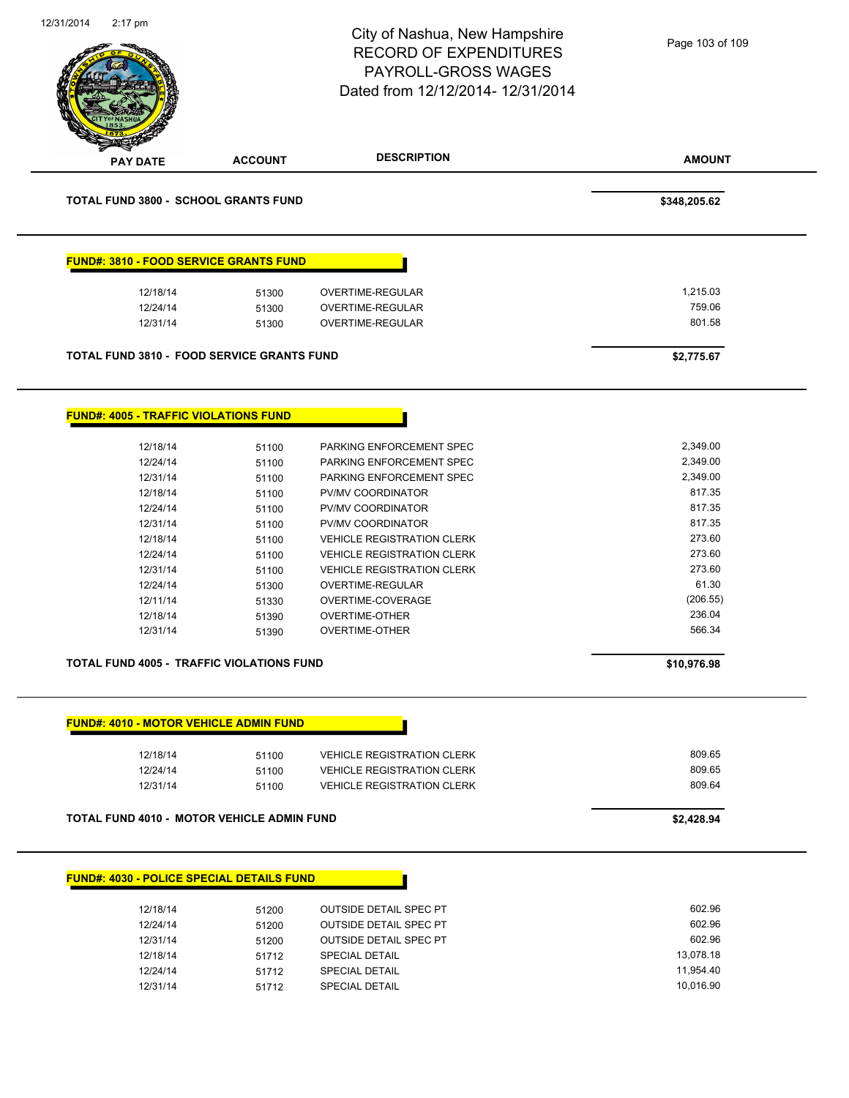|                                                  |                | City of Nashua, New Hampshire<br><b>RECORD OF EXPENDITURES</b><br><b>PAYROLL-GROSS WAGES</b><br>Dated from 12/12/2014-12/31/2014 | Page 103 of 109        |
|--------------------------------------------------|----------------|----------------------------------------------------------------------------------------------------------------------------------|------------------------|
| <b>PAY DATE</b>                                  | <b>ACCOUNT</b> | <b>DESCRIPTION</b>                                                                                                               | <b>AMOUNT</b>          |
| <b>TOTAL FUND 3800 - SCHOOL GRANTS FUND</b>      |                |                                                                                                                                  | \$348,205.62           |
| <b>FUND#: 3810 - FOOD SERVICE GRANTS FUND</b>    |                |                                                                                                                                  |                        |
| 12/18/14                                         | 51300          | <b>OVERTIME-REGULAR</b>                                                                                                          | 1,215.03               |
| 12/24/14                                         | 51300          | OVERTIME-REGULAR                                                                                                                 | 759.06                 |
| 12/31/14                                         | 51300          | OVERTIME-REGULAR                                                                                                                 | 801.58                 |
|                                                  |                |                                                                                                                                  |                        |
| TOTAL FUND 3810 - FOOD SERVICE GRANTS FUND       |                |                                                                                                                                  | \$2,775.67             |
| <b>FUND#: 4005 - TRAFFIC VIOLATIONS FUND</b>     |                |                                                                                                                                  |                        |
| 12/18/14                                         | 51100          | PARKING ENFORCEMENT SPEC                                                                                                         | 2,349.00               |
| 12/24/14                                         | 51100          | PARKING ENFORCEMENT SPEC                                                                                                         | 2,349.00               |
| 12/31/14                                         | 51100          | PARKING ENFORCEMENT SPEC                                                                                                         | 2,349.00               |
| 12/18/14                                         | 51100          | PV/MV COORDINATOR                                                                                                                | 817.35                 |
| 12/24/14                                         | 51100          | PV/MV COORDINATOR                                                                                                                | 817.35                 |
| 12/31/14                                         | 51100          | PV/MV COORDINATOR                                                                                                                | 817.35                 |
| 12/18/14                                         | 51100          | <b>VEHICLE REGISTRATION CLERK</b>                                                                                                | 273.60                 |
| 12/24/14                                         | 51100          | <b>VEHICLE REGISTRATION CLERK</b>                                                                                                | 273.60                 |
| 12/31/14                                         | 51100          | VEHICLE REGISTRATION CLERK                                                                                                       | 273.60                 |
| 12/24/14                                         | 51300          | OVERTIME-REGULAR                                                                                                                 | 61.30                  |
| 12/11/14                                         | 51330          | OVERTIME-COVERAGE                                                                                                                | (206.55)               |
| 12/18/14                                         | 51390          | <b>OVERTIME-OTHER</b>                                                                                                            | 236.04                 |
| 12/31/14                                         | 51390          | <b>OVERTIME-OTHER</b>                                                                                                            | 566.34                 |
| <b>TOTAL FUND 4005 - TRAFFIC VIOLATIONS FUND</b> |                |                                                                                                                                  | \$10,976.98            |
|                                                  |                |                                                                                                                                  |                        |
| <b>FUND#: 4010 - MOTOR VEHICLE ADMIN FUND</b>    |                |                                                                                                                                  |                        |
| 12/18/14                                         | 51100          | <b>VEHICLE REGISTRATION CLERK</b>                                                                                                | 809.65                 |
| 12/24/14                                         | 51100          | <b>VEHICLE REGISTRATION CLERK</b>                                                                                                | 809.65<br>809.64       |
| 12/31/14                                         | 51100          | <b>VEHICLE REGISTRATION CLERK</b>                                                                                                |                        |
| TOTAL FUND 4010 - MOTOR VEHICLE ADMIN FUND       |                |                                                                                                                                  | \$2,428.94             |
| <b>FUND#: 4030 - POLICE SPECIAL DETAILS FUND</b> |                |                                                                                                                                  |                        |
|                                                  |                |                                                                                                                                  |                        |
|                                                  |                |                                                                                                                                  |                        |
| 12/18/14                                         | 51200          | <b>OUTSIDE DETAIL SPEC PT</b>                                                                                                    | 602.96                 |
| 12/24/14                                         | 51200          | <b>OUTSIDE DETAIL SPEC PT</b>                                                                                                    | 602.96                 |
| 12/31/14                                         | 51200          | <b>OUTSIDE DETAIL SPEC PT</b>                                                                                                    | 602.96                 |
| 12/18/14<br>12/24/14                             | 51712<br>51712 | <b>SPECIAL DETAIL</b><br><b>SPECIAL DETAIL</b>                                                                                   | 13,078.18<br>11,954.40 |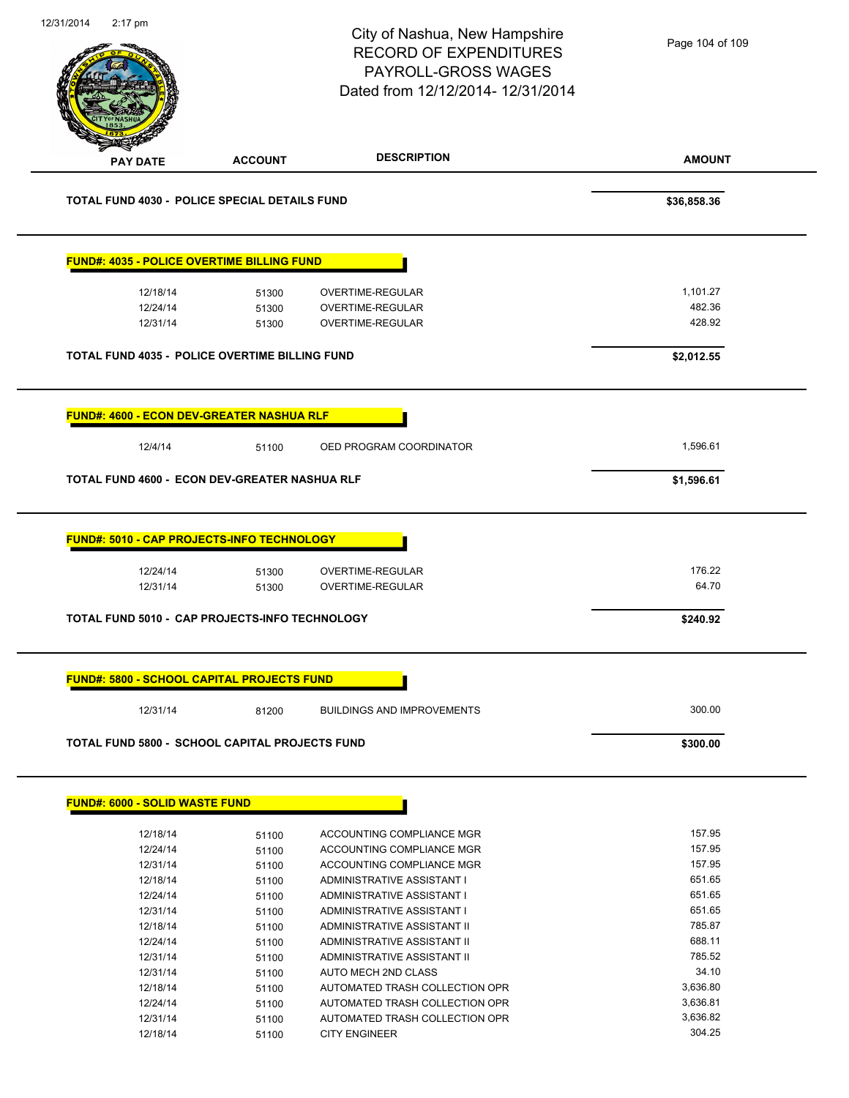| 12/31/2014 | $2:17$ pm                             |                                                       | City of Nashua, New Hampshire<br><b>RECORD OF EXPENDITURES</b><br>PAYROLL-GROSS WAGES<br>Dated from 12/12/2014- 12/31/2014 | Page 104 of 109 |
|------------|---------------------------------------|-------------------------------------------------------|----------------------------------------------------------------------------------------------------------------------------|-----------------|
|            | <b>PAY DATE</b>                       | <b>ACCOUNT</b>                                        | <b>DESCRIPTION</b>                                                                                                         | <b>AMOUNT</b>   |
|            |                                       | <b>TOTAL FUND 4030 - POLICE SPECIAL DETAILS FUND</b>  |                                                                                                                            | \$36,858.36     |
|            |                                       | <b>FUND#: 4035 - POLICE OVERTIME BILLING FUND</b>     |                                                                                                                            |                 |
|            | 12/18/14                              | 51300                                                 | <b>OVERTIME-REGULAR</b>                                                                                                    | 1,101.27        |
|            | 12/24/14                              | 51300                                                 | OVERTIME-REGULAR                                                                                                           | 482.36          |
|            | 12/31/14                              | 51300                                                 | <b>OVERTIME-REGULAR</b>                                                                                                    | 428.92          |
|            |                                       | <b>TOTAL FUND 4035 - POLICE OVERTIME BILLING FUND</b> |                                                                                                                            | \$2,012.55      |
|            |                                       | <b>FUND#: 4600 - ECON DEV-GREATER NASHUA RLF</b>      |                                                                                                                            |                 |
|            |                                       |                                                       |                                                                                                                            |                 |
|            | 12/4/14                               | 51100                                                 | OED PROGRAM COORDINATOR                                                                                                    | 1,596.61        |
|            |                                       | TOTAL FUND 4600 - ECON DEV-GREATER NASHUA RLF         |                                                                                                                            | \$1,596.61      |
|            |                                       | <b>FUND#: 5010 - CAP PROJECTS-INFO TECHNOLOGY</b>     |                                                                                                                            | 176.22          |
|            | 12/24/14<br>12/31/14                  | 51300<br>51300                                        | OVERTIME-REGULAR<br>OVERTIME-REGULAR                                                                                       | 64.70           |
|            |                                       | <b>TOTAL FUND 5010 - CAP PROJECTS-INFO TECHNOLOGY</b> |                                                                                                                            | \$240.92        |
|            |                                       | <b>FUND#: 5800 - SCHOOL CAPITAL PROJECTS FUND</b>     |                                                                                                                            |                 |
|            | 12/31/14                              | 81200                                                 | <b>BUILDINGS AND IMPROVEMENTS</b>                                                                                          | 300.00          |
|            |                                       | <b>TOTAL FUND 5800 - SCHOOL CAPITAL PROJECTS FUND</b> |                                                                                                                            | \$300.00        |
|            |                                       |                                                       |                                                                                                                            |                 |
|            | <b>FUND#: 6000 - SOLID WASTE FUND</b> |                                                       |                                                                                                                            |                 |
|            | 12/18/14                              | 51100                                                 | ACCOUNTING COMPLIANCE MGR                                                                                                  | 157.95          |
|            | 12/24/14                              | 51100                                                 | ACCOUNTING COMPLIANCE MGR                                                                                                  | 157.95          |
|            | 12/31/14                              | 51100                                                 | ACCOUNTING COMPLIANCE MGR                                                                                                  | 157.95          |
|            | 12/18/14                              | 51100                                                 | ADMINISTRATIVE ASSISTANT I                                                                                                 | 651.65          |
|            | 12/24/14                              | 51100                                                 | ADMINISTRATIVE ASSISTANT I                                                                                                 | 651.65          |
|            | 12/31/14                              | 51100                                                 | ADMINISTRATIVE ASSISTANT I                                                                                                 | 651.65          |
|            | 12/18/14                              |                                                       | ADMINISTRATIVE ASSISTANT II                                                                                                | 785.87          |
|            |                                       | 51100                                                 |                                                                                                                            |                 |
|            | 12/24/14                              | 51100                                                 | ADMINISTRATIVE ASSISTANT II                                                                                                | 688.11          |
|            | 12/31/14                              | 51100                                                 | ADMINISTRATIVE ASSISTANT II                                                                                                | 785.52          |
|            | 12/31/14                              | 51100                                                 | AUTO MECH 2ND CLASS                                                                                                        | 34.10           |
|            | 12/18/14                              | 51100                                                 | AUTOMATED TRASH COLLECTION OPR                                                                                             | 3,636.80        |
|            | 12/24/14                              | 51100                                                 | AUTOMATED TRASH COLLECTION OPR                                                                                             | 3,636.81        |
|            | 12/31/14                              | 51100                                                 | AUTOMATED TRASH COLLECTION OPR                                                                                             | 3,636.82        |
|            | 12/18/14                              | 51100                                                 | <b>CITY ENGINEER</b>                                                                                                       | 304.25          |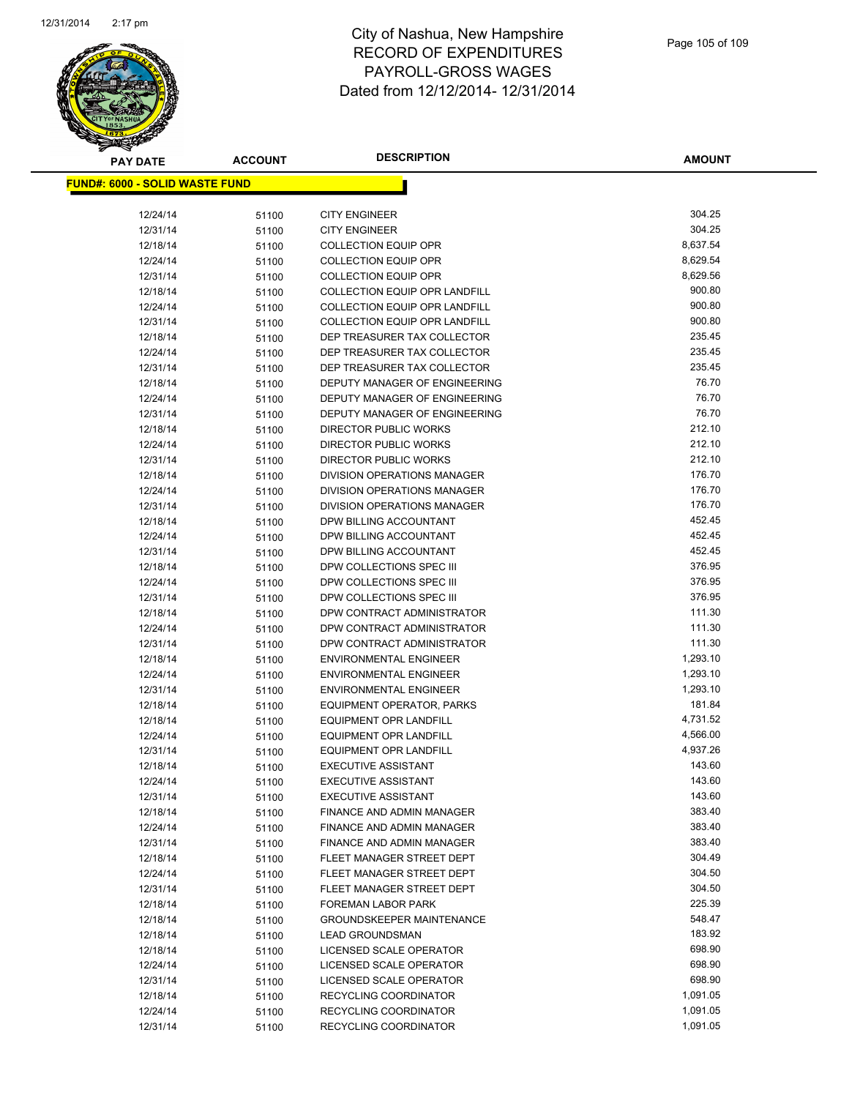

**AMOUNT**

| <u> FUND#: 6000 - SOLID WASTE FUND</u> |                |                                                    |          |
|----------------------------------------|----------------|----------------------------------------------------|----------|
| 12/24/14                               | 51100          | <b>CITY ENGINEER</b>                               | 304.25   |
| 12/31/14                               | 51100          | <b>CITY ENGINEER</b>                               | 304.25   |
| 12/18/14                               | 51100          | <b>COLLECTION EQUIP OPR</b>                        | 8,637.54 |
| 12/24/14                               | 51100          | <b>COLLECTION EQUIP OPR</b>                        | 8,629.54 |
| 12/31/14                               | 51100          | <b>COLLECTION EQUIP OPR</b>                        | 8,629.56 |
| 12/18/14                               | 51100          | <b>COLLECTION EQUIP OPR LANDFILL</b>               | 900.80   |
| 12/24/14                               |                | COLLECTION EQUIP OPR LANDFILL                      | 900.80   |
| 12/31/14                               | 51100<br>51100 | COLLECTION EQUIP OPR LANDFILL                      | 900.80   |
| 12/18/14                               | 51100          | DEP TREASURER TAX COLLECTOR                        | 235.45   |
| 12/24/14                               |                | DEP TREASURER TAX COLLECTOR                        | 235.45   |
| 12/31/14                               | 51100          | DEP TREASURER TAX COLLECTOR                        | 235.45   |
| 12/18/14                               | 51100<br>51100 | DEPUTY MANAGER OF ENGINEERING                      | 76.70    |
| 12/24/14                               | 51100          | DEPUTY MANAGER OF ENGINEERING                      | 76.70    |
| 12/31/14                               | 51100          | DEPUTY MANAGER OF ENGINEERING                      | 76.70    |
| 12/18/14                               | 51100          | <b>DIRECTOR PUBLIC WORKS</b>                       | 212.10   |
| 12/24/14                               |                | DIRECTOR PUBLIC WORKS                              | 212.10   |
| 12/31/14                               | 51100<br>51100 | DIRECTOR PUBLIC WORKS                              | 212.10   |
| 12/18/14                               |                | DIVISION OPERATIONS MANAGER                        | 176.70   |
| 12/24/14                               | 51100          | DIVISION OPERATIONS MANAGER                        | 176.70   |
| 12/31/14                               | 51100          | DIVISION OPERATIONS MANAGER                        | 176.70   |
| 12/18/14                               | 51100          | DPW BILLING ACCOUNTANT                             | 452.45   |
|                                        | 51100          | DPW BILLING ACCOUNTANT                             | 452.45   |
| 12/24/14                               | 51100          |                                                    | 452.45   |
| 12/31/14<br>12/18/14                   | 51100          | DPW BILLING ACCOUNTANT<br>DPW COLLECTIONS SPEC III | 376.95   |
| 12/24/14                               | 51100          | DPW COLLECTIONS SPEC III                           | 376.95   |
|                                        | 51100          | DPW COLLECTIONS SPEC III                           | 376.95   |
| 12/31/14                               | 51100          | DPW CONTRACT ADMINISTRATOR                         | 111.30   |
| 12/18/14                               | 51100          |                                                    | 111.30   |
| 12/24/14                               | 51100          | DPW CONTRACT ADMINISTRATOR                         | 111.30   |
| 12/31/14                               | 51100          | DPW CONTRACT ADMINISTRATOR                         |          |
| 12/18/14                               | 51100          | <b>ENVIRONMENTAL ENGINEER</b>                      | 1,293.10 |
| 12/24/14                               | 51100          | <b>ENVIRONMENTAL ENGINEER</b>                      | 1,293.10 |
| 12/31/14                               | 51100          | <b>ENVIRONMENTAL ENGINEER</b>                      | 1,293.10 |
| 12/18/14                               | 51100          | EQUIPMENT OPERATOR, PARKS                          | 181.84   |
| 12/18/14                               | 51100          | <b>EQUIPMENT OPR LANDFILL</b>                      | 4,731.52 |
| 12/24/14                               | 51100          | <b>EQUIPMENT OPR LANDFILL</b>                      | 4,566.00 |
| 12/31/14                               | 51100          | <b>EQUIPMENT OPR LANDFILL</b>                      | 4,937.26 |
| 12/18/14                               | 51100          | <b>EXECUTIVE ASSISTANT</b>                         | 143.60   |
| 12/24/14                               | 51100          | <b>EXECUTIVE ASSISTANT</b>                         | 143.60   |
| 12/31/14                               | 51100          | <b>EXECUTIVE ASSISTANT</b>                         | 143.60   |
| 12/18/14                               | 51100          | <b>FINANCE AND ADMIN MANAGER</b>                   | 383.40   |
| 12/24/14                               | 51100          | FINANCE AND ADMIN MANAGER                          | 383.40   |
| 12/31/14                               | 51100          | FINANCE AND ADMIN MANAGER                          | 383.40   |
| 12/18/14                               | 51100          | FLEET MANAGER STREET DEPT                          | 304.49   |
| 12/24/14                               | 51100          | FLEET MANAGER STREET DEPT                          | 304.50   |
| 12/31/14                               | 51100          | FLEET MANAGER STREET DEPT                          | 304.50   |
| 12/18/14                               | 51100          | <b>FOREMAN LABOR PARK</b>                          | 225.39   |
| 12/18/14                               | 51100          | <b>GROUNDSKEEPER MAINTENANCE</b>                   | 548.47   |
| 12/18/14                               | 51100          | <b>LEAD GROUNDSMAN</b>                             | 183.92   |
| 12/18/14                               | 51100          | LICENSED SCALE OPERATOR                            | 698.90   |
| 12/24/14                               | 51100          | LICENSED SCALE OPERATOR                            | 698.90   |
| 12/31/14                               | 51100          | LICENSED SCALE OPERATOR                            | 698.90   |
| 12/18/14                               | 51100          | RECYCLING COORDINATOR                              | 1,091.05 |
| 12/24/14                               | 51100          | RECYCLING COORDINATOR                              | 1,091.05 |
| 12/31/14                               | 51100          | RECYCLING COORDINATOR                              | 1,091.05 |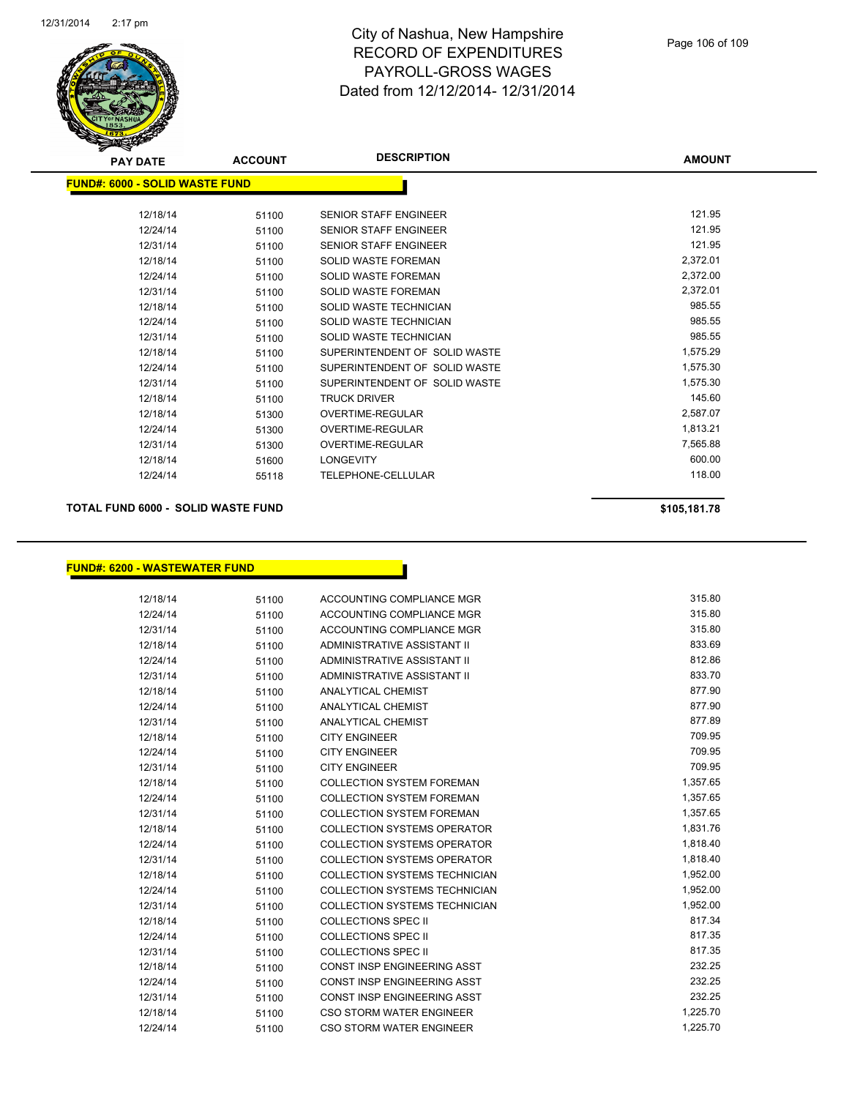

| <b>PAY DATE</b>                        | <b>ACCOUNT</b> | <b>DESCRIPTION</b>            | <b>AMOUNT</b> |  |
|----------------------------------------|----------------|-------------------------------|---------------|--|
| <u> FUND#: 6000 - SOLID WASTE FUND</u> |                |                               |               |  |
| 12/18/14                               | 51100          | <b>SENIOR STAFF ENGINEER</b>  | 121.95        |  |
| 12/24/14                               | 51100          | <b>SENIOR STAFF ENGINEER</b>  | 121.95        |  |
| 12/31/14                               | 51100          | <b>SENIOR STAFF ENGINEER</b>  | 121.95        |  |
| 12/18/14                               | 51100          | SOLID WASTE FOREMAN           | 2,372.01      |  |
| 12/24/14                               | 51100          | <b>SOLID WASTE FOREMAN</b>    | 2,372.00      |  |
| 12/31/14                               | 51100          | <b>SOLID WASTE FOREMAN</b>    | 2,372.01      |  |
| 12/18/14                               | 51100          | SOLID WASTE TECHNICIAN        | 985.55        |  |
| 12/24/14                               | 51100          | SOLID WASTE TECHNICIAN        | 985.55        |  |
| 12/31/14                               | 51100          | SOLID WASTE TECHNICIAN        | 985.55        |  |
| 12/18/14                               | 51100          | SUPERINTENDENT OF SOLID WASTE | 1,575.29      |  |
| 12/24/14                               | 51100          | SUPERINTENDENT OF SOLID WASTE | 1,575.30      |  |
| 12/31/14                               | 51100          | SUPERINTENDENT OF SOLID WASTE | 1,575.30      |  |
| 12/18/14                               | 51100          | <b>TRUCK DRIVER</b>           | 145.60        |  |
| 12/18/14                               | 51300          | OVERTIME-REGULAR              | 2,587.07      |  |
| 12/24/14                               | 51300          | OVERTIME-REGULAR              | 1,813.21      |  |
| 12/31/14                               | 51300          | <b>OVERTIME-REGULAR</b>       | 7,565.88      |  |
| 12/18/14                               | 51600          | <b>LONGEVITY</b>              | 600.00        |  |
| 12/24/14                               | 55118          | TELEPHONE-CELLULAR            | 118.00        |  |
|                                        |                |                               |               |  |

#### **TOTAL FUND 6000 - SOLID WASTE FUND \$105,181.78**

#### **FUND#: 6200 - WASTEWATER FUND**

| 12/18/14 | 51100 | ACCOUNTING COMPLIANCE MGR            | 315.80   |
|----------|-------|--------------------------------------|----------|
| 12/24/14 | 51100 | <b>ACCOUNTING COMPLIANCE MGR</b>     | 315.80   |
| 12/31/14 | 51100 | ACCOUNTING COMPLIANCE MGR            | 315.80   |
| 12/18/14 | 51100 | ADMINISTRATIVE ASSISTANT II          | 833.69   |
| 12/24/14 | 51100 | ADMINISTRATIVE ASSISTANT II          | 812.86   |
| 12/31/14 | 51100 | ADMINISTRATIVE ASSISTANT II          | 833.70   |
| 12/18/14 | 51100 | <b>ANALYTICAL CHEMIST</b>            | 877.90   |
| 12/24/14 | 51100 | <b>ANALYTICAL CHEMIST</b>            | 877.90   |
| 12/31/14 | 51100 | <b>ANALYTICAL CHEMIST</b>            | 877.89   |
| 12/18/14 | 51100 | <b>CITY ENGINEER</b>                 | 709.95   |
| 12/24/14 | 51100 | <b>CITY ENGINEER</b>                 | 709.95   |
| 12/31/14 | 51100 | <b>CITY ENGINEER</b>                 | 709.95   |
| 12/18/14 | 51100 | <b>COLLECTION SYSTEM FOREMAN</b>     | 1,357.65 |
| 12/24/14 | 51100 | <b>COLLECTION SYSTEM FOREMAN</b>     | 1,357.65 |
| 12/31/14 | 51100 | <b>COLLECTION SYSTEM FOREMAN</b>     | 1,357.65 |
| 12/18/14 | 51100 | COLLECTION SYSTEMS OPERATOR          | 1,831.76 |
| 12/24/14 | 51100 | COLLECTION SYSTEMS OPERATOR          | 1,818.40 |
| 12/31/14 | 51100 | COLLECTION SYSTEMS OPERATOR          | 1,818.40 |
| 12/18/14 | 51100 | <b>COLLECTION SYSTEMS TECHNICIAN</b> | 1,952.00 |
| 12/24/14 | 51100 | <b>COLLECTION SYSTEMS TECHNICIAN</b> | 1,952.00 |
| 12/31/14 | 51100 | <b>COLLECTION SYSTEMS TECHNICIAN</b> | 1,952.00 |
| 12/18/14 | 51100 | <b>COLLECTIONS SPEC II</b>           | 817.34   |
| 12/24/14 | 51100 | <b>COLLECTIONS SPEC II</b>           | 817.35   |
| 12/31/14 | 51100 | <b>COLLECTIONS SPEC II</b>           | 817.35   |
| 12/18/14 | 51100 | <b>CONST INSP ENGINEERING ASST</b>   | 232.25   |

<u>a sa sala</u>

12/24/14 51100 CONST INSP ENGINEERING ASST 232.25 12/31/14 51100 CONST INSP ENGINEERING ASST 232.25 12/18/14 51100 CSO STORM WATER ENGINEER 1,225.70 12/24/14 51100 CSO STORM WATER ENGINEER 1,225.70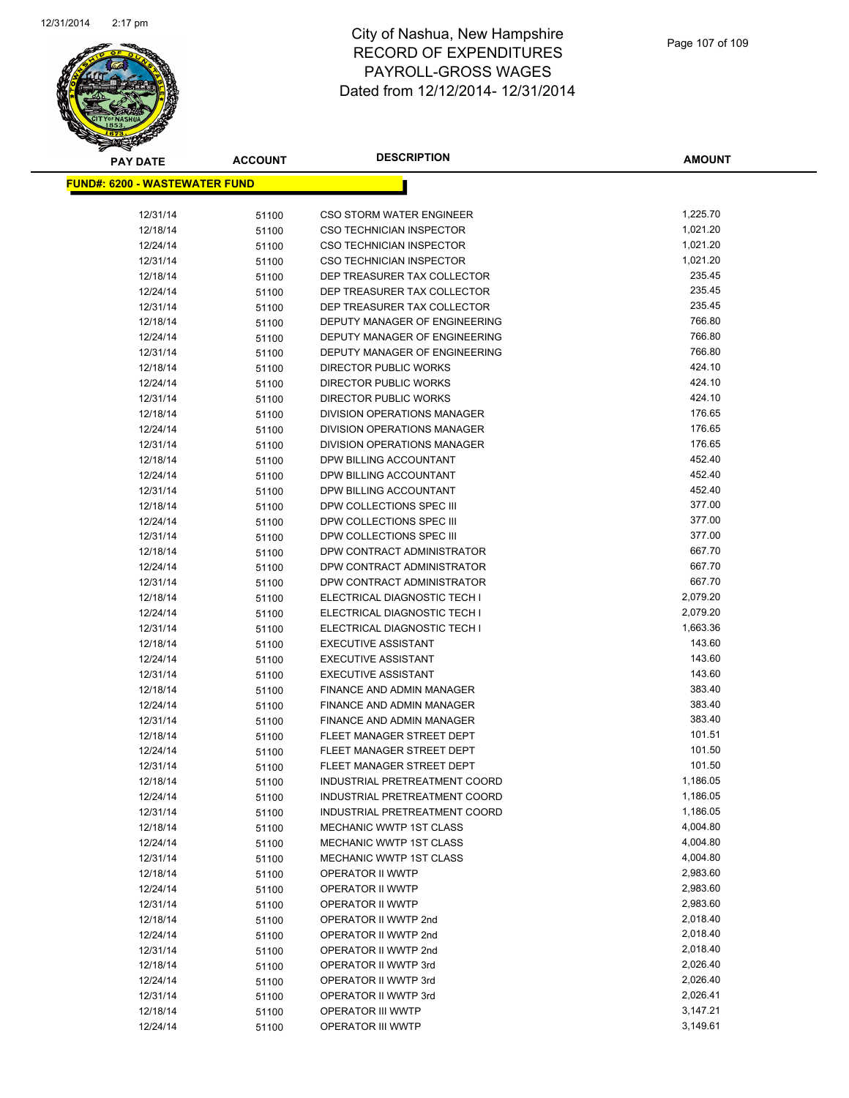

| <b>PAY DATE</b>                       | <b>ACCOUNT</b> | <b>DESCRIPTION</b>                   | <b>AMOUNT</b>        |
|---------------------------------------|----------------|--------------------------------------|----------------------|
| <u> FUND#: 6200 - WASTEWATER FUND</u> |                |                                      |                      |
|                                       |                |                                      |                      |
| 12/31/14                              | 51100          | <b>CSO STORM WATER ENGINEER</b>      | 1,225.70             |
| 12/18/14                              | 51100          | <b>CSO TECHNICIAN INSPECTOR</b>      | 1,021.20             |
| 12/24/14                              | 51100          | <b>CSO TECHNICIAN INSPECTOR</b>      | 1,021.20             |
| 12/31/14                              | 51100          | <b>CSO TECHNICIAN INSPECTOR</b>      | 1,021.20             |
| 12/18/14                              | 51100          | DEP TREASURER TAX COLLECTOR          | 235.45               |
| 12/24/14                              | 51100          | DEP TREASURER TAX COLLECTOR          | 235.45               |
| 12/31/14                              | 51100          | DEP TREASURER TAX COLLECTOR          | 235.45               |
| 12/18/14                              | 51100          | DEPUTY MANAGER OF ENGINEERING        | 766.80               |
| 12/24/14                              | 51100          | DEPUTY MANAGER OF ENGINEERING        | 766.80               |
| 12/31/14                              | 51100          | DEPUTY MANAGER OF ENGINEERING        | 766.80               |
| 12/18/14                              | 51100          | DIRECTOR PUBLIC WORKS                | 424.10               |
| 12/24/14                              | 51100          | DIRECTOR PUBLIC WORKS                | 424.10               |
| 12/31/14                              | 51100          | DIRECTOR PUBLIC WORKS                | 424.10               |
| 12/18/14                              | 51100          | DIVISION OPERATIONS MANAGER          | 176.65               |
| 12/24/14                              | 51100          | DIVISION OPERATIONS MANAGER          | 176.65               |
| 12/31/14                              | 51100          | <b>DIVISION OPERATIONS MANAGER</b>   | 176.65               |
| 12/18/14                              | 51100          | DPW BILLING ACCOUNTANT               | 452.40               |
| 12/24/14                              | 51100          | DPW BILLING ACCOUNTANT               | 452.40               |
| 12/31/14                              | 51100          | DPW BILLING ACCOUNTANT               | 452.40               |
| 12/18/14                              | 51100          | DPW COLLECTIONS SPEC III             | 377.00               |
| 12/24/14                              | 51100          | DPW COLLECTIONS SPEC III             | 377.00               |
| 12/31/14                              | 51100          | DPW COLLECTIONS SPEC III             | 377.00               |
| 12/18/14                              | 51100          | DPW CONTRACT ADMINISTRATOR           | 667.70               |
| 12/24/14                              | 51100          | DPW CONTRACT ADMINISTRATOR           | 667.70               |
| 12/31/14                              | 51100          | DPW CONTRACT ADMINISTRATOR           | 667.70               |
| 12/18/14                              | 51100          | ELECTRICAL DIAGNOSTIC TECH I         | 2,079.20             |
| 12/24/14                              | 51100          | ELECTRICAL DIAGNOSTIC TECH I         | 2,079.20             |
| 12/31/14                              | 51100          | ELECTRICAL DIAGNOSTIC TECH I         | 1,663.36             |
| 12/18/14                              | 51100          | <b>EXECUTIVE ASSISTANT</b>           | 143.60               |
| 12/24/14                              | 51100          | <b>EXECUTIVE ASSISTANT</b>           | 143.60               |
| 12/31/14                              | 51100          | <b>EXECUTIVE ASSISTANT</b>           | 143.60               |
| 12/18/14                              | 51100          | FINANCE AND ADMIN MANAGER            | 383.40               |
| 12/24/14                              | 51100          | FINANCE AND ADMIN MANAGER            | 383.40               |
| 12/31/14                              | 51100          | FINANCE AND ADMIN MANAGER            | 383.40               |
| 12/18/14                              | 51100          | FLEET MANAGER STREET DEPT            | 101.51               |
| 12/24/14                              | 51100          | FLEET MANAGER STREET DEPT            | 101.50               |
| 12/31/14                              | 51100          | FLEET MANAGER STREET DEPT            | 101.50               |
| 12/18/14                              | 51100          | INDUSTRIAL PRETREATMENT COORD        | 1,186.05             |
| 12/24/14                              | 51100          | INDUSTRIAL PRETREATMENT COORD        | 1,186.05             |
| 12/31/14                              | 51100          | INDUSTRIAL PRETREATMENT COORD        | 1,186.05             |
| 12/18/14                              | 51100          | <b>MECHANIC WWTP 1ST CLASS</b>       | 4,004.80             |
| 12/24/14                              | 51100          | MECHANIC WWTP 1ST CLASS              | 4,004.80<br>4,004.80 |
| 12/31/14                              | 51100          | MECHANIC WWTP 1ST CLASS              |                      |
| 12/18/14                              | 51100          | OPERATOR II WWTP                     | 2,983.60<br>2,983.60 |
| 12/24/14<br>12/31/14                  | 51100          | OPERATOR II WWTP<br>OPERATOR II WWTP | 2,983.60             |
| 12/18/14                              | 51100          | OPERATOR II WWTP 2nd                 | 2,018.40             |
| 12/24/14                              | 51100<br>51100 | OPERATOR II WWTP 2nd                 | 2,018.40             |
| 12/31/14                              | 51100          | OPERATOR II WWTP 2nd                 | 2,018.40             |
| 12/18/14                              | 51100          | OPERATOR II WWTP 3rd                 | 2,026.40             |
| 12/24/14                              | 51100          | OPERATOR II WWTP 3rd                 | 2,026.40             |
| 12/31/14                              | 51100          | OPERATOR II WWTP 3rd                 | 2,026.41             |
| 12/18/14                              | 51100          | OPERATOR III WWTP                    | 3,147.21             |
| 12/24/14                              | 51100          | OPERATOR III WWTP                    | 3,149.61             |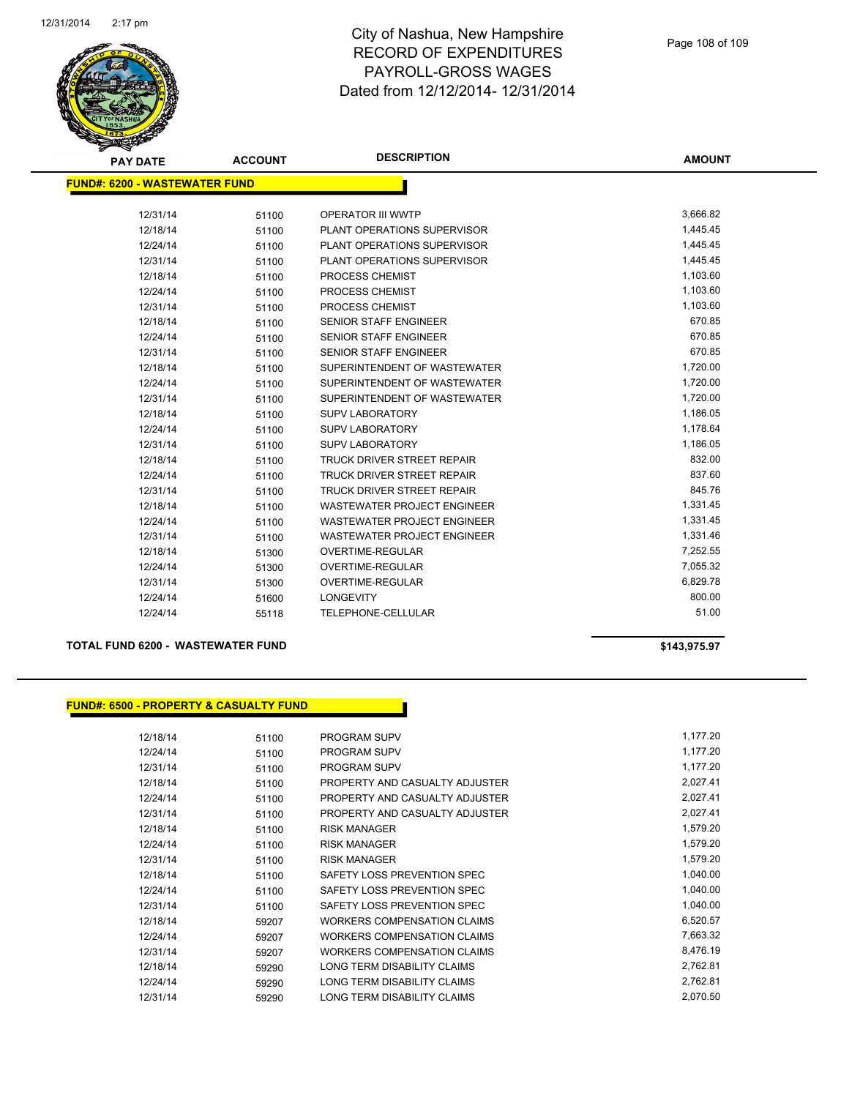

| <b>PAY DATE</b>                       | <b>ACCOUNT</b> | <b>DESCRIPTION</b>                 | <b>AMOUNT</b> |
|---------------------------------------|----------------|------------------------------------|---------------|
| <u> FUND#: 6200 - WASTEWATER FUND</u> |                |                                    |               |
|                                       |                |                                    |               |
| 12/31/14                              | 51100          | OPERATOR III WWTP                  | 3,666.82      |
| 12/18/14                              | 51100          | PLANT OPERATIONS SUPERVISOR        | 1,445.45      |
| 12/24/14                              | 51100          | PLANT OPERATIONS SUPERVISOR        | 1,445.45      |
| 12/31/14                              | 51100          | PLANT OPERATIONS SUPERVISOR        | 1,445.45      |
| 12/18/14                              | 51100          | PROCESS CHEMIST                    | 1,103.60      |
| 12/24/14                              | 51100          | PROCESS CHEMIST                    | 1,103.60      |
| 12/31/14                              | 51100          | PROCESS CHEMIST                    | 1,103.60      |
| 12/18/14                              | 51100          | <b>SENIOR STAFF ENGINEER</b>       | 670.85        |
| 12/24/14                              | 51100          | <b>SENIOR STAFF ENGINEER</b>       | 670.85        |
| 12/31/14                              | 51100          | <b>SENIOR STAFF ENGINEER</b>       | 670.85        |
| 12/18/14                              | 51100          | SUPERINTENDENT OF WASTEWATER       | 1,720.00      |
| 12/24/14                              | 51100          | SUPERINTENDENT OF WASTEWATER       | 1,720.00      |
| 12/31/14                              | 51100          | SUPERINTENDENT OF WASTEWATER       | 1,720.00      |
| 12/18/14                              | 51100          | <b>SUPV LABORATORY</b>             | 1,186.05      |
| 12/24/14                              | 51100          | <b>SUPV LABORATORY</b>             | 1,178.64      |
| 12/31/14                              | 51100          | <b>SUPV LABORATORY</b>             | 1,186.05      |
| 12/18/14                              | 51100          | TRUCK DRIVER STREET REPAIR         | 832.00        |
| 12/24/14                              | 51100          | TRUCK DRIVER STREET REPAIR         | 837.60        |
| 12/31/14                              | 51100          | <b>TRUCK DRIVER STREET REPAIR</b>  | 845.76        |
| 12/18/14                              | 51100          | <b>WASTEWATER PROJECT ENGINEER</b> | 1,331.45      |
| 12/24/14                              | 51100          | <b>WASTEWATER PROJECT ENGINEER</b> | 1,331.45      |
| 12/31/14                              | 51100          | <b>WASTEWATER PROJECT ENGINEER</b> | 1,331.46      |
| 12/18/14                              | 51300          | <b>OVERTIME-REGULAR</b>            | 7,252.55      |
| 12/24/14                              | 51300          | OVERTIME-REGULAR                   | 7,055.32      |
| 12/31/14                              | 51300          | <b>OVERTIME-REGULAR</b>            | 6,829.78      |
| 12/24/14                              | 51600          | <b>LONGEVITY</b>                   | 800.00        |
| 12/24/14                              | 55118          | <b>TELEPHONE-CELLULAR</b>          | 51.00         |

#### **TOTAL FUND 6200 - WASTEWATER FUND \$143,975.97**

#### **FUND#: 6500 - PROPERTY & CASUALTY FUND**

| 12/18/14 | 51100 | <b>PROGRAM SUPV</b>                | 1,177.20 |
|----------|-------|------------------------------------|----------|
| 12/24/14 | 51100 | <b>PROGRAM SUPV</b>                | 1,177.20 |
| 12/31/14 | 51100 | <b>PROGRAM SUPV</b>                | 1,177.20 |
| 12/18/14 | 51100 | PROPERTY AND CASUALTY ADJUSTER     | 2,027.41 |
| 12/24/14 | 51100 | PROPERTY AND CASUALTY ADJUSTER     | 2,027.41 |
| 12/31/14 | 51100 | PROPERTY AND CASUALTY ADJUSTER     | 2,027.41 |
| 12/18/14 | 51100 | <b>RISK MANAGER</b>                | 1,579.20 |
| 12/24/14 | 51100 | <b>RISK MANAGER</b>                | 1,579.20 |
| 12/31/14 | 51100 | <b>RISK MANAGER</b>                | 1,579.20 |
| 12/18/14 | 51100 | SAFETY LOSS PREVENTION SPEC        | 1,040.00 |
| 12/24/14 | 51100 | SAFETY LOSS PREVENTION SPEC        | 1,040.00 |
| 12/31/14 | 51100 | SAFETY LOSS PREVENTION SPEC        | 1,040.00 |
| 12/18/14 | 59207 | <b>WORKERS COMPENSATION CLAIMS</b> | 6,520.57 |
| 12/24/14 | 59207 | <b>WORKERS COMPENSATION CLAIMS</b> | 7,663.32 |
| 12/31/14 | 59207 | <b>WORKERS COMPENSATION CLAIMS</b> | 8,476.19 |
| 12/18/14 | 59290 | LONG TERM DISABILITY CLAIMS        | 2,762.81 |
| 12/24/14 | 59290 | LONG TERM DISABILITY CLAIMS        | 2,762.81 |
| 12/31/14 | 59290 | LONG TERM DISABILITY CLAIMS        | 2,070.50 |